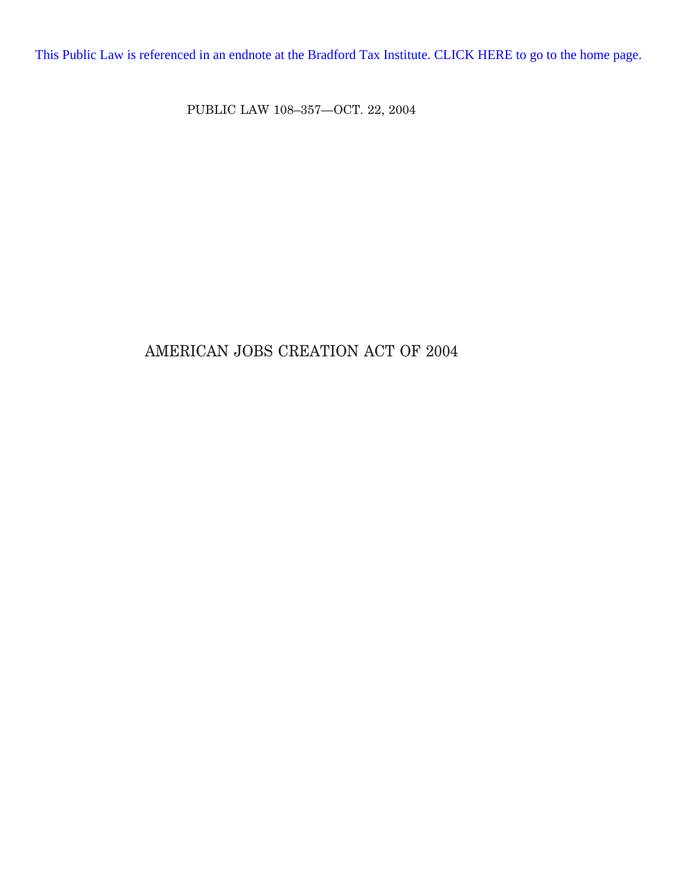[This Public Law is referenced in an endnote at the Bradford Tax Institute. CLICK HERE to go to the home page.](http://www.bradfordtaxinstitute.com/)

PUBLIC LAW 108–357—OCT. 22, 2004

# AMERICAN JOBS CREATION ACT OF 2004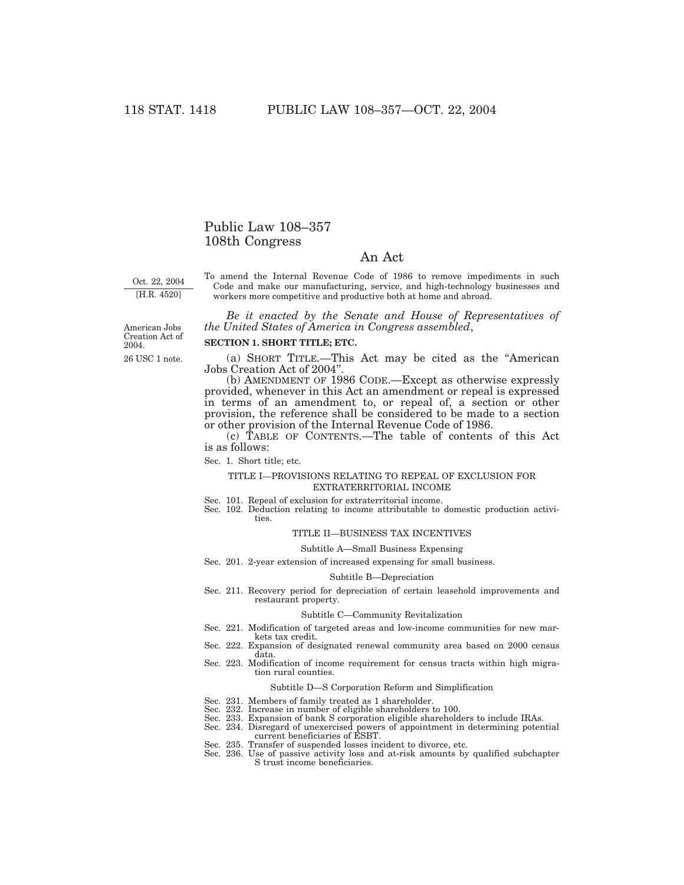## Public Law 108–357 108th Congress

## An Act

Oct. 22, 2004 [H.R. 4520]

To amend the Internal Revenue Code of 1986 to remove impediments in such Code and make our manufacturing, service, and high-technology businesses and workers more competitive and productive both at home and abroad.

*Be it enacted by the Senate and House of Representatives of the United States of America in Congress assembled*,

### American Jobs Creation Act of 2004.

26 USC 1 note.

## **SECTION 1. SHORT TITLE; ETC.**

(a) SHORT TITLE.—This Act may be cited as the ''American Jobs Creation Act of 2004''.

(b) AMENDMENT OF 1986 CODE.—Except as otherwise expressly provided, whenever in this Act an amendment or repeal is expressed in terms of an amendment to, or repeal of, a section or other provision, the reference shall be considered to be made to a section or other provision of the Internal Revenue Code of 1986.

(c) TABLE OF CONTENTS.—The table of contents of this Act is as follows:

Sec. 1. Short title; etc.

### TITLE I—PROVISIONS RELATING TO REPEAL OF EXCLUSION FOR EXTRATERRITORIAL INCOME

- Sec. 101. Repeal of exclusion for extraterritorial income.
- Sec. 102. Deduction relating to income attributable to domestic production activities.

#### TITLE II—BUSINESS TAX INCENTIVES

#### Subtitle A—Small Business Expensing

Sec. 201. 2-year extension of increased expensing for small business.

### Subtitle B—Depreciation

Sec. 211. Recovery period for depreciation of certain leasehold improvements and restaurant property.

### Subtitle C—Community Revitalization

- Sec. 221. Modification of targeted areas and low-income communities for new markets tax credit.
- Sec. 222. Expansion of designated renewal community area based on 2000 census data.
- Sec. 223. Modification of income requirement for census tracts within high migration rural counties.

### Subtitle D—S Corporation Reform and Simplification

- 
- Sec. 231. Members of family treated as 1 shareholder. Sec. 232. Increase in number of eligible shareholders to 100.
- Sec. 233. Expansion of bank S corporation eligible shareholders to include IRAs.
- Sec. 234. Disregard of unexercised powers of appointment in determining potential current beneficiaries of ESBT.
- Sec. 235. Transfer of suspended losses incident to divorce, etc.
- Sec. 236. Use of passive activity loss and at-risk amounts by qualified subchapter S trust income beneficiaries.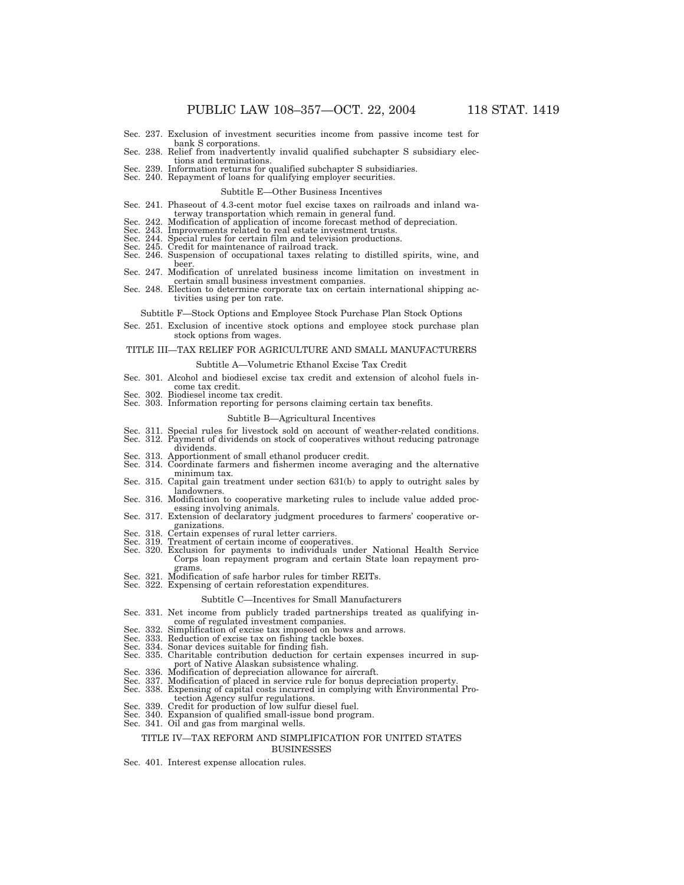- Sec. 237. Exclusion of investment securities income from passive income test for
- Sec. 238. Relief from inadvertently invalid qualified subchapter S subsidiary elections and terminations. Sec. 239. Information returns for qualified subchapter S subsidiaries.
- 
- Sec. 240. Repayment of loans for qualifying employer securities.

### Subtitle E—Other Business Incentives

- Sec. 241. Phaseout of 4.3-cent motor fuel excise taxes on railroads and inland waterway transportation which remain in general fund. Sec. 242. Modification of application of income forecast method of depreciation. Sec. 243. Improvements related to real estate investment trusts.
- 
- 
- Sec. 244. Special rules for certain film and television productions.<br>Sec. 245. Credit for maintenance of railroad track.
- Credit for maintenance of railroad track.
- Sec. 246. Suspension of occupational taxes relating to distilled spirits, wine, and beer.
- Sec. 247. Modification of unrelated business income limitation on investment in certain small business investment companies. Sec. 248. Election to determine corporate tax on certain international shipping ac-
- tivities using per ton rate.

### Subtitle F—Stock Options and Employee Stock Purchase Plan Stock Options

Sec. 251. Exclusion of incentive stock options and employee stock purchase plan stock options from wages.

### TITLE III—TAX RELIEF FOR AGRICULTURE AND SMALL MANUFACTURERS

#### Subtitle A—Volumetric Ethanol Excise Tax Credit

- Sec. 301. Alcohol and biodiesel excise tax credit and extension of alcohol fuels income tax credit.
- Sec. 302. Biodiesel income tax credit.
- Sec. 303. Information reporting for persons claiming certain tax benefits.

### Subtitle B—Agricultural Incentives

- Sec. 311. Special rules for livestock sold on account of weather-related conditions. Sec. 312. Payment of dividends on stock of cooperatives without reducing patronage
- dividends.
- Sec. 313. Apportionment of small ethanol producer credit.
- Sec. 314. Coordinate farmers and fishermen income averaging and the alternative minimum tax.
- Sec. 315. Capital gain treatment under section 631(b) to apply to outright sales by landowners.
- Sec. 316. Modification to cooperative marketing rules to include value added processing involving animals. Sec. 317. Extension of declaratory judgment procedures to farmers' cooperative or-
- ganizations. Sec. 318. Certain expenses of rural letter carriers. Sec. 319. Treatment of certain income of cooperatives.
- 
- Sec. 320. Exclusion for payments to individuals under National Health Service Corps loan repayment program and certain State loan repayment programs.<br>Sec. 321. Modification of safe harbor rules for timber REITs.
- 
- Sec. 322. Expensing of certain reforestation expenditures.

### Subtitle C—Incentives for Small Manufacturers

- Sec. 331. Net income from publicly traded partnerships treated as qualifying in-
- Sec. 332. Simplification of excise tax imposed on bows and arrows.
- Sec. 333. Reduction of excise tax on fishing tackle boxes. Sec. 334. Sonar devices suitable for finding fish.
- 
- Sec. 335. Charitable contribution deduction for certain expenses incurred in sup-
- Sec. 336. Modification of depreciation allowance for aircraft.<br>Sec. 337. Modification of placed in service rule for bonus dep
- Sec. 337. Modification of placed in service rule for bonus depreciation property.<br>Sec. 338. Expensing of capital costs incurred in complying with Environmenta
- Expensing of capital costs incurred in complying with Environmental Pro-<br>tection Agency sulfur regulations.
- Sec. 339. Credit for production of low sulfur diesel fuel.
- Sec. 340. Expansion of qualified small-issue bond program. Sec. 341. Oil and gas from marginal wells.
- 

### TITLE IV—TAX REFORM AND SIMPLIFICATION FOR UNITED STATES BUSINESSES

Sec. 401. Interest expense allocation rules.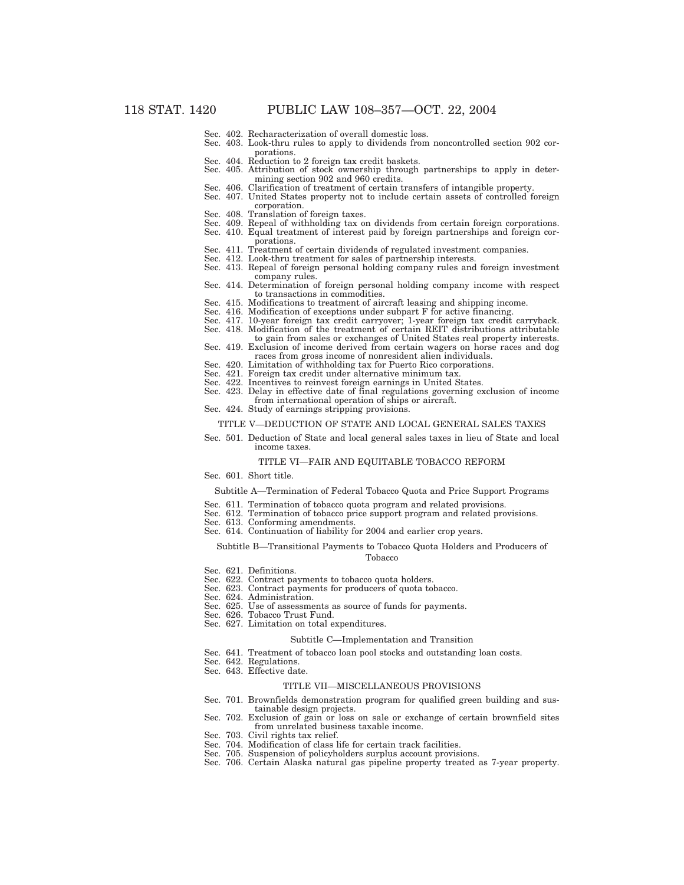- Sec. 402. Recharacterization of overall domestic loss.
- Sec. 403. Look-thru rules to apply to dividends from noncontrolled section 902 corporations.
- Sec. 404. Reduction to 2 foreign tax credit baskets. Sec. 405. Attribution of stock ownership through partnerships to apply in determining section 902 and 960 credits.
- Sec. 406. Clarification of treatment of certain transfers of intangible property.
- Sec. 407. United States property not to include certain assets of controlled foreign corporation.
- Sec. 408. Translation of foreign taxes.
- Sec. 409. Repeal of withholding tax on dividends from certain foreign corporations.
- Sec. 410. Equal treatment of interest paid by foreign partnerships and foreign corporations.
- Sec. 411. Treatment of certain dividends of regulated investment companies.
- Sec. 412. Look-thru treatment for sales of partnership interests.
- Sec. 413. Repeal of foreign personal holding company rules and foreign investment
- company rules. Sec. 414. Determination of foreign personal holding company income with respect to transactions in commodities.
- 
- Sec. 415. Modifications to treatment of aircraft leasing and shipping income. Sec. 416. Modification of exceptions under subpart F for active financing.
- Sec. 417. 10-year foreign tax credit carryover; 1-year foreign tax credit carryback. Sec. 418. Modification of the treatment of certain REIT distributions attributable
- to gain from sales or exchanges of United States real property interests. Sec. 419. Exclusion of income derived from certain wagers on horse races and dog
- races from gross income of nonresident alien individuals.
- Sec. 420. Limitation of withholding tax for Puerto Rico corporations.
- Sec. 421. Foreign tax credit under alternative minimum tax. Sec. 422. Incentives to reinvest foreign earnings in United States.
- 
- Sec. 423. Delay in effective date of final regulations governing exclusion of income from international operation of ships or aircraft.
- Sec. 424. Study of earnings stripping provisions.

#### TITLE V—DEDUCTION OF STATE AND LOCAL GENERAL SALES TAXES

Sec. 501. Deduction of State and local general sales taxes in lieu of State and local income taxes.

### TITLE VI—FAIR AND EQUITABLE TOBACCO REFORM

### Sec. 601. Short title.

#### Subtitle A—Termination of Federal Tobacco Quota and Price Support Programs

- Sec. 611. Termination of tobacco quota program and related provisions.
- Sec. 612. Termination of tobacco price support program and related provisions.
- Sec. 613. Conforming amendments.
- Sec. 614. Continuation of liability for 2004 and earlier crop years.

#### Subtitle B—Transitional Payments to Tobacco Quota Holders and Producers of Tobacco

- Sec. 621. Definitions.
- Sec. 622. Contract payments to tobacco quota holders.
- Sec. 623. Contract payments for producers of quota tobacco.
- 
- Sec. 624. Administration. Sec. 625. Use of assessments as source of funds for payments.
- Sec. 626. Tobacco Trust Fund.

## Sec. 627. Limitation on total expenditures.

### Subtitle C—Implementation and Transition

- Sec. 641. Treatment of tobacco loan pool stocks and outstanding loan costs.
- Sec. 642. Regulations.
- Sec. 643. Effective date.

### TITLE VII—MISCELLANEOUS PROVISIONS

- Sec. 701. Brownfields demonstration program for qualified green building and sustainable design projects.
- Sec. 702. Exclusion of gain or loss on sale or exchange of certain brownfield sites from unrelated business taxable income.
- Sec. 703. Civil rights tax relief.
- Sec. 704. Modification of class life for certain track facilities.
- Sec. 705. Suspension of policyholders surplus account provisions.
- Sec. 706. Certain Alaska natural gas pipeline property treated as 7-year property.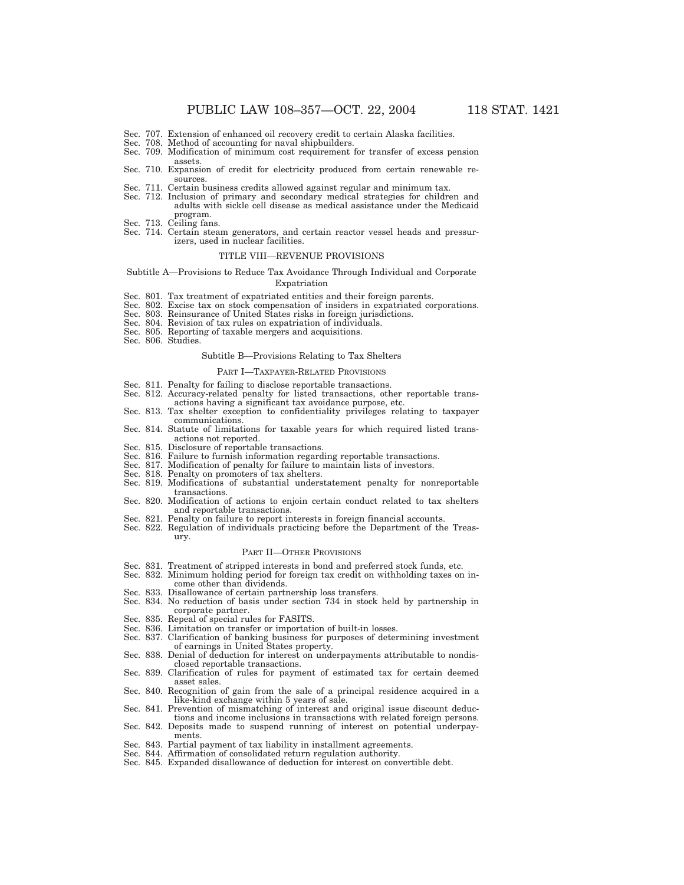- Sec. 707. Extension of enhanced oil recovery credit to certain Alaska facilities.
- Sec. 708. Method of accounting for naval shipbuilders.
- Sec. 709. Modification of minimum cost requirement for transfer of excess pension assets.
- Sec. 710. Expansion of credit for electricity produced from certain renewable resources. Sec. 711. Certain business credits allowed against regular and minimum tax.
- 
- Sec. 712. Inclusion of primary and secondary medical strategies for children and adults with sickle cell disease as medical assistance under the Medicaid program.
- Sec. 713. Ceiling fans.
- Sec. 714. Certain steam generators, and certain reactor vessel heads and pressurizers, used in nuclear facilities.

### TITLE VIII—REVENUE PROVISIONS

Subtitle A—Provisions to Reduce Tax Avoidance Through Individual and Corporate Expatriation

- Sec. 801. Tax treatment of expatriated entities and their foreign parents.
- Sec. 802. Excise tax on stock compensation of insiders in expatriated corporations.
- Sec. 803. Reinsurance of United States risks in foreign jurisdictions.
- Sec. 804. Revision of tax rules on expatriation of individuals.
- Sec. 805. Reporting of taxable mergers and acquisitions.
- Sec. 806. Studies.

### Subtitle B—Provisions Relating to Tax Shelters

#### PART I—TAXPAYER-RELATED PROVISIONS

- Sec. 811. Penalty for failing to disclose reportable transactions. Sec. 812. Accuracy-related penalty for listed transactions, other reportable trans-
- actions having a significant tax avoidance purpose, etc.
- Sec. 813. Tax shelter exception to confidentiality privileges relating to taxpayer communications.
- Sec. 814. Statute of limitations for taxable years for which required listed transactions not reported.
- Sec. 815. Disclosure of reportable transactions.
- Sec. 816. Failure to furnish information regarding reportable transactions.
- Sec. 817. Modification of penalty for failure to maintain lists of investors.
- Sec. 818. Penalty on promoters of tax shelters.
- Sec. 819. Modifications of substantial understatement penalty for nonreportable transactions.
- Sec. 820. Modification of actions to enjoin certain conduct related to tax shelters and reportable transactions.
- Sec. 821. Penalty on failure to report interests in foreign financial accounts. Sec. 822. Regulation of individuals practicing before the Department of the Treasury.

#### PART II—OTHER PROVISIONS

- Sec. 831. Treatment of stripped interests in bond and preferred stock funds, etc.
- Sec. 832. Minimum holding period for foreign tax credit on withholding taxes on income other than dividends.
- Sec. 833. Disallowance of certain partnership loss transfers.
- Sec. 834. No reduction of basis under section 734 in stock held by partnership in corporate partner.
- Sec. 835. Repeal of special rules for FASITS.
- Sec. 836. Limitation on transfer or importation of built-in losses.
- Sec. 837. Clarification of banking business for purposes of determining investment of earnings in United States property. Sec. 838. Denial of deduction for interest on underpayments attributable to nondis-
- closed reportable transactions.
- Sec. 839. Clarification of rules for payment of estimated tax for certain deemed asset sales.
- Sec. 840. Recognition of gain from the sale of a principal residence acquired in a like-kind exchange within 5 years of sale.
- Sec. 841. Prevention of mismatching of interest and original issue discount deductions and income inclusions in transactions with related foreign persons.
- Sec. 842. Deposits made to suspend running of interest on potential underpayments.
- Sec. 843. Partial payment of tax liability in installment agreements.
- Sec. 844. Affirmation of consolidated return regulation authority.
- Sec. 845. Expanded disallowance of deduction for interest on convertible debt.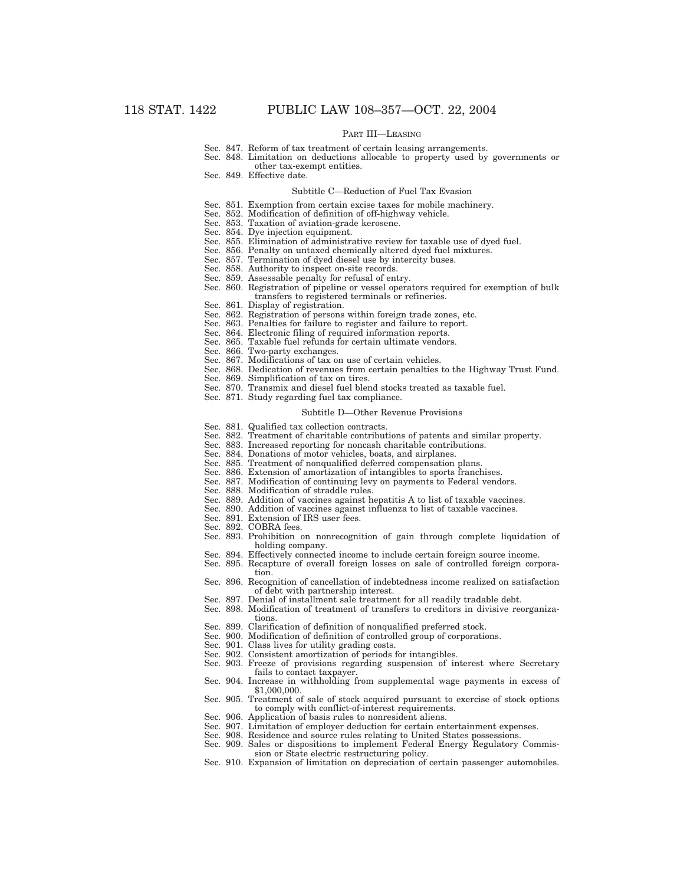#### PART III—LEASING

- Sec. 847. Reform of tax treatment of certain leasing arrangements.
- Sec. 848. Limitation on deductions allocable to property used by governments or other tax-exempt entities.
	- Sec. 849. Effective date.

### Subtitle C—Reduction of Fuel Tax Evasion

- Sec. 851. Exemption from certain excise taxes for mobile machinery.
- Sec. 852. Modification of definition of off-highway vehicle.
- Sec. 853. Taxation of aviation-grade kerosene.
- Sec. 854. Dye injection equipment.
- Sec. 855. Elimination of administrative review for taxable use of dyed fuel.
- Sec. 856. Penalty on untaxed chemically altered dyed fuel mixtures.
- Sec. 857. Termination of dyed diesel use by intercity buses.
- Sec. 858. Authority to inspect on-site records.
- Sec. 859. Assessable penalty for refusal of entry.
- Sec. 860. Registration of pipeline or vessel operators required for exemption of bulk transfers to registered terminals or refineries.
- Sec. 861. Display of registration.
- Sec. 862. Registration of persons within foreign trade zones, etc. Sec. 863. Penalties for failure to register and failure to report.
- Penalties for failure to register and failure to report.
- Sec. 864. Electronic filing of required information reports.
- Taxable fuel refunds for certain ultimate vendors.
- Sec. 866. Two-party exchanges.
- Sec. 867. Modifications of tax on use of certain vehicles.
- Sec. 868. Dedication of revenues from certain penalties to the Highway Trust Fund.
- Sec. 869. Simplification of tax on tires.
- Sec. 870. Transmix and diesel fuel blend stocks treated as taxable fuel.
- Sec. 871. Study regarding fuel tax compliance.

### Subtitle D—Other Revenue Provisions

- Sec. 881. Qualified tax collection contracts.<br>Sec. 882. Treatment of charitable contribut
- Treatment of charitable contributions of patents and similar property.
- Sec. 883. Increased reporting for noncash charitable contributions.<br>Sec. 884. Donations of motor vehicles, boats, and airplanes.
- Donations of motor vehicles, boats, and airplanes.
- Sec. 885. Treatment of nonqualified deferred compensation plans.
- Sec. 886. Extension of amortization of intangibles to sports franchises.
- Sec. 887. Modification of continuing levy on payments to Federal vendors.
- Sec. 888. Modification of straddle rules.
- Sec. 889. Addition of vaccines against hepatitis A to list of taxable vaccines.
- Sec. 890. Addition of vaccines against influenza to list of taxable vaccines.
- Sec. 891. Extension of IRS user fees.
	-
	- Sec. 892. COBRA fees.
- Sec. 893. Prohibition on nonrecognition of gain through complete liquidation of holding company.
- Sec. 894. Effectively connected income to include certain foreign source income.
- Sec. 895. Recapture of overall foreign losses on sale of controlled foreign corporation.
- Sec. 896. Recognition of cancellation of indebtedness income realized on satisfaction of debt with partnership interest.
- Sec. 897. Denial of installment sale treatment for all readily tradable debt.
- Sec. 898. Modification of treatment of transfers to creditors in divisive reorganizations.
- Sec. 899. Clarification of definition of nonqualified preferred stock.
- Sec. 900. Modification of definition of controlled group of corporations.
- Sec. 901. Class lives for utility grading costs.
- Sec. 902. Consistent amortization of periods for intangibles.
- Sec. 903. Freeze of provisions regarding suspension of interest where Secretary fails to contact taxpayer.
- Sec. 904. Increase in withholding from supplemental wage payments in excess of \$1,000,000.
- Sec. 905. Treatment of sale of stock acquired pursuant to exercise of stock options to comply with conflict-of-interest requirements.
- Sec. 906. Application of basis rules to nonresident aliens.
- Sec. 907. Limitation of employer deduction for certain entertainment expenses.
- Sec. 908. Residence and source rules relating to United States possessions.
- Sec. 909. Sales or dispositions to implement Federal Energy Regulatory Commission or State electric restructuring policy.
- Sec. 910. Expansion of limitation on depreciation of certain passenger automobiles.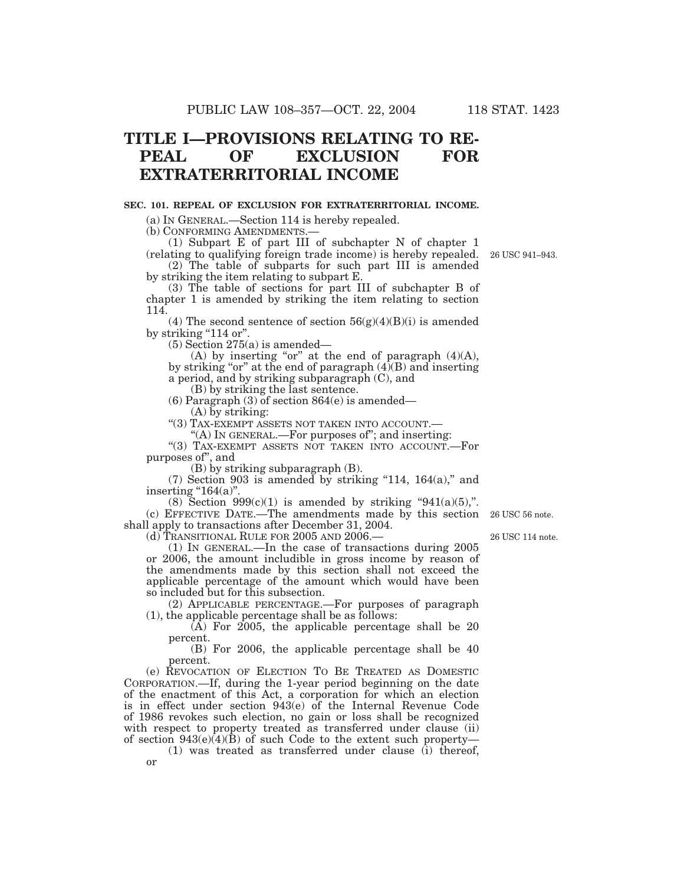## **TITLE I—PROVISIONS RELATING TO RE-PEAL OF EXCLUSION FOR EXTRATERRITORIAL INCOME**

## **SEC. 101. REPEAL OF EXCLUSION FOR EXTRATERRITORIAL INCOME.**

(a) IN GENERAL.—Section 114 is hereby repealed.

(b) CONFORMING AMENDMENTS.—

(1) Subpart E of part III of subchapter N of chapter 1

(relating to qualifying foreign trade income) is hereby repealed. (2) The table of subparts for such part III is amended by striking the item relating to subpart E.

(3) The table of sections for part III of subchapter B of chapter 1 is amended by striking the item relating to section 114.

(4) The second sentence of section  $56(g)(4)(B)(i)$  is amended by striking "114 or".

(5) Section 275(a) is amended—

(A) by inserting "or" at the end of paragraph  $(4)(A)$ , by striking "or" at the end of paragraph  $(4)(B)$  and inserting a period, and by striking subparagraph (C), and

(B) by striking the last sentence.

 $(6)$  Paragraph  $(3)$  of section 864 $(e)$  is amended—  $(A)$  by striking:

''(3) TAX-EXEMPT ASSETS NOT TAKEN INTO ACCOUNT.—

"(A) IN GENERAL.—For purposes of"; and inserting:

"(3) TAX-EXEMPT ASSETS NOT TAKEN INTO ACCOUNT.—For purposes of'', and

(B) by striking subparagraph (B).

 $(7)$  Section 903 is amended by striking "114, 164 $(a)$ ," and inserting " $164(a)$ ".

(8) Section  $999(c)(1)$  is amended by striking " $941(a)(5)$ ,". (c) EFFECTIVE DATE.—The amendments made by this section shall apply to transactions after December 31, 2004.

(d) TRANSITIONAL RULE FOR 2005 AND 2006.—

(1) IN GENERAL.—In the case of transactions during 2005 or 2006, the amount includible in gross income by reason of the amendments made by this section shall not exceed the applicable percentage of the amount which would have been so included but for this subsection.

(2) APPLICABLE PERCENTAGE.—For purposes of paragraph (1), the applicable percentage shall be as follows:

 $(\tilde{A})$  For 2005, the applicable percentage shall be 20 percent.

(B) For 2006, the applicable percentage shall be 40 percent.

(e) REVOCATION OF ELECTION TO BE TREATED AS DOMESTIC CORPORATION.—If, during the 1-year period beginning on the date of the enactment of this Act, a corporation for which an election is in effect under section 943(e) of the Internal Revenue Code of 1986 revokes such election, no gain or loss shall be recognized with respect to property treated as transferred under clause (ii) of section  $943(e)(4)(B)$  of such Code to the extent such property—

(1) was treated as transferred under clause (i) thereof, or

26 USC 56 note.

26 USC 114 note.

26 USC 941–943.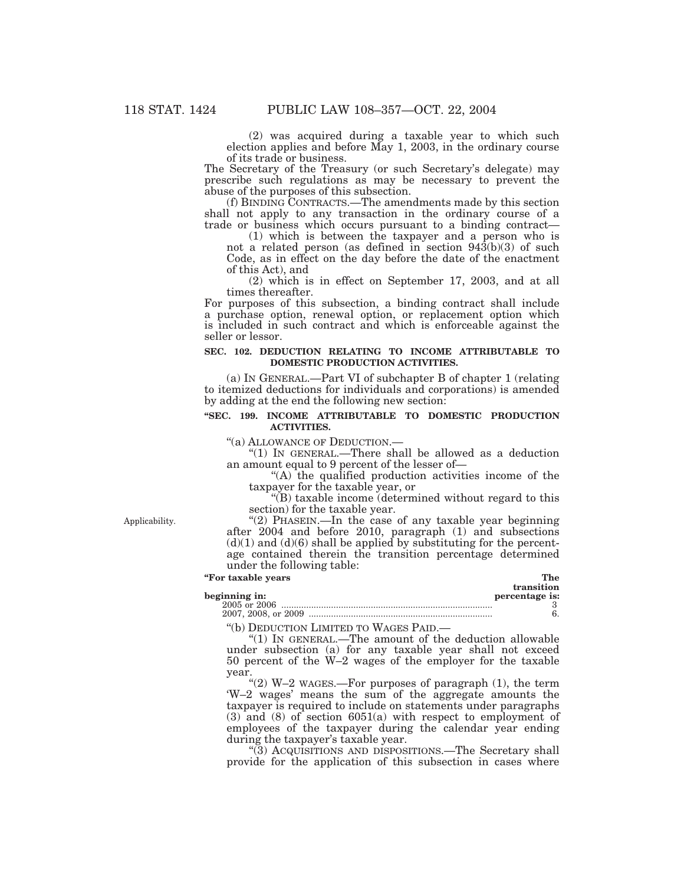(2) was acquired during a taxable year to which such election applies and before May 1, 2003, in the ordinary course of its trade or business.

The Secretary of the Treasury (or such Secretary's delegate) may prescribe such regulations as may be necessary to prevent the abuse of the purposes of this subsection.

(f) BINDING CONTRACTS.—The amendments made by this section shall not apply to any transaction in the ordinary course of a trade or business which occurs pursuant to a binding contract—

(1) which is between the taxpayer and a person who is not a related person (as defined in section 943(b)(3) of such Code, as in effect on the day before the date of the enactment of this Act), and

(2) which is in effect on September 17, 2003, and at all times thereafter.

For purposes of this subsection, a binding contract shall include a purchase option, renewal option, or replacement option which is included in such contract and which is enforceable against the seller or lessor.

### **SEC. 102. DEDUCTION RELATING TO INCOME ATTRIBUTABLE TO DOMESTIC PRODUCTION ACTIVITIES.**

(a) IN GENERAL.—Part VI of subchapter B of chapter 1 (relating to itemized deductions for individuals and corporations) is amended by adding at the end the following new section:

## **''SEC. 199. INCOME ATTRIBUTABLE TO DOMESTIC PRODUCTION ACTIVITIES.**

''(a) ALLOWANCE OF DEDUCTION.—

''(1) IN GENERAL.—There shall be allowed as a deduction an amount equal to 9 percent of the lesser of—

''(A) the qualified production activities income of the taxpayer for the taxable year, or

''(B) taxable income (determined without regard to this section) for the taxable year.

"(2) PHASEIN.—In the case of any taxable year beginning after 2004 and before 2010, paragraph (1) and subsections  $(d)(1)$  and  $(d)(6)$  shall be applied by substituting for the percentage contained therein the transition percentage determined under the following table:

| "For taxable years" | The            |
|---------------------|----------------|
|                     | transition     |
| beginning in:       | percentage is: |
| $2005$ or $2006$ .  |                |
|                     |                |

''(b) DEDUCTION LIMITED TO WAGES PAID.—

"(1) IN GENERAL.—The amount of the deduction allowable under subsection (a) for any taxable year shall not exceed 50 percent of the W–2 wages of the employer for the taxable year.

"(2)  $W-2$  WAGES.—For purposes of paragraph (1), the term 'W–2 wages' means the sum of the aggregate amounts the taxpayer is required to include on statements under paragraphs (3) and (8) of section 6051(a) with respect to employment of employees of the taxpayer during the calendar year ending during the taxpayer's taxable year.

"(3) Acquisitions and dispositions.—The Secretary shall provide for the application of this subsection in cases where

Applicability.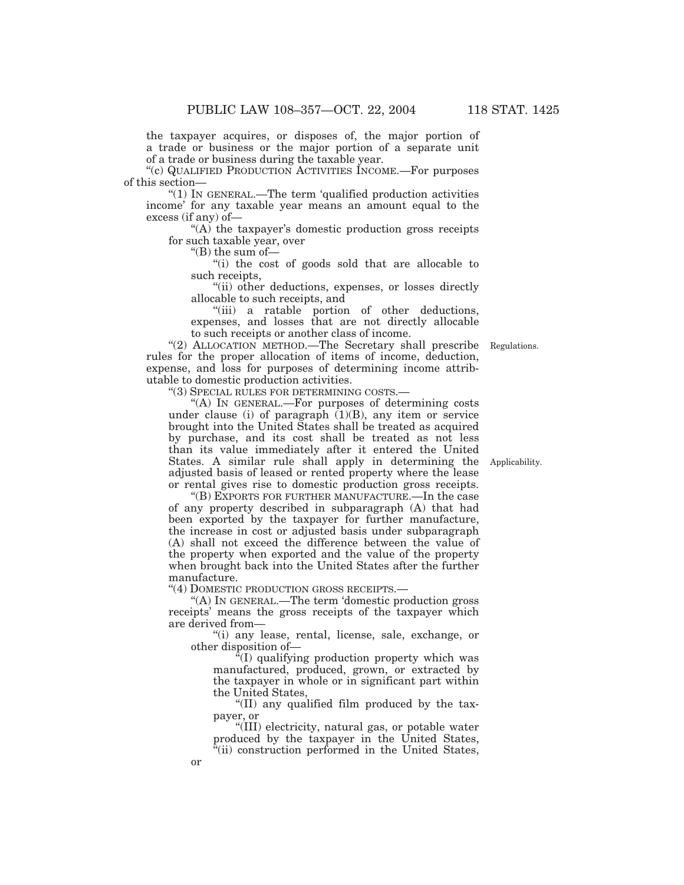the taxpayer acquires, or disposes of, the major portion of a trade or business or the major portion of a separate unit of a trade or business during the taxable year.

''(c) QUALIFIED PRODUCTION ACTIVITIES INCOME.—For purposes of this section—

''(1) IN GENERAL.—The term 'qualified production activities income' for any taxable year means an amount equal to the excess (if any) of—

"(A) the taxpayer's domestic production gross receipts" for such taxable year, over

''(B) the sum of—

"(i) the cost of goods sold that are allocable to such receipts,

"(ii) other deductions, expenses, or losses directly allocable to such receipts, and

''(iii) a ratable portion of other deductions, expenses, and losses that are not directly allocable to such receipts or another class of income.

"(2) ALLOCATION METHOD.—The Secretary shall prescribe rules for the proper allocation of items of income, deduction, expense, and loss for purposes of determining income attributable to domestic production activities.

''(3) SPECIAL RULES FOR DETERMINING COSTS.—

''(A) IN GENERAL.—For purposes of determining costs under clause (i) of paragraph  $(1)(B)$ , any item or service brought into the United States shall be treated as acquired by purchase, and its cost shall be treated as not less than its value immediately after it entered the United States. A similar rule shall apply in determining the adjusted basis of leased or rented property where the lease or rental gives rise to domestic production gross receipts. Applicability.

''(B) EXPORTS FOR FURTHER MANUFACTURE.—In the case of any property described in subparagraph (A) that had been exported by the taxpayer for further manufacture, the increase in cost or adjusted basis under subparagraph (A) shall not exceed the difference between the value of the property when exported and the value of the property when brought back into the United States after the further manufacture.

''(4) DOMESTIC PRODUCTION GROSS RECEIPTS.—

''(A) IN GENERAL.—The term 'domestic production gross receipts' means the gross receipts of the taxpayer which are derived from—

''(i) any lease, rental, license, sale, exchange, or other disposition of—

''(I) qualifying production property which was manufactured, produced, grown, or extracted by the taxpayer in whole or in significant part within the United States,

''(II) any qualified film produced by the taxpayer, or

''(III) electricity, natural gas, or potable water produced by the taxpayer in the United States, "(ii) construction performed in the United States,

Regulations.

or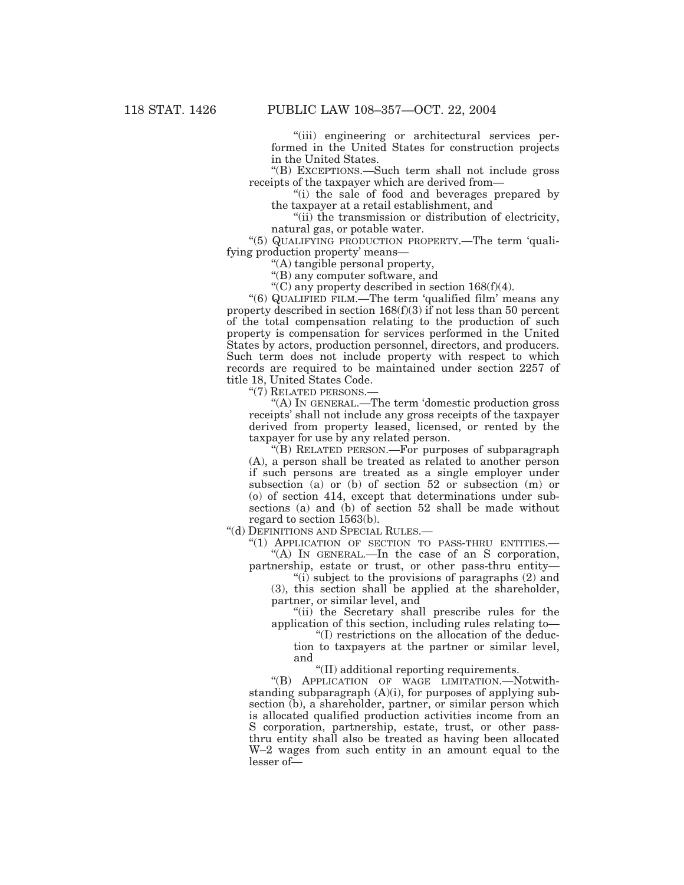''(iii) engineering or architectural services performed in the United States for construction projects in the United States.

''(B) EXCEPTIONS.—Such term shall not include gross receipts of the taxpayer which are derived from—

''(i) the sale of food and beverages prepared by the taxpayer at a retail establishment, and

"(ii) the transmission or distribution of electricity, natural gas, or potable water.

''(5) QUALIFYING PRODUCTION PROPERTY.—The term 'qualifying production property' means—

''(A) tangible personal property,

''(B) any computer software, and

 $C$ ) any property described in section 168 $(f)(4)$ .

''(6) QUALIFIED FILM.—The term 'qualified film' means any property described in section 168(f)(3) if not less than 50 percent of the total compensation relating to the production of such property is compensation for services performed in the United States by actors, production personnel, directors, and producers. Such term does not include property with respect to which records are required to be maintained under section 2257 of title 18, United States Code.

''(7) RELATED PERSONS.—

''(A) IN GENERAL.—The term 'domestic production gross receipts' shall not include any gross receipts of the taxpayer derived from property leased, licensed, or rented by the taxpayer for use by any related person.

''(B) RELATED PERSON.—For purposes of subparagraph (A), a person shall be treated as related to another person if such persons are treated as a single employer under subsection (a) or (b) of section 52 or subsection (m) or (o) of section 414, except that determinations under subsections (a) and (b) of section 52 shall be made without regard to section 1563(b).

''(d) DEFINITIONS AND SPECIAL RULES.—

"(1) APPLICATION OF SECTION TO PASS-THRU ENTITIES.-''(A) IN GENERAL.—In the case of an S corporation,

partnership, estate or trust, or other pass-thru entity— " $(i)$  subject to the provisions of paragraphs  $(2)$  and (3), this section shall be applied at the shareholder,

partner, or similar level, and "(ii) the Secretary shall prescribe rules for the

application of this section, including rules relating to—

''(I) restrictions on the allocation of the deduction to taxpayers at the partner or similar level, and

''(II) additional reporting requirements.

''(B) APPLICATION OF WAGE LIMITATION.—Notwithstanding subparagraph  $(A)(i)$ , for purposes of applying subsection (b), a shareholder, partner, or similar person which is allocated qualified production activities income from an S corporation, partnership, estate, trust, or other passthru entity shall also be treated as having been allocated W–2 wages from such entity in an amount equal to the lesser of—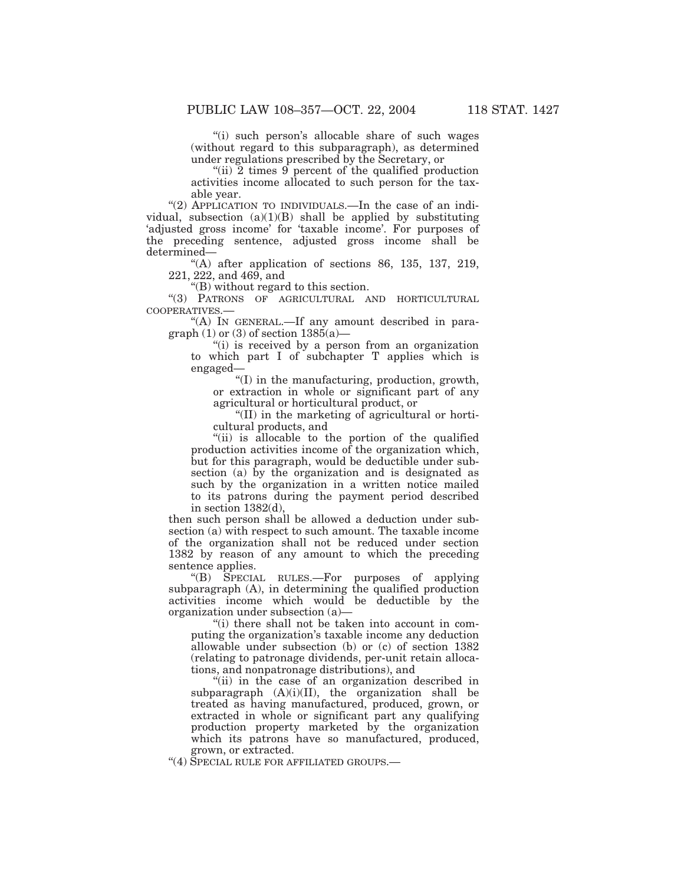"(i) such person's allocable share of such wages (without regard to this subparagraph), as determined under regulations prescribed by the Secretary, or

"(ii)  $\overline{2}$  times  $\overline{9}$  percent of the qualified production activities income allocated to such person for the taxable year.

"(2) APPLICATION TO INDIVIDUALS.—In the case of an individual, subsection  $(a)(1)(B)$  shall be applied by substituting 'adjusted gross income' for 'taxable income'. For purposes of the preceding sentence, adjusted gross income shall be determined—

"(A) after application of sections 86, 135, 137, 219, 221, 222, and 469, and

''(B) without regard to this section.

''(3) PATRONS OF AGRICULTURAL AND HORTICULTURAL COOPERATIVES.—

''(A) IN GENERAL.—If any amount described in paragraph (1) or (3) of section  $1385(a)$ 

"(i) is received by a person from an organization to which part I of subchapter T applies which is engaged—

''(I) in the manufacturing, production, growth, or extraction in whole or significant part of any agricultural or horticultural product, or

''(II) in the marketing of agricultural or horticultural products, and

"(ii) is allocable to the portion of the qualified production activities income of the organization which, but for this paragraph, would be deductible under subsection (a) by the organization and is designated as such by the organization in a written notice mailed to its patrons during the payment period described in section 1382(d),

then such person shall be allowed a deduction under subsection (a) with respect to such amount. The taxable income of the organization shall not be reduced under section 1382 by reason of any amount to which the preceding sentence applies.

''(B) SPECIAL RULES.—For purposes of applying subparagraph (A), in determining the qualified production activities income which would be deductible by the organization under subsection (a)—

''(i) there shall not be taken into account in computing the organization's taxable income any deduction allowable under subsection (b) or (c) of section 1382 (relating to patronage dividends, per-unit retain allocations, and nonpatronage distributions), and

"(ii) in the case of an organization described in subparagraph  $(A)(i)(II)$ , the organization shall be treated as having manufactured, produced, grown, or extracted in whole or significant part any qualifying production property marketed by the organization which its patrons have so manufactured, produced, grown, or extracted.

''(4) SPECIAL RULE FOR AFFILIATED GROUPS.—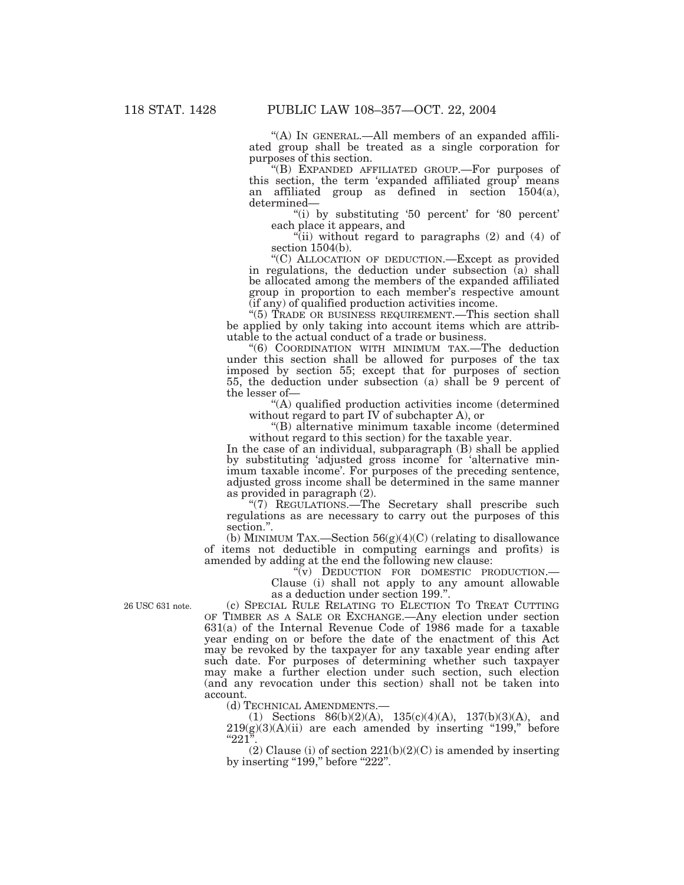''(A) IN GENERAL.—All members of an expanded affiliated group shall be treated as a single corporation for purposes of this section.

''(B) EXPANDED AFFILIATED GROUP.—For purposes of this section, the term 'expanded affiliated group' means an affiliated group as defined in section  $1504(a)$ , determined—

"(i) by substituting '50 percent' for '80 percent' each place it appears, and

 $\sqrt[n]{i}$  without regard to paragraphs (2) and (4) of section 1504(b).

''(C) ALLOCATION OF DEDUCTION.—Except as provided in regulations, the deduction under subsection (a) shall be allocated among the members of the expanded affiliated group in proportion to each member's respective amount (if any) of qualified production activities income.

''(5) TRADE OR BUSINESS REQUIREMENT.—This section shall be applied by only taking into account items which are attributable to the actual conduct of a trade or business.

''(6) COORDINATION WITH MINIMUM TAX.—The deduction under this section shall be allowed for purposes of the tax imposed by section 55; except that for purposes of section 55, the deduction under subsection (a) shall be 9 percent of the lesser of—

''(A) qualified production activities income (determined without regard to part IV of subchapter A), or

''(B) alternative minimum taxable income (determined without regard to this section) for the taxable year.

In the case of an individual, subparagraph (B) shall be applied by substituting 'adjusted gross income' for 'alternative minimum taxable income'. For purposes of the preceding sentence, adjusted gross income shall be determined in the same manner as provided in paragraph (2).

"(7) REGULATIONS.—The Secretary shall prescribe such regulations as are necessary to carry out the purposes of this section.".

(b) MINIMUM TAX.—Section  $56(g)(4)(C)$  (relating to disallowance of items not deductible in computing earnings and profits) is amended by adding at the end the following new clause:

"(v) DEDUCTION FOR DOMESTIC PRODUCTION.-Clause (i) shall not apply to any amount allowable

as a deduction under section 199."

26 USC 631 note.

(c) SPECIAL RULE RELATING TO ELECTION TO TREAT CUTTING OF TIMBER AS A SALE OR EXCHANGE.—Any election under section 631(a) of the Internal Revenue Code of 1986 made for a taxable year ending on or before the date of the enactment of this Act may be revoked by the taxpayer for any taxable year ending after such date. For purposes of determining whether such taxpayer may make a further election under such section, such election (and any revocation under this section) shall not be taken into account.

(d) TECHNICAL AMENDMENTS.—

(1) Sections  $86(b)(2)(A)$ ,  $135(c)(4)(A)$ ,  $137(b)(3)(A)$ , and  $219(g)(3)(A)(ii)$  are each amended by inserting "199," before  $"221"$ 

(2) Clause (i) of section  $221(b)(2)(C)$  is amended by inserting by inserting "199," before "222".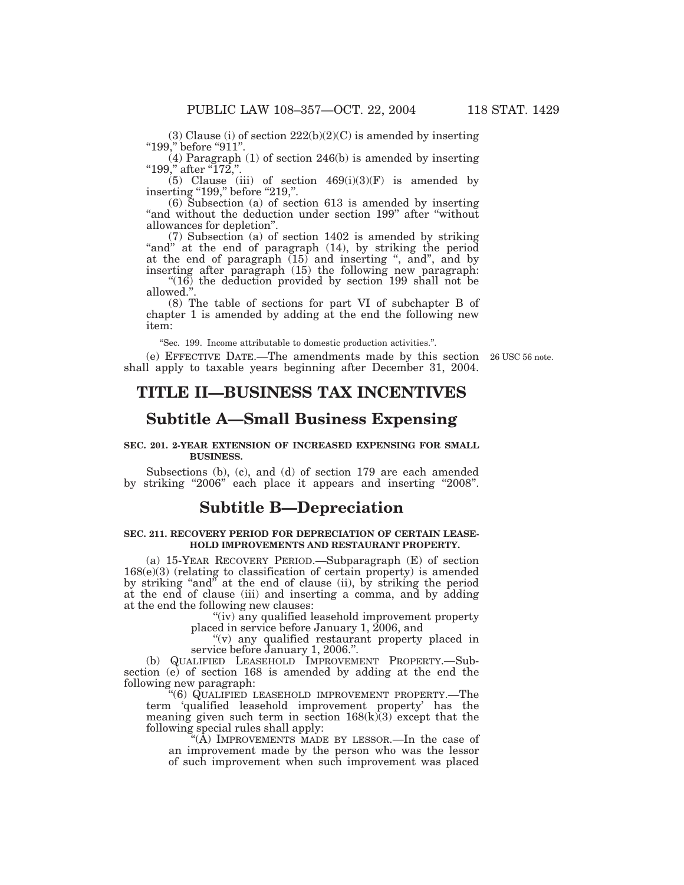(3) Clause (i) of section  $222(b)(2)(C)$  is amended by inserting "199," before " $911"$ 

(4) Paragraph (1) of section 246(b) is amended by inserting "199," after "172,"

(5) Clause (iii) of section  $469(i)(3)(F)$  is amended by inserting "199," before "219,".

(6) Subsection (a) of section 613 is amended by inserting "and without the deduction under section 199" after "without allowances for depletion''.

(7) Subsection (a) of section 1402 is amended by striking "and" at the end of paragraph (14), by striking the period at the end of paragraph  $(15)$  and inserting ", and", and by inserting after paragraph (15) the following new paragraph: "(16) the deduction provided by section 199 shall not be allowed.''.

(8) The table of sections for part VI of subchapter B of chapter 1 is amended by adding at the end the following new item:

''Sec. 199. Income attributable to domestic production activities.''.

(e) EFFECTIVE DATE.—The amendments made by this section 26 USC 56 note. shall apply to taxable years beginning after December 31, 2004.

## **TITLE II—BUSINESS TAX INCENTIVES**

## **Subtitle A—Small Business Expensing**

### **SEC. 201. 2-YEAR EXTENSION OF INCREASED EXPENSING FOR SMALL BUSINESS.**

Subsections (b), (c), and (d) of section 179 are each amended by striking "2006" each place it appears and inserting "2008".

## **Subtitle B—Depreciation**

## **SEC. 211. RECOVERY PERIOD FOR DEPRECIATION OF CERTAIN LEASE-HOLD IMPROVEMENTS AND RESTAURANT PROPERTY.**

(a) 15-YEAR RECOVERY PERIOD.—Subparagraph (E) of section 168(e)(3) (relating to classification of certain property) is amended by striking "and" at the end of clause (ii), by striking the period at the end of clause (iii) and inserting a comma, and by adding at the end the following new clauses:

> ''(iv) any qualified leasehold improvement property placed in service before January 1, 2006, and

> ''(v) any qualified restaurant property placed in service before January 1, 2006.''.

(b) QUALIFIED LEASEHOLD IMPROVEMENT PROPERTY.—Subsection (e) of section 168 is amended by adding at the end the following new paragraph:

''(6) QUALIFIED LEASEHOLD IMPROVEMENT PROPERTY.—The term 'qualified leasehold improvement property' has the meaning given such term in section  $168(k)(3)$  except that the following special rules shall apply:

" $(\hat{A})$  IMPROVEMENTS MADE BY LESSOR.—In the case of an improvement made by the person who was the lessor of such improvement when such improvement was placed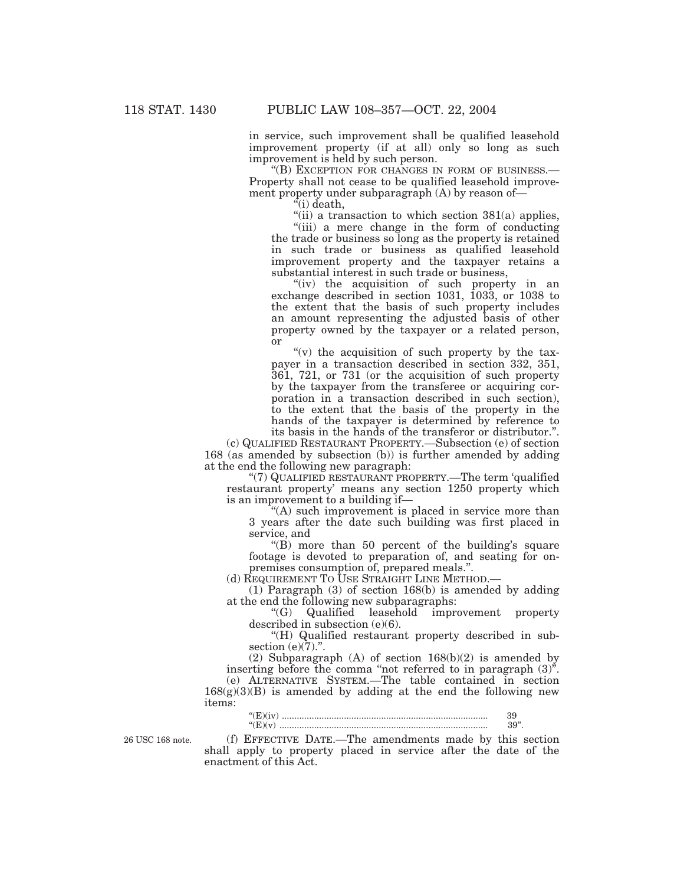in service, such improvement shall be qualified leasehold improvement property (if at all) only so long as such improvement is held by such person.

''(B) EXCEPTION FOR CHANGES IN FORM OF BUSINESS.— Property shall not cease to be qualified leasehold improvement property under subparagraph (A) by reason of—

 $\mathbf{u}$ <sup>*c*</sup>(i) death,

"(ii) a transaction to which section  $381(a)$  applies,

''(iii) a mere change in the form of conducting the trade or business so long as the property is retained in such trade or business as qualified leasehold improvement property and the taxpayer retains a substantial interest in such trade or business,

"(iv) the acquisition of such property in an exchange described in section 1031, 1033, or 1038 to the extent that the basis of such property includes an amount representing the adjusted basis of other property owned by the taxpayer or a related person, or

" $(v)$  the acquisition of such property by the taxpayer in a transaction described in section 332, 351, 361, 721, or 731 (or the acquisition of such property by the taxpayer from the transferee or acquiring corporation in a transaction described in such section), to the extent that the basis of the property in the hands of the taxpayer is determined by reference to its basis in the hands of the transferor or distributor.''.

(c) QUALIFIED RESTAURANT PROPERTY.—Subsection (e) of section 168 (as amended by subsection (b)) is further amended by adding at the end the following new paragraph:

''(7) QUALIFIED RESTAURANT PROPERTY.—The term 'qualified restaurant property' means any section 1250 property which is an improvement to a building if—

''(A) such improvement is placed in service more than 3 years after the date such building was first placed in service, and

''(B) more than 50 percent of the building's square footage is devoted to preparation of, and seating for onpremises consumption of, prepared meals.''.

(d) REQUIREMENT TO USE STRAIGHT LINE METHOD.

(1) Paragraph (3) of section 168(b) is amended by adding at the end the following new subparagraphs:

''(G) Qualified leasehold improvement property described in subsection (e)(6).

''(H) Qualified restaurant property described in subsection  $(e)(7)$ .".

(2) Subparagraph (A) of section  $168(b)(2)$  is amended by inserting before the comma "not referred to in paragraph  $(3)$ ". (e) ALTERNATIVE SYSTEM.—The table contained in section

 $168(g)(3)(B)$  is amended by adding at the end the following new items:

''(E)(iv) ................................................................................... 39 ''(E)(v) .................................................................................... 39''.

26 USC 168 note.

(f) EFFECTIVE DATE.—The amendments made by this section shall apply to property placed in service after the date of the enactment of this Act.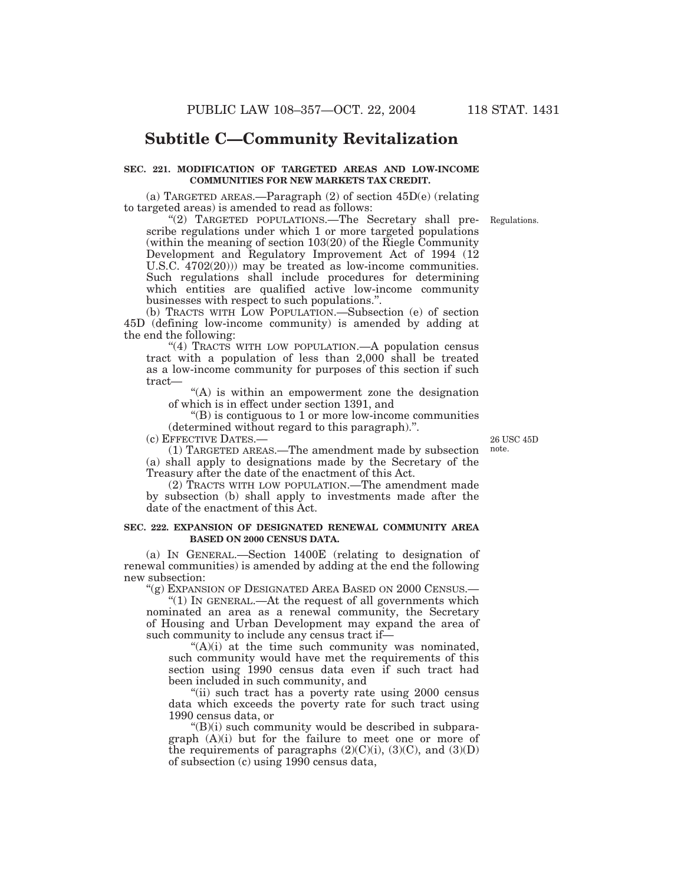## **Subtitle C—Community Revitalization**

### **SEC. 221. MODIFICATION OF TARGETED AREAS AND LOW-INCOME COMMUNITIES FOR NEW MARKETS TAX CREDIT.**

(a) TARGETED AREAS.—Paragraph (2) of section 45D(e) (relating to targeted areas) is amended to read as follows:

Regulations.

"(2) TARGETED POPULATIONS.—The Secretary shall prescribe regulations under which 1 or more targeted populations (within the meaning of section 103(20) of the Riegle Community Development and Regulatory Improvement Act of 1994 (12 U.S.C. 4702(20))) may be treated as low-income communities. Such regulations shall include procedures for determining which entities are qualified active low-income community businesses with respect to such populations.''.

(b) TRACTS WITH LOW POPULATION.—Subsection (e) of section 45D (defining low-income community) is amended by adding at the end the following:

"(4) TRACTS WITH LOW POPULATION.—A population census tract with a population of less than 2,000 shall be treated as a low-income community for purposes of this section if such tract—

 $<sup>4</sup>(A)$  is within an empowerment zone the designation</sup> of which is in effect under section 1391, and

 $\mathrm{``(B)}$  is contiguous to 1 or more low-income communities (determined without regard to this paragraph).''.

(c) EFFECTIVE DATES.—

(1) TARGETED AREAS.—The amendment made by subsection (a) shall apply to designations made by the Secretary of the Treasury after the date of the enactment of this Act.

(2) TRACTS WITH LOW POPULATION.—The amendment made by subsection (b) shall apply to investments made after the date of the enactment of this Act.

### **SEC. 222. EXPANSION OF DESIGNATED RENEWAL COMMUNITY AREA BASED ON 2000 CENSUS DATA.**

(a) IN GENERAL.—Section 1400E (relating to designation of renewal communities) is amended by adding at the end the following new subsection:

''(g) EXPANSION OF DESIGNATED AREA BASED ON 2000 CENSUS.—

" $(1)$  In GENERAL.—At the request of all governments which nominated an area as a renewal community, the Secretary of Housing and Urban Development may expand the area of such community to include any census tract if—

 $<sup>4</sup>(A)(i)$  at the time such community was nominated,</sup> such community would have met the requirements of this section using 1990 census data even if such tract had been included in such community, and

"(ii) such tract has a poverty rate using 2000 census data which exceeds the poverty rate for such tract using 1990 census data, or

 $\mathrm{``(B)(i)}$  such community would be described in subparagraph (A)(i) but for the failure to meet one or more of the requirements of paragraphs  $(2)(C)(i)$ ,  $(3)(C)$ , and  $(3)(D)$ of subsection (c) using 1990 census data,

26 USC 45D note.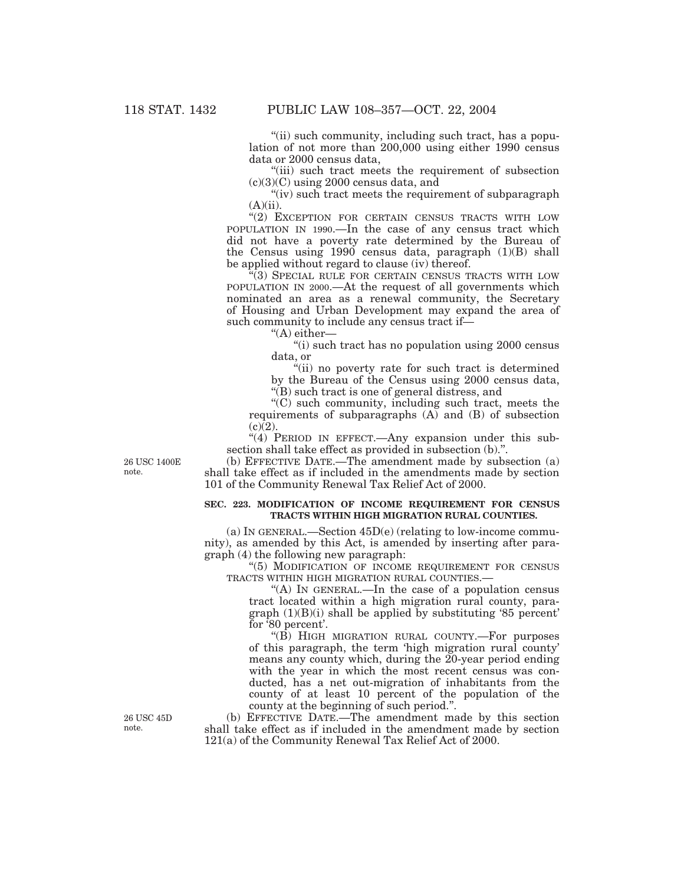"(ii) such community, including such tract, has a population of not more than 200,000 using either 1990 census data or 2000 census data,

''(iii) such tract meets the requirement of subsection  $(c)(3)(C)$  using 2000 census data, and

"(iv) such tract meets the requirement of subparagraph"  $(A)(ii)$ .

"(2) EXCEPTION FOR CERTAIN CENSUS TRACTS WITH LOW POPULATION IN 1990.—In the case of any census tract which did not have a poverty rate determined by the Bureau of the Census using 1990 census data, paragraph (1)(B) shall be applied without regard to clause (iv) thereof.

''(3) SPECIAL RULE FOR CERTAIN CENSUS TRACTS WITH LOW POPULATION IN 2000.—At the request of all governments which nominated an area as a renewal community, the Secretary of Housing and Urban Development may expand the area of such community to include any census tract if—

"(A) either-

''(i) such tract has no population using 2000 census data, or

"(ii) no poverty rate for such tract is determined by the Bureau of the Census using 2000 census data, ''(B) such tract is one of general distress, and

''(C) such community, including such tract, meets the

requirements of subparagraphs  $(A)$  and  $(B)$  of subsection  $(c)(2)$ .

"(4) PERIOD IN EFFECT.—Any expansion under this subsection shall take effect as provided in subsection (b).''.

26 USC 1400E note.

(b) EFFECTIVE DATE.—The amendment made by subsection (a) shall take effect as if included in the amendments made by section 101 of the Community Renewal Tax Relief Act of 2000.

## **SEC. 223. MODIFICATION OF INCOME REQUIREMENT FOR CENSUS TRACTS WITHIN HIGH MIGRATION RURAL COUNTIES.**

(a) IN GENERAL.—Section 45D(e) (relating to low-income community), as amended by this Act, is amended by inserting after paragraph (4) the following new paragraph:

"(5) MODIFICATION OF INCOME REQUIREMENT FOR CENSUS TRACTS WITHIN HIGH MIGRATION RURAL COUNTIES.—

"(A) In GENERAL.—In the case of a population census tract located within a high migration rural county, para $graph (1)(B)(i) shall be applied by substituting '85 percent'$ for '80 percent'.

" $(\vec{B})$  HIGH MIGRATION RURAL COUNTY.—For purposes of this paragraph, the term 'high migration rural county' means any county which, during the 20-year period ending with the year in which the most recent census was conducted, has a net out-migration of inhabitants from the county of at least 10 percent of the population of the county at the beginning of such period.''.

(b) EFFECTIVE DATE.—The amendment made by this section shall take effect as if included in the amendment made by section 121(a) of the Community Renewal Tax Relief Act of 2000.

26 USC 45D note.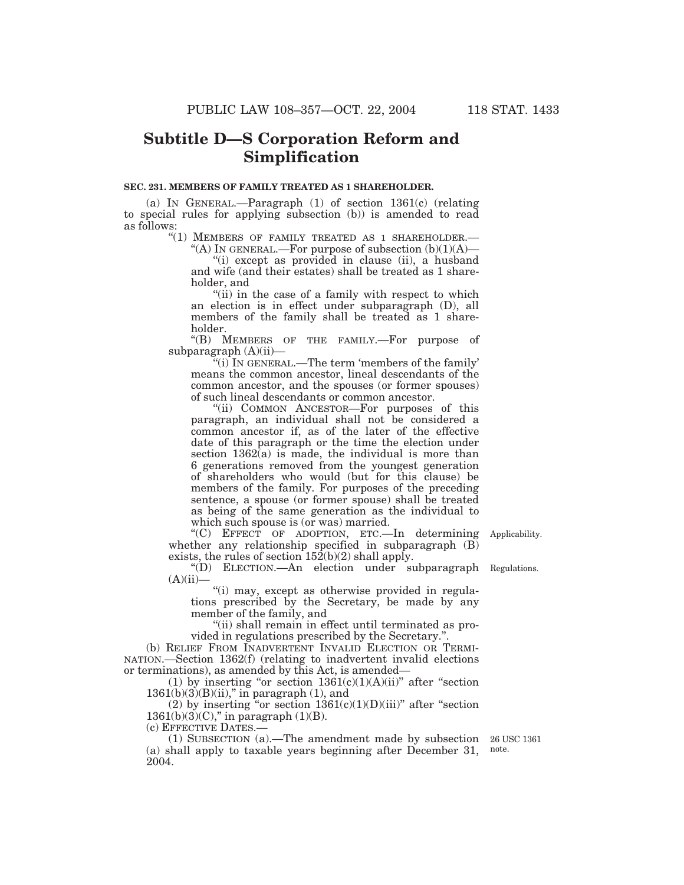## **Subtitle D—S Corporation Reform and Simplification**

## **SEC. 231. MEMBERS OF FAMILY TREATED AS 1 SHAREHOLDER.**

(a) IN GENERAL.—Paragraph (1) of section 1361(c) (relating to special rules for applying subsection (b)) is amended to read as follows:

"(1) MEMBERS OF FAMILY TREATED AS 1 SHAREHOLDER.-

"(A) IN GENERAL.—For purpose of subsection  $(b)(1)(A)$ — "(i) except as provided in clause (ii), a husband and wife (and their estates) shall be treated as 1 shareholder, and

"(ii) in the case of a family with respect to which an election is in effect under subparagraph (D), all members of the family shall be treated as 1 shareholder.

"(B) MEMBERS OF THE FAMILY.—For purpose of subparagraph (A)(ii)—

 $\mathcal{H}^{\text{in}}$  IN GENERAL.—The term 'members of the family' means the common ancestor, lineal descendants of the common ancestor, and the spouses (or former spouses) of such lineal descendants or common ancestor.

"(ii) COMMON ANCESTOR—For purposes of this paragraph, an individual shall not be considered a common ancestor if, as of the later of the effective date of this paragraph or the time the election under section 1362(a) is made, the individual is more than 6 generations removed from the youngest generation of shareholders who would (but for this clause) be members of the family. For purposes of the preceding sentence, a spouse (or former spouse) shall be treated as being of the same generation as the individual to which such spouse is (or was) married.

''(C) EFFECT OF ADOPTION, ETC.—In determining Applicability. whether any relationship specified in subparagraph  $(B)$ exists, the rules of section  $152(b)(2)$  shall apply.

''(D) ELECTION.—An election under subparagraph Regulations.  $(A)(ii)$ —

''(i) may, except as otherwise provided in regulations prescribed by the Secretary, be made by any member of the family, and

"(ii) shall remain in effect until terminated as provided in regulations prescribed by the Secretary.''.

(b) RELIEF FROM INADVERTENT INVALID ELECTION OR TERMI-NATION.—Section 1362(f) (relating to inadvertent invalid elections or terminations), as amended by this Act, is amended—

(1) by inserting "or section  $1361(c)(1)(A)(ii)$ " after "section  $1361(b)(3)(B)(ii)$ ," in paragraph (1), and

(2) by inserting "or section  $1361(c)(1)(D)(iii)$ " after "section  $1361(b)(3)(C)$ ," in paragraph  $(1)(B)$ .

(c) EFFECTIVE DATES.—

(1) SUBSECTION (a).—The amendment made by subsection 26 USC 1361 (a) shall apply to taxable years beginning after December 31, 2004.

note.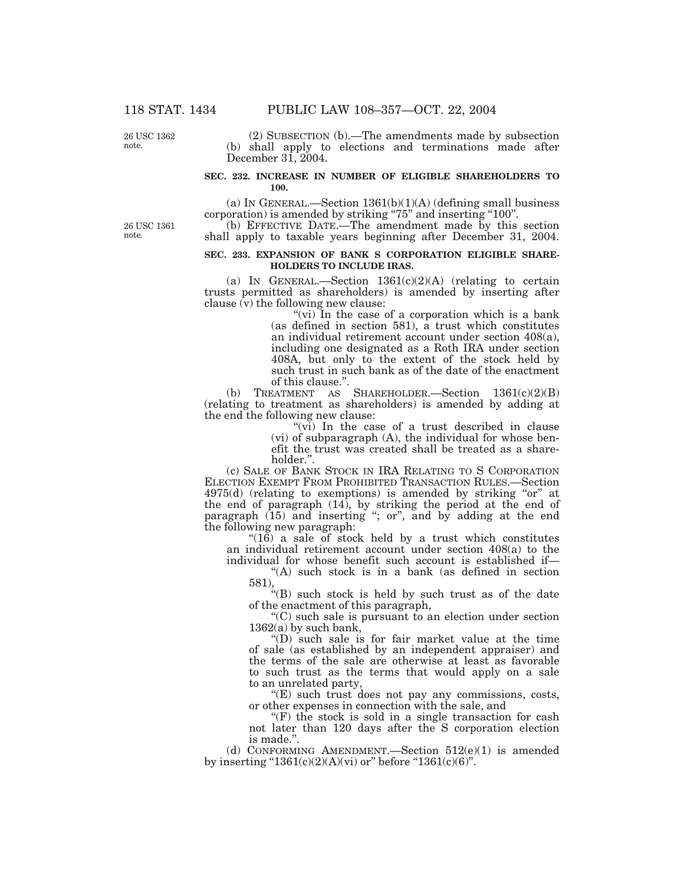26 USC 1362 note.

(2) SUBSECTION (b).—The amendments made by subsection (b) shall apply to elections and terminations made after December 31, 2004.

### **SEC. 232. INCREASE IN NUMBER OF ELIGIBLE SHAREHOLDERS TO 100.**

(a) IN GENERAL.—Section  $1361(b)(1)(A)$  (defining small business corporation) is amended by striking ''75'' and inserting ''100''.

(b) EFFECTIVE DATE.—The amendment made by this section shall apply to taxable years beginning after December 31, 2004.

### **SEC. 233. EXPANSION OF BANK S CORPORATION ELIGIBLE SHARE-HOLDERS TO INCLUDE IRAS.**

(a) IN GENERAL.—Section  $1361(c)(2)(A)$  (relating to certain trusts permitted as shareholders) is amended by inserting after clause (v) the following new clause:

" $(vi)$  In the case of a corporation which is a bank (as defined in section 581), a trust which constitutes an individual retirement account under section 408(a), including one designated as a Roth IRA under section 408A, but only to the extent of the stock held by such trust in such bank as of the date of the enactment of this clause."

(b) TREATMENT AS SHAREHOLDER.—Section 1361(c)(2)(B) (relating to treatment as shareholders) is amended by adding at the end the following new clause:

"(vi) In the case of a trust described in clause (vi) of subparagraph (A), the individual for whose benefit the trust was created shall be treated as a shareholder.''.

(c) SALE OF BANK STOCK IN IRA RELATING TO S CORPORATION ELECTION EXEMPT FROM PROHIBITED TRANSACTION RULES.—Section  $4975(d)$  (relating to exemptions) is amended by striking "or" at the end of paragraph (14), by striking the period at the end of paragraph (15) and inserting "; or", and by adding at the end the following new paragraph:

 $(16)$  a sale of stock held by a trust which constitutes an individual retirement account under section 408(a) to the individual for whose benefit such account is established if—

''(A) such stock is in a bank (as defined in section 581),

''(B) such stock is held by such trust as of the date of the enactment of this paragraph,

''(C) such sale is pursuant to an election under section  $1362(a)$  by such bank,

''(D) such sale is for fair market value at the time of sale (as established by an independent appraiser) and the terms of the sale are otherwise at least as favorable to such trust as the terms that would apply on a sale to an unrelated party,

''(E) such trust does not pay any commissions, costs, or other expenses in connection with the sale, and

 $(F)$  the stock is sold in a single transaction for cash not later than 120 days after the S corporation election is made.''.

(d) CONFORMING AMENDMENT.—Section 512(e)(1) is amended by inserting " $1361(c)(2)(A)(vi)$  or" before " $1361(c)(6)$ ".

26 USC 1361 note.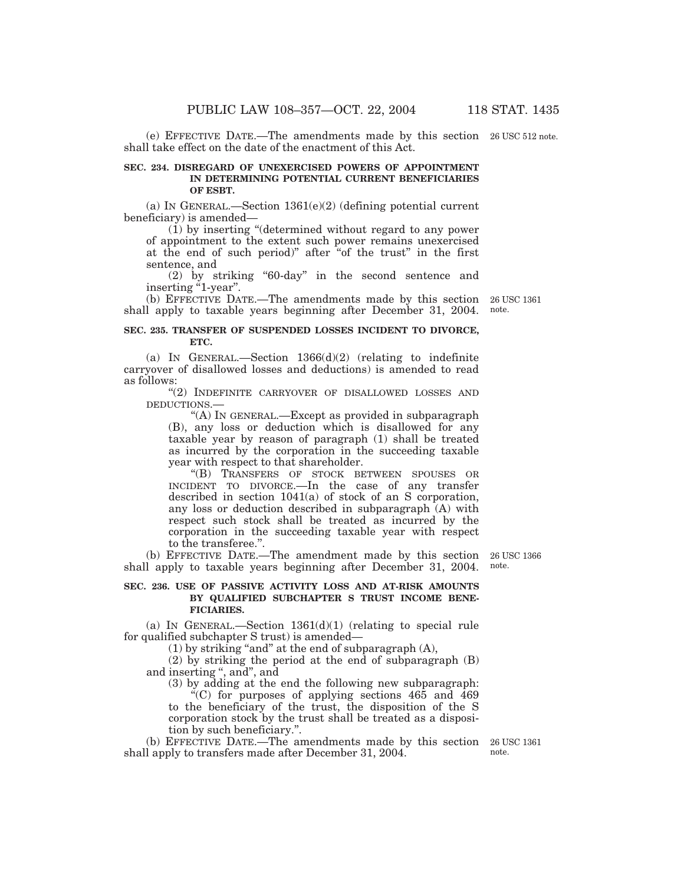(e) EFFECTIVE DATE.—The amendments made by this section 26 USC 512 note. shall take effect on the date of the enactment of this Act.

## **SEC. 234. DISREGARD OF UNEXERCISED POWERS OF APPOINTMENT IN DETERMINING POTENTIAL CURRENT BENEFICIARIES OF ESBT.**

(a) IN GENERAL.—Section 1361(e)(2) (defining potential current beneficiary) is amended—

 $(i)$  by inserting "(determined without regard to any power of appointment to the extent such power remains unexercised at the end of such period)'' after ''of the trust'' in the first sentence, and

(2) by striking ''60-day'' in the second sentence and inserting "1-year".

(b) EFFECTIVE DATE.—The amendments made by this section 26 USC 1361 shall apply to taxable years beginning after December 31, 2004. note.

## **SEC. 235. TRANSFER OF SUSPENDED LOSSES INCIDENT TO DIVORCE, ETC.**

(a) IN GENERAL.—Section  $1366(d)(2)$  (relating to indefinite carryover of disallowed losses and deductions) is amended to read as follows:

''(2) INDEFINITE CARRYOVER OF DISALLOWED LOSSES AND DEDUCTIONS.—

''(A) IN GENERAL.—Except as provided in subparagraph (B), any loss or deduction which is disallowed for any taxable year by reason of paragraph (1) shall be treated as incurred by the corporation in the succeeding taxable year with respect to that shareholder.

''(B) TRANSFERS OF STOCK BETWEEN SPOUSES OR INCIDENT TO DIVORCE.—In the case of any transfer described in section 1041(a) of stock of an S corporation, any loss or deduction described in subparagraph (A) with respect such stock shall be treated as incurred by the corporation in the succeeding taxable year with respect to the transferee.''.

(b) EFFECTIVE DATE.—The amendment made by this section 26 USC 1366 shall apply to taxable years beginning after December 31, 2004.

## **SEC. 236. USE OF PASSIVE ACTIVITY LOSS AND AT-RISK AMOUNTS BY QUALIFIED SUBCHAPTER S TRUST INCOME BENE-FICIARIES.**

(a) IN GENERAL.—Section  $1361(d)(1)$  (relating to special rule for qualified subchapter S trust) is amended—

 $(1)$  by striking "and" at the end of subparagraph  $(A)$ ,

(2) by striking the period at the end of subparagraph (B) and inserting '', and'', and

(3) by adding at the end the following new subparagraph:  $\cdot$ <sup>"</sup>(C) for purposes of applying sections 465 and 469 to the beneficiary of the trust, the disposition of the S corporation stock by the trust shall be treated as a disposition by such beneficiary.''.

(b) EFFECTIVE DATE.—The amendments made by this section 26 USC 1361 shall apply to transfers made after December 31, 2004.

note.

note.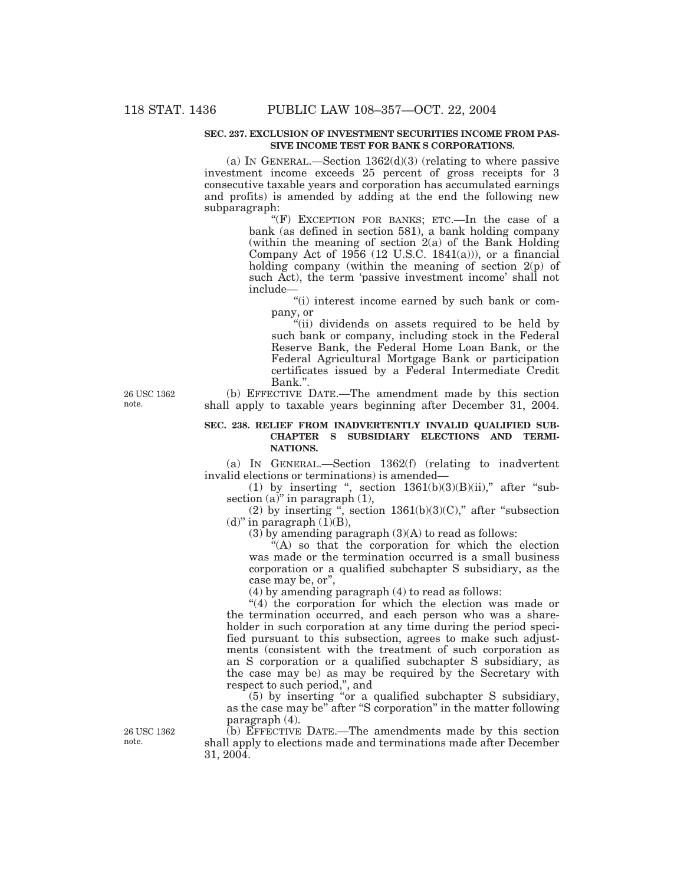### **SEC. 237. EXCLUSION OF INVESTMENT SECURITIES INCOME FROM PAS-SIVE INCOME TEST FOR BANK S CORPORATIONS.**

(a) In GENERAL.—Section  $1362(d)(3)$  (relating to where passive investment income exceeds 25 percent of gross receipts for 3 consecutive taxable years and corporation has accumulated earnings and profits) is amended by adding at the end the following new subparagraph:

"(F) EXCEPTION FOR BANKS; ETC.—In the case of a bank (as defined in section 581), a bank holding company (within the meaning of section 2(a) of the Bank Holding Company Act of  $1956$  (12 U.S.C. 1841(a))), or a financial holding company (within the meaning of section 2(p) of such Act), the term 'passive investment income' shall not include—

''(i) interest income earned by such bank or company, or

"(ii) dividends on assets required to be held by such bank or company, including stock in the Federal Reserve Bank, the Federal Home Loan Bank, or the Federal Agricultural Mortgage Bank or participation certificates issued by a Federal Intermediate Credit Bank."

(b) EFFECTIVE DATE.—The amendment made by this section shall apply to taxable years beginning after December 31, 2004.

## **SEC. 238. RELIEF FROM INADVERTENTLY INVALID QUALIFIED SUB-CHAPTER S SUBSIDIARY ELECTIONS AND TERMI-NATIONS.**

(a) IN GENERAL.—Section 1362(f) (relating to inadvertent invalid elections or terminations) is amended—

(1) by inserting ", section  $1361(b)(3)(B)(ii)$ ," after "subsection (a)" in paragraph (1),

(2) by inserting ", section  $1361(b)(3)(C)$ ," after "subsection  $(d)$ " in paragraph  $(1)(B)$ ,

 $(3)$  by amending paragraph  $(3)(A)$  to read as follows:

''(A) so that the corporation for which the election was made or the termination occurred is a small business corporation or a qualified subchapter S subsidiary, as the case may be, or'',

(4) by amending paragraph (4) to read as follows:

"(4) the corporation for which the election was made or the termination occurred, and each person who was a shareholder in such corporation at any time during the period specified pursuant to this subsection, agrees to make such adjustments (consistent with the treatment of such corporation as an S corporation or a qualified subchapter S subsidiary, as the case may be) as may be required by the Secretary with respect to such period,'', and

(5) by inserting ''or a qualified subchapter S subsidiary, as the case may be" after "S corporation" in the matter following paragraph (4).

(b) EFFECTIVE DATE.—The amendments made by this section shall apply to elections made and terminations made after December 31, 2004.

26 USC 1362 note.

26 USC 1362 note.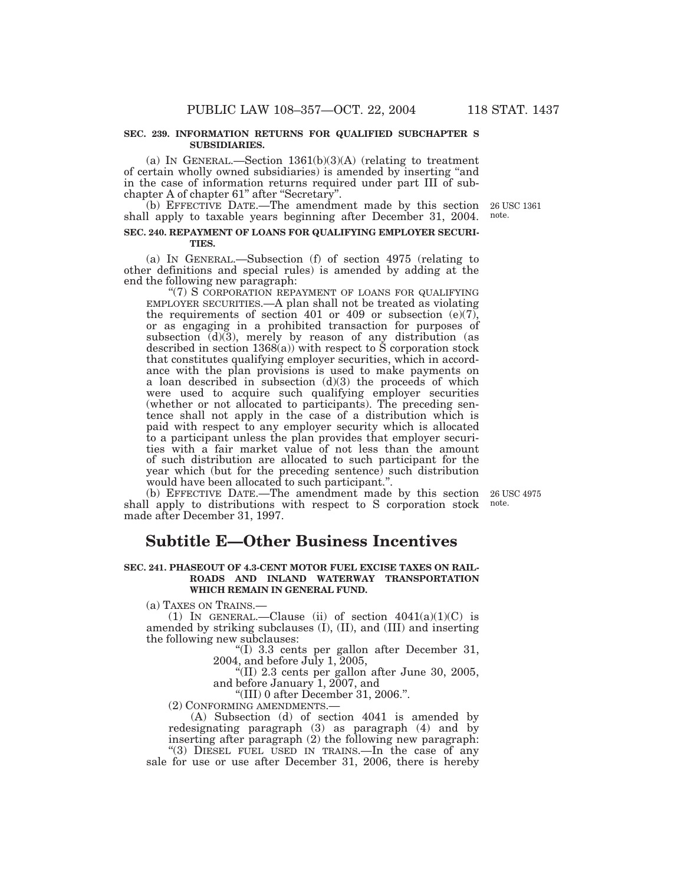### **SEC. 239. INFORMATION RETURNS FOR QUALIFIED SUBCHAPTER S SUBSIDIARIES.**

(a) IN GENERAL.—Section 1361(b)(3)(A) (relating to treatment of certain wholly owned subsidiaries) is amended by inserting ''and in the case of information returns required under part III of subchapter A of chapter 61'' after ''Secretary''.

(b) EFFECTIVE DATE.—The amendment made by this section 26 USC 1361 shall apply to taxable years beginning after December 31, 2004.

## **SEC. 240. REPAYMENT OF LOANS FOR QUALIFYING EMPLOYER SECURI-TIES.**

(a) IN GENERAL.—Subsection (f) of section 4975 (relating to other definitions and special rules) is amended by adding at the end the following new paragraph:

"(7) S CORPORATION REPAYMENT OF LOANS FOR QUALIFYING EMPLOYER SECURITIES.—A plan shall not be treated as violating the requirements of section 401 or 409 or subsection  $(e)(7)$ , or as engaging in a prohibited transaction for purposes of subsection (d)(3), merely by reason of any distribution (as described in section 1368(a)) with respect to S corporation stock that constitutes qualifying employer securities, which in accordance with the plan provisions is used to make payments on a loan described in subsection (d)(3) the proceeds of which were used to acquire such qualifying employer securities (whether or not allocated to participants). The preceding sentence shall not apply in the case of a distribution which is paid with respect to any employer security which is allocated to a participant unless the plan provides that employer securities with a fair market value of not less than the amount of such distribution are allocated to such participant for the year which (but for the preceding sentence) such distribution would have been allocated to such participant.''.

(b) EFFECTIVE DATE.—The amendment made by this section 26 USC 4975 shall apply to distributions with respect to S corporation stock note. made after December 31, 1997.

## **Subtitle E—Other Business Incentives**

### **SEC. 241. PHASEOUT OF 4.3-CENT MOTOR FUEL EXCISE TAXES ON RAIL-ROADS AND INLAND WATERWAY TRANSPORTATION WHICH REMAIN IN GENERAL FUND.**

(a) TAXES ON TRAINS.—

(1) IN GENERAL.—Clause (ii) of section  $4041(a)(1)(C)$  is amended by striking subclauses (I), (II), and (III) and inserting the following new subclauses:

''(I) 3.3 cents per gallon after December 31, 2004, and before July 1, 2005,

"(II) 2.3 cents per gallon after June 30, 2005, and before January 1, 2007, and

''(III) 0 after December 31, 2006.''.

(2) CONFORMING AMENDMENTS.—

(A) Subsection (d) of section 4041 is amended by redesignating paragraph (3) as paragraph (4) and by inserting after paragraph (2) the following new paragraph: "(3) DIESEL FUEL USED IN TRAINS.—In the case of any

sale for use or use after December 31, 2006, there is hereby

note.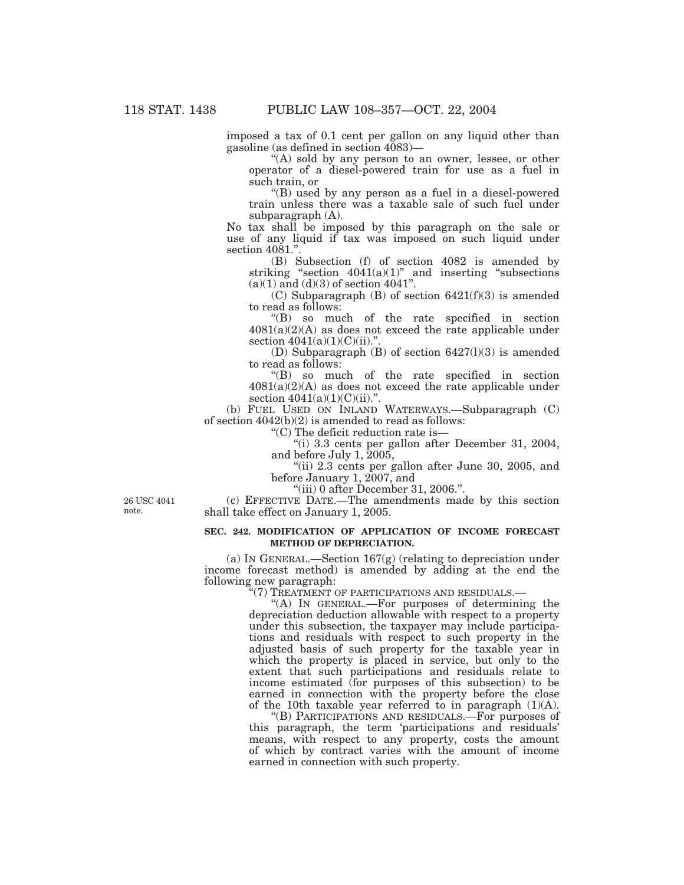imposed a tax of 0.1 cent per gallon on any liquid other than gasoline (as defined in section 4083)—

"(A) sold by any person to an owner, lessee, or other operator of a diesel-powered train for use as a fuel in such train, or

''(B) used by any person as a fuel in a diesel-powered train unless there was a taxable sale of such fuel under subparagraph (A).

No tax shall be imposed by this paragraph on the sale or use of any liquid if tax was imposed on such liquid under section 4081."

(B) Subsection (f) of section 4082 is amended by striking "section  $4041(a)(1)$ " and inserting "subsections"  $(a)(1)$  and  $(d)(3)$  of section 4041".

 $(C)$  Subparagraph  $(B)$  of section  $6421(f)(3)$  is amended to read as follows:

''(B) so much of the rate specified in section  $4081(a)(2)(A)$  as does not exceed the rate applicable under section  $4041(a)(1)(C)(ii)$ ."

(D) Subparagraph (B) of section 6427(l)(3) is amended to read as follows:

''(B) so much of the rate specified in section  $4081(a)(2)(A)$  as does not exceed the rate applicable under section  $4041(a)(1)(C)(ii)$ .".

(b) FUEL USED ON INLAND WATERWAYS.—Subparagraph (C) of section  $4042(b)(2)$  is amended to read as follows:

''(C) The deficit reduction rate is—

''(i) 3.3 cents per gallon after December 31, 2004, and before July 1, 2005,

"(ii) 2.3 cents per gallon after June 30, 2005, and before January 1, 2007, and

"(iii) 0 after December 31, 2006.".

shall take effect on January 1, 2005.

26 USC 4041 note.

### **SEC. 242. MODIFICATION OF APPLICATION OF INCOME FORECAST METHOD OF DEPRECIATION.**

(c) EFFECTIVE DATE.—The amendments made by this section

(a) IN GENERAL.—Section  $167(g)$  (relating to depreciation under income forecast method) is amended by adding at the end the following new paragraph:

''(7) TREATMENT OF PARTICIPATIONS AND RESIDUALS.—

''(A) IN GENERAL.—For purposes of determining the depreciation deduction allowable with respect to a property under this subsection, the taxpayer may include participations and residuals with respect to such property in the adjusted basis of such property for the taxable year in which the property is placed in service, but only to the extent that such participations and residuals relate to income estimated (for purposes of this subsection) to be earned in connection with the property before the close of the 10th taxable year referred to in paragraph  $(1)(A)$ .

''(B) PARTICIPATIONS AND RESIDUALS.—For purposes of this paragraph, the term 'participations and residuals' means, with respect to any property, costs the amount of which by contract varies with the amount of income earned in connection with such property.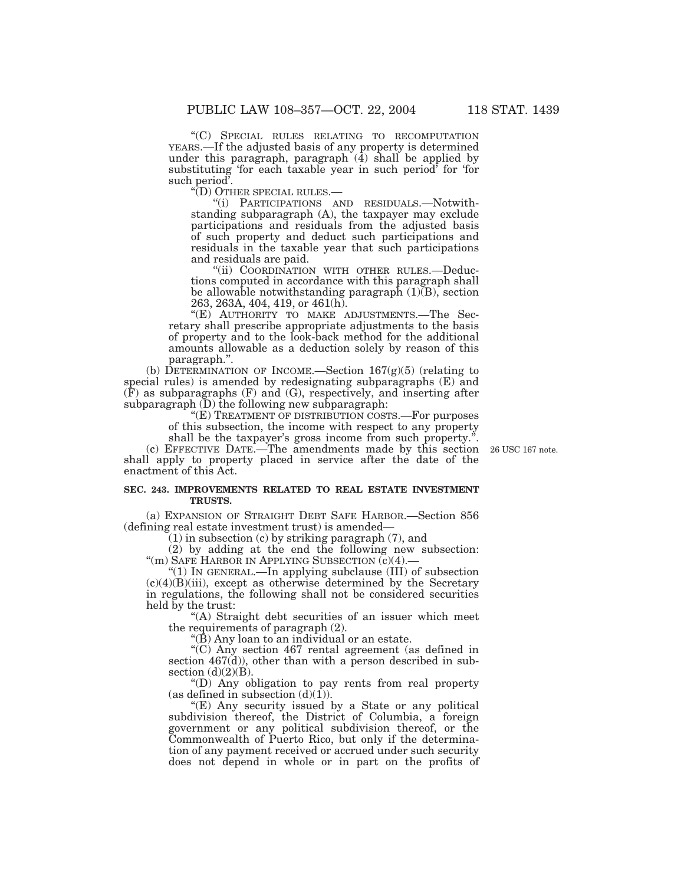''(C) SPECIAL RULES RELATING TO RECOMPUTATION YEARS.—If the adjusted basis of any property is determined under this paragraph, paragraph (4) shall be applied by substituting 'for each taxable year in such period' for 'for such period'.

''(D) OTHER SPECIAL RULES.—

''(i) PARTICIPATIONS AND RESIDUALS.—Notwithstanding subparagraph (A), the taxpayer may exclude participations and residuals from the adjusted basis of such property and deduct such participations and residuals in the taxable year that such participations and residuals are paid.

"(ii) COORDINATION WITH OTHER RULES. - Deductions computed in accordance with this paragraph shall be allowable notwithstanding paragraph  $(1)(B)$ , section 263, 263A, 404, 419, or 461(h).

"(E) AUTHORITY TO MAKE ADJUSTMENTS.-The Secretary shall prescribe appropriate adjustments to the basis of property and to the look-back method for the additional amounts allowable as a deduction solely by reason of this paragraph.''.

(b) DETERMINATION OF INCOME.—Section  $167(g)(5)$  (relating to special rules) is amended by redesignating subparagraphs (E) and (F) as subparagraphs (F) and (G), respectively, and inserting after subparagraph  $(D)$  the following new subparagraph:

> " $(E)$  Treatment of distribution costs.—For purposes of this subsection, the income with respect to any property shall be the taxpayer's gross income from such property.''.

26 USC 167 note.

(c) EFFECTIVE DATE.—The amendments made by this section shall apply to property placed in service after the date of the enactment of this Act.

### **SEC. 243. IMPROVEMENTS RELATED TO REAL ESTATE INVESTMENT TRUSTS.**

(a) EXPANSION OF STRAIGHT DEBT SAFE HARBOR.—Section 856 (defining real estate investment trust) is amended—

(1) in subsection (c) by striking paragraph (7), and

(2) by adding at the end the following new subsection:  $\mathcal{C}(m)$  SAFE HARBOR IN APPLYING SUBSECTION  $\overline{(c)}(4)$ .

''(1) IN GENERAL.—In applying subclause (III) of subsection  $(c)(4)(B)(iii)$ , except as otherwise determined by the Secretary in regulations, the following shall not be considered securities held by the trust:

''(A) Straight debt securities of an issuer which meet the requirements of paragraph (2).

''(B) Any loan to an individual or an estate.

''(C) Any section 467 rental agreement (as defined in section  $467(d)$ , other than with a person described in subsection  $(d)(2)(B)$ .

''(D) Any obligation to pay rents from real property (as defined in subsection  $(d)(\overline{1})$ ).

"(E) Any security issued by a State or any political subdivision thereof, the District of Columbia, a foreign government or any political subdivision thereof, or the Commonwealth of Puerto Rico, but only if the determination of any payment received or accrued under such security does not depend in whole or in part on the profits of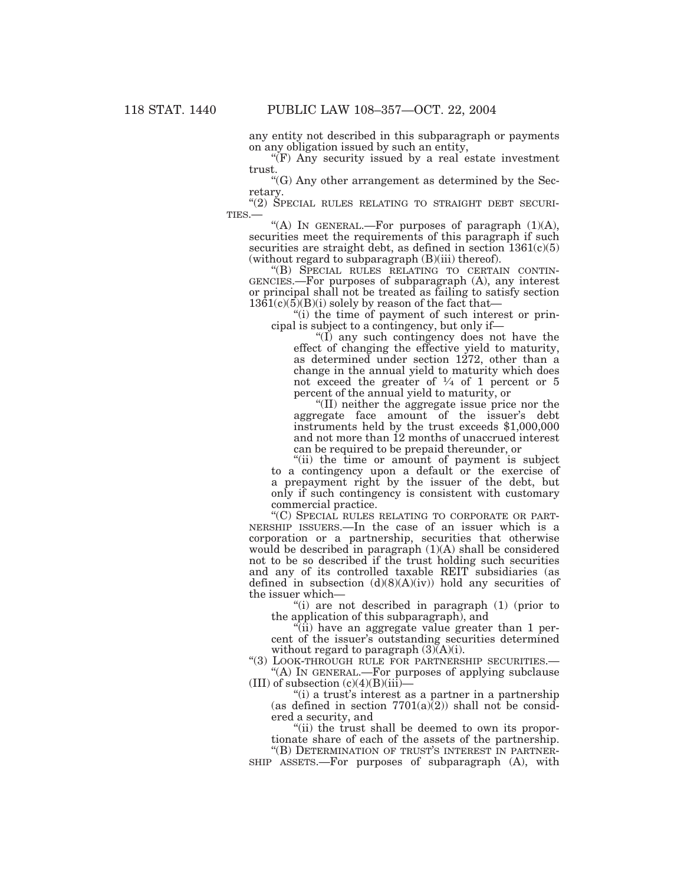any entity not described in this subparagraph or payments on any obligation issued by such an entity,

 $\sqrt{\text{F}}$ ) Any security issued by a real estate investment trust.

''(G) Any other arrangement as determined by the Secretary.

"(2) SPECIAL RULES RELATING TO STRAIGHT DEBT SECURI-TIES.—

"(A) IN GENERAL.—For purposes of paragraph  $(1)(A)$ , securities meet the requirements of this paragraph if such securities are straight debt, as defined in section  $1361(c)(5)$ (without regard to subparagraph (B)(iii) thereof).

''(B) SPECIAL RULES RELATING TO CERTAIN CONTIN-GENCIES.—For purposes of subparagraph (A), any interest or principal shall not be treated as failing to satisfy section  $1361(c)(5)(B)(i)$  solely by reason of the fact that—

''(i) the time of payment of such interest or principal is subject to a contingency, but only if—

''(I) any such contingency does not have the effect of changing the effective yield to maturity, as determined under section 1272, other than a change in the annual yield to maturity which does not exceed the greater of  $\frac{1}{4}$  of 1 percent or 5 percent of the annual yield to maturity, or

''(II) neither the aggregate issue price nor the aggregate face amount of the issuer's debt instruments held by the trust exceeds \$1,000,000 and not more than 12 months of unaccrued interest can be required to be prepaid thereunder, or

"(ii) the time or amount of payment is subject to a contingency upon a default or the exercise of a prepayment right by the issuer of the debt, but only if such contingency is consistent with customary commercial practice.<br>"(C) SPECIAL RULES RELATING TO CORPORATE OR PART-

NERSHIP ISSUERS.—In the case of an issuer which is a corporation or a partnership, securities that otherwise would be described in paragraph (1)(A) shall be considered not to be so described if the trust holding such securities and any of its controlled taxable REIT subsidiaries (as defined in subsection  $(d)(8)(A)(iv)$  hold any securities of the issuer which—

"(i) are not described in paragraph (1) (prior to the application of this subparagraph), and

''(ii) have an aggregate value greater than 1 percent of the issuer's outstanding securities determined without regard to paragraph  $(3)(A)(i)$ .

"(3) LOOK-THROUGH RULE FOR PARTNERSHIP SECURITIES.-''(A) IN GENERAL.—For purposes of applying subclause

(III) of subsection  $(c)(4)(B)(iii)$ "(i) a trust's interest as a partner in a partnership (as defined in section  $7701(a)(2)$ ) shall not be considered a security, and

''(ii) the trust shall be deemed to own its proportionate share of each of the assets of the partnership.

"(B) DETERMINATION OF TRUST'S INTEREST IN PARTNER-SHIP ASSETS.—For purposes of subparagraph (A), with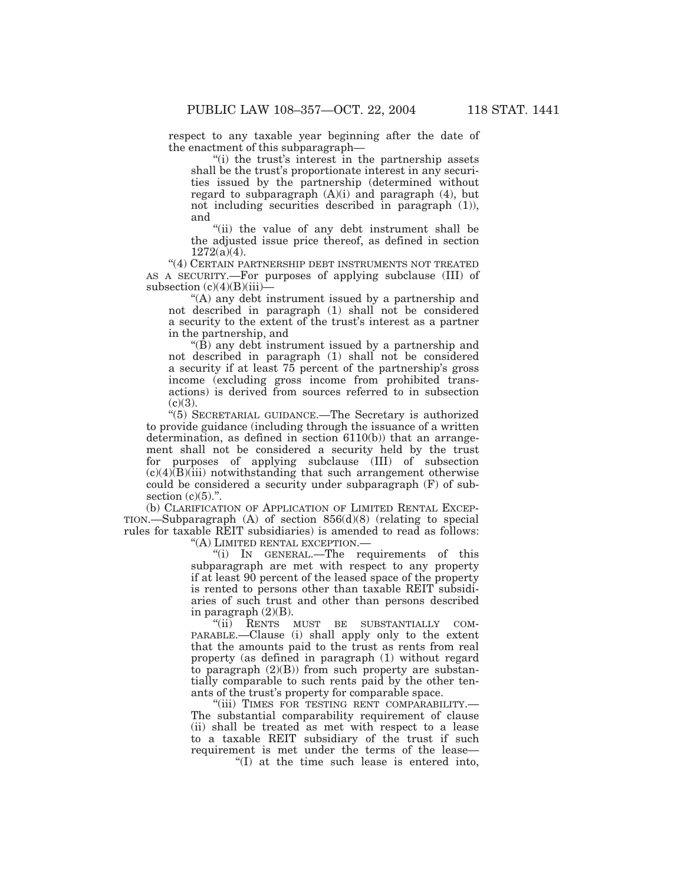respect to any taxable year beginning after the date of the enactment of this subparagraph—

"(i) the trust's interest in the partnership assets shall be the trust's proportionate interest in any securities issued by the partnership (determined without regard to subparagraph  $(A)(i)$  and paragraph  $(4)$ , but not including securities described in paragraph (1)), and

"(ii) the value of any debt instrument shall be the adjusted issue price thereof, as defined in section  $1272(a)(4)$ .

''(4) CERTAIN PARTNERSHIP DEBT INSTRUMENTS NOT TREATED AS A SECURITY.—For purposes of applying subclause (III) of subsection  $(c)(4)(B)(iii)$ —

''(A) any debt instrument issued by a partnership and not described in paragraph (1) shall not be considered a security to the extent of the trust's interest as a partner in the partnership, and

 $\angle$ (B) any debt instrument issued by a partnership and not described in paragraph (1) shall not be considered a security if at least 75 percent of the partnership's gross income (excluding gross income from prohibited transactions) is derived from sources referred to in subsection  $(c)(3)$ .

''(5) SECRETARIAL GUIDANCE.—The Secretary is authorized to provide guidance (including through the issuance of a written determination, as defined in section 6110(b)) that an arrangement shall not be considered a security held by the trust for purposes of applying subclause (III) of subsection  $(c)(4)\overline{(B)}$ (iii) notwithstanding that such arrangement otherwise could be considered a security under subparagraph (F) of subsection  $(c)(5)$ .".

(b) CLARIFICATION OF APPLICATION OF LIMITED RENTAL EXCEP-TION.—Subparagraph (A) of section 856(d)(8) (relating to special rules for taxable REIT subsidiaries) is amended to read as follows: ''(A) LIMITED RENTAL EXCEPTION.—

"(i) In GENERAL.—The requirements of this subparagraph are met with respect to any property if at least 90 percent of the leased space of the property is rented to persons other than taxable REIT subsidiaries of such trust and other than persons described in paragraph (2)(B).

"(ii) RENTS MUST BE SUBSTANTIALLY COM-PARABLE.—Clause (i) shall apply only to the extent that the amounts paid to the trust as rents from real property (as defined in paragraph (1) without regard to paragraph  $(2)(B)$ ) from such property are substantially comparable to such rents paid by the other tenants of the trust's property for comparable space.

"(iii) TIMES FOR TESTING RENT COMPARABILITY.— The substantial comparability requirement of clause (ii) shall be treated as met with respect to a lease to a taxable REIT subsidiary of the trust if such requirement is met under the terms of the lease—

''(I) at the time such lease is entered into,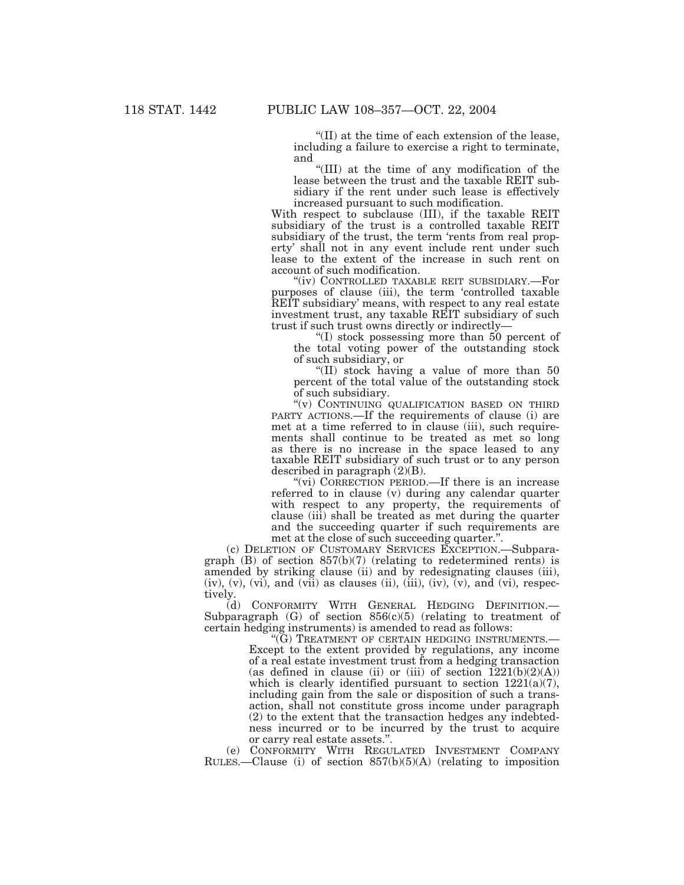''(II) at the time of each extension of the lease, including a failure to exercise a right to terminate, and

''(III) at the time of any modification of the lease between the trust and the taxable REIT subsidiary if the rent under such lease is effectively increased pursuant to such modification.

With respect to subclause (III), if the taxable REIT subsidiary of the trust is a controlled taxable REIT subsidiary of the trust, the term 'rents from real property' shall not in any event include rent under such lease to the extent of the increase in such rent on account of such modification.

''(iv) CONTROLLED TAXABLE REIT SUBSIDIARY.—For purposes of clause (iii), the term 'controlled taxable REIT subsidiary' means, with respect to any real estate investment trust, any taxable REIT subsidiary of such trust if such trust owns directly or indirectly—

''(I) stock possessing more than 50 percent of the total voting power of the outstanding stock of such subsidiary, or

''(II) stock having a value of more than 50 percent of the total value of the outstanding stock of such subsidiary.

''(v) CONTINUING QUALIFICATION BASED ON THIRD PARTY ACTIONS.—If the requirements of clause (i) are met at a time referred to in clause (iii), such requirements shall continue to be treated as met so long as there is no increase in the space leased to any taxable REIT subsidiary of such trust or to any person described in paragraph (2)(B).

"(vi) CORRECTION PERIOD.—If there is an increase referred to in clause (v) during any calendar quarter with respect to any property, the requirements of clause (iii) shall be treated as met during the quarter and the succeeding quarter if such requirements are met at the close of such succeeding quarter.''.

(c) DELETION OF CUSTOMARY SERVICES EXCEPTION.—Subparagraph  $(B)$  of section  $857(b)(7)$  (relating to redetermined rents) is amended by striking clause (ii) and by redesignating clauses (iii),  $(iv)$ ,  $(v)$ ,  $(vi)$ , and  $(vii)$  as clauses  $(ii)$ ,  $(iii)$ ,  $(iv)$ ,  $(v)$ , and  $(vi)$ , respectively.

(d) CONFORMITY WITH GENERAL HEDGING DEFINITION.— Subparagraph  $(G)$  of section  $856(c)(5)$  (relating to treatment of certain hedging instruments) is amended to read as follows:

"(G) TREATMENT OF CERTAIN HEDGING INSTRUMENTS.— Except to the extent provided by regulations, any income of a real estate investment trust from a hedging transaction (as defined in clause (ii) or (iii) of section  $1221(b)(2)(A)$ ) which is clearly identified pursuant to section 1221(a)(7), including gain from the sale or disposition of such a transaction, shall not constitute gross income under paragraph (2) to the extent that the transaction hedges any indebtedness incurred or to be incurred by the trust to acquire or carry real estate assets.''.

(e) CONFORMITY WITH REGULATED INVESTMENT COMPANY RULES.—Clause (i) of section  $857(b)(5)(A)$  (relating to imposition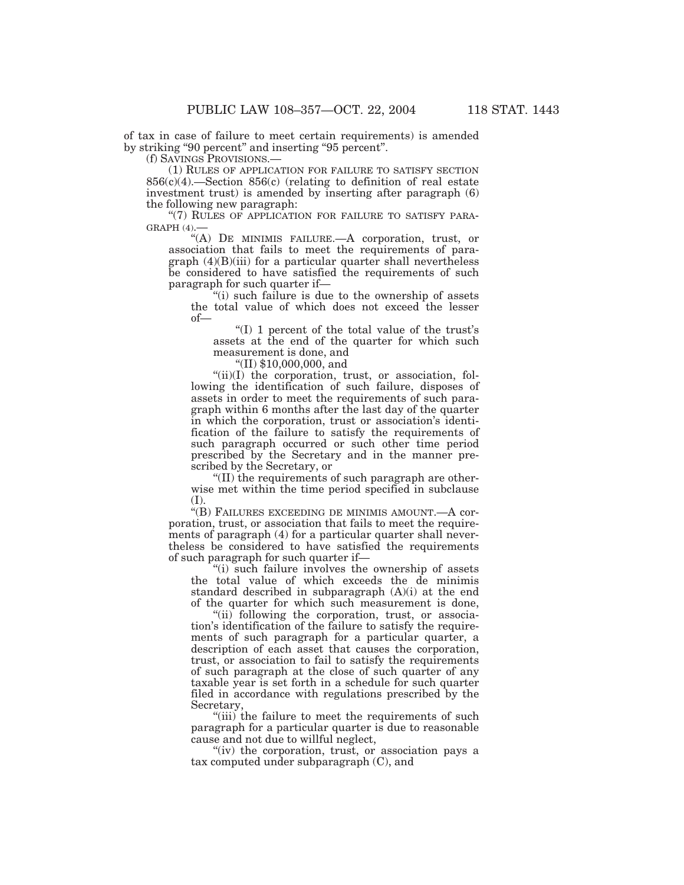of tax in case of failure to meet certain requirements) is amended by striking "90 percent" and inserting "95 percent".

(f) SAVINGS PROVISIONS.—

(1) RULES OF APPLICATION FOR FAILURE TO SATISFY SECTION  $856(c)(4)$ .—Section  $856(c)$  (relating to definition of real estate investment trust) is amended by inserting after paragraph (6) the following new paragraph:

"(7) RULES OF APPLICATION FOR FAILURE TO SATISFY PARA-GRAPH $(4)$ .

''(A) DE MINIMIS FAILURE.—A corporation, trust, or association that fails to meet the requirements of paragraph  $(4)(B)(iii)$  for a particular quarter shall nevertheless be considered to have satisfied the requirements of such paragraph for such quarter if—

"(i) such failure is due to the ownership of assets" the total value of which does not exceed the lesser of—

''(I) 1 percent of the total value of the trust's assets at the end of the quarter for which such measurement is done, and

''(II) \$10,000,000, and

"(ii)(I) the corporation, trust, or association, following the identification of such failure, disposes of assets in order to meet the requirements of such paragraph within 6 months after the last day of the quarter in which the corporation, trust or association's identification of the failure to satisfy the requirements of such paragraph occurred or such other time period prescribed by the Secretary and in the manner prescribed by the Secretary, or

''(II) the requirements of such paragraph are otherwise met within the time period specified in subclause (I).

''(B) FAILURES EXCEEDING DE MINIMIS AMOUNT.—A corporation, trust, or association that fails to meet the requirements of paragraph (4) for a particular quarter shall nevertheless be considered to have satisfied the requirements of such paragraph for such quarter if—

''(i) such failure involves the ownership of assets the total value of which exceeds the de minimis standard described in subparagraph (A)(i) at the end of the quarter for which such measurement is done,

"(ii) following the corporation, trust, or association's identification of the failure to satisfy the requirements of such paragraph for a particular quarter, a description of each asset that causes the corporation, trust, or association to fail to satisfy the requirements of such paragraph at the close of such quarter of any taxable year is set forth in a schedule for such quarter filed in accordance with regulations prescribed by the Secretary,

"(iii) the failure to meet the requirements of such paragraph for a particular quarter is due to reasonable cause and not due to willful neglect,

"(iv) the corporation, trust, or association pays a tax computed under subparagraph (C), and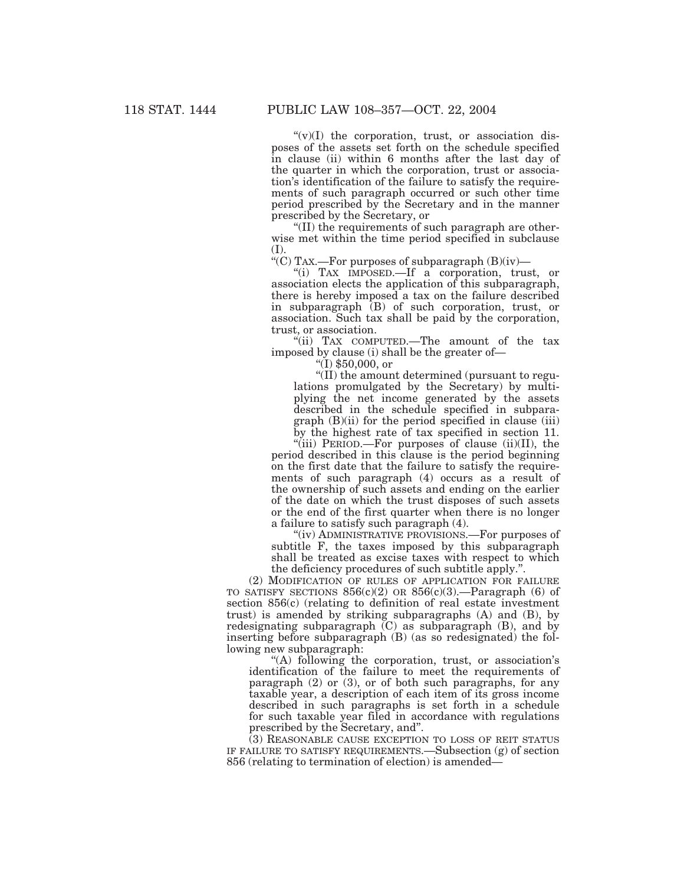" $(v)(I)$  the corporation, trust, or association disposes of the assets set forth on the schedule specified in clause (ii) within 6 months after the last day of the quarter in which the corporation, trust or association's identification of the failure to satisfy the requirements of such paragraph occurred or such other time period prescribed by the Secretary and in the manner prescribed by the Secretary, or

''(II) the requirements of such paragraph are otherwise met within the time period specified in subclause (I).

"(C) TAX.—For purposes of subparagraph  $(B)(iv)$ —

''(i) TAX IMPOSED.—If a corporation, trust, or association elects the application of this subparagraph, there is hereby imposed a tax on the failure described in subparagraph (B) of such corporation, trust, or association. Such tax shall be paid by the corporation, trust, or association.

 $\frac{d}{dt}$  TAX COMPUTED. The amount of the tax imposed by clause (i) shall be the greater of—

"(I)  $$50,000$ , or

''(II) the amount determined (pursuant to regulations promulgated by the Secretary) by multiplying the net income generated by the assets described in the schedule specified in subparagraph (B)(ii) for the period specified in clause (iii) by the highest rate of tax specified in section 11.

"(iii) PERIOD.—For purposes of clause  $(ii)(II)$ , the period described in this clause is the period beginning on the first date that the failure to satisfy the requirements of such paragraph (4) occurs as a result of the ownership of such assets and ending on the earlier of the date on which the trust disposes of such assets or the end of the first quarter when there is no longer a failure to satisfy such paragraph (4).

"(iv) ADMINISTRATIVE PROVISIONS.—For purposes of subtitle F, the taxes imposed by this subparagraph shall be treated as excise taxes with respect to which the deficiency procedures of such subtitle apply.''.

(2) MODIFICATION OF RULES OF APPLICATION FOR FAILURE TO SATISFY SECTIONS  $856(c)(2)$  OR  $856(c)(3)$ . Paragraph (6) of section 856(c) (relating to definition of real estate investment trust) is amended by striking subparagraphs (A) and (B), by redesignating subparagraph (C) as subparagraph (B), and by inserting before subparagraph (B) (as so redesignated) the following new subparagraph:

''(A) following the corporation, trust, or association's identification of the failure to meet the requirements of paragraph (2) or (3), or of both such paragraphs, for any taxable year, a description of each item of its gross income described in such paragraphs is set forth in a schedule for such taxable year filed in accordance with regulations prescribed by the Secretary, and''.

(3) REASONABLE CAUSE EXCEPTION TO LOSS OF REIT STATUS IF FAILURE TO SATISFY REQUIREMENTS.—Subsection (g) of section 856 (relating to termination of election) is amended—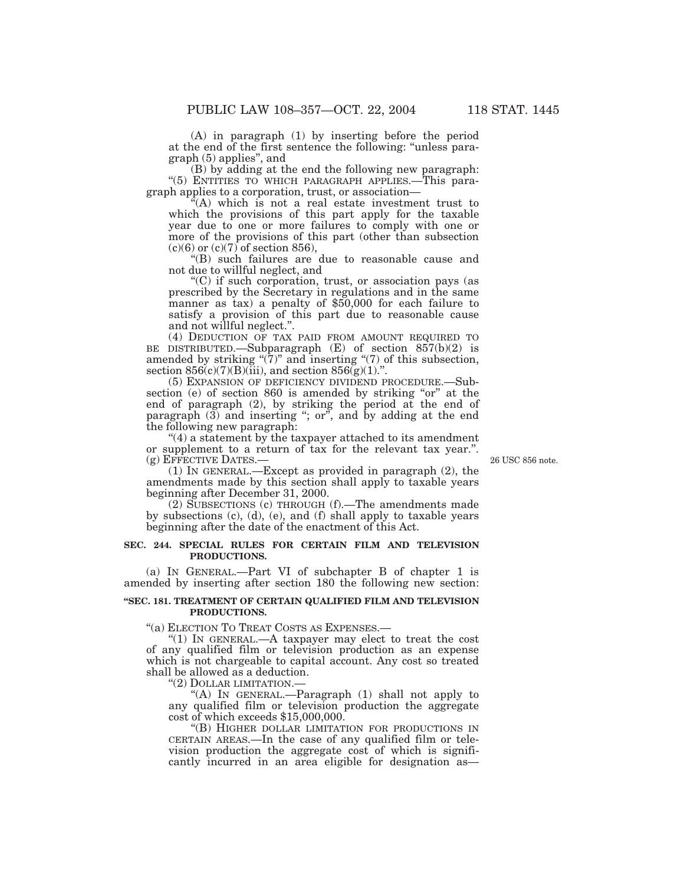(A) in paragraph (1) by inserting before the period at the end of the first sentence the following: ''unless paragraph (5) applies'', and

(B) by adding at the end the following new paragraph: "(5) ENTITIES TO WHICH PARAGRAPH APPLIES.—This paragraph applies to a corporation, trust, or association—

 ${}^{\alpha}(A)$  which is not a real estate investment trust to which the provisions of this part apply for the taxable year due to one or more failures to comply with one or more of the provisions of this part (other than subsection (c)(6) or (c)(7) of section 856),

''(B) such failures are due to reasonable cause and not due to willful neglect, and

''(C) if such corporation, trust, or association pays (as prescribed by the Secretary in regulations and in the same manner as tax) a penalty of \$50,000 for each failure to satisfy a provision of this part due to reasonable cause and not willful neglect.''.

(4) DEDUCTION OF TAX PAID FROM AMOUNT REQUIRED TO BE DISTRIBUTED.—Subparagraph (E) of section 857(b)(2) is amended by striking "(7)" and inserting "(7) of this subsection, section  $856(c)(7)(B)(iii)$ , and section  $856(g)(1)$ .".

(5) EXPANSION OF DEFICIENCY DIVIDEND PROCEDURE.—Subsection (e) of section 860 is amended by striking "or" at the end of paragraph (2), by striking the period at the end of paragraph  $(3)$  and inserting "; or", and by adding at the end the following new paragraph:

''(4) a statement by the taxpayer attached to its amendment or supplement to a return of tax for the relevant tax year.''. (g) EFFECTIVE DATES.—

26 USC 856 note.

(1) IN GENERAL.—Except as provided in paragraph (2), the amendments made by this section shall apply to taxable years beginning after December 31, 2000.

(2) SUBSECTIONS (c) THROUGH (f).—The amendments made by subsections (c), (d), (e), and (f) shall apply to taxable years beginning after the date of the enactment of this Act.

### **SEC. 244. SPECIAL RULES FOR CERTAIN FILM AND TELEVISION PRODUCTIONS.**

(a) IN GENERAL.—Part VI of subchapter B of chapter 1 is amended by inserting after section 180 the following new section:

## **''SEC. 181. TREATMENT OF CERTAIN QUALIFIED FILM AND TELEVISION PRODUCTIONS.**

''(a) ELECTION TO TREAT COSTS AS EXPENSES.—

"(1) In GENERAL.—A taxpayer may elect to treat the cost of any qualified film or television production as an expense which is not chargeable to capital account. Any cost so treated shall be allowed as a deduction.

''(2) DOLLAR LIMITATION.—

''(A) IN GENERAL.—Paragraph (1) shall not apply to any qualified film or television production the aggregate cost of which exceeds \$15,000,000.

''(B) HIGHER DOLLAR LIMITATION FOR PRODUCTIONS IN CERTAIN AREAS.—In the case of any qualified film or television production the aggregate cost of which is significantly incurred in an area eligible for designation as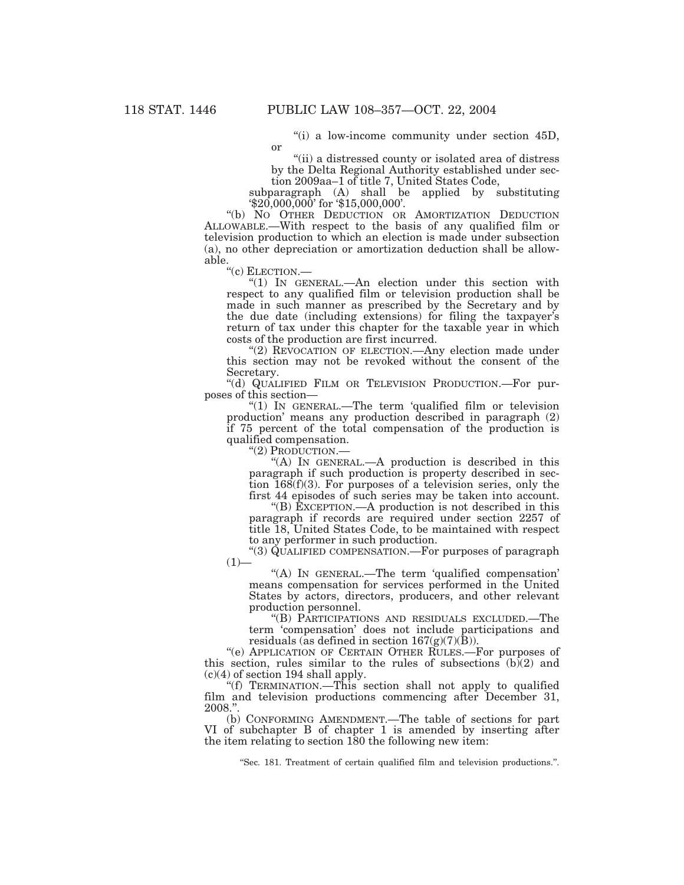''(i) a low-income community under section 45D,

''(ii) a distressed county or isolated area of distress by the Delta Regional Authority established under section 2009aa–1 of title 7, United States Code,

subparagraph (A) shall be applied by substituting '\$20,000,000' for '\$15,000,000'.

''(b) NO OTHER DEDUCTION OR AMORTIZATION DEDUCTION ALLOWABLE.—With respect to the basis of any qualified film or television production to which an election is made under subsection (a), no other depreciation or amortization deduction shall be allowable.

.<br>"(c) ELECTION.—

or

''(1) IN GENERAL.—An election under this section with respect to any qualified film or television production shall be made in such manner as prescribed by the Secretary and by the due date (including extensions) for filing the taxpayer's return of tax under this chapter for the taxable year in which costs of the production are first incurred.

"(2) REVOCATION OF ELECTION.—Any election made under this section may not be revoked without the consent of the Secretary.

''(d) QUALIFIED FILM OR TELEVISION PRODUCTION.—For purposes of this section—

''(1) IN GENERAL.—The term 'qualified film or television production' means any production described in paragraph (2) if 75 percent of the total compensation of the production is qualified compensation.

"(2) PRODUCTION.—<br>"(A) IN GENERAL.—A production is described in this paragraph if such production is property described in section  $168(f)(3)$ . For purposes of a television series, only the first 44 episodes of such series may be taken into account.

''(B) EXCEPTION.—A production is not described in this paragraph if records are required under section 2257 of title 18, United States Code, to be maintained with respect to any performer in such production.

''(3) QUALIFIED COMPENSATION.—For purposes of paragraph  $(1)$ —

''(A) IN GENERAL.—The term 'qualified compensation' means compensation for services performed in the United States by actors, directors, producers, and other relevant production personnel.

''(B) PARTICIPATIONS AND RESIDUALS EXCLUDED.—The term 'compensation' does not include participations and residuals (as defined in section  $167(g)(7)(\text{B})$ ).

''(e) APPLICATION OF CERTAIN OTHER RULES.—For purposes of this section, rules similar to the rules of subsections  $(b)(2)$  and  $(c)(4)$  of section 194 shall apply.

''(f) TERMINATION.—This section shall not apply to qualified film and television productions commencing after December 31, 2008.'

(b) CONFORMING AMENDMENT.—The table of sections for part VI of subchapter B of chapter 1 is amended by inserting after the item relating to section 180 the following new item:

''Sec. 181. Treatment of certain qualified film and television productions.''.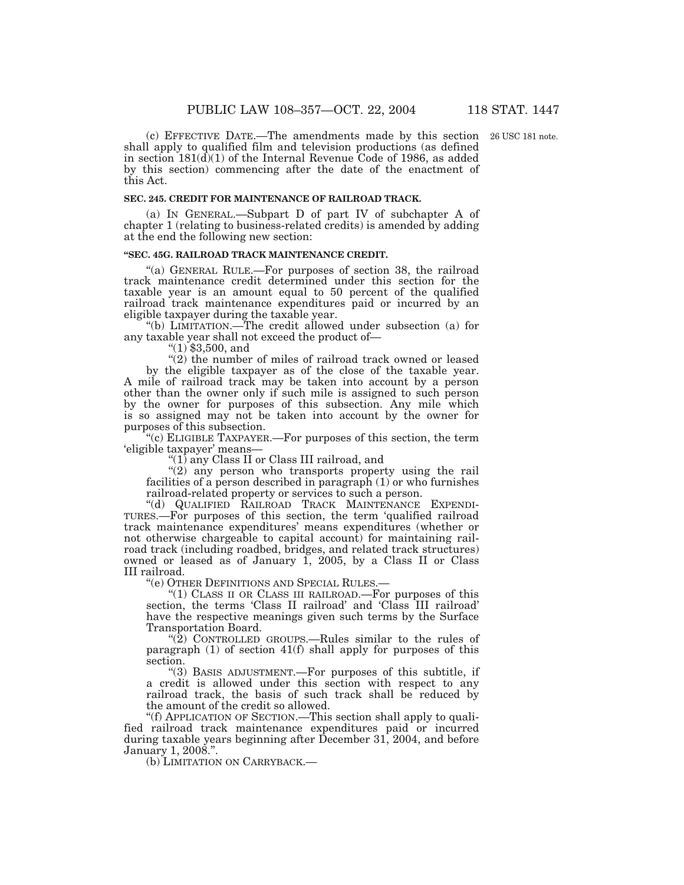(c) EFFECTIVE DATE.—The amendments made by this section 26 USC 181 note. shall apply to qualified film and television productions (as defined in section  $181(\overline{d})(1)$  of the Internal Revenue Code of 1986, as added by this section) commencing after the date of the enactment of this Act.

## **SEC. 245. CREDIT FOR MAINTENANCE OF RAILROAD TRACK.**

(a) IN GENERAL.—Subpart D of part IV of subchapter A of chapter 1 (relating to business-related credits) is amended by adding at the end the following new section:

## **''SEC. 45G. RAILROAD TRACK MAINTENANCE CREDIT.**

"(a) GENERAL RULE.—For purposes of section 38, the railroad track maintenance credit determined under this section for the taxable year is an amount equal to 50 percent of the qualified railroad track maintenance expenditures paid or incurred by an eligible taxpayer during the taxable year.

''(b) LIMITATION.—The credit allowed under subsection (a) for any taxable year shall not exceed the product of—

''(1) \$3,500, and

"(2) the number of miles of railroad track owned or leased by the eligible taxpayer as of the close of the taxable year. A mile of railroad track may be taken into account by a person other than the owner only if such mile is assigned to such person by the owner for purposes of this subsection. Any mile which is so assigned may not be taken into account by the owner for purposes of this subsection.

''(c) ELIGIBLE TAXPAYER.—For purposes of this section, the term 'eligible taxpayer' means—

''(1) any Class II or Class III railroad, and

"(2) any person who transports property using the rail facilities of a person described in paragraph (1) or who furnishes railroad-related property or services to such a person.<br>"(d) QUALIFIED RAILROAD TRACK MAINTENANCE EXPENDI-

TURES.—For purposes of this section, the term 'qualified railroad track maintenance expenditures' means expenditures (whether or not otherwise chargeable to capital account) for maintaining railroad track (including roadbed, bridges, and related track structures) owned or leased as of January 1, 2005, by a Class II or Class III railroad.

''(e) OTHER DEFINITIONS AND SPECIAL RULES.—

''(1) CLASS II OR CLASS III RAILROAD.—For purposes of this section, the terms 'Class II railroad' and 'Class III railroad' have the respective meanings given such terms by the Surface Transportation Board.

" $(2)$  CONTROLLED GROUPS.—Rules similar to the rules of paragraph (1) of section 41(f) shall apply for purposes of this section.

''(3) BASIS ADJUSTMENT.—For purposes of this subtitle, if a credit is allowed under this section with respect to any railroad track, the basis of such track shall be reduced by the amount of the credit so allowed.

''(f) APPLICATION OF SECTION.—This section shall apply to qualified railroad track maintenance expenditures paid or incurred during taxable years beginning after December 31, 2004, and before January 1, 2008.".

(b) LIMITATION ON CARRYBACK.—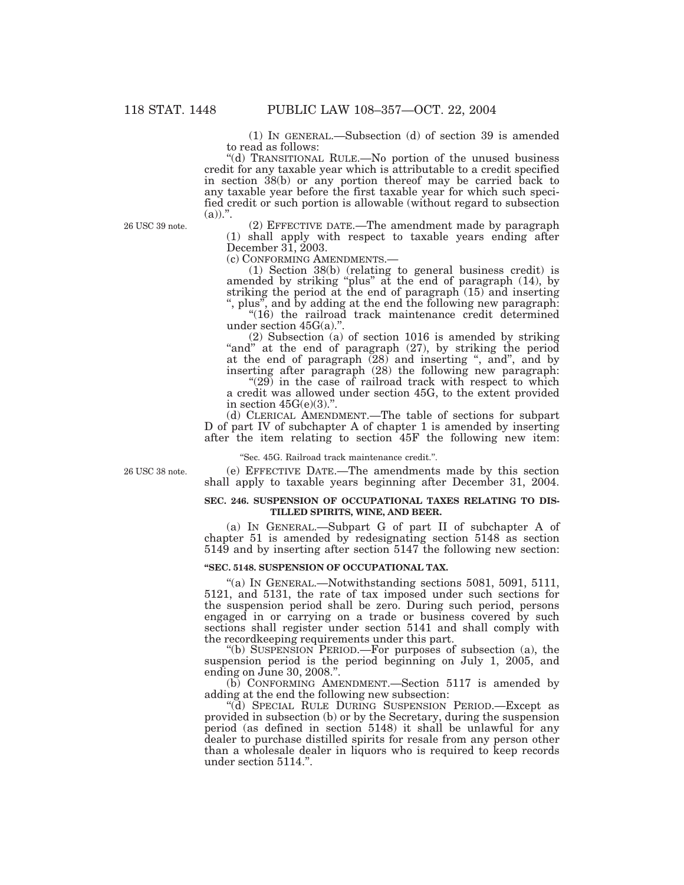(1) IN GENERAL.—Subsection (d) of section 39 is amended to read as follows:

''(d) TRANSITIONAL RULE.—No portion of the unused business credit for any taxable year which is attributable to a credit specified in section 38(b) or any portion thereof may be carried back to any taxable year before the first taxable year for which such specified credit or such portion is allowable (without regard to subsection  $(a)$ ...

26 USC 39 note.

(2) EFFECTIVE DATE.—The amendment made by paragraph (1) shall apply with respect to taxable years ending after December 31, 2003.

(c) CONFORMING AMENDMENTS.—

(1) Section 38(b) (relating to general business credit) is amended by striking ''plus'' at the end of paragraph (14), by striking the period at the end of paragraph (15) and inserting '', plus'', and by adding at the end the following new paragraph:

"(16) the railroad track maintenance credit determined under section 45G(a).''.

(2) Subsection (a) of section 1016 is amended by striking "and" at the end of paragraph (27), by striking the period at the end of paragraph (28) and inserting ", and", and by inserting after paragraph (28) the following new paragraph:

"(29) in the case of railroad track with respect to which a credit was allowed under section 45G, to the extent provided in section  $45G(e)(3)$ .".

(d) CLERICAL AMENDMENT.—The table of sections for subpart D of part IV of subchapter A of chapter 1 is amended by inserting after the item relating to section 45F the following new item:

''Sec. 45G. Railroad track maintenance credit.''.

26 USC 38 note.

(e) EFFECTIVE DATE.—The amendments made by this section shall apply to taxable years beginning after December 31, 2004.

### **SEC. 246. SUSPENSION OF OCCUPATIONAL TAXES RELATING TO DIS-TILLED SPIRITS, WINE, AND BEER.**

(a) IN GENERAL.—Subpart G of part II of subchapter A of chapter 51 is amended by redesignating section 5148 as section 5149 and by inserting after section 5147 the following new section:

## **''SEC. 5148. SUSPENSION OF OCCUPATIONAL TAX.**

"(a) IN GENERAL.—Notwithstanding sections  $5081, 5091, 5111,$ 5121, and 5131, the rate of tax imposed under such sections for the suspension period shall be zero. During such period, persons engaged in or carrying on a trade or business covered by such sections shall register under section 5141 and shall comply with the recordkeeping requirements under this part.

''(b) SUSPENSION PERIOD.—For purposes of subsection (a), the suspension period is the period beginning on July 1, 2005, and ending on June 30, 2008.''.

(b) CONFORMING AMENDMENT.—Section 5117 is amended by adding at the end the following new subsection:

''(d) SPECIAL RULE DURING SUSPENSION PERIOD.—Except as provided in subsection (b) or by the Secretary, during the suspension period (as defined in section 5148) it shall be unlawful for any dealer to purchase distilled spirits for resale from any person other than a wholesale dealer in liquors who is required to keep records under section 5114.''.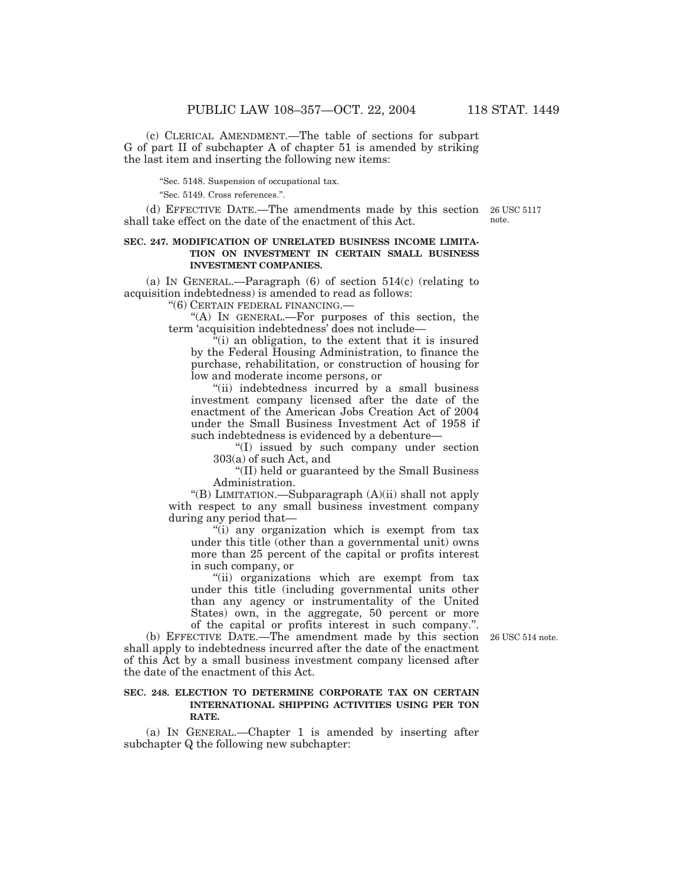(c) CLERICAL AMENDMENT.—The table of sections for subpart G of part II of subchapter A of chapter 51 is amended by striking the last item and inserting the following new items:

''Sec. 5148. Suspension of occupational tax.

''Sec. 5149. Cross references.''.

(d) EFFECTIVE DATE.—The amendments made by this section 26 USC 5117 shall take effect on the date of the enactment of this Act.

## **SEC. 247. MODIFICATION OF UNRELATED BUSINESS INCOME LIMITA-TION ON INVESTMENT IN CERTAIN SMALL BUSINESS INVESTMENT COMPANIES.**

(a) IN GENERAL.—Paragraph (6) of section 514(c) (relating to acquisition indebtedness) is amended to read as follows:

''(6) CERTAIN FEDERAL FINANCING.—

''(A) IN GENERAL.—For purposes of this section, the term 'acquisition indebtedness' does not include—

 $\tilde{f}$ (i) an obligation, to the extent that it is insured by the Federal Housing Administration, to finance the purchase, rehabilitation, or construction of housing for low and moderate income persons, or

"(ii) indebtedness incurred by a small business investment company licensed after the date of the enactment of the American Jobs Creation Act of 2004 under the Small Business Investment Act of 1958 if such indebtedness is evidenced by a debenture—

''(I) issued by such company under section 303(a) of such Act, and

''(II) held or guaranteed by the Small Business Administration.

''(B) LIMITATION.—Subparagraph (A)(ii) shall not apply with respect to any small business investment company during any period that—

''(i) any organization which is exempt from tax under this title (other than a governmental unit) owns more than 25 percent of the capital or profits interest in such company, or

"(ii) organizations which are exempt from tax under this title (including governmental units other than any agency or instrumentality of the United States) own, in the aggregate, 50 percent or more of the capital or profits interest in such company.''.

(b) EFFECTIVE DATE.—The amendment made by this section 26 USC 514 note. shall apply to indebtedness incurred after the date of the enactment of this Act by a small business investment company licensed after the date of the enactment of this Act.

## **SEC. 248. ELECTION TO DETERMINE CORPORATE TAX ON CERTAIN INTERNATIONAL SHIPPING ACTIVITIES USING PER TON RATE.**

(a) IN GENERAL.—Chapter 1 is amended by inserting after subchapter Q the following new subchapter:

note.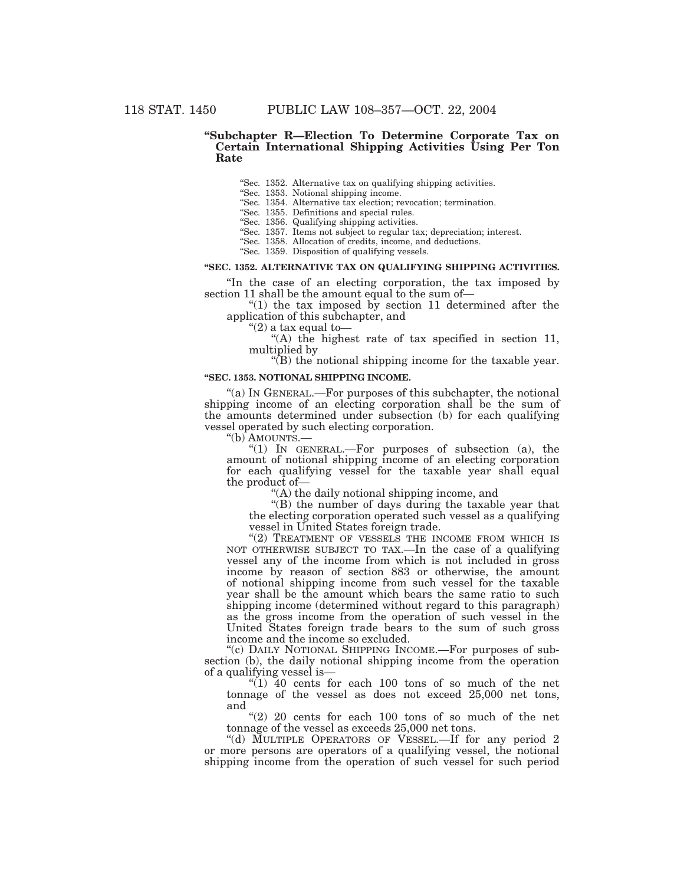## **''Subchapter R—Election To Determine Corporate Tax on Certain International Shipping Activities Using Per Ton Rate**

''Sec. 1352. Alternative tax on qualifying shipping activities.

''Sec. 1353. Notional shipping income.

''Sec. 1354. Alternative tax election; revocation; termination.

''Sec. 1355. Definitions and special rules.

''Sec. 1356. Qualifying shipping activities.

''Sec. 1357. Items not subject to regular tax; depreciation; interest.

''Sec. 1358. Allocation of credits, income, and deductions.

''Sec. 1359. Disposition of qualifying vessels.

### **''SEC. 1352. ALTERNATIVE TAX ON QUALIFYING SHIPPING ACTIVITIES.**

''In the case of an electing corporation, the tax imposed by section 11 shall be the amount equal to the sum of—

" $(1)$  the tax imposed by section 11 determined after the application of this subchapter, and

" $(2)$  a tax equal to-

"(A) the highest rate of tax specified in section 11, multiplied by

 $\sqrt{\text{B}}$  the notional shipping income for the taxable year.

## **''SEC. 1353. NOTIONAL SHIPPING INCOME.**

''(a) IN GENERAL.—For purposes of this subchapter, the notional shipping income of an electing corporation shall be the sum of the amounts determined under subsection (b) for each qualifying vessel operated by such electing corporation.

"(b) AMOUNTS.—<br>"(1) IN GENERAL.—For purposes of subsection (a), the amount of notional shipping income of an electing corporation for each qualifying vessel for the taxable year shall equal the product of—

''(A) the daily notional shipping income, and

''(B) the number of days during the taxable year that the electing corporation operated such vessel as a qualifying vessel in United States foreign trade.

"(2) TREATMENT OF VESSELS THE INCOME FROM WHICH IS NOT OTHERWISE SUBJECT TO TAX.—In the case of a qualifying vessel any of the income from which is not included in gross income by reason of section 883 or otherwise, the amount of notional shipping income from such vessel for the taxable year shall be the amount which bears the same ratio to such shipping income (determined without regard to this paragraph) as the gross income from the operation of such vessel in the United States foreign trade bears to the sum of such gross income and the income so excluded.

''(c) DAILY NOTIONAL SHIPPING INCOME.—For purposes of subsection (b), the daily notional shipping income from the operation of a qualifying vessel is—

" $(1)$  40 cents for each 100 tons of so much of the net tonnage of the vessel as does not exceed 25,000 net tons, and

''(2) 20 cents for each 100 tons of so much of the net tonnage of the vessel as exceeds 25,000 net tons.

"(d) MULTIPLE OPERATORS OF VESSEL.—If for any period 2 or more persons are operators of a qualifying vessel, the notional shipping income from the operation of such vessel for such period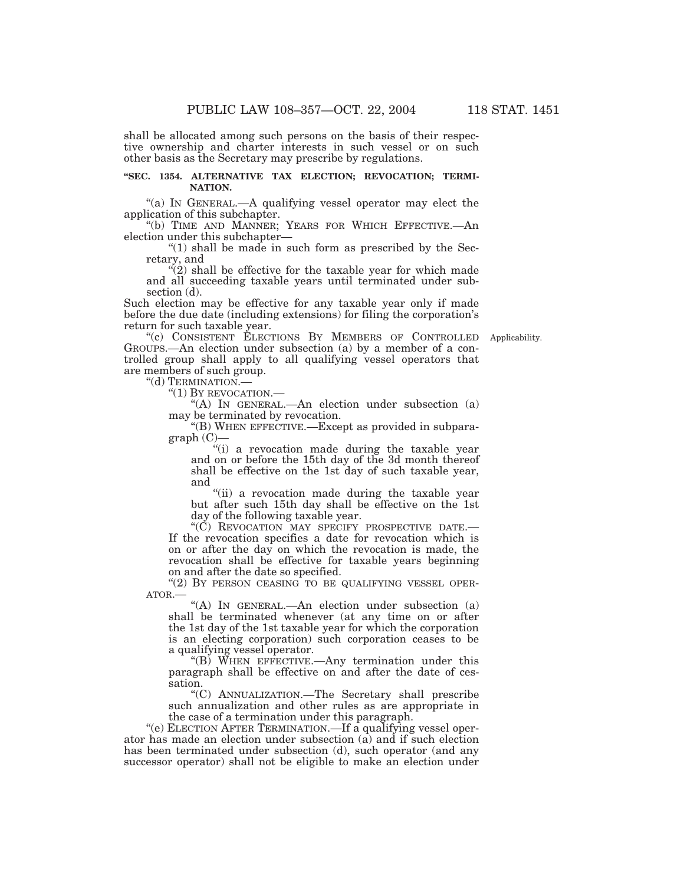shall be allocated among such persons on the basis of their respective ownership and charter interests in such vessel or on such other basis as the Secretary may prescribe by regulations.

## **''SEC. 1354. ALTERNATIVE TAX ELECTION; REVOCATION; TERMI-NATION.**

"(a) IN GENERAL.—A qualifying vessel operator may elect the application of this subchapter.

''(b) TIME AND MANNER; YEARS FOR WHICH EFFECTIVE.—An election under this subchapter—

" $(1)$  shall be made in such form as prescribed by the Secretary, and

 $\mathcal{L}(2)$  shall be effective for the taxable year for which made and all succeeding taxable years until terminated under subsection (d).

Such election may be effective for any taxable year only if made before the due date (including extensions) for filing the corporation's return for such taxable year.

''(c) CONSISTENT ELECTIONS BY MEMBERS OF CONTROLLED Applicability. GROUPS.—An election under subsection (a) by a member of a controlled group shall apply to all qualifying vessel operators that are members of such group.

"(d) TERMINATION.-

''(1) BY REVOCATION.—

''(A) IN GENERAL.—An election under subsection (a) may be terminated by revocation.

''(B) WHEN EFFECTIVE.—Except as provided in subparagraph (C)—

''(i) a revocation made during the taxable year and on or before the 15th day of the 3d month thereof shall be effective on the 1st day of such taxable year, and

"(ii) a revocation made during the taxable year but after such 15th day shall be effective on the 1st day of the following taxable year.<br>"(C) REVOCATION MAY SPECIFY PROSPECTIVE DATE.—

If the revocation specifies a date for revocation which is on or after the day on which the revocation is made, the revocation shall be effective for taxable years beginning on and after the date so specified.

"(2) BY PERSON CEASING TO BE QUALIFYING VESSEL OPER-ATOR.—

''(A) IN GENERAL.—An election under subsection (a) shall be terminated whenever (at any time on or after the 1st day of the 1st taxable year for which the corporation is an electing corporation) such corporation ceases to be a qualifying vessel operator.

''(B) WHEN EFFECTIVE.—Any termination under this paragraph shall be effective on and after the date of cessation.

''(C) ANNUALIZATION.—The Secretary shall prescribe such annualization and other rules as are appropriate in the case of a termination under this paragraph.

''(e) ELECTION AFTER TERMINATION.—If a qualifying vessel operator has made an election under subsection (a) and if such election has been terminated under subsection (d), such operator (and any successor operator) shall not be eligible to make an election under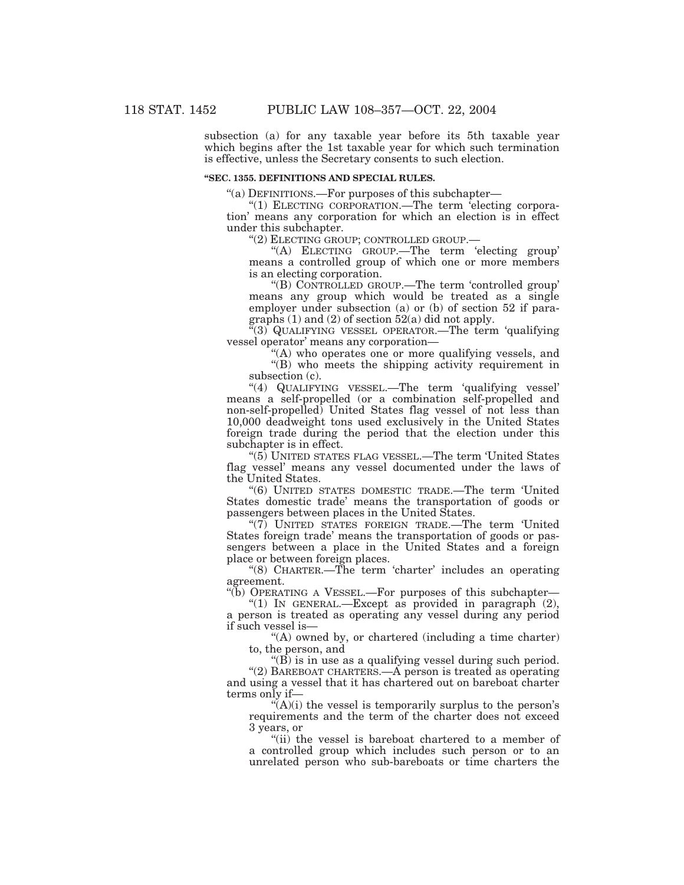subsection (a) for any taxable year before its 5th taxable year which begins after the 1st taxable year for which such termination is effective, unless the Secretary consents to such election.

### **''SEC. 1355. DEFINITIONS AND SPECIAL RULES.**

''(a) DEFINITIONS.—For purposes of this subchapter—

"(1) ELECTING CORPORATION.—The term  ${}^{7}$ electing corporation' means any corporation for which an election is in effect under this subchapter.

''(2) ELECTING GROUP; CONTROLLED GROUP.—

''(A) ELECTING GROUP.—The term 'electing group' means a controlled group of which one or more members is an electing corporation.

''(B) CONTROLLED GROUP.—The term 'controlled group' means any group which would be treated as a single employer under subsection (a) or (b) of section 52 if paragraphs (1) and (2) of section 52(a) did not apply.

 $\sqrt[4]{(3)}$  QUALIFYING VESSEL OPERATOR.—The term 'qualifying vessel operator' means any corporation—

''(A) who operates one or more qualifying vessels, and "(B) who meets the shipping activity requirement in subsection (c).

''(4) QUALIFYING VESSEL.—The term 'qualifying vessel' means a self-propelled (or a combination self-propelled and non-self-propelled) United States flag vessel of not less than 10,000 deadweight tons used exclusively in the United States foreign trade during the period that the election under this subchapter is in effect.

''(5) UNITED STATES FLAG VESSEL.—The term 'United States flag vessel' means any vessel documented under the laws of the United States.

''(6) UNITED STATES DOMESTIC TRADE.—The term 'United States domestic trade' means the transportation of goods or passengers between places in the United States.

"(7) UNITED STATES FOREIGN TRADE.—The term 'United States foreign trade' means the transportation of goods or passengers between a place in the United States and a foreign place or between foreign places.

"(8) CHARTER.—The term 'charter' includes an operating agreement.

"(b) OPERATING A VESSEL.—For purposes of this subchapter—

"(1) IN GENERAL.—Except as provided in paragraph  $(2)$ , a person is treated as operating any vessel during any period if such vessel is—

"(A) owned by, or chartered (including a time charter) to, the person, and

''(B) is in use as a qualifying vessel during such period. ''(2) BAREBOAT CHARTERS.—A person is treated as operating and using a vessel that it has chartered out on bareboat charter terms only if—

 $\mathcal{L}(A)(i)$  the vessel is temporarily surplus to the person's requirements and the term of the charter does not exceed 3 years, or

''(ii) the vessel is bareboat chartered to a member of a controlled group which includes such person or to an unrelated person who sub-bareboats or time charters the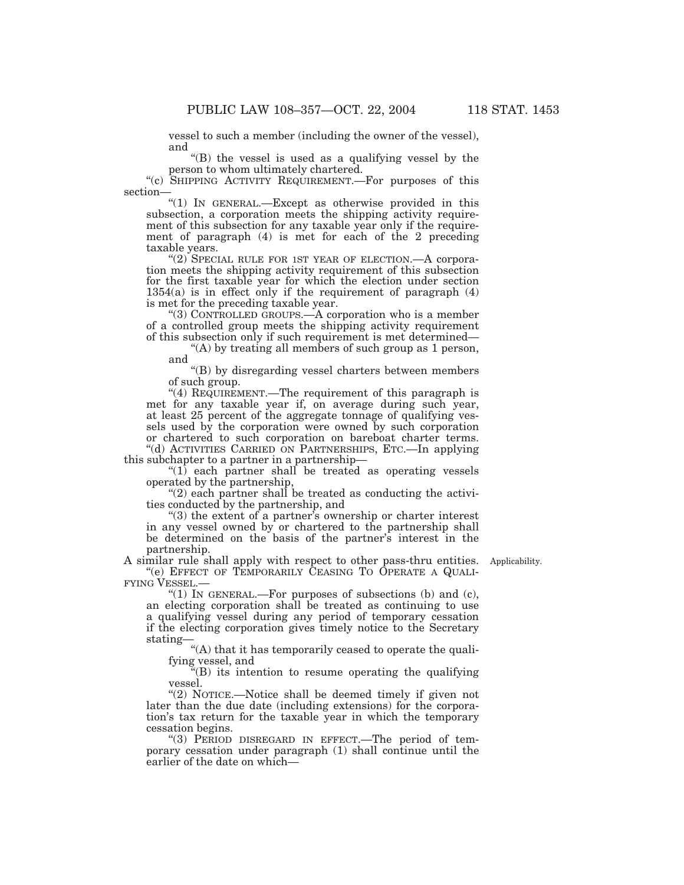vessel to such a member (including the owner of the vessel), and

''(B) the vessel is used as a qualifying vessel by the person to whom ultimately chartered.

"(c) SHIPPING ACTIVITY REQUIREMENT.—For purposes of this section—

"(1) IN GENERAL.—Except as otherwise provided in this subsection, a corporation meets the shipping activity requirement of this subsection for any taxable year only if the requirement of paragraph (4) is met for each of the 2 preceding taxable years.

"(2) SPECIAL RULE FOR 1ST YEAR OF ELECTION.—A corporation meets the shipping activity requirement of this subsection for the first taxable year for which the election under section 1354(a) is in effect only if the requirement of paragraph (4) is met for the preceding taxable year.

''(3) CONTROLLED GROUPS.—A corporation who is a member of a controlled group meets the shipping activity requirement of this subsection only if such requirement is met determined—

''(A) by treating all members of such group as 1 person, and

''(B) by disregarding vessel charters between members of such group.

"(4) REQUIREMENT.—The requirement of this paragraph is met for any taxable year if, on average during such year, at least 25 percent of the aggregate tonnage of qualifying vessels used by the corporation were owned by such corporation or chartered to such corporation on bareboat charter terms. ''(d) ACTIVITIES CARRIED ON PARTNERSHIPS, ETC.—In applying

this subchapter to a partner in a partnership—

 $(1)$  each partner shall be treated as operating vessels operated by the partnership,

 $"(2)$  each partner shall be treated as conducting the activities conducted by the partnership, and

" $(3)$  the extent of a partner's ownership or charter interest in any vessel owned by or chartered to the partnership shall be determined on the basis of the partner's interest in the partnership. A similar rule shall apply with respect to other pass-thru entities.

Applicability.

"(e) EFFECT OF TEMPORARILY CEASING TO OPERATE A QUALI-FYING VESSEL.— " $(1)$  In GENERAL.—For purposes of subsections (b) and  $(c)$ ,

an electing corporation shall be treated as continuing to use a qualifying vessel during any period of temporary cessation if the electing corporation gives timely notice to the Secretary stating—

"(A) that it has temporarily ceased to operate the qualifying vessel, and

''(B) its intention to resume operating the qualifying vessel.

''(2) NOTICE.—Notice shall be deemed timely if given not later than the due date (including extensions) for the corporation's tax return for the taxable year in which the temporary cessation begins.

"(3) PERIOD DISREGARD IN EFFECT.—The period of temporary cessation under paragraph (1) shall continue until the earlier of the date on which—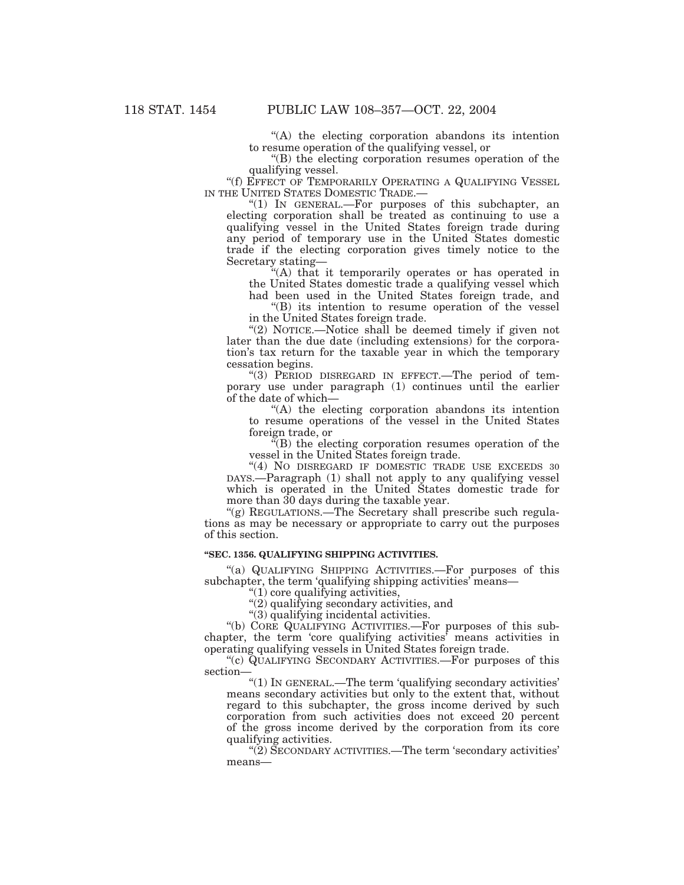''(A) the electing corporation abandons its intention to resume operation of the qualifying vessel, or

''(B) the electing corporation resumes operation of the qualifying vessel.

"(f) EFFECT OF TEMPORARILY OPERATING A QUALIFYING VESSEL IN THE UNITED STATES DOMESTIC TRADE.—

''(1) IN GENERAL.—For purposes of this subchapter, an electing corporation shall be treated as continuing to use a qualifying vessel in the United States foreign trade during any period of temporary use in the United States domestic trade if the electing corporation gives timely notice to the Secretary stating—

''(A) that it temporarily operates or has operated in the United States domestic trade a qualifying vessel which had been used in the United States foreign trade, and

''(B) its intention to resume operation of the vessel in the United States foreign trade.

"(2) NOTICE.-Notice shall be deemed timely if given not later than the due date (including extensions) for the corporation's tax return for the taxable year in which the temporary cessation begins.

"(3) PERIOD DISREGARD IN EFFECT.—The period of temporary use under paragraph (1) continues until the earlier of the date of which—

''(A) the electing corporation abandons its intention to resume operations of the vessel in the United States foreign trade, or

''(B) the electing corporation resumes operation of the vessel in the United States foreign trade.

"(4) NO DISREGARD IF DOMESTIC TRADE USE EXCEEDS 30 DAYS.—Paragraph (1) shall not apply to any qualifying vessel which is operated in the United States domestic trade for more than 30 days during the taxable year.

"(g) REGULATIONS.—The Secretary shall prescribe such regulations as may be necessary or appropriate to carry out the purposes of this section.

# **''SEC. 1356. QUALIFYING SHIPPING ACTIVITIES.**

''(a) QUALIFYING SHIPPING ACTIVITIES.—For purposes of this subchapter, the term 'qualifying shipping activities' means—

 $''(1)$  core qualifying activities,

''(2) qualifying secondary activities, and

''(3) qualifying incidental activities.

''(b) CORE QUALIFYING ACTIVITIES.—For purposes of this subchapter, the term 'core qualifying activities' means activities in operating qualifying vessels in United States foreign trade.

"(c) QUALIFYING SECONDARY ACTIVITIES.—For purposes of this section—

''(1) IN GENERAL.—The term 'qualifying secondary activities' means secondary activities but only to the extent that, without regard to this subchapter, the gross income derived by such corporation from such activities does not exceed 20 percent of the gross income derived by the corporation from its core qualifying activities.

''(2) SECONDARY ACTIVITIES.—The term 'secondary activities' means—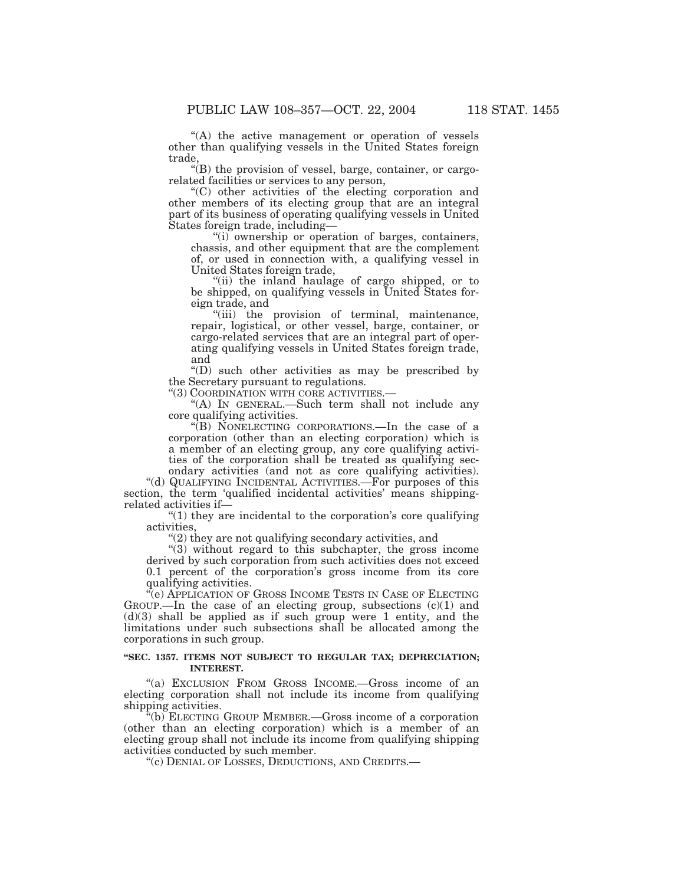"(A) the active management or operation of vessels other than qualifying vessels in the United States foreign trade,

''(B) the provision of vessel, barge, container, or cargorelated facilities or services to any person,

''(C) other activities of the electing corporation and other members of its electing group that are an integral part of its business of operating qualifying vessels in United States foreign trade, including—

''(i) ownership or operation of barges, containers, chassis, and other equipment that are the complement of, or used in connection with, a qualifying vessel in United States foreign trade,

"(ii) the inland haulage of cargo shipped, or to be shipped, on qualifying vessels in United States foreign trade, and

"(iii) the provision of terminal, maintenance, repair, logistical, or other vessel, barge, container, or cargo-related services that are an integral part of operating qualifying vessels in United States foreign trade, and

''(D) such other activities as may be prescribed by the Secretary pursuant to regulations.

''(3) COORDINATION WITH CORE ACTIVITIES.—

''(A) IN GENERAL.—Such term shall not include any core qualifying activities.

''(B) NONELECTING CORPORATIONS.—In the case of a corporation (other than an electing corporation) which is a member of an electing group, any core qualifying activities of the corporation shall be treated as qualifying secondary activities (and not as core qualifying activities).

"(d) QUALIFYING INCIDENTAL ACTIVITIES.—For purposes of this section, the term 'qualified incidental activities' means shippingrelated activities if—

" $(1)$  they are incidental to the corporation's core qualifying activities,

''(2) they are not qualifying secondary activities, and

''(3) without regard to this subchapter, the gross income derived by such corporation from such activities does not exceed 0.1 percent of the corporation's gross income from its core qualifying activities.

''(e) APPLICATION OF GROSS INCOME TESTS IN CASE OF ELECTING GROUP.—In the case of an electing group, subsections  $(c)(1)$  and (d)(3) shall be applied as if such group were 1 entity, and the limitations under such subsections shall be allocated among the corporations in such group.

# **''SEC. 1357. ITEMS NOT SUBJECT TO REGULAR TAX; DEPRECIATION; INTEREST.**

''(a) EXCLUSION FROM GROSS INCOME.—Gross income of an electing corporation shall not include its income from qualifying shipping activities.

''(b) ELECTING GROUP MEMBER.—Gross income of a corporation (other than an electing corporation) which is a member of an electing group shall not include its income from qualifying shipping activities conducted by such member.

''(c) DENIAL OF LOSSES, DEDUCTIONS, AND CREDITS.—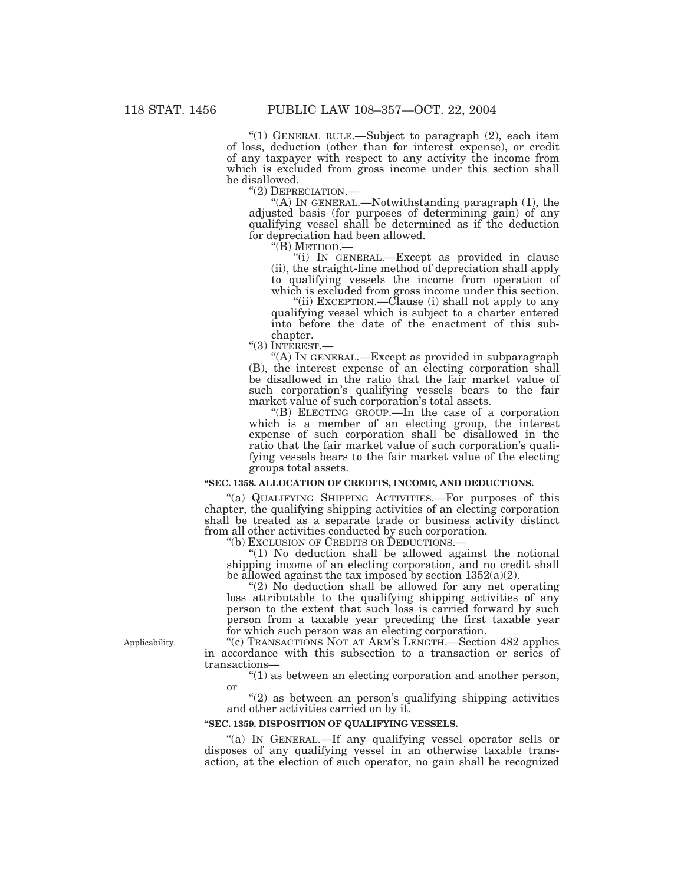''(1) GENERAL RULE.—Subject to paragraph (2), each item of loss, deduction (other than for interest expense), or credit of any taxpayer with respect to any activity the income from which is excluded from gross income under this section shall be disallowed.<br>"(2) DEPRECIATION.—

"(A) IN GENERAL.—Notwithstanding paragraph  $(1)$ , the adjusted basis (for purposes of determining gain) of any qualifying vessel shall be determined as if the deduction for depreciation had been allowed.<br>"(B) METHOD.—

"(i) IN GENERAL.—Except as provided in clause (ii), the straight-line method of depreciation shall apply to qualifying vessels the income from operation of which is excluded from gross income under this section.

"(ii) EXCEPTION.—Clause (i) shall not apply to any qualifying vessel which is subject to a charter entered into before the date of the enactment of this sub-

 $\text{chaper.}$ <br>"(3) INTEREST.

"(A) IN GENERAL.—Except as provided in subparagraph (B), the interest expense of an electing corporation shall be disallowed in the ratio that the fair market value of such corporation's qualifying vessels bears to the fair market value of such corporation's total assets.

''(B) ELECTING GROUP.—In the case of a corporation which is a member of an electing group, the interest expense of such corporation shall be disallowed in the ratio that the fair market value of such corporation's qualifying vessels bears to the fair market value of the electing groups total assets.

#### **''SEC. 1358. ALLOCATION OF CREDITS, INCOME, AND DEDUCTIONS.**

"(a) QUALIFYING SHIPPING ACTIVITIES.—For purposes of this chapter, the qualifying shipping activities of an electing corporation shall be treated as a separate trade or business activity distinct from all other activities conducted by such corporation.<br>"(b) EXCLUSION OF CREDITS OR DEDUCTIONS.—

"(1) No deduction shall be allowed against the notional shipping income of an electing corporation, and no credit shall be allowed against the tax imposed by section  $1352(a)(2)$ .

"(2) No deduction shall be allowed for any net operating loss attributable to the qualifying shipping activities of any person to the extent that such loss is carried forward by such person from a taxable year preceding the first taxable year for which such person was an electing corporation.

''(c) TRANSACTIONS NOT AT ARM'S LENGTH.—Section 482 applies in accordance with this subsection to a transaction or series of transactions—

 $''(1)$  as between an electing corporation and another person, or

" $(2)$  as between an person's qualifying shipping activities and other activities carried on by it.

#### **''SEC. 1359. DISPOSITION OF QUALIFYING VESSELS.**

''(a) IN GENERAL.—If any qualifying vessel operator sells or disposes of any qualifying vessel in an otherwise taxable transaction, at the election of such operator, no gain shall be recognized

Applicability.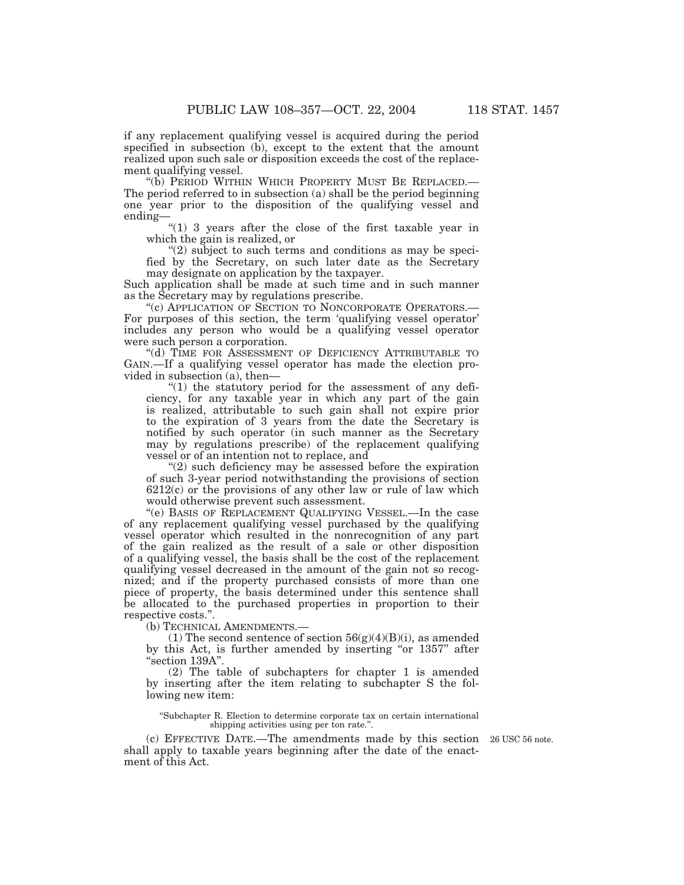if any replacement qualifying vessel is acquired during the period specified in subsection (b), except to the extent that the amount realized upon such sale or disposition exceeds the cost of the replacement qualifying vessel.

''(b) PERIOD WITHIN WHICH PROPERTY MUST BE REPLACED.— The period referred to in subsection (a) shall be the period beginning one year prior to the disposition of the qualifying vessel and ending—

''(1) 3 years after the close of the first taxable year in which the gain is realized, or

 $\degree$ (2) subject to such terms and conditions as may be specified by the Secretary, on such later date as the Secretary may designate on application by the taxpayer.

Such application shall be made at such time and in such manner as the Secretary may by regulations prescribe.

''(c) APPLICATION OF SECTION TO NONCORPORATE OPERATORS.— For purposes of this section, the term 'qualifying vessel operator' includes any person who would be a qualifying vessel operator were such person a corporation.

''(d) TIME FOR ASSESSMENT OF DEFICIENCY ATTRIBUTABLE TO GAIN.—If a qualifying vessel operator has made the election provided in subsection (a), then—

 $''(1)$  the statutory period for the assessment of any deficiency, for any taxable year in which any part of the gain is realized, attributable to such gain shall not expire prior to the expiration of 3 years from the date the Secretary is notified by such operator (in such manner as the Secretary may by regulations prescribe) of the replacement qualifying vessel or of an intention not to replace, and

 $(2)$  such deficiency may be assessed before the expiration of such 3-year period notwithstanding the provisions of section  $6212(c)$  or the provisions of any other law or rule of law which would otherwise prevent such assessment.

"(e) BASIS OF REPLACEMENT QUALIFYING VESSEL.—In the case of any replacement qualifying vessel purchased by the qualifying vessel operator which resulted in the nonrecognition of any part of the gain realized as the result of a sale or other disposition of a qualifying vessel, the basis shall be the cost of the replacement qualifying vessel decreased in the amount of the gain not so recognized; and if the property purchased consists of more than one piece of property, the basis determined under this sentence shall be allocated to the purchased properties in proportion to their respective costs.''.

(b) TECHNICAL AMENDMENTS.—

(1) The second sentence of section  $56(g)(4)(B)(i)$ , as amended by this Act, is further amended by inserting "or 1357" after "section 139A".

(2) The table of subchapters for chapter 1 is amended by inserting after the item relating to subchapter S the following new item:

''Subchapter R. Election to determine corporate tax on certain international shipping activities using per ton rate.".

(c) EFFECTIVE DATE.—The amendments made by this section 26 USC 56 note. shall apply to taxable years beginning after the date of the enactment of this Act.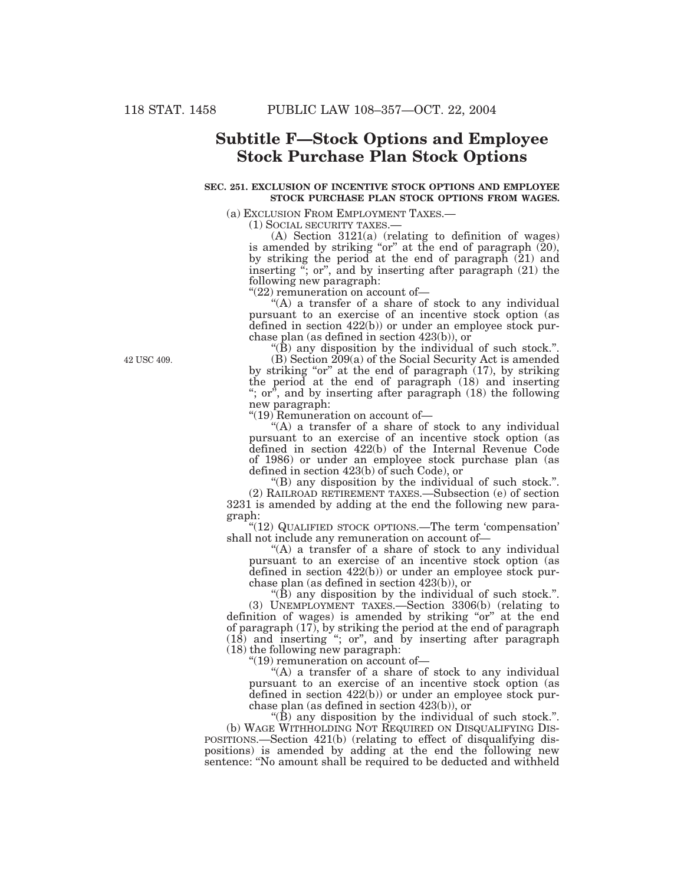# **Subtitle F—Stock Options and Employee Stock Purchase Plan Stock Options**

# **SEC. 251. EXCLUSION OF INCENTIVE STOCK OPTIONS AND EMPLOYEE STOCK PURCHASE PLAN STOCK OPTIONS FROM WAGES.**

(a) EXCLUSION FROM EMPLOYMENT TAXES.—

(1) SOCIAL SECURITY TAXES.—

(A) Section 3121(a) (relating to definition of wages) is amended by striking "or" at the end of paragraph  $(20)$ , by striking the period at the end of paragraph (21) and inserting "; or", and by inserting after paragraph  $(21)$  the following new paragraph:

''(22) remuneration on account of—

"(A) a transfer of a share of stock to any individual pursuant to an exercise of an incentive stock option (as defined in section 422(b)) or under an employee stock purchase plan (as defined in section 423(b)), or

''(B) any disposition by the individual of such stock.''. (B) Section 209(a) of the Social Security Act is amended by striking "or" at the end of paragraph (17), by striking the period at the end of paragraph (18) and inserting ";  $or$ , and by inserting after paragraph  $(18)$  the following new paragraph:

''(19) Remuneration on account of—

" $(A)$  a transfer of a share of stock to any individual pursuant to an exercise of an incentive stock option (as defined in section 422(b) of the Internal Revenue Code of 1986) or under an employee stock purchase plan (as defined in section 423(b) of such Code), or

''(B) any disposition by the individual of such stock.''.

(2) RAILROAD RETIREMENT TAXES.—Subsection (e) of section 3231 is amended by adding at the end the following new paragraph:

''(12) QUALIFIED STOCK OPTIONS.—The term 'compensation' shall not include any remuneration on account of—

" $(A)$  a transfer of a share of stock to any individual pursuant to an exercise of an incentive stock option (as defined in section 422(b)) or under an employee stock purchase plan (as defined in section 423(b)), or

 $\mathcal{L}(\bar{B})$  any disposition by the individual of such stock.".

(3) UNEMPLOYMENT TAXES.—Section 3306(b) (relating to definition of wages) is amended by striking "or" at the end of paragraph (17), by striking the period at the end of paragraph (18) and inserting ''; or'', and by inserting after paragraph (18) the following new paragraph:

''(19) remuneration on account of—

"(A) a transfer of a share of stock to any individual pursuant to an exercise of an incentive stock option (as defined in section 422(b)) or under an employee stock purchase plan (as defined in section 423(b)), or

 $\mathcal{L}(B)$  any disposition by the individual of such stock.". (b) WAGE WITHHOLDING NOT REQUIRED ON DISQUALIFYING DIS- POSITIONS.—Section 421(b) (relating to effect of disqualifying dispositions) is amended by adding at the end the following new sentence: ''No amount shall be required to be deducted and withheld

42 USC 409.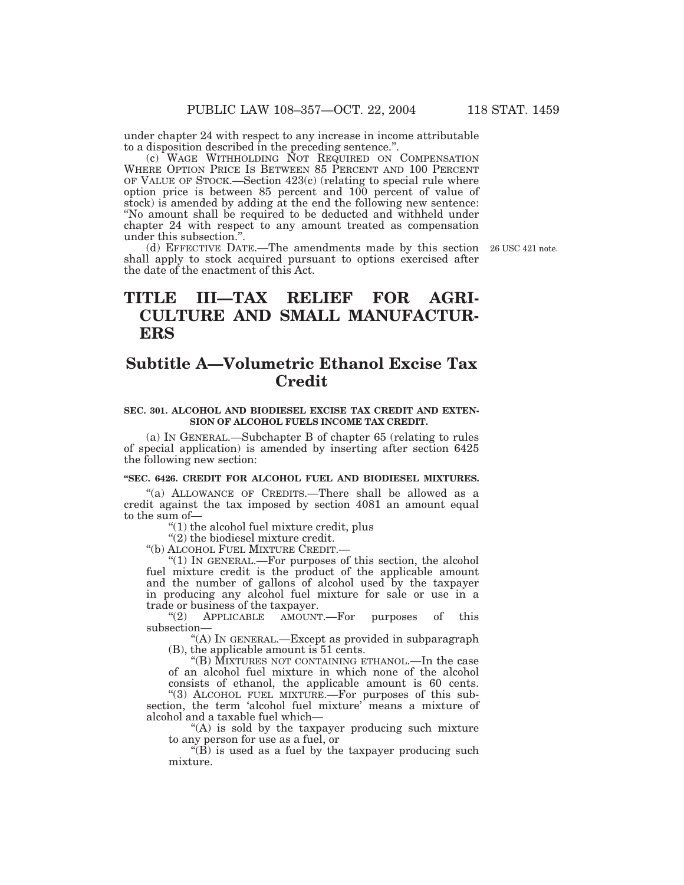under chapter 24 with respect to any increase in income attributable to a disposition described in the preceding sentence.''.

(c) WAGE WITHHOLDING NOT REQUIRED ON COMPENSATION WHERE OPTION PRICE IS BETWEEN 85 PERCENT AND 100 PERCENT OF VALUE OF STOCK.—Section 423(c) (relating to special rule where option price is between 85 percent and 100 percent of value of stock) is amended by adding at the end the following new sentence: ''No amount shall be required to be deducted and withheld under chapter 24 with respect to any amount treated as compensation under this subsection.''.

(d) EFFECTIVE DATE.—The amendments made by this section 26 USC 421 note. shall apply to stock acquired pursuant to options exercised after the date of the enactment of this Act.

# **TITLE III—TAX RELIEF FOR AGRI-CULTURE AND SMALL MANUFACTUR-ERS**

# **Subtitle A—Volumetric Ethanol Excise Tax Credit**

# **SEC. 301. ALCOHOL AND BIODIESEL EXCISE TAX CREDIT AND EXTEN-SION OF ALCOHOL FUELS INCOME TAX CREDIT.**

(a) IN GENERAL.—Subchapter B of chapter 65 (relating to rules of special application) is amended by inserting after section 6425 the following new section:

# **''SEC. 6426. CREDIT FOR ALCOHOL FUEL AND BIODIESEL MIXTURES.**

"(a) ALLOWANCE OF CREDITS.—There shall be allowed as a credit against the tax imposed by section 4081 an amount equal to the sum of—

''(1) the alcohol fuel mixture credit, plus

"(2) the biodiesel mixture credit.<br>"(b) ALCOHOL FUEL MIXTURE CREDIT.-

" $(1)$  In GENERAL.—For purposes of this section, the alcohol fuel mixture credit is the product of the applicable amount and the number of gallons of alcohol used by the taxpayer in producing any alcohol fuel mixture for sale or use in a trade or business of the taxpayer.<br>
"(2) APPLICABLE AMOUNT

AMOUNT.—For purposes of this subsection—

''(A) IN GENERAL.—Except as provided in subparagraph (B), the applicable amount is 51 cents.

''(B) MIXTURES NOT CONTAINING ETHANOL.—In the case of an alcohol fuel mixture in which none of the alcohol consists of ethanol, the applicable amount is 60 cents.

"(3) ALCOHOL FUEL MIXTURE.—For purposes of this subsection, the term 'alcohol fuel mixture' means a mixture of alcohol and a taxable fuel which—

 $(A)$  is sold by the taxpayer producing such mixture to any person for use as a fuel, or

 $\mathcal{L}(B)$  is used as a fuel by the taxpayer producing such mixture.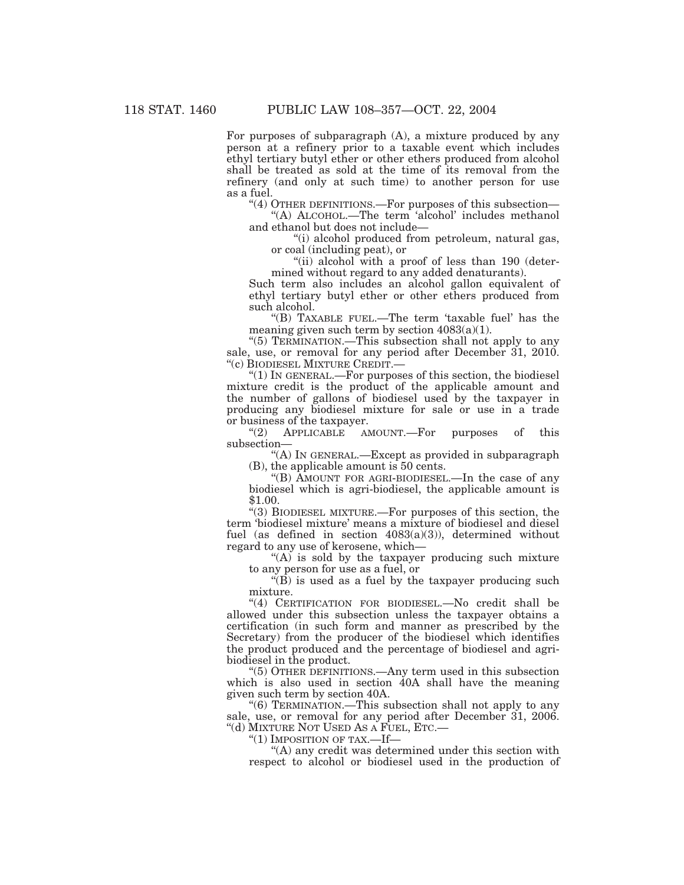For purposes of subparagraph (A), a mixture produced by any person at a refinery prior to a taxable event which includes ethyl tertiary butyl ether or other ethers produced from alcohol shall be treated as sold at the time of its removal from the refinery (and only at such time) to another person for use as a fuel.

''(4) OTHER DEFINITIONS.—For purposes of this subsection—

"(A) ALCOHOL.—The term 'alcohol' includes methanol and ethanol but does not include—

''(i) alcohol produced from petroleum, natural gas, or coal (including peat), or

"(ii) alcohol with a proof of less than 190 (determined without regard to any added denaturants).

Such term also includes an alcohol gallon equivalent of ethyl tertiary butyl ether or other ethers produced from such alcohol.

''(B) TAXABLE FUEL.—The term 'taxable fuel' has the meaning given such term by section  $4083(a)(1)$ .

''(5) TERMINATION.—This subsection shall not apply to any sale, use, or removal for any period after December 31, 2010. ''(c) BIODIESEL MIXTURE CREDIT.—

 $''(1)$  IN GENERAL.—For purposes of this section, the biodiesel mixture credit is the product of the applicable amount and the number of gallons of biodiesel used by the taxpayer in producing any biodiesel mixture for sale or use in a trade or business of the taxpayer.<br>
"(2) APPLICABLE A

AMOUNT.—For purposes of this subsection—

''(A) IN GENERAL.—Except as provided in subparagraph (B), the applicable amount is 50 cents.

''(B) AMOUNT FOR AGRI-BIODIESEL.—In the case of any biodiesel which is agri-biodiesel, the applicable amount is \$1.00.

''(3) BIODIESEL MIXTURE.—For purposes of this section, the term 'biodiesel mixture' means a mixture of biodiesel and diesel fuel (as defined in section 4083(a)(3)), determined without regard to any use of kerosene, which—

 $(A)$  is sold by the taxpayer producing such mixture to any person for use as a fuel, or

''(B) is used as a fuel by the taxpayer producing such mixture.

''(4) CERTIFICATION FOR BIODIESEL.—No credit shall be allowed under this subsection unless the taxpayer obtains a certification (in such form and manner as prescribed by the Secretary) from the producer of the biodiesel which identifies the product produced and the percentage of biodiesel and agribiodiesel in the product.

''(5) OTHER DEFINITIONS.—Any term used in this subsection which is also used in section  $40A$  shall have the meaning given such term by section 40A.

''(6) TERMINATION.—This subsection shall not apply to any sale, use, or removal for any period after December 31, 2006. ''(d) MIXTURE NOT USED AS A FUEL, ETC.—

''(1) IMPOSITION OF TAX.—If—

"(A) any credit was determined under this section with respect to alcohol or biodiesel used in the production of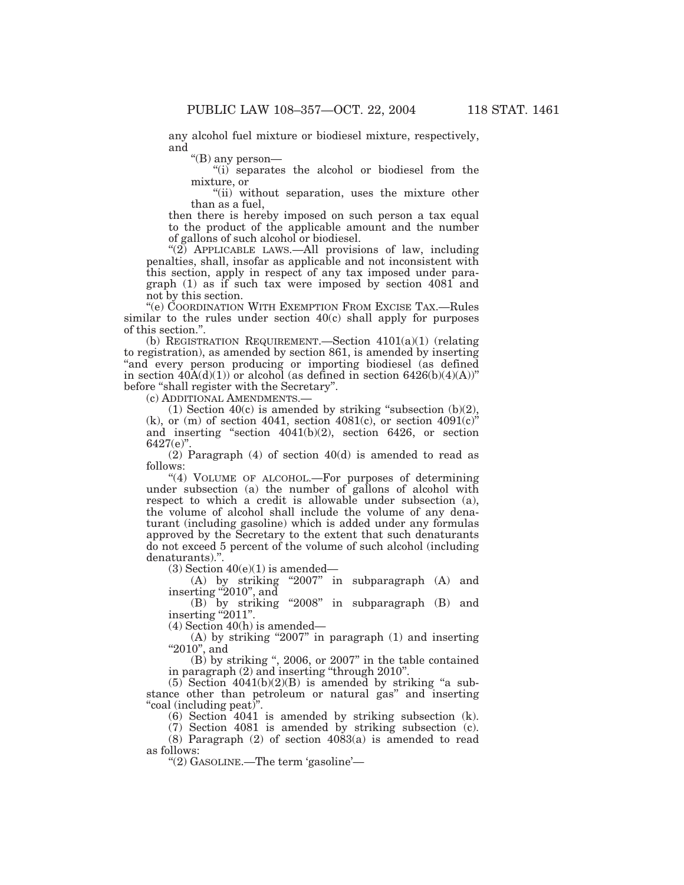any alcohol fuel mixture or biodiesel mixture, respectively, and

''(B) any person—

''(i) separates the alcohol or biodiesel from the mixture, or

"(ii) without separation, uses the mixture other than as a fuel,

then there is hereby imposed on such person a tax equal to the product of the applicable amount and the number of gallons of such alcohol or biodiesel.

"(2) APPLICABLE LAWS.—All provisions of law, including penalties, shall, insofar as applicable and not inconsistent with this section, apply in respect of any tax imposed under paragraph (1) as if such tax were imposed by section 4081 and not by this section.

''(e) COORDINATION WITH EXEMPTION FROM EXCISE TAX.—Rules similar to the rules under section 40(c) shall apply for purposes of this section.''.

(b) REGISTRATION REQUIREMENT.—Section 4101(a)(1) (relating to registration), as amended by section 861, is amended by inserting "and every person producing or importing biodiesel (as defined in section  $40A(d)(1)$  or alcohol (as defined in section  $6426(b)(4)(A))^n$ before "shall register with the Secretary".

(c) ADDITIONAL AMENDMENTS.—

(1) Section 40(c) is amended by striking "subsection  $(b)(2)$ , (k), or (m) of section 4041, section 4081(c), or section  $4091(c)$ " and inserting ''section 4041(b)(2), section 6426, or section 6427(e)''.

 $(2)$  Paragraph  $(4)$  of section  $40(d)$  is amended to read as follows:

"(4) VOLUME OF ALCOHOL.—For purposes of determining under subsection (a) the number of gallons of alcohol with respect to which a credit is allowable under subsection (a), the volume of alcohol shall include the volume of any denaturant (including gasoline) which is added under any formulas approved by the Secretary to the extent that such denaturants do not exceed 5 percent of the volume of such alcohol (including denaturants).''.

 $(3)$  Section  $40(e)(1)$  is amended—

(A) by striking ''2007'' in subparagraph (A) and inserting "2010", and

 $(B)$  by striking "2008" in subparagraph  $(B)$  and inserting "2011".

(4) Section 40(h) is amended—

(A) by striking "2007" in paragraph  $(1)$  and inserting " $2010$ ", and

(B) by striking ", 2006, or 2007" in the table contained in paragraph (2) and inserting ''through 2010''.

 $(5)$  Section 4041(b)(2)(B) is amended by striking "a substance other than petroleum or natural gas'' and inserting "coal (including peat)".

(6) Section 4041 is amended by striking subsection (k).

(7) Section 4081 is amended by striking subsection (c). (8) Paragraph (2) of section 4083(a) is amended to read

as follows:

''(2) GASOLINE.—The term 'gasoline'—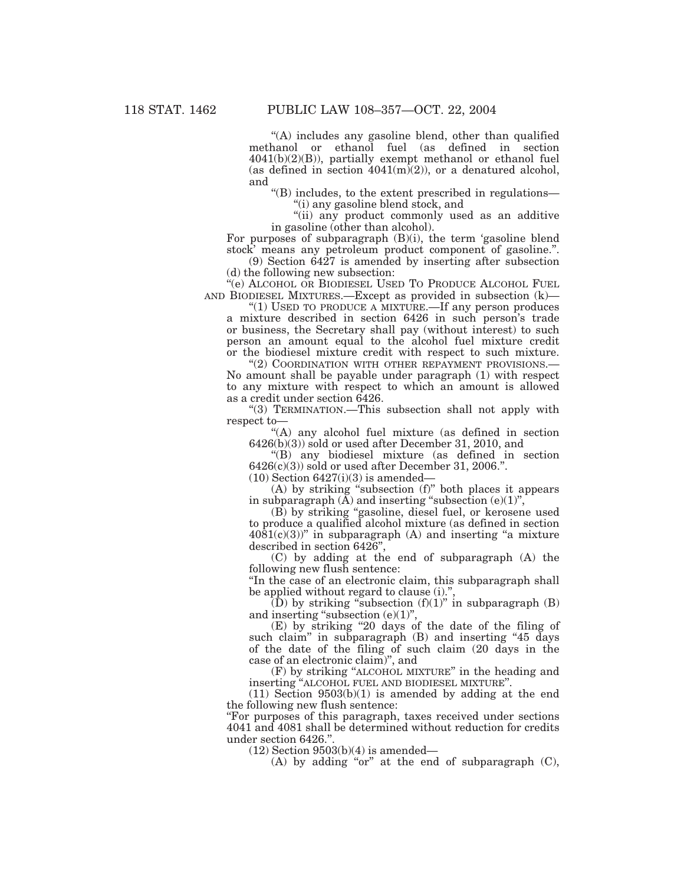"(A) includes any gasoline blend, other than qualified methanol or ethanol fuel (as defined in section 4041(b)(2)(B)), partially exempt methanol or ethanol fuel (as defined in section  $4041(m)(2)$ ), or a denatured alcohol, and

''(B) includes, to the extent prescribed in regulations—

''(i) any gasoline blend stock, and

"(ii) any product commonly used as an additive in gasoline (other than alcohol).

For purposes of subparagraph  $(B)(i)$ , the term 'gasoline blend stock' means any petroleum product component of gasoline.''.

(9) Section 6427 is amended by inserting after subsection (d) the following new subsection:

''(e) ALCOHOL OR BIODIESEL USED TO PRODUCE ALCOHOL FUEL AND BIODIESEL MIXTURES.—Except as provided in subsection (k)—

"(1) USED TO PRODUCE A MIXTURE.—If any person produces a mixture described in section 6426 in such person's trade or business, the Secretary shall pay (without interest) to such person an amount equal to the alcohol fuel mixture credit or the biodiesel mixture credit with respect to such mixture.

"(2) COORDINATION WITH OTHER REPAYMENT PROVISIONS.-No amount shall be payable under paragraph (1) with respect to any mixture with respect to which an amount is allowed as a credit under section 6426.

''(3) TERMINATION.—This subsection shall not apply with respect to—

''(A) any alcohol fuel mixture (as defined in section 6426(b)(3)) sold or used after December 31, 2010, and

''(B) any biodiesel mixture (as defined in section 6426(c)(3)) sold or used after December 31, 2006.''.

 $(10)$  Section  $6427(i)(3)$  is amended—

(A) by striking ''subsection (f)'' both places it appears in subparagraph  $(\overline{A})$  and inserting "subsection  $(e)(1)$ ",

(B) by striking ''gasoline, diesel fuel, or kerosene used to produce a qualified alcohol mixture (as defined in section  $4081(c)(3)$ " in subparagraph (A) and inserting "a mixture described in section 6426'',

(C) by adding at the end of subparagraph (A) the following new flush sentence:

''In the case of an electronic claim, this subparagraph shall be applied without regard to clause  $(i)$ ."

 $\overline{(D)}$  by striking "subsection  $(f)(1)$ " in subparagraph  $(B)$ and inserting "subsection (e)(1)",

(E) by striking ''20 days of the date of the filing of such claim" in subparagraph (B) and inserting "45 days of the date of the filing of such claim (20 days in the case of an electronic claim)'', and

(F) by striking ''ALCOHOL MIXTURE'' in the heading and inserting ''ALCOHOL FUEL AND BIODIESEL MIXTURE''.

 $(11)$  Section  $9503(b)(1)$  is amended by adding at the end the following new flush sentence:

''For purposes of this paragraph, taxes received under sections 4041 and 4081 shall be determined without reduction for credits under section 6426.''.

 $(12)$  Section 9503(b)(4) is amended—

(A) by adding "or" at the end of subparagraph  $(C)$ ,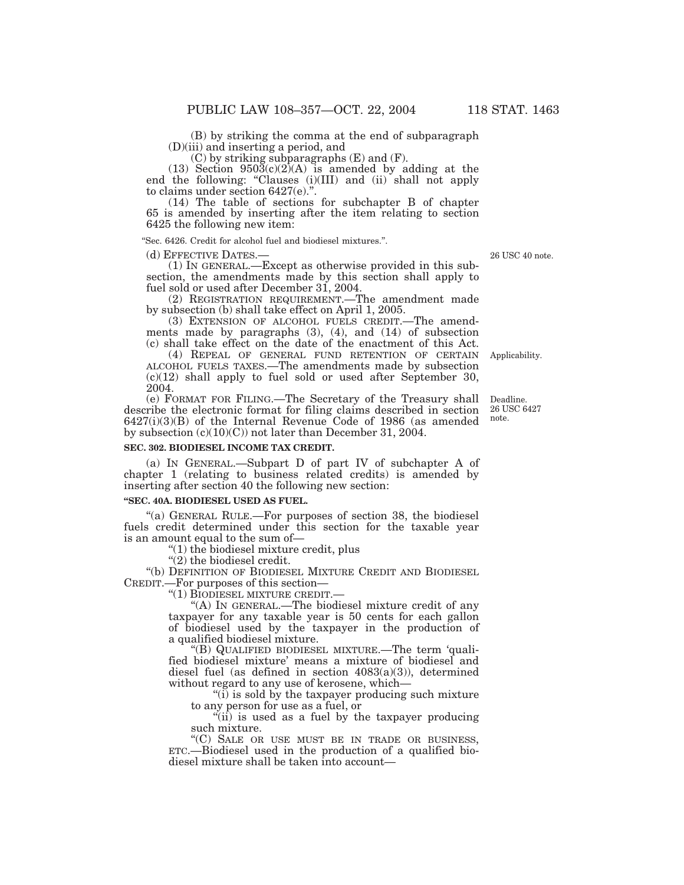(B) by striking the comma at the end of subparagraph (D)(iii) and inserting a period, and

(C) by striking subparagraphs (E) and (F).

(13) Section  $950\overline{3}(c)(2)(A)$  is amended by adding at the end the following: "Clauses (i)(III) and (ii) shall not apply to claims under section 6427(e).''.

(14) The table of sections for subchapter B of chapter 65 is amended by inserting after the item relating to section 6425 the following new item:

''Sec. 6426. Credit for alcohol fuel and biodiesel mixtures.''.

(d) EFFECTIVE DATES.—<br>(1) IN GENERAL.—Except as otherwise provided in this subsection, the amendments made by this section shall apply to fuel sold or used after December 31, 2004.

(2) REGISTRATION REQUIREMENT.—The amendment made by subsection (b) shall take effect on April 1, 2005.

(3) EXTENSION OF ALCOHOL FUELS CREDIT.—The amendments made by paragraphs (3), (4), and (14) of subsection (c) shall take effect on the date of the enactment of this Act.

(4) REPEAL OF GENERAL FUND RETENTION OF CERTAIN ALCOHOL FUELS TAXES.—The amendments made by subsection  $(c)(12)$  shall apply to fuel sold or used after September 30, 2004. Applicability.

(e) FORMAT FOR FILING.—The Secretary of the Treasury shall describe the electronic format for filing claims described in section 6427(i)(3)(B) of the Internal Revenue Code of 1986 (as amended by subsection  $(c)(10)(C)$  not later than December 31, 2004.

#### **SEC. 302. BIODIESEL INCOME TAX CREDIT.**

(a) IN GENERAL.—Subpart D of part IV of subchapter A of chapter 1 (relating to business related credits) is amended by inserting after section 40 the following new section:

# **''SEC. 40A. BIODIESEL USED AS FUEL.**

"(a) GENERAL RULE.—For purposes of section 38, the biodiesel fuels credit determined under this section for the taxable year is an amount equal to the sum of—

''(1) the biodiesel mixture credit, plus

" $(2)$  the biodiesel credit.

''(b) DEFINITION OF BIODIESEL MIXTURE CREDIT AND BIODIESEL CREDIT.—For purposes of this section—

''(1) BIODIESEL MIXTURE CREDIT.—

''(A) IN GENERAL.—The biodiesel mixture credit of any taxpayer for any taxable year is 50 cents for each gallon of biodiesel used by the taxpayer in the production of a qualified biodiesel mixture.

''(B) QUALIFIED BIODIESEL MIXTURE.—The term 'qualified biodiesel mixture' means a mixture of biodiesel and diesel fuel (as defined in section 4083(a)(3)), determined without regard to any use of kerosene, which—

"(i) is sold by the taxpayer producing such mixture to any person for use as a fuel, or

''(ii) is used as a fuel by the taxpayer producing such mixture.

''(C) SALE OR USE MUST BE IN TRADE OR BUSINESS, ETC.—Biodiesel used in the production of a qualified biodiesel mixture shall be taken into account—

Deadline. 26 USC 6427 note.

26 USC 40 note.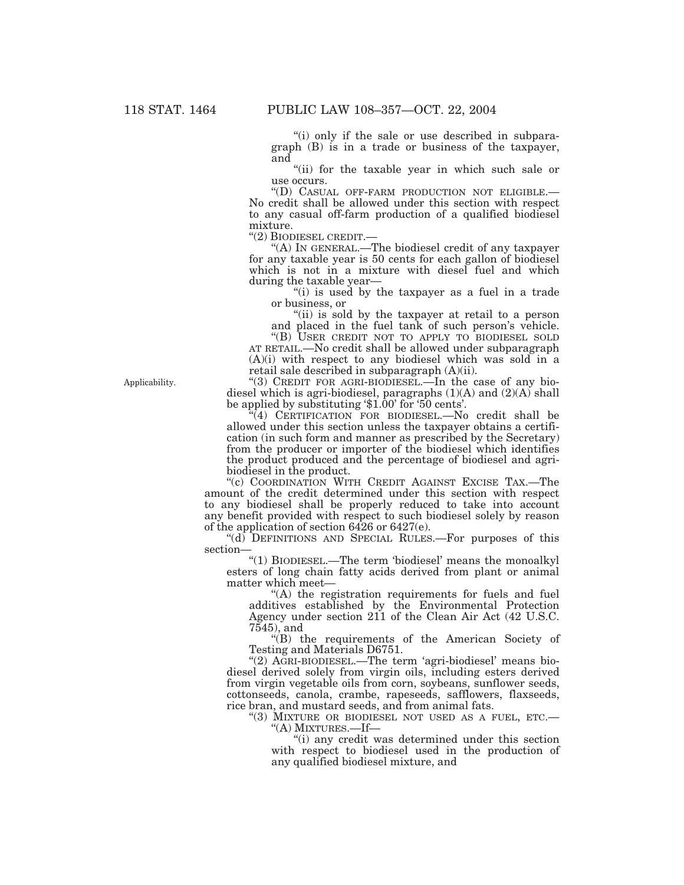"(i) only if the sale or use described in subparagraph (B) is in a trade or business of the taxpayer, and

''(ii) for the taxable year in which such sale or use occurs.

''(D) CASUAL OFF-FARM PRODUCTION NOT ELIGIBLE.— No credit shall be allowed under this section with respect to any casual off-farm production of a qualified biodiesel mixture.

''(2) BIODIESEL CREDIT.—

''(A) IN GENERAL.—The biodiesel credit of any taxpayer for any taxable year is 50 cents for each gallon of biodiesel which is not in a mixture with diesel fuel and which during the taxable year—

''(i) is used by the taxpayer as a fuel in a trade or business, or

''(ii) is sold by the taxpayer at retail to a person and placed in the fuel tank of such person's vehicle.

''(B) USER CREDIT NOT TO APPLY TO BIODIESEL SOLD AT RETAIL.—No credit shall be allowed under subparagraph (A)(i) with respect to any biodiesel which was sold in a retail sale described in subparagraph (A)(ii).

''(3) CREDIT FOR AGRI-BIODIESEL.—In the case of any biodiesel which is agri-biodiesel, paragraphs (1)(A) and (2)(A) shall be applied by substituting '\$1.00' for '50 cents'.

''(4) CERTIFICATION FOR BIODIESEL.—No credit shall be allowed under this section unless the taxpayer obtains a certification (in such form and manner as prescribed by the Secretary) from the producer or importer of the biodiesel which identifies the product produced and the percentage of biodiesel and agribiodiesel in the product.

''(c) COORDINATION WITH CREDIT AGAINST EXCISE TAX.—The amount of the credit determined under this section with respect to any biodiesel shall be properly reduced to take into account any benefit provided with respect to such biodiesel solely by reason of the application of section 6426 or 6427(e).

"(d) DEFINITIONS AND SPECIAL RULES.—For purposes of this section—

''(1) BIODIESEL.—The term 'biodiesel' means the monoalkyl esters of long chain fatty acids derived from plant or animal matter which meet—

"(A) the registration requirements for fuels and fuel additives established by the Environmental Protection Agency under section 211 of the Clean Air Act (42 U.S.C. 7545), and

''(B) the requirements of the American Society of Testing and Materials D6751.

"(2) AGRI-BIODIESEL.—The term 'agri-biodiesel' means biodiesel derived solely from virgin oils, including esters derived from virgin vegetable oils from corn, soybeans, sunflower seeds, cottonseeds, canola, crambe, rapeseeds, safflowers, flaxseeds, rice bran, and mustard seeds, and from animal fats.

"(3) MIXTURE OR BIODIESEL NOT USED AS A FUEL, ETC.-''(A) MIXTURES.—If—

''(i) any credit was determined under this section with respect to biodiesel used in the production of any qualified biodiesel mixture, and

Applicability.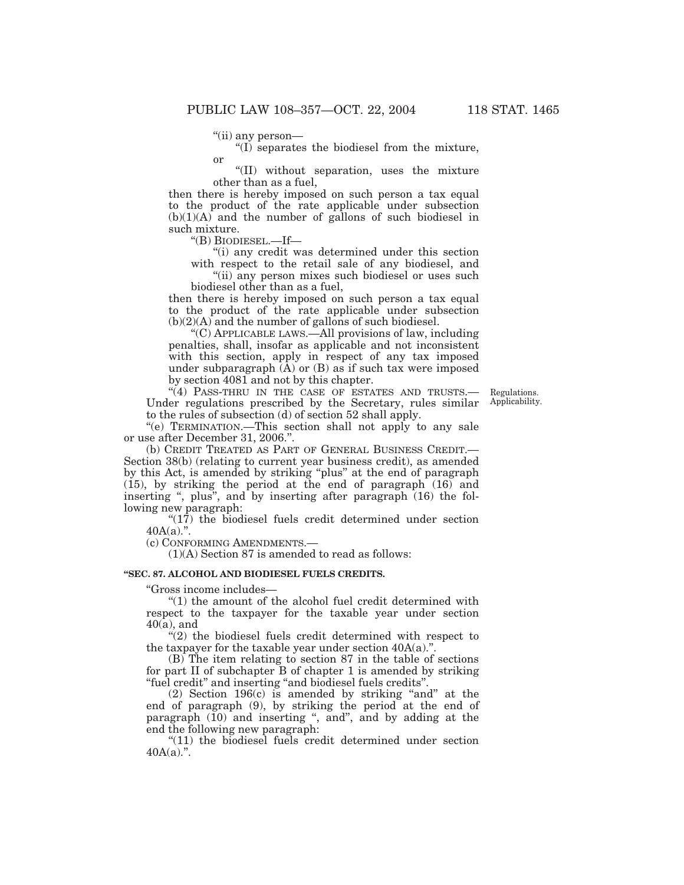''(ii) any person—

''(I) separates the biodiesel from the mixture, or

''(II) without separation, uses the mixture other than as a fuel,

then there is hereby imposed on such person a tax equal to the product of the rate applicable under subsection  $(b)(1)(A)$  and the number of gallons of such biodiesel in such mixture.

''(B) BIODIESEL.—If—

''(i) any credit was determined under this section with respect to the retail sale of any biodiesel, and

"(ii) any person mixes such biodiesel or uses such biodiesel other than as a fuel,

then there is hereby imposed on such person a tax equal to the product of the rate applicable under subsection (b)(2)(A) and the number of gallons of such biodiesel.

''(C) APPLICABLE LAWS.—All provisions of law, including penalties, shall, insofar as applicable and not inconsistent with this section, apply in respect of any tax imposed under subparagraph (A) or (B) as if such tax were imposed by section 4081 and not by this chapter.

"(4) PASS-THRU IN THE CASE OF ESTATES AND TRUSTS.— Under regulations prescribed by the Secretary, rules similar Applicability. to the rules of subsection (d) of section 52 shall apply.

Regulations.

''(e) TERMINATION.—This section shall not apply to any sale or use after December 31, 2006.''.

(b) CREDIT TREATED AS PART OF GENERAL BUSINESS CREDIT.— Section 38(b) (relating to current year business credit), as amended by this Act, is amended by striking ''plus'' at the end of paragraph  $(15)$ , by striking the period at the end of paragraph  $(16)$  and inserting ", plus", and by inserting after paragraph (16) the following new paragraph:

 $(17)$  the biodiesel fuels credit determined under section  $40A(a)$ .".

(c) CONFORMING AMENDMENTS.—

(1)(A) Section 87 is amended to read as follows:

# **''SEC. 87. ALCOHOL AND BIODIESEL FUELS CREDITS.**

''Gross income includes—

''(1) the amount of the alcohol fuel credit determined with respect to the taxpayer for the taxable year under section  $40(a)$ , and

 $(2)$  the biodiesel fuels credit determined with respect to the taxpayer for the taxable year under section  $40A(a)$ ."

(B) The item relating to section 87 in the table of sections for part II of subchapter B of chapter 1 is amended by striking "fuel credit" and inserting "and biodiesel fuels credits".

 $(2)$  Section 196 $(c)$  is amended by striking "and" at the end of paragraph (9), by striking the period at the end of paragraph (10) and inserting ", and", and by adding at the end the following new paragraph:

''(11) the biodiesel fuels credit determined under section  $40A(a)$ .".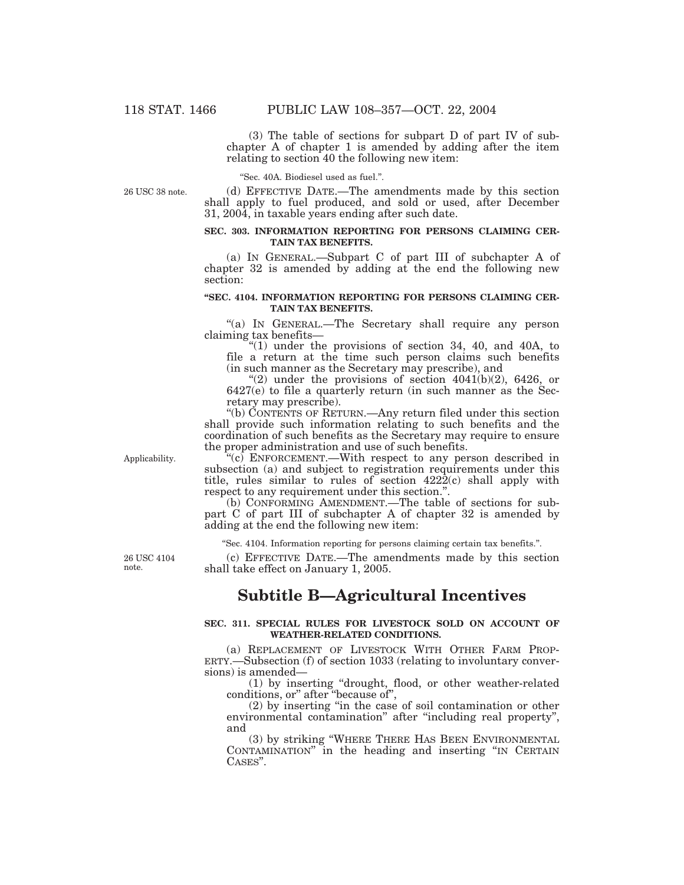(3) The table of sections for subpart D of part IV of subchapter A of chapter 1 is amended by adding after the item relating to section 40 the following new item:

''Sec. 40A. Biodiesel used as fuel.''.

26 USC 38 note.

(d) EFFECTIVE DATE.—The amendments made by this section shall apply to fuel produced, and sold or used, after December 31, 2004, in taxable years ending after such date.

### **SEC. 303. INFORMATION REPORTING FOR PERSONS CLAIMING CER-TAIN TAX BENEFITS.**

(a) IN GENERAL.—Subpart C of part III of subchapter A of chapter 32 is amended by adding at the end the following new section:

#### **''SEC. 4104. INFORMATION REPORTING FOR PERSONS CLAIMING CER-TAIN TAX BENEFITS.**

"(a) IN GENERAL.—The Secretary shall require any person claiming tax benefits—

" $(1)$  under the provisions of section 34, 40, and 40A, to file a return at the time such person claims such benefits (in such manner as the Secretary may prescribe), and

" $(2)$  under the provisions of section 4041 $(b)(2)$ , 6426, or 6427(e) to file a quarterly return (in such manner as the Secretary may prescribe).

''(b) CONTENTS OF RETURN.—Any return filed under this section shall provide such information relating to such benefits and the coordination of such benefits as the Secretary may require to ensure the proper administration and use of such benefits.

Applicability.

26 USC 4104 note.

''(c) ENFORCEMENT.—With respect to any person described in subsection (a) and subject to registration requirements under this title, rules similar to rules of section 4222(c) shall apply with respect to any requirement under this section.''.

(b) CONFORMING AMENDMENT.—The table of sections for subpart C of part III of subchapter A of chapter 32 is amended by adding at the end the following new item:

''Sec. 4104. Information reporting for persons claiming certain tax benefits.''.

(c) EFFECTIVE DATE.—The amendments made by this section shall take effect on January 1, 2005.

# **Subtitle B—Agricultural Incentives**

# **SEC. 311. SPECIAL RULES FOR LIVESTOCK SOLD ON ACCOUNT OF WEATHER-RELATED CONDITIONS.**

(a) REPLACEMENT OF LIVESTOCK WITH OTHER FARM PROP-ERTY.—Subsection (f) of section 1033 (relating to involuntary conversions) is amended—

(1) by inserting ''drought, flood, or other weather-related conditions, or'' after ''because of'',

(2) by inserting ''in the case of soil contamination or other environmental contamination" after "including real property", and

(3) by striking ''WHERE THERE HAS BEEN ENVIRONMENTAL CONTAMINATION'' in the heading and inserting ''IN CERTAIN CASES''.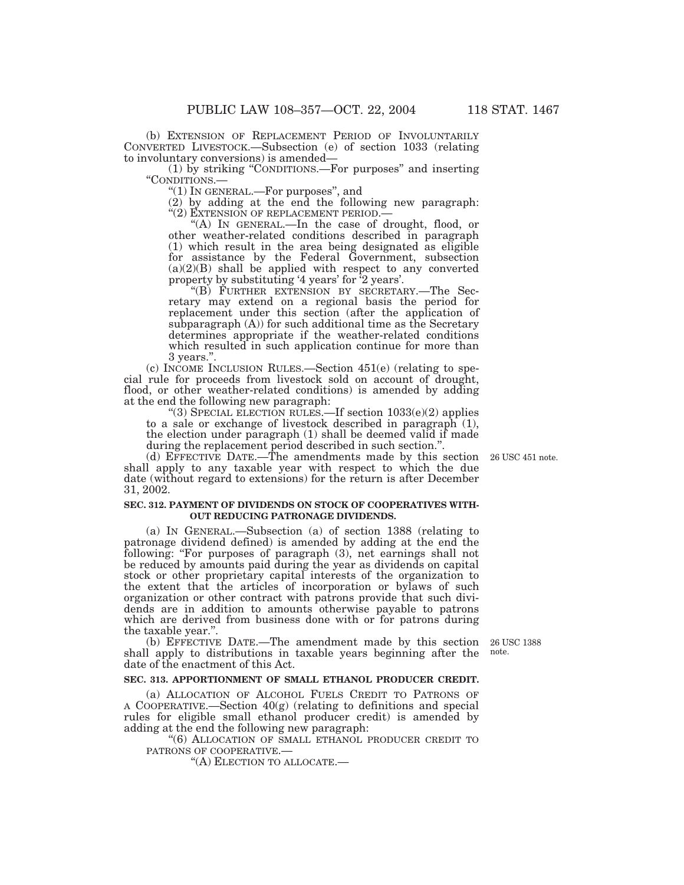(b) EXTENSION OF REPLACEMENT PERIOD OF INVOLUNTARILY CONVERTED LIVESTOCK.—Subsection (e) of section 1033 (relating to involuntary conversions) is amended—

(1) by striking ''CONDITIONS.—For purposes'' and inserting

" $(1)$  In GENERAL.—For purposes", and

(2) by adding at the end the following new paragraph:  $\degree$ (2) EXTENSION OF REPLACEMENT PERIOD.—

"(A) IN GENERAL.—In the case of drought, flood, or other weather-related conditions described in paragraph (1) which result in the area being designated as eligible for assistance by the Federal Government, subsection (a)(2)(B) shall be applied with respect to any converted property by substituting '4 years' for '2 years'.

''(B) FURTHER EXTENSION BY SECRETARY.—The Secretary may extend on a regional basis the period for replacement under this section (after the application of subparagraph (A)) for such additional time as the Secretary determines appropriate if the weather-related conditions which resulted in such application continue for more than 3 years.''.

(c) INCOME INCLUSION RULES.—Section 451(e) (relating to special rule for proceeds from livestock sold on account of drought, flood, or other weather-related conditions) is amended by adding at the end the following new paragraph:

''(3) SPECIAL ELECTION RULES.—If section 1033(e)(2) applies to a sale or exchange of livestock described in paragraph (1), the election under paragraph (1) shall be deemed valid if made during the replacement period described in such section.''.

(d) EFFECTIVE DATE.—The amendments made by this section 26 USC 451 note. shall apply to any taxable year with respect to which the due date (without regard to extensions) for the return is after December 31, 2002.

# **SEC. 312. PAYMENT OF DIVIDENDS ON STOCK OF COOPERATIVES WITH-OUT REDUCING PATRONAGE DIVIDENDS.**

(a) IN GENERAL.—Subsection (a) of section 1388 (relating to patronage dividend defined) is amended by adding at the end the following: ''For purposes of paragraph (3), net earnings shall not be reduced by amounts paid during the year as dividends on capital stock or other proprietary capital interests of the organization to the extent that the articles of incorporation or bylaws of such organization or other contract with patrons provide that such dividends are in addition to amounts otherwise payable to patrons which are derived from business done with or for patrons during the taxable year."

note.

(b) EFFECTIVE DATE.—The amendment made by this section 26 USC 1388 shall apply to distributions in taxable years beginning after the date of the enactment of this Act.

# **SEC. 313. APPORTIONMENT OF SMALL ETHANOL PRODUCER CREDIT.**

(a) ALLOCATION OF ALCOHOL FUELS CREDIT TO PATRONS OF A COOPERATIVE.—Section 40(g) (relating to definitions and special rules for eligible small ethanol producer credit) is amended by adding at the end the following new paragraph:

''(6) ALLOCATION OF SMALL ETHANOL PRODUCER CREDIT TO PATRONS OF COOPERATIVE.—

''(A) ELECTION TO ALLOCATE.—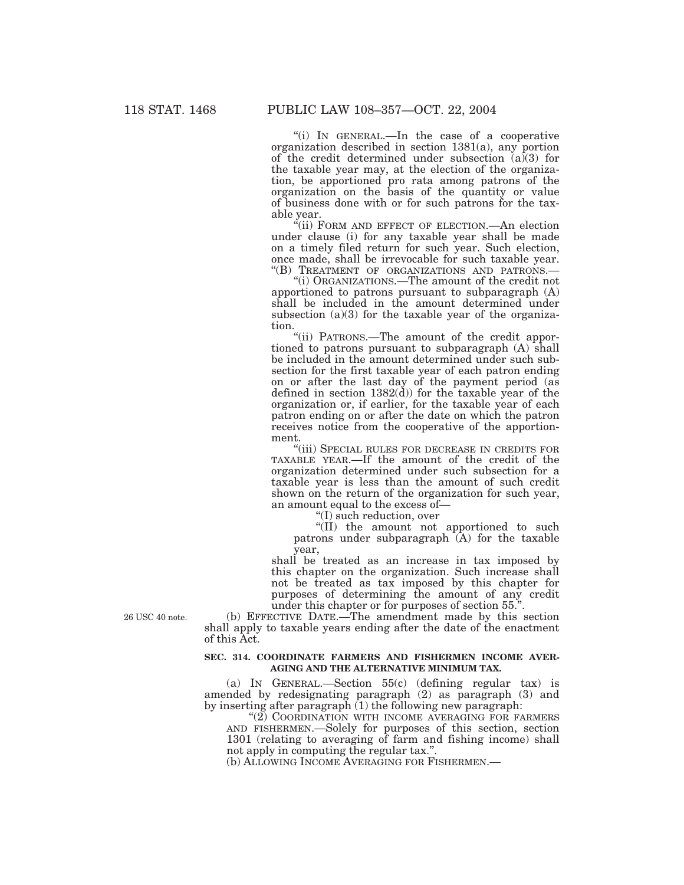''(i) IN GENERAL.—In the case of a cooperative organization described in section 1381(a), any portion of the credit determined under subsection  $(a)(3)$  for the taxable year may, at the election of the organization, be apportioned pro rata among patrons of the organization on the basis of the quantity or value of business done with or for such patrons for the taxable year.

 $\mathbb{F}$ (ii) FORM AND EFFECT OF ELECTION.—An election under clause (i) for any taxable year shall be made on a timely filed return for such year. Such election, once made, shall be irrevocable for such taxable year. ''(B) TREATMENT OF ORGANIZATIONS AND PATRONS.—

''(i) ORGANIZATIONS.—The amount of the credit not apportioned to patrons pursuant to subparagraph (A) shall be included in the amount determined under subsection (a)(3) for the taxable year of the organization.

''(ii) PATRONS.—The amount of the credit apportioned to patrons pursuant to subparagraph (A) shall be included in the amount determined under such subsection for the first taxable year of each patron ending on or after the last day of the payment period (as defined in section  $1382(\tilde{d})$  for the taxable year of the organization or, if earlier, for the taxable year of each patron ending on or after the date on which the patron receives notice from the cooperative of the apportionment.

''(iii) SPECIAL RULES FOR DECREASE IN CREDITS FOR TAXABLE YEAR.—If the amount of the credit of the organization determined under such subsection for a taxable year is less than the amount of such credit shown on the return of the organization for such year, an amount equal to the excess of—

''(I) such reduction, over

''(II) the amount not apportioned to such patrons under subparagraph  $(A)$  for the taxable year,

shall be treated as an increase in tax imposed by this chapter on the organization. Such increase shall not be treated as tax imposed by this chapter for purposes of determining the amount of any credit under this chapter or for purposes of section 55.''.

26 USC 40 note.

(b) EFFECTIVE DATE.—The amendment made by this section shall apply to taxable years ending after the date of the enactment of this Act.

# **SEC. 314. COORDINATE FARMERS AND FISHERMEN INCOME AVER-AGING AND THE ALTERNATIVE MINIMUM TAX.**

(a) IN GENERAL.—Section 55(c) (defining regular tax) is amended by redesignating paragraph (2) as paragraph (3) and by inserting after paragraph (1) the following new paragraph:

"(2) COORDINATION WITH INCOME AVERAGING FOR FARMERS AND FISHERMEN.—Solely for purposes of this section, section 1301 (relating to averaging of farm and fishing income) shall not apply in computing the regular tax.''.

(b) ALLOWING INCOME AVERAGING FOR FISHERMEN.—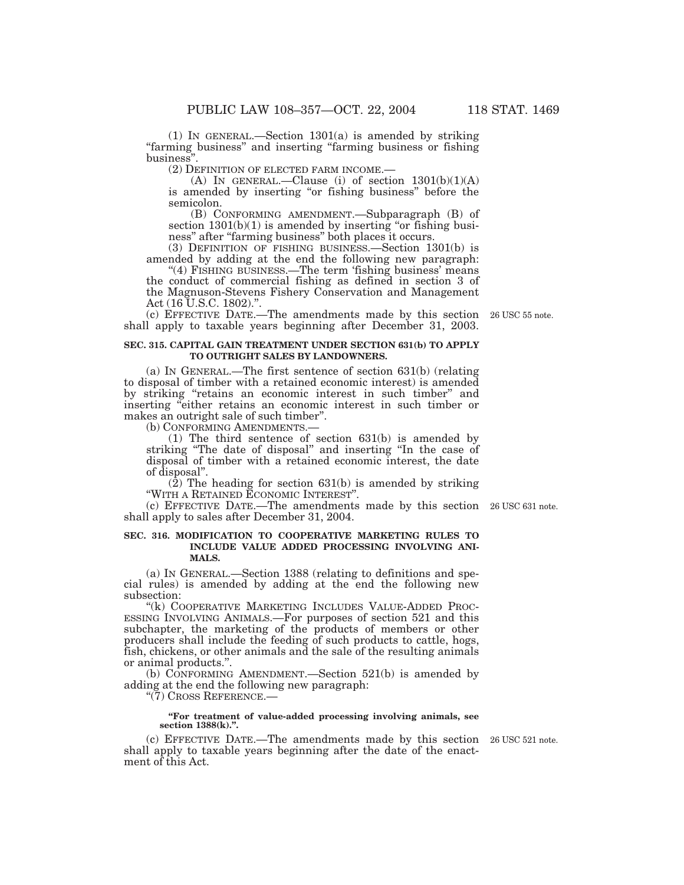(2) DEFINITION OF ELECTED FARM INCOME.—

(A) IN GENERAL.—Clause (i) of section  $1301(b)(1)(A)$ is amended by inserting ''or fishing business'' before the semicolon.

(B) CONFORMING AMENDMENT.—Subparagraph (B) of section  $1301(b)(1)$  is amended by inserting "or fishing business" after "farming business" both places it occurs.

(3) DEFINITION OF FISHING BUSINESS.—Section 1301(b) is amended by adding at the end the following new paragraph:

"(4) FISHING BUSINESS.—The term 'fishing business' means the conduct of commercial fishing as defined in section 3 of the Magnuson-Stevens Fishery Conservation and Management Act (16 U.S.C. 1802).''.

(c) EFFECTIVE DATE.—The amendments made by this section 26 USC 55 note. shall apply to taxable years beginning after December 31, 2003.

#### **SEC. 315. CAPITAL GAIN TREATMENT UNDER SECTION 631(b) TO APPLY TO OUTRIGHT SALES BY LANDOWNERS.**

(a) IN GENERAL.—The first sentence of section 631(b) (relating to disposal of timber with a retained economic interest) is amended by striking ''retains an economic interest in such timber'' and inserting ''either retains an economic interest in such timber or makes an outright sale of such timber''.

(b) CONFORMING AMENDMENTS.

(1) The third sentence of section 631(b) is amended by striking "The date of disposal" and inserting "In the case of disposal of timber with a retained economic interest, the date of disposal''.

(2) The heading for section 631(b) is amended by striking ''WITH A RETAINED ECONOMIC INTEREST''.

(c) EFFECTIVE DATE.—The amendments made by this section 26 USC 631 note. shall apply to sales after December 31, 2004.

# **SEC. 316. MODIFICATION TO COOPERATIVE MARKETING RULES TO INCLUDE VALUE ADDED PROCESSING INVOLVING ANI-MALS.**

(a) IN GENERAL.—Section 1388 (relating to definitions and special rules) is amended by adding at the end the following new subsection:

"(k) COOPERATIVE MARKETING INCLUDES VALUE-ADDED PROC-ESSING INVOLVING ANIMALS.—For purposes of section 521 and this subchapter, the marketing of the products of members or other producers shall include the feeding of such products to cattle, hogs, fish, chickens, or other animals and the sale of the resulting animals or animal products.''.

(b) CONFORMING AMENDMENT.—Section 521(b) is amended by adding at the end the following new paragraph:

''(7) CROSS REFERENCE.—

#### **''For treatment of value-added processing involving animals, see section 1388(k).''.**

(c) EFFECTIVE DATE.—The amendments made by this section 26 USC 521 note. shall apply to taxable years beginning after the date of the enactment of this Act.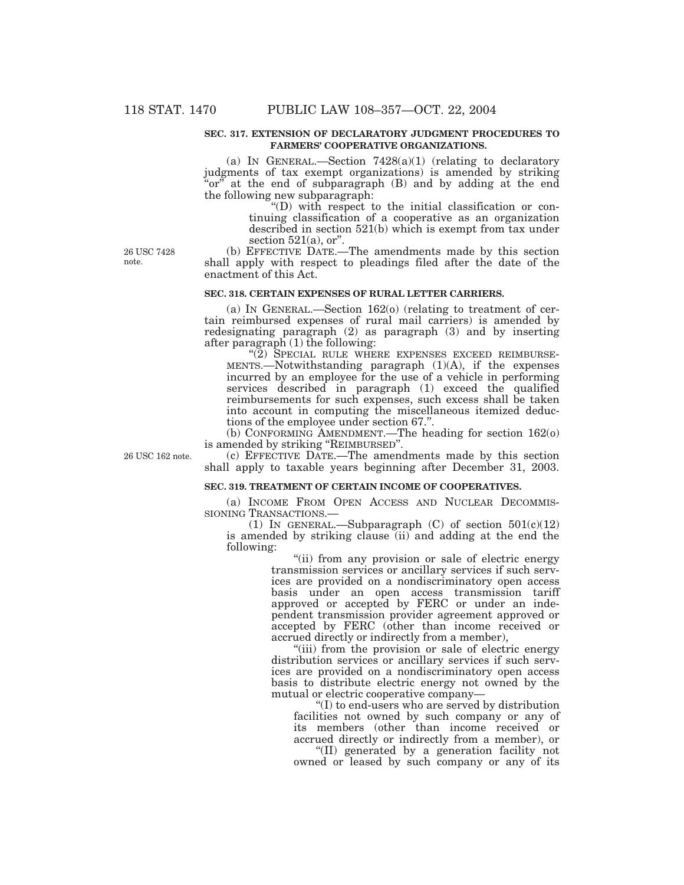# **SEC. 317. EXTENSION OF DECLARATORY JUDGMENT PROCEDURES TO FARMERS' COOPERATIVE ORGANIZATIONS.**

(a) IN GENERAL.—Section  $7428(a)(1)$  (relating to declaratory judgments of tax exempt organizations) is amended by striking " $or$ " at the end of subparagraph (B) and by adding at the end the following new subparagraph:

> ''(D) with respect to the initial classification or continuing classification of a cooperative as an organization described in section 521(b) which is exempt from tax under section  $521(a)$ , or".

26 USC 7428 note.

(b) EFFECTIVE DATE.—The amendments made by this section shall apply with respect to pleadings filed after the date of the enactment of this Act.

# **SEC. 318. CERTAIN EXPENSES OF RURAL LETTER CARRIERS.**

(a) IN GENERAL.—Section 162(o) (relating to treatment of certain reimbursed expenses of rural mail carriers) is amended by redesignating paragraph (2) as paragraph (3) and by inserting after paragraph  $(1)$  the following:

"(2) SPECIAL RULE WHERE EXPENSES EXCEED REIMBURSE- $MENTS.$ —Notwithstanding paragraph  $(1)(A)$ , if the expenses incurred by an employee for the use of a vehicle in performing services described in paragraph (1) exceed the qualified reimbursements for such expenses, such excess shall be taken into account in computing the miscellaneous itemized deductions of the employee under section 67.''.

(b) CONFORMING AMENDMENT.—The heading for section 162(o) is amended by striking ''REIMBURSED''.

26 USC 162 note.

# (c) EFFECTIVE DATE.—The amendments made by this section shall apply to taxable years beginning after December 31, 2003.

#### **SEC. 319. TREATMENT OF CERTAIN INCOME OF COOPERATIVES.**

(a) INCOME FROM OPEN ACCESS AND NUCLEAR DECOMMIS-SIONING TRANSACTIONS.—

(1) IN GENERAL.—Subparagraph  $(C)$  of section  $501(c)(12)$ is amended by striking clause (ii) and adding at the end the following:

"(ii) from any provision or sale of electric energy transmission services or ancillary services if such services are provided on a nondiscriminatory open access basis under an open access transmission tariff approved or accepted by FERC or under an independent transmission provider agreement approved or accepted by FERC (other than income received or accrued directly or indirectly from a member),

''(iii) from the provision or sale of electric energy distribution services or ancillary services if such services are provided on a nondiscriminatory open access basis to distribute electric energy not owned by the mutual or electric cooperative company—

''(I) to end-users who are served by distribution facilities not owned by such company or any of its members (other than income received or accrued directly or indirectly from a member), or

''(II) generated by a generation facility not owned or leased by such company or any of its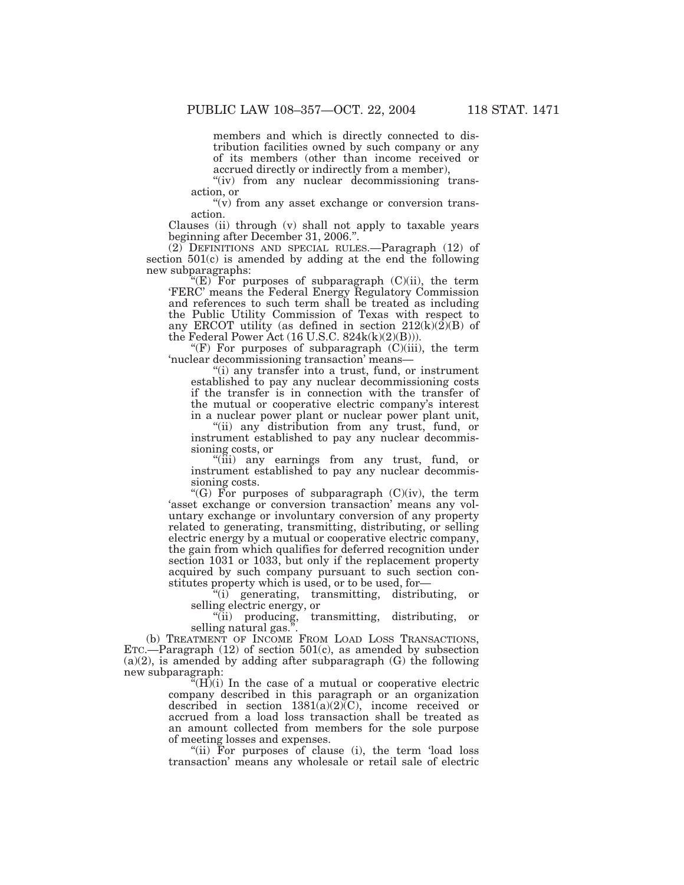members and which is directly connected to distribution facilities owned by such company or any of its members (other than income received or accrued directly or indirectly from a member),

"(iv) from any nuclear decommissioning transaction, or

"(v) from any asset exchange or conversion transaction.

Clauses (ii) through (v) shall not apply to taxable years beginning after December 31, 2006.''.

(2) DEFINITIONS AND SPECIAL RULES.—Paragraph (12) of section 501(c) is amended by adding at the end the following new subparagraphs:

" $(E)$  For purposes of subparagraph  $(C)(ii)$ , the term 'FERC' means the Federal Energy Regulatory Commission and references to such term shall be treated as including the Public Utility Commission of Texas with respect to any ERCOT utility (as defined in section  $212(k)(2)(B)$  of the Federal Power Act (16 U.S.C. 824k(k)(2)(B))).

" $(F)$  For purposes of subparagraph  $(C)(iii)$ , the term 'nuclear decommissioning transaction' means—

''(i) any transfer into a trust, fund, or instrument established to pay any nuclear decommissioning costs if the transfer is in connection with the transfer of the mutual or cooperative electric company's interest in a nuclear power plant or nuclear power plant unit,

''(ii) any distribution from any trust, fund, or instrument established to pay any nuclear decommissioning costs, or

''(iii) any earnings from any trust, fund, or instrument established to pay any nuclear decommissioning costs.

"(G) For purposes of subparagraph  $(C)(iv)$ , the term 'asset exchange or conversion transaction' means any voluntary exchange or involuntary conversion of any property related to generating, transmitting, distributing, or selling electric energy by a mutual or cooperative electric company, the gain from which qualifies for deferred recognition under section 1031 or 1033, but only if the replacement property acquired by such company pursuant to such section constitutes property which is used, or to be used, for—

''(i) generating, transmitting, distributing, or selling electric energy, or

''(ii) producing, transmitting, distributing, or selling natural gas.''.

(b) TREATMENT OF INCOME FROM LOAD LOSS TRANSACTIONS, ETC.—Paragraph  $(12)$  of section  $501(c)$ , as amended by subsection  $(a)(2)$ , is amended by adding after subparagraph  $(G)$  the following new subparagraph:

 $\mathbb{F}(H)(i)$  In the case of a mutual or cooperative electric company described in this paragraph or an organization described in section  $1381(a)(2)(C)$ , income received or accrued from a load loss transaction shall be treated as an amount collected from members for the sole purpose of meeting losses and expenses.

"(ii) For purposes of clause (i), the term 'load loss transaction' means any wholesale or retail sale of electric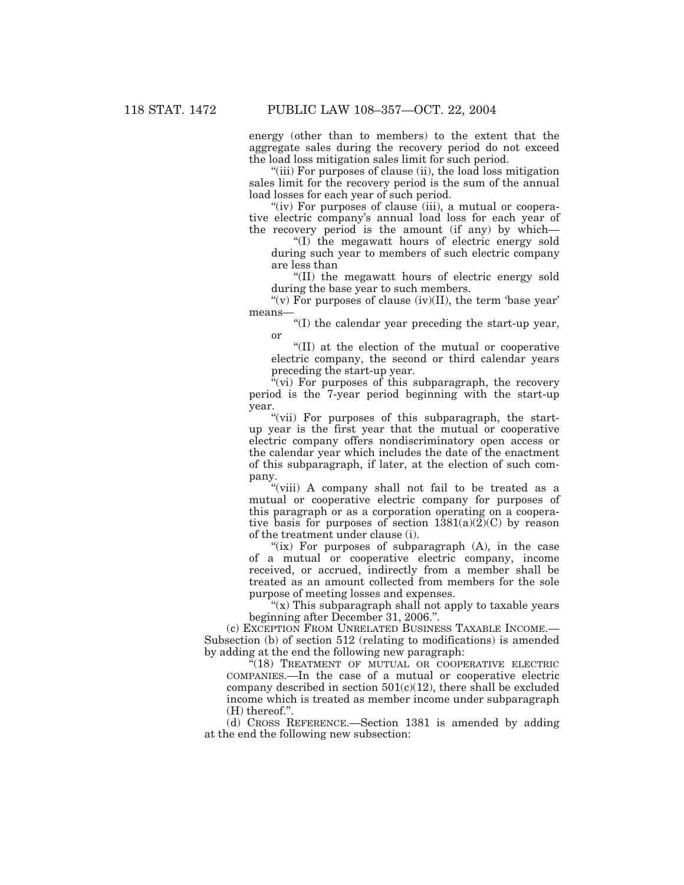energy (other than to members) to the extent that the aggregate sales during the recovery period do not exceed the load loss mitigation sales limit for such period.

"(iii) For purposes of clause (ii), the load loss mitigation sales limit for the recovery period is the sum of the annual load losses for each year of such period.

"(iv) For purposes of clause (iii), a mutual or cooperative electric company's annual load loss for each year of the recovery period is the amount (if any) by which—

''(I) the megawatt hours of electric energy sold during such year to members of such electric company are less than

''(II) the megawatt hours of electric energy sold during the base year to such members.

"(v) For purposes of clause  $(iv)(II)$ , the term 'base year' means—

''(I) the calendar year preceding the start-up year, or

''(II) at the election of the mutual or cooperative electric company, the second or third calendar years preceding the start-up year.

 $\sqrt[n]{f}$  (vi) For purposes of this subparagraph, the recovery period is the 7-year period beginning with the start-up year.

"(vii) For purposes of this subparagraph, the startup year is the first year that the mutual or cooperative electric company offers nondiscriminatory open access or the calendar year which includes the date of the enactment of this subparagraph, if later, at the election of such company.

"(viii) A company shall not fail to be treated as a mutual or cooperative electric company for purposes of this paragraph or as a corporation operating on a cooperative basis for purposes of section  $1\overline{3}81(a)(2)(C)$  by reason of the treatment under clause (i).

" $(ix)$  For purposes of subparagraph  $(A)$ , in the case of a mutual or cooperative electric company, income received, or accrued, indirectly from a member shall be treated as an amount collected from members for the sole purpose of meeting losses and expenses.

"(x) This subparagraph shall not apply to taxable years beginning after December 31, 2006.''.

(c) EXCEPTION FROM UNRELATED BUSINESS TAXABLE INCOME.— Subsection (b) of section 512 (relating to modifications) is amended by adding at the end the following new paragraph:

 $(18)$  TREATMENT OF MUTUAL OR COOPERATIVE ELECTRIC COMPANIES.—In the case of a mutual or cooperative electric company described in section  $501(c)(12)$ , there shall be excluded income which is treated as member income under subparagraph (H) thereof.''.

(d) CROSS REFERENCE.—Section 1381 is amended by adding at the end the following new subsection: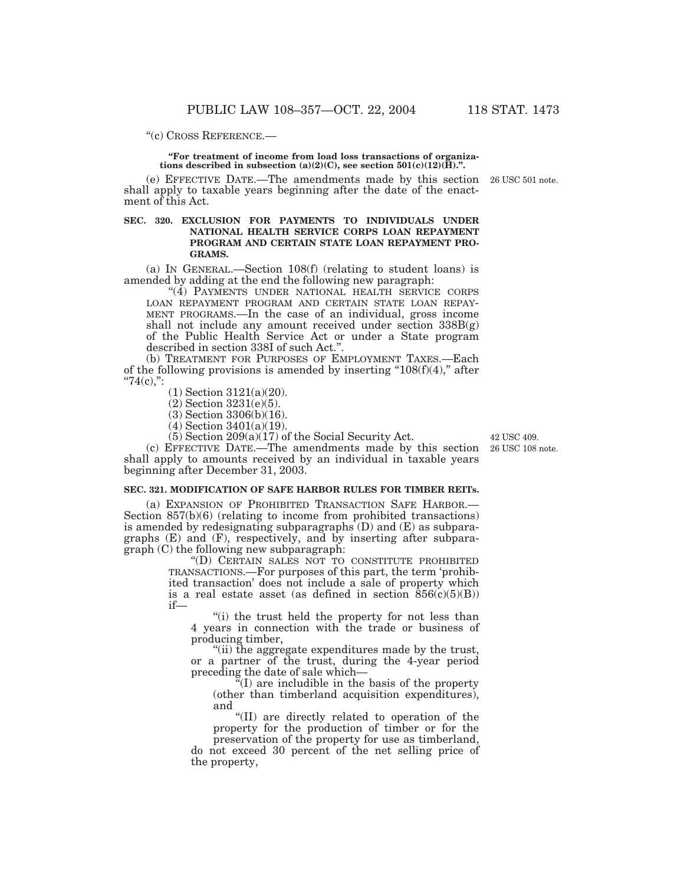#### **''For treatment of income from load loss transactions of organiza**tions described in subsection  $(a)(2)(C)$ , see section  $501(c)(12)(H)$ .".

(e) EFFECTIVE DATE.—The amendments made by this section 26 USC 501 note. shall apply to taxable years beginning after the date of the enactment of this Act.

# **SEC. 320. EXCLUSION FOR PAYMENTS TO INDIVIDUALS UNDER NATIONAL HEALTH SERVICE CORPS LOAN REPAYMENT PROGRAM AND CERTAIN STATE LOAN REPAYMENT PRO-GRAMS.**

(a) IN GENERAL.—Section 108(f) (relating to student loans) is amended by adding at the end the following new paragraph:

"(4) PAYMENTS UNDER NATIONAL HEALTH SERVICE CORPS LOAN REPAYMENT PROGRAM AND CERTAIN STATE LOAN REPAY-MENT PROGRAMS.—In the case of an individual, gross income shall not include any amount received under section 338B(g) of the Public Health Service Act or under a State program described in section 338I of such Act."

(b) TREATMENT FOR PURPOSES OF EMPLOYMENT TAXES.—Each of the following provisions is amended by inserting " $108(f)(4)$ ," after "74 $(c)$ ,":

(1) Section 3121(a)(20).

(2) Section 3231(e)(5).

(3) Section 3306(b)(16).

(4) Section 3401(a)(19).

(5) Section 209(a)(17) of the Social Security Act.

(c) EFFECTIVE DATE.—The amendments made by this section shall apply to amounts received by an individual in taxable years beginning after December 31, 2003.

#### **SEC. 321. MODIFICATION OF SAFE HARBOR RULES FOR TIMBER REITs.**

(a) EXPANSION OF PROHIBITED TRANSACTION SAFE HARBOR.— Section 857(b)(6) (relating to income from prohibited transactions) is amended by redesignating subparagraphs (D) and (E) as subparagraphs (E) and (F), respectively, and by inserting after subparagraph (C) the following new subparagraph:

''(D) CERTAIN SALES NOT TO CONSTITUTE PROHIBITED TRANSACTIONS.—For purposes of this part, the term 'prohibited transaction' does not include a sale of property which is a real estate asset (as defined in section  $\overline{856(c)(5)(B)}$ ) if—

''(i) the trust held the property for not less than 4 years in connection with the trade or business of producing timber,

''(ii) the aggregate expenditures made by the trust, or a partner of the trust, during the 4-year period preceding the date of sale which—

 $\frac{a}{r(1)}$  are includible in the basis of the property (other than timberland acquisition expenditures), and

''(II) are directly related to operation of the property for the production of timber or for the preservation of the property for use as timberland,

do not exceed 30 percent of the net selling price of the property,

26 USC 108 note. 42 USC 409.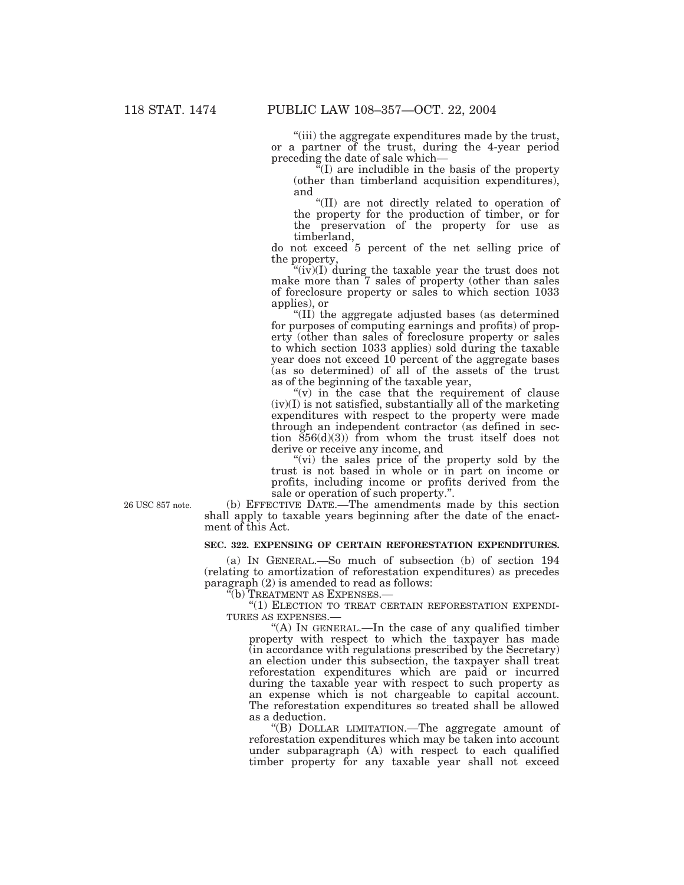''(iii) the aggregate expenditures made by the trust, or a partner of the trust, during the 4-year period preceding the date of sale which—

 $\mathbf{F}^{\alpha}(I)$  are includible in the basis of the property (other than timberland acquisition expenditures), and

''(II) are not directly related to operation of the property for the production of timber, or for the preservation of the property for use as timberland,

do not exceed 5 percent of the net selling price of the property,

" $(iv)(I)$  during the taxable year the trust does not make more than 7 sales of property (other than sales of foreclosure property or sales to which section 1033 applies), or

''(II) the aggregate adjusted bases (as determined for purposes of computing earnings and profits) of property (other than sales of foreclosure property or sales to which section 1033 applies) sold during the taxable year does not exceed 10 percent of the aggregate bases (as so determined) of all of the assets of the trust as of the beginning of the taxable year,

"(v) in the case that the requirement of clause  $(iv)(I)$  is not satisfied, substantially all of the marketing expenditures with respect to the property were made through an independent contractor (as defined in section  $856(d)(3)$  from whom the trust itself does not derive or receive any income, and

"(vi) the sales price of the property sold by the trust is not based in whole or in part on income or profits, including income or profits derived from the sale or operation of such property.''.

26 USC 857 note.

(b) EFFECTIVE DATE.—The amendments made by this section shall apply to taxable years beginning after the date of the enactment of this Act.

#### **SEC. 322. EXPENSING OF CERTAIN REFORESTATION EXPENDITURES.**

(a) IN GENERAL.—So much of subsection (b) of section 194 (relating to amortization of reforestation expenditures) as precedes paragraph (2) is amended to read as follows:

''(b) TREATMENT AS EXPENSES.—

"(1) ELECTION TO TREAT CERTAIN REFORESTATION EXPENDI-TURES AS EXPENSES.—

"(A) In GENERAL.—In the case of any qualified timber property with respect to which the taxpayer has made (in accordance with regulations prescribed by the Secretary) an election under this subsection, the taxpayer shall treat reforestation expenditures which are paid or incurred during the taxable year with respect to such property as an expense which is not chargeable to capital account. The reforestation expenditures so treated shall be allowed as a deduction.

''(B) DOLLAR LIMITATION.—The aggregate amount of reforestation expenditures which may be taken into account under subparagraph (A) with respect to each qualified timber property for any taxable year shall not exceed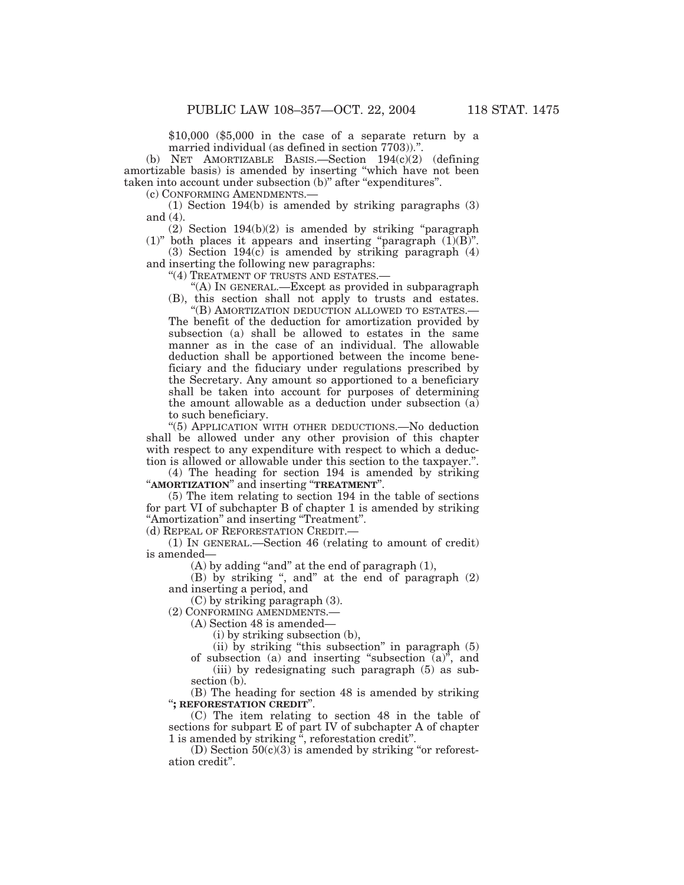\$10,000 (\$5,000 in the case of a separate return by a married individual (as defined in section 7703)).''.

(b) NET AMORTIZABLE BASIS.—Section 194(c)(2) (defining amortizable basis) is amended by inserting ''which have not been taken into account under subsection (b)'' after ''expenditures''.

(c) CONFORMING AMENDMENTS.—

(1) Section 194(b) is amended by striking paragraphs (3) and (4).

 $(2)$  Section 194 $(b)(2)$  is amended by striking "paragraph  $(1)$ " both places it appears and inserting "paragraph  $(1)(B)$ ".

(3) Section 194(c) is amended by striking paragraph (4) and inserting the following new paragraphs:

"(4) TREATMENT OF TRUSTS AND ESTATES .-

''(A) IN GENERAL.—Except as provided in subparagraph (B), this section shall not apply to trusts and estates.

''(B) AMORTIZATION DEDUCTION ALLOWED TO ESTATES.—

The benefit of the deduction for amortization provided by subsection (a) shall be allowed to estates in the same manner as in the case of an individual. The allowable deduction shall be apportioned between the income beneficiary and the fiduciary under regulations prescribed by the Secretary. Any amount so apportioned to a beneficiary shall be taken into account for purposes of determining the amount allowable as a deduction under subsection (a) to such beneficiary.

''(5) APPLICATION WITH OTHER DEDUCTIONS.—No deduction shall be allowed under any other provision of this chapter with respect to any expenditure with respect to which a deduction is allowed or allowable under this section to the taxpayer.''.

(4) The heading for section 194 is amended by striking ''**AMORTIZATION**'' and inserting ''**TREATMENT**''.

(5) The item relating to section 194 in the table of sections for part VI of subchapter B of chapter 1 is amended by striking ''Amortization'' and inserting ''Treatment''.

(d) REPEAL OF REFORESTATION CREDIT.—

(1) IN GENERAL.—Section 46 (relating to amount of credit) is amended—

 $(A)$  by adding "and" at the end of paragraph  $(1)$ ,

(B) by striking ", and" at the end of paragraph (2) and inserting a period, and

(C) by striking paragraph (3).

(2) CONFORMING AMENDMENTS.—

(A) Section 48 is amended—

(i) by striking subsection (b),

(ii) by striking ''this subsection'' in paragraph (5) of subsection (a) and inserting "subsection  $(a)$ ", and

(iii) by redesignating such paragraph (5) as subsection (b).

(B) The heading for section 48 is amended by striking ''**; REFORESTATION CREDIT**''.

(C) The item relating to section 48 in the table of sections for subpart E of part IV of subchapter A of chapter 1 is amended by striking  $\alpha$ , reforestation credit".

(D) Section  $50(c)(3)$  is amended by striking "or reforestation credit''.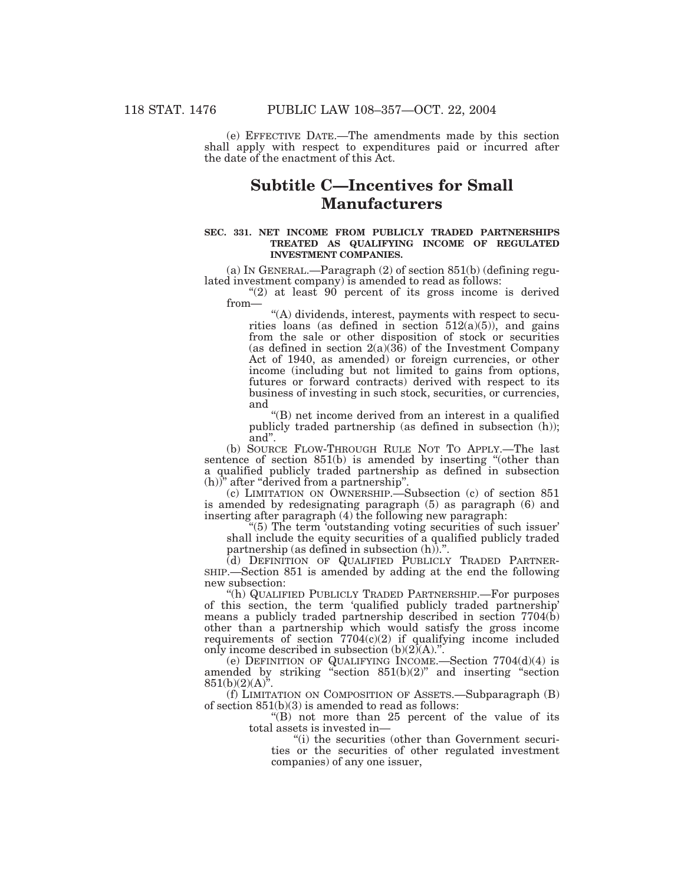(e) EFFECTIVE DATE.—The amendments made by this section shall apply with respect to expenditures paid or incurred after the date of the enactment of this Act.

# **Subtitle C—Incentives for Small Manufacturers**

# **SEC. 331. NET INCOME FROM PUBLICLY TRADED PARTNERSHIPS TREATED AS QUALIFYING INCOME OF REGULATED INVESTMENT COMPANIES.**

(a) IN GENERAL.—Paragraph (2) of section 851(b) (defining regulated investment company) is amended to read as follows:

" $(2)$  at least 90 percent of its gross income is derived from—

''(A) dividends, interest, payments with respect to securities loans (as defined in section  $512(a)(5)$ ), and gains from the sale or other disposition of stock or securities (as defined in section  $2(a)(36)$  of the Investment Company Act of 1940, as amended) or foreign currencies, or other income (including but not limited to gains from options, futures or forward contracts) derived with respect to its business of investing in such stock, securities, or currencies, and

''(B) net income derived from an interest in a qualified publicly traded partnership (as defined in subsection (h)); and''.

(b) SOURCE FLOW-THROUGH RULE NOT TO APPLY.—The last sentence of section 851(b) is amended by inserting "(other than a qualified publicly traded partnership as defined in subsection (h))'' after ''derived from a partnership''.

(c) LIMITATION ON OWNERSHIP.—Subsection (c) of section 851 is amended by redesignating paragraph (5) as paragraph (6) and inserting after paragraph (4) the following new paragraph:

''(5) The term 'outstanding voting securities of such issuer' shall include the equity securities of a qualified publicly traded partnership (as defined in subsection (h)).''.

(d) DEFINITION OF QUALIFIED PUBLICLY TRADED PARTNER-SHIP.—Section 851 is amended by adding at the end the following new subsection:

''(h) QUALIFIED PUBLICLY TRADED PARTNERSHIP.—For purposes of this section, the term 'qualified publicly traded partnership' means a publicly traded partnership described in section 7704(b) other than a partnership which would satisfy the gross income requirements of section  $7704(c)(2)$  if qualifying income included only income described in subsection  $(b)(2)(A)$ .".

(e) DEFINITION OF QUALIFYING INCOME.—Section 7704(d)(4) is amended by striking "section 851(b)(2)" and inserting "section  $851(b)(2)(A)'$ 

(f) LIMITATION ON COMPOSITION OF ASSETS.—Subparagraph (B) of section 851(b)(3) is amended to read as follows:

''(B) not more than 25 percent of the value of its total assets is invested in—

''(i) the securities (other than Government securities or the securities of other regulated investment companies) of any one issuer,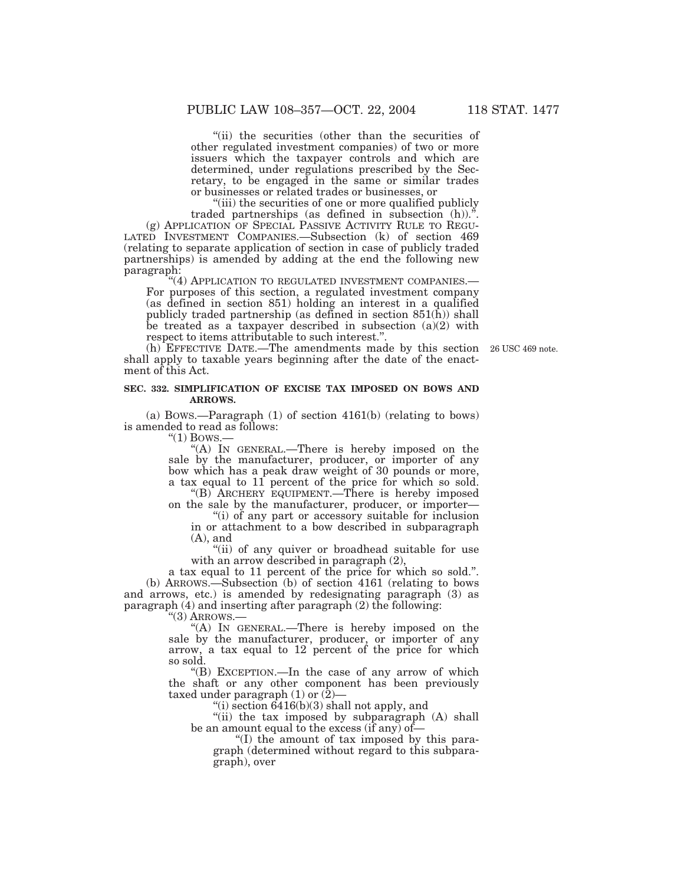''(ii) the securities (other than the securities of other regulated investment companies) of two or more issuers which the taxpayer controls and which are determined, under regulations prescribed by the Secretary, to be engaged in the same or similar trades or businesses or related trades or businesses, or

''(iii) the securities of one or more qualified publicly traded partnerships (as defined in subsection (h)).''. (g) APPLICATION OF SPECIAL PASSIVE ACTIVITY RULE TO REGU-LATED INVESTMENT COMPANIES.—Subsection (k) of section 469 (relating to separate application of section in case of publicly traded partnerships) is amended by adding at the end the following new paragraph:

"(4) APPLICATION TO REGULATED INVESTMENT COMPANIES.-For purposes of this section, a regulated investment company (as defined in section 851) holding an interest in a qualified publicly traded partnership (as defined in section  $851(\hat{h})$ ) shall be treated as a taxpayer described in subsection (a)(2) with respect to items attributable to such interest.''.

(h) EFFECTIVE DATE.—The amendments made by this section 26 USC 469 note. shall apply to taxable years beginning after the date of the enactment of this Act.

### **SEC. 332. SIMPLIFICATION OF EXCISE TAX IMPOSED ON BOWS AND ARROWS.**

(a) BOWS.—Paragraph (1) of section 4161(b) (relating to bows) is amended to read as follows:<br>"(1) Bows.—

"(A) IN GENERAL.—There is hereby imposed on the sale by the manufacturer, producer, or importer of any bow which has a peak draw weight of 30 pounds or more, a tax equal to 11 percent of the price for which so sold. ''(B) ARCHERY EQUIPMENT.—There is hereby imposed

on the sale by the manufacturer, producer, or importer—

''(i) of any part or accessory suitable for inclusion in or attachment to a bow described in subparagraph (A), and

"(ii) of any quiver or broadhead suitable for use with an arrow described in paragraph  $(2)$ ,

a tax equal to 11 percent of the price for which so sold.''. (b) ARROWS.—Subsection (b) of section 4161 (relating to bows and arrows, etc.) is amended by redesignating paragraph (3) as paragraph (4) and inserting after paragraph (2) the following:

''(3) ARROWS.—

"(A) In GENERAL.—There is hereby imposed on the sale by the manufacturer, producer, or importer of any arrow, a tax equal to 12 percent of the price for which so sold.

''(B) EXCEPTION.—In the case of any arrow of which the shaft or any other component has been previously taxed under paragraph (1) or (2)—

"(i) section  $6416(b)(3)$  shall not apply, and

"(ii) the tax imposed by subparagraph (A) shall be an amount equal to the excess (if any) of—

''(I) the amount of tax imposed by this paragraph (determined without regard to this subparagraph), over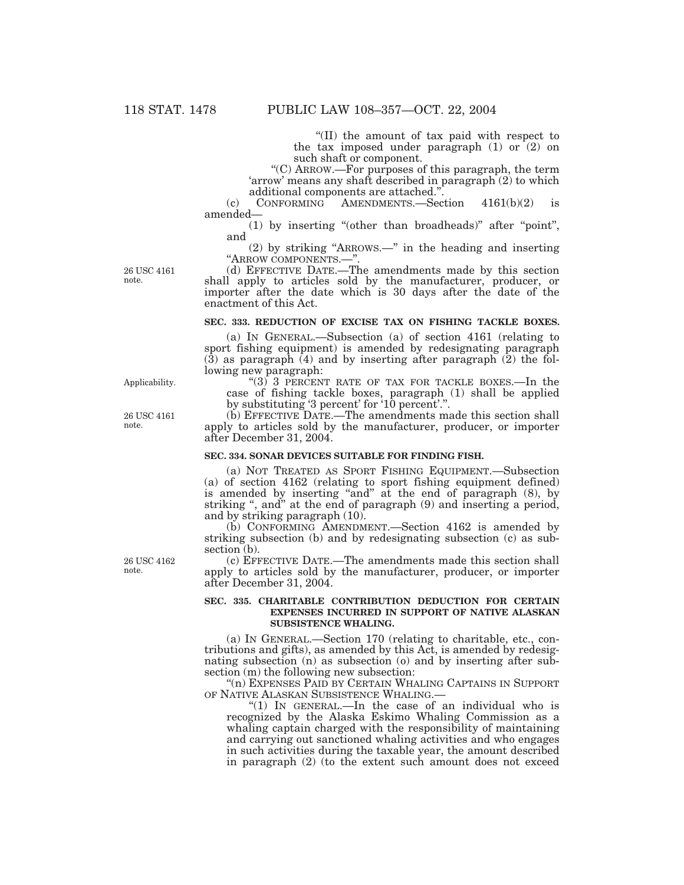''(II) the amount of tax paid with respect to the tax imposed under paragraph  $(1)$  or  $(2)$  on such shaft or component.

''(C) ARROW.—For purposes of this paragraph, the term 'arrow' means any shaft described in paragraph (2) to which additional components are attached.''.

(c) CONFORMING AMENDMENTS.—Section 4161(b)(2) is amended—

(1) by inserting ''(other than broadheads)'' after ''point'', and

(2) by striking ''ARROWS.—'' in the heading and inserting ''ARROW COMPONENTS.—''.

26 USC 4161 note.

(d) EFFECTIVE DATE.—The amendments made by this section shall apply to articles sold by the manufacturer, producer, or importer after the date which is 30 days after the date of the enactment of this Act.

# **SEC. 333. REDUCTION OF EXCISE TAX ON FISHING TACKLE BOXES.**

(a) IN GENERAL.—Subsection (a) of section 4161 (relating to sport fishing equipment) is amended by redesignating paragraph  $(3)$  as paragraph  $(4)$  and by inserting after paragraph  $(2)$  the following new paragraph:

"(3) 3 PERCENT RATE OF TAX FOR TACKLE BOXES.—In the case of fishing tackle boxes, paragraph (1) shall be applied by substituting '3 percent' for '10 percent'.''.

(b) EFFECTIVE DATE.—The amendments made this section shall apply to articles sold by the manufacturer, producer, or importer after December 31, 2004.

# **SEC. 334. SONAR DEVICES SUITABLE FOR FINDING FISH.**

(a) NOT TREATED AS SPORT FISHING EQUIPMENT.—Subsection (a) of section 4162 (relating to sport fishing equipment defined) is amended by inserting "and" at the end of paragraph (8), by striking ", and" at the end of paragraph (9) and inserting a period, and by striking paragraph (10).

(b) CONFORMING AMENDMENT.—Section 4162 is amended by striking subsection (b) and by redesignating subsection (c) as subsection (b).

(c) EFFECTIVE DATE.—The amendments made this section shall apply to articles sold by the manufacturer, producer, or importer after December 31, 2004.

### **SEC. 335. CHARITABLE CONTRIBUTION DEDUCTION FOR CERTAIN EXPENSES INCURRED IN SUPPORT OF NATIVE ALASKAN SUBSISTENCE WHALING.**

(a) IN GENERAL.—Section 170 (relating to charitable, etc., contributions and gifts), as amended by this Act, is amended by redesignating subsection (n) as subsection (o) and by inserting after subsection (m) the following new subsection:

''(n) EXPENSES PAID BY CERTAIN WHALING CAPTAINS IN SUPPORT OF NATIVE ALASKAN SUBSISTENCE WHALING.

''(1) IN GENERAL.—In the case of an individual who is recognized by the Alaska Eskimo Whaling Commission as a whaling captain charged with the responsibility of maintaining and carrying out sanctioned whaling activities and who engages in such activities during the taxable year, the amount described in paragraph (2) (to the extent such amount does not exceed

26 USC 4162 note.

Applicability.

26 USC 4161 note.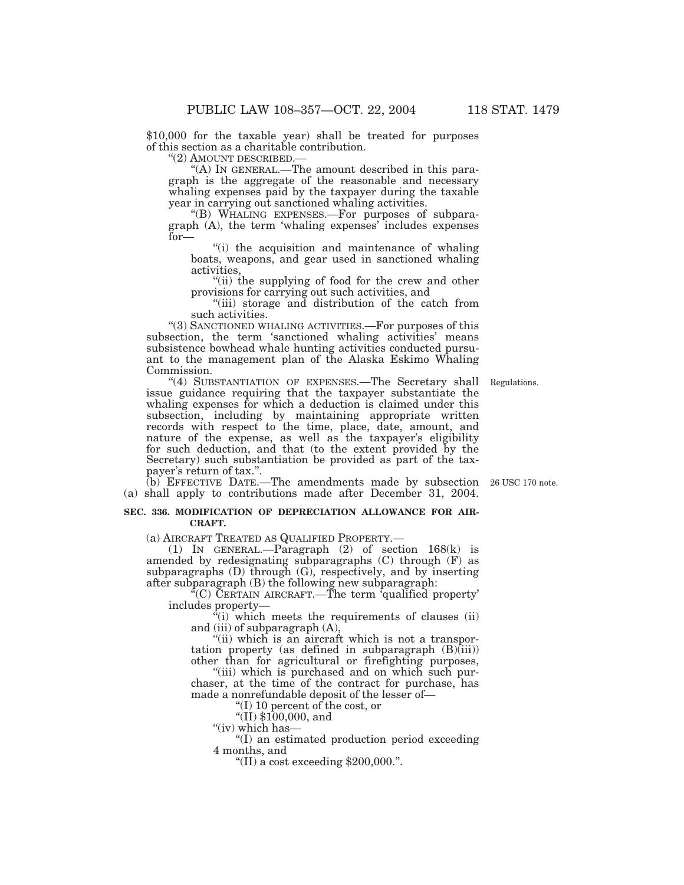\$10,000 for the taxable year) shall be treated for purposes of this section as a charitable contribution.

''(2) AMOUNT DESCRIBED.—

''(A) IN GENERAL.—The amount described in this paragraph is the aggregate of the reasonable and necessary whaling expenses paid by the taxpayer during the taxable year in carrying out sanctioned whaling activities.

''(B) WHALING EXPENSES.—For purposes of subparagraph (A), the term 'whaling expenses' includes expenses for—

''(i) the acquisition and maintenance of whaling boats, weapons, and gear used in sanctioned whaling activities,

"(ii) the supplying of food for the crew and other provisions for carrying out such activities, and

''(iii) storage and distribution of the catch from such activities.

''(3) SANCTIONED WHALING ACTIVITIES.—For purposes of this subsection, the term 'sanctioned whaling activities' means subsistence bowhead whale hunting activities conducted pursuant to the management plan of the Alaska Eskimo Whaling Commission.

"(4) SUBSTANTIATION OF EXPENSES.—The Secretary shall Regulations. issue guidance requiring that the taxpayer substantiate the whaling expenses for which a deduction is claimed under this subsection, including by maintaining appropriate written records with respect to the time, place, date, amount, and nature of the expense, as well as the taxpayer's eligibility for such deduction, and that (to the extent provided by the Secretary) such substantiation be provided as part of the taxpayer's return of tax.''.

(b) EFFECTIVE DATE.—The amendments made by subsection 26 USC 170 note. (a) shall apply to contributions made after December 31, 2004.

# **SEC. 336. MODIFICATION OF DEPRECIATION ALLOWANCE FOR AIR-CRAFT.**

(a) AIRCRAFT TREATED AS QUALIFIED PROPERTY.—<br>
(1) IN GENERAL.—Paragraph (2) of section  $168(k)$  is amended by redesignating subparagraphs (C) through (F) as subparagraphs (D) through (G), respectively, and by inserting after subparagraph (B) the following new subparagraph:

''(C) CERTAIN AIRCRAFT.—The term 'qualified property' includes property—

"(i) which meets the requirements of clauses (ii) and (iii) of subparagraph (A),

"(ii) which is an aircraft which is not a transportation property (as defined in subparagraph (B)(iii)) other than for agricultural or firefighting purposes,

''(iii) which is purchased and on which such purchaser, at the time of the contract for purchase, has made a nonrefundable deposit of the lesser of—

''(I) 10 percent of the cost, or

''(II) \$100,000, and

"(iv) which has-

''(I) an estimated production period exceeding 4 months, and

"(II) a cost exceeding  $$200,000."$ .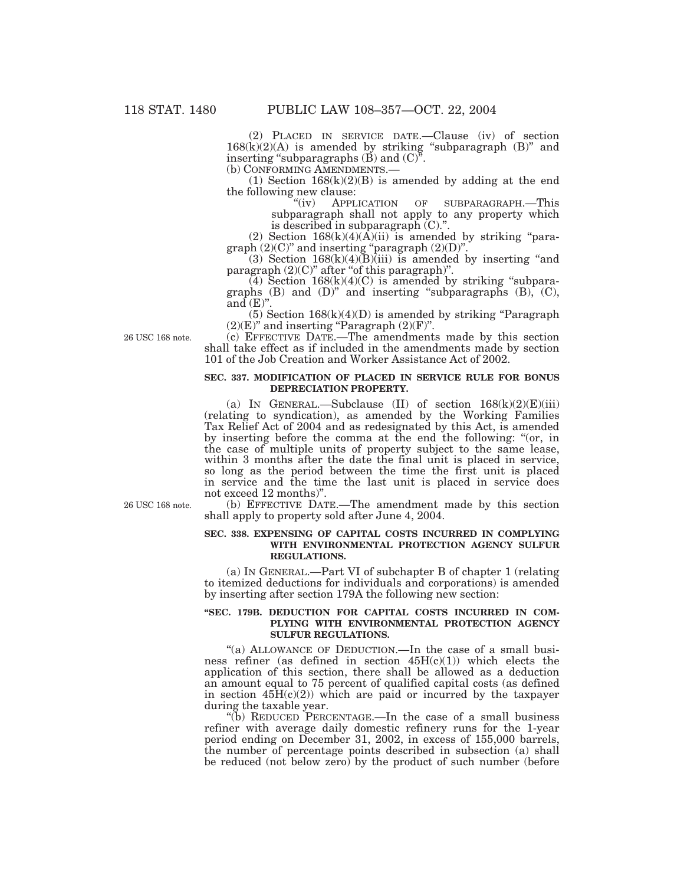(2) PLACED IN SERVICE DATE.—Clause (iv) of section  $168(k)(2)(A)$  is amended by striking "subparagraph  $(B)$ " and inserting "subparagraphs  $(B)$  and  $(C)^n$ .

(b) CONFORMING AMENDMENTS.—

(1) Section 168(k)(2)(B) is amended by adding at the end the following new clause:<br>  $\frac{``(iv)}{APPL}$ 

APPLICATION OF SUBPARAGRAPH.-This subparagraph shall not apply to any property which is described in subparagraph (C).''.

(2) Section  $168(k)(4)(\overline{A})(i)$  is amended by striking "paragraph  $(2)(C)$ " and inserting "paragraph  $(2)(D)$ ".

(3) Section  $168(k)(4)(B)$ (iii) is amended by inserting "and  $\text{pargraph}\left(2\right)$ (C)" after "of this  $\text{pargraph}$ ".

(4) Section  $168(k)(4)(C)$  is amended by striking "subparagraphs  $(B)$  and  $(D)$ " and inserting "subparagraphs  $(B)$ ,  $(C)$ , and  $(E)$ ".

 $(5)$  Section  $168(k)(4)(D)$  is amended by striking "Paragraph"  $(2)(E)$ " and inserting "Paragraph  $(2)(F)$ ".

26 USC 168 note.

(c) EFFECTIVE DATE.—The amendments made by this section shall take effect as if included in the amendments made by section 101 of the Job Creation and Worker Assistance Act of 2002.

# **SEC. 337. MODIFICATION OF PLACED IN SERVICE RULE FOR BONUS DEPRECIATION PROPERTY.**

(a) IN GENERAL.—Subclause (II) of section  $168(k)(2)(E)(iii)$ (relating to syndication), as amended by the Working Families Tax Relief Act of 2004 and as redesignated by this Act, is amended by inserting before the comma at the end the following: ''(or, in the case of multiple units of property subject to the same lease, within 3 months after the date the final unit is placed in service, so long as the period between the time the first unit is placed in service and the time the last unit is placed in service does not exceed 12 months)''.

26 USC 168 note.

(b) EFFECTIVE DATE.—The amendment made by this section shall apply to property sold after June 4, 2004.

### **SEC. 338. EXPENSING OF CAPITAL COSTS INCURRED IN COMPLYING WITH ENVIRONMENTAL PROTECTION AGENCY SULFUR REGULATIONS.**

(a) IN GENERAL.—Part VI of subchapter B of chapter 1 (relating to itemized deductions for individuals and corporations) is amended by inserting after section 179A the following new section:

#### **''SEC. 179B. DEDUCTION FOR CAPITAL COSTS INCURRED IN COM-PLYING WITH ENVIRONMENTAL PROTECTION AGENCY SULFUR REGULATIONS.**

"(a) ALLOWANCE OF DEDUCTION.—In the case of a small business refiner (as defined in section  $45H(c)(1)$ ) which elects the application of this section, there shall be allowed as a deduction an amount equal to 75 percent of qualified capital costs (as defined in section  $45\text{H}(c)(2)$ ) which are paid or incurred by the taxpayer during the taxable year.

''(b) REDUCED PERCENTAGE.—In the case of a small business refiner with average daily domestic refinery runs for the 1-year period ending on December 31, 2002, in excess of 155,000 barrels, the number of percentage points described in subsection (a) shall be reduced (not below zero) by the product of such number (before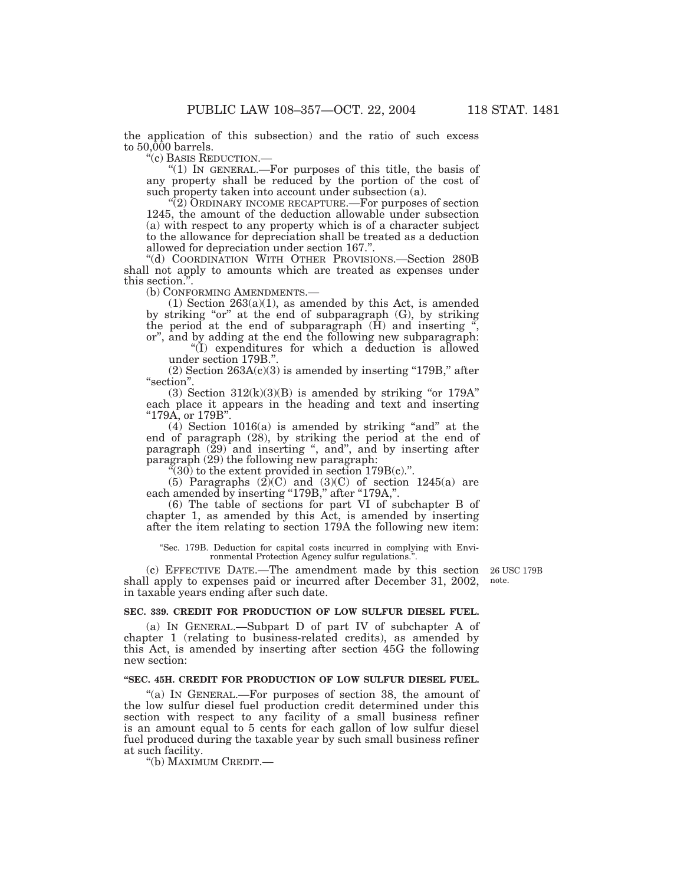the application of this subsection) and the ratio of such excess to 50,000 barrels.

''(c) BASIS REDUCTION.—

''(1) IN GENERAL.—For purposes of this title, the basis of any property shall be reduced by the portion of the cost of such property taken into account under subsection (a).

''(2) ORDINARY INCOME RECAPTURE.—For purposes of section 1245, the amount of the deduction allowable under subsection (a) with respect to any property which is of a character subject to the allowance for depreciation shall be treated as a deduction allowed for depreciation under section 167.''.

''(d) COORDINATION WITH OTHER PROVISIONS.—Section 280B shall not apply to amounts which are treated as expenses under this section."

(b) CONFORMING AMENDMENTS.—

 $(1)$  Section 263 $(a)(1)$ , as amended by this Act, is amended by striking "or" at the end of subparagraph  $(G)$ , by striking the period at the end of subparagraph  $(\hat{H})$  and inserting ", or'', and by adding at the end the following new subparagraph:

''(I) expenditures for which a deduction is allowed under section 179B."

 $(2)$  Section  $263A(c)(3)$  is amended by inserting "179B," after "section"

(3) Section  $312(k)(3)(B)$  is amended by striking "or 179A" each place it appears in the heading and text and inserting "179A, or 179B".

 $(4)$  Section 1016 $(a)$  is amended by striking "and" at the end of paragraph (28), by striking the period at the end of paragraph  $(29)$  and inserting ", and", and by inserting after paragraph (29) the following new paragraph:

 $\cdot$ (30) to the extent provided in section 179B(c)."

(5) Paragraphs  $(2)(C)$  and  $(3)(C)$  of section 1245(a) are each amended by inserting "179B," after "179A,".

(6) The table of sections for part VI of subchapter B of chapter 1, as amended by this Act, is amended by inserting after the item relating to section 179A the following new item:

''Sec. 179B. Deduction for capital costs incurred in complying with Environmental Protection Agency sulfur regulations.<sup>'</sup>

(c) EFFECTIVE DATE.—The amendment made by this section shall apply to expenses paid or incurred after December 31, 2002, in taxable years ending after such date.

26 USC 179B note.

#### **SEC. 339. CREDIT FOR PRODUCTION OF LOW SULFUR DIESEL FUEL.**

(a) IN GENERAL.—Subpart D of part IV of subchapter A of chapter 1 (relating to business-related credits), as amended by this Act, is amended by inserting after section 45G the following new section:

#### **''SEC. 45H. CREDIT FOR PRODUCTION OF LOW SULFUR DIESEL FUEL.**

''(a) IN GENERAL.—For purposes of section 38, the amount of the low sulfur diesel fuel production credit determined under this section with respect to any facility of a small business refiner is an amount equal to 5 cents for each gallon of low sulfur diesel fuel produced during the taxable year by such small business refiner at such facility.

''(b) MAXIMUM CREDIT.—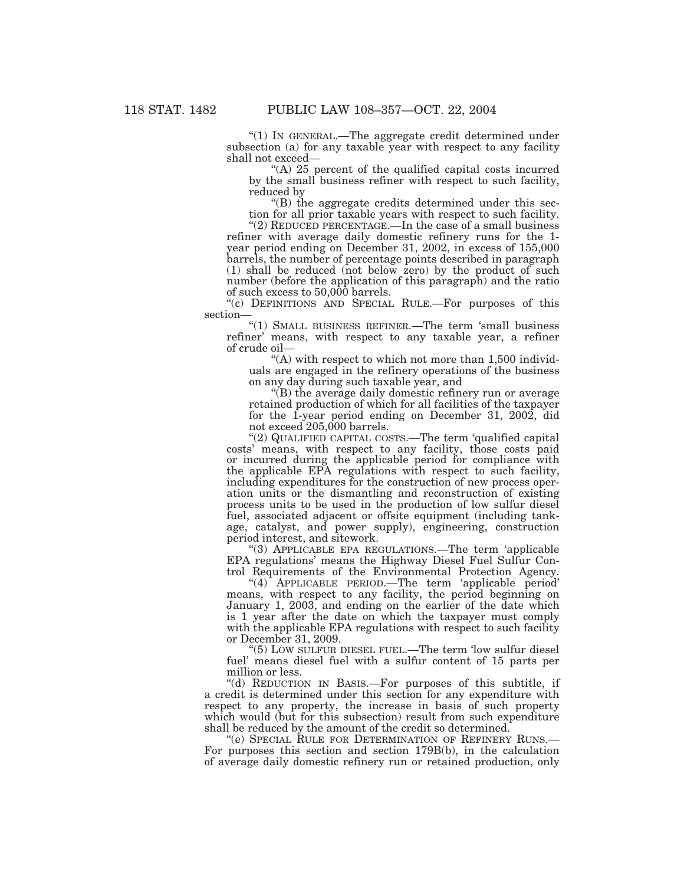''(1) IN GENERAL.—The aggregate credit determined under subsection (a) for any taxable year with respect to any facility shall not exceed—

''(A) 25 percent of the qualified capital costs incurred by the small business refiner with respect to such facility, reduced by

''(B) the aggregate credits determined under this section for all prior taxable years with respect to such facility.

''(2) REDUCED PERCENTAGE.—In the case of a small business refiner with average daily domestic refinery runs for the 1 year period ending on December 31, 2002, in excess of 155,000 barrels, the number of percentage points described in paragraph (1) shall be reduced (not below zero) by the product of such number (before the application of this paragraph) and the ratio of such excess to 50,000 barrels.

"(c) DEFINITIONS AND SPECIAL RULE.—For purposes of this section—

''(1) SMALL BUSINESS REFINER.—The term 'small business refiner' means, with respect to any taxable year, a refiner of crude oil—

 $(A)$  with respect to which not more than 1,500 individuals are engaged in the refinery operations of the business on any day during such taxable year, and

''(B) the average daily domestic refinery run or average retained production of which for all facilities of the taxpayer for the 1-year period ending on December 31, 2002, did not exceed 205,000 barrels.

''(2) QUALIFIED CAPITAL COSTS.—The term 'qualified capital costs' means, with respect to any facility, those costs paid or incurred during the applicable period for compliance with the applicable EPA regulations with respect to such facility, including expenditures for the construction of new process operation units or the dismantling and reconstruction of existing process units to be used in the production of low sulfur diesel fuel, associated adjacent or offsite equipment (including tankage, catalyst, and power supply), engineering, construction period interest, and sitework.

''(3) APPLICABLE EPA REGULATIONS.—The term 'applicable EPA regulations' means the Highway Diesel Fuel Sulfur Control Requirements of the Environmental Protection Agency.

''(4) APPLICABLE PERIOD.—The term 'applicable period' means, with respect to any facility, the period beginning on January 1, 2003, and ending on the earlier of the date which is 1 year after the date on which the taxpayer must comply with the applicable EPA regulations with respect to such facility or December 31, 2009.

''(5) LOW SULFUR DIESEL FUEL.—The term 'low sulfur diesel fuel' means diesel fuel with a sulfur content of 15 parts per million or less.

''(d) REDUCTION IN BASIS.—For purposes of this subtitle, if a credit is determined under this section for any expenditure with respect to any property, the increase in basis of such property which would (but for this subsection) result from such expenditure shall be reduced by the amount of the credit so determined.

''(e) SPECIAL RULE FOR DETERMINATION OF REFINERY RUNS.— For purposes this section and section 179B(b), in the calculation of average daily domestic refinery run or retained production, only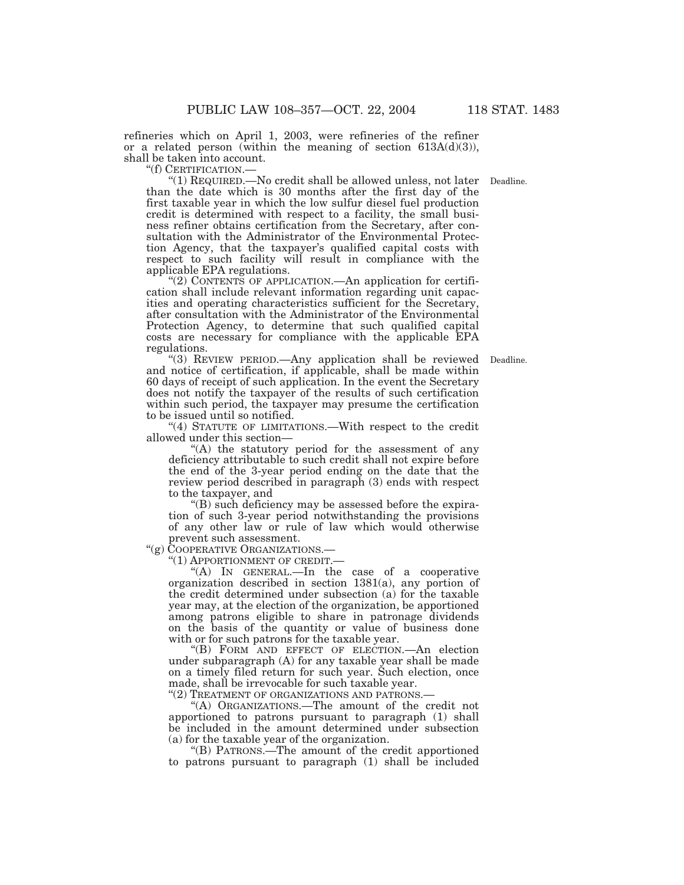refineries which on April 1, 2003, were refineries of the refiner or a related person (within the meaning of section  $613A(d)(3)$ ), shall be taken into account.

''(f) CERTIFICATION.—

"(1) REQUIRED.—No credit shall be allowed unless, not later Deadline. than the date which is 30 months after the first day of the first taxable year in which the low sulfur diesel fuel production credit is determined with respect to a facility, the small business refiner obtains certification from the Secretary, after consultation with the Administrator of the Environmental Protection Agency, that the taxpayer's qualified capital costs with respect to such facility will result in compliance with the applicable EPA regulations.

"(2) CONTENTS OF APPLICATION.—An application for certification shall include relevant information regarding unit capacities and operating characteristics sufficient for the Secretary, after consultation with the Administrator of the Environmental Protection Agency, to determine that such qualified capital costs are necessary for compliance with the applicable EPA regulations.

"(3) REVIEW PERIOD.—Any application shall be reviewed Deadline. and notice of certification, if applicable, shall be made within 60 days of receipt of such application. In the event the Secretary does not notify the taxpayer of the results of such certification within such period, the taxpayer may presume the certification to be issued until so notified.

"(4) STATUTE OF LIMITATIONS.—With respect to the credit allowed under this section—

"(A) the statutory period for the assessment of any deficiency attributable to such credit shall not expire before the end of the 3-year period ending on the date that the review period described in paragraph (3) ends with respect to the taxpayer, and

''(B) such deficiency may be assessed before the expiration of such 3-year period notwithstanding the provisions of any other law or rule of law which would otherwise prevent such assessment.

''(g) COOPERATIVE ORGANIZATIONS.— ''(1) APPORTIONMENT OF CREDIT.—

"(A) In GENERAL.—In the case of a cooperative organization described in section 1381(a), any portion of the credit determined under subsection (a) for the taxable year may, at the election of the organization, be apportioned among patrons eligible to share in patronage dividends on the basis of the quantity or value of business done with or for such patrons for the taxable year.

''(B) FORM AND EFFECT OF ELECTION.—An election under subparagraph (A) for any taxable year shall be made on a timely filed return for such year. Such election, once made, shall be irrevocable for such taxable year.

"(2) TREATMENT OF ORGANIZATIONS AND PATRONS.-

''(A) ORGANIZATIONS.—The amount of the credit not apportioned to patrons pursuant to paragraph (1) shall be included in the amount determined under subsection (a) for the taxable year of the organization.

''(B) PATRONS.—The amount of the credit apportioned to patrons pursuant to paragraph (1) shall be included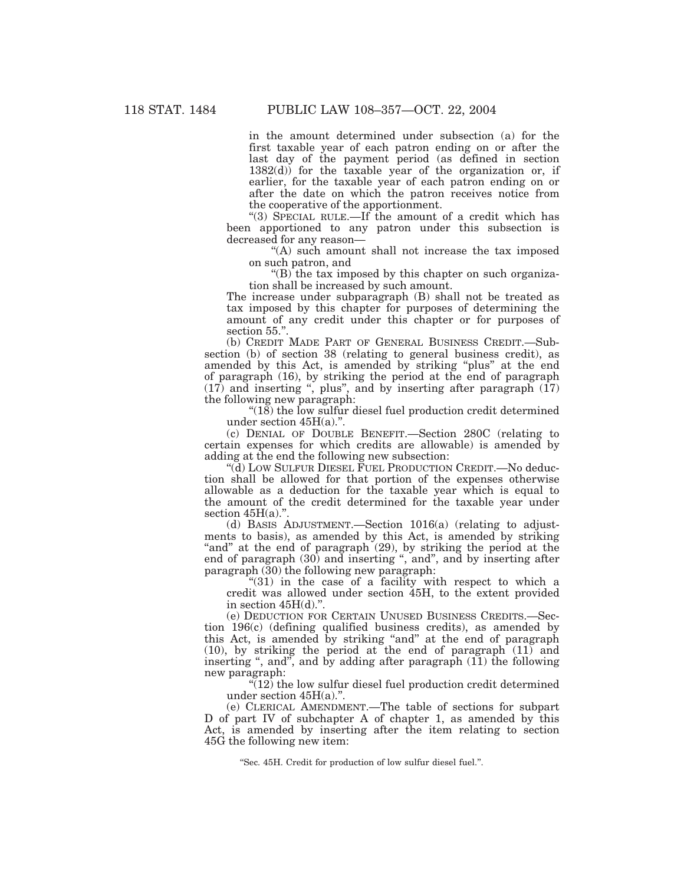in the amount determined under subsection (a) for the first taxable year of each patron ending on or after the last day of the payment period (as defined in section 1382(d)) for the taxable year of the organization or, if earlier, for the taxable year of each patron ending on or after the date on which the patron receives notice from the cooperative of the apportionment.

''(3) SPECIAL RULE.—If the amount of a credit which has been apportioned to any patron under this subsection is decreased for any reason—

"(A) such amount shall not increase the tax imposed on such patron, and

''(B) the tax imposed by this chapter on such organization shall be increased by such amount.

The increase under subparagraph (B) shall not be treated as tax imposed by this chapter for purposes of determining the amount of any credit under this chapter or for purposes of section 55.".

(b) CREDIT MADE PART OF GENERAL BUSINESS CREDIT.—Subsection (b) of section 38 (relating to general business credit), as amended by this Act, is amended by striking ''plus'' at the end of paragraph (16), by striking the period at the end of paragraph  $(17)$  and inserting ", plus", and by inserting after paragraph  $(17)$ the following new paragraph:

 $\degree$ (18) the low sulfur diesel fuel production credit determined under section  $45H(a)$ .".

(c) DENIAL OF DOUBLE BENEFIT.—Section 280C (relating to certain expenses for which credits are allowable) is amended by adding at the end the following new subsection:

''(d) LOW SULFUR DIESEL FUEL PRODUCTION CREDIT.—No deduction shall be allowed for that portion of the expenses otherwise allowable as a deduction for the taxable year which is equal to the amount of the credit determined for the taxable year under section 45H(a).".

(d) BASIS ADJUSTMENT.—Section 1016(a) (relating to adjustments to basis), as amended by this Act, is amended by striking "and" at the end of paragraph (29), by striking the period at the end of paragraph (30) and inserting '', and'', and by inserting after paragraph (30) the following new paragraph:

"(31) in the case of a facility with respect to which a credit was allowed under section 45H, to the extent provided in section  $45H(d)$ .".

(e) DEDUCTION FOR CERTAIN UNUSED BUSINESS CREDITS.—Section 196(c) (defining qualified business credits), as amended by this Act, is amended by striking "and" at the end of paragraph (10), by striking the period at the end of paragraph (11) and inserting ", and", and by adding after paragraph  $(11)$  the following new paragraph:

 $\sqrt{12}$  the low sulfur diesel fuel production credit determined under section 45H(a).''.

(e) CLERICAL AMENDMENT.—The table of sections for subpart D of part IV of subchapter A of chapter 1, as amended by this Act, is amended by inserting after the item relating to section 45G the following new item:

''Sec. 45H. Credit for production of low sulfur diesel fuel.''.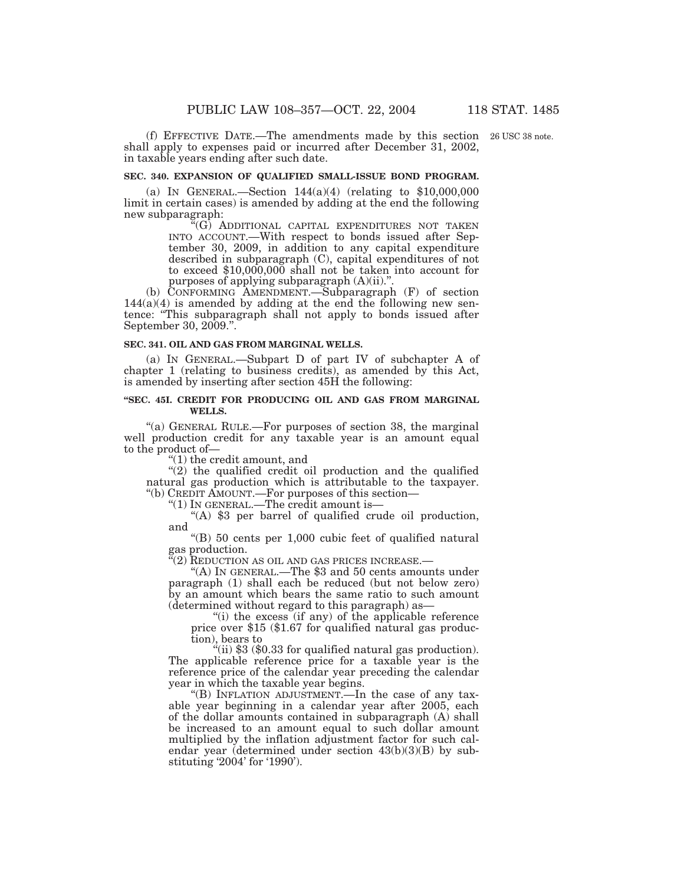(f) EFFECTIVE DATE.—The amendments made by this section 26 USC 38 note. shall apply to expenses paid or incurred after December 31, 2002, in taxable years ending after such date.

# **SEC. 340. EXPANSION OF QUALIFIED SMALL-ISSUE BOND PROGRAM.**

(a) IN GENERAL.—Section  $144(a)(4)$  (relating to \$10,000,000 limit in certain cases) is amended by adding at the end the following new subparagraph:

"(G) ADDITIONAL CAPITAL EXPENDITURES NOT TAKEN INTO ACCOUNT.—With respect to bonds issued after September 30, 2009, in addition to any capital expenditure described in subparagraph (C), capital expenditures of not to exceed \$10,000,000 shall not be taken into account for purposes of applying subparagraph  $(A)(ii)$ ."

(b) CONFORMING AMENDMENT.—Subparagraph (F) of section  $144(a)(4)$  is amended by adding at the end the following new sentence: ''This subparagraph shall not apply to bonds issued after September 30, 2009.''.

#### **SEC. 341. OIL AND GAS FROM MARGINAL WELLS.**

(a) IN GENERAL.—Subpart D of part IV of subchapter A of chapter 1 (relating to business credits), as amended by this Act, is amended by inserting after section 45H the following:

#### **''SEC. 45I. CREDIT FOR PRODUCING OIL AND GAS FROM MARGINAL WELLS.**

"(a) GENERAL RULE.—For purposes of section 38, the marginal well production credit for any taxable year is an amount equal to the product of—

''(1) the credit amount, and

 $(2)$  the qualified credit oil production and the qualified natural gas production which is attributable to the taxpayer. ''(b) CREDIT AMOUNT.—For purposes of this section—

''(1) IN GENERAL.—The credit amount is—

''(A) \$3 per barrel of qualified crude oil production, and

''(B) 50 cents per 1,000 cubic feet of qualified natural gas production.

 $\tilde{C}(2)$  REDUCTION AS OIL AND GAS PRICES INCREASE.—

"(A) IN GENERAL.—The  $$3$  and  $50$  cents amounts under paragraph (1) shall each be reduced (but not below zero) by an amount which bears the same ratio to such amount (determined without regard to this paragraph) as—

''(i) the excess (if any) of the applicable reference price over \$15 (\$1.67 for qualified natural gas production), bears to

 $\text{``(ii)}$  \$3 (\$0.33 for qualified natural gas production). The applicable reference price for a taxable year is the reference price of the calendar year preceding the calendar year in which the taxable year begins.

"(B) INFLATION ADJUSTMENT.—In the case of any taxable year beginning in a calendar year after 2005, each of the dollar amounts contained in subparagraph (A) shall be increased to an amount equal to such dollar amount multiplied by the inflation adjustment factor for such calendar year (determined under section 43(b)(3)(B) by substituting '2004' for '1990').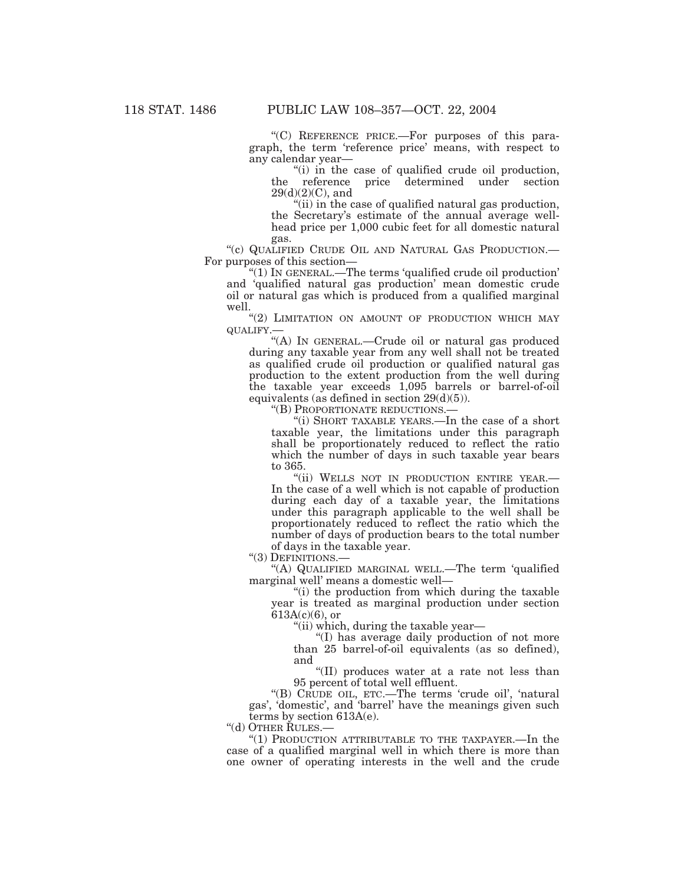"(C) REFERENCE PRICE.—For purposes of this paragraph, the term 'reference price' means, with respect to any calendar year—

"(i) in the case of qualified crude oil production, the reference price determined under section  $29(d)(2)(C)$ , and

''(ii) in the case of qualified natural gas production, the Secretary's estimate of the annual average wellhead price per 1,000 cubic feet for all domestic natural gas.

''(c) QUALIFIED CRUDE OIL AND NATURAL GAS PRODUCTION.— For purposes of this section—

''(1) IN GENERAL.—The terms 'qualified crude oil production' and 'qualified natural gas production' mean domestic crude oil or natural gas which is produced from a qualified marginal well.

''(2) LIMITATION ON AMOUNT OF PRODUCTION WHICH MAY QUALIFY.—

''(A) IN GENERAL.—Crude oil or natural gas produced during any taxable year from any well shall not be treated as qualified crude oil production or qualified natural gas production to the extent production from the well during the taxable year exceeds 1,095 barrels or barrel-of-oil equivalents (as defined in section 29(d)(5)).

''(B) PROPORTIONATE REDUCTIONS.—

"(i) SHORT TAXABLE YEARS.—In the case of a short taxable year, the limitations under this paragraph shall be proportionately reduced to reflect the ratio which the number of days in such taxable year bears to 365.

"(ii) WELLS NOT IN PRODUCTION ENTIRE YEAR.-In the case of a well which is not capable of production during each day of a taxable year, the limitations under this paragraph applicable to the well shall be proportionately reduced to reflect the ratio which the number of days of production bears to the total number of days in the taxable year.

''(3) DEFINITIONS.—

''(A) QUALIFIED MARGINAL WELL.—The term 'qualified marginal well' means a domestic well—

''(i) the production from which during the taxable year is treated as marginal production under section 613A(c)(6), or

''(ii) which, during the taxable year—

''(I) has average daily production of not more than 25 barrel-of-oil equivalents (as so defined), and

''(II) produces water at a rate not less than 95 percent of total well effluent.

''(B) CRUDE OIL, ETC.—The terms 'crude oil', 'natural gas', 'domestic', and 'barrel' have the meanings given such terms by section 613A(e).

''(d) OTHER RULES.—

"(1) PRODUCTION ATTRIBUTABLE TO THE TAXPAYER.—In the case of a qualified marginal well in which there is more than one owner of operating interests in the well and the crude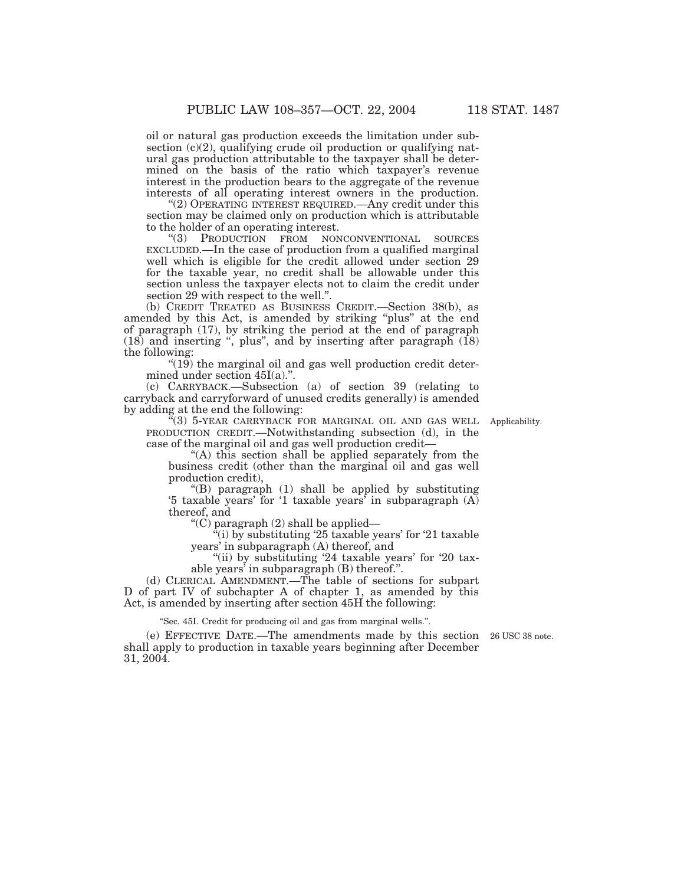oil or natural gas production exceeds the limitation under subsection (c)(2), qualifying crude oil production or qualifying natural gas production attributable to the taxpayer shall be determined on the basis of the ratio which taxpayer's revenue interest in the production bears to the aggregate of the revenue interests of all operating interest owners in the production.

"(2) OPERATING INTEREST REQUIRED.—Any credit under this section may be claimed only on production which is attributable to the holder of an operating interest.<br>
"(3) PRODUCTION FROM NON

PRODUCTION FROM NONCONVENTIONAL SOURCES EXCLUDED.—In the case of production from a qualified marginal well which is eligible for the credit allowed under section 29 for the taxable year, no credit shall be allowable under this section unless the taxpayer elects not to claim the credit under section 29 with respect to the well.''.

(b) CREDIT TREATED AS BUSINESS CREDIT.—Section 38(b), as amended by this Act, is amended by striking ''plus'' at the end of paragraph (17), by striking the period at the end of paragraph  $(18)$  and inserting ", plus", and by inserting after paragraph  $(18)$ the following:

 $\degree$ (19) the marginal oil and gas well production credit determined under section 45I(a).".

(c) CARRYBACK.—Subsection (a) of section 39 (relating to carryback and carryforward of unused credits generally) is amended by adding at the end the following:

''(3) 5-YEAR CARRYBACK FOR MARGINAL OIL AND GAS WELL Applicability. PRODUCTION CREDIT.—Notwithstanding subsection (d), in the case of the marginal oil and gas well production credit—

''(A) this section shall be applied separately from the business credit (other than the marginal oil and gas well production credit),

''(B) paragraph (1) shall be applied by substituting '5 taxable years' for '1 taxable years' in subparagraph (A) thereof, and

"(C) paragraph  $(2)$  shall be applied—

''(i) by substituting '25 taxable years' for '21 taxable years' in subparagraph (A) thereof, and

"(ii) by substituting '24 taxable years' for '20 taxable years' in subparagraph (B) thereof.''.

(d) CLERICAL AMENDMENT.—The table of sections for subpart D of part IV of subchapter A of chapter 1, as amended by this Act, is amended by inserting after section 45H the following:

''Sec. 45I. Credit for producing oil and gas from marginal wells.''.

(e) EFFECTIVE DATE.—The amendments made by this section 26 USC 38 note. shall apply to production in taxable years beginning after December 31, 2004.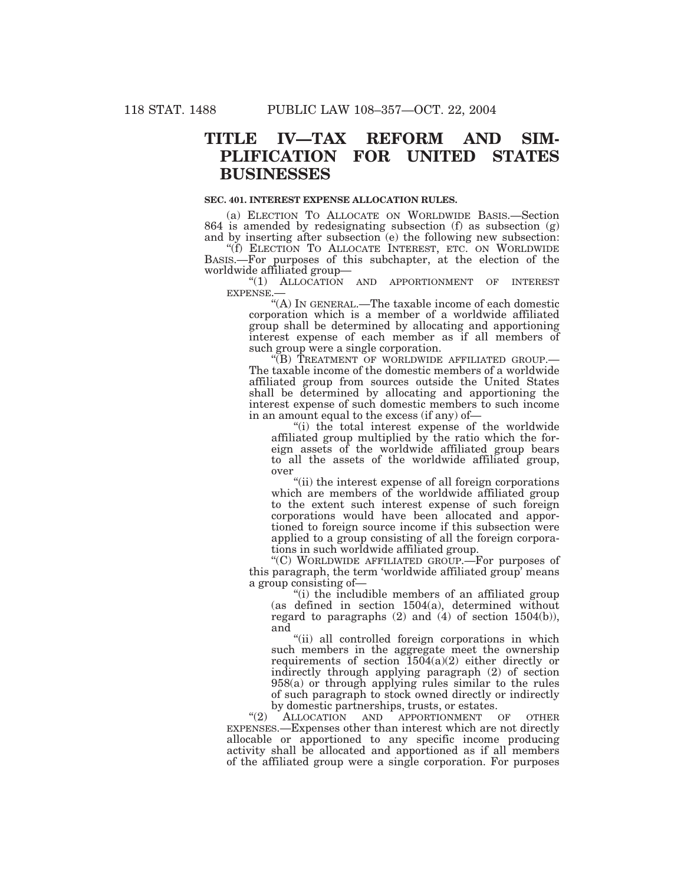# **TITLE IV—TAX REFORM AND SIM-PLIFICATION FOR UNITED STATES BUSINESSES**

#### **SEC. 401. INTEREST EXPENSE ALLOCATION RULES.**

(a) ELECTION TO ALLOCATE ON WORLDWIDE BASIS.—Section 864 is amended by redesignating subsection (f) as subsection (g) and by inserting after subsection (e) the following new subsection:

"(f) ELECTION TO ALLOCATE INTEREST, ETC. ON WORLDWIDE BASIS.—For purposes of this subchapter, at the election of the worldwide affiliated group—

''(1) ALLOCATION AND APPORTIONMENT OF INTEREST EXPENSE.—

''(A) IN GENERAL.—The taxable income of each domestic corporation which is a member of a worldwide affiliated group shall be determined by allocating and apportioning interest expense of each member as if all members of such group were a single corporation.

''(B) TREATMENT OF WORLDWIDE AFFILIATED GROUP.— The taxable income of the domestic members of a worldwide affiliated group from sources outside the United States shall be determined by allocating and apportioning the interest expense of such domestic members to such income in an amount equal to the excess (if any) of—

''(i) the total interest expense of the worldwide affiliated group multiplied by the ratio which the foreign assets of the worldwide affiliated group bears to all the assets of the worldwide affiliated group, over

"(ii) the interest expense of all foreign corporations which are members of the worldwide affiliated group to the extent such interest expense of such foreign corporations would have been allocated and apportioned to foreign source income if this subsection were applied to a group consisting of all the foreign corporations in such worldwide affiliated group.

''(C) WORLDWIDE AFFILIATED GROUP.—For purposes of this paragraph, the term 'worldwide affiliated group' means a group consisting of—

''(i) the includible members of an affiliated group (as defined in section 1504(a), determined without regard to paragraphs  $(2)$  and  $(4)$  of section 1504 $(b)$ ), and

"(ii) all controlled foreign corporations in which such members in the aggregate meet the ownership requirements of section 1504(a)(2) either directly or indirectly through applying paragraph (2) of section 958(a) or through applying rules similar to the rules of such paragraph to stock owned directly or indirectly by domestic partnerships, trusts, or estates.

"(2) ALLOCATION AND APPORTIONMENT OF OTHER EXPENSES.—Expenses other than interest which are not directly allocable or apportioned to any specific income producing activity shall be allocated and apportioned as if all members of the affiliated group were a single corporation. For purposes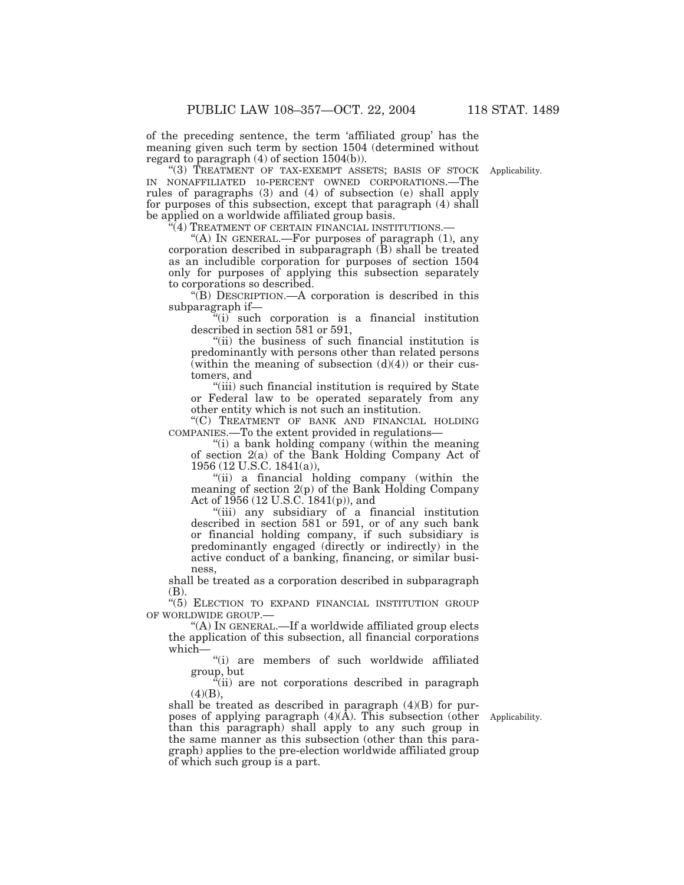of the preceding sentence, the term 'affiliated group' has the meaning given such term by section 1504 (determined without regard to paragraph (4) of section 1504(b)).

"(3) TREATMENT OF TAX-EXEMPT ASSETS; BASIS OF STOCK Applicability. IN NONAFFILIATED 10-PERCENT OWNED CORPORATIONS.—The rules of paragraphs (3) and (4) of subsection (e) shall apply for purposes of this subsection, except that paragraph (4) shall be applied on a worldwide affiliated group basis.

(4) TREATMENT OF CERTAIN FINANCIAL INSTITUTIONS.—

"(A) IN GENERAL.—For purposes of paragraph  $(1)$ , any corporation described in subparagraph (B) shall be treated as an includible corporation for purposes of section 1504 only for purposes of applying this subsection separately to corporations so described.

 $\sqrt{\text{B}}$ ) DESCRIPTION.—A corporation is described in this subparagraph if—

''(i) such corporation is a financial institution described in section 581 or 591,

"(ii) the business of such financial institution is predominantly with persons other than related persons (within the meaning of subsection  $(d)(4)$ ) or their customers, and

"(iii) such financial institution is required by State or Federal law to be operated separately from any other entity which is not such an institution.

''(C) TREATMENT OF BANK AND FINANCIAL HOLDING COMPANIES.—To the extent provided in regulations—

''(i) a bank holding company (within the meaning of section 2(a) of the Bank Holding Company Act of 1956 (12 U.S.C. 1841(a)),

"(ii) a financial holding company (within the meaning of section 2(p) of the Bank Holding Company Act of 1956 (12 U.S.C. 1841(p)), and

''(iii) any subsidiary of a financial institution described in section 581 or 591, or of any such bank or financial holding company, if such subsidiary is predominantly engaged (directly or indirectly) in the active conduct of a banking, financing, or similar business,

shall be treated as a corporation described in subparagraph (B).

"(5) ELECTION TO EXPAND FINANCIAL INSTITUTION GROUP OF WORLDWIDE GROUP.—

''(A) IN GENERAL.—If a worldwide affiliated group elects the application of this subsection, all financial corporations which—

''(i) are members of such worldwide affiliated group, but

''(ii) are not corporations described in paragraph  $(4)(B),$ 

shall be treated as described in paragraph (4)(B) for purposes of applying paragraph (4)(A). This subsection (other than this paragraph) shall apply to any such group in the same manner as this subsection (other than this paragraph) applies to the pre-election worldwide affiliated group of which such group is a part.

Applicability.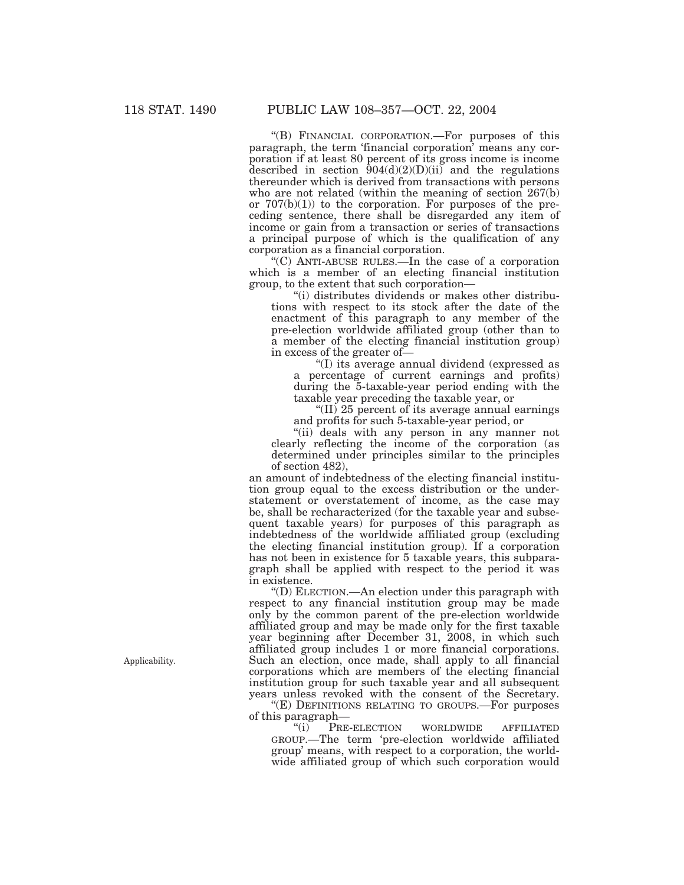''(B) FINANCIAL CORPORATION.—For purposes of this paragraph, the term 'financial corporation' means any corporation if at least 80 percent of its gross income is income described in section  $904(d)(2)(D)(ii)$  and the regulations thereunder which is derived from transactions with persons who are not related (within the meaning of section 267(b) or  $707(b)(1)$  to the corporation. For purposes of the preceding sentence, there shall be disregarded any item of income or gain from a transaction or series of transactions a principal purpose of which is the qualification of any corporation as a financial corporation.

''(C) ANTI-ABUSE RULES.—In the case of a corporation which is a member of an electing financial institution group, to the extent that such corporation—

''(i) distributes dividends or makes other distributions with respect to its stock after the date of the enactment of this paragraph to any member of the pre-election worldwide affiliated group (other than to a member of the electing financial institution group) in excess of the greater of—

''(I) its average annual dividend (expressed as a percentage of current earnings and profits) during the 5-taxable-year period ending with the taxable year preceding the taxable year, or

''(II) 25 percent of its average annual earnings and profits for such 5-taxable-year period, or

"(ii) deals with any person in any manner not clearly reflecting the income of the corporation (as determined under principles similar to the principles of section 482),

an amount of indebtedness of the electing financial institution group equal to the excess distribution or the understatement or overstatement of income, as the case may be, shall be recharacterized (for the taxable year and subsequent taxable years) for purposes of this paragraph as indebtedness of the worldwide affiliated group (excluding the electing financial institution group). If a corporation has not been in existence for 5 taxable years, this subparagraph shall be applied with respect to the period it was in existence.

''(D) ELECTION.—An election under this paragraph with respect to any financial institution group may be made only by the common parent of the pre-election worldwide affiliated group and may be made only for the first taxable year beginning after December 31, 2008, in which such affiliated group includes 1 or more financial corporations. Such an election, once made, shall apply to all financial corporations which are members of the electing financial institution group for such taxable year and all subsequent years unless revoked with the consent of the Secretary. "(E) DEFINITIONS RELATING TO GROUPS.—For purposes

of this paragraph—

"(i) PRE-ELECTION WORLDWIDE AFFILIATED GROUP.—The term 'pre-election worldwide affiliated group' means, with respect to a corporation, the worldwide affiliated group of which such corporation would

Applicability.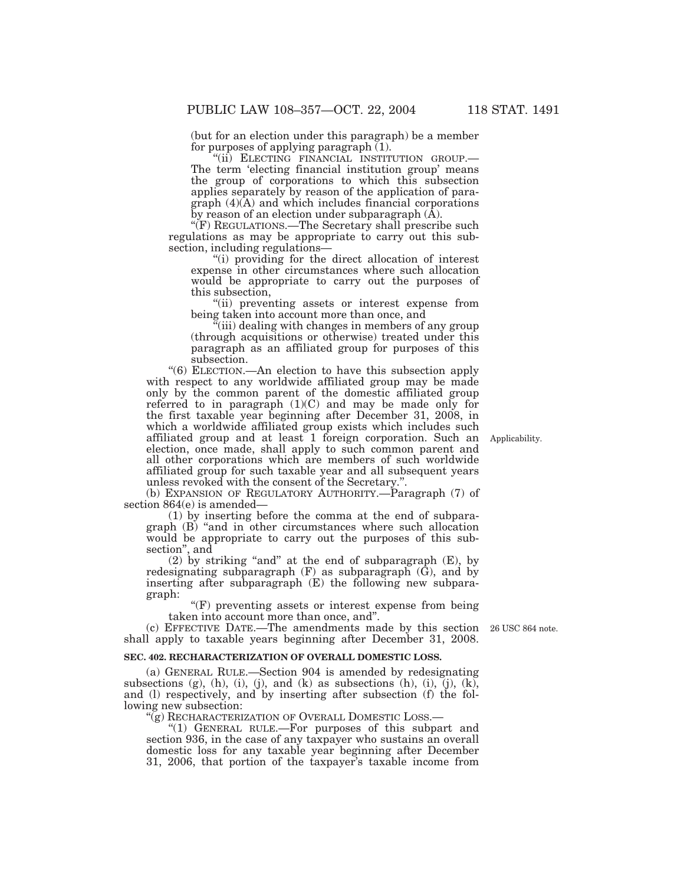(but for an election under this paragraph) be a member for purposes of applying paragraph  $(1)$ .

"(ii) ELECTING FINANCIAL INSTITUTION GROUP. The term 'electing financial institution group' means the group of corporations to which this subsection applies separately by reason of the application of paragraph (4)(A) and which includes financial corporations by reason of an election under subparagraph  $(\overline{A})$ .

"(F) REGULATIONS.—The Secretary shall prescribe such regulations as may be appropriate to carry out this subsection, including regulations—

''(i) providing for the direct allocation of interest expense in other circumstances where such allocation would be appropriate to carry out the purposes of this subsection,

''(ii) preventing assets or interest expense from being taken into account more than once, and

''(iii) dealing with changes in members of any group (through acquisitions or otherwise) treated under this paragraph as an affiliated group for purposes of this subsection.

''(6) ELECTION.—An election to have this subsection apply with respect to any worldwide affiliated group may be made only by the common parent of the domestic affiliated group referred to in paragraph  $(1)(C)$  and may be made only for the first taxable year beginning after December 31, 2008, in which a worldwide affiliated group exists which includes such affiliated group and at least 1 foreign corporation. Such an Applicability. election, once made, shall apply to such common parent and all other corporations which are members of such worldwide affiliated group for such taxable year and all subsequent years unless revoked with the consent of the Secretary.''.

(b) EXPANSION OF REGULATORY AUTHORITY.—Paragraph (7) of section 864(e) is amended—

(1) by inserting before the comma at the end of subparagraph (B) "and in other circumstances where such allocation would be appropriate to carry out the purposes of this subsection'', and

(2) by striking ''and'' at the end of subparagraph (E), by redesignating subparagraph (F) as subparagraph (G), and by inserting after subparagraph (E) the following new subparagraph:

 $f(F)$  preventing assets or interest expense from being taken into account more than once, and''.

(c) EFFECTIVE DATE.—The amendments made by this section 26 USC 864 note. shall apply to taxable years beginning after December 31, 2008.

#### **SEC. 402. RECHARACTERIZATION OF OVERALL DOMESTIC LOSS.**

(a) GENERAL RULE.—Section 904 is amended by redesignating subsections (g), (h), (i), (j), and (k) as subsections (h), (i), (j), (k), and (l) respectively, and by inserting after subsection (f) the following new subsection:

''(g) RECHARACTERIZATION OF OVERALL DOMESTIC LOSS.—

''(1) GENERAL RULE.—For purposes of this subpart and section 936, in the case of any taxpayer who sustains an overall domestic loss for any taxable year beginning after December 31, 2006, that portion of the taxpayer's taxable income from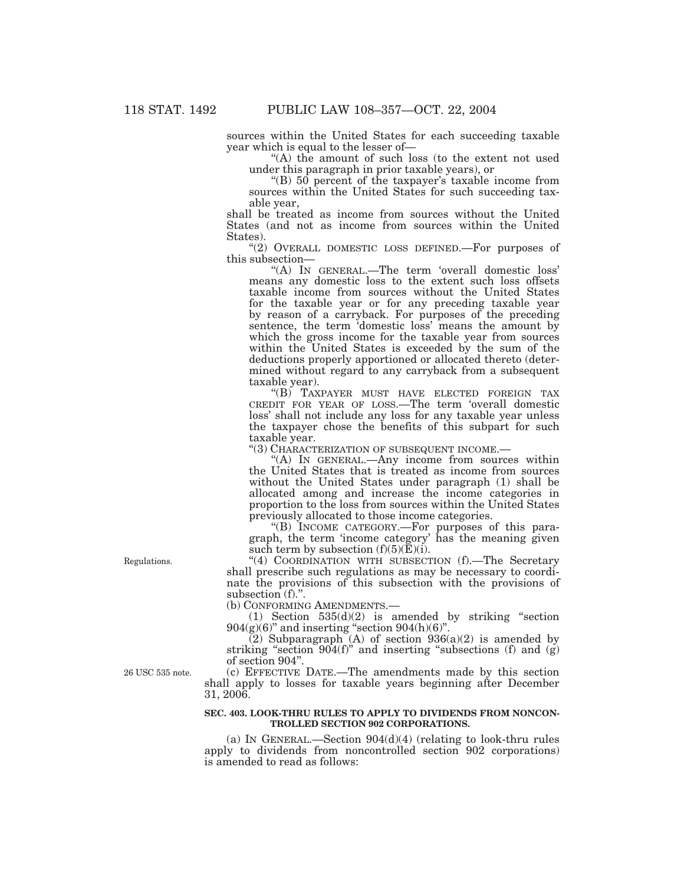sources within the United States for each succeeding taxable year which is equal to the lesser of—

''(A) the amount of such loss (to the extent not used under this paragraph in prior taxable years), or

"(B)  $50$  percent of the taxpayer's taxable income from sources within the United States for such succeeding taxable year,

shall be treated as income from sources without the United States (and not as income from sources within the United States).

''(2) OVERALL DOMESTIC LOSS DEFINED.—For purposes of this subsection—

"(A) IN GENERAL.—The term 'overall domestic loss' means any domestic loss to the extent such loss offsets taxable income from sources without the United States for the taxable year or for any preceding taxable year by reason of a carryback. For purposes of the preceding sentence, the term 'domestic loss' means the amount by which the gross income for the taxable year from sources within the United States is exceeded by the sum of the deductions properly apportioned or allocated thereto (determined without regard to any carryback from a subsequent taxable year).

''(B) TAXPAYER MUST HAVE ELECTED FOREIGN TAX CREDIT FOR YEAR OF LOSS.—The term 'overall domestic loss' shall not include any loss for any taxable year unless the taxpayer chose the benefits of this subpart for such taxable year.

''(3) CHARACTERIZATION OF SUBSEQUENT INCOME.—

''(A) IN GENERAL.—Any income from sources within the United States that is treated as income from sources without the United States under paragraph (1) shall be allocated among and increase the income categories in proportion to the loss from sources within the United States previously allocated to those income categories.

''(B) INCOME CATEGORY.—For purposes of this paragraph, the term 'income category' has the meaning given such term by subsection  $(f)(5)(E)(i)$ .

''(4) COORDINATION WITH SUBSECTION (f).—The Secretary shall prescribe such regulations as may be necessary to coordinate the provisions of this subsection with the provisions of subsection (f).".

(b) CONFORMING AMENDMENTS.—

(1) Section  $535(d)(2)$  is amended by striking "section  $904(g)(6)$ " and inserting "section  $904(h)(6)$ ".

 $(2)$  Subparagraph  $(A)$  of section 936(a)(2) is amended by striking "section  $904(f)$ " and inserting "subsections (f) and (g) of section 904''.

26 USC 535 note.

Regulations.

(c) EFFECTIVE DATE.—The amendments made by this section shall apply to losses for taxable years beginning after December 31, 2006.

#### **SEC. 403. LOOK-THRU RULES TO APPLY TO DIVIDENDS FROM NONCON-TROLLED SECTION 902 CORPORATIONS.**

(a) IN GENERAL.—Section  $904(d)(4)$  (relating to look-thru rules apply to dividends from noncontrolled section 902 corporations) is amended to read as follows: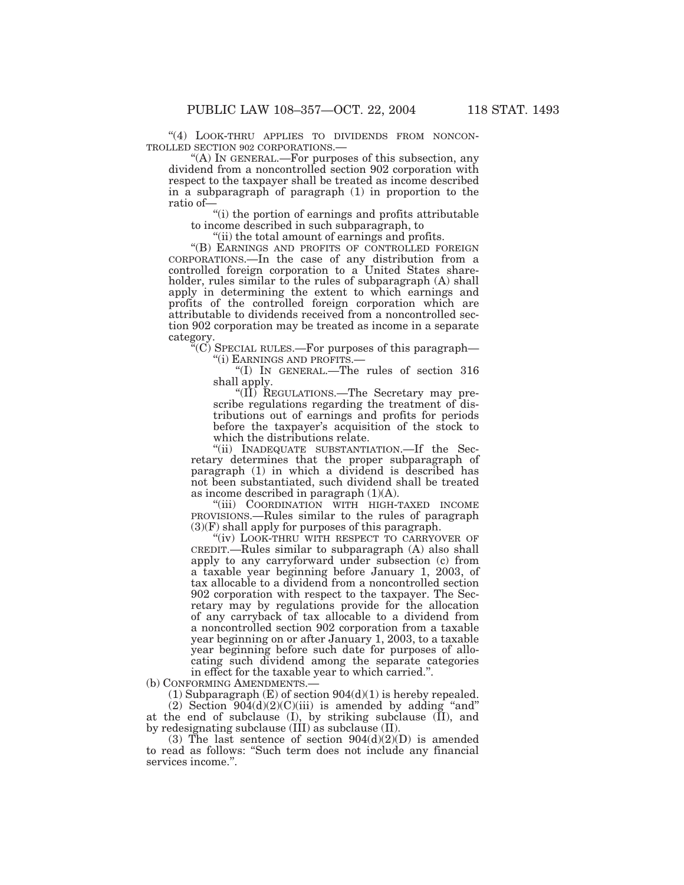"(4) LOOK-THRU APPLIES TO DIVIDENDS FROM NONCON-TROLLED SECTION 902 CORPORATIONS.—

''(A) IN GENERAL.—For purposes of this subsection, any dividend from a noncontrolled section 902 corporation with respect to the taxpayer shall be treated as income described in a subparagraph of paragraph (1) in proportion to the ratio of—

"(i) the portion of earnings and profits attributable to income described in such subparagraph, to

''(ii) the total amount of earnings and profits.

''(B) EARNINGS AND PROFITS OF CONTROLLED FOREIGN CORPORATIONS.—In the case of any distribution from a controlled foreign corporation to a United States shareholder, rules similar to the rules of subparagraph (A) shall apply in determining the extent to which earnings and profits of the controlled foreign corporation which are attributable to dividends received from a noncontrolled section 902 corporation may be treated as income in a separate category.

''(C) SPECIAL RULES.—For purposes of this paragraph— ''(i) EARNINGS AND PROFITS.—

''(I) IN GENERAL.—The rules of section 316

shall apply.

''(II) REGULATIONS.—The Secretary may prescribe regulations regarding the treatment of distributions out of earnings and profits for periods before the taxpayer's acquisition of the stock to which the distributions relate.

''(ii) INADEQUATE SUBSTANTIATION.—If the Secretary determines that the proper subparagraph of paragraph (1) in which a dividend is described has not been substantiated, such dividend shall be treated as income described in paragraph (1)(A).

"(iii) COORDINATION WITH HIGH-TAXED INCOME PROVISIONS.—Rules similar to the rules of paragraph  $(3)(F)$  shall apply for purposes of this paragraph.

"(iv) LOOK-THRU WITH RESPECT TO CARRYOVER OF CREDIT.—Rules similar to subparagraph (A) also shall apply to any carryforward under subsection (c) from a taxable year beginning before January 1, 2003, of tax allocable to a dividend from a noncontrolled section 902 corporation with respect to the taxpayer. The Secretary may by regulations provide for the allocation of any carryback of tax allocable to a dividend from a noncontrolled section 902 corporation from a taxable year beginning on or after January 1, 2003, to a taxable year beginning before such date for purposes of allocating such dividend among the separate categories in effect for the taxable year to which carried.''.

(b) CONFORMING AMENDMENTS.

(1) Subparagraph  $(E)$  of section  $904(d)(1)$  is hereby repealed.

(2) Section  $904(d)(2)(C)(iii)$  is amended by adding "and" at the end of subclause (I), by striking subclause (II), and by redesignating subclause (III) as subclause (II).

(3) The last sentence of section  $904(d)(2)(D)$  is amended to read as follows: ''Such term does not include any financial services income.''.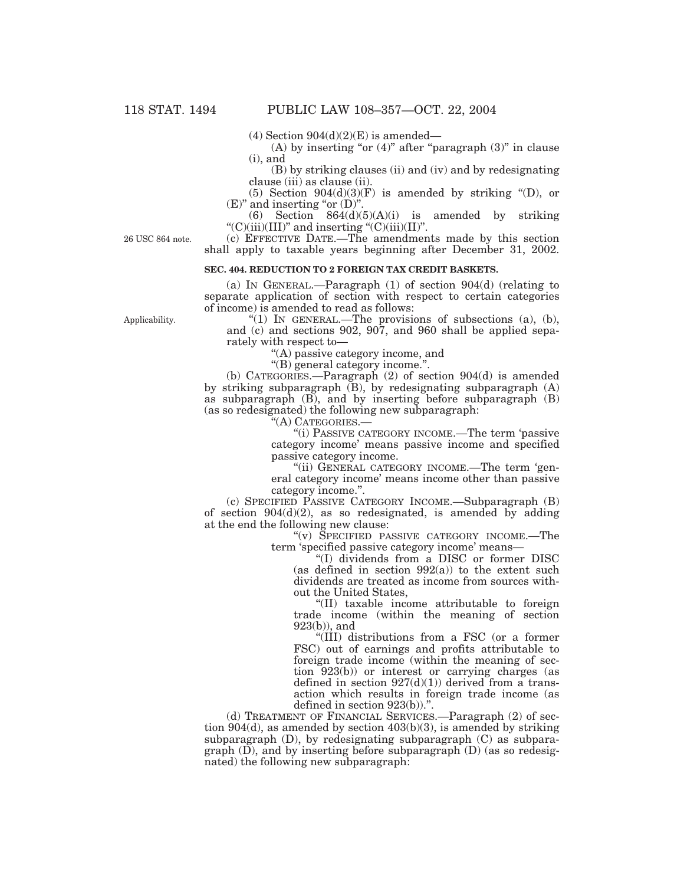(4) Section  $904(d)(2)(E)$  is amended—

(A) by inserting "or  $(4)$ " after "paragraph  $(3)$ " in clause (i), and

(B) by striking clauses (ii) and (iv) and by redesignating clause (iii) as clause (ii).

(5) Section  $904(d)(3)(F)$  is amended by striking "(D), or  $(E)$ " and inserting "or  $(D)$ ".

(6) Section  $864(d)(5)(A)(i)$  is amended by striking " $(C)(iii)(III)$ " and inserting " $(C)(iii)(II)$ ".

26 USC 864 note.

# (c) EFFECTIVE DATE.—The amendments made by this section shall apply to taxable years beginning after December 31, 2002.

# **SEC. 404. REDUCTION TO 2 FOREIGN TAX CREDIT BASKETS.**

(a) IN GENERAL.—Paragraph (1) of section 904(d) (relating to separate application of section with respect to certain categories of income) is amended to read as follows:

" $(1)$  In GENERAL.—The provisions of subsections  $(a)$ ,  $(b)$ , and (c) and sections 902, 907, and 960 shall be applied separately with respect to—

''(A) passive category income, and

''(B) general category income.''.

(b) CATEGORIES.—Paragraph (2) of section 904(d) is amended by striking subparagraph  $(B)$ , by redesignating subparagraph  $(A)$ as subparagraph (B), and by inserting before subparagraph (B) (as so redesignated) the following new subparagraph:

''(A) CATEGORIES.—

''(i) PASSIVE CATEGORY INCOME.—The term 'passive category income' means passive income and specified passive category income.

''(ii) GENERAL CATEGORY INCOME.—The term 'general category income' means income other than passive category income.''.

(c) SPECIFIED PASSIVE CATEGORY INCOME.—Subparagraph (B) of section  $904(d)(2)$ , as so redesignated, is amended by adding at the end the following new clause:

''(v) SPECIFIED PASSIVE CATEGORY INCOME.—The term 'specified passive category income' means—

''(I) dividends from a DISC or former DISC (as defined in section  $992(a)$ ) to the extent such dividends are treated as income from sources without the United States,

''(II) taxable income attributable to foreign trade income (within the meaning of section 923(b)), and

''(III) distributions from a FSC (or a former FSC) out of earnings and profits attributable to foreign trade income (within the meaning of section 923(b)) or interest or carrying charges (as defined in section  $927(d)(1)$ ) derived from a transaction which results in foreign trade income (as defined in section 923(b)).''.

(d) TREATMENT OF FINANCIAL SERVICES.—Paragraph (2) of section 904(d), as amended by section 403(b)(3), is amended by striking subparagraph (D), by redesignating subparagraph (C) as subparagraph  $(D)$ , and by inserting before subparagraph  $(D)$  (as so redesignated) the following new subparagraph:

Applicability.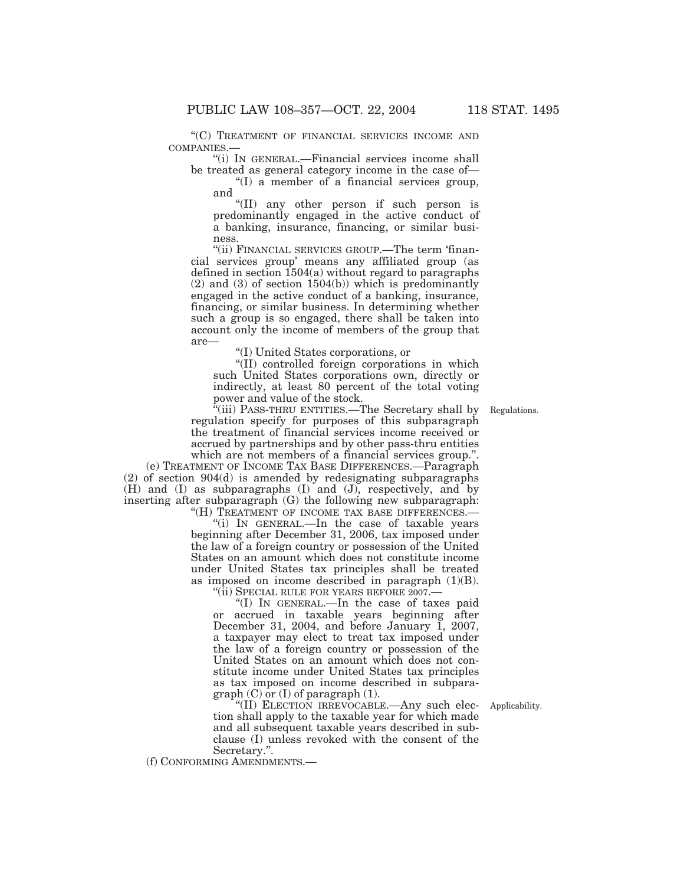''(C) TREATMENT OF FINANCIAL SERVICES INCOME AND COMPANIES.—

''(i) IN GENERAL.—Financial services income shall be treated as general category income in the case of—

''(I) a member of a financial services group, and

''(II) any other person if such person is predominantly engaged in the active conduct of a banking, insurance, financing, or similar business.

''(ii) FINANCIAL SERVICES GROUP.—The term 'financial services group' means any affiliated group (as defined in section  $1504(a)$  without regard to paragraphs  $(2)$  and  $(3)$  of section 1504 $(b)$ ) which is predominantly engaged in the active conduct of a banking, insurance, financing, or similar business. In determining whether such a group is so engaged, there shall be taken into account only the income of members of the group that are—

''(I) United States corporations, or

''(II) controlled foreign corporations in which such United States corporations own, directly or indirectly, at least 80 percent of the total voting power and value of the stock.

Regulations.

''(iii) PASS-THRU ENTITIES.—The Secretary shall by regulation specify for purposes of this subparagraph the treatment of financial services income received or accrued by partnerships and by other pass-thru entities which are not members of a financial services group.".

(e) TREATMENT OF INCOME TAX BASE DIFFERENCES.—Paragraph (2) of section 904(d) is amended by redesignating subparagraphs (H) and (I) as subparagraphs (I) and (J), respectively, and by inserting after subparagraph (G) the following new subparagraph: "(H) TREATMENT OF INCOME TAX BASE DIFFERENCES.-

''(i) IN GENERAL.—In the case of taxable years beginning after December 31, 2006, tax imposed under the law of a foreign country or possession of the United States on an amount which does not constitute income under United States tax principles shall be treated as imposed on income described in paragraph  $(1)(B)$ . ''(ii) SPECIAL RULE FOR YEARS BEFORE 2007.—

''(I) IN GENERAL.—In the case of taxes paid or accrued in taxable years beginning after December 31, 2004, and before January 1, 2007, a taxpayer may elect to treat tax imposed under the law of a foreign country or possession of the United States on an amount which does not constitute income under United States tax principles as tax imposed on income described in subparagraph (C) or (I) of paragraph (1).

''(II) ELECTION IRREVOCABLE.—Any such election shall apply to the taxable year for which made and all subsequent taxable years described in subclause (I) unless revoked with the consent of the Secretary.''.

(f) CONFORMING AMENDMENTS.—

Applicability.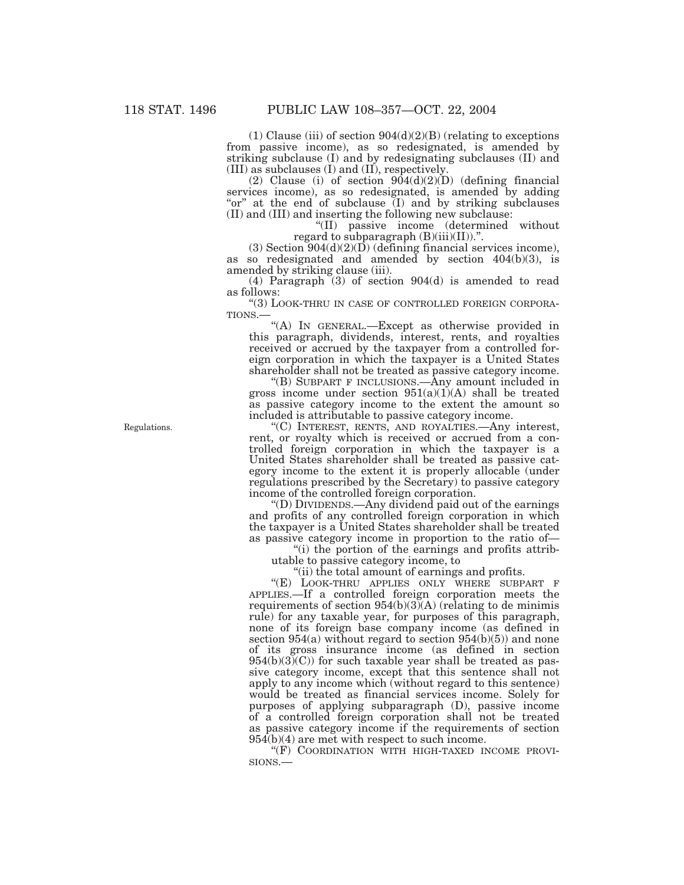(1) Clause (iii) of section  $904(d)(2)(B)$  (relating to exceptions from passive income), as so redesignated, is amended by striking subclause (I) and by redesignating subclauses (II) and (III) as subclauses (I) and (II), respectively.

(2) Clause (i) of section  $904(d)(2)(D)$  (defining financial services income), as so redesignated, is amended by adding "or" at the end of subclause (I) and by striking subclauses (II) and (III) and inserting the following new subclause:

''(II) passive income (determined without

regard to subparagraph  $(B)(iii)(II)$ .".

 $(3)$  Section  $904(d)(2)(D)$  (defining financial services income), as so redesignated and amended by section 404(b)(3), is amended by striking clause (iii).

(4) Paragraph (3) of section 904(d) is amended to read as follows:

''(3) LOOK-THRU IN CASE OF CONTROLLED FOREIGN CORPORA-TIONS.—

''(A) IN GENERAL.—Except as otherwise provided in this paragraph, dividends, interest, rents, and royalties received or accrued by the taxpayer from a controlled foreign corporation in which the taxpayer is a United States shareholder shall not be treated as passive category income.

''(B) SUBPART F INCLUSIONS.—Any amount included in gross income under section 951(a)(1)(A) shall be treated as passive category income to the extent the amount so included is attributable to passive category income.

''(C) INTEREST, RENTS, AND ROYALTIES.—Any interest, rent, or royalty which is received or accrued from a controlled foreign corporation in which the taxpayer is a United States shareholder shall be treated as passive category income to the extent it is properly allocable (under regulations prescribed by the Secretary) to passive category income of the controlled foreign corporation.

''(D) DIVIDENDS.—Any dividend paid out of the earnings and profits of any controlled foreign corporation in which the taxpayer is a United States shareholder shall be treated as passive category income in proportion to the ratio of—

''(i) the portion of the earnings and profits attributable to passive category income, to

''(ii) the total amount of earnings and profits.

"(E) LOOK-THRU APPLIES ONLY WHERE SUBPART F APPLIES.—If a controlled foreign corporation meets the requirements of section  $954(b)(3)(A)$  (relating to de minimis rule) for any taxable year, for purposes of this paragraph, none of its foreign base company income (as defined in section  $954(a)$  without regard to section  $954(b)(5)$  and none of its gross insurance income (as defined in section  $954(b)(3)(C)$  for such taxable year shall be treated as passive category income, except that this sentence shall not apply to any income which (without regard to this sentence) would be treated as financial services income. Solely for purposes of applying subparagraph (D), passive income of a controlled foreign corporation shall not be treated as passive category income if the requirements of section 954(b)(4) are met with respect to such income.

"(F) COORDINATION WITH HIGH-TAXED INCOME PROVI-SIONS.—

Regulations.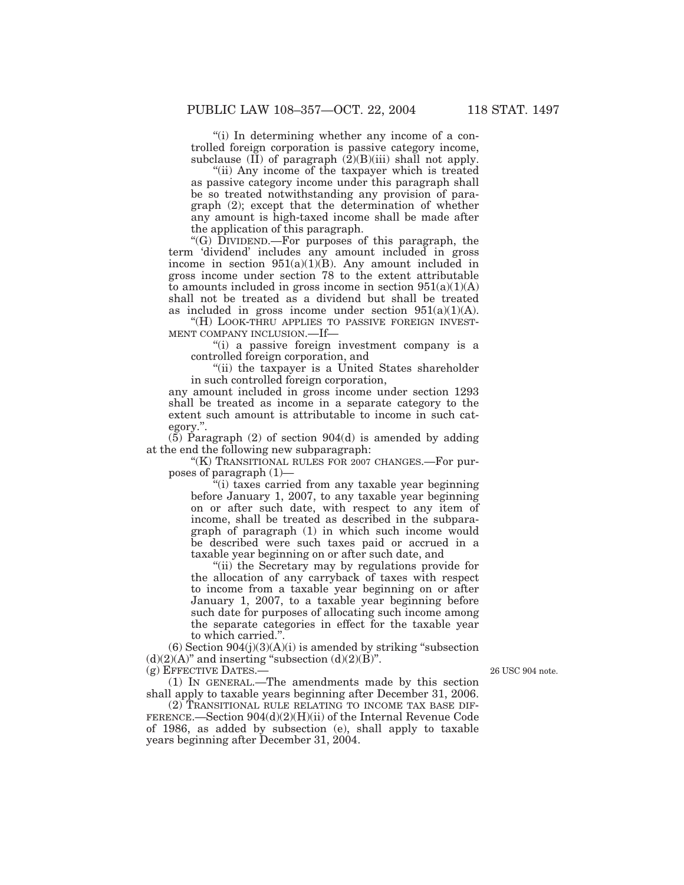"(i) In determining whether any income of a controlled foreign corporation is passive category income, subclause (II) of paragraph  $(2)(B)(iii)$  shall not apply.

"(ii) Any income of the taxpayer which is treated as passive category income under this paragraph shall be so treated notwithstanding any provision of paragraph (2); except that the determination of whether any amount is high-taxed income shall be made after the application of this paragraph.

 $(G)$  DIVIDEND.—For purposes of this paragraph, the term 'dividend' includes any amount included in gross income in section  $951(a)(1)(B)$ . Any amount included in gross income under section 78 to the extent attributable to amounts included in gross income in section  $951(a)(1)(A)$ shall not be treated as a dividend but shall be treated as included in gross income under section  $951(a)(1)(A)$ .

"(H) LOOK-THRU APPLIES TO PASSIVE FOREIGN INVEST-MENT COMPANY INCLUSION.—If—

''(i) a passive foreign investment company is a controlled foreign corporation, and

''(ii) the taxpayer is a United States shareholder in such controlled foreign corporation,

any amount included in gross income under section 1293 shall be treated as income in a separate category to the extent such amount is attributable to income in such category.''.

(5) Paragraph (2) of section 904(d) is amended by adding at the end the following new subparagraph:

"(K) TRANSITIONAL RULES FOR 2007 CHANGES.—For purposes of paragraph (1)—

''(i) taxes carried from any taxable year beginning before January 1, 2007, to any taxable year beginning on or after such date, with respect to any item of income, shall be treated as described in the subparagraph of paragraph (1) in which such income would be described were such taxes paid or accrued in a taxable year beginning on or after such date, and

''(ii) the Secretary may by regulations provide for the allocation of any carryback of taxes with respect to income from a taxable year beginning on or after January 1, 2007, to a taxable year beginning before such date for purposes of allocating such income among the separate categories in effect for the taxable year to which carried.''.

 $(6)$  Section  $904(j)(3)(A)(i)$  is amended by striking "subsection"  $(d)(2)(A)$ " and inserting "subsection  $(d)(2)(B)$ ".

(g) EFFECTIVE DATES.—

26 USC 904 note.

(1) IN GENERAL.—The amendments made by this section shall apply to taxable years beginning after December 31, 2006.

(2) TRANSITIONAL RULE RELATING TO INCOME TAX BASE DIF-FERENCE.—Section 904(d)(2)(H)(ii) of the Internal Revenue Code of 1986, as added by subsection (e), shall apply to taxable years beginning after December 31, 2004.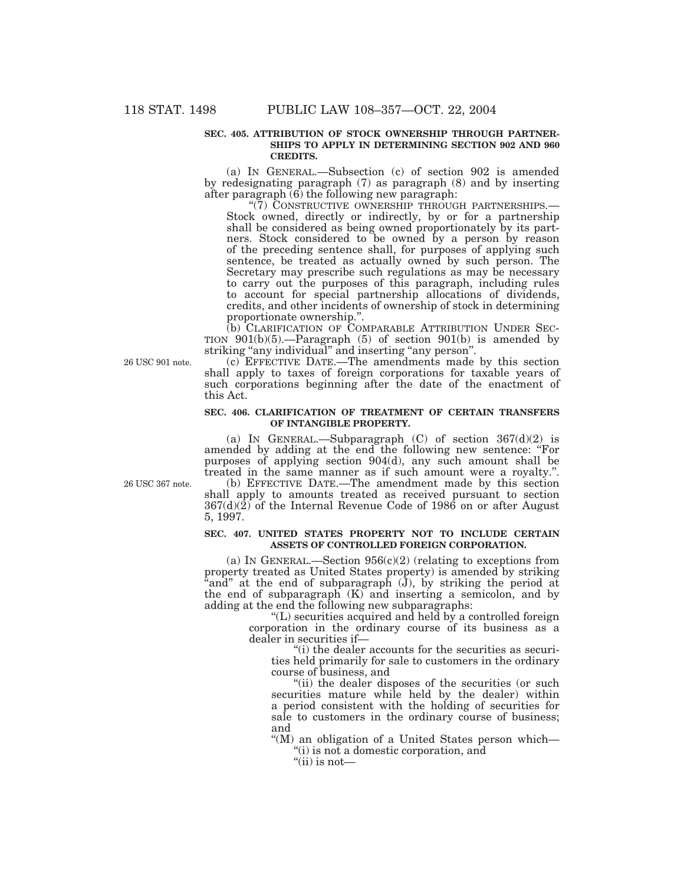#### **SEC. 405. ATTRIBUTION OF STOCK OWNERSHIP THROUGH PARTNER-SHIPS TO APPLY IN DETERMINING SECTION 902 AND 960 CREDITS.**

(a) IN GENERAL.—Subsection (c) of section 902 is amended by redesignating paragraph (7) as paragraph (8) and by inserting after paragraph (6) the following new paragraph:

''(7) CONSTRUCTIVE OWNERSHIP THROUGH PARTNERSHIPS.— Stock owned, directly or indirectly, by or for a partnership shall be considered as being owned proportionately by its partners. Stock considered to be owned by a person by reason of the preceding sentence shall, for purposes of applying such sentence, be treated as actually owned by such person. The Secretary may prescribe such regulations as may be necessary to carry out the purposes of this paragraph, including rules to account for special partnership allocations of dividends, credits, and other incidents of ownership of stock in determining proportionate ownership.''.

(b) CLARIFICATION OF COMPARABLE ATTRIBUTION UNDER SEC-TION  $901(b)(5)$ . - Paragraph (5) of section  $901(b)$  is amended by striking "any individual" and inserting "any person".

(c) EFFECTIVE DATE.—The amendments made by this section shall apply to taxes of foreign corporations for taxable years of such corporations beginning after the date of the enactment of this Act.

#### **SEC. 406. CLARIFICATION OF TREATMENT OF CERTAIN TRANSFERS OF INTANGIBLE PROPERTY.**

(a) IN GENERAL.—Subparagraph (C) of section  $367(d)(2)$  is amended by adding at the end the following new sentence: "For purposes of applying section 904(d), any such amount shall be treated in the same manner as if such amount were a royalty.''.

(b) EFFECTIVE DATE.—The amendment made by this section shall apply to amounts treated as received pursuant to section  $367(d)(2)$  of the Internal Revenue Code of 1986 on or after August 5, 1997.

#### **SEC. 407. UNITED STATES PROPERTY NOT TO INCLUDE CERTAIN ASSETS OF CONTROLLED FOREIGN CORPORATION.**

(a) IN GENERAL.—Section  $956(c)(2)$  (relating to exceptions from property treated as United States property) is amended by striking "and" at the end of subparagraph (J), by striking the period at the end of subparagraph  $(K)$  and inserting a semicolon, and by adding at the end the following new subparagraphs:

''(L) securities acquired and held by a controlled foreign corporation in the ordinary course of its business as a dealer in securities if—

"(i) the dealer accounts for the securities as securities held primarily for sale to customers in the ordinary course of business, and

"(ii) the dealer disposes of the securities (or such securities mature while held by the dealer) within a period consistent with the holding of securities for sale to customers in the ordinary course of business; and

''(M) an obligation of a United States person which—

''(i) is not a domestic corporation, and

" $(iii)$  is not—

26 USC 901 note.

26 USC 367 note.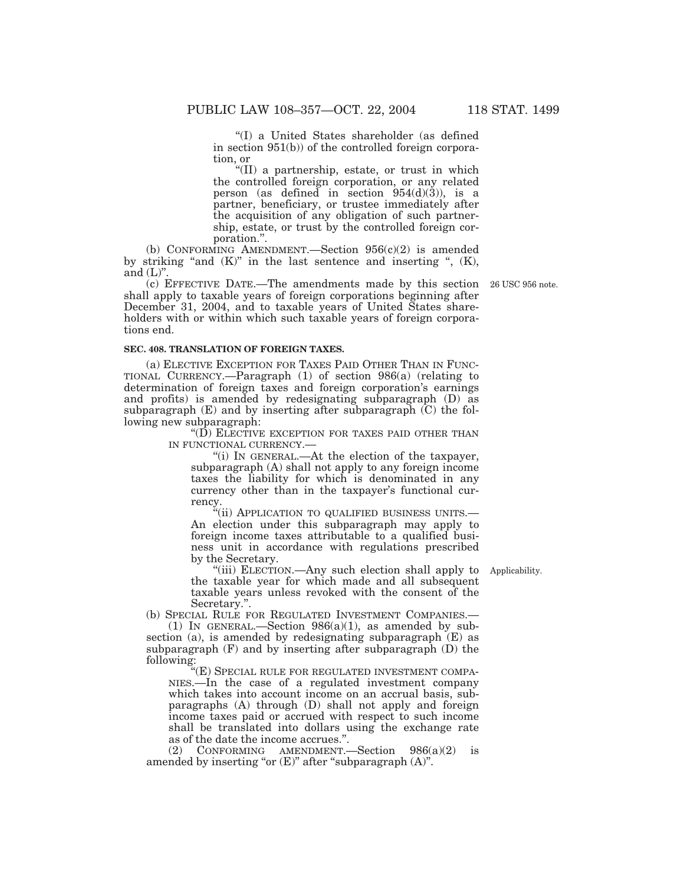''(I) a United States shareholder (as defined in section 951(b)) of the controlled foreign corporation, or

''(II) a partnership, estate, or trust in which the controlled foreign corporation, or any related person (as defined in section  $954(d)(3)$ ), is a partner, beneficiary, or trustee immediately after the acquisition of any obligation of such partnership, estate, or trust by the controlled foreign corporation.''.

(b) CONFORMING AMENDMENT.—Section 956(c)(2) is amended by striking "and  $(K)$ " in the last sentence and inserting ",  $(K)$ , and  $(L)$ ".

(c) EFFECTIVE DATE.—The amendments made by this section 26 USC 956 note. shall apply to taxable years of foreign corporations beginning after December 31, 2004, and to taxable years of United States shareholders with or within which such taxable years of foreign corporations end.

# **SEC. 408. TRANSLATION OF FOREIGN TAXES.**

(a) ELECTIVE EXCEPTION FOR TAXES PAID OTHER THAN IN FUNC-TIONAL CURRENCY.—Paragraph (1) of section 986(a) (relating to determination of foreign taxes and foreign corporation's earnings and profits) is amended by redesignating subparagraph (D) as subparagraph (E) and by inserting after subparagraph (C) the following new subparagraph:

 $\rm{``(D)}$  ELECTIVE EXCEPTION FOR TAXES PAID OTHER THAN IN FUNCTIONAL CURRENCY.—

''(i) IN GENERAL.—At the election of the taxpayer, subparagraph (A) shall not apply to any foreign income taxes the liability for which is denominated in any currency other than in the taxpayer's functional currency.

''(ii) APPLICATION TO QUALIFIED BUSINESS UNITS.— An election under this subparagraph may apply to foreign income taxes attributable to a qualified business unit in accordance with regulations prescribed by the Secretary.

"(iii) ELECTION.—Any such election shall apply to Applicability. the taxable year for which made and all subsequent taxable years unless revoked with the consent of the Secretary.''.

(b) SPECIAL RULE FOR REGULATED INVESTMENT COMPANIES.—

(1) IN GENERAL.—Section  $986(a)(1)$ , as amended by subsection (a), is amended by redesignating subparagraph (E) as subparagraph (F) and by inserting after subparagraph (D) the following:

 $\mathcal{H}(E)$  Special rule for regulated investment compa-NIES.—In the case of a regulated investment company which takes into account income on an accrual basis, subparagraphs (A) through (D) shall not apply and foreign income taxes paid or accrued with respect to such income shall be translated into dollars using the exchange rate as of the date the income accrues.''.

(2) CONFORMING AMENDMENT.—Section 986(a)(2) is amended by inserting "or (E)" after "subparagraph (A)".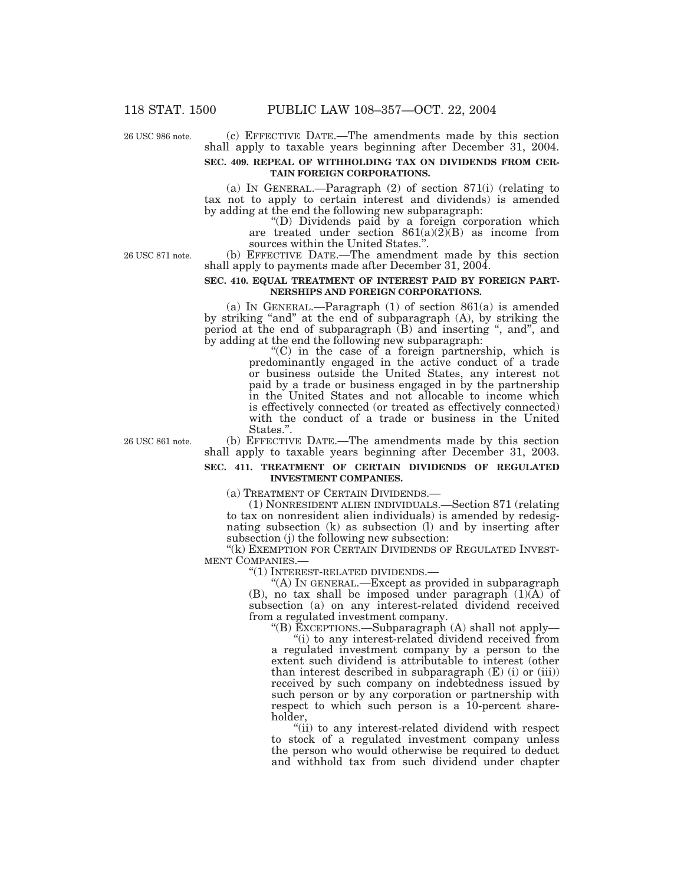26 USC 986 note.

# (c) EFFECTIVE DATE.—The amendments made by this section shall apply to taxable years beginning after December 31, 2004. **SEC. 409. REPEAL OF WITHHOLDING TAX ON DIVIDENDS FROM CER-**

# **TAIN FOREIGN CORPORATIONS.**

(a) IN GENERAL.—Paragraph (2) of section 871(i) (relating to tax not to apply to certain interest and dividends) is amended by adding at the end the following new subparagraph:

''(D) Dividends paid by a foreign corporation which are treated under section  $861(a)(2)(B)$  as income from sources within the United States.''.

26 USC 871 note.

(b) EFFECTIVE DATE.—The amendment made by this section shall apply to payments made after December 31, 2004.

#### **SEC. 410. EQUAL TREATMENT OF INTEREST PAID BY FOREIGN PART-NERSHIPS AND FOREIGN CORPORATIONS.**

(a) IN GENERAL.—Paragraph (1) of section 861(a) is amended by striking "and" at the end of subparagraph (A), by striking the period at the end of subparagraph (B) and inserting '', and'', and by adding at the end the following new subparagraph:

 $(C)$  in the case of a foreign partnership, which is predominantly engaged in the active conduct of a trade or business outside the United States, any interest not paid by a trade or business engaged in by the partnership in the United States and not allocable to income which is effectively connected (or treated as effectively connected) with the conduct of a trade or business in the United States."

26 USC 861 note.

(b) EFFECTIVE DATE.—The amendments made by this section shall apply to taxable years beginning after December 31, 2003.

# **SEC. 411. TREATMENT OF CERTAIN DIVIDENDS OF REGULATED INVESTMENT COMPANIES.**

(a) TREATMENT OF CERTAIN DIVIDENDS.— (1) NONRESIDENT ALIEN INDIVIDUALS.—Section 871 (relating to tax on nonresident alien individuals) is amended by redesignating subsection (k) as subsection (l) and by inserting after subsection (j) the following new subsection:

"(k) EXEMPTION FOR CERTAIN DIVIDENDS OF REGULATED INVEST-MENT COMPANIES.—

''(1) INTEREST-RELATED DIVIDENDS.—

(A) IN GENERAL.—Except as provided in subparagraph (B), no tax shall be imposed under paragraph  $(1)(A)$  of subsection (a) on any interest-related dividend received from a regulated investment company.

"(B)  $\text{ExCEPTIONS.}$ —Subparagraph (A) shall not apply—

''(i) to any interest-related dividend received from a regulated investment company by a person to the extent such dividend is attributable to interest (other than interest described in subparagraph  $(E)$  (i) or (iii)) received by such company on indebtedness issued by such person or by any corporation or partnership with respect to which such person is a 10-percent shareholder,

''(ii) to any interest-related dividend with respect to stock of a regulated investment company unless the person who would otherwise be required to deduct and withhold tax from such dividend under chapter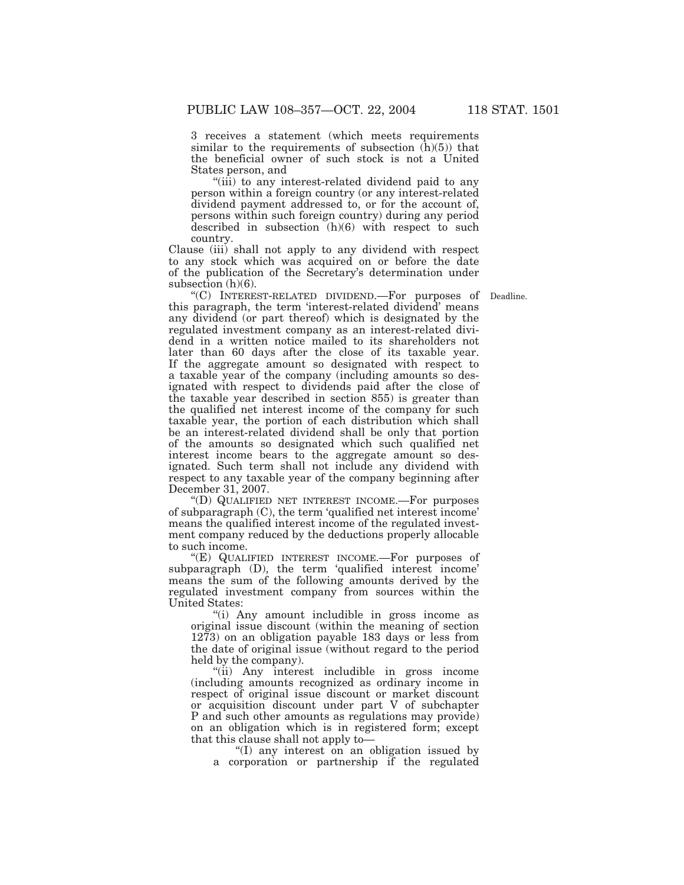3 receives a statement (which meets requirements similar to the requirements of subsection  $(h)(5)$  that the beneficial owner of such stock is not a United States person, and

"(iii) to any interest-related dividend paid to any person within a foreign country (or any interest-related dividend payment addressed to, or for the account of, persons within such foreign country) during any period described in subsection (h)(6) with respect to such country.

Clause (iii) shall not apply to any dividend with respect to any stock which was acquired on or before the date of the publication of the Secretary's determination under subsection  $(h)(6)$ .

''(C) INTEREST-RELATED DIVIDEND.—For purposes of Deadline. this paragraph, the term 'interest-related dividend' means any dividend (or part thereof) which is designated by the regulated investment company as an interest-related dividend in a written notice mailed to its shareholders not later than 60 days after the close of its taxable year. If the aggregate amount so designated with respect to a taxable year of the company (including amounts so designated with respect to dividends paid after the close of the taxable year described in section 855) is greater than the qualified net interest income of the company for such taxable year, the portion of each distribution which shall be an interest-related dividend shall be only that portion of the amounts so designated which such qualified net interest income bears to the aggregate amount so designated. Such term shall not include any dividend with respect to any taxable year of the company beginning after December 31, 2007.

''(D) QUALIFIED NET INTEREST INCOME.—For purposes of subparagraph (C), the term 'qualified net interest income' means the qualified interest income of the regulated investment company reduced by the deductions properly allocable to such income.

''(E) QUALIFIED INTEREST INCOME.—For purposes of subparagraph (D), the term 'qualified interest income' means the sum of the following amounts derived by the regulated investment company from sources within the United States:

''(i) Any amount includible in gross income as original issue discount (within the meaning of section 1273) on an obligation payable 183 days or less from the date of original issue (without regard to the period held by the company).

''(ii) Any interest includible in gross income (including amounts recognized as ordinary income in respect of original issue discount or market discount or acquisition discount under part V of subchapter P and such other amounts as regulations may provide) on an obligation which is in registered form; except that this clause shall not apply to—

''(I) any interest on an obligation issued by a corporation or partnership if the regulated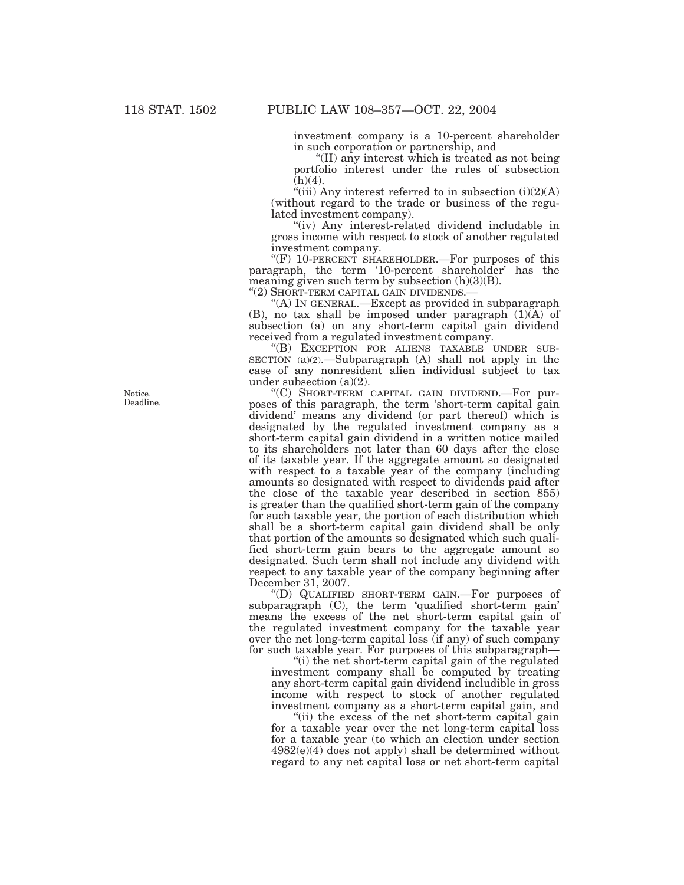investment company is a 10-percent shareholder in such corporation or partnership, and

''(II) any interest which is treated as not being portfolio interest under the rules of subsection  $(h)(4)$ .

"(iii) Any interest referred to in subsection  $(i)(2)(A)$ (without regard to the trade or business of the regulated investment company).

"(iv) Any interest-related dividend includable in gross income with respect to stock of another regulated investment company.

''(F) 10-PERCENT SHAREHOLDER.—For purposes of this paragraph, the term '10-percent shareholder' has the meaning given such term by subsection (h)(3)(B).

"(2) SHORT-TERM CAPITAL GAIN DIVIDENDS.

"(A) In GENERAL.—Except as provided in subparagraph  $(B)$ , no tax shall be imposed under paragraph  $(1)(A)$  of subsection (a) on any short-term capital gain dividend received from a regulated investment company.

''(B) EXCEPTION FOR ALIENS TAXABLE UNDER SUB-SECTION (a)(2).—Subparagraph (A) shall not apply in the case of any nonresident alien individual subject to tax under subsection (a)(2).

''(C) SHORT-TERM CAPITAL GAIN DIVIDEND.—For purposes of this paragraph, the term 'short-term capital gain dividend' means any dividend (or part thereof) which is designated by the regulated investment company as a short-term capital gain dividend in a written notice mailed to its shareholders not later than 60 days after the close of its taxable year. If the aggregate amount so designated with respect to a taxable year of the company (including amounts so designated with respect to dividends paid after the close of the taxable year described in section 855) is greater than the qualified short-term gain of the company for such taxable year, the portion of each distribution which shall be a short-term capital gain dividend shall be only that portion of the amounts so designated which such qualified short-term gain bears to the aggregate amount so designated. Such term shall not include any dividend with respect to any taxable year of the company beginning after December 31, 2007.

''(D) QUALIFIED SHORT-TERM GAIN.—For purposes of subparagraph (C), the term 'qualified short-term gain' means the excess of the net short-term capital gain of the regulated investment company for the taxable year over the net long-term capital loss (if any) of such company for such taxable year. For purposes of this subparagraph—

"(i) the net short-term capital gain of the regulated investment company shall be computed by treating any short-term capital gain dividend includible in gross income with respect to stock of another regulated investment company as a short-term capital gain, and

"(ii) the excess of the net short-term capital gain for a taxable year over the net long-term capital loss for a taxable year (to which an election under section 4982(e)(4) does not apply) shall be determined without regard to any net capital loss or net short-term capital

Notice. Deadline.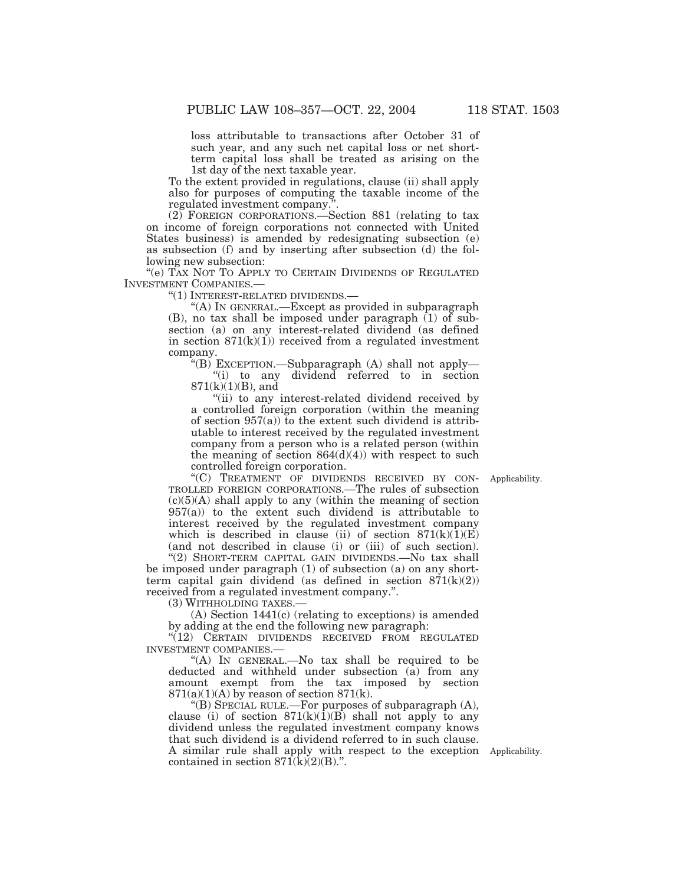loss attributable to transactions after October 31 of such year, and any such net capital loss or net shortterm capital loss shall be treated as arising on the 1st day of the next taxable year.

To the extent provided in regulations, clause (ii) shall apply also for purposes of computing the taxable income of the regulated investment company.''.

(2) FOREIGN CORPORATIONS.—Section 881 (relating to tax on income of foreign corporations not connected with United States business) is amended by redesignating subsection (e) as subsection (f) and by inserting after subsection (d) the following new subsection:

''(e) TAX NOT TO APPLY TO CERTAIN DIVIDENDS OF REGULATED INVESTMENT COMPANIES.—

''(1) INTEREST-RELATED DIVIDENDS.—

''(A) IN GENERAL.—Except as provided in subparagraph (B), no tax shall be imposed under paragraph (1) of subsection (a) on any interest-related dividend (as defined in section  $871(k)(1)$  received from a regulated investment company.

''(B) EXCEPTION.—Subparagraph (A) shall not apply— ''(i) to any dividend referred to in section  $871(k)(1)(B)$ , and

"(ii) to any interest-related dividend received by a controlled foreign corporation (within the meaning of section 957(a)) to the extent such dividend is attributable to interest received by the regulated investment company from a person who is a related person (within the meaning of section  $864(d)(4)$ ) with respect to such controlled foreign corporation.

Applicability.

''(C) TREATMENT OF DIVIDENDS RECEIVED BY CON-TROLLED FOREIGN CORPORATIONS.—The rules of subsection  $(c)(5)(A)$  shall apply to any (within the meaning of section  $957(a)$  to the extent such dividend is attributable to interest received by the regulated investment company which is described in clause (ii) of section  $871(k)(1)(E)$ (and not described in clause (i) or (iii) of such section).

"(2) SHORT-TERM CAPITAL GAIN DIVIDENDS.—No tax shall be imposed under paragraph (1) of subsection (a) on any shortterm capital gain dividend (as defined in section  $871(k)(2)$ ) received from a regulated investment company.''.

(3) WITHHOLDING TAXES.—

(A) Section 1441(c) (relating to exceptions) is amended by adding at the end the following new paragraph:

''(12) CERTAIN DIVIDENDS RECEIVED FROM REGULATED INVESTMENT COMPANIES.—

"(A) In GENERAL.—No tax shall be required to be deducted and withheld under subsection (a) from any amount exempt from the tax imposed by section  $871(a)(1)(A)$  by reason of section  $871(k)$ .

''(B) SPECIAL RULE.—For purposes of subparagraph (A), clause (i) of section  $871(k)(1)(B)$  shall not apply to any dividend unless the regulated investment company knows that such dividend is a dividend referred to in such clause. A similar rule shall apply with respect to the exception Applicability. contained in section  $871(k)(2)(B)$ .".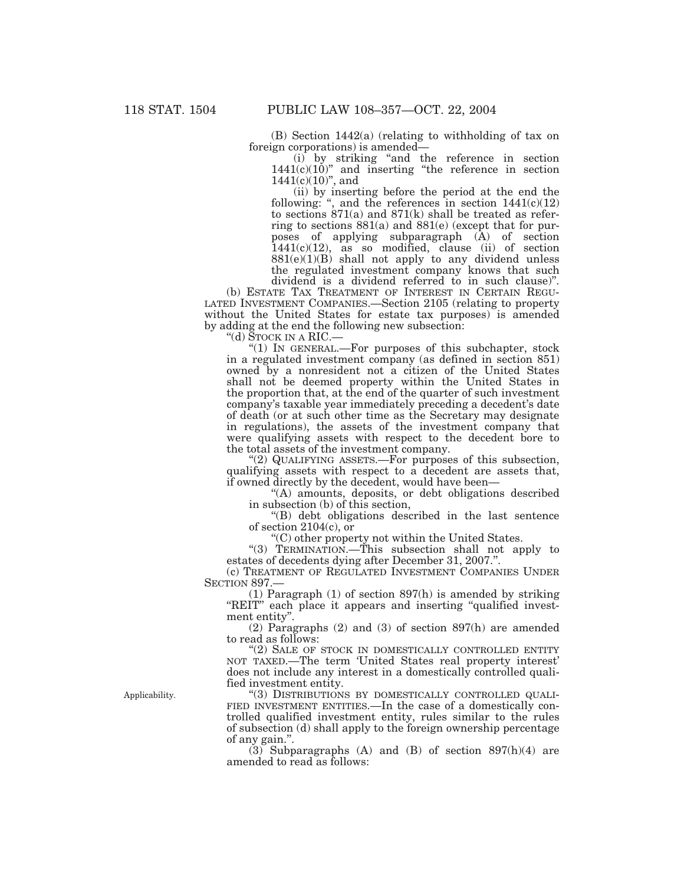(B) Section 1442(a) (relating to withholding of tax on foreign corporations) is amended—

(i) by striking ''and the reference in section  $1441(c)(10)$ " and inserting "the reference in section  $1441(c)(10)$ ", and

(ii) by inserting before the period at the end the following: ", and the references in section  $1441(c)(12)$ to sections  $871(a)$  and  $871(k)$  shall be treated as referring to sections 881(a) and 881(e) (except that for purposes of applying subparagraph (A) of section  $1441(c)(12)$ , as so modified, clause (ii) of section  $881(e)(1)(B)$  shall not apply to any dividend unless the regulated investment company knows that such dividend is a dividend referred to in such clause)''.

(b) ESTATE TAX TREATMENT OF INTEREST IN CERTAIN REGU-LATED INVESTMENT COMPANIES.—Section 2105 (relating to property without the United States for estate tax purposes) is amended by adding at the end the following new subsection:

''(d) STOCK IN A RIC.—

''(1) IN GENERAL.—For purposes of this subchapter, stock in a regulated investment company (as defined in section 851) owned by a nonresident not a citizen of the United States shall not be deemed property within the United States in the proportion that, at the end of the quarter of such investment company's taxable year immediately preceding a decedent's date of death (or at such other time as the Secretary may designate in regulations), the assets of the investment company that were qualifying assets with respect to the decedent bore to the total assets of the investment company.

" $(2)$  QUALIFYING ASSETS.—For purposes of this subsection, qualifying assets with respect to a decedent are assets that, if owned directly by the decedent, would have been—

''(A) amounts, deposits, or debt obligations described in subsection (b) of this section,

''(B) debt obligations described in the last sentence of section 2104(c), or

''(C) other property not within the United States.

''(3) TERMINATION.—This subsection shall not apply to estates of decedents dying after December 31, 2007.''.

(c) TREATMENT OF REGULATED INVESTMENT COMPANIES UNDER SECTION 897.—

(1) Paragraph (1) of section 897(h) is amended by striking "REIT" each place it appears and inserting "qualified investment entity''.

(2) Paragraphs (2) and (3) of section 897(h) are amended to read as follows:

"(2) SALE OF STOCK IN DOMESTICALLY CONTROLLED ENTITY NOT TAXED.—The term 'United States real property interest' does not include any interest in a domestically controlled qualified investment entity.

''(3) DISTRIBUTIONS BY DOMESTICALLY CONTROLLED QUALI-FIED INVESTMENT ENTITIES.—In the case of a domestically controlled qualified investment entity, rules similar to the rules of subsection (d) shall apply to the foreign ownership percentage of any gain.''.

(3) Subparagraphs (A) and (B) of section 897(h)(4) are amended to read as follows:

Applicability.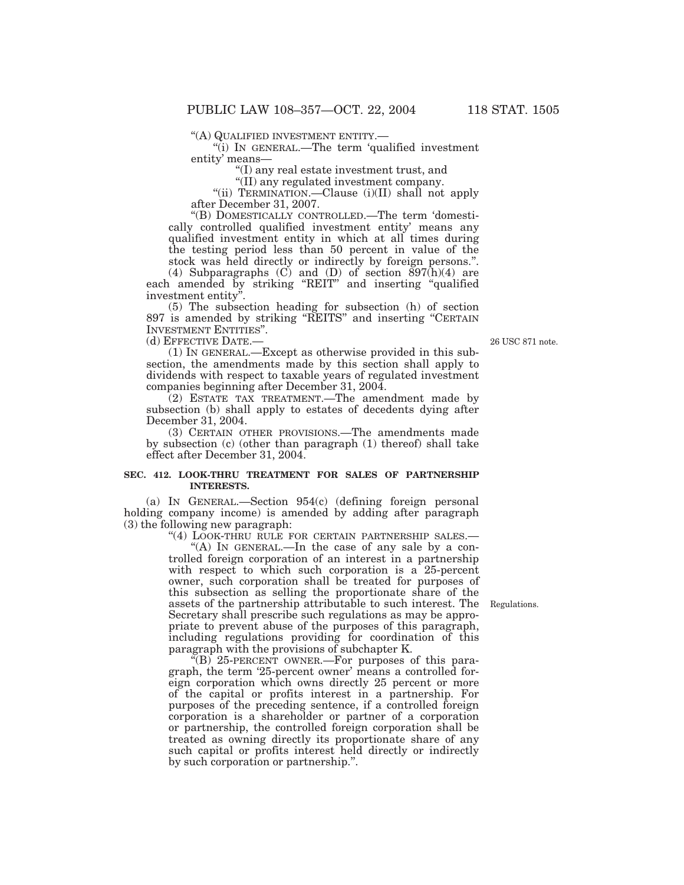''(A) QUALIFIED INVESTMENT ENTITY.—

''(i) IN GENERAL.—The term 'qualified investment entity' means—

''(I) any real estate investment trust, and

''(II) any regulated investment company.

''(ii) TERMINATION.—Clause (i)(II) shall not apply after December 31, 2007.

''(B) DOMESTICALLY CONTROLLED.—The term 'domestically controlled qualified investment entity' means any qualified investment entity in which at all times during the testing period less than 50 percent in value of the stock was held directly or indirectly by foreign persons.''.

(4) Subparagraphs  $(C)$  and  $(D)$  of section 897 $(h)(4)$  are each amended by striking "REIT" and inserting "qualified investment entity''.

(5) The subsection heading for subsection (h) of section 897 is amended by striking ''REITS'' and inserting ''CERTAIN INVESTMENT ENTITIES''.

(d) EFFECTIVE DATE.—

26 USC 871 note.

(1) IN GENERAL.—Except as otherwise provided in this subsection, the amendments made by this section shall apply to dividends with respect to taxable years of regulated investment companies beginning after December 31, 2004.

(2) ESTATE TAX TREATMENT.—The amendment made by subsection (b) shall apply to estates of decedents dying after December 31, 2004.

(3) CERTAIN OTHER PROVISIONS.—The amendments made by subsection (c) (other than paragraph (1) thereof) shall take effect after December 31, 2004.

### **SEC. 412. LOOK-THRU TREATMENT FOR SALES OF PARTNERSHIP INTERESTS.**

(a) IN GENERAL.—Section 954(c) (defining foreign personal holding company income) is amended by adding after paragraph (3) the following new paragraph:

"(4) LOOK-THRU RULE FOR CERTAIN PARTNERSHIP SALES.-

"(A) IN GENERAL.—In the case of any sale by a controlled foreign corporation of an interest in a partnership with respect to which such corporation is a 25-percent owner, such corporation shall be treated for purposes of this subsection as selling the proportionate share of the assets of the partnership attributable to such interest. The Regulations. Secretary shall prescribe such regulations as may be appropriate to prevent abuse of the purposes of this paragraph, including regulations providing for coordination of this paragraph with the provisions of subchapter K.

''(B) 25-PERCENT OWNER.—For purposes of this paragraph, the term '25-percent owner' means a controlled foreign corporation which owns directly 25 percent or more of the capital or profits interest in a partnership. For purposes of the preceding sentence, if a controlled foreign corporation is a shareholder or partner of a corporation or partnership, the controlled foreign corporation shall be treated as owning directly its proportionate share of any such capital or profits interest held directly or indirectly by such corporation or partnership.''.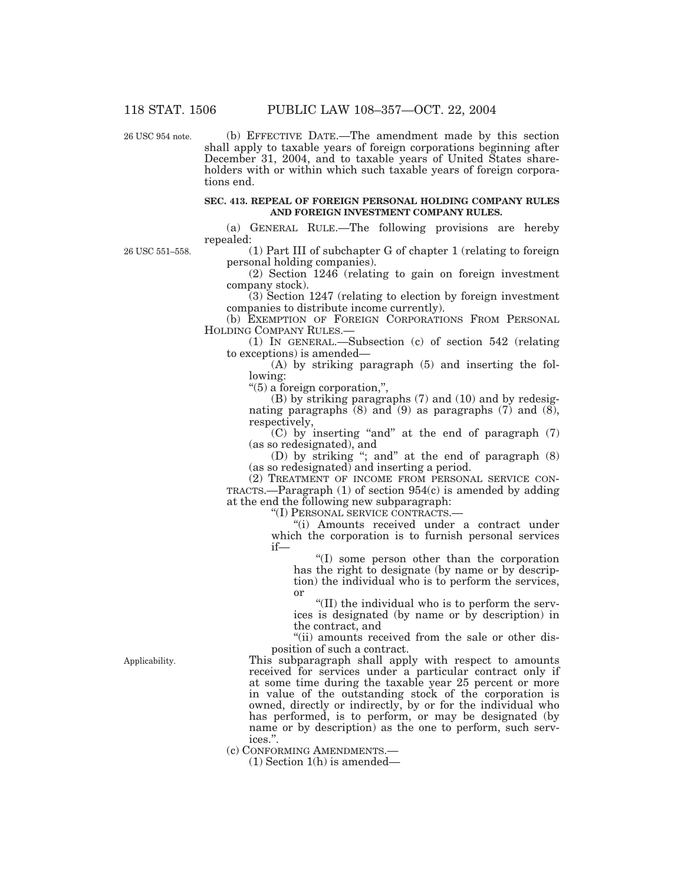26 USC 954 note.

(b) EFFECTIVE DATE.—The amendment made by this section shall apply to taxable years of foreign corporations beginning after December 31, 2004, and to taxable years of United States shareholders with or within which such taxable years of foreign corporations end.

# **SEC. 413. REPEAL OF FOREIGN PERSONAL HOLDING COMPANY RULES AND FOREIGN INVESTMENT COMPANY RULES.**

(a) GENERAL RULE.—The following provisions are hereby repealed:

26 USC 551–558.

(1) Part III of subchapter G of chapter 1 (relating to foreign personal holding companies).

(2) Section 1246 (relating to gain on foreign investment company stock).

(3) Section 1247 (relating to election by foreign investment companies to distribute income currently).

(b) EXEMPTION OF FOREIGN CORPORATIONS FROM PERSONAL HOLDING COMPANY RULES.—

(1) IN GENERAL.—Subsection (c) of section 542 (relating to exceptions) is amended—

(A) by striking paragraph (5) and inserting the following:

''(5) a foreign corporation,'',

(B) by striking paragraphs (7) and (10) and by redesignating paragraphs  $(8)$  and  $(9)$  as paragraphs  $(7)$  and  $(8)$ , respectively,

(C) by inserting "and" at the end of paragraph  $(7)$ (as so redesignated), and

(D) by striking ''; and'' at the end of paragraph (8) (as so redesignated) and inserting a period.

(2) TREATMENT OF INCOME FROM PERSONAL SERVICE CON-TRACTS.—Paragraph (1) of section 954(c) is amended by adding at the end the following new subparagraph:

''(I) PERSONAL SERVICE CONTRACTS.—

''(i) Amounts received under a contract under which the corporation is to furnish personal services if—

''(I) some person other than the corporation has the right to designate (by name or by description) the individual who is to perform the services, or

''(II) the individual who is to perform the services is designated (by name or by description) in the contract, and

"(ii) amounts received from the sale or other disposition of such a contract.

This subparagraph shall apply with respect to amounts received for services under a particular contract only if at some time during the taxable year 25 percent or more in value of the outstanding stock of the corporation is owned, directly or indirectly, by or for the individual who has performed, is to perform, or may be designated (by name or by description) as the one to perform, such services.''.

(c) CONFORMING AMENDMENTS.—

(1) Section 1(h) is amended—

Applicability.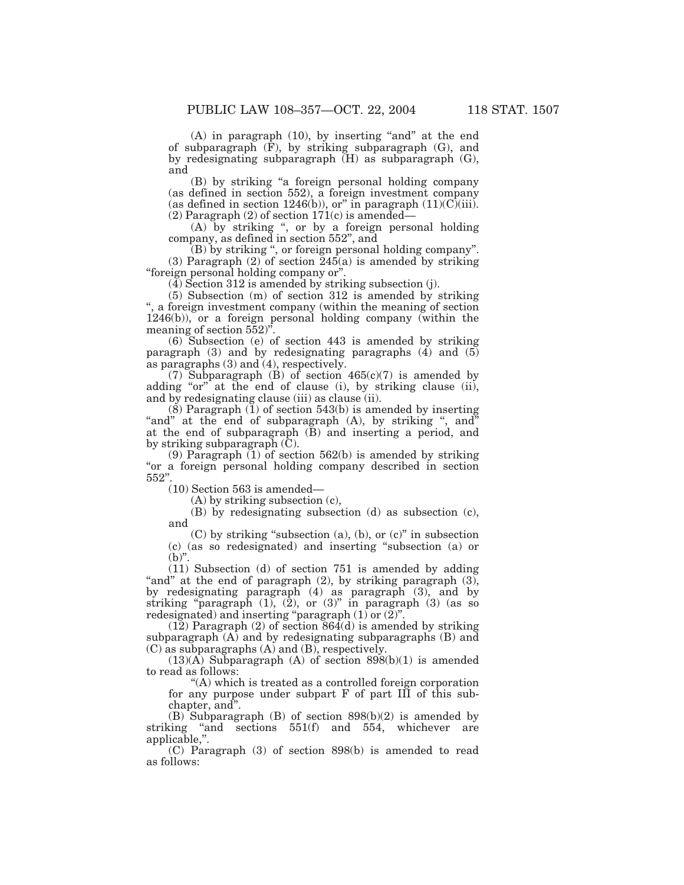and

 $(A)$  in paragraph  $(10)$ , by inserting "and" at the end of subparagraph  $(F)$ , by striking subparagraph  $(G)$ , and by redesignating subparagraph (H) as subparagraph (G),

(B) by striking ''a foreign personal holding company (as defined in section 552), a foreign investment company (as defined in section 1246(b)), or" in paragraph  $(11)(C)(iii)$ .  $(2)$  Paragraph  $(2)$  of section 171 $(c)$  is amended—

(A) by striking ", or by a foreign personal holding company, as defined in section 552'', and

(B) by striking '', or foreign personal holding company''. (3) Paragraph  $(2)$  of section  $\overline{245}$ (a) is amended by striking ''foreign personal holding company or''.

 $(4)$  Section 312 is amended by striking subsection (j).

(5) Subsection (m) of section 312 is amended by striking '', a foreign investment company (within the meaning of section 1246(b)), or a foreign personal holding company (within the meaning of section  $552$ <sup>"</sup>.

(6) Subsection (e) of section 443 is amended by striking paragraph  $(3)$  and by redesignating paragraphs  $(4)$  and  $(5)$ as paragraphs (3) and (4), respectively.

(7) Subparagraph (B) of section 465(c)(7) is amended by adding "or" at the end of clause (i), by striking clause (ii), and by redesignating clause (iii) as clause (ii).

(8) Paragraph (1) of section 543(b) is amended by inserting "and" at the end of subparagraph (A), by striking ", and" at the end of subparagraph  $(B)$  and inserting a period, and by striking subparagraph  $(\bar{C})$ .

(9) Paragraph  $(1)$  of section 562(b) is amended by striking ''or a foreign personal holding company described in section 552''.

(10) Section 563 is amended—

(A) by striking subsection (c),

(B) by redesignating subsection (d) as subsection (c), and

(C) by striking ''subsection (a), (b), or (c)'' in subsection (c) (as so redesignated) and inserting ''subsection (a) or  $(b)$ ".

(11) Subsection (d) of section 751 is amended by adding "and" at the end of paragraph (2), by striking paragraph (3), by redesignating paragraph (4) as paragraph (3), and by striking "paragraph  $(1)$ ,  $(2)$ , or  $(3)$ " in paragraph  $(3)$  (as so redesignated) and inserting "paragraph  $(1)$  or  $(\overline{2})$ ".

(12) Paragraph (2) of section  $864(d)$  is amended by striking subparagraph  $(A)$  and by redesignating subparagraphs  $(B)$  and (C) as subparagraphs (A) and (B), respectively.

 $(13)(\overline{A})$  Subparagraph  $(A)$  of section  $898(b)(1)$  is amended to read as follows:

''(A) which is treated as a controlled foreign corporation for any purpose under subpart F of part III of this subchapter, and''.

 $(B)$  Subparagraph  $(B)$  of section  $898(b)(2)$  is amended by striking "and sections 551(f) and 554, whichever are applicable,''.

(C) Paragraph (3) of section 898(b) is amended to read as follows: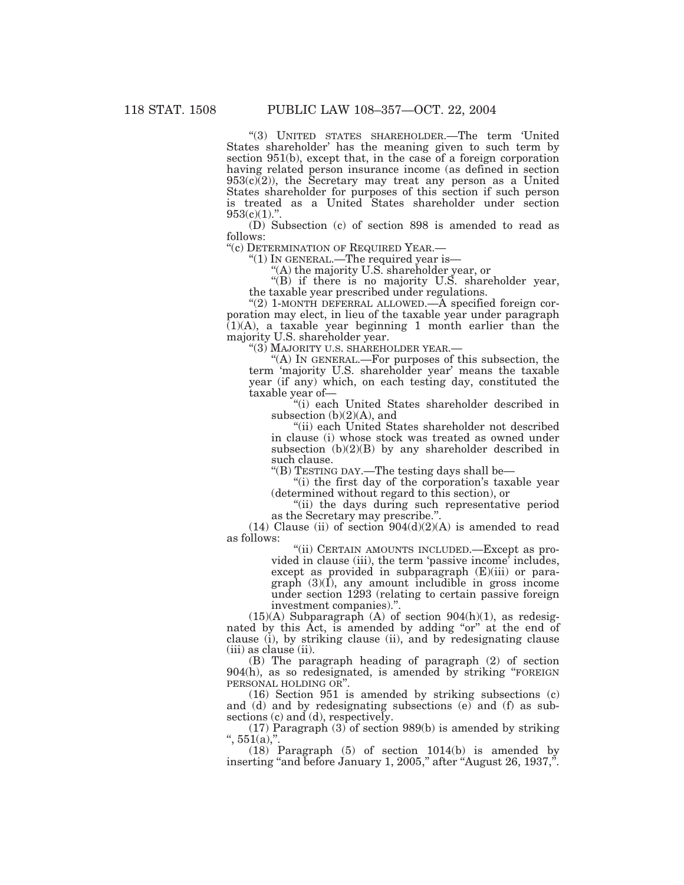''(3) UNITED STATES SHAREHOLDER.—The term 'United States shareholder' has the meaning given to such term by section 951(b), except that, in the case of a foreign corporation having related person insurance income (as defined in section  $953(c)(2)$ , the Secretary may treat any person as a United States shareholder for purposes of this section if such person is treated as a United States shareholder under section  $953(c)(1)$ ."

(D) Subsection (c) of section 898 is amended to read as follows:

''(c) DETERMINATION OF REQUIRED YEAR.—

''(1) IN GENERAL.—The required year is—

''(A) the majority U.S. shareholder year, or

"(B) if there is no majority U.S. shareholder year, the taxable year prescribed under regulations.

''(2) 1-MONTH DEFERRAL ALLOWED.—A specified foreign corporation may elect, in lieu of the taxable year under paragraph  $(1)(A)$ , a taxable year beginning 1 month earlier than the majority U.S. shareholder year.

"(3) MAJORITY U.S. SHAREHOLDER YEAR.—

''(A) IN GENERAL.—For purposes of this subsection, the term 'majority U.S. shareholder year' means the taxable year (if any) which, on each testing day, constituted the taxable year of—

''(i) each United States shareholder described in subsection  $(b)(2)(A)$ , and

''(ii) each United States shareholder not described in clause (i) whose stock was treated as owned under subsection (b)(2)(B) by any shareholder described in such clause.

''(B) TESTING DAY.—The testing days shall be—

"(i) the first day of the corporation's taxable year (determined without regard to this section), or

''(ii) the days during such representative period as the Secretary may prescribe."

 $(14)$  Clause (ii) of section  $904(d)(2)(A)$  is amended to read as follows:

''(ii) CERTAIN AMOUNTS INCLUDED.—Except as provided in clause (iii), the term 'passive income' includes, except as provided in subparagraph (E)(iii) or para $graph$   $(3)(\hat{I})$ , any amount includible in gross income under section 1293 (relating to certain passive foreign investment companies).''.

 $(15)(A)$  Subparagraph  $(A)$  of section 904 $(h)(1)$ , as redesignated by this Act, is amended by adding "or" at the end of clause (i), by striking clause (ii), and by redesignating clause (iii) as clause (ii).

(B) The paragraph heading of paragraph (2) of section 904(h), as so redesignated, is amended by striking ''FOREIGN PERSONAL HOLDING OR''.

(16) Section 951 is amended by striking subsections (c) and (d) and by redesignating subsections (e) and (f) as subsections (c) and (d), respectively.

 $(17)$  Paragraph  $(3)$  of section 989(b) is amended by striking ",  $551(a)$ ,"

(18) Paragraph (5) of section 1014(b) is amended by inserting "and before January 1, 2005," after "August 26, 1937,".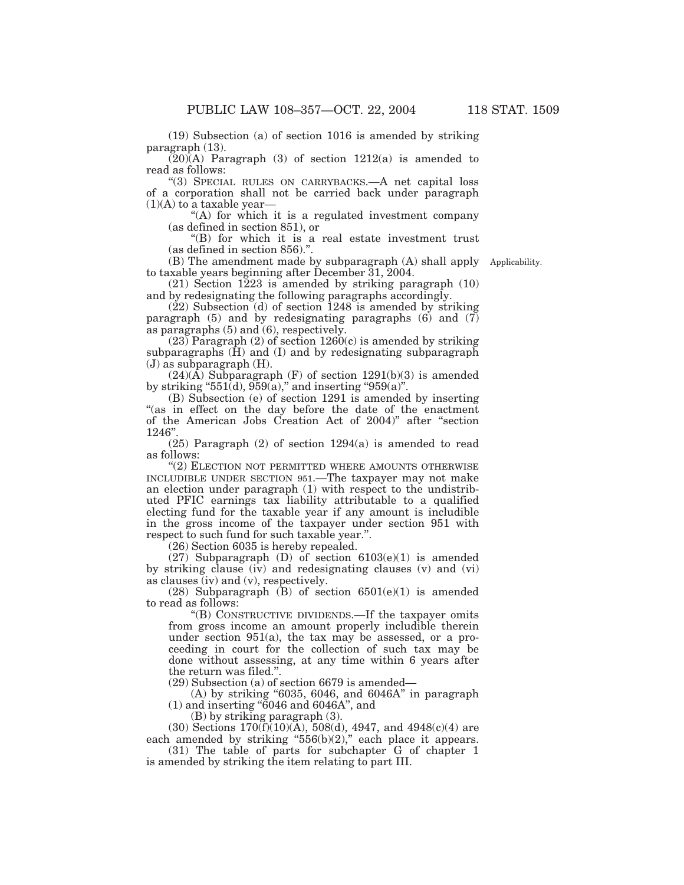(19) Subsection (a) of section 1016 is amended by striking paragraph (13).

 $(20)$  $(A)$  Paragraph  $(3)$  of section 1212 $(a)$  is amended to read as follows:

''(3) SPECIAL RULES ON CARRYBACKS.—A net capital loss of a corporation shall not be carried back under paragraph  $(1)(A)$  to a taxable year-

"(A) for which it is a regulated investment company (as defined in section 851), or

''(B) for which it is a real estate investment trust (as defined in section 856).''.

(B) The amendment made by subparagraph (A) shall apply Applicability. to taxable years beginning after December 31, 2004.

 $(21)$  Section 1223 is amended by striking paragraph  $(10)$ and by redesignating the following paragraphs accordingly.

(22) Subsection (d) of section 1248 is amended by striking paragraph (5) and by redesignating paragraphs (6) and (7) as paragraphs (5) and (6), respectively.

(23) Paragraph (2) of section 1260(c) is amended by striking subparagraphs  $(H)$  and  $(I)$  and by redesignating subparagraph (J) as subparagraph (H).

 $(24)(\overline{A})$  Subparagraph (F) of section 1291(b)(3) is amended by striking " $551(d)$ ,  $959(a)$ ," and inserting " $959(a)$ ".

(B) Subsection (e) of section 1291 is amended by inserting "(as in effect on the day before the date of the enactment of the American Jobs Creation Act of 2004)'' after ''section 1246''.

(25) Paragraph (2) of section 1294(a) is amended to read as follows:

"(2) ELECTION NOT PERMITTED WHERE AMOUNTS OTHERWISE INCLUDIBLE UNDER SECTION 951.—The taxpayer may not make an election under paragraph (1) with respect to the undistributed PFIC earnings tax liability attributable to a qualified electing fund for the taxable year if any amount is includible in the gross income of the taxpayer under section 951 with respect to such fund for such taxable year.''.

(26) Section 6035 is hereby repealed.

(27) Subparagraph (D) of section  $6103(e)(1)$  is amended by striking clause (iv) and redesignating clauses (v) and (vi) as clauses (iv) and (v), respectively.

(28) Subparagraph (B) of section  $6501(e)(1)$  is amended to read as follows:

''(B) CONSTRUCTIVE DIVIDENDS.—If the taxpayer omits from gross income an amount properly includible therein under section 951(a), the tax may be assessed, or a proceeding in court for the collection of such tax may be done without assessing, at any time within 6 years after the return was filed.''.

(29) Subsection (a) of section 6679 is amended—

 $(A)$  by striking "6035, 6046, and 6046A" in paragraph  $(1)$  and inserting " $6046$  and  $6046$ A", and

(B) by striking paragraph (3).

 $(30)$  Sections  $170(f)(10)(A)$ ,  $508(d)$ ,  $4947$ , and  $4948(c)(4)$  are each amended by striking " $556(b)(2)$ ," each place it appears.

(31) The table of parts for subchapter G of chapter 1 is amended by striking the item relating to part III.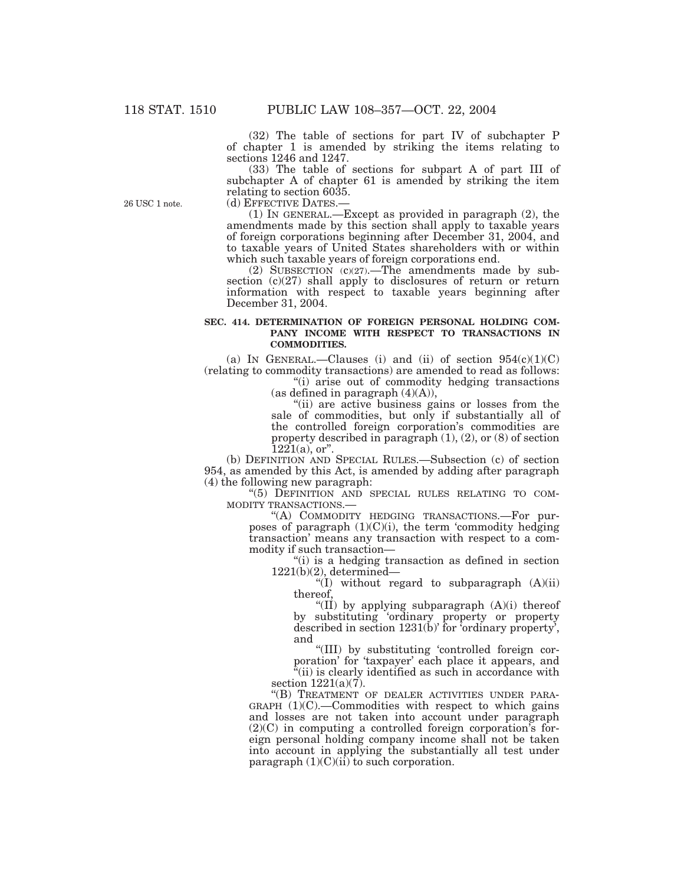(32) The table of sections for part IV of subchapter P of chapter 1 is amended by striking the items relating to sections 1246 and 1247.

(33) The table of sections for subpart A of part III of subchapter A of chapter 61 is amended by striking the item relating to section 6035.

26 USC 1 note.

(d) EFFECTIVE DATES.—

(1) IN GENERAL.—Except as provided in paragraph (2), the amendments made by this section shall apply to taxable years of foreign corporations beginning after December 31, 2004, and to taxable years of United States shareholders with or within which such taxable years of foreign corporations end.

(2) SUBSECTION (c)(27).—The amendments made by subsection (c)(27) shall apply to disclosures of return or return information with respect to taxable years beginning after December 31, 2004.

# **SEC. 414. DETERMINATION OF FOREIGN PERSONAL HOLDING COM-PANY INCOME WITH RESPECT TO TRANSACTIONS IN COMMODITIES.**

(a) IN GENERAL.—Clauses (i) and (ii) of section  $954(c)(1)(C)$ (relating to commodity transactions) are amended to read as follows:

"(i) arise out of commodity hedging transactions (as defined in paragraph  $(4)(A)$ ),

''(ii) are active business gains or losses from the sale of commodities, but only if substantially all of the controlled foreign corporation's commodities are property described in paragraph (1), (2), or (8) of section  $1221(a)$ , or".

(b) DEFINITION AND SPECIAL RULES.—Subsection (c) of section 954, as amended by this Act, is amended by adding after paragraph (4) the following new paragraph:<br>"(5) DEFINITION AND SPECIAL RULES RELATING TO COM-

MODITY TRANSACTIONS.—<br>"(A) COMMODITY HEDGING TRANSACTIONS.—For pur-

poses of paragraph  $(1)(C)(i)$ , the term 'commodity hedging transaction' means any transaction with respect to a commodity if such transaction—

''(i) is a hedging transaction as defined in section 1221(b)(2), determined—

"(I) without regard to subparagraph  $(A)(ii)$ thereof,

"(II) by applying subparagraph  $(A)(i)$  thereof by substituting 'ordinary property or property described in section 1231(b)' for 'ordinary property', and

''(III) by substituting 'controlled foreign corporation' for 'taxpayer' each place it appears, and ''(ii) is clearly identified as such in accordance with section  $1221(a)(7)$ .

"(B) TREATMENT OF DEALER ACTIVITIES UNDER PARA-GRAPH (1)(C).—Commodities with respect to which gains and losses are not taken into account under paragraph  $(2)(C)$  in computing a controlled foreign corporation's foreign personal holding company income shall not be taken into account in applying the substantially all test under paragraph  $(1)(C)(ii)$  to such corporation.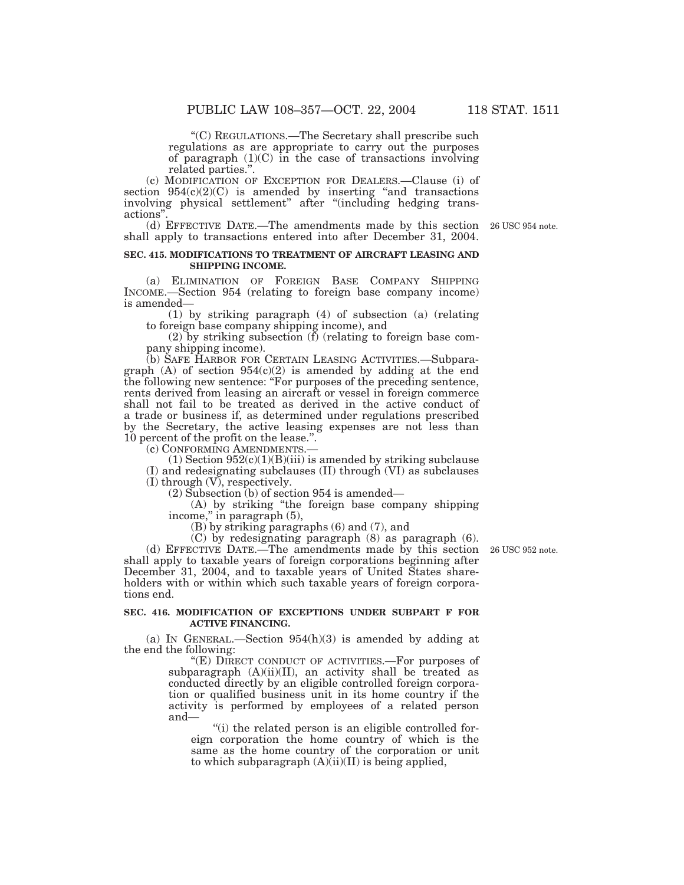''(C) REGULATIONS.—The Secretary shall prescribe such regulations as are appropriate to carry out the purposes of paragraph  $(1)(C)$  in the case of transactions involving related parties.''.

(c) MODIFICATION OF EXCEPTION FOR DEALERS.—Clause (i) of section  $954(c)(2)(C)$  is amended by inserting "and transactions" involving physical settlement" after "(including hedging transactions''.

(d) EFFECTIVE DATE.—The amendments made by this section 26 USC 954 note. shall apply to transactions entered into after December 31, 2004.

# **SEC. 415. MODIFICATIONS TO TREATMENT OF AIRCRAFT LEASING AND SHIPPING INCOME.**

(a) ELIMINATION OF FOREIGN BASE COMPANY SHIPPING INCOME.—Section 954 (relating to foreign base company income) is amended—

(1) by striking paragraph (4) of subsection (a) (relating to foreign base company shipping income), and

(2) by striking subsection (f) (relating to foreign base company shipping income).

(b) SAFE HARBOR FOR CERTAIN LEASING ACTIVITIES.—Subparagraph  $(A)$  of section  $954(c)(2)$  is amended by adding at the end the following new sentence: ''For purposes of the preceding sentence, rents derived from leasing an aircraft or vessel in foreign commerce shall not fail to be treated as derived in the active conduct of a trade or business if, as determined under regulations prescribed by the Secretary, the active leasing expenses are not less than 10 percent of the profit on the lease.''.

(c) CONFORMING AMENDMENTS.—

 $(1)$  Section  $952(c)(1)(B)(iii)$  is amended by striking subclause (I) and redesignating subclauses (II) through (VI) as subclauses (I) through (V), respectively.

(2) Subsection (b) of section 954 is amended—

(A) by striking ''the foreign base company shipping income," in paragraph (5),

(B) by striking paragraphs (6) and (7), and

(C) by redesignating paragraph (8) as paragraph (6).

(d) EFFECTIVE DATE.—The amendments made by this section 26 USC 952 note. shall apply to taxable years of foreign corporations beginning after December 31, 2004, and to taxable years of United States shareholders with or within which such taxable years of foreign corporations end.

### **SEC. 416. MODIFICATION OF EXCEPTIONS UNDER SUBPART F FOR ACTIVE FINANCING.**

(a) IN GENERAL.—Section  $954(h)(3)$  is amended by adding at the end the following:

"(E) DIRECT CONDUCT OF ACTIVITIES.—For purposes of subparagraph  $(A)(ii)(II)$ , an activity shall be treated as conducted directly by an eligible controlled foreign corporation or qualified business unit in its home country if the activity is performed by employees of a related person and—

''(i) the related person is an eligible controlled foreign corporation the home country of which is the same as the home country of the corporation or unit to which subparagraph  $(A)(ii)(II)$  is being applied,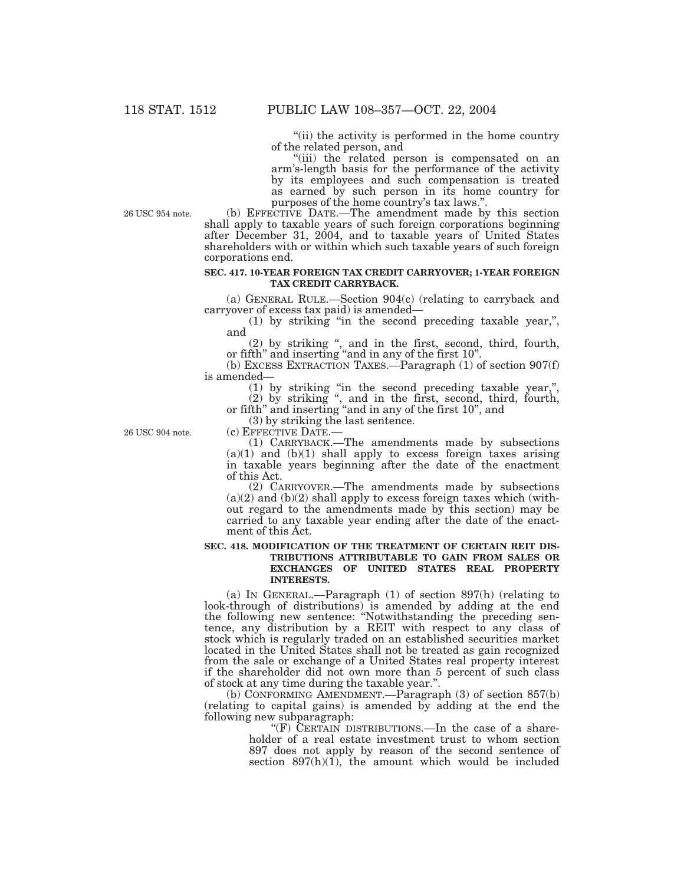''(ii) the activity is performed in the home country of the related person, and

''(iii) the related person is compensated on an arm's-length basis for the performance of the activity by its employees and such compensation is treated as earned by such person in its home country for purposes of the home country's tax laws.''.

26 USC 954 note.

(b) EFFECTIVE DATE.—The amendment made by this section shall apply to taxable years of such foreign corporations beginning after December 31, 2004, and to taxable years of United States shareholders with or within which such taxable years of such foreign corporations end.

### **SEC. 417. 10-YEAR FOREIGN TAX CREDIT CARRYOVER; 1-YEAR FOREIGN TAX CREDIT CARRYBACK.**

(a) GENERAL RULE.—Section 904(c) (relating to carryback and carryover of excess tax paid) is amended—

(1) by striking ''in the second preceding taxable year,'', and

(2) by striking '', and in the first, second, third, fourth, or fifth'' and inserting ''and in any of the first 10''.

(b) EXCESS EXTRACTION TAXES.—Paragraph (1) of section 907(f) is amended—

(1) by striking ''in the second preceding taxable year,'',

(2) by striking '', and in the first, second, third, fourth,

or fifth'' and inserting ''and in any of the first 10'', and

26 USC 904 note.

(3) by striking the last sentence.<br>(c) EFFECTIVE DATE.— (1) CARRYBACK.—The amendments made by subsections  $(a)(1)$  and  $(b)(1)$  shall apply to excess foreign taxes arising in taxable years beginning after the date of the enactment of this Act.

(2) CARRYOVER.—The amendments made by subsections  $(a)(2)$  and  $(b)(2)$  shall apply to excess foreign taxes which (without regard to the amendments made by this section) may be carried to any taxable year ending after the date of the enactment of this Act.

#### **SEC. 418. MODIFICATION OF THE TREATMENT OF CERTAIN REIT DIS-TRIBUTIONS ATTRIBUTABLE TO GAIN FROM SALES OR EXCHANGES OF UNITED STATES REAL PROPERTY INTERESTS.**

(a) IN GENERAL.—Paragraph (1) of section 897(h) (relating to look-through of distributions) is amended by adding at the end the following new sentence: ''Notwithstanding the preceding sentence, any distribution by a REIT with respect to any class of stock which is regularly traded on an established securities market located in the United States shall not be treated as gain recognized from the sale or exchange of a United States real property interest if the shareholder did not own more than 5 percent of such class of stock at any time during the taxable year.''.

(b) CONFORMING AMENDMENT.—Paragraph (3) of section 857(b) (relating to capital gains) is amended by adding at the end the following new subparagraph:

" $(F)$  CERTAIN DISTRIBUTIONS.—In the case of a shareholder of a real estate investment trust to whom section 897 does not apply by reason of the second sentence of section  $897(h)(1)$ , the amount which would be included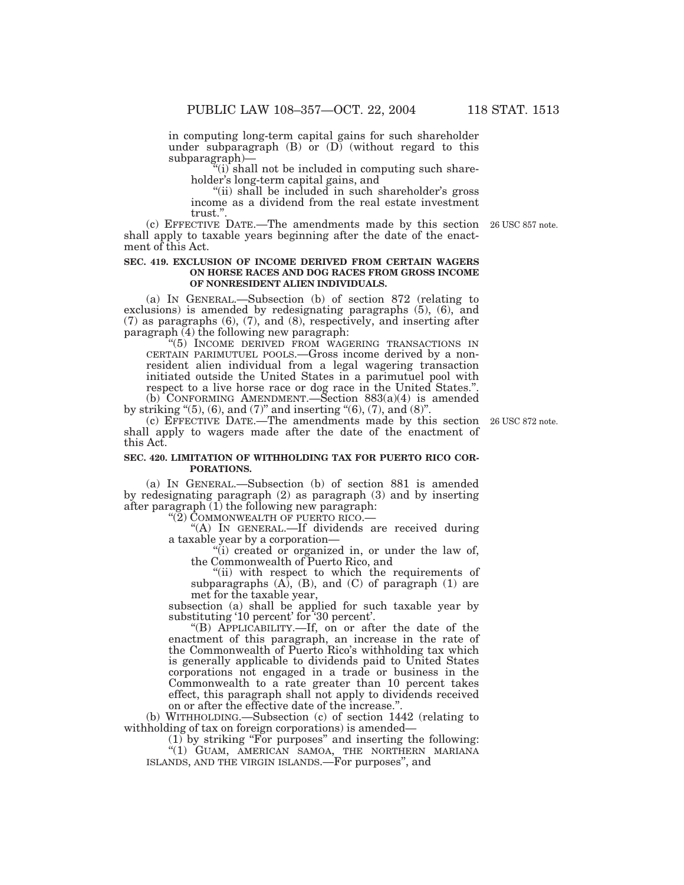in computing long-term capital gains for such shareholder under subparagraph  $(B)$  or  $(D)$  (without regard to this subparagraph)—

 $\tilde{f}(i)$  shall not be included in computing such shareholder's long-term capital gains, and

"(ii) shall be included in such shareholder's gross income as a dividend from the real estate investment trust."

(c) EFFECTIVE DATE.—The amendments made by this section 26 USC 857 note. shall apply to taxable years beginning after the date of the enactment of this Act.

# **SEC. 419. EXCLUSION OF INCOME DERIVED FROM CERTAIN WAGERS ON HORSE RACES AND DOG RACES FROM GROSS INCOME OF NONRESIDENT ALIEN INDIVIDUALS.**

(a) IN GENERAL.—Subsection (b) of section 872 (relating to exclusions) is amended by redesignating paragraphs (5), (6), and (7) as paragraphs (6), (7), and (8), respectively, and inserting after paragraph (4) the following new paragraph:

''(5) INCOME DERIVED FROM WAGERING TRANSACTIONS IN CERTAIN PARIMUTUEL POOLS.—Gross income derived by a nonresident alien individual from a legal wagering transaction initiated outside the United States in a parimutuel pool with respect to a live horse race or dog race in the United States.''. (b) CONFORMING AMENDMENT.—Section  $883(a)(4)$  is amended by striking "(5), (6), and (7)" and inserting "(6), (7), and (8)".

(c) EFFECTIVE DATE.—The amendments made by this section 26 USC 872 note. shall apply to wagers made after the date of the enactment of this Act.

### **SEC. 420. LIMITATION OF WITHHOLDING TAX FOR PUERTO RICO COR-PORATIONS.**

(a) IN GENERAL.—Subsection (b) of section 881 is amended by redesignating paragraph (2) as paragraph (3) and by inserting after paragraph (1) the following new paragraph:<br>
"(2) COMMONWEALTH OF PUERTO RICO.

"(A) IN GENERAL.—If dividends are received during a taxable year by a corporation—

"(i) created or organized in, or under the law of, the Commonwealth of Puerto Rico, and

"(ii) with respect to which the requirements of subparagraphs  $(A)$ ,  $(B)$ , and  $(C)$  of paragraph  $(1)$  are met for the taxable year,

subsection (a) shall be applied for such taxable year by substituting '10 percent' for '30 percent'.

''(B) APPLICABILITY.—If, on or after the date of the enactment of this paragraph, an increase in the rate of the Commonwealth of Puerto Rico's withholding tax which is generally applicable to dividends paid to United States corporations not engaged in a trade or business in the Commonwealth to a rate greater than 10 percent takes effect, this paragraph shall not apply to dividends received on or after the effective date of the increase.''.

(b) WITHHOLDING.—Subsection (c) of section 1442 (relating to withholding of tax on foreign corporations) is amended—

 $(1)$  by striking "For purposes" and inserting the following: "(1) GUAM, AMERICAN SAMOA, THE NORTHERN MARIANA ISLANDS, AND THE VIRGIN ISLANDS.—For purposes'', and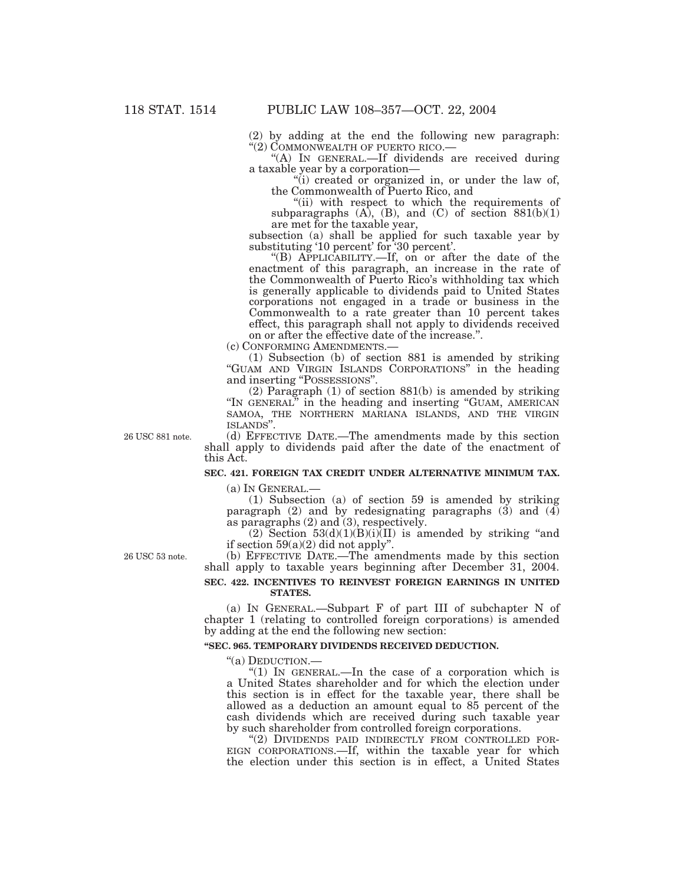(2) by adding at the end the following new paragraph: " $(2)$  COMMONWEALTH OF PUERTO RICO.

"(A) IN GENERAL.—If dividends are received during a taxable year by a corporation—

"(i) created or organized in, or under the law of, the Commonwealth of Puerto Rico, and

"(ii) with respect to which the requirements of subparagraphs  $(A)$ ,  $(B)$ , and  $(C)$  of section  $881(b)(1)$ are met for the taxable year,

subsection (a) shall be applied for such taxable year by substituting '10 percent' for '30 percent'.

''(B) APPLICABILITY.—If, on or after the date of the enactment of this paragraph, an increase in the rate of the Commonwealth of Puerto Rico's withholding tax which is generally applicable to dividends paid to United States corporations not engaged in a trade or business in the Commonwealth to a rate greater than 10 percent takes effect, this paragraph shall not apply to dividends received on or after the effective date of the increase.''.

(c) CONFORMING AMENDMENTS.—

(1) Subsection (b) of section 881 is amended by striking "GUAM AND VIRGIN ISLANDS CORPORATIONS" in the heading and inserting "POSSESSIONS".

(2) Paragraph (1) of section 881(b) is amended by striking "IN GENERAL" in the heading and inserting "GUAM, AMERICAN SAMOA, THE NORTHERN MARIANA ISLANDS, AND THE VIRGIN ISLANDS''.

26 USC 881 note.

(d) EFFECTIVE DATE.—The amendments made by this section shall apply to dividends paid after the date of the enactment of this Act.

# **SEC. 421. FOREIGN TAX CREDIT UNDER ALTERNATIVE MINIMUM TAX.**

(a) IN GENERAL.—

(1) Subsection (a) of section 59 is amended by striking paragraph (2) and by redesignating paragraphs (3) and (4) as paragraphs (2) and (3), respectively.

(2) Section  $53(d)(1)(B)(i)(II)$  is amended by striking "and if section 59(a)(2) did not apply''.

26 USC 53 note.

(b) EFFECTIVE DATE.—The amendments made by this section shall apply to taxable years beginning after December 31, 2004. **SEC. 422. INCENTIVES TO REINVEST FOREIGN EARNINGS IN UNITED STATES.**

(a) IN GENERAL.—Subpart F of part III of subchapter N of chapter 1 (relating to controlled foreign corporations) is amended by adding at the end the following new section:

#### **''SEC. 965. TEMPORARY DIVIDENDS RECEIVED DEDUCTION.**

''(a) DEDUCTION.—

"(1) IN GENERAL.—In the case of a corporation which is a United States shareholder and for which the election under this section is in effect for the taxable year, there shall be allowed as a deduction an amount equal to 85 percent of the cash dividends which are received during such taxable year by such shareholder from controlled foreign corporations.

"(2) DIVIDENDS PAID INDIRECTLY FROM CONTROLLED FOR-EIGN CORPORATIONS.—If, within the taxable year for which the election under this section is in effect, a United States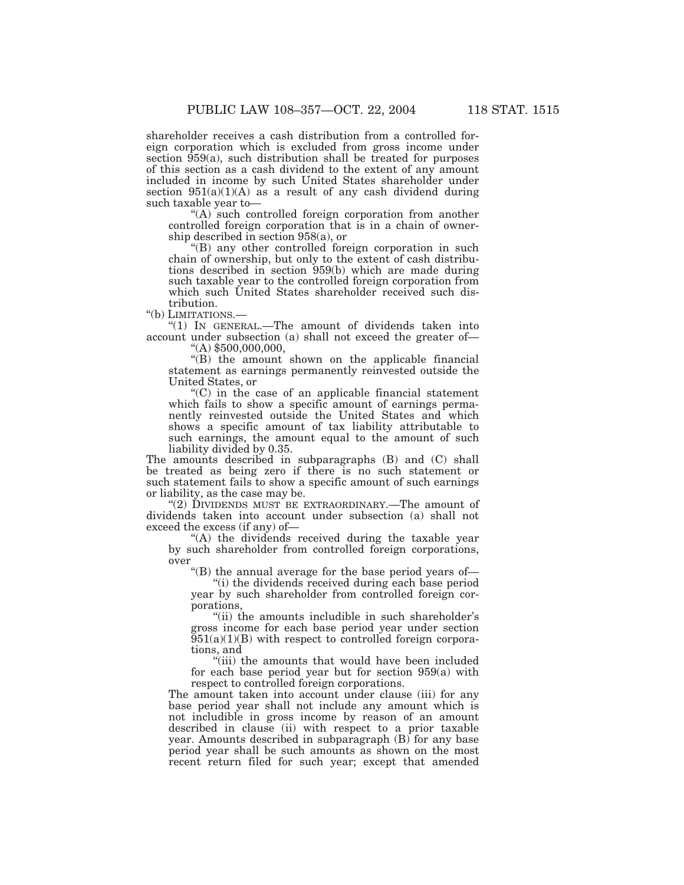shareholder receives a cash distribution from a controlled foreign corporation which is excluded from gross income under section 959(a), such distribution shall be treated for purposes of this section as a cash dividend to the extent of any amount included in income by such United States shareholder under section  $951(a)(1)(A)$  as a result of any cash dividend during such taxable year to—

''(A) such controlled foreign corporation from another controlled foreign corporation that is in a chain of ownership described in section 958(a), or

''(B) any other controlled foreign corporation in such chain of ownership, but only to the extent of cash distributions described in section 959(b) which are made during such taxable year to the controlled foreign corporation from which such United States shareholder received such distribution.

"(b) LIMITATIONS.-

''(1) IN GENERAL.—The amount of dividends taken into account under subsection (a) shall not exceed the greater of—

 $(A)$ \$500,000,000,

"(B) the amount shown on the applicable financial statement as earnings permanently reinvested outside the United States, or

 $(C)$  in the case of an applicable financial statement which fails to show a specific amount of earnings permanently reinvested outside the United States and which shows a specific amount of tax liability attributable to such earnings, the amount equal to the amount of such liability divided by 0.35.

The amounts described in subparagraphs (B) and (C) shall be treated as being zero if there is no such statement or such statement fails to show a specific amount of such earnings or liability, as the case may be.

"(2) DIVIDENDS MUST BE EXTRAORDINARY.—The amount of dividends taken into account under subsection (a) shall not exceed the excess (if any) of—

''(A) the dividends received during the taxable year by such shareholder from controlled foreign corporations, over

''(B) the annual average for the base period years of—

''(i) the dividends received during each base period year by such shareholder from controlled foreign corporations,

''(ii) the amounts includible in such shareholder's gross income for each base period year under section  $951(a)(1)(B)$  with respect to controlled foreign corporations, and

''(iii) the amounts that would have been included for each base period year but for section 959(a) with respect to controlled foreign corporations.

The amount taken into account under clause (iii) for any base period year shall not include any amount which is not includible in gross income by reason of an amount described in clause (ii) with respect to a prior taxable year. Amounts described in subparagraph (B) for any base period year shall be such amounts as shown on the most recent return filed for such year; except that amended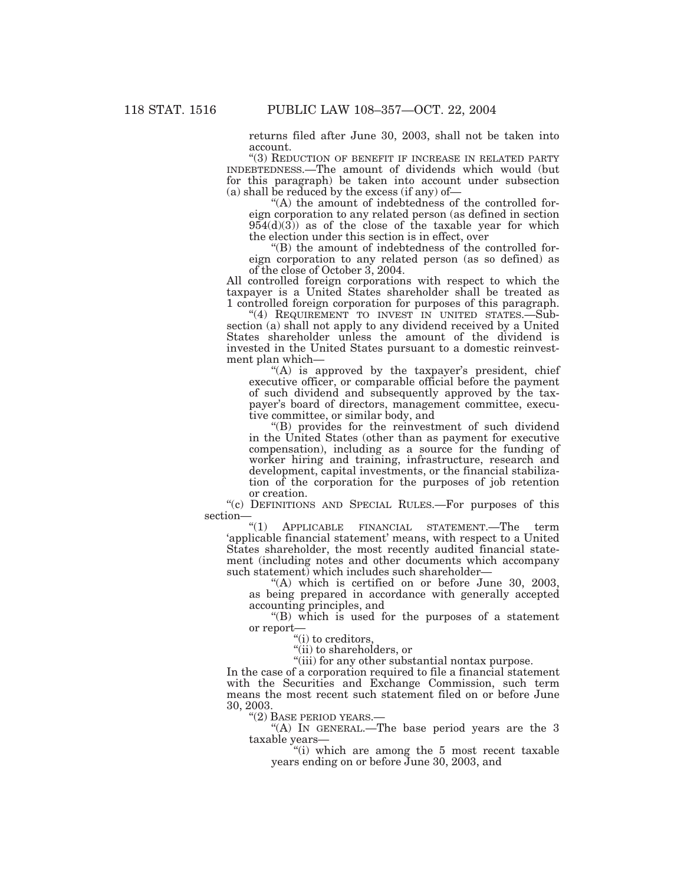returns filed after June 30, 2003, shall not be taken into account.

"(3) REDUCTION OF BENEFIT IF INCREASE IN RELATED PARTY INDEBTEDNESS.—The amount of dividends which would (but for this paragraph) be taken into account under subsection (a) shall be reduced by the excess (if any) of—

''(A) the amount of indebtedness of the controlled foreign corporation to any related person (as defined in section  $954(d)(3)$  as of the close of the taxable year for which the election under this section is in effect, over

''(B) the amount of indebtedness of the controlled foreign corporation to any related person (as so defined) as of the close of October 3, 2004.

All controlled foreign corporations with respect to which the taxpayer is a United States shareholder shall be treated as 1 controlled foreign corporation for purposes of this paragraph.

"(4) REQUIREMENT TO INVEST IN UNITED STATES.—Subsection (a) shall not apply to any dividend received by a United States shareholder unless the amount of the dividend is invested in the United States pursuant to a domestic reinvestment plan which—

"(A) is approved by the taxpayer's president, chief executive officer, or comparable official before the payment of such dividend and subsequently approved by the taxpayer's board of directors, management committee, executive committee, or similar body, and

''(B) provides for the reinvestment of such dividend in the United States (other than as payment for executive compensation), including as a source for the funding of worker hiring and training, infrastructure, research and development, capital investments, or the financial stabilization of the corporation for the purposes of job retention or creation.

''(c) DEFINITIONS AND SPECIAL RULES.—For purposes of this section— $\frac{a(1)}{b(1)}$ 

APPLICABLE FINANCIAL STATEMENT.—The term 'applicable financial statement' means, with respect to a United States shareholder, the most recently audited financial statement (including notes and other documents which accompany such statement) which includes such shareholder—

''(A) which is certified on or before June 30, 2003, as being prepared in accordance with generally accepted accounting principles, and

''(B) which is used for the purposes of a statement or report—

"(i) to creditors,

''(ii) to shareholders, or

''(iii) for any other substantial nontax purpose.

In the case of a corporation required to file a financial statement with the Securities and Exchange Commission, such term means the most recent such statement filed on or before June 30, 2003.

''(2) BASE PERIOD YEARS.—

"(A) IN GENERAL.—The base period years are the  $3$ taxable years—

"(i) which are among the 5 most recent taxable years ending on or before June 30, 2003, and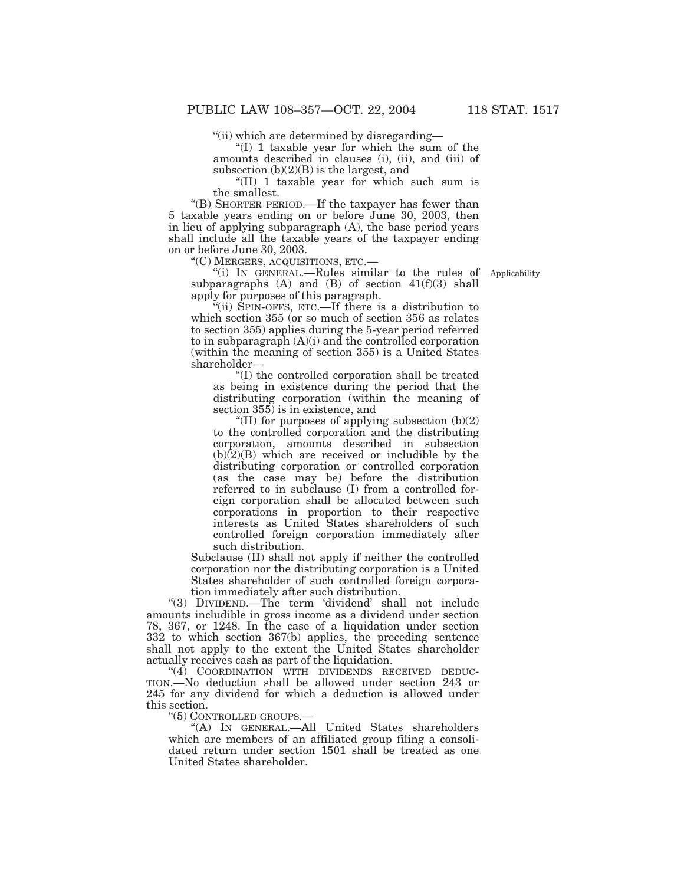''(ii) which are determined by disregarding—

''(I) 1 taxable year for which the sum of the amounts described in clauses (i), (ii), and (iii) of subsection  $(b)(2)(B)$  is the largest, and

''(II) 1 taxable year for which such sum is the smallest.

''(B) SHORTER PERIOD.—If the taxpayer has fewer than 5 taxable years ending on or before June 30, 2003, then in lieu of applying subparagraph (A), the base period years shall include all the taxable years of the taxpayer ending on or before June 30, 2003.

''(C) MERGERS, ACQUISITIONS, ETC.—

"(i) IN GENERAL.—Rules similar to the rules of Applicability. subparagraphs  $(A)$  and  $(B)$  of section  $41(f)(3)$  shall apply for purposes of this paragraph.

''(ii) SPIN-OFFS, ETC.—If there is a distribution to which section 355 (or so much of section 356 as relates to section 355) applies during the 5-year period referred to in subparagraph  $(A)(i)$  and the controlled corporation (within the meaning of section 355) is a United States shareholder—

''(I) the controlled corporation shall be treated as being in existence during the period that the distributing corporation (within the meaning of section 355) is in existence, and

"(II) for purposes of applying subsection  $(b)(2)$ to the controlled corporation and the distributing corporation, amounts described in subsection  $(b)(2)(B)$  which are received or includible by the distributing corporation or controlled corporation (as the case may be) before the distribution referred to in subclause (I) from a controlled foreign corporation shall be allocated between such corporations in proportion to their respective interests as United States shareholders of such controlled foreign corporation immediately after such distribution.

Subclause (II) shall not apply if neither the controlled corporation nor the distributing corporation is a United States shareholder of such controlled foreign corporation immediately after such distribution.

''(3) DIVIDEND.—The term 'dividend' shall not include amounts includible in gross income as a dividend under section 78, 367, or 1248. In the case of a liquidation under section 332 to which section 367(b) applies, the preceding sentence shall not apply to the extent the United States shareholder actually receives cash as part of the liquidation.

"(4) COORDINATION WITH DIVIDENDS RECEIVED DEDUC-TION.—No deduction shall be allowed under section 243 or 245 for any dividend for which a deduction is allowed under this section.

''(5) CONTROLLED GROUPS.—

''(A) IN GENERAL.—All United States shareholders which are members of an affiliated group filing a consolidated return under section 1501 shall be treated as one United States shareholder.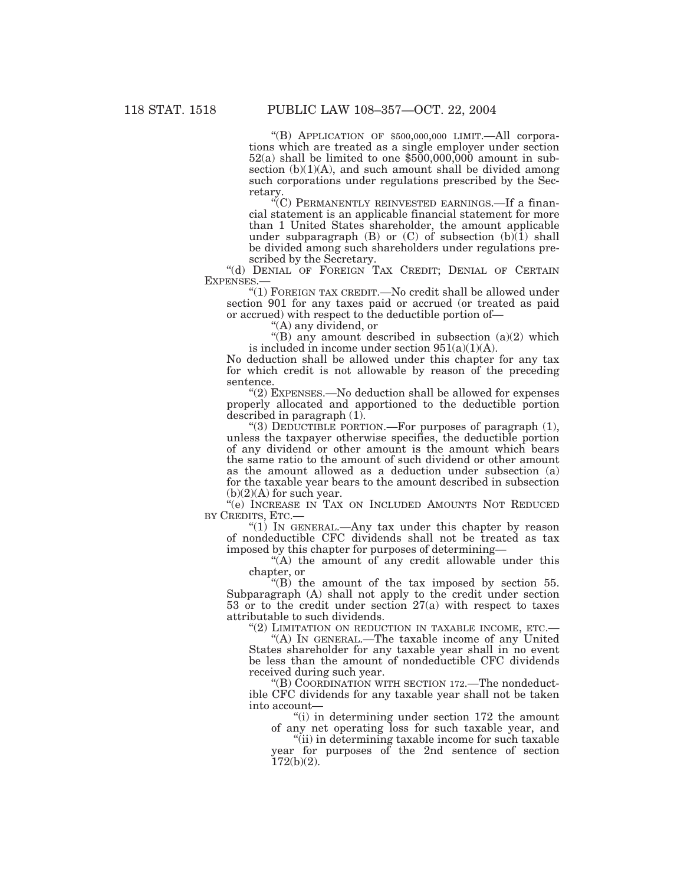''(B) APPLICATION OF \$500,000,000 LIMIT.—All corporations which are treated as a single employer under section  $52(a)$  shall be limited to one  $$500,000,000$  amount in subsection  $(b)(1)(A)$ , and such amount shall be divided among such corporations under regulations prescribed by the Secretary.

 $\cdot$ <sup>"</sup>(C) PERMANENTLY REINVESTED EARNINGS.—If a financial statement is an applicable financial statement for more than 1 United States shareholder, the amount applicable under subparagraph (B) or (C) of subsection  $(b)$ (1) shall be divided among such shareholders under regulations prescribed by the Secretary.

"(d) DENIAL OF FOREIGN TAX CREDIT; DENIAL OF CERTAIN EXPENSES.—

''(1) FOREIGN TAX CREDIT.—No credit shall be allowed under section 901 for any taxes paid or accrued (or treated as paid or accrued) with respect to the deductible portion of—

''(A) any dividend, or

"(B) any amount described in subsection  $(a)(2)$  which is included in income under section  $951(a)(1)(A)$ .

No deduction shall be allowed under this chapter for any tax for which credit is not allowable by reason of the preceding sentence.

''(2) EXPENSES.—No deduction shall be allowed for expenses properly allocated and apportioned to the deductible portion described in paragraph (1).

"(3) DEDUCTIBLE PORTION.—For purposes of paragraph  $(1)$ , unless the taxpayer otherwise specifies, the deductible portion of any dividend or other amount is the amount which bears the same ratio to the amount of such dividend or other amount as the amount allowed as a deduction under subsection (a) for the taxable year bears to the amount described in subsection  $(b)(2)(A)$  for such year.

"(e) INCREASE IN TAX ON INCLUDED AMOUNTS NOT REDUCED BY CREDITS, ETC.—

"(1) IN GENERAL.—Any tax under this chapter by reason of nondeductible CFC dividends shall not be treated as tax imposed by this chapter for purposes of determining—

"(A) the amount of any credit allowable under this chapter, or

" $(B)$  the amount of the tax imposed by section 55. Subparagraph (A) shall not apply to the credit under section 53 or to the credit under section 27(a) with respect to taxes attributable to such dividends.

"(2) LIMITATION ON REDUCTION IN TAXABLE INCOME, ETC.—

''(A) IN GENERAL.—The taxable income of any United States shareholder for any taxable year shall in no event be less than the amount of nondeductible CFC dividends received during such year.

''(B) COORDINATION WITH SECTION 172.—The nondeductible CFC dividends for any taxable year shall not be taken into account—

"(i) in determining under section 172 the amount of any net operating loss for such taxable year, and

''(ii) in determining taxable income for such taxable year for purposes of the 2nd sentence of section  $172(b)(2)$ .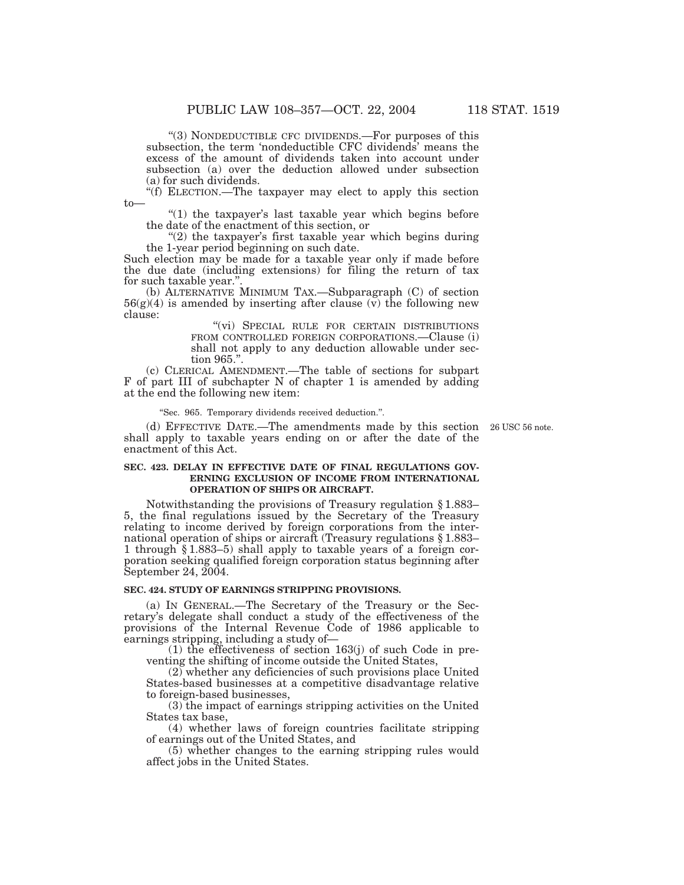"(3) NONDEDUCTIBLE CFC DIVIDENDS.—For purposes of this subsection, the term 'nondeductible CFC dividends' means the excess of the amount of dividends taken into account under subsection (a) over the deduction allowed under subsection (a) for such dividends.

''(f) ELECTION.—The taxpayer may elect to apply this section to—

" $(1)$  the taxpayer's last taxable year which begins before the date of the enactment of this section, or

" $(2)$  the taxpayer's first taxable year which begins during the 1-year period beginning on such date.

Such election may be made for a taxable year only if made before the due date (including extensions) for filing the return of tax for such taxable year."

(b) ALTERNATIVE MINIMUM TAX.—Subparagraph (C) of section  $56(g)(4)$  is amended by inserting after clause (v) the following new clause:

"(vi) SPECIAL RULE FOR CERTAIN DISTRIBUTIONS FROM CONTROLLED FOREIGN CORPORATIONS.—Clause (i) shall not apply to any deduction allowable under section 965."

(c) CLERICAL AMENDMENT.—The table of sections for subpart F of part III of subchapter N of chapter 1 is amended by adding at the end the following new item:

''Sec. 965. Temporary dividends received deduction.''.

(d) EFFECTIVE DATE.—The amendments made by this section 26 USC 56 note. shall apply to taxable years ending on or after the date of the enactment of this Act.

# **SEC. 423. DELAY IN EFFECTIVE DATE OF FINAL REGULATIONS GOV-ERNING EXCLUSION OF INCOME FROM INTERNATIONAL OPERATION OF SHIPS OR AIRCRAFT.**

Notwithstanding the provisions of Treasury regulation § 1.883– 5, the final regulations issued by the Secretary of the Treasury relating to income derived by foreign corporations from the international operation of ships or aircraft (Treasury regulations § 1.883– 1 through § 1.883–5) shall apply to taxable years of a foreign corporation seeking qualified foreign corporation status beginning after September 24, 2004.

#### **SEC. 424. STUDY OF EARNINGS STRIPPING PROVISIONS.**

(a) IN GENERAL.—The Secretary of the Treasury or the Secretary's delegate shall conduct a study of the effectiveness of the provisions of the Internal Revenue Code of 1986 applicable to earnings stripping, including a study of—

(1) the effectiveness of section 163(j) of such Code in preventing the shifting of income outside the United States,

(2) whether any deficiencies of such provisions place United States-based businesses at a competitive disadvantage relative to foreign-based businesses,

(3) the impact of earnings stripping activities on the United States tax base,

(4) whether laws of foreign countries facilitate stripping of earnings out of the United States, and

(5) whether changes to the earning stripping rules would affect jobs in the United States.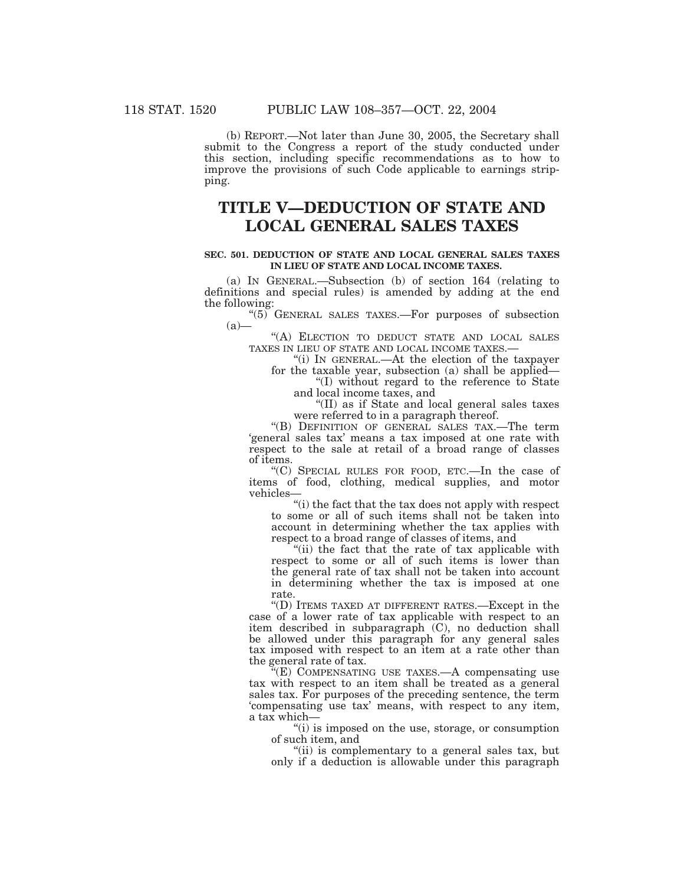(b) REPORT.—Not later than June 30, 2005, the Secretary shall submit to the Congress a report of the study conducted under this section, including specific recommendations as to how to improve the provisions of such Code applicable to earnings stripping.

# **TITLE V—DEDUCTION OF STATE AND LOCAL GENERAL SALES TAXES**

#### **SEC. 501. DEDUCTION OF STATE AND LOCAL GENERAL SALES TAXES IN LIEU OF STATE AND LOCAL INCOME TAXES.**

(a) IN GENERAL.—Subsection (b) of section 164 (relating to definitions and special rules) is amended by adding at the end the following:

 $(5)$  GENERAL SALES TAXES.—For purposes of subsection  $(a)$ —

"(A) ELECTION TO DEDUCT STATE AND LOCAL SALES TAXES IN LIEU OF STATE AND LOCAL INCOME TAXES.—

''(i) IN GENERAL.—At the election of the taxpayer

for the taxable year, subsection (a) shall be applied— ''(I) without regard to the reference to State and local income taxes, and

''(II) as if State and local general sales taxes were referred to in a paragraph thereof.

''(B) DEFINITION OF GENERAL SALES TAX.—The term 'general sales tax' means a tax imposed at one rate with respect to the sale at retail of a broad range of classes of items.

''(C) SPECIAL RULES FOR FOOD, ETC.—In the case of items of food, clothing, medical supplies, and motor vehicles—

''(i) the fact that the tax does not apply with respect to some or all of such items shall not be taken into account in determining whether the tax applies with respect to a broad range of classes of items, and

"(ii) the fact that the rate of tax applicable with respect to some or all of such items is lower than the general rate of tax shall not be taken into account in determining whether the tax is imposed at one rate.

''(D) ITEMS TAXED AT DIFFERENT RATES.—Except in the case of a lower rate of tax applicable with respect to an item described in subparagraph (C), no deduction shall be allowed under this paragraph for any general sales tax imposed with respect to an item at a rate other than the general rate of tax.

''(E) COMPENSATING USE TAXES.—A compensating use tax with respect to an item shall be treated as a general sales tax. For purposes of the preceding sentence, the term 'compensating use tax' means, with respect to any item, a tax which—

''(i) is imposed on the use, storage, or consumption of such item, and

"(ii) is complementary to a general sales tax, but only if a deduction is allowable under this paragraph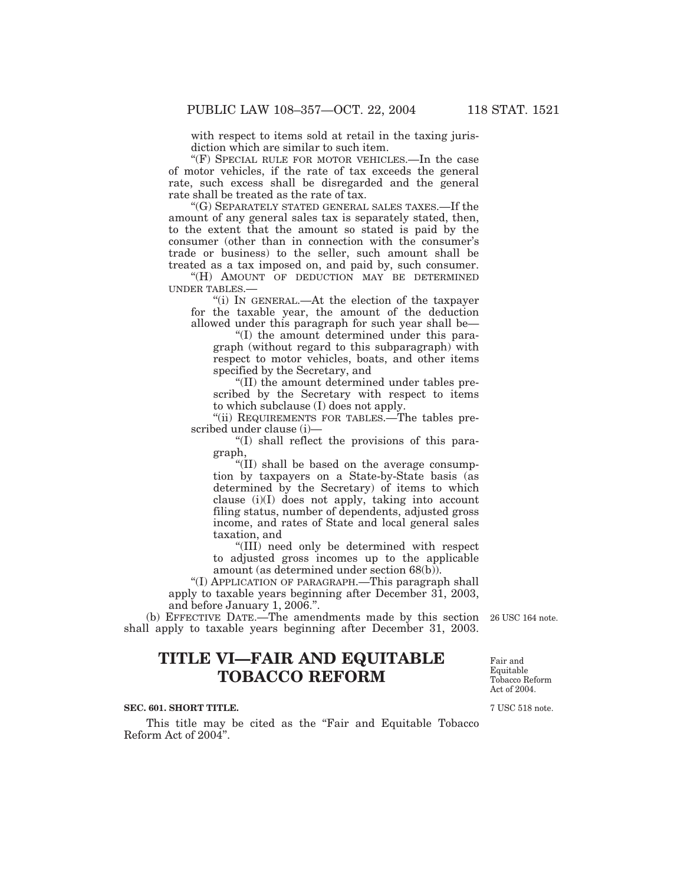with respect to items sold at retail in the taxing jurisdiction which are similar to such item.

"(F) SPECIAL RULE FOR MOTOR VEHICLES.—In the case of motor vehicles, if the rate of tax exceeds the general rate, such excess shall be disregarded and the general rate shall be treated as the rate of tax.

"(G) SEPARATELY STATED GENERAL SALES TAXES.—If the amount of any general sales tax is separately stated, then, to the extent that the amount so stated is paid by the consumer (other than in connection with the consumer's trade or business) to the seller, such amount shall be treated as a tax imposed on, and paid by, such consumer.

"(H) AMOUNT OF DEDUCTION MAY BE DETERMINED UNDER TABLES.—

''(i) IN GENERAL.—At the election of the taxpayer for the taxable year, the amount of the deduction allowed under this paragraph for such year shall be—

''(I) the amount determined under this paragraph (without regard to this subparagraph) with respect to motor vehicles, boats, and other items specified by the Secretary, and

''(II) the amount determined under tables prescribed by the Secretary with respect to items to which subclause (I) does not apply.

"(ii) REQUIREMENTS FOR TABLES.—The tables prescribed under clause (i)—

''(I) shall reflect the provisions of this paragraph,

''(II) shall be based on the average consumption by taxpayers on a State-by-State basis (as determined by the Secretary) of items to which clause (i)(I) does not apply, taking into account filing status, number of dependents, adjusted gross income, and rates of State and local general sales taxation, and

''(III) need only be determined with respect to adjusted gross incomes up to the applicable amount (as determined under section 68(b)).

''(I) APPLICATION OF PARAGRAPH.—This paragraph shall apply to taxable years beginning after December 31, 2003, and before January 1, 2006.''.

(b) EFFECTIVE DATE.—The amendments made by this section 26 USC 164 note. shall apply to taxable years beginning after December 31, 2003.

# **TITLE VI—FAIR AND EQUITABLE TOBACCO REFORM**

#### **SEC. 601. SHORT TITLE.**

This title may be cited as the "Fair and Equitable Tobacco" Reform Act of 2004''.

Fair and Equitable Tobacco Reform Act of 2004.

7 USC 518 note.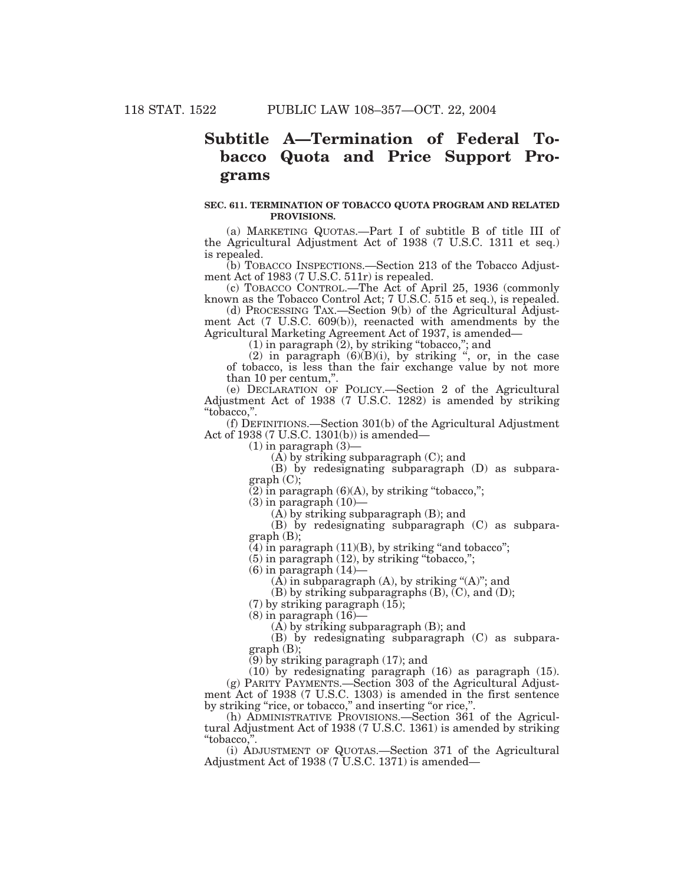# **Subtitle A—Termination of Federal Tobacco Quota and Price Support Programs**

#### **SEC. 611. TERMINATION OF TOBACCO QUOTA PROGRAM AND RELATED PROVISIONS.**

(a) MARKETING QUOTAS.—Part I of subtitle B of title III of the Agricultural Adjustment Act of 1938 (7 U.S.C. 1311 et seq.) is repealed.

(b) TOBACCO INSPECTIONS.—Section 213 of the Tobacco Adjustment Act of 1983 (7 U.S.C. 511r) is repealed.

(c) TOBACCO CONTROL.—The Act of April 25, 1936 (commonly known as the Tobacco Control Act; 7 U.S.C. 515 et seq.), is repealed.

(d) PROCESSING TAX.—Section 9(b) of the Agricultural Adjustment Act (7 U.S.C. 609(b)), reenacted with amendments by the Agricultural Marketing Agreement Act of 1937, is amended—

 $(1)$  in paragraph  $(2)$ , by striking "tobacco,"; and

(2) in paragraph  $(6)(B)(i)$ , by striking ", or, in the case of tobacco, is less than the fair exchange value by not more than 10 per centum,''.

(e) DECLARATION OF POLICY.—Section 2 of the Agricultural Adjustment Act of 1938 (7 U.S.C. 1282) is amended by striking ''tobacco,''.

(f) DEFINITIONS.—Section 301(b) of the Agricultural Adjustment Act of 1938 (7 U.S.C. 1301(b)) is amended—

 $(1)$  in paragraph  $(3)$ -

 $(A)$  by striking subparagraph  $(C)$ ; and

(B) by redesignating subparagraph (D) as subpara $graph (C);$ 

 $(2)$  in paragraph  $(6)(A)$ , by striking "tobacco,";

(3) in paragraph (10)—

 $(\overline{A})$  by striking subparagraph  $(B)$ ; and

(B) by redesignating subparagraph (C) as subparagraph (B);

 $(4)$  in paragraph  $(11)(B)$ , by striking "and tobacco";

(5) in paragraph (12), by striking ''tobacco,'';

 $(6)$  in paragraph  $(14)$ –

 $(A)$  in subparagraph  $(A)$ , by striking " $(A)$ "; and

 $(B)$  by striking subparagraphs  $(B)$ ,  $(C)$ , and  $(D)$ ;

(7) by striking paragraph (15);

 $(8)$  in paragraph  $(16)$ 

 $(\hat{A})$  by striking subparagraph  $(B)$ ; and

(B) by redesignating subparagraph (C) as subparagraph (B);

(9) by striking paragraph (17); and

(10) by redesignating paragraph (16) as paragraph (15).

(g) PARITY PAYMENTS.—Section 303 of the Agricultural Adjustment Act of 1938 (7 U.S.C. 1303) is amended in the first sentence by striking "rice, or tobacco," and inserting "or rice,".

(h) ADMINISTRATIVE PROVISIONS.—Section 361 of the Agricultural Adjustment Act of 1938 (7 U.S.C. 1361) is amended by striking ''tobacco,''.

(i) ADJUSTMENT OF QUOTAS.—Section 371 of the Agricultural Adjustment Act of 1938 (7 U.S.C. 1371) is amended—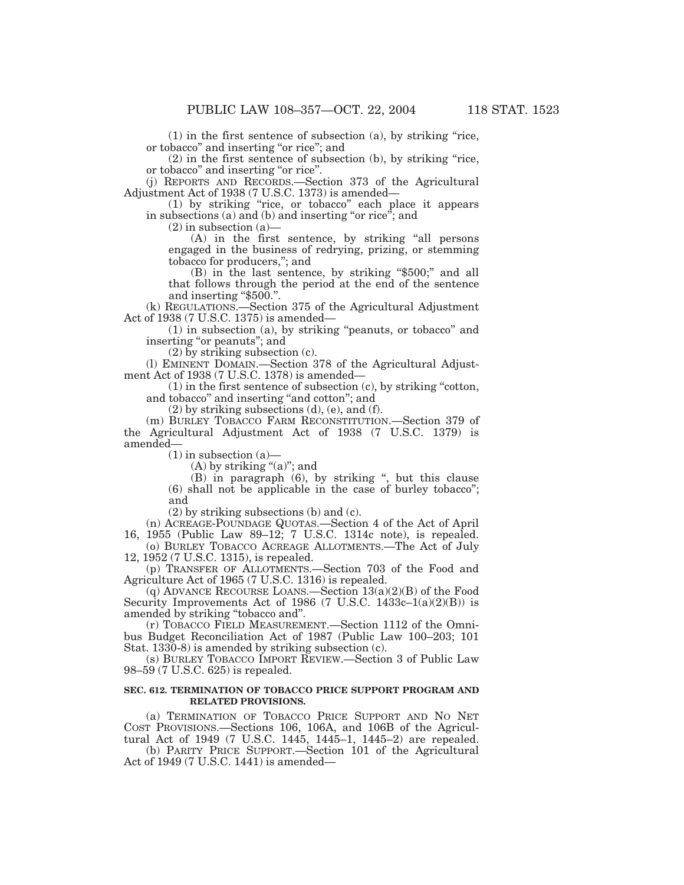$(1)$  in the first sentence of subsection  $(a)$ , by striking "rice, or tobacco'' and inserting ''or rice''; and

 $(2)$  in the first sentence of subsection  $(b)$ , by striking "rice, or tobacco'' and inserting ''or rice''.

(j) REPORTS AND RECORDS.—Section 373 of the Agricultural Adjustment Act of 1938 (7 U.S.C. 1373) is amended—

(1) by striking ''rice, or tobacco'' each place it appears in subsections (a) and (b) and inserting "or rice"; and

(2) in subsection (a)—

(A) in the first sentence, by striking ''all persons engaged in the business of redrying, prizing, or stemming tobacco for producers,''; and

(B) in the last sentence, by striking "\$500;" and all that follows through the period at the end of the sentence and inserting ''\$500.''.

(k) REGULATIONS.—Section 375 of the Agricultural Adjustment Act of 1938 (7 U.S.C. 1375) is amended—

(1) in subsection (a), by striking ''peanuts, or tobacco'' and inserting "or peanuts"; and

(2) by striking subsection (c).

(l) EMINENT DOMAIN.—Section 378 of the Agricultural Adjustment Act of 1938 (7 U.S.C. 1378) is amended—

 $(1)$  in the first sentence of subsection  $(c)$ , by striking "cotton, and tobacco'' and inserting ''and cotton''; and

 $(2)$  by striking subsections  $(d)$ ,  $(e)$ , and  $(f)$ .

(m) BURLEY TOBACCO FARM RECONSTITUTION.—Section 379 of the Agricultural Adjustment Act of 1938 (7 U.S.C. 1379) is amended—

 $(1)$  in subsection  $(a)$ —

(A) by striking " $(a)$ "; and

(B) in paragraph (6), by striking '', but this clause (6) shall not be applicable in the case of burley tobacco''; and

(2) by striking subsections (b) and (c).

(n) ACREAGE-POUNDAGE QUOTAS.—Section 4 of the Act of April 16, 1955 (Public Law 89–12; 7 U.S.C. 1314c note), is repealed.

(o) BURLEY TOBACCO ACREAGE ALLOTMENTS.—The Act of July 12, 1952 (7 U.S.C. 1315), is repealed.

(p) TRANSFER OF ALLOTMENTS.—Section 703 of the Food and Agriculture Act of 1965 (7 U.S.C. 1316) is repealed.

(q) ADVANCE RECOURSE LOANS.—Section 13(a)(2)(B) of the Food Security Improvements Act of 1986 (7 U.S.C. 1433c–1(a)(2)(B)) is amended by striking ''tobacco and''.

(r) TOBACCO FIELD MEASUREMENT.—Section 1112 of the Omnibus Budget Reconciliation Act of 1987 (Public Law 100–203; 101 Stat. 1330-8) is amended by striking subsection (c).

(s) BURLEY TOBACCO IMPORT REVIEW.—Section 3 of Public Law 98–59 (7 U.S.C. 625) is repealed.

#### **SEC. 612. TERMINATION OF TOBACCO PRICE SUPPORT PROGRAM AND RELATED PROVISIONS.**

(a) TERMINATION OF TOBACCO PRICE SUPPORT AND NO NET COST PROVISIONS.—Sections 106, 106A, and 106B of the Agricultural Act of 1949 (7 U.S.C. 1445, 1445–1, 1445–2) are repealed.

(b) PARITY PRICE SUPPORT.—Section 101 of the Agricultural Act of 1949 (7 U.S.C. 1441) is amended—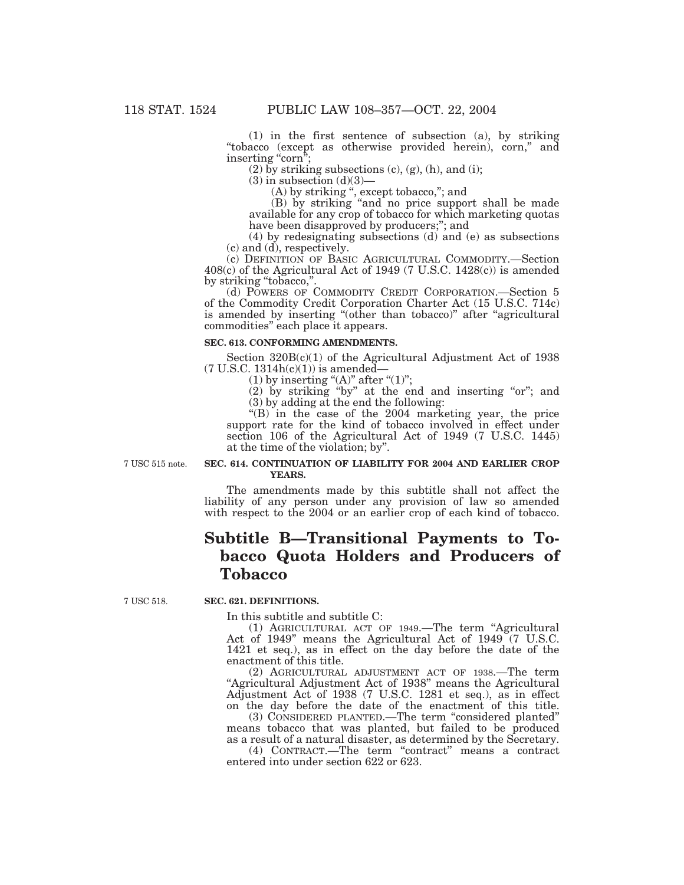(1) in the first sentence of subsection (a), by striking ''tobacco (except as otherwise provided herein), corn,'' and inserting "corn";

 $(2)$  by striking subsections  $(c)$ ,  $(g)$ ,  $(h)$ , and  $(i)$ ;

 $(3)$  in subsection  $(d)(3)$ —

(A) by striking '', except tobacco,''; and

(B) by striking ''and no price support shall be made available for any crop of tobacco for which marketing quotas have been disapproved by producers;"; and

(4) by redesignating subsections (d) and (e) as subsections (c) and (d), respectively.

(c) DEFINITION OF BASIC AGRICULTURAL COMMODITY.—Section 408(c) of the Agricultural Act of 1949 (7 U.S.C. 1428(c)) is amended by striking "tobacco,".

(d) POWERS OF COMMODITY CREDIT CORPORATION.—Section 5 of the Commodity Credit Corporation Charter Act (15 U.S.C. 714c) is amended by inserting "(other than tobacco)" after "agricultural commodities'' each place it appears.

#### **SEC. 613. CONFORMING AMENDMENTS.**

Section  $320B(c)(1)$  of the Agricultural Adjustment Act of 1938  $(7 \text{ U.S.C. } 1314h(c)(1))$  is amended–

(1) by inserting "(A)" after "(1)";

 $(2)$  by striking "by" at the end and inserting "or"; and (3) by adding at the end the following:

''(B) in the case of the 2004 marketing year, the price support rate for the kind of tobacco involved in effect under section 106 of the Agricultural Act of 1949 (7 U.S.C. 1445) at the time of the violation; by''.

7 USC 515 note.

# **SEC. 614. CONTINUATION OF LIABILITY FOR 2004 AND EARLIER CROP YEARS.**

The amendments made by this subtitle shall not affect the liability of any person under any provision of law so amended with respect to the 2004 or an earlier crop of each kind of tobacco.

# **Subtitle B—Transitional Payments to Tobacco Quota Holders and Producers of Tobacco**

7 USC 518.

#### **SEC. 621. DEFINITIONS.**

In this subtitle and subtitle C:

(1) AGRICULTURAL ACT OF 1949.—The term ''Agricultural Act of 1949'' means the Agricultural Act of 1949 (7 U.S.C. 1421 et seq.), as in effect on the day before the date of the enactment of this title.

(2) AGRICULTURAL ADJUSTMENT ACT OF 1938.—The term ''Agricultural Adjustment Act of 1938'' means the Agricultural Adjustment Act of 1938 (7 U.S.C. 1281 et seq.), as in effect on the day before the date of the enactment of this title.

(3) CONSIDERED PLANTED.—The term ''considered planted'' means tobacco that was planted, but failed to be produced as a result of a natural disaster, as determined by the Secretary.

(4) CONTRACT.—The term ''contract'' means a contract entered into under section 622 or 623.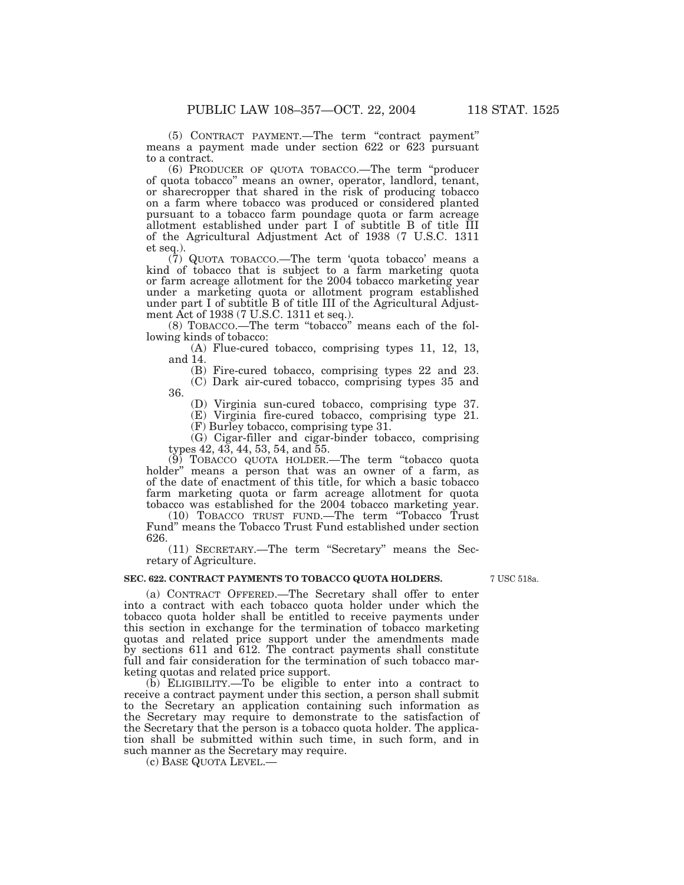(5) CONTRACT PAYMENT.—The term ''contract payment'' means a payment made under section 622 or 623 pursuant to a contract.

(6) PRODUCER OF QUOTA TOBACCO.—The term ''producer of quota tobacco'' means an owner, operator, landlord, tenant, or sharecropper that shared in the risk of producing tobacco on a farm where tobacco was produced or considered planted pursuant to a tobacco farm poundage quota or farm acreage allotment established under part I of subtitle B of title III of the Agricultural Adjustment Act of 1938 (7 U.S.C. 1311 et seq.).

(7) QUOTA TOBACCO.—The term 'quota tobacco' means a kind of tobacco that is subject to a farm marketing quota or farm acreage allotment for the 2004 tobacco marketing year under a marketing quota or allotment program established under part I of subtitle B of title III of the Agricultural Adjustment Act of 1938 (7 U.S.C. 1311 et seq.).

(8) TOBACCO.—The term ''tobacco'' means each of the following kinds of tobacco:

(A) Flue-cured tobacco, comprising types 11, 12, 13, and 14.

(B) Fire-cured tobacco, comprising types 22 and 23.

(C) Dark air-cured tobacco, comprising types 35 and 36.

(D) Virginia sun-cured tobacco, comprising type 37.

(E) Virginia fire-cured tobacco, comprising type 21.

(F) Burley tobacco, comprising type 31.

(G) Cigar-filler and cigar-binder tobacco, comprising types 42, 43, 44, 53, 54, and 55.

(9) TOBACCO QUOTA HOLDER.—The term ''tobacco quota holder'' means a person that was an owner of a farm, as of the date of enactment of this title, for which a basic tobacco farm marketing quota or farm acreage allotment for quota tobacco was established for the 2004 tobacco marketing year.

(10) TOBACCO TRUST FUND.—The term ''Tobacco Trust Fund'' means the Tobacco Trust Fund established under section 626.

(11) SECRETARY.—The term ''Secretary'' means the Secretary of Agriculture.

## **SEC. 622. CONTRACT PAYMENTS TO TOBACCO QUOTA HOLDERS.**

7 USC 518a.

(a) CONTRACT OFFERED.—The Secretary shall offer to enter into a contract with each tobacco quota holder under which the tobacco quota holder shall be entitled to receive payments under this section in exchange for the termination of tobacco marketing quotas and related price support under the amendments made by sections 611 and 612. The contract payments shall constitute full and fair consideration for the termination of such tobacco marketing quotas and related price support.

(b) ELIGIBILITY.—To be eligible to enter into a contract to receive a contract payment under this section, a person shall submit to the Secretary an application containing such information as the Secretary may require to demonstrate to the satisfaction of the Secretary that the person is a tobacco quota holder. The application shall be submitted within such time, in such form, and in such manner as the Secretary may require.

(c) BASE QUOTA LEVEL.—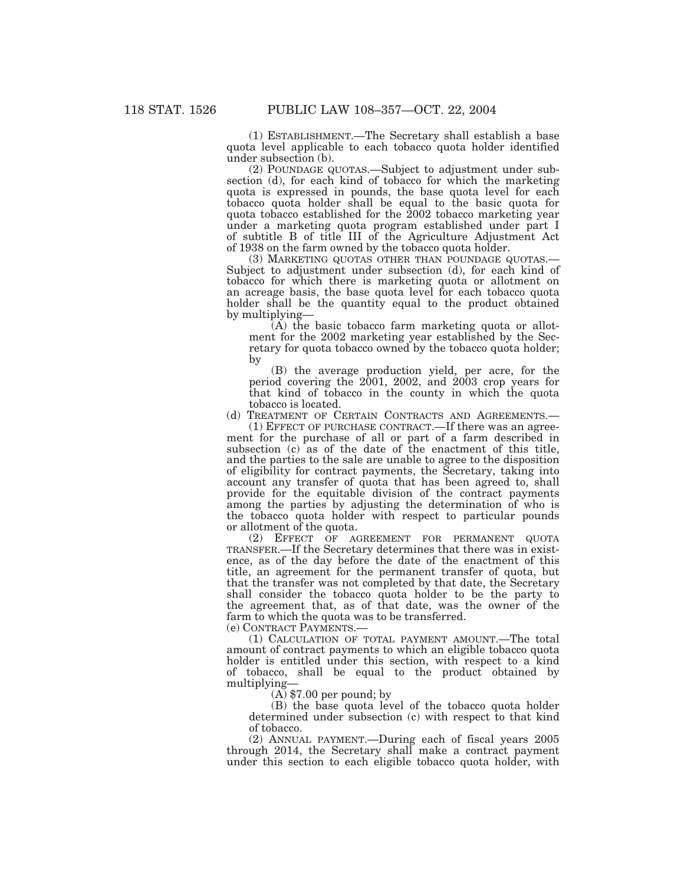(1) ESTABLISHMENT.—The Secretary shall establish a base quota level applicable to each tobacco quota holder identified under subsection (b).

(2) POUNDAGE QUOTAS.—Subject to adjustment under subsection (d), for each kind of tobacco for which the marketing quota is expressed in pounds, the base quota level for each tobacco quota holder shall be equal to the basic quota for quota tobacco established for the 2002 tobacco marketing year under a marketing quota program established under part I of subtitle B of title III of the Agriculture Adjustment Act of 1938 on the farm owned by the tobacco quota holder.

(3) MARKETING QUOTAS OTHER THAN POUNDAGE QUOTAS.— Subject to adjustment under subsection (d), for each kind of tobacco for which there is marketing quota or allotment on an acreage basis, the base quota level for each tobacco quota holder shall be the quantity equal to the product obtained by multiplying—

 $(A)$  the basic tobacco farm marketing quota or allotment for the 2002 marketing year established by the Secretary for quota tobacco owned by the tobacco quota holder; by

(B) the average production yield, per acre, for the period covering the 2001, 2002, and 2003 crop years for that kind of tobacco in the county in which the quota tobacco is located.

(d) TREATMENT OF CERTAIN CONTRACTS AND AGREEMENTS.—

(1) EFFECT OF PURCHASE CONTRACT.—If there was an agreement for the purchase of all or part of a farm described in subsection (c) as of the date of the enactment of this title, and the parties to the sale are unable to agree to the disposition of eligibility for contract payments, the Secretary, taking into account any transfer of quota that has been agreed to, shall provide for the equitable division of the contract payments among the parties by adjusting the determination of who is the tobacco quota holder with respect to particular pounds or allotment of the quota.

(2) EFFECT OF AGREEMENT FOR PERMANENT QUOTA TRANSFER.—If the Secretary determines that there was in existence, as of the day before the date of the enactment of this title, an agreement for the permanent transfer of quota, but that the transfer was not completed by that date, the Secretary shall consider the tobacco quota holder to be the party to the agreement that, as of that date, was the owner of the farm to which the quota was to be transferred.

(e) CONTRACT PAYMENTS.—

(1) CALCULATION OF TOTAL PAYMENT AMOUNT.—The total amount of contract payments to which an eligible tobacco quota holder is entitled under this section, with respect to a kind of tobacco, shall be equal to the product obtained by multiplying—

 $(A)$  \$7.00 per pound; by

(B) the base quota level of the tobacco quota holder determined under subsection (c) with respect to that kind of tobacco.

(2) ANNUAL PAYMENT.—During each of fiscal years 2005 through 2014, the Secretary shall make a contract payment under this section to each eligible tobacco quota holder, with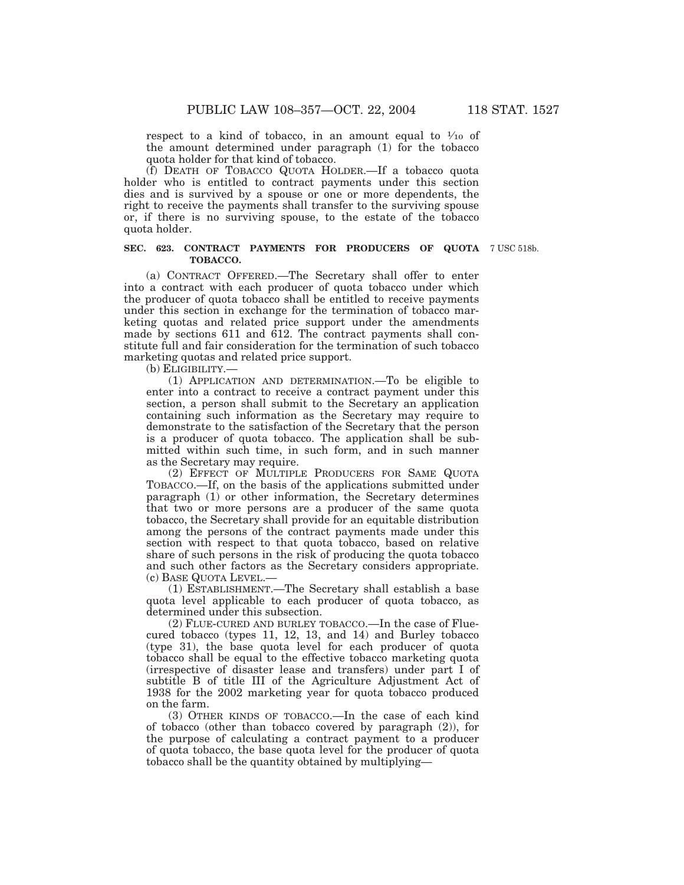respect to a kind of tobacco, in an amount equal to  $\frac{1}{10}$  of the amount determined under paragraph (1) for the tobacco quota holder for that kind of tobacco.

(f) DEATH OF TOBACCO QUOTA HOLDER.—If a tobacco quota holder who is entitled to contract payments under this section dies and is survived by a spouse or one or more dependents, the right to receive the payments shall transfer to the surviving spouse or, if there is no surviving spouse, to the estate of the tobacco quota holder.

#### **SEC. 623. CONTRACT PAYMENTS FOR PRODUCERS OF QUOTA** 7 USC 518b. **TOBACCO.**

(a) CONTRACT OFFERED.—The Secretary shall offer to enter into a contract with each producer of quota tobacco under which the producer of quota tobacco shall be entitled to receive payments under this section in exchange for the termination of tobacco marketing quotas and related price support under the amendments made by sections 611 and 612. The contract payments shall constitute full and fair consideration for the termination of such tobacco marketing quotas and related price support.

(b) ELIGIBILITY.—

(1) APPLICATION AND DETERMINATION.—To be eligible to enter into a contract to receive a contract payment under this section, a person shall submit to the Secretary an application containing such information as the Secretary may require to demonstrate to the satisfaction of the Secretary that the person is a producer of quota tobacco. The application shall be submitted within such time, in such form, and in such manner as the Secretary may require.

(2) EFFECT OF MULTIPLE PRODUCERS FOR SAME QUOTA TOBACCO.—If, on the basis of the applications submitted under paragraph (1) or other information, the Secretary determines that two or more persons are a producer of the same quota tobacco, the Secretary shall provide for an equitable distribution among the persons of the contract payments made under this section with respect to that quota tobacco, based on relative share of such persons in the risk of producing the quota tobacco and such other factors as the Secretary considers appropriate. (c) BASE QUOTA LEVEL.—

(1) ESTABLISHMENT.—The Secretary shall establish a base quota level applicable to each producer of quota tobacco, as determined under this subsection.

(2) FLUE-CURED AND BURLEY TOBACCO.—In the case of Fluecured tobacco (types 11, 12, 13, and 14) and Burley tobacco (type 31), the base quota level for each producer of quota tobacco shall be equal to the effective tobacco marketing quota (irrespective of disaster lease and transfers) under part I of subtitle B of title III of the Agriculture Adjustment Act of 1938 for the 2002 marketing year for quota tobacco produced on the farm.

(3) OTHER KINDS OF TOBACCO.—In the case of each kind of tobacco (other than tobacco covered by paragraph (2)), for the purpose of calculating a contract payment to a producer of quota tobacco, the base quota level for the producer of quota tobacco shall be the quantity obtained by multiplying—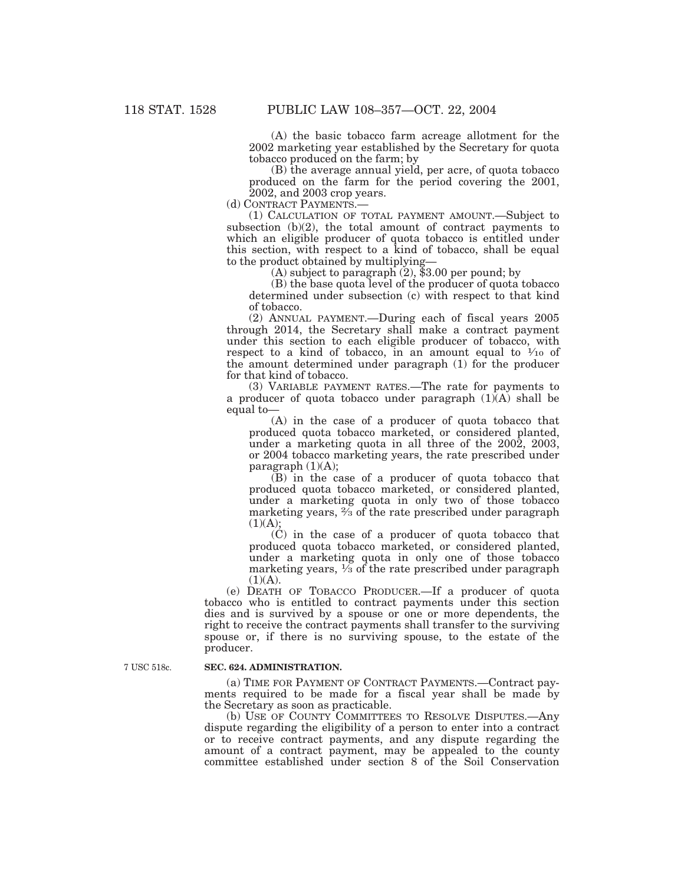(A) the basic tobacco farm acreage allotment for the 2002 marketing year established by the Secretary for quota tobacco produced on the farm; by

(B) the average annual yield, per acre, of quota tobacco produced on the farm for the period covering the 2001, 2002, and 2003 crop years.

(d) CONTRACT PAYMENTS.—

(1) CALCULATION OF TOTAL PAYMENT AMOUNT.—Subject to subsection (b)(2), the total amount of contract payments to which an eligible producer of quota tobacco is entitled under this section, with respect to a kind of tobacco, shall be equal to the product obtained by multiplying—

 $(A)$  subject to paragraph  $(2)$ , \$3.00 per pound; by

(B) the base quota level of the producer of quota tobacco determined under subsection (c) with respect to that kind of tobacco.

(2) ANNUAL PAYMENT.—During each of fiscal years 2005 through 2014, the Secretary shall make a contract payment under this section to each eligible producer of tobacco, with respect to a kind of tobacco, in an amount equal to  $\mathcal{V}_{10}$  of the amount determined under paragraph (1) for the producer for that kind of tobacco.

(3) VARIABLE PAYMENT RATES.—The rate for payments to a producer of quota tobacco under paragraph  $(1)(A)$  shall be equal to—

(A) in the case of a producer of quota tobacco that produced quota tobacco marketed, or considered planted, under a marketing quota in all three of the 2002, 2003, or 2004 tobacco marketing years, the rate prescribed under paragraph  $(1)(A)$ ;

(B) in the case of a producer of quota tobacco that produced quota tobacco marketed, or considered planted, under a marketing quota in only two of those tobacco marketing years,  $\frac{2}{3}$  of the rate prescribed under paragraph  $(1)(A)$ 

(C) in the case of a producer of quota tobacco that produced quota tobacco marketed, or considered planted, under a marketing quota in only one of those tobacco marketing years,  $\frac{1}{3}$  of the rate prescribed under paragraph  $(1)(A)$ .

(e) DEATH OF TOBACCO PRODUCER.—If a producer of quota tobacco who is entitled to contract payments under this section dies and is survived by a spouse or one or more dependents, the right to receive the contract payments shall transfer to the surviving spouse or, if there is no surviving spouse, to the estate of the producer.

7 USC 518c.

#### **SEC. 624. ADMINISTRATION.**

(a) TIME FOR PAYMENT OF CONTRACT PAYMENTS.—Contract payments required to be made for a fiscal year shall be made by the Secretary as soon as practicable.

(b) USE OF COUNTY COMMITTEES TO RESOLVE DISPUTES.—Any dispute regarding the eligibility of a person to enter into a contract or to receive contract payments, and any dispute regarding the amount of a contract payment, may be appealed to the county committee established under section 8 of the Soil Conservation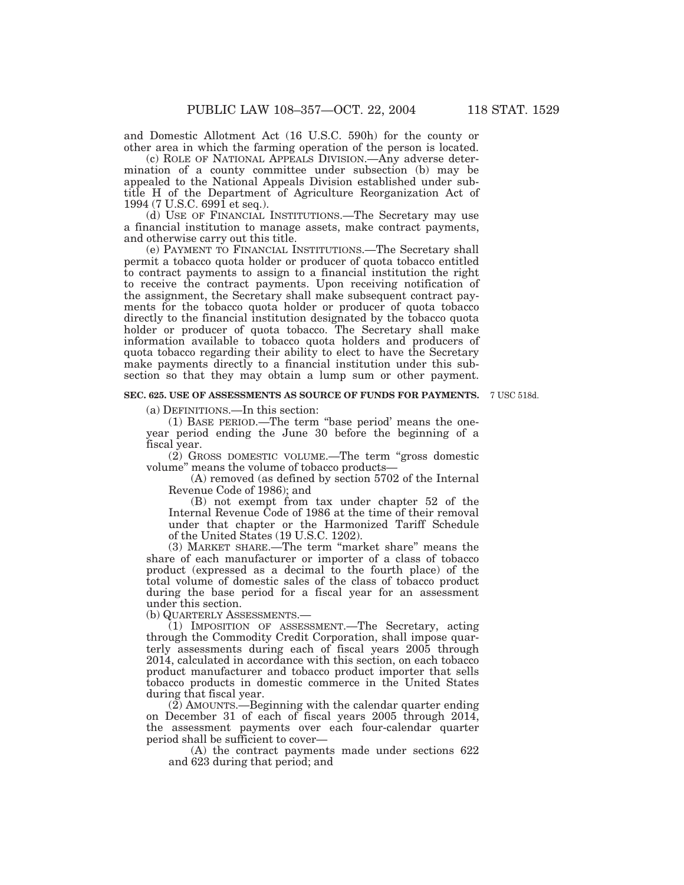and Domestic Allotment Act (16 U.S.C. 590h) for the county or other area in which the farming operation of the person is located.

(c) ROLE OF NATIONAL APPEALS DIVISION.—Any adverse determination of a county committee under subsection (b) may be appealed to the National Appeals Division established under subtitle H of the Department of Agriculture Reorganization Act of 1994 (7 U.S.C. 6991 et seq.).

(d) USE OF FINANCIAL INSTITUTIONS.—The Secretary may use a financial institution to manage assets, make contract payments, and otherwise carry out this title.

(e) PAYMENT TO FINANCIAL INSTITUTIONS.—The Secretary shall permit a tobacco quota holder or producer of quota tobacco entitled to contract payments to assign to a financial institution the right to receive the contract payments. Upon receiving notification of the assignment, the Secretary shall make subsequent contract payments for the tobacco quota holder or producer of quota tobacco directly to the financial institution designated by the tobacco quota holder or producer of quota tobacco. The Secretary shall make information available to tobacco quota holders and producers of quota tobacco regarding their ability to elect to have the Secretary make payments directly to a financial institution under this subsection so that they may obtain a lump sum or other payment.

#### **SEC. 625. USE OF ASSESSMENTS AS SOURCE OF FUNDS FOR PAYMENTS.** 7 USC 518d.

(a) DEFINITIONS.—In this section:

(1) BASE PERIOD.—The term ''base period' means the oneyear period ending the June 30 before the beginning of a fiscal year.

(2) GROSS DOMESTIC VOLUME.—The term ''gross domestic volume'' means the volume of tobacco products—

(A) removed (as defined by section 5702 of the Internal Revenue Code of 1986); and

(B) not exempt from tax under chapter 52 of the Internal Revenue Code of 1986 at the time of their removal under that chapter or the Harmonized Tariff Schedule of the United States (19 U.S.C. 1202).

(3) MARKET SHARE.—The term ''market share'' means the share of each manufacturer or importer of a class of tobacco product (expressed as a decimal to the fourth place) of the total volume of domestic sales of the class of tobacco product during the base period for a fiscal year for an assessment under this section.

(b) QUARTERLY ASSESSMENTS.—

(1) IMPOSITION OF ASSESSMENT.—The Secretary, acting through the Commodity Credit Corporation, shall impose quarterly assessments during each of fiscal years 2005 through 2014, calculated in accordance with this section, on each tobacco product manufacturer and tobacco product importer that sells tobacco products in domestic commerce in the United States during that fiscal year.

(2) AMOUNTS.—Beginning with the calendar quarter ending on December 31 of each of fiscal years 2005 through 2014, the assessment payments over each four-calendar quarter period shall be sufficient to cover—

(A) the contract payments made under sections 622 and 623 during that period; and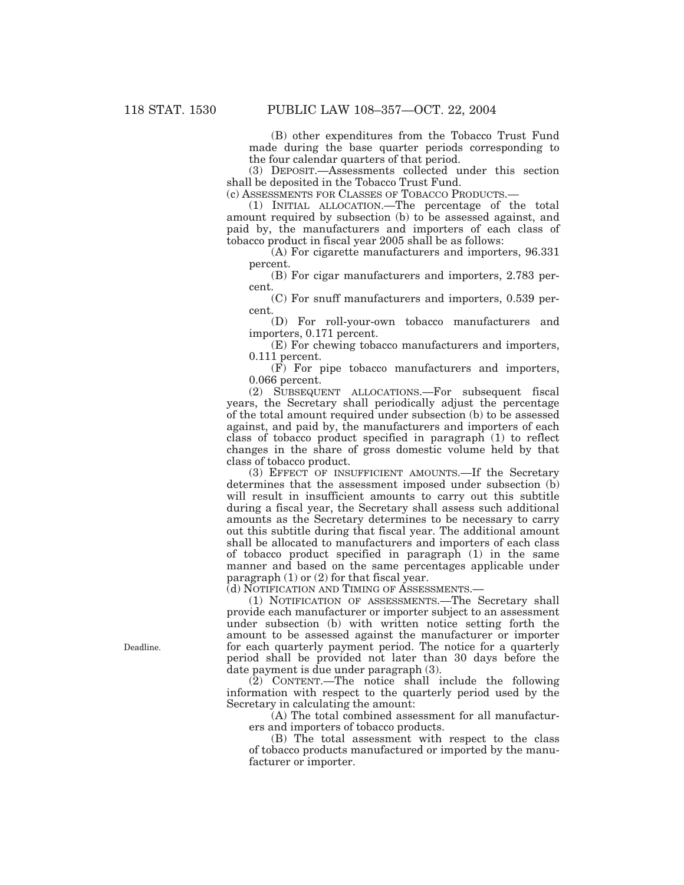(B) other expenditures from the Tobacco Trust Fund made during the base quarter periods corresponding to the four calendar quarters of that period.

(3) DEPOSIT.—Assessments collected under this section shall be deposited in the Tobacco Trust Fund.

(c) ASSESSMENTS FOR CLASSES OF TOBACCO PRODUCTS.—

(1) INITIAL ALLOCATION.—The percentage of the total amount required by subsection (b) to be assessed against, and paid by, the manufacturers and importers of each class of tobacco product in fiscal year 2005 shall be as follows:

(A) For cigarette manufacturers and importers, 96.331 percent.

(B) For cigar manufacturers and importers, 2.783 percent.

(C) For snuff manufacturers and importers, 0.539 percent.

(D) For roll-your-own tobacco manufacturers and importers, 0.171 percent.

(E) For chewing tobacco manufacturers and importers, 0.111 percent.

(F) For pipe tobacco manufacturers and importers, 0.066 percent.

(2) SUBSEQUENT ALLOCATIONS.—For subsequent fiscal years, the Secretary shall periodically adjust the percentage of the total amount required under subsection (b) to be assessed against, and paid by, the manufacturers and importers of each class of tobacco product specified in paragraph (1) to reflect changes in the share of gross domestic volume held by that class of tobacco product.

(3) EFFECT OF INSUFFICIENT AMOUNTS.—If the Secretary determines that the assessment imposed under subsection (b) will result in insufficient amounts to carry out this subtitle during a fiscal year, the Secretary shall assess such additional amounts as the Secretary determines to be necessary to carry out this subtitle during that fiscal year. The additional amount shall be allocated to manufacturers and importers of each class of tobacco product specified in paragraph (1) in the same manner and based on the same percentages applicable under paragraph (1) or (2) for that fiscal year.

(d) NOTIFICATION AND TIMING OF ASSESSMENTS.—

(1) NOTIFICATION OF ASSESSMENTS.—The Secretary shall provide each manufacturer or importer subject to an assessment under subsection (b) with written notice setting forth the amount to be assessed against the manufacturer or importer for each quarterly payment period. The notice for a quarterly period shall be provided not later than 30 days before the date payment is due under paragraph (3).

(2) CONTENT.—The notice shall include the following information with respect to the quarterly period used by the Secretary in calculating the amount:

(A) The total combined assessment for all manufacturers and importers of tobacco products.

(B) The total assessment with respect to the class of tobacco products manufactured or imported by the manufacturer or importer.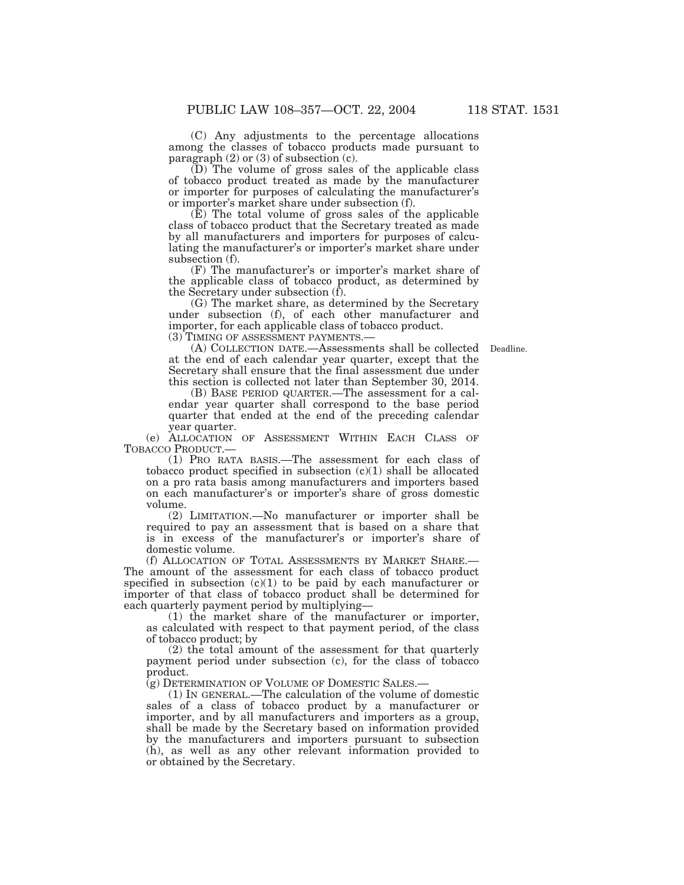(C) Any adjustments to the percentage allocations among the classes of tobacco products made pursuant to paragraph  $(2)$  or  $(3)$  of subsection  $(c)$ .

(D) The volume of gross sales of the applicable class of tobacco product treated as made by the manufacturer or importer for purposes of calculating the manufacturer's or importer's market share under subsection (f).

(E) The total volume of gross sales of the applicable class of tobacco product that the Secretary treated as made by all manufacturers and importers for purposes of calculating the manufacturer's or importer's market share under subsection (f).

(F) The manufacturer's or importer's market share of the applicable class of tobacco product, as determined by the Secretary under subsection (f).

(G) The market share, as determined by the Secretary under subsection (f), of each other manufacturer and importer, for each applicable class of tobacco product. (3) TIMING OF ASSESSMENT PAYMENTS.—

(A) COLLECTION DATE.—Assessments shall be collected Deadline. at the end of each calendar year quarter, except that the Secretary shall ensure that the final assessment due under this section is collected not later than September 30, 2014.

(B) BASE PERIOD QUARTER.—The assessment for a calendar year quarter shall correspond to the base period quarter that ended at the end of the preceding calendar year quarter.

(e) ALLOCATION OF ASSESSMENT WITHIN EACH CLASS OF TOBACCO PRODUCT.—

(1) PRO RATA BASIS.—The assessment for each class of tobacco product specified in subsection  $(c)(1)$  shall be allocated on a pro rata basis among manufacturers and importers based on each manufacturer's or importer's share of gross domestic volume.

(2) LIMITATION.—No manufacturer or importer shall be required to pay an assessment that is based on a share that is in excess of the manufacturer's or importer's share of domestic volume.

(f) ALLOCATION OF TOTAL ASSESSMENTS BY MARKET SHARE.— The amount of the assessment for each class of tobacco product specified in subsection  $(c)(1)$  to be paid by each manufacturer or importer of that class of tobacco product shall be determined for each quarterly payment period by multiplying—

(1) the market share of the manufacturer or importer, as calculated with respect to that payment period, of the class of tobacco product; by

(2) the total amount of the assessment for that quarterly payment period under subsection (c), for the class of tobacco product.

(g) DETERMINATION OF VOLUME OF DOMESTIC SALES.—

(1) IN GENERAL.—The calculation of the volume of domestic sales of a class of tobacco product by a manufacturer or importer, and by all manufacturers and importers as a group, shall be made by the Secretary based on information provided by the manufacturers and importers pursuant to subsection (h), as well as any other relevant information provided to or obtained by the Secretary.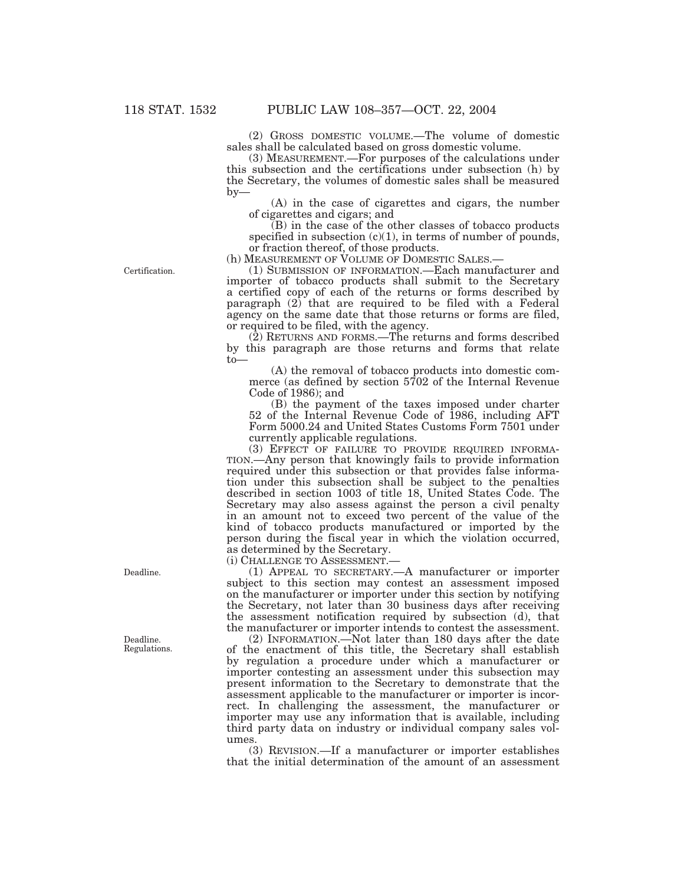(2) GROSS DOMESTIC VOLUME.—The volume of domestic sales shall be calculated based on gross domestic volume.

(3) MEASUREMENT.—For purposes of the calculations under this subsection and the certifications under subsection (h) by the Secretary, the volumes of domestic sales shall be measured by—

(A) in the case of cigarettes and cigars, the number of cigarettes and cigars; and

(B) in the case of the other classes of tobacco products specified in subsection  $(c)(1)$ , in terms of number of pounds, or fraction thereof, of those products.

(h) MEASUREMENT OF VOLUME OF DOMESTIC SALES.—

(1) SUBMISSION OF INFORMATION.—Each manufacturer and importer of tobacco products shall submit to the Secretary a certified copy of each of the returns or forms described by paragraph (2) that are required to be filed with a Federal agency on the same date that those returns or forms are filed, or required to be filed, with the agency.

(2) RETURNS AND FORMS.—The returns and forms described by this paragraph are those returns and forms that relate to—

(A) the removal of tobacco products into domestic commerce (as defined by section 5702 of the Internal Revenue Code of 1986); and

(B) the payment of the taxes imposed under charter 52 of the Internal Revenue Code of 1986, including AFT Form 5000.24 and United States Customs Form 7501 under currently applicable regulations.

(3) EFFECT OF FAILURE TO PROVIDE REQUIRED INFORMA-TION.—Any person that knowingly fails to provide information required under this subsection or that provides false information under this subsection shall be subject to the penalties described in section 1003 of title 18, United States Code. The Secretary may also assess against the person a civil penalty in an amount not to exceed two percent of the value of the kind of tobacco products manufactured or imported by the person during the fiscal year in which the violation occurred, as determined by the Secretary.

(i) CHALLENGE TO ASSESSMENT.—

(1) APPEAL TO SECRETARY.—A manufacturer or importer subject to this section may contest an assessment imposed on the manufacturer or importer under this section by notifying the Secretary, not later than 30 business days after receiving the assessment notification required by subsection (d), that the manufacturer or importer intends to contest the assessment.

(2) INFORMATION.—Not later than 180 days after the date of the enactment of this title, the Secretary shall establish by regulation a procedure under which a manufacturer or importer contesting an assessment under this subsection may present information to the Secretary to demonstrate that the assessment applicable to the manufacturer or importer is incorrect. In challenging the assessment, the manufacturer or importer may use any information that is available, including third party data on industry or individual company sales volumes.

(3) REVISION.—If a manufacturer or importer establishes that the initial determination of the amount of an assessment

Certification.

Deadline.

Deadline. Regulations.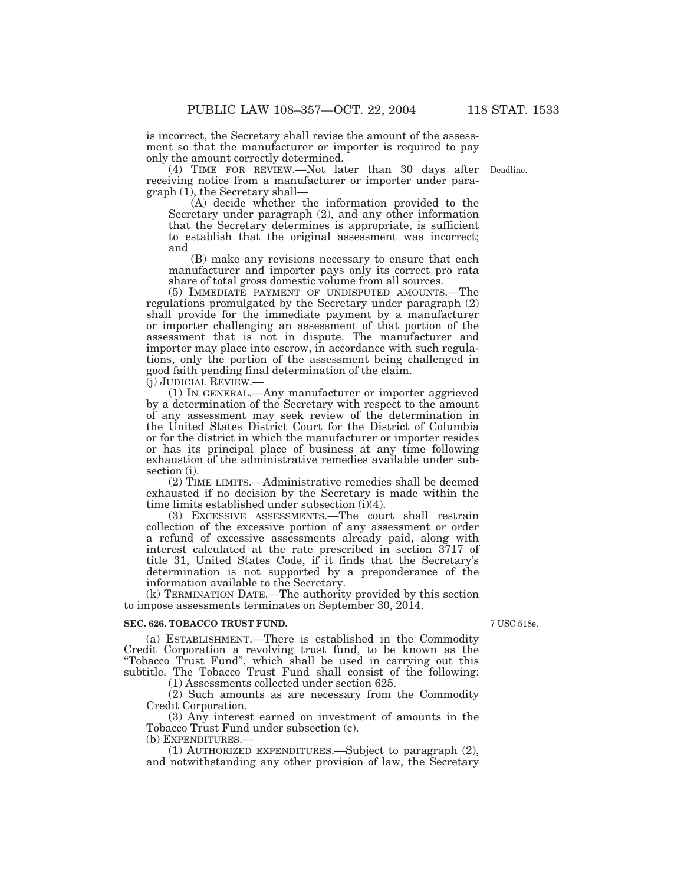is incorrect, the Secretary shall revise the amount of the assessment so that the manufacturer or importer is required to pay only the amount correctly determined.

(4) TIME FOR REVIEW.—Not later than 30 days after Deadline. receiving notice from a manufacturer or importer under para $graph (1)$ , the Secretary shall-

(A) decide whether the information provided to the Secretary under paragraph (2), and any other information that the Secretary determines is appropriate, is sufficient to establish that the original assessment was incorrect; and

(B) make any revisions necessary to ensure that each manufacturer and importer pays only its correct pro rata share of total gross domestic volume from all sources.

(5) IMMEDIATE PAYMENT OF UNDISPUTED AMOUNTS.—The regulations promulgated by the Secretary under paragraph (2) shall provide for the immediate payment by a manufacturer or importer challenging an assessment of that portion of the assessment that is not in dispute. The manufacturer and importer may place into escrow, in accordance with such regulations, only the portion of the assessment being challenged in good faith pending final determination of the claim.

(j) JUDICIAL REVIEW.—

(1) IN GENERAL.—Any manufacturer or importer aggrieved by a determination of the Secretary with respect to the amount of any assessment may seek review of the determination in the United States District Court for the District of Columbia or for the district in which the manufacturer or importer resides or has its principal place of business at any time following exhaustion of the administrative remedies available under subsection (i).

(2) TIME LIMITS.—Administrative remedies shall be deemed exhausted if no decision by the Secretary is made within the time limits established under subsection (i)(4).

(3) EXCESSIVE ASSESSMENTS.—The court shall restrain collection of the excessive portion of any assessment or order a refund of excessive assessments already paid, along with interest calculated at the rate prescribed in section 3717 of title 31, United States Code, if it finds that the Secretary's determination is not supported by a preponderance of the information available to the Secretary.

(k) TERMINATION DATE.—The authority provided by this section to impose assessments terminates on September 30, 2014.

#### **SEC. 626. TOBACCO TRUST FUND.**

7 USC 518e.

(a) ESTABLISHMENT.—There is established in the Commodity Credit Corporation a revolving trust fund, to be known as the ''Tobacco Trust Fund'', which shall be used in carrying out this subtitle. The Tobacco Trust Fund shall consist of the following:

(1) Assessments collected under section 625.

(2) Such amounts as are necessary from the Commodity Credit Corporation.

(3) Any interest earned on investment of amounts in the Tobacco Trust Fund under subsection (c).

(b) EXPENDITURES.—

(1) AUTHORIZED EXPENDITURES.—Subject to paragraph (2), and notwithstanding any other provision of law, the Secretary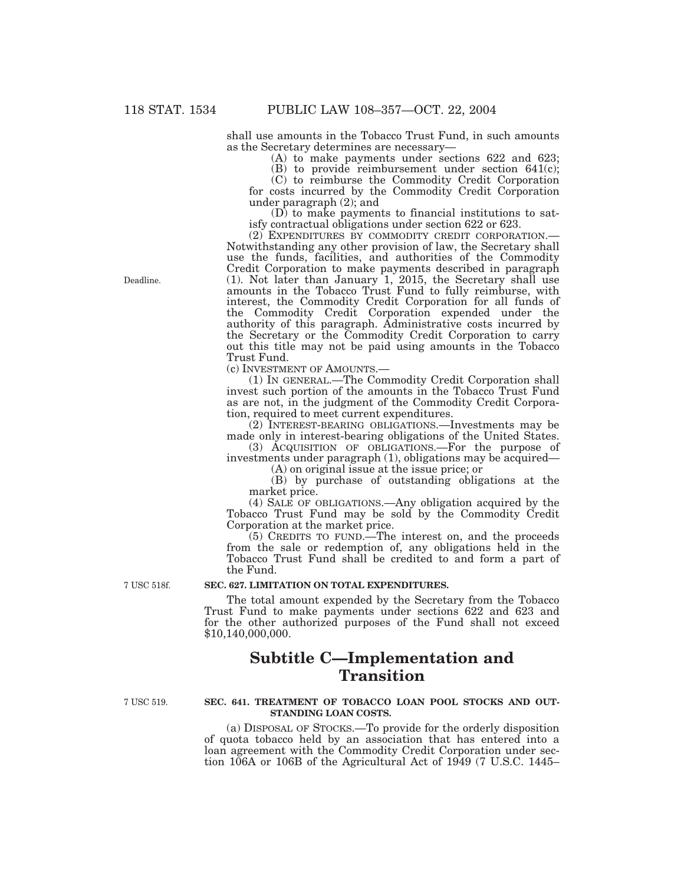shall use amounts in the Tobacco Trust Fund, in such amounts as the Secretary determines are necessary—

(A) to make payments under sections 622 and 623;

(B) to provide reimbursement under section 641(c);

(C) to reimburse the Commodity Credit Corporation for costs incurred by the Commodity Credit Corporation under paragraph (2); and

(D) to make payments to financial institutions to satisfy contractual obligations under section 622 or 623.

Notwithstanding any other provision of law, the Secretary shall use the funds, facilities, and authorities of the Commodity Credit Corporation to make payments described in paragraph (1). Not later than January 1, 2015, the Secretary shall use amounts in the Tobacco Trust Fund to fully reimburse, with interest, the Commodity Credit Corporation for all funds of the Commodity Credit Corporation expended under the authority of this paragraph. Administrative costs incurred by the Secretary or the Commodity Credit Corporation to carry out this title may not be paid using amounts in the Tobacco Trust Fund.

(c) INVESTMENT OF AMOUNTS.—

(1) IN GENERAL.—The Commodity Credit Corporation shall invest such portion of the amounts in the Tobacco Trust Fund as are not, in the judgment of the Commodity Credit Corporation, required to meet current expenditures.

(2) INTEREST-BEARING OBLIGATIONS.—Investments may be made only in interest-bearing obligations of the United States. (3) ACQUISITION OF OBLIGATIONS.—For the purpose of

investments under paragraph (1), obligations may be acquired— (A) on original issue at the issue price; or

(B) by purchase of outstanding obligations at the market price.

(4) SALE OF OBLIGATIONS.—Any obligation acquired by the Tobacco Trust Fund may be sold by the Commodity Credit Corporation at the market price.

(5) CREDITS TO FUND.—The interest on, and the proceeds from the sale or redemption of, any obligations held in the Tobacco Trust Fund shall be credited to and form a part of the Fund.

7 USC 518f.

# **SEC. 627. LIMITATION ON TOTAL EXPENDITURES.**

The total amount expended by the Secretary from the Tobacco Trust Fund to make payments under sections 622 and 623 and for the other authorized purposes of the Fund shall not exceed \$10,140,000,000.

# **Subtitle C—Implementation and Transition**

7 USC 519.

## **SEC. 641. TREATMENT OF TOBACCO LOAN POOL STOCKS AND OUT-STANDING LOAN COSTS.**

(a) DISPOSAL OF STOCKS.—To provide for the orderly disposition of quota tobacco held by an association that has entered into a loan agreement with the Commodity Credit Corporation under section 106A or 106B of the Agricultural Act of 1949 (7 U.S.C. 1445–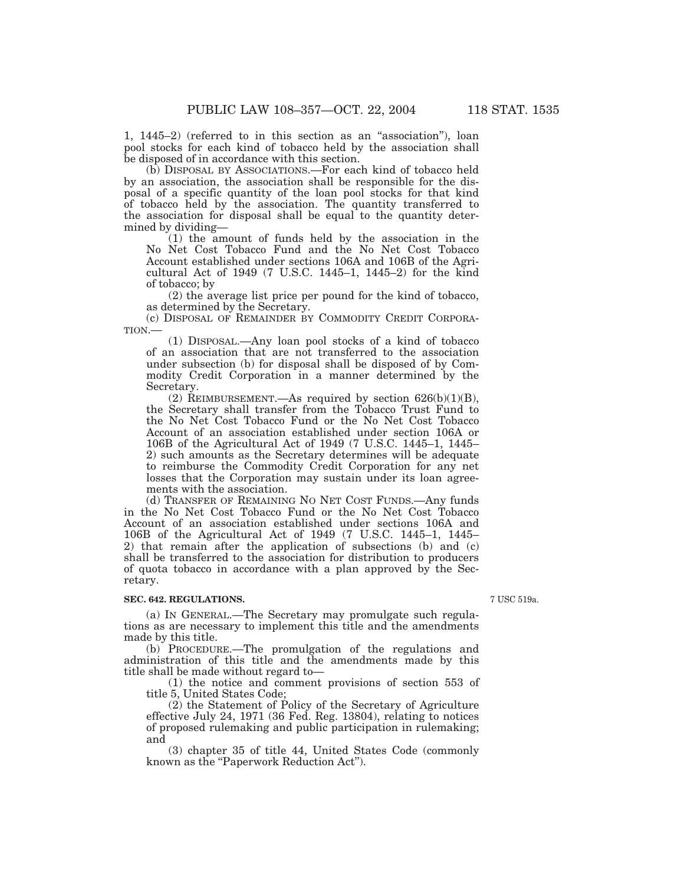1, 1445–2) (referred to in this section as an ''association''), loan pool stocks for each kind of tobacco held by the association shall be disposed of in accordance with this section.

(b) DISPOSAL BY ASSOCIATIONS.—For each kind of tobacco held by an association, the association shall be responsible for the disposal of a specific quantity of the loan pool stocks for that kind of tobacco held by the association. The quantity transferred to the association for disposal shall be equal to the quantity determined by dividing—

(1) the amount of funds held by the association in the No Net Cost Tobacco Fund and the No Net Cost Tobacco Account established under sections 106A and 106B of the Agricultural Act of 1949 (7 U.S.C. 1445–1, 1445–2) for the kind of tobacco; by

(2) the average list price per pound for the kind of tobacco, as determined by the Secretary.

(c) DISPOSAL OF REMAINDER BY COMMODITY CREDIT CORPORA-TION.—

(1) DISPOSAL.—Any loan pool stocks of a kind of tobacco of an association that are not transferred to the association under subsection (b) for disposal shall be disposed of by Commodity Credit Corporation in a manner determined by the Secretary.

(2) REIMBURSEMENT.—As required by section  $626(b)(1)(B)$ , the Secretary shall transfer from the Tobacco Trust Fund to the No Net Cost Tobacco Fund or the No Net Cost Tobacco Account of an association established under section 106A or 106B of the Agricultural Act of 1949 (7 U.S.C. 1445–1, 1445– 2) such amounts as the Secretary determines will be adequate to reimburse the Commodity Credit Corporation for any net losses that the Corporation may sustain under its loan agreements with the association.

(d) TRANSFER OF REMAINING NO NET COST FUNDS.—Any funds in the No Net Cost Tobacco Fund or the No Net Cost Tobacco Account of an association established under sections 106A and 106B of the Agricultural Act of 1949 (7 U.S.C. 1445–1, 1445– 2) that remain after the application of subsections (b) and (c) shall be transferred to the association for distribution to producers of quota tobacco in accordance with a plan approved by the Secretary.

#### **SEC. 642. REGULATIONS.**

7 USC 519a.

(a) IN GENERAL.—The Secretary may promulgate such regulations as are necessary to implement this title and the amendments made by this title.

(b) PROCEDURE.—The promulgation of the regulations and administration of this title and the amendments made by this title shall be made without regard to—

(1) the notice and comment provisions of section 553 of title 5, United States Code;

(2) the Statement of Policy of the Secretary of Agriculture effective July 24, 1971 (36 Fed. Reg. 13804), relating to notices of proposed rulemaking and public participation in rulemaking; and

(3) chapter 35 of title 44, United States Code (commonly known as the "Paperwork Reduction Act").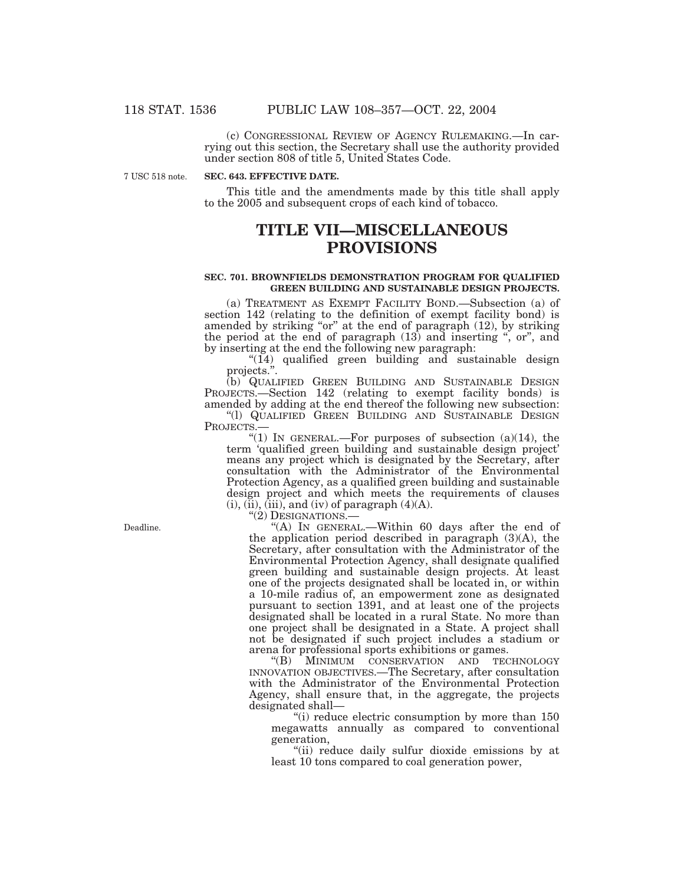(c) CONGRESSIONAL REVIEW OF AGENCY RULEMAKING.—In carrying out this section, the Secretary shall use the authority provided under section 808 of title 5, United States Code.

7 USC 518 note.

## **SEC. 643. EFFECTIVE DATE.**

This title and the amendments made by this title shall apply to the 2005 and subsequent crops of each kind of tobacco.

# **TITLE VII—MISCELLANEOUS PROVISIONS**

## **SEC. 701. BROWNFIELDS DEMONSTRATION PROGRAM FOR QUALIFIED GREEN BUILDING AND SUSTAINABLE DESIGN PROJECTS.**

(a) TREATMENT AS EXEMPT FACILITY BOND.—Subsection (a) of section 142 (relating to the definition of exempt facility bond) is amended by striking "or" at the end of paragraph (12), by striking the period at the end of paragraph  $(13)$  and inserting ", or", and by inserting at the end the following new paragraph:

"(14) qualified green building and sustainable design projects.".

(b) QUALIFIED GREEN BUILDING AND SUSTAINABLE DESIGN PROJECTS.—Section 142 (relating to exempt facility bonds) is amended by adding at the end thereof the following new subsection:

''(l) QUALIFIED GREEN BUILDING AND SUSTAINABLE DESIGN PROJECTS.—

"(1) IN GENERAL.—For purposes of subsection  $(a)(14)$ , the term 'qualified green building and sustainable design project' means any project which is designated by the Secretary, after consultation with the Administrator of the Environmental Protection Agency, as a qualified green building and sustainable design project and which meets the requirements of clauses (i), (ii), (iii), and (iv) of paragraph (4)(A). "(2) DESIGNATIONS.—

"(A) In GENERAL.—Within 60 days after the end of the application period described in paragraph (3)(A), the Secretary, after consultation with the Administrator of the Environmental Protection Agency, shall designate qualified green building and sustainable design projects. At least one of the projects designated shall be located in, or within a 10-mile radius of, an empowerment zone as designated pursuant to section 1391, and at least one of the projects designated shall be located in a rural State. No more than one project shall be designated in a State. A project shall not be designated if such project includes a stadium or arena for professional sports exhibitions or games.

''(B) MINIMUM CONSERVATION AND TECHNOLOGY INNOVATION OBJECTIVES.—The Secretary, after consultation with the Administrator of the Environmental Protection Agency, shall ensure that, in the aggregate, the projects designated shall—

"(i) reduce electric consumption by more than 150 megawatts annually as compared to conventional generation,

"(ii) reduce daily sulfur dioxide emissions by at least 10 tons compared to coal generation power,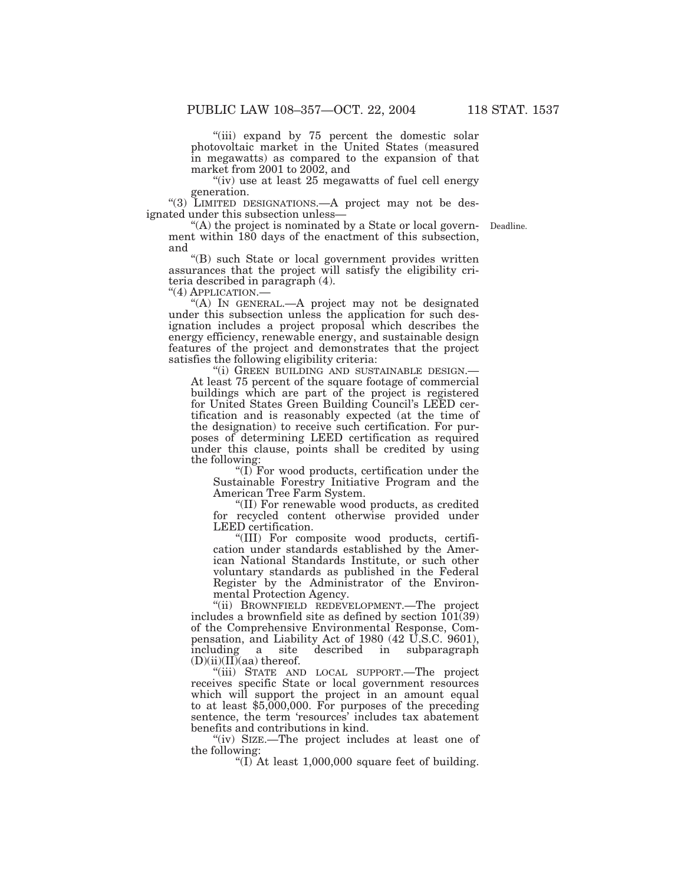"(iii) expand by 75 percent the domestic solar photovoltaic market in the United States (measured in megawatts) as compared to the expansion of that market from 2001 to 2002, and

"(iv) use at least 25 megawatts of fuel cell energy generation.

"(3) LIMITED DESIGNATIONS.—A project may not be designated under this subsection unless—

''(A) the project is nominated by a State or local government within 180 days of the enactment of this subsection, and

''(B) such State or local government provides written assurances that the project will satisfy the eligibility criteria described in paragraph (4).

''(4) APPLICATION.—

''(A) IN GENERAL.—A project may not be designated under this subsection unless the application for such designation includes a project proposal which describes the energy efficiency, renewable energy, and sustainable design features of the project and demonstrates that the project satisfies the following eligibility criteria:

''(i) GREEN BUILDING AND SUSTAINABLE DESIGN.— At least 75 percent of the square footage of commercial buildings which are part of the project is registered for United States Green Building Council's LEED certification and is reasonably expected (at the time of the designation) to receive such certification. For purposes of determining LEED certification as required under this clause, points shall be credited by using the following:

''(I) For wood products, certification under the Sustainable Forestry Initiative Program and the American Tree Farm System.

''(II) For renewable wood products, as credited for recycled content otherwise provided under LEED certification.

''(III) For composite wood products, certification under standards established by the American National Standards Institute, or such other voluntary standards as published in the Federal Register by the Administrator of the Environmental Protection Agency.

''(ii) BROWNFIELD REDEVELOPMENT.—The project includes a brownfield site as defined by section  $101(39)$ of the Comprehensive Environmental Response, Compensation, and Liability Act of 1980 (42 U.S.C. 9601), including a site described in subparagraph a site described in subparagraph  $(D)(ii)(II)(aa)$  thereof.

''(iii) STATE AND LOCAL SUPPORT.—The project receives specific State or local government resources which will support the project in an amount equal to at least \$5,000,000. For purposes of the preceding sentence, the term 'resources' includes tax abatement benefits and contributions in kind.

"(iv) SIZE.—The project includes at least one of the following:

" $(I)$  At least 1,000,000 square feet of building.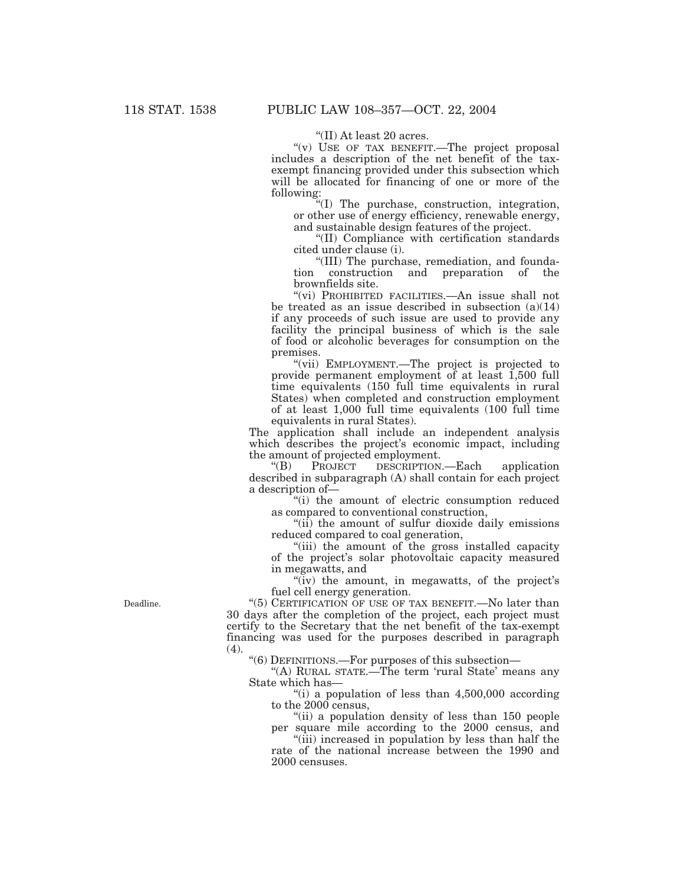''(II) At least 20 acres.

" $(v)$  USE OF TAX BENEFIT.—The project proposal includes a description of the net benefit of the taxexempt financing provided under this subsection which will be allocated for financing of one or more of the following:

''(I) The purchase, construction, integration, or other use of energy efficiency, renewable energy, and sustainable design features of the project.

''(II) Compliance with certification standards cited under clause (i).

''(III) The purchase, remediation, and foundation construction and preparation of the brownfields site.

''(vi) PROHIBITED FACILITIES.—An issue shall not be treated as an issue described in subsection  $(a)(14)$ if any proceeds of such issue are used to provide any facility the principal business of which is the sale of food or alcoholic beverages for consumption on the premises.

"(vii) EMPLOYMENT.—The project is projected to provide permanent employment of at least 1,500 full time equivalents (150 full time equivalents in rural States) when completed and construction employment of at least 1,000 full time equivalents (100 full time equivalents in rural States).

The application shall include an independent analysis which describes the project's economic impact, including the amount of projected employment.<br>
"(B) PROJECT DESCRIPTION

DESCRIPTION.—Each application described in subparagraph (A) shall contain for each project a description of—

''(i) the amount of electric consumption reduced as compared to conventional construction,

''(ii) the amount of sulfur dioxide daily emissions reduced compared to coal generation,

"(iii) the amount of the gross installed capacity of the project's solar photovoltaic capacity measured in megawatts, and

"(iv) the amount, in megawatts, of the project's fuel cell energy generation.

"(5) CERTIFICATION OF USE OF TAX BENEFIT.—No later than 30 days after the completion of the project, each project must certify to the Secretary that the net benefit of the tax-exempt financing was used for the purposes described in paragraph  $(4).$ 

''(6) DEFINITIONS.—For purposes of this subsection—

''(A) RURAL STATE.—The term 'rural State' means any State which has—

"(i) a population of less than 4,500,000 according to the 2000 census,

''(ii) a population density of less than 150 people per square mile according to the 2000 census, and

''(iii) increased in population by less than half the rate of the national increase between the 1990 and 2000 censuses.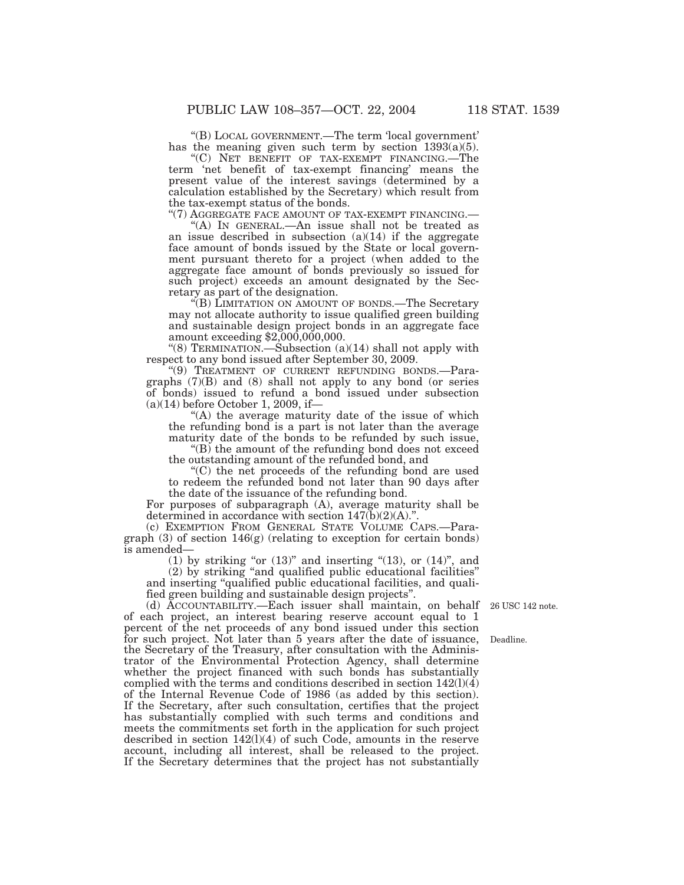''(B) LOCAL GOVERNMENT.—The term 'local government' has the meaning given such term by section  $1393(a)(5)$ .

''(C) NET BENEFIT OF TAX-EXEMPT FINANCING.—The term 'net benefit of tax-exempt financing' means the present value of the interest savings (determined by a calculation established by the Secretary) which result from the tax-exempt status of the bonds.

"(7) AGGREGATE FACE AMOUNT OF TAX-EXEMPT FINANCING.

"(A) In GENERAL.—An issue shall not be treated as an issue described in subsection  $(a)(14)$  if the aggregate face amount of bonds issued by the State or local government pursuant thereto for a project (when added to the aggregate face amount of bonds previously so issued for such project) exceeds an amount designated by the Secretary as part of the designation.

''(B) LIMITATION ON AMOUNT OF BONDS.—The Secretary may not allocate authority to issue qualified green building and sustainable design project bonds in an aggregate face amount exceeding \$2,000,000,000.

"(8) TERMINATION.—Subsection  $(a)(14)$  shall not apply with respect to any bond issued after September 30, 2009.

"(9) TREATMENT OF CURRENT REFUNDING BONDS.-Paragraphs (7)(B) and (8) shall not apply to any bond (or series of bonds) issued to refund a bond issued under subsection  $(a)(14)$  before October 1, 2009, if-

"(A) the average maturity date of the issue of which the refunding bond is a part is not later than the average maturity date of the bonds to be refunded by such issue,

''(B) the amount of the refunding bond does not exceed the outstanding amount of the refunded bond, and

''(C) the net proceeds of the refunding bond are used to redeem the refunded bond not later than 90 days after the date of the issuance of the refunding bond.

For purposes of subparagraph (A), average maturity shall be determined in accordance with section  $147(b)(2)(A)$ .

(c) EXEMPTION FROM GENERAL STATE VOLUME CAPS.—Paragraph (3) of section 146(g) (relating to exception for certain bonds) is amended—

(1) by striking "or  $(13)$ " and inserting " $(13)$ , or  $(14)$ ", and (2) by striking ''and qualified public educational facilities'' and inserting ''qualified public educational facilities, and qualified green building and sustainable design projects''.

(d) ACCOUNTABILITY.—Each issuer shall maintain, on behalf 26 USC 142 note. of each project, an interest bearing reserve account equal to 1 percent of the net proceeds of any bond issued under this section for such project. Not later than 5 years after the date of issuance, the Secretary of the Treasury, after consultation with the Administrator of the Environmental Protection Agency, shall determine whether the project financed with such bonds has substantially complied with the terms and conditions described in section 142(l)(4) of the Internal Revenue Code of 1986 (as added by this section). If the Secretary, after such consultation, certifies that the project has substantially complied with such terms and conditions and meets the commitments set forth in the application for such project described in section  $142(1)(4)$  of such Code, amounts in the reserve account, including all interest, shall be released to the project. If the Secretary determines that the project has not substantially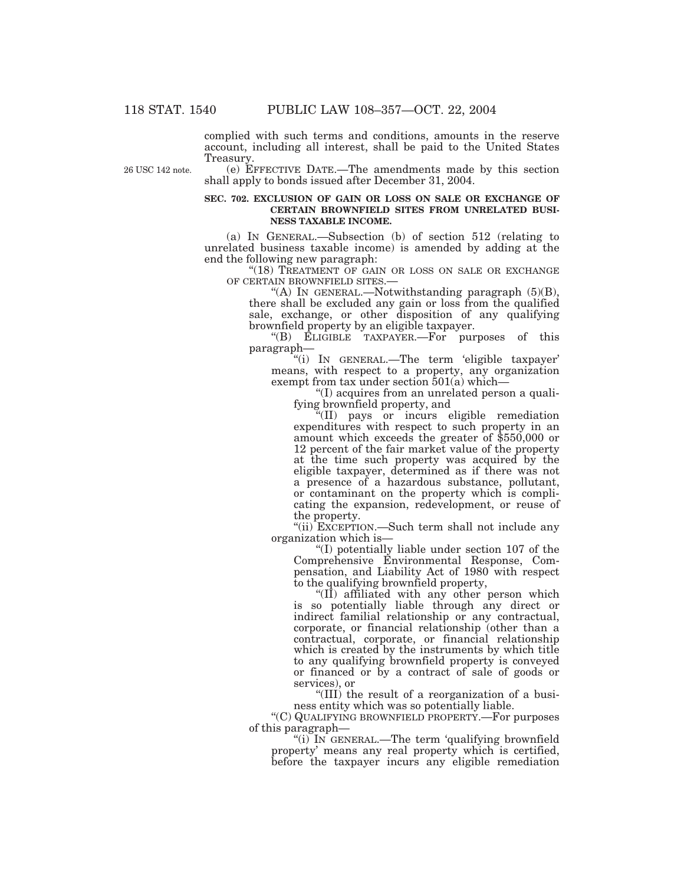complied with such terms and conditions, amounts in the reserve account, including all interest, shall be paid to the United States Treasury.

26 USC 142 note.

(e) EFFECTIVE DATE.—The amendments made by this section shall apply to bonds issued after December 31, 2004.

### **SEC. 702. EXCLUSION OF GAIN OR LOSS ON SALE OR EXCHANGE OF CERTAIN BROWNFIELD SITES FROM UNRELATED BUSI-NESS TAXABLE INCOME.**

(a) IN GENERAL.—Subsection (b) of section 512 (relating to unrelated business taxable income) is amended by adding at the end the following new paragraph:

"(18) TREATMENT OF GAIN OR LOSS ON SALE OR EXCHANGE OF CERTAIN BROWNFIELD SITES.

''(A) IN GENERAL.—Notwithstanding paragraph (5)(B), there shall be excluded any gain or loss from the qualified sale, exchange, or other disposition of any qualifying brownfield property by an eligible taxpayer.

''(B) ELIGIBLE TAXPAYER.—For purposes of this paragraph—

''(i) IN GENERAL.—The term 'eligible taxpayer' means, with respect to a property, any organization means, with respect to a property, any organization exempt from tax under section  $501(a)$  which—

''(I) acquires from an unrelated person a qualifying brownfield property, and

''(II) pays or incurs eligible remediation expenditures with respect to such property in an amount which exceeds the greater of \$550,000 or 12 percent of the fair market value of the property at the time such property was acquired by the eligible taxpayer, determined as if there was not a presence of a hazardous substance, pollutant, or contaminant on the property which is complicating the expansion, redevelopment, or reuse of the property.

"(ii) EXCEPTION.—Such term shall not include any organization which is—

''(I) potentially liable under section 107 of the Comprehensive Environmental Response, Compensation, and Liability Act of 1980 with respect to the qualifying brownfield property,

"(II) affiliated with any other person which is so potentially liable through any direct or indirect familial relationship or any contractual, corporate, or financial relationship (other than a contractual, corporate, or financial relationship which is created by the instruments by which title to any qualifying brownfield property is conveyed or financed or by a contract of sale of goods or services), or

"(III) the result of a reorganization of a business entity which was so potentially liable.

''(C) QUALIFYING BROWNFIELD PROPERTY.—For purposes of this paragraph—

"(i) IN GENERAL.—The term 'qualifying brownfield" property' means any real property which is certified, before the taxpayer incurs any eligible remediation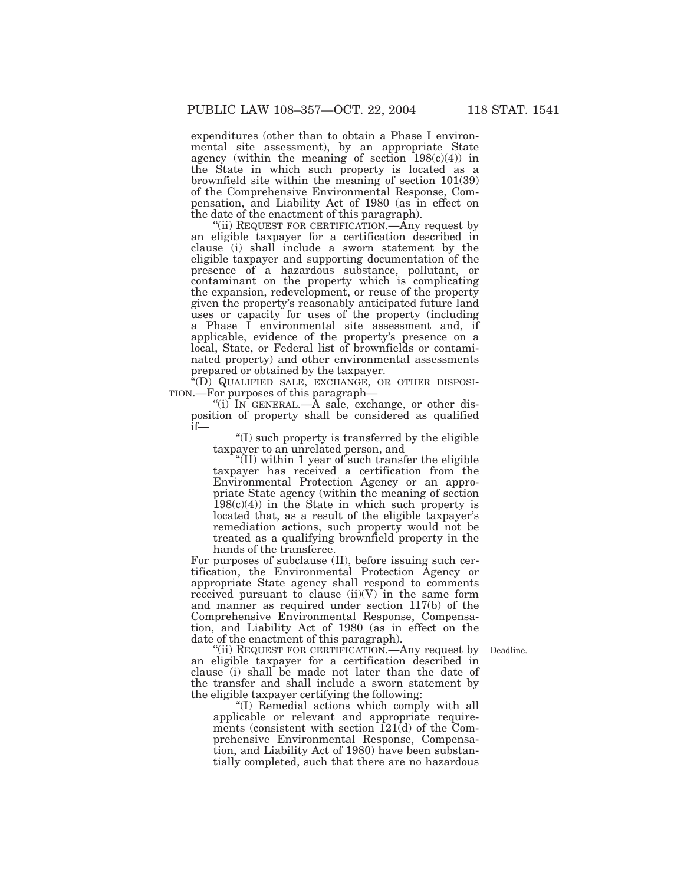expenditures (other than to obtain a Phase I environmental site assessment), by an appropriate State agency (within the meaning of section  $198(c)(4)$ ) in the State in which such property is located as a brownfield site within the meaning of section 101(39) of the Comprehensive Environmental Response, Compensation, and Liability Act of 1980 (as in effect on the date of the enactment of this paragraph).

''(ii) REQUEST FOR CERTIFICATION.—Any request by an eligible taxpayer for a certification described in clause (i) shall include a sworn statement by the eligible taxpayer and supporting documentation of the presence of a hazardous substance, pollutant, or contaminant on the property which is complicating the expansion, redevelopment, or reuse of the property given the property's reasonably anticipated future land uses or capacity for uses of the property (including a Phase I environmental site assessment and, if applicable, evidence of the property's presence on a local, State, or Federal list of brownfields or contaminated property) and other environmental assessments prepared or obtained by the taxpayer.

''(D) QUALIFIED SALE, EXCHANGE, OR OTHER DISPOSI-TION.—For purposes of this paragraph—

"(i) IN GENERAL.— $\hat{A}$  sale, exchange, or other disposition of property shall be considered as qualified if—

''(I) such property is transferred by the eligible taxpayer to an unrelated person, and

 $\sqrt{\text{III}}$  within 1 year of such transfer the eligible taxpayer has received a certification from the Environmental Protection Agency or an appropriate State agency (within the meaning of section  $198(c)(4)$  in the State in which such property is located that, as a result of the eligible taxpayer's remediation actions, such property would not be treated as a qualifying brownfield property in the hands of the transferee.

For purposes of subclause (II), before issuing such certification, the Environmental Protection Agency or appropriate State agency shall respond to comments received pursuant to clause  $(ii)(V)$  in the same form and manner as required under section 117(b) of the Comprehensive Environmental Response, Compensation, and Liability Act of 1980 (as in effect on the date of the enactment of this paragraph).

Deadline.

"(ii) REQUEST FOR CERTIFICATION.—Any request by an eligible taxpayer for a certification described in clause (i) shall be made not later than the date of the transfer and shall include a sworn statement by the eligible taxpayer certifying the following:

''(I) Remedial actions which comply with all applicable or relevant and appropriate requirements (consistent with section 121(d) of the Comprehensive Environmental Response, Compensation, and Liability Act of 1980) have been substantially completed, such that there are no hazardous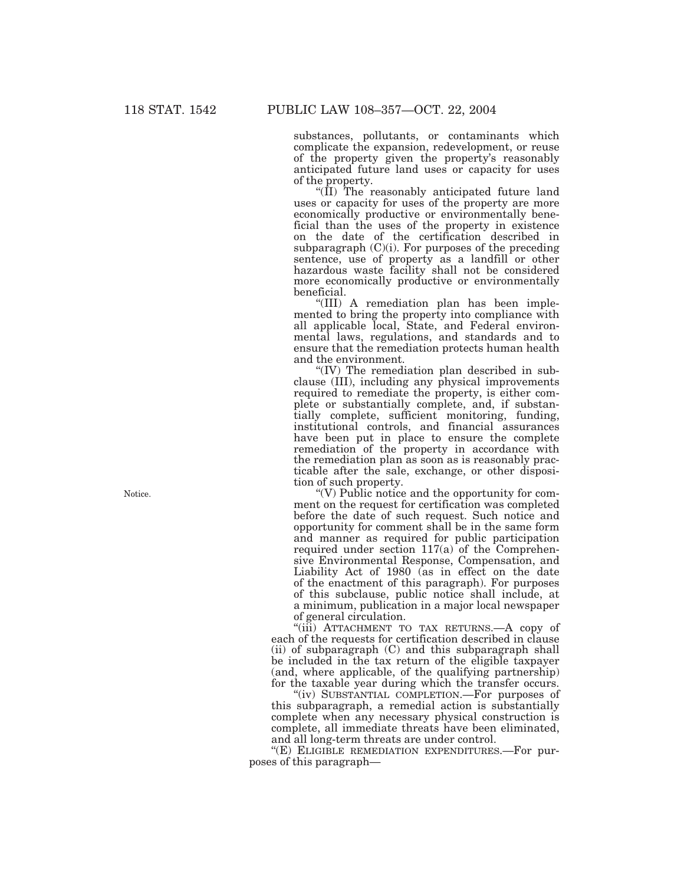substances, pollutants, or contaminants which complicate the expansion, redevelopment, or reuse of the property given the property's reasonably anticipated future land uses or capacity for uses of the property.

" $(\overline{II})$  The reasonably anticipated future land uses or capacity for uses of the property are more economically productive or environmentally beneficial than the uses of the property in existence on the date of the certification described in subparagraph  $(C)(i)$ . For purposes of the preceding sentence, use of property as a landfill or other hazardous waste facility shall not be considered more economically productive or environmentally beneficial.

''(III) A remediation plan has been implemented to bring the property into compliance with all applicable local, State, and Federal environmental laws, regulations, and standards and to ensure that the remediation protects human health and the environment.

"(IV) The remediation plan described in subclause (III), including any physical improvements required to remediate the property, is either complete or substantially complete, and, if substantially complete, sufficient monitoring, funding, institutional controls, and financial assurances have been put in place to ensure the complete remediation of the property in accordance with the remediation plan as soon as is reasonably practicable after the sale, exchange, or other disposition of such property.

 $\sqrt{\rm W}$ ) Public notice and the opportunity for comment on the request for certification was completed before the date of such request. Such notice and opportunity for comment shall be in the same form and manner as required for public participation required under section 117(a) of the Comprehensive Environmental Response, Compensation, and Liability Act of 1980 (as in effect on the date of the enactment of this paragraph). For purposes of this subclause, public notice shall include, at a minimum, publication in a major local newspaper of general circulation.

"(iii) ATTACHMENT TO TAX RETURNS.—A copy of each of the requests for certification described in clause (ii) of subparagraph (C) and this subparagraph shall be included in the tax return of the eligible taxpayer (and, where applicable, of the qualifying partnership) for the taxable year during which the transfer occurs.

"(iv) SUBSTANTIAL COMPLETION.—For purposes of this subparagraph, a remedial action is substantially complete when any necessary physical construction is complete, all immediate threats have been eliminated, and all long-term threats are under control.

"(E) ELIGIBLE REMEDIATION EXPENDITURES.—For purposes of this paragraph—

Notice.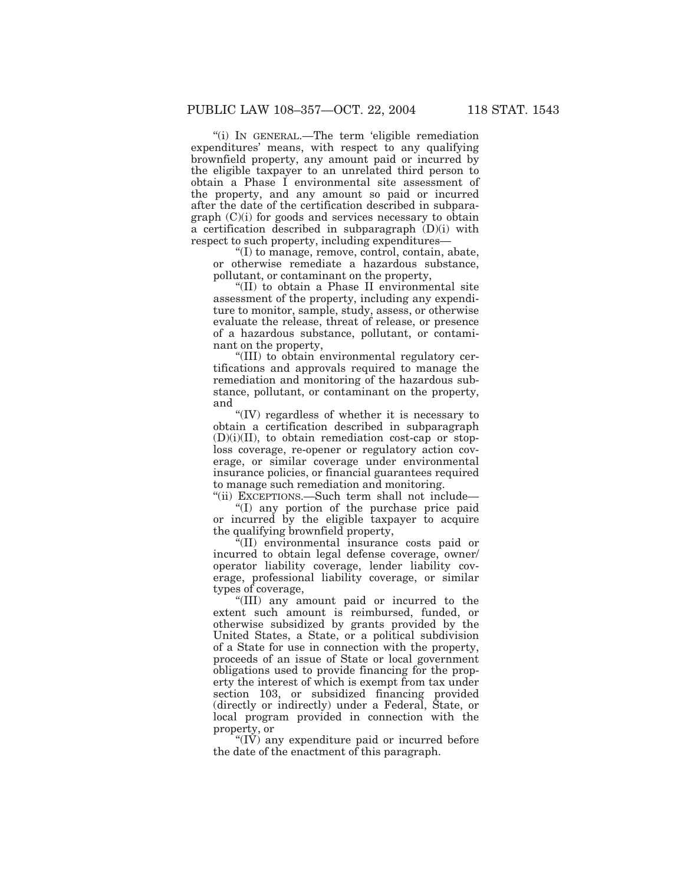''(i) IN GENERAL.—The term 'eligible remediation expenditures' means, with respect to any qualifying brownfield property, any amount paid or incurred by the eligible taxpayer to an unrelated third person to obtain a Phase I environmental site assessment of the property, and any amount so paid or incurred after the date of the certification described in subparagraph  $(C)(i)$  for goods and services necessary to obtain a certification described in subparagraph (D)(i) with respect to such property, including expenditures—

''(I) to manage, remove, control, contain, abate, or otherwise remediate a hazardous substance, pollutant, or contaminant on the property,

''(II) to obtain a Phase II environmental site assessment of the property, including any expenditure to monitor, sample, study, assess, or otherwise evaluate the release, threat of release, or presence of a hazardous substance, pollutant, or contaminant on the property,

''(III) to obtain environmental regulatory certifications and approvals required to manage the remediation and monitoring of the hazardous substance, pollutant, or contaminant on the property, and

" $(IV)$  regardless of whether it is necessary to obtain a certification described in subparagraph  $(D)(i)(II)$ , to obtain remediation cost-cap or stoploss coverage, re-opener or regulatory action coverage, or similar coverage under environmental insurance policies, or financial guarantees required to manage such remediation and monitoring.

''(ii) EXCEPTIONS.—Such term shall not include— ''(I) any portion of the purchase price paid or incurred by the eligible taxpayer to acquire the qualifying brownfield property,

''(II) environmental insurance costs paid or incurred to obtain legal defense coverage, owner/ operator liability coverage, lender liability coverage, professional liability coverage, or similar types of coverage,

''(III) any amount paid or incurred to the extent such amount is reimbursed, funded, or otherwise subsidized by grants provided by the United States, a State, or a political subdivision of a State for use in connection with the property, proceeds of an issue of State or local government obligations used to provide financing for the property the interest of which is exempt from tax under section 103, or subsidized financing provided (directly or indirectly) under a Federal, State, or local program provided in connection with the property, or

''(IV) any expenditure paid or incurred before the date of the enactment of this paragraph.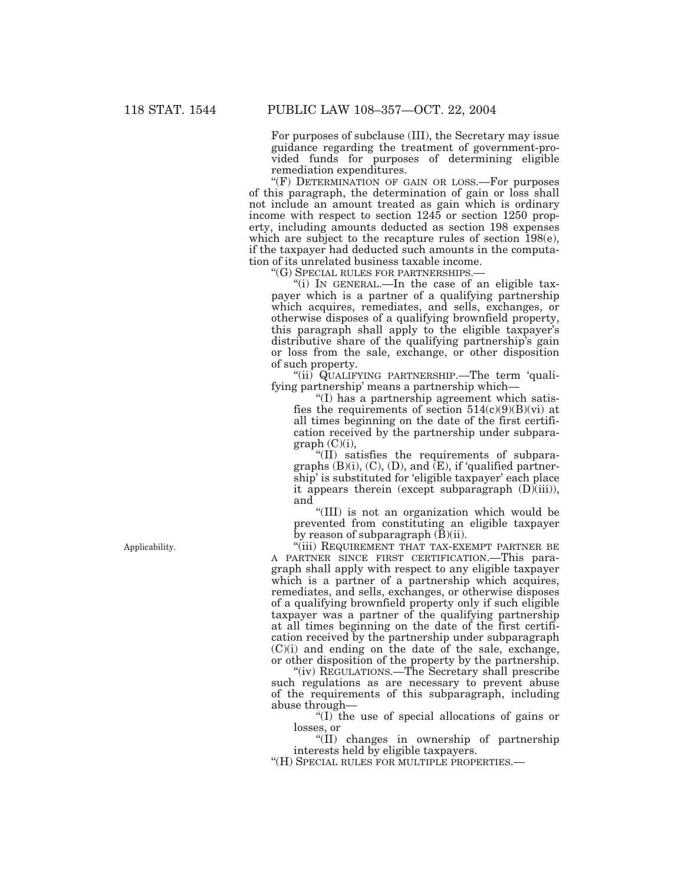For purposes of subclause (III), the Secretary may issue guidance regarding the treatment of government-provided funds for purposes of determining eligible remediation expenditures.

" $(F)$  DETERMINATION OF GAIN OR LOSS.—For purposes of this paragraph, the determination of gain or loss shall not include an amount treated as gain which is ordinary income with respect to section 1245 or section 1250 property, including amounts deducted as section 198 expenses which are subject to the recapture rules of section 198(e), if the taxpayer had deducted such amounts in the computation of its unrelated business taxable income.

''(G) SPECIAL RULES FOR PARTNERSHIPS.—

''(i) IN GENERAL.—In the case of an eligible taxpayer which is a partner of a qualifying partnership which acquires, remediates, and sells, exchanges, or otherwise disposes of a qualifying brownfield property, this paragraph shall apply to the eligible taxpayer's distributive share of the qualifying partnership's gain or loss from the sale, exchange, or other disposition of such property.

''(ii) QUALIFYING PARTNERSHIP.—The term 'qualifying partnership' means a partnership which—

''(I) has a partnership agreement which satisfies the requirements of section  $514(c)(9)(B)(vi)$  at all times beginning on the date of the first certification received by the partnership under subparagraph (C)(i),

''(II) satisfies the requirements of subparagraphs  $(B)(i)$ ,  $(C)$ ,  $(D)$ , and  $(E)$ , if 'qualified partnership' is substituted for 'eligible taxpayer' each place it appears therein (except subparagraph  $(D(iii))$ , and

''(III) is not an organization which would be prevented from constituting an eligible taxpayer by reason of subparagraph  $(\bar{B})$ (ii).

"(iii) REQUIREMENT THAT TAX-EXEMPT PARTNER BE A PARTNER SINCE FIRST CERTIFICATION.—This paragraph shall apply with respect to any eligible taxpayer which is a partner of a partnership which acquires, remediates, and sells, exchanges, or otherwise disposes of a qualifying brownfield property only if such eligible taxpayer was a partner of the qualifying partnership at all times beginning on the date of the first certification received by the partnership under subparagraph (C)(i) and ending on the date of the sale, exchange, or other disposition of the property by the partnership.

"(iv) REGULATIONS.—The Secretary shall prescribe such regulations as are necessary to prevent abuse of the requirements of this subparagraph, including abuse through—

''(I) the use of special allocations of gains or losses, or

''(II) changes in ownership of partnership interests held by eligible taxpayers.

''(H) SPECIAL RULES FOR MULTIPLE PROPERTIES.—

Applicability.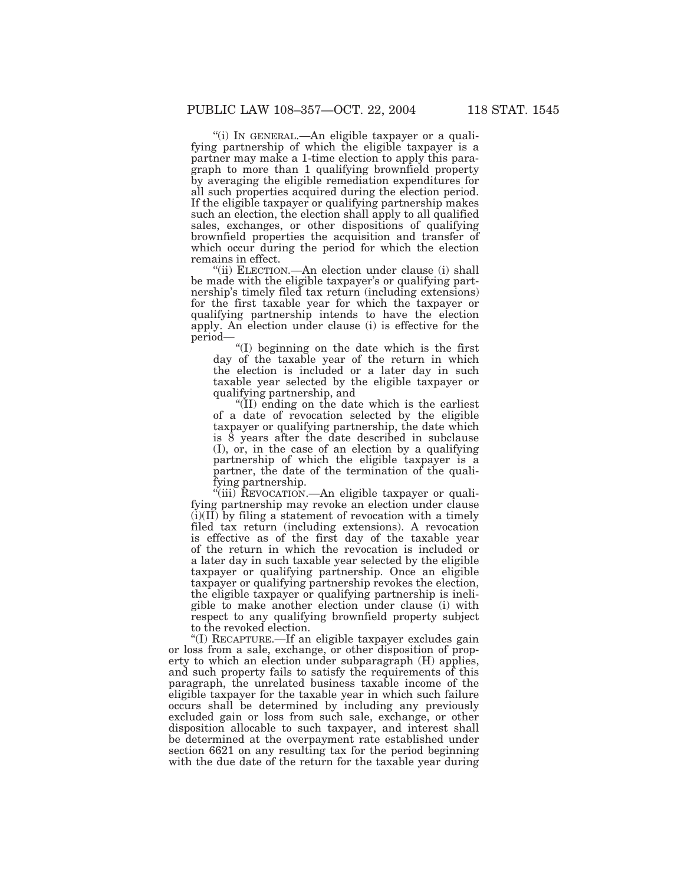''(i) IN GENERAL.—An eligible taxpayer or a qualifying partnership of which the eligible taxpayer is a partner may make a 1-time election to apply this paragraph to more than 1 qualifying brownfield property by averaging the eligible remediation expenditures for all such properties acquired during the election period. If the eligible taxpayer or qualifying partnership makes such an election, the election shall apply to all qualified sales, exchanges, or other dispositions of qualifying brownfield properties the acquisition and transfer of which occur during the period for which the election remains in effect.

''(ii) ELECTION.—An election under clause (i) shall be made with the eligible taxpayer's or qualifying partnership's timely filed tax return (including extensions) for the first taxable year for which the taxpayer or qualifying partnership intends to have the election apply. An election under clause (i) is effective for the period—

''(I) beginning on the date which is the first day of the taxable year of the return in which the election is included or a later day in such taxable year selected by the eligible taxpayer or qualifying partnership, and

''(II) ending on the date which is the earliest of a date of revocation selected by the eligible taxpayer or qualifying partnership, the date which is 8 years after the date described in subclause (I), or, in the case of an election by a qualifying partnership of which the eligible taxpayer is a partner, the date of the termination of the qualifying partnership.

''(iii) REVOCATION.—An eligible taxpayer or qualifying partnership may revoke an election under clause  $(i)(II)$  by filing a statement of revocation with a timely filed tax return (including extensions). A revocation is effective as of the first day of the taxable year of the return in which the revocation is included or a later day in such taxable year selected by the eligible taxpayer or qualifying partnership. Once an eligible taxpayer or qualifying partnership revokes the election, the eligible taxpayer or qualifying partnership is ineligible to make another election under clause (i) with respect to any qualifying brownfield property subject to the revoked election.

''(I) RECAPTURE.—If an eligible taxpayer excludes gain or loss from a sale, exchange, or other disposition of property to which an election under subparagraph (H) applies, and such property fails to satisfy the requirements of this paragraph, the unrelated business taxable income of the eligible taxpayer for the taxable year in which such failure occurs shall be determined by including any previously excluded gain or loss from such sale, exchange, or other disposition allocable to such taxpayer, and interest shall be determined at the overpayment rate established under section 6621 on any resulting tax for the period beginning with the due date of the return for the taxable year during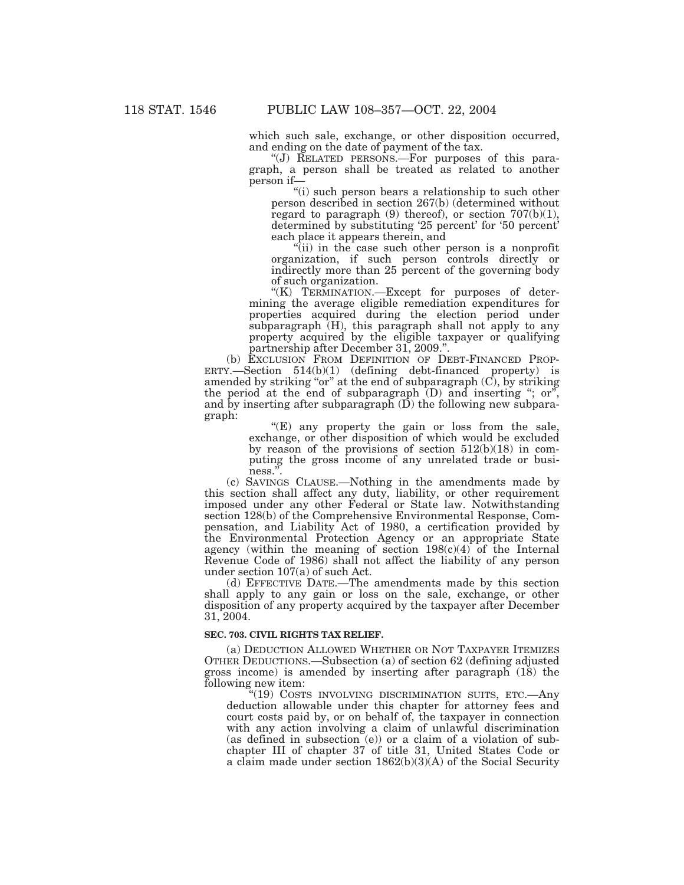which such sale, exchange, or other disposition occurred, and ending on the date of payment of the tax.

''(J) RELATED PERSONS.—For purposes of this paragraph, a person shall be treated as related to another person if—

''(i) such person bears a relationship to such other person described in section 267(b) (determined without regard to paragraph  $(9)$  thereof), or section  $707(b)(1)$ , determined by substituting '25 percent' for '50 percent' each place it appears therein, and

''(ii) in the case such other person is a nonprofit organization, if such person controls directly or indirectly more than 25 percent of the governing body of such organization.

''(K) TERMINATION.—Except for purposes of determining the average eligible remediation expenditures for properties acquired during the election period under subparagraph (H), this paragraph shall not apply to any property acquired by the eligible taxpayer or qualifying partnership after December 31, 2009.''.

(b) EXCLUSION FROM DEFINITION OF DEBT-FINANCED PROP-ERTY.—Section 514(b)(1) (defining debt-financed property) is amended by striking "or" at the end of subparagraph (C), by striking the period at the end of subparagraph  $(D)$  and inserting "; or", and by inserting after subparagraph  $(D)$  the following new subparagraph:

 $E(E)$  any property the gain or loss from the sale, exchange, or other disposition of which would be excluded by reason of the provisions of section 512(b)(18) in computing the gross income of any unrelated trade or business."

(c) SAVINGS CLAUSE.—Nothing in the amendments made by this section shall affect any duty, liability, or other requirement imposed under any other Federal or State law. Notwithstanding section 128(b) of the Comprehensive Environmental Response, Compensation, and Liability Act of 1980, a certification provided by the Environmental Protection Agency or an appropriate State agency (within the meaning of section 198(c)(4) of the Internal Revenue Code of 1986) shall not affect the liability of any person under section 107(a) of such Act.

(d) EFFECTIVE DATE.—The amendments made by this section shall apply to any gain or loss on the sale, exchange, or other disposition of any property acquired by the taxpayer after December 31, 2004.

## **SEC. 703. CIVIL RIGHTS TAX RELIEF.**

(a) DEDUCTION ALLOWED WHETHER OR NOT TAXPAYER ITEMIZES OTHER DEDUCTIONS.—Subsection (a) of section 62 (defining adjusted gross income) is amended by inserting after paragraph (18) the following new item:

''(19) COSTS INVOLVING DISCRIMINATION SUITS, ETC.—Any deduction allowable under this chapter for attorney fees and court costs paid by, or on behalf of, the taxpayer in connection with any action involving a claim of unlawful discrimination (as defined in subsection (e)) or a claim of a violation of subchapter III of chapter 37 of title 31, United States Code or a claim made under section 1862(b)(3)(A) of the Social Security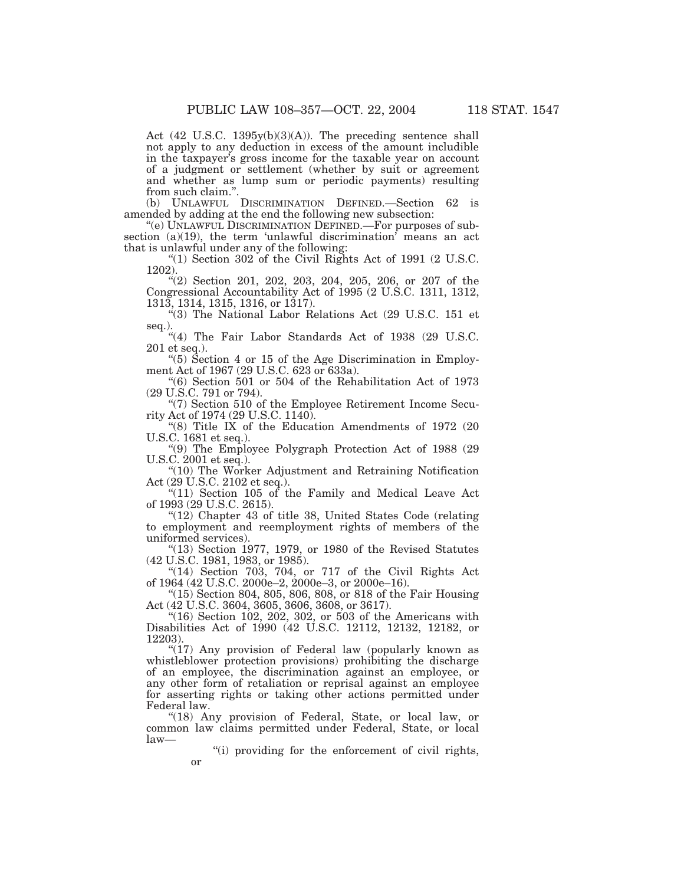Act (42 U.S.C. 1395y(b)(3)(A)). The preceding sentence shall not apply to any deduction in excess of the amount includible in the taxpayer's gross income for the taxable year on account of a judgment or settlement (whether by suit or agreement and whether as lump sum or periodic payments) resulting from such claim."

(b) UNLAWFUL DISCRIMINATION DEFINED.—Section 62 is amended by adding at the end the following new subsection:

''(e) UNLAWFUL DISCRIMINATION DEFINED.—For purposes of subsection (a)(19), the term 'unlawful discrimination' means an act that is unlawful under any of the following:

''(1) Section 302 of the Civil Rights Act of 1991 (2 U.S.C. 1202).

''(2) Section 201, 202, 203, 204, 205, 206, or 207 of the Congressional Accountability Act of 1995 (2 U.S.C. 1311, 1312, 1313, 1314, 1315, 1316, or 1317).

''(3) The National Labor Relations Act (29 U.S.C. 151 et seq.).

''(4) The Fair Labor Standards Act of 1938 (29 U.S.C. 201 et seq.).

''(5) Section 4 or 15 of the Age Discrimination in Employment Act of 1967 (29 U.S.C. 623 or 633a).

''(6) Section 501 or 504 of the Rehabilitation Act of 1973 (29 U.S.C. 791 or 794).

"(7) Section 510 of the Employee Retirement Income Security Act of 1974 (29 U.S.C. 1140).

''(8) Title IX of the Education Amendments of 1972 (20 U.S.C. 1681 et seq.).

''(9) The Employee Polygraph Protection Act of 1988 (29 U.S.C. 2001 et seq.).

"(10) The Worker Adjustment and Retraining Notification Act (29 U.S.C. 2102 et seq.).

"(11) Section 105 of the Family and Medical Leave Act of 1993 (29 U.S.C. 2615).

''(12) Chapter 43 of title 38, United States Code (relating to employment and reemployment rights of members of the uniformed services).

" $(13)$  Section 1977, 1979, or 1980 of the Revised Statutes (42 U.S.C. 1981, 1983, or 1985).

" $(14)$  Section 703, 704, or 717 of the Civil Rights Act of 1964 (42 U.S.C. 2000e–2, 2000e–3, or 2000e–16).

''(15) Section 804, 805, 806, 808, or 818 of the Fair Housing Act (42 U.S.C. 3604, 3605, 3606, 3608, or 3617).

" $(16)$  Section 102, 202, 302, or 503 of the Americans with Disabilities Act of 1990 (42 U.S.C. 12112, 12132, 12182, or 12203).

"(17) Any provision of Federal law (popularly known as whistleblower protection provisions) prohibiting the discharge of an employee, the discrimination against an employee, or any other form of retaliation or reprisal against an employee for asserting rights or taking other actions permitted under Federal law.

"(18) Any provision of Federal, State, or local law, or common law claims permitted under Federal, State, or local law—

> "(i) providing for the enforcement of civil rights, or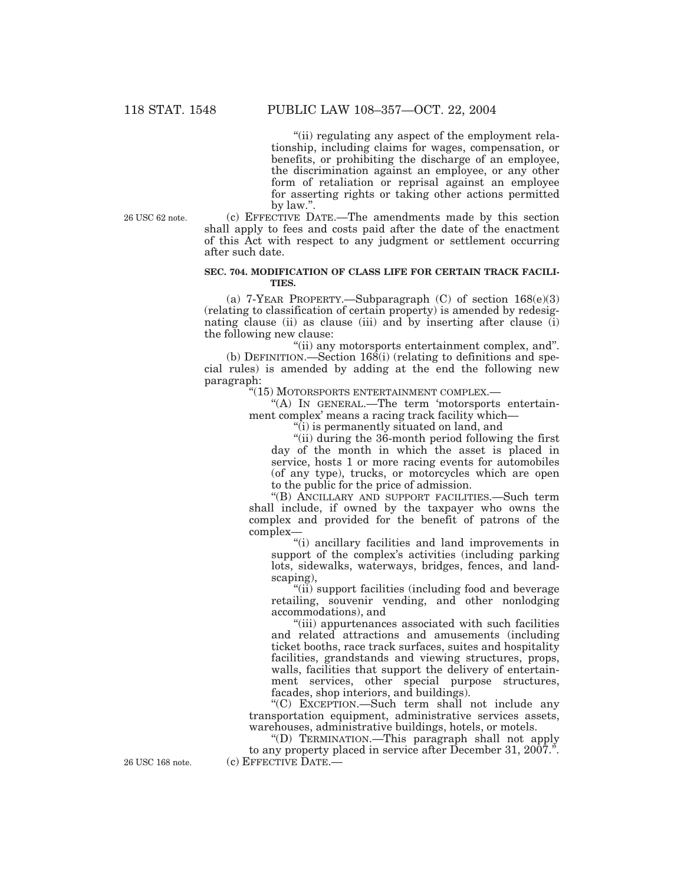''(ii) regulating any aspect of the employment relationship, including claims for wages, compensation, or benefits, or prohibiting the discharge of an employee, the discrimination against an employee, or any other form of retaliation or reprisal against an employee for asserting rights or taking other actions permitted by law.''.

26 USC 62 note.

(c) EFFECTIVE DATE.—The amendments made by this section shall apply to fees and costs paid after the date of the enactment of this Act with respect to any judgment or settlement occurring after such date.

## **SEC. 704. MODIFICATION OF CLASS LIFE FOR CERTAIN TRACK FACILI-TIES.**

(a) 7-YEAR PROPERTY.—Subparagraph  $(C)$  of section  $168(e)(3)$ (relating to classification of certain property) is amended by redesignating clause (ii) as clause (iii) and by inserting after clause (i) the following new clause:

''(ii) any motorsports entertainment complex, and''. (b) DEFINITION.—Section 168(i) (relating to definitions and special rules) is amended by adding at the end the following new paragraph:

''(15) MOTORSPORTS ENTERTAINMENT COMPLEX.—

''(A) IN GENERAL.—The term 'motorsports entertainment complex' means a racing track facility which—

''(i) is permanently situated on land, and

"(ii) during the 36-month period following the first day of the month in which the asset is placed in service, hosts 1 or more racing events for automobiles (of any type), trucks, or motorcycles which are open to the public for the price of admission.

''(B) ANCILLARY AND SUPPORT FACILITIES.—Such term shall include, if owned by the taxpayer who owns the complex and provided for the benefit of patrons of the complex—

''(i) ancillary facilities and land improvements in support of the complex's activities (including parking lots, sidewalks, waterways, bridges, fences, and landscaping),

"(ii) support facilities (including food and beverage retailing, souvenir vending, and other nonlodging accommodations), and

''(iii) appurtenances associated with such facilities and related attractions and amusements (including ticket booths, race track surfaces, suites and hospitality facilities, grandstands and viewing structures, props, walls, facilities that support the delivery of entertainment services, other special purpose structures, facades, shop interiors, and buildings).

''(C) EXCEPTION.—Such term shall not include any transportation equipment, administrative services assets, warehouses, administrative buildings, hotels, or motels.

''(D) TERMINATION.—This paragraph shall not apply to any property placed in service after December 31, 2007.". 26 USC 168 note. (c) EFFECTIVE DATE.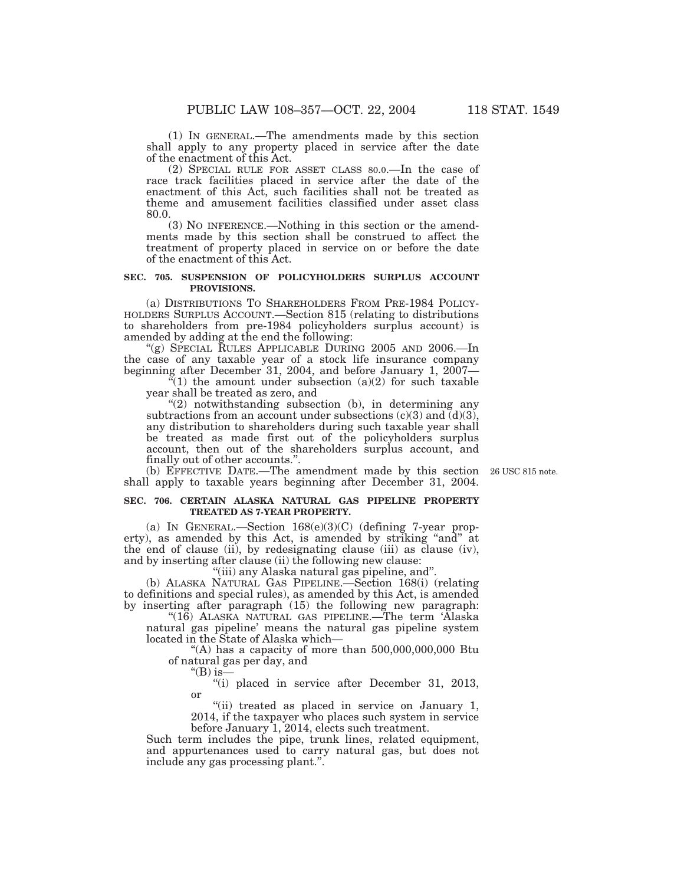(1) IN GENERAL.—The amendments made by this section shall apply to any property placed in service after the date of the enactment of this Act.

(2) SPECIAL RULE FOR ASSET CLASS 80.0.—In the case of race track facilities placed in service after the date of the enactment of this Act, such facilities shall not be treated as theme and amusement facilities classified under asset class 80.0.

(3) NO INFERENCE.—Nothing in this section or the amendments made by this section shall be construed to affect the treatment of property placed in service on or before the date of the enactment of this Act.

#### **SEC. 705. SUSPENSION OF POLICYHOLDERS SURPLUS ACCOUNT PROVISIONS.**

(a) DISTRIBUTIONS TO SHAREHOLDERS FROM PRE-1984 POLICY-HOLDERS SURPLUS ACCOUNT.—Section 815 (relating to distributions to shareholders from pre-1984 policyholders surplus account) is amended by adding at the end the following:

''(g) SPECIAL RULES APPLICABLE DURING 2005 AND 2006.—In the case of any taxable year of a stock life insurance company beginning after December 31, 2004, and before January 1, 2007—

"(1) the amount under subsection  $(a)(2)$  for such taxable year shall be treated as zero, and

 $(2)$  notwithstanding subsection (b), in determining any subtractions from an account under subsections  $(c)(3)$  and  $(d)(3)$ , any distribution to shareholders during such taxable year shall be treated as made first out of the policyholders surplus account, then out of the shareholders surplus account, and finally out of other accounts.''.

(b) EFFECTIVE DATE.—The amendment made by this section 26 USC 815 note. shall apply to taxable years beginning after December 31, 2004.

#### **SEC. 706. CERTAIN ALASKA NATURAL GAS PIPELINE PROPERTY TREATED AS 7-YEAR PROPERTY.**

(a) IN GENERAL.—Section  $168(e)(3)(C)$  (defining 7-year property), as amended by this Act, is amended by striking "and" at the end of clause (ii), by redesignating clause (iii) as clause (iv), and by inserting after clause (ii) the following new clause:

''(iii) any Alaska natural gas pipeline, and''.

(b) ALASKA NATURAL GAS PIPELINE.—Section 168(i) (relating to definitions and special rules), as amended by this Act, is amended by inserting after paragraph (15) the following new paragraph:

''(16) ALASKA NATURAL GAS PIPELINE.—The term 'Alaska natural gas pipeline' means the natural gas pipeline system located in the State of Alaska which—

"(A) has a capacity of more than  $500,000,000,000$  Btu of natural gas per day, and

"(B) is—

''(i) placed in service after December 31, 2013, or

"(ii) treated as placed in service on January 1, 2014, if the taxpayer who places such system in service before January 1, 2014, elects such treatment.

Such term includes the pipe, trunk lines, related equipment, and appurtenances used to carry natural gas, but does not include any gas processing plant.''.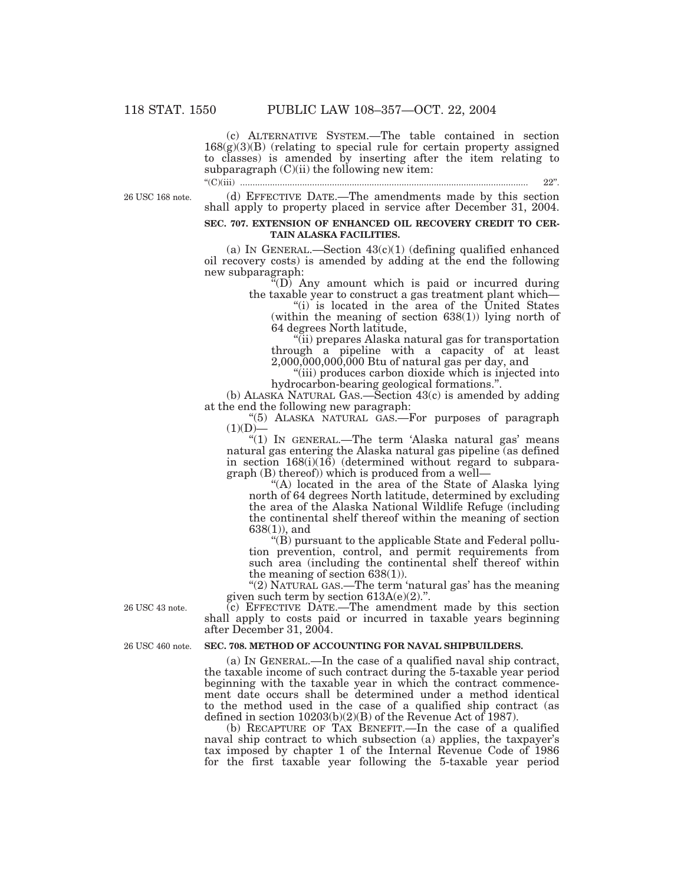(c) ALTERNATIVE SYSTEM.—The table contained in section  $168(g)(3)(B)$  (relating to special rule for certain property assigned to classes) is amended by inserting after the item relating to subparagraph  $(C)(ii)$  the following new item: ''(C)(iii) .................................................................................................................... 22''.

26 USC 168 note.

(d) EFFECTIVE DATE.—The amendments made by this section shall apply to property placed in service after December 31, 2004.

#### **SEC. 707. EXTENSION OF ENHANCED OIL RECOVERY CREDIT TO CER-TAIN ALASKA FACILITIES.**

(a) IN GENERAL.—Section  $43(c)(1)$  (defining qualified enhanced oil recovery costs) is amended by adding at the end the following new subparagraph:

 $f(D)$  Any amount which is paid or incurred during the taxable year to construct a gas treatment plant which—

"(i) is located in the area of the United States" (within the meaning of section 638(1)) lying north of 64 degrees North latitude,

''(ii) prepares Alaska natural gas for transportation through a pipeline with a capacity of at least 2,000,000,000,000 Btu of natural gas per day, and

''(iii) produces carbon dioxide which is injected into hydrocarbon-bearing geological formations.''.

(b) ALASKA NATURAL GAS.—Section 43(c) is amended by adding at the end the following new paragraph:

''(5) ALASKA NATURAL GAS.—For purposes of paragraph  $(1)(D)$ 

''(1) IN GENERAL.—The term 'Alaska natural gas' means natural gas entering the Alaska natural gas pipeline (as defined in section 168(i)(16) (determined without regard to subparagraph (B) thereof)) which is produced from a well—

"(A) located in the area of the State of Alaska lying north of 64 degrees North latitude, determined by excluding the area of the Alaska National Wildlife Refuge (including the continental shelf thereof within the meaning of section 638(1)), and

 $\mathrm{H}(B)$  pursuant to the applicable State and Federal pollution prevention, control, and permit requirements from such area (including the continental shelf thereof within the meaning of section 638(1)).

''(2) NATURAL GAS.—The term 'natural gas' has the meaning given such term by section 613A(e)(2).''.

(c) EFFECTIVE DATE.—The amendment made by this section shall apply to costs paid or incurred in taxable years beginning after December 31, 2004.

### **SEC. 708. METHOD OF ACCOUNTING FOR NAVAL SHIPBUILDERS.**

(a) IN GENERAL.—In the case of a qualified naval ship contract, the taxable income of such contract during the 5-taxable year period beginning with the taxable year in which the contract commencement date occurs shall be determined under a method identical to the method used in the case of a qualified ship contract (as defined in section 10203(b)(2)(B) of the Revenue Act of 1987).

(b) RECAPTURE OF TAX BENEFIT.—In the case of a qualified naval ship contract to which subsection (a) applies, the taxpayer's tax imposed by chapter 1 of the Internal Revenue Code of 1986 for the first taxable year following the 5-taxable year period

26 USC 43 note.

26 USC 460 note.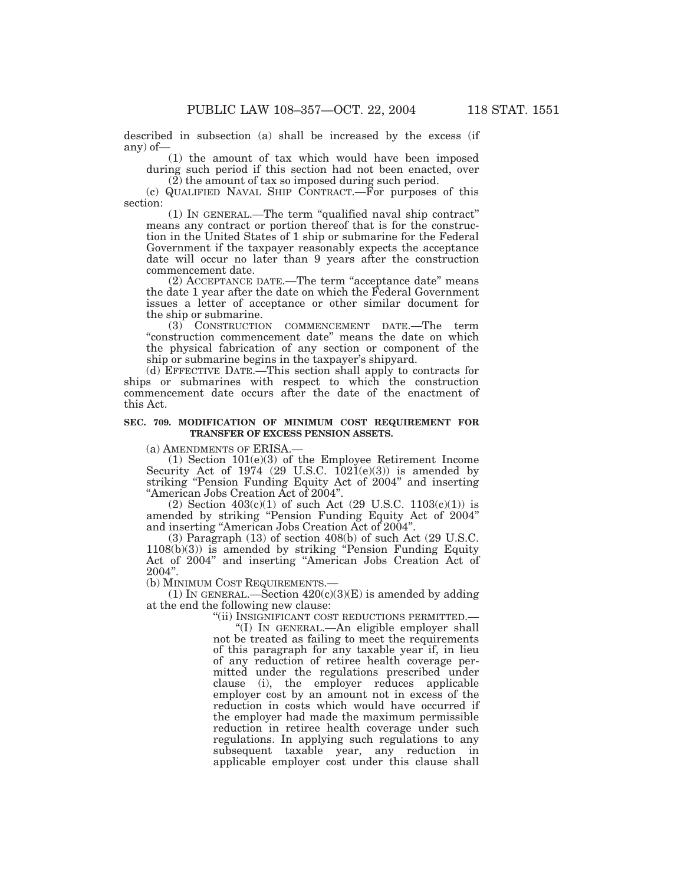described in subsection (a) shall be increased by the excess (if any) of—

(1) the amount of tax which would have been imposed during such period if this section had not been enacted, over

(2) the amount of tax so imposed during such period. (c) QUALIFIED NAVAL SHIP CONTRACT.—For purposes of this section:

(1) IN GENERAL.—The term ''qualified naval ship contract'' means any contract or portion thereof that is for the construction in the United States of 1 ship or submarine for the Federal Government if the taxpayer reasonably expects the acceptance date will occur no later than 9 years after the construction commencement date.

(2) ACCEPTANCE DATE.—The term ''acceptance date'' means the date 1 year after the date on which the Federal Government issues a letter of acceptance or other similar document for the ship or submarine.

(3) CONSTRUCTION COMMENCEMENT DATE.—The term "construction commencement date" means the date on which the physical fabrication of any section or component of the ship or submarine begins in the taxpayer's shipyard.

(d) EFFECTIVE DATE.—This section shall apply to contracts for ships or submarines with respect to which the construction commencement date occurs after the date of the enactment of this Act.

#### **SEC. 709. MODIFICATION OF MINIMUM COST REQUIREMENT FOR TRANSFER OF EXCESS PENSION ASSETS.**

(a) AMENDMENTS OF ERISA.—

(1) Section 101(e)(3) of the Employee Retirement Income Security Act of  $1974$  (29 U.S.C.  $1021(e)(3)$ ) is amended by striking ''Pension Funding Equity Act of 2004'' and inserting ''American Jobs Creation Act of 2004''.

(2) Section  $403(c)(1)$  of such Act (29 U.S.C. 1103(c)(1)) is amended by striking ''Pension Funding Equity Act of 2004'' and inserting ''American Jobs Creation Act of 2004''.

(3) Paragraph (13) of section 408(b) of such Act (29 U.S.C.  $1108(b)(3)$  is amended by striking "Pension Funding Equity Act of 2004'' and inserting ''American Jobs Creation Act of 2004''.

(b) MINIMUM COST REQUIREMENTS.—

(1) IN GENERAL.—Section  $420(c)(3)(E)$  is amended by adding at the end the following new clause:

''(ii) INSIGNIFICANT COST REDUCTIONS PERMITTED.—

''(I) IN GENERAL.—An eligible employer shall not be treated as failing to meet the requirements of this paragraph for any taxable year if, in lieu of any reduction of retiree health coverage permitted under the regulations prescribed under clause (i), the employer reduces applicable employer cost by an amount not in excess of the reduction in costs which would have occurred if the employer had made the maximum permissible reduction in retiree health coverage under such regulations. In applying such regulations to any subsequent taxable year, any reduction in applicable employer cost under this clause shall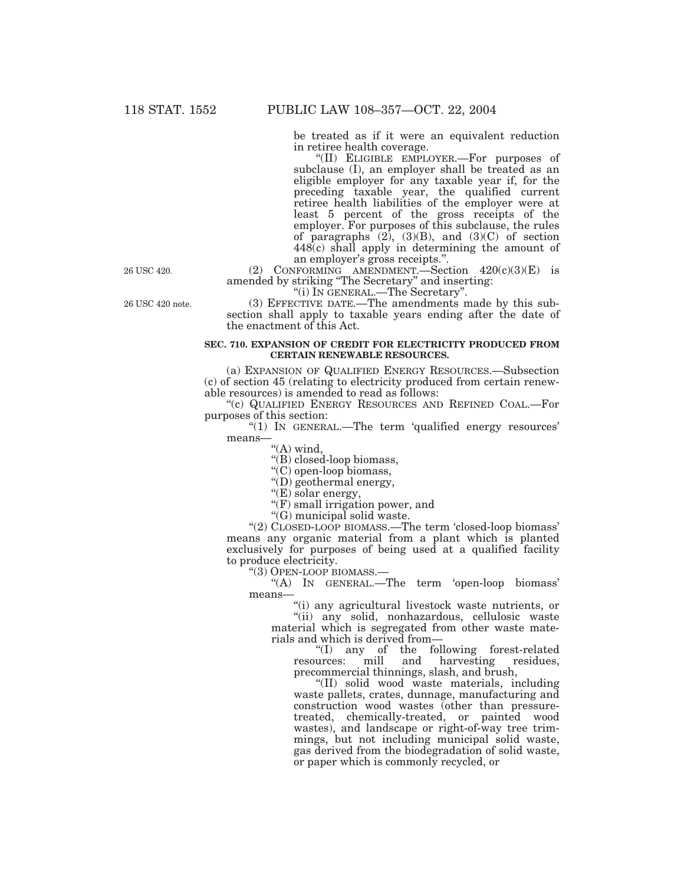be treated as if it were an equivalent reduction in retiree health coverage.

''(II) ELIGIBLE EMPLOYER.—For purposes of subclause (I), an employer shall be treated as an eligible employer for any taxable year if, for the preceding taxable year, the qualified current retiree health liabilities of the employer were at least 5 percent of the gross receipts of the employer. For purposes of this subclause, the rules of paragraphs  $(2)$ ,  $(3)(B)$ , and  $(3)(C)$  of section 448(c) shall apply in determining the amount of an employer's gross receipts.''.

(2) CONFORMING AMENDMENT. Section  $420(c)(3)(E)$  is amended by striking ''The Secretary'' and inserting:

''(i) IN GENERAL.—The Secretary''.

(3) EFFECTIVE DATE.—The amendments made by this subsection shall apply to taxable years ending after the date of the enactment of this Act.

### **SEC. 710. EXPANSION OF CREDIT FOR ELECTRICITY PRODUCED FROM CERTAIN RENEWABLE RESOURCES.**

(a) EXPANSION OF QUALIFIED ENERGY RESOURCES.—Subsection (c) of section 45 (relating to electricity produced from certain renewable resources) is amended to read as follows:

''(c) QUALIFIED ENERGY RESOURCES AND REFINED COAL.—For purposes of this section:

''(1) IN GENERAL.—The term 'qualified energy resources' means—

" $(A)$  wind,

''(B) closed-loop biomass,

''(C) open-loop biomass,

''(D) geothermal energy,

"(E) solar energy,

''(F) small irrigation power, and

''(G) municipal solid waste.

''(2) CLOSED-LOOP BIOMASS.—The term 'closed-loop biomass' means any organic material from a plant which is planted exclusively for purposes of being used at a qualified facility to produce electricity.

''(3) OPEN-LOOP BIOMASS.—

''(A) IN GENERAL.—The term 'open-loop biomass' means—

''(i) any agricultural livestock waste nutrients, or ''(ii) any solid, nonhazardous, cellulosic waste

material which is segregated from other waste materials and which is derived from—

''(I) any of the following forest-related resources: mill and harvesting residues, precommercial thinnings, slash, and brush,

''(II) solid wood waste materials, including waste pallets, crates, dunnage, manufacturing and construction wood wastes (other than pressuretreated, chemically-treated, or painted wood wastes), and landscape or right-of-way tree trimmings, but not including municipal solid waste, gas derived from the biodegradation of solid waste, or paper which is commonly recycled, or

26 USC 420.

26 USC 420 note.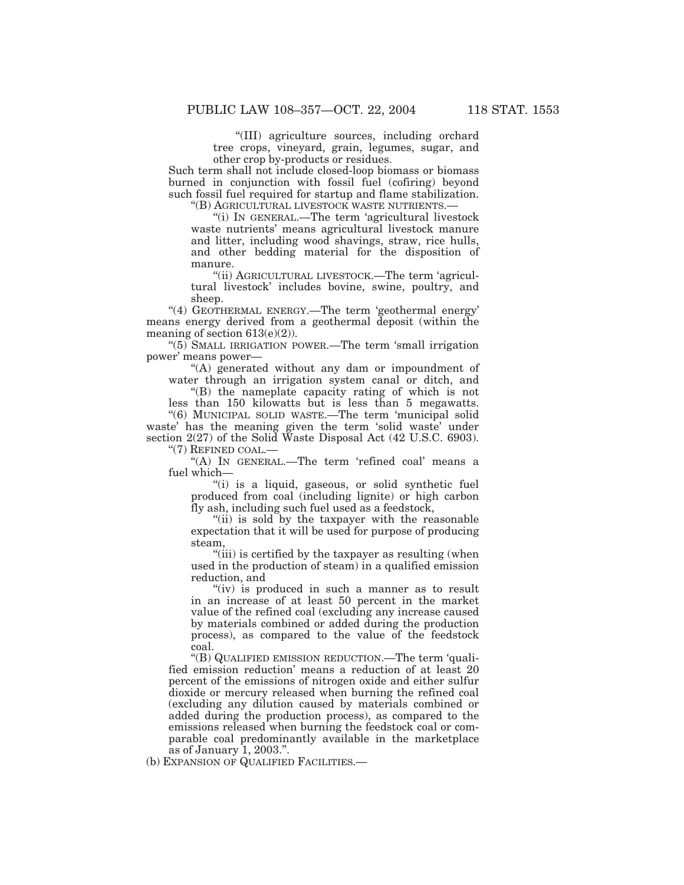''(III) agriculture sources, including orchard tree crops, vineyard, grain, legumes, sugar, and other crop by-products or residues.

Such term shall not include closed-loop biomass or biomass burned in conjunction with fossil fuel (cofiring) beyond such fossil fuel required for startup and flame stabilization. ''(B) AGRICULTURAL LIVESTOCK WASTE NUTRIENTS.—

''(i) IN GENERAL.—The term 'agricultural livestock waste nutrients' means agricultural livestock manure and litter, including wood shavings, straw, rice hulls, and other bedding material for the disposition of manure.

"(ii) AGRICULTURAL LIVESTOCK.—The term 'agricultural livestock' includes bovine, swine, poultry, and sheep.

"(4) GEOTHERMAL ENERGY.—The term 'geothermal energy' means energy derived from a geothermal deposit (within the meaning of section  $613(e)(2)$ ).

''(5) SMALL IRRIGATION POWER.—The term 'small irrigation power' means power—

''(A) generated without any dam or impoundment of water through an irrigation system canal or ditch, and

''(B) the nameplate capacity rating of which is not less than 150 kilowatts but is less than 5 megawatts.

"(6) MUNICIPAL SOLID WASTE.—The term 'municipal solid waste' has the meaning given the term 'solid waste' under section 2(27) of the Solid Waste Disposal Act (42 U.S.C. 6903). ''(7) REFINED COAL.—

''(A) IN GENERAL.—The term 'refined coal' means a fuel which—

''(i) is a liquid, gaseous, or solid synthetic fuel produced from coal (including lignite) or high carbon fly ash, including such fuel used as a feedstock,

"(ii) is sold by the taxpayer with the reasonable expectation that it will be used for purpose of producing steam,

"(iii) is certified by the taxpayer as resulting (when used in the production of steam) in a qualified emission reduction, and

"(iv) is produced in such a manner as to result in an increase of at least 50 percent in the market value of the refined coal (excluding any increase caused by materials combined or added during the production process), as compared to the value of the feedstock coal.

''(B) QUALIFIED EMISSION REDUCTION.—The term 'qualified emission reduction' means a reduction of at least 20 percent of the emissions of nitrogen oxide and either sulfur dioxide or mercury released when burning the refined coal (excluding any dilution caused by materials combined or added during the production process), as compared to the emissions released when burning the feedstock coal or comparable coal predominantly available in the marketplace as of January 1, 2003.''.

(b) EXPANSION OF QUALIFIED FACILITIES.—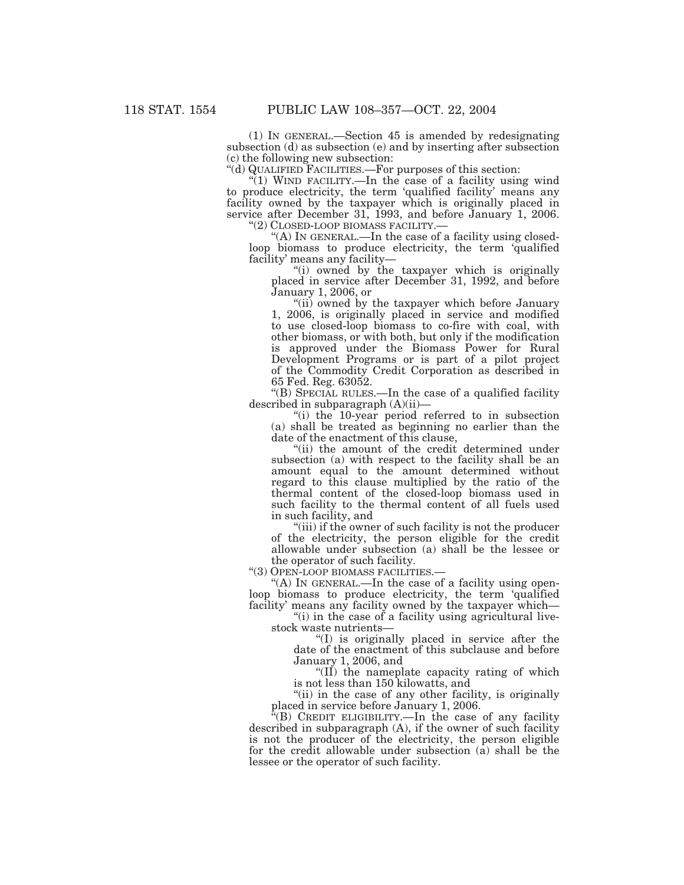(1) IN GENERAL.—Section 45 is amended by redesignating subsection (d) as subsection (e) and by inserting after subsection (c) the following new subsection:

''(d) QUALIFIED FACILITIES.—For purposes of this section:

"(1) WIND FACILITY.—In the case of a facility using wind to produce electricity, the term 'qualified facility' means any facility owned by the taxpayer which is originally placed in service after December 31, 1993, and before January 1, 2006. ''(2) CLOSED-LOOP BIOMASS FACILITY.—

''(A) IN GENERAL.—In the case of a facility using closedloop biomass to produce electricity, the term 'qualified facility' means any facility—

''(i) owned by the taxpayer which is originally placed in service after December 31, 1992, and before January 1, 2006, or

''(ii) owned by the taxpayer which before January 1, 2006, is originally placed in service and modified to use closed-loop biomass to co-fire with coal, with other biomass, or with both, but only if the modification is approved under the Biomass Power for Rural Development Programs or is part of a pilot project of the Commodity Credit Corporation as described in 65 Fed. Reg. 63052.

''(B) SPECIAL RULES.—In the case of a qualified facility described in subparagraph (A)(ii)—

''(i) the 10-year period referred to in subsection (a) shall be treated as beginning no earlier than the date of the enactment of this clause,

"(ii) the amount of the credit determined under subsection (a) with respect to the facility shall be an amount equal to the amount determined without regard to this clause multiplied by the ratio of the thermal content of the closed-loop biomass used in such facility to the thermal content of all fuels used in such facility, and

"(iii) if the owner of such facility is not the producer" of the electricity, the person eligible for the credit allowable under subsection (a) shall be the lessee or the operator of such facility.

''(3) OPEN-LOOP BIOMASS FACILITIES.—

''(A) IN GENERAL.—In the case of a facility using openloop biomass to produce electricity, the term 'qualified facility' means any facility owned by the taxpayer which—

"(i) in the case of a facility using agricultural livestock waste nutrients—

''(I) is originally placed in service after the date of the enactment of this subclause and before January 1, 2006, and

''(II) the nameplate capacity rating of which is not less than 150 kilowatts, and

"(ii) in the case of any other facility, is originally placed in service before January 1, 2006.

''(B) CREDIT ELIGIBILITY.—In the case of any facility described in subparagraph (A), if the owner of such facility is not the producer of the electricity, the person eligible for the credit allowable under subsection (a) shall be the lessee or the operator of such facility.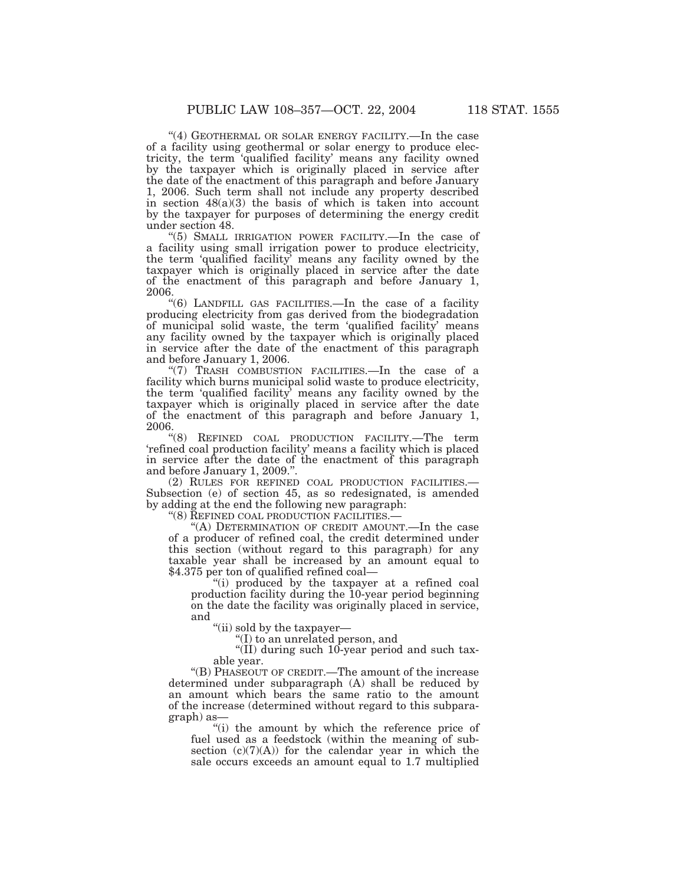"(4) GEOTHERMAL OR SOLAR ENERGY FACILITY.—In the case of a facility using geothermal or solar energy to produce electricity, the term 'qualified facility' means any facility owned by the taxpayer which is originally placed in service after the date of the enactment of this paragraph and before January 1, 2006. Such term shall not include any property described in section  $48(a)(3)$  the basis of which is taken into account by the taxpayer for purposes of determining the energy credit under section 48.

''(5) SMALL IRRIGATION POWER FACILITY.—In the case of a facility using small irrigation power to produce electricity, the term 'qualified facility' means any facility owned by the taxpayer which is originally placed in service after the date of the enactment of this paragraph and before January 1, 2006.

''(6) LANDFILL GAS FACILITIES.—In the case of a facility producing electricity from gas derived from the biodegradation of municipal solid waste, the term 'qualified facility' means any facility owned by the taxpayer which is originally placed in service after the date of the enactment of this paragraph and before January 1, 2006.

"(7) TRASH COMBUSTION FACILITIES.—In the case of a facility which burns municipal solid waste to produce electricity, the term 'qualified facility' means any facility owned by the taxpayer which is originally placed in service after the date of the enactment of this paragraph and before January 1, 2006.

"(8) REFINED COAL PRODUCTION FACILITY.—The term 'refined coal production facility' means a facility which is placed in service after the date of the enactment of this paragraph and before January 1, 2009.''.

(2) RULES FOR REFINED COAL PRODUCTION FACILITIES.— Subsection (e) of section 45, as so redesignated, is amended by adding at the end the following new paragraph:<br>"(8) REFINED COAL PRODUCTION FACILITIES.—

"(A) DETERMINATION OF CREDIT AMOUNT.—In the case of a producer of refined coal, the credit determined under this section (without regard to this paragraph) for any taxable year shall be increased by an amount equal to \$4.375 per ton of qualified refined coal—

"(i) produced by the taxpayer at a refined coal production facility during the 10-year period beginning on the date the facility was originally placed in service, and

''(ii) sold by the taxpayer—

''(I) to an unrelated person, and

''(II) during such 10-year period and such taxable year.

''(B) PHASEOUT OF CREDIT.—The amount of the increase determined under subparagraph (A) shall be reduced by an amount which bears the same ratio to the amount of the increase (determined without regard to this subparagraph) as—

''(i) the amount by which the reference price of fuel used as a feedstock (within the meaning of subsection  $(c)(7)(A)$  for the calendar year in which the sale occurs exceeds an amount equal to 1.7 multiplied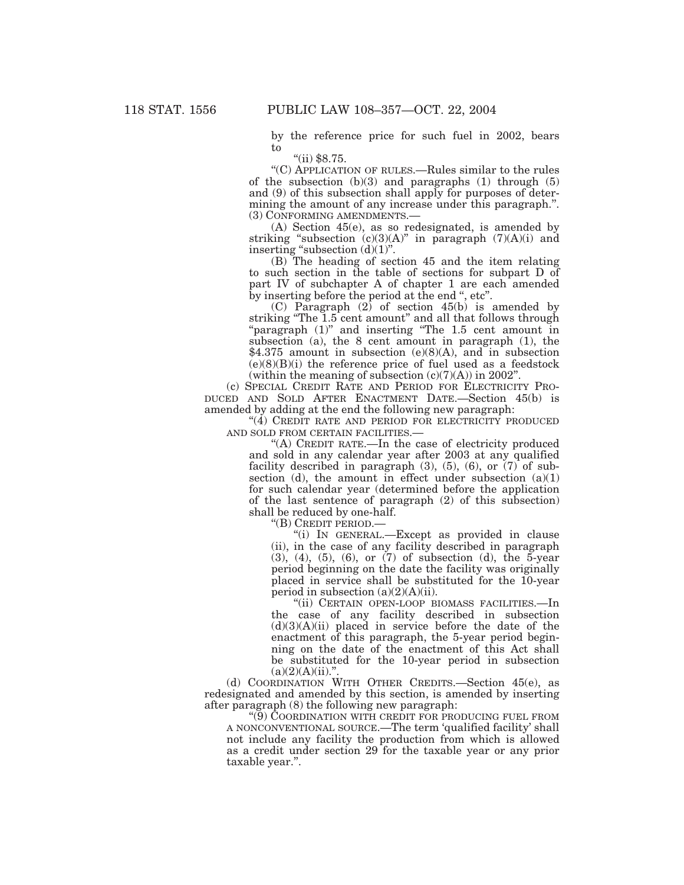by the reference price for such fuel in 2002, bears to

 $"$ (ii) \$8.75.

''(C) APPLICATION OF RULES.—Rules similar to the rules of the subsection  $(b)(3)$  and paragraphs  $(1)$  through  $(5)$ and (9) of this subsection shall apply for purposes of determining the amount of any increase under this paragraph.''. (3) CONFORMING AMENDMENTS.—

(A) Section 45(e), as so redesignated, is amended by striking "subsection  $(c)(3)(A)$ " in paragraph  $(7)(A)(i)$  and inserting "subsection  $(d)(1)$ ".

(B) The heading of section 45 and the item relating to such section in the table of sections for subpart D of part IV of subchapter A of chapter 1 are each amended by inserting before the period at the end ", etc".

(C) Paragraph  $(2)$  of section  $45(b)$  is amended by striking "The 1.5 cent amount" and all that follows through "paragraph (1)" and inserting "The 1.5 cent amount in subsection (a), the 8 cent amount in paragraph (1), the \$4.375 amount in subsection  $(e)(8)(A)$ , and in subsection  $(e)(8)(B)(i)$  the reference price of fuel used as a feedstock (within the meaning of subsection  $(c)(7)(A)$ ) in 2002".

(c) SPECIAL CREDIT RATE AND PERIOD FOR ELECTRICITY PRO-DUCED AND SOLD AFTER ENACTMENT DATE.—Section 45(b) is amended by adding at the end the following new paragraph:

"(4) CREDIT RATE AND PERIOD FOR ELECTRICITY PRODUCED AND SOLD FROM CERTAIN FACILITIES.—

''(A) CREDIT RATE.—In the case of electricity produced and sold in any calendar year after 2003 at any qualified facility described in paragraph  $(3)$ ,  $(5)$ ,  $(6)$ , or  $(7)$  of subsection (d), the amount in effect under subsection (a)(1) for such calendar year (determined before the application of the last sentence of paragraph (2) of this subsection) shall be reduced by one-half.

''(B) CREDIT PERIOD.—

''(i) IN GENERAL.—Except as provided in clause (ii), in the case of any facility described in paragraph (3), (4), (5), (6), or (7) of subsection (d), the 5-year period beginning on the date the facility was originally placed in service shall be substituted for the 10-year period in subsection  $(a)(2)(A)(ii)$ .

''(ii) CERTAIN OPEN-LOOP BIOMASS FACILITIES.—In the case of any facility described in subsection  $(d)(3)(A)(ii)$  placed in service before the date of the enactment of this paragraph, the 5-year period beginning on the date of the enactment of this Act shall be substituted for the 10-year period in subsection  $(a)(2)(A)(ii)$ .

(d) COORDINATION WITH OTHER CREDITS.—Section 45(e), as redesignated and amended by this section, is amended by inserting after paragraph (8) the following new paragraph:

''(9) COORDINATION WITH CREDIT FOR PRODUCING FUEL FROM A NONCONVENTIONAL SOURCE.—The term 'qualified facility' shall not include any facility the production from which is allowed as a credit under section 29 for the taxable year or any prior taxable year.''.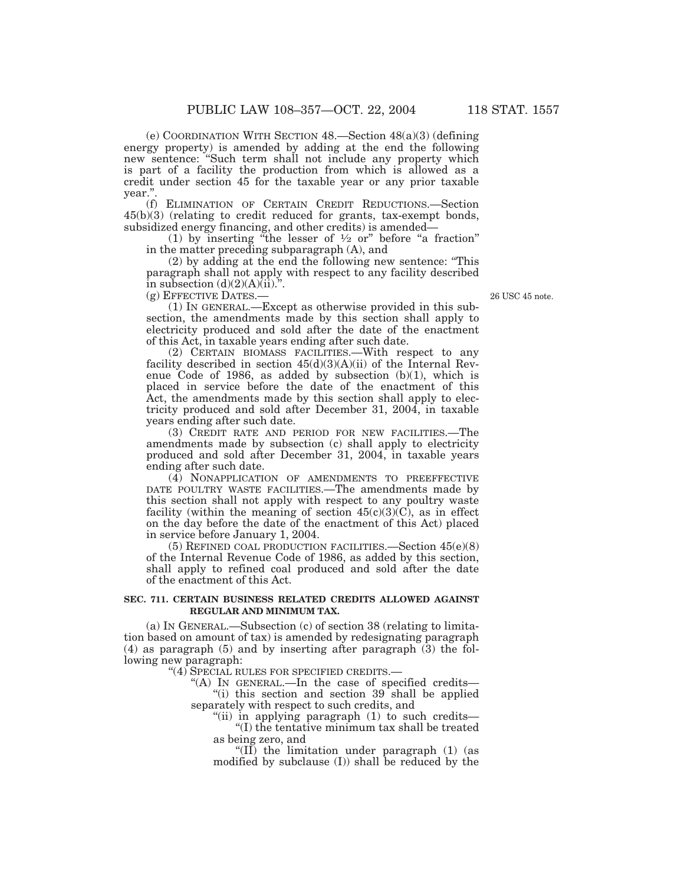(e) COORDINATION WITH SECTION 48.—Section 48(a)(3) (defining energy property) is amended by adding at the end the following new sentence: "Such term shall not include any property which is part of a facility the production from which is allowed as a credit under section 45 for the taxable year or any prior taxable year."

(f) ELIMINATION OF CERTAIN CREDIT REDUCTIONS.—Section 45(b)(3) (relating to credit reduced for grants, tax-exempt bonds, subsidized energy financing, and other credits) is amended—

(1) by inserting "the lesser of  $\frac{1}{2}$  or" before "a fraction" in the matter preceding subparagraph (A), and

(2) by adding at the end the following new sentence: ''This paragraph shall not apply with respect to any facility described in subsection  $(d)(2)(A)(ii)$ .".

(g) EFFECTIVE DATES.—

(1) IN GENERAL.—Except as otherwise provided in this subsection, the amendments made by this section shall apply to electricity produced and sold after the date of the enactment of this Act, in taxable years ending after such date.

(2) CERTAIN BIOMASS FACILITIES.—With respect to any facility described in section  $45(d)(3)(A)(ii)$  of the Internal Revenue Code of 1986, as added by subsection (b)(1), which is placed in service before the date of the enactment of this Act, the amendments made by this section shall apply to electricity produced and sold after December 31, 2004, in taxable years ending after such date.

(3) CREDIT RATE AND PERIOD FOR NEW FACILITIES.—The amendments made by subsection (c) shall apply to electricity produced and sold after December 31, 2004, in taxable years ending after such date.

(4) NONAPPLICATION OF AMENDMENTS TO PREEFFECTIVE DATE POULTRY WASTE FACILITIES.—The amendments made by this section shall not apply with respect to any poultry waste facility (within the meaning of section  $45(c)(3)(C)$ , as in effect on the day before the date of the enactment of this Act) placed in service before January 1, 2004.

(5) REFINED COAL PRODUCTION FACILITIES.—Section 45(e)(8) of the Internal Revenue Code of 1986, as added by this section, shall apply to refined coal produced and sold after the date of the enactment of this Act.

#### **SEC. 711. CERTAIN BUSINESS RELATED CREDITS ALLOWED AGAINST REGULAR AND MINIMUM TAX.**

(a) IN GENERAL.—Subsection (c) of section 38 (relating to limitation based on amount of tax) is amended by redesignating paragraph (4) as paragraph (5) and by inserting after paragraph (3) the following new paragraph:

''(4) SPECIAL RULES FOR SPECIFIED CREDITS.—

''(A) IN GENERAL.—In the case of specified credits—

"(i) this section and section 39 shall be applied separately with respect to such credits, and

"(ii) in applying paragraph  $(1)$  to such credits— ''(I) the tentative minimum tax shall be treated as being zero, and

" $(II)$  the limitation under paragraph  $(1)$  (as modified by subclause (I)) shall be reduced by the

26 USC 45 note.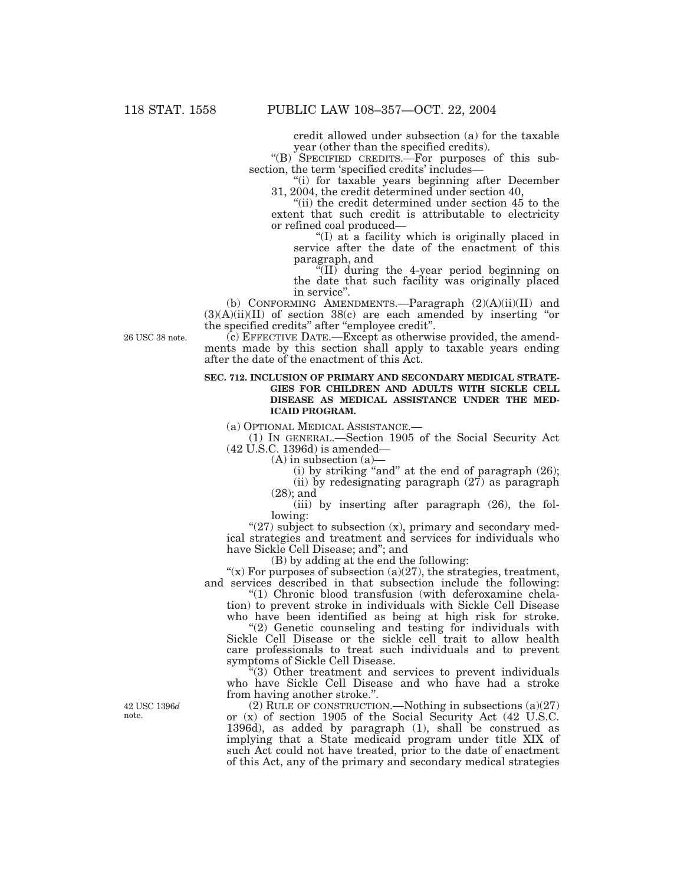credit allowed under subsection (a) for the taxable year (other than the specified credits).

"(B) SPECIFIED CREDITS.—For purposes of this subsection, the term 'specified credits' includes—

''(i) for taxable years beginning after December 31, 2004, the credit determined under section 40,

"(ii) the credit determined under section 45 to the extent that such credit is attributable to electricity or refined coal produced—

''(I) at a facility which is originally placed in service after the date of the enactment of this paragraph, and

''(II) during the 4-year period beginning on the date that such facility was originally placed in service''.

(b) CONFORMING AMENDMENTS.—Paragraph  $(2)(A)(ii)(II)$  and  $(3)(A)(ii)(II)$  of section  $38(c)$  are each amended by inserting "or the specified credits'' after ''employee credit''.

26 USC 38 note.

(c) EFFECTIVE DATE.—Except as otherwise provided, the amendments made by this section shall apply to taxable years ending after the date of the enactment of this Act.

### **SEC. 712. INCLUSION OF PRIMARY AND SECONDARY MEDICAL STRATE-GIES FOR CHILDREN AND ADULTS WITH SICKLE CELL DISEASE AS MEDICAL ASSISTANCE UNDER THE MED-ICAID PROGRAM.**

(a) OPTIONAL MEDICAL ASSISTANCE.— (1) IN GENERAL.—Section 1905 of the Social Security Act (42 U.S.C. 1396d) is amended—

(A) in subsection (a)—

(i) by striking "and" at the end of paragraph  $(26)$ ;

(ii) by redesignating paragraph  $(27)$  as paragraph (28); and

(iii) by inserting after paragraph (26), the following:

" $(27)$  subject to subsection  $(x)$ , primary and secondary medical strategies and treatment and services for individuals who have Sickle Cell Disease; and''; and

(B) by adding at the end the following:

" $(x)$  For purposes of subsection (a)(27), the strategies, treatment, and services described in that subsection include the following:

''(1) Chronic blood transfusion (with deferoxamine chelation) to prevent stroke in individuals with Sickle Cell Disease who have been identified as being at high risk for stroke.

''(2) Genetic counseling and testing for individuals with Sickle Cell Disease or the sickle cell trait to allow health care professionals to treat such individuals and to prevent symptoms of Sickle Cell Disease.

 $(3)$  Other treatment and services to prevent individuals who have Sickle Cell Disease and who have had a stroke from having another stroke.''.

(2) RULE OF CONSTRUCTION.—Nothing in subsections  $(a)(27)$ or (x) of section 1905 of the Social Security Act (42 U.S.C. 1396d), as added by paragraph (1), shall be construed as implying that a State medicaid program under title XIX of such Act could not have treated, prior to the date of enactment of this Act, any of the primary and secondary medical strategies

42 USC 1396*d* note.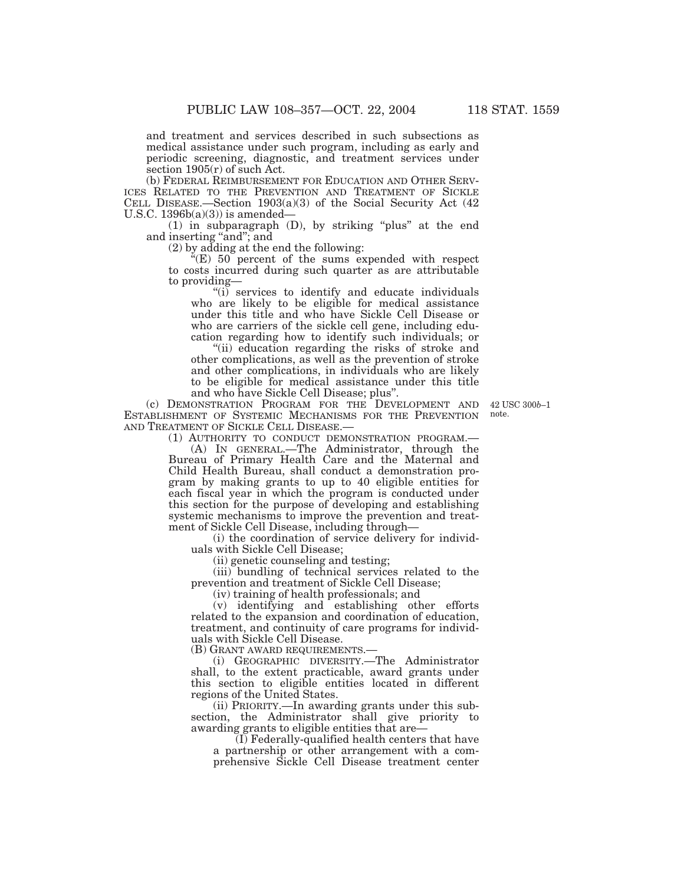and treatment and services described in such subsections as medical assistance under such program, including as early and periodic screening, diagnostic, and treatment services under section 1905(r) of such Act.

(b) FEDERAL REIMBURSEMENT FOR EDUCATION AND OTHER SERV-ICES RELATED TO THE PREVENTION AND TREATMENT OF SICKLE CELL DISEASE.—Section  $1903(a)(3)$  of the Social Security Act  $(42)$ U.S.C.  $1396b(a)(3)$  is amended-

(1) in subparagraph (D), by striking ''plus'' at the end and inserting "and"; and

(2) by adding at the end the following:

"(E) 50 percent of the sums expended with respect to costs incurred during such quarter as are attributable to providing—

 $\sqrt[4]{i}$  services to identify and educate individuals who are likely to be eligible for medical assistance under this title and who have Sickle Cell Disease or who are carriers of the sickle cell gene, including education regarding how to identify such individuals; or

"(ii) education regarding the risks of stroke and other complications, as well as the prevention of stroke and other complications, in individuals who are likely to be eligible for medical assistance under this title and who have Sickle Cell Disease; plus''.

(c) DEMONSTRATION PROGRAM FOR THE DEVELOPMENT AND ESTABLISHMENT OF SYSTEMIC MECHANISMS FOR THE PREVENTION AND TREATMENT OF SICKLE CELL DISEASE.— AND TREATMENT OF SICKLE CELL DISEASE.— (1) AUTHORITY TO CONDUCT DEMONSTRATION PROGRAM.— (A) IN GENERAL.—The Administrator, through the

42 USC 300*b*–1 note.

Bureau of Primary Health Care and the Maternal and Child Health Bureau, shall conduct a demonstration program by making grants to up to 40 eligible entities for each fiscal year in which the program is conducted under this section for the purpose of developing and establishing systemic mechanisms to improve the prevention and treatment of Sickle Cell Disease, including through—

(i) the coordination of service delivery for individuals with Sickle Cell Disease;

(ii) genetic counseling and testing;

(iii) bundling of technical services related to the prevention and treatment of Sickle Cell Disease;

(iv) training of health professionals; and

(v) identifying and establishing other efforts related to the expansion and coordination of education, treatment, and continuity of care programs for individuals with Sickle Cell Disease.

(B) GRANT AWARD REQUIREMENTS.—

(i) GEOGRAPHIC DIVERSITY.—The Administrator shall, to the extent practicable, award grants under this section to eligible entities located in different regions of the United States.

(ii) PRIORITY.—In awarding grants under this subsection, the Administrator shall give priority to awarding grants to eligible entities that are—

(I) Federally-qualified health centers that have a partnership or other arrangement with a comprehensive Sickle Cell Disease treatment center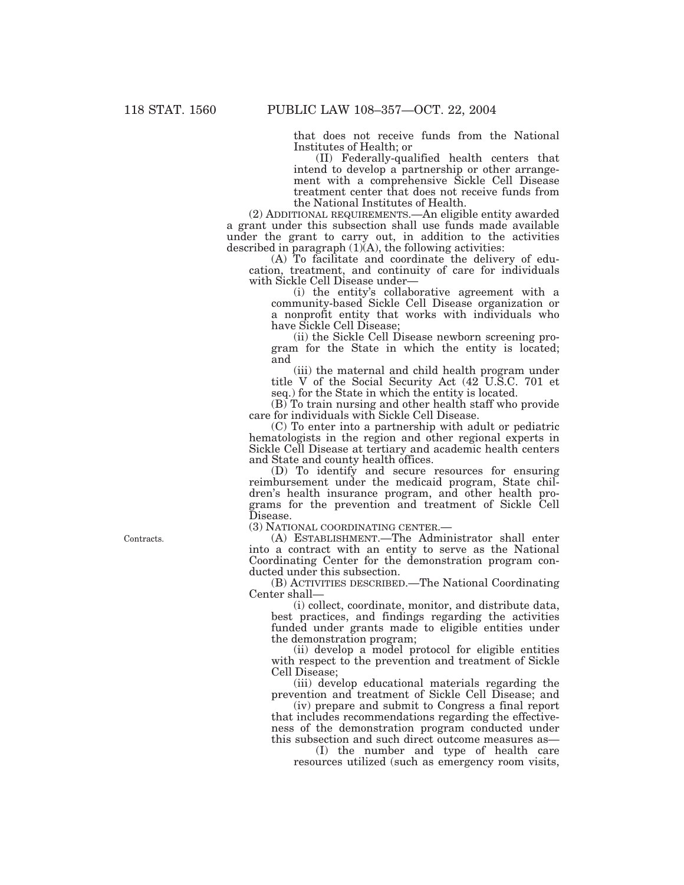that does not receive funds from the National Institutes of Health; or

(II) Federally-qualified health centers that intend to develop a partnership or other arrangement with a comprehensive Sickle Cell Disease treatment center that does not receive funds from the National Institutes of Health.

(2) ADDITIONAL REQUIREMENTS.—An eligible entity awarded a grant under this subsection shall use funds made available under the grant to carry out, in addition to the activities described in paragraph (1)(A), the following activities:

(A) To facilitate and coordinate the delivery of education, treatment, and continuity of care for individuals with Sickle Cell Disease under—

(i) the entity's collaborative agreement with a community-based Sickle Cell Disease organization or a nonprofit entity that works with individuals who have Sickle Cell Disease;

(ii) the Sickle Cell Disease newborn screening program for the State in which the entity is located; and

(iii) the maternal and child health program under title V of the Social Security Act (42 U.S.C. 701 et seq.) for the State in which the entity is located.

(B) To train nursing and other health staff who provide care for individuals with Sickle Cell Disease.

(C) To enter into a partnership with adult or pediatric hematologists in the region and other regional experts in Sickle Cell Disease at tertiary and academic health centers and State and county health offices.

(D) To identify and secure resources for ensuring reimbursement under the medicaid program, State children's health insurance program, and other health programs for the prevention and treatment of Sickle Cell Disease.<br>(3) NATIONAL COORDINATING CENTER.—

(A) ESTABLISHMENT.—The Administrator shall enter into a contract with an entity to serve as the National Coordinating Center for the demonstration program conducted under this subsection.

(B) ACTIVITIES DESCRIBED.—The National Coordinating Center shall—

(i) collect, coordinate, monitor, and distribute data, best practices, and findings regarding the activities funded under grants made to eligible entities under the demonstration program;

(ii) develop a model protocol for eligible entities with respect to the prevention and treatment of Sickle Cell Disease;

(iii) develop educational materials regarding the prevention and treatment of Sickle Cell Disease; and

(iv) prepare and submit to Congress a final report that includes recommendations regarding the effectiveness of the demonstration program conducted under this subsection and such direct outcome measures as—

(I) the number and type of health care resources utilized (such as emergency room visits,

Contracts.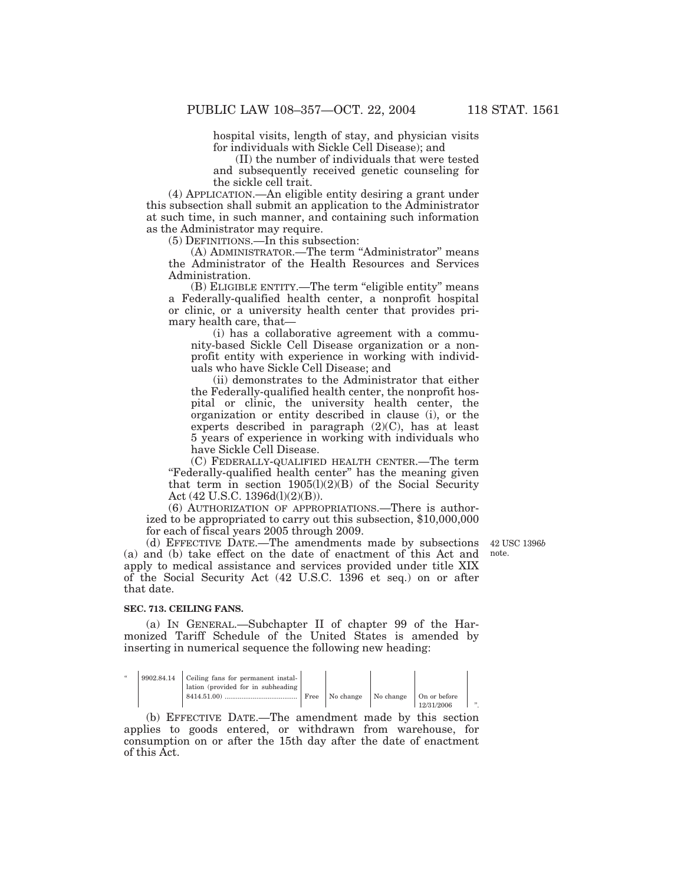hospital visits, length of stay, and physician visits for individuals with Sickle Cell Disease); and

(II) the number of individuals that were tested and subsequently received genetic counseling for the sickle cell trait.

(4) APPLICATION.—An eligible entity desiring a grant under this subsection shall submit an application to the Administrator at such time, in such manner, and containing such information as the Administrator may require.

(5) DEFINITIONS.—In this subsection:

(A) ADMINISTRATOR.—The term ''Administrator'' means the Administrator of the Health Resources and Services Administration.

(B) ELIGIBLE ENTITY.—The term ''eligible entity'' means a Federally-qualified health center, a nonprofit hospital or clinic, or a university health center that provides primary health care, that—

(i) has a collaborative agreement with a community-based Sickle Cell Disease organization or a nonprofit entity with experience in working with individuals who have Sickle Cell Disease; and

(ii) demonstrates to the Administrator that either the Federally-qualified health center, the nonprofit hospital or clinic, the university health center, the organization or entity described in clause (i), or the experts described in paragraph (2)(C), has at least 5 years of experience in working with individuals who have Sickle Cell Disease.

(C) FEDERALLY-QUALIFIED HEALTH CENTER.—The term "Federally-qualified health center" has the meaning given that term in section  $1905(1)(2)(B)$  of the Social Security Act (42 U.S.C. 1396d(l)(2)(B)).

(6) AUTHORIZATION OF APPROPRIATIONS.—There is authorized to be appropriated to carry out this subsection, \$10,000,000 for each of fiscal years 2005 through 2009.

> 42 USC 1396*b* note.

(d) EFFECTIVE DATE.—The amendments made by subsections (a) and (b) take effect on the date of enactment of this Act and apply to medical assistance and services provided under title XIX of the Social Security Act (42 U.S.C. 1396 et seq.) on or after that date.

#### **SEC. 713. CEILING FANS.**

(a) IN GENERAL.—Subchapter II of chapter 99 of the Harmonized Tariff Schedule of the United States is amended by inserting in numerical sequence the following new heading:

| $\epsilon$ |  | 9902.84.14 Ceiling fans for permanent instal-<br>lation (provided for in subheading |  |  |  | Free No change No change On or before<br>12/31/2006 |  | 22 |
|------------|--|-------------------------------------------------------------------------------------|--|--|--|-----------------------------------------------------|--|----|
|------------|--|-------------------------------------------------------------------------------------|--|--|--|-----------------------------------------------------|--|----|

(b) EFFECTIVE DATE.—The amendment made by this section applies to goods entered, or withdrawn from warehouse, for consumption on or after the 15th day after the date of enactment of this Act.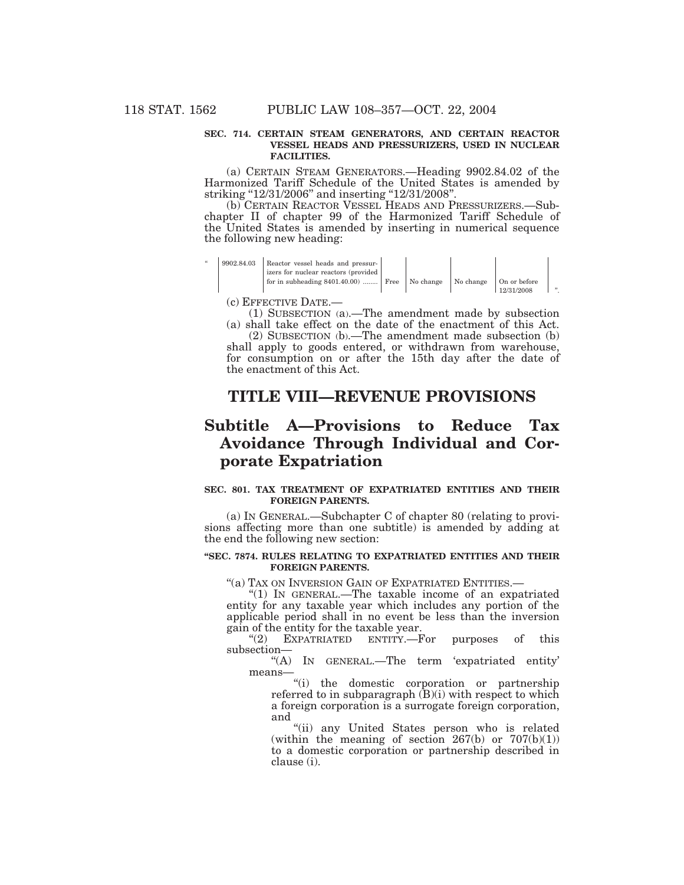### **SEC. 714. CERTAIN STEAM GENERATORS, AND CERTAIN REACTOR VESSEL HEADS AND PRESSURIZERS, USED IN NUCLEAR FACILITIES.**

(a) CERTAIN STEAM GENERATORS.—Heading 9902.84.02 of the Harmonized Tariff Schedule of the United States is amended by striking "12/31/2006" and inserting "12/31/2008".

(b) CERTAIN REACTOR VESSEL HEADS AND PRESSURIZERS.—Subchapter II of chapter 99 of the Harmonized Tariff Schedule of the United States is amended by inserting in numerical sequence the following new heading:

| Reactor vessel heads and pressur-<br>9902.84.03<br>izers for nuclear reactors (provided | for in subheading 8401.40.00  Free   No change   No change   On or before |  | 12/31/2008 |  |
|-----------------------------------------------------------------------------------------|---------------------------------------------------------------------------|--|------------|--|
|-----------------------------------------------------------------------------------------|---------------------------------------------------------------------------|--|------------|--|

(c) EFFECTIVE DATE.— (1) SUBSECTION (a).—The amendment made by subsection (a) shall take effect on the date of the enactment of this Act.

(2) SUBSECTION (b).—The amendment made subsection (b) shall apply to goods entered, or withdrawn from warehouse, for consumption on or after the 15th day after the date of the enactment of this Act.

# **TITLE VIII—REVENUE PROVISIONS**

# **Subtitle A—Provisions to Reduce Tax Avoidance Through Individual and Corporate Expatriation**

## **SEC. 801. TAX TREATMENT OF EXPATRIATED ENTITIES AND THEIR FOREIGN PARENTS.**

(a) IN GENERAL.—Subchapter C of chapter 80 (relating to provisions affecting more than one subtitle) is amended by adding at the end the following new section:

## **''SEC. 7874. RULES RELATING TO EXPATRIATED ENTITIES AND THEIR FOREIGN PARENTS.**

''(a) TAX ON INVERSION GAIN OF EXPATRIATED ENTITIES.—

''(1) IN GENERAL.—The taxable income of an expatriated entity for any taxable year which includes any portion of the applicable period shall in no event be less than the inversion gain of the entity for the taxable year.<br>"(2) EXPATRIATED ENTITY.—F

EXPATRIATED ENTITY.—For purposes of this subsection—

''(A) IN GENERAL.—The term 'expatriated entity' means—

''(i) the domestic corporation or partnership referred to in subparagraph (B)(i) with respect to which a foreign corporation is a surrogate foreign corporation, and

''(ii) any United States person who is related (within the meaning of section  $267(b)$  or  $707(b)(1)$ ) to a domestic corporation or partnership described in clause (i).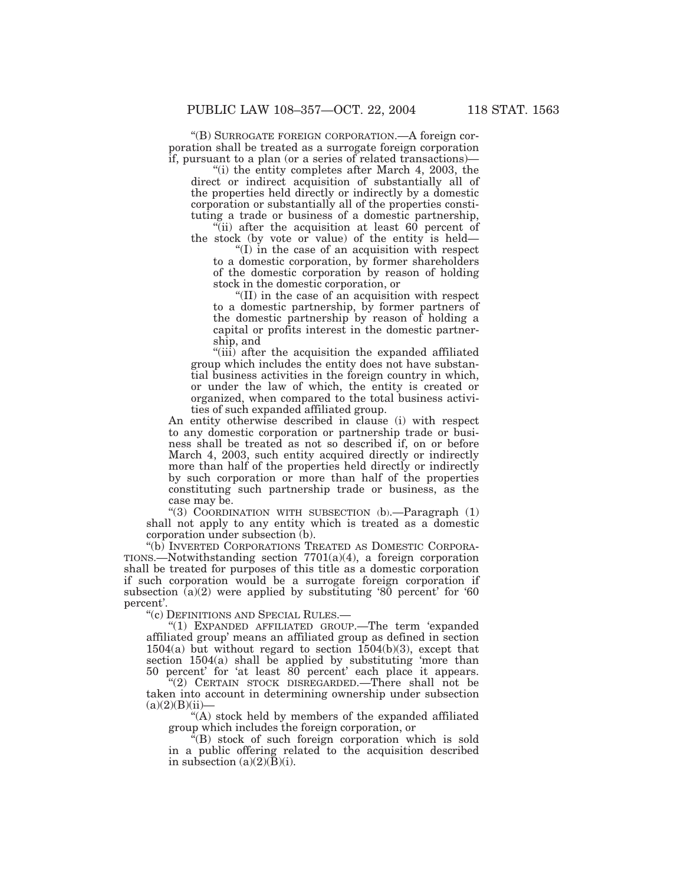''(B) SURROGATE FOREIGN CORPORATION.—A foreign corporation shall be treated as a surrogate foreign corporation if, pursuant to a plan (or a series of related transactions)—

"(i) the entity completes after March 4, 2003, the direct or indirect acquisition of substantially all of the properties held directly or indirectly by a domestic corporation or substantially all of the properties constituting a trade or business of a domestic partnership,

 $\tilde{N}$  after the acquisition at least 60 percent of the stock (by vote or value) of the entity is held—

''(I) in the case of an acquisition with respect to a domestic corporation, by former shareholders of the domestic corporation by reason of holding stock in the domestic corporation, or

''(II) in the case of an acquisition with respect to a domestic partnership, by former partners of the domestic partnership by reason of holding a capital or profits interest in the domestic partnership, and

''(iii) after the acquisition the expanded affiliated group which includes the entity does not have substantial business activities in the foreign country in which, or under the law of which, the entity is created or organized, when compared to the total business activities of such expanded affiliated group.

An entity otherwise described in clause (i) with respect to any domestic corporation or partnership trade or business shall be treated as not so described if, on or before March 4, 2003, such entity acquired directly or indirectly more than half of the properties held directly or indirectly by such corporation or more than half of the properties constituting such partnership trade or business, as the case may be.

"(3) COORDINATION WITH SUBSECTION (b). - Paragraph (1) shall not apply to any entity which is treated as a domestic corporation under subsection (b).

"(b) INVERTED CORPORATIONS TREATED AS DOMESTIC CORPORA-TIONS.—Notwithstanding section  $7701(a)(4)$ , a foreign corporation shall be treated for purposes of this title as a domestic corporation if such corporation would be a surrogate foreign corporation if subsection  $(a)(2)$  were applied by substituting '80 percent' for '60 percent'.

''(c) DEFINITIONS AND SPECIAL RULES.—

''(1) EXPANDED AFFILIATED GROUP.—The term 'expanded affiliated group' means an affiliated group as defined in section 1504(a) but without regard to section 1504(b)(3), except that section 1504(a) shall be applied by substituting 'more than 50 percent' for 'at least 80 percent' each place it appears.

''(2) CERTAIN STOCK DISREGARDED.—There shall not be taken into account in determining ownership under subsection  $(a)(2)(B)(ii)$ 

''(A) stock held by members of the expanded affiliated group which includes the foreign corporation, or

 $E<sup>a</sup>(B)$  stock of such foreign corporation which is sold in a public offering related to the acquisition described in subsection  $(a)(2)(\bar{B})(i)$ .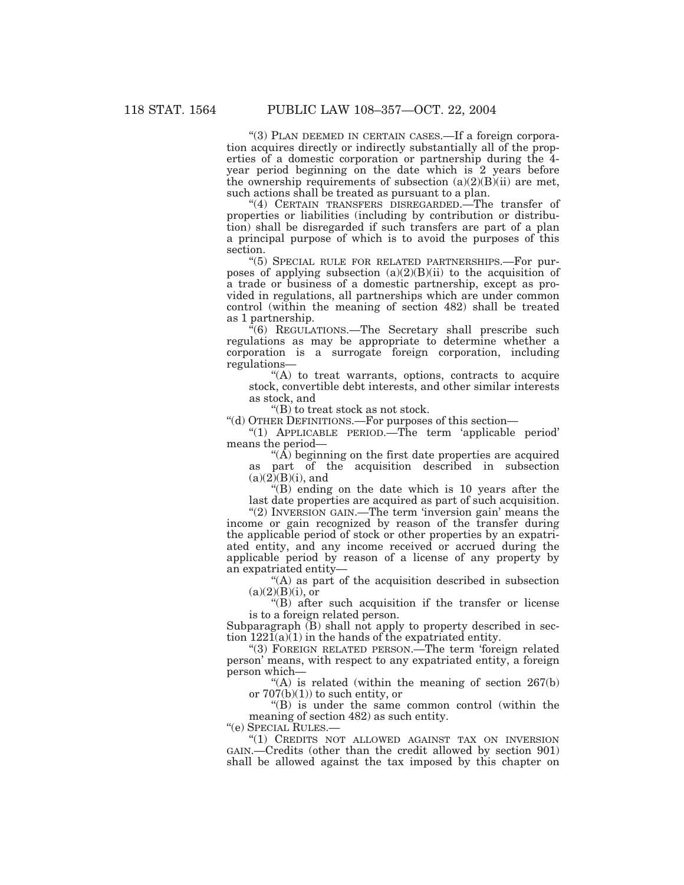''(3) PLAN DEEMED IN CERTAIN CASES.—If a foreign corporation acquires directly or indirectly substantially all of the properties of a domestic corporation or partnership during the 4 year period beginning on the date which is 2 years before the ownership requirements of subsection  $(a)(2)(B)(ii)$  are met, such actions shall be treated as pursuant to a plan.

"(4) CERTAIN TRANSFERS DISREGARDED. The transfer of properties or liabilities (including by contribution or distribution) shall be disregarded if such transfers are part of a plan a principal purpose of which is to avoid the purposes of this section.

''(5) SPECIAL RULE FOR RELATED PARTNERSHIPS.—For purposes of applying subsection  $(a)(2)(B)(ii)$  to the acquisition of a trade or business of a domestic partnership, except as provided in regulations, all partnerships which are under common control (within the meaning of section 482) shall be treated as 1 partnership.

 $F(6)$  REGULATIONS.—The Secretary shall prescribe such regulations as may be appropriate to determine whether a corporation is a surrogate foreign corporation, including regulations—

 $<sup>4</sup>(A)$  to treat warrants, options, contracts to acquire</sup> stock, convertible debt interests, and other similar interests as stock, and

''(B) to treat stock as not stock.

''(d) OTHER DEFINITIONS.—For purposes of this section—

''(1) APPLICABLE PERIOD.—The term 'applicable period' means the period—

 $\hat{A}$ ) beginning on the first date properties are acquired as part of the acquisition described in subsection  $(a)(2)$  $(B)(i)$ , and

''(B) ending on the date which is 10 years after the last date properties are acquired as part of such acquisition.

"(2) INVERSION GAIN.—The term 'inversion gain' means the income or gain recognized by reason of the transfer during the applicable period of stock or other properties by an expatriated entity, and any income received or accrued during the applicable period by reason of a license of any property by an expatriated entity—

''(A) as part of the acquisition described in subsection  $(a)(2)(B)(i)$ , or

''(B) after such acquisition if the transfer or license is to a foreign related person.

Subparagraph  $(B)$  shall not apply to property described in section  $122\tilde{1}(a)\tilde{1}$  in the hands of the expatriated entity.

''(3) FOREIGN RELATED PERSON.—The term 'foreign related person' means, with respect to any expatriated entity, a foreign person which—

"(A) is related (within the meaning of section  $267(b)$ or 707(b)(1)) to such entity, or

''(B) is under the same common control (within the meaning of section 482) as such entity.

''(e) SPECIAL RULES.—

''(1) CREDITS NOT ALLOWED AGAINST TAX ON INVERSION GAIN.—Credits (other than the credit allowed by section 901) shall be allowed against the tax imposed by this chapter on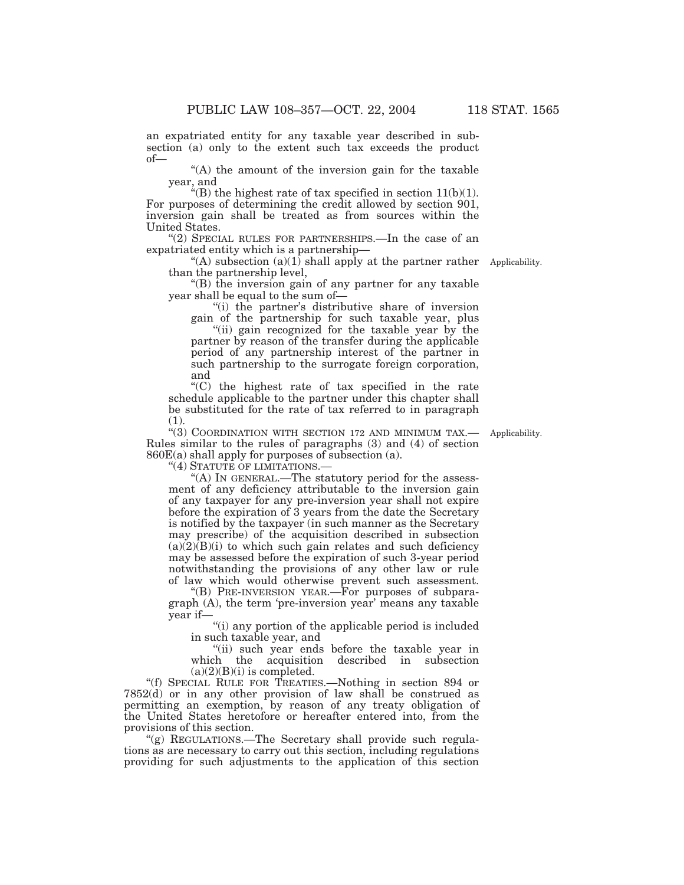an expatriated entity for any taxable year described in subsection (a) only to the extent such tax exceeds the product of—

"(A) the amount of the inversion gain for the taxable year, and

"(B) the highest rate of tax specified in section  $11(b)(1)$ . For purposes of determining the credit allowed by section 901, inversion gain shall be treated as from sources within the United States.

"(2) SPECIAL RULES FOR PARTNERSHIPS.—In the case of an expatriated entity which is a partnership—

"(A) subsection  $(a)(1)$  shall apply at the partner rather Applicability. than the partnership level,

 $'(B)$  the inversion gain of any partner for any taxable year shall be equal to the sum of—

"(i) the partner's distributive share of inversion gain of the partnership for such taxable year, plus

"(ii) gain recognized for the taxable year by the partner by reason of the transfer during the applicable period of any partnership interest of the partner in such partnership to the surrogate foreign corporation, and

''(C) the highest rate of tax specified in the rate schedule applicable to the partner under this chapter shall be substituted for the rate of tax referred to in paragraph (1).

''(3) COORDINATION WITH SECTION 172 AND MINIMUM TAX.— Rules similar to the rules of paragraphs (3) and (4) of section 860E(a) shall apply for purposes of subsection (a).

"(4) STATUTE OF LIMITATIONS.-

"(A) IN GENERAL.—The statutory period for the assessment of any deficiency attributable to the inversion gain of any taxpayer for any pre-inversion year shall not expire before the expiration of 3 years from the date the Secretary is notified by the taxpayer (in such manner as the Secretary may prescribe) of the acquisition described in subsection  $(a)(2)(B)(i)$  to which such gain relates and such deficiency may be assessed before the expiration of such 3-year period notwithstanding the provisions of any other law or rule of law which would otherwise prevent such assessment.

''(B) PRE-INVERSION YEAR.—For purposes of subparagraph (A), the term 'pre-inversion year' means any taxable year if—

''(i) any portion of the applicable period is included in such taxable year, and

''(ii) such year ends before the taxable year in which the acquisition described in subsection  $(a)(2)(B)(i)$  is completed.

''(f) SPECIAL RULE FOR TREATIES.—Nothing in section 894 or 7852(d) or in any other provision of law shall be construed as permitting an exemption, by reason of any treaty obligation of the United States heretofore or hereafter entered into, from the provisions of this section.

"(g) REGULATIONS.—The Secretary shall provide such regulations as are necessary to carry out this section, including regulations providing for such adjustments to the application of this section

Applicability.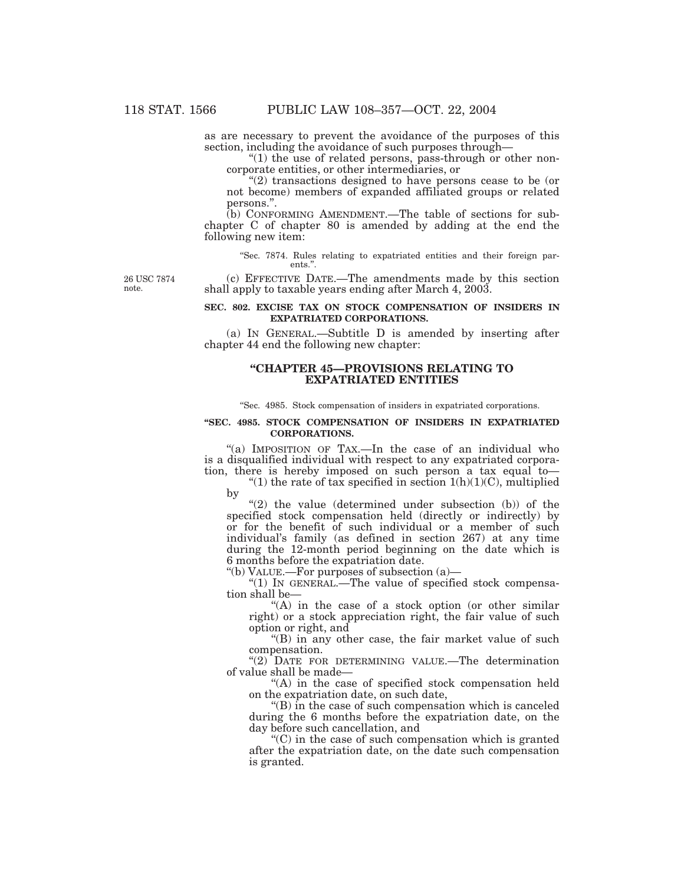as are necessary to prevent the avoidance of the purposes of this section, including the avoidance of such purposes through—

"(1) the use of related persons, pass-through or other noncorporate entities, or other intermediaries, or

''(2) transactions designed to have persons cease to be (or not become) members of expanded affiliated groups or related persons.''.

(b) CONFORMING AMENDMENT.—The table of sections for subchapter C of chapter 80 is amended by adding at the end the following new item:

''Sec. 7874. Rules relating to expatriated entities and their foreign parents.

26 USC 7874 note.

(c) EFFECTIVE DATE.—The amendments made by this section shall apply to taxable years ending after March 4, 2003.

## **SEC. 802. EXCISE TAX ON STOCK COMPENSATION OF INSIDERS IN EXPATRIATED CORPORATIONS.**

(a) IN GENERAL.—Subtitle D is amended by inserting after chapter 44 end the following new chapter:

## **''CHAPTER 45—PROVISIONS RELATING TO EXPATRIATED ENTITIES**

''Sec. 4985. Stock compensation of insiders in expatriated corporations.

#### **''SEC. 4985. STOCK COMPENSATION OF INSIDERS IN EXPATRIATED CORPORATIONS.**

"(a) IMPOSITION OF TAX.—In the case of an individual who is a disqualified individual with respect to any expatriated corporation, there is hereby imposed on such person a tax equal to—

"(1) the rate of tax specified in section  $1(h)(1)(C)$ , multiplied by

" $(2)$  the value (determined under subsection  $(b)$ ) of the specified stock compensation held (directly or indirectly) by or for the benefit of such individual or a member of such individual's family (as defined in section 267) at any time during the 12-month period beginning on the date which is 6 months before the expatriation date.

''(b) VALUE.—For purposes of subsection (a)—

"(1) IN GENERAL.—The value of specified stock compensation shall be—

"(A) in the case of a stock option (or other similar right) or a stock appreciation right, the fair value of such option or right, and

"(B) in any other case, the fair market value of such compensation.

''(2) DATE FOR DETERMINING VALUE.—The determination of value shall be made—

 $(A)$  in the case of specified stock compensation held on the expatriation date, on such date,

''(B) in the case of such compensation which is canceled during the 6 months before the expatriation date, on the day before such cancellation, and

 $C$ ) in the case of such compensation which is granted after the expatriation date, on the date such compensation is granted.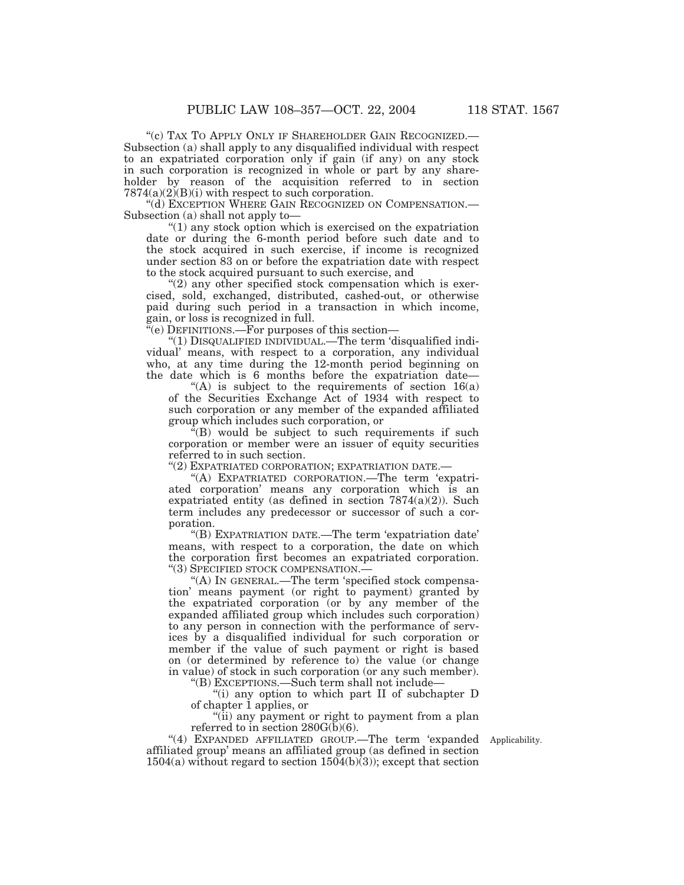"(c) TAX TO APPLY ONLY IF SHAREHOLDER GAIN RECOGNIZED.— Subsection (a) shall apply to any disqualified individual with respect to an expatriated corporation only if gain (if any) on any stock in such corporation is recognized in whole or part by any shareholder by reason of the acquisition referred to in section  $7874(a)(2)(B)(i)$  with respect to such corporation.

''(d) EXCEPTION WHERE GAIN RECOGNIZED ON COMPENSATION.— Subsection (a) shall not apply to—

 $''(1)$  any stock option which is exercised on the expatriation date or during the 6-month period before such date and to the stock acquired in such exercise, if income is recognized under section 83 on or before the expatriation date with respect to the stock acquired pursuant to such exercise, and

" $(2)$  any other specified stock compensation which is exercised, sold, exchanged, distributed, cashed-out, or otherwise paid during such period in a transaction in which income, gain, or loss is recognized in full.

 $\mathbf{F}^{\mathsf{r}}(\mathbf{e})$  DEFINITIONS.—For purposes of this section—

''(1) DISQUALIFIED INDIVIDUAL.—The term 'disqualified individual' means, with respect to a corporation, any individual who, at any time during the 12-month period beginning on the date which is 6 months before the expatriation date—

"(A) is subject to the requirements of section  $16(a)$ of the Securities Exchange Act of 1934 with respect to such corporation or any member of the expanded affiliated group which includes such corporation, or

''(B) would be subject to such requirements if such corporation or member were an issuer of equity securities referred to in such section.

''(2) EXPATRIATED CORPORATION; EXPATRIATION DATE.—

''(A) EXPATRIATED CORPORATION.—The term 'expatriated corporation' means any corporation which is an expatriated entity (as defined in section  $7874(a)(2)$ ). Such term includes any predecessor or successor of such a corporation.

''(B) EXPATRIATION DATE.—The term 'expatriation date' means, with respect to a corporation, the date on which the corporation first becomes an expatriated corporation. ''(3) SPECIFIED STOCK COMPENSATION.—

''(A) IN GENERAL.—The term 'specified stock compensation' means payment (or right to payment) granted by the expatriated corporation (or by any member of the expanded affiliated group which includes such corporation) to any person in connection with the performance of services by a disqualified individual for such corporation or member if the value of such payment or right is based on (or determined by reference to) the value (or change in value) of stock in such corporation (or any such member). ''(B) EXCEPTIONS.—Such term shall not include—

"(i) any option to which part II of subchapter D of chapter 1 applies, or

''(ii) any payment or right to payment from a plan referred to in section 280G(b)(6).

"(4) EXPANDED AFFILIATED GROUP.—The term 'expanded Applicability. affiliated group' means an affiliated group (as defined in section  $1504(a)$  without regard to section  $1504(b)(3)$ ; except that section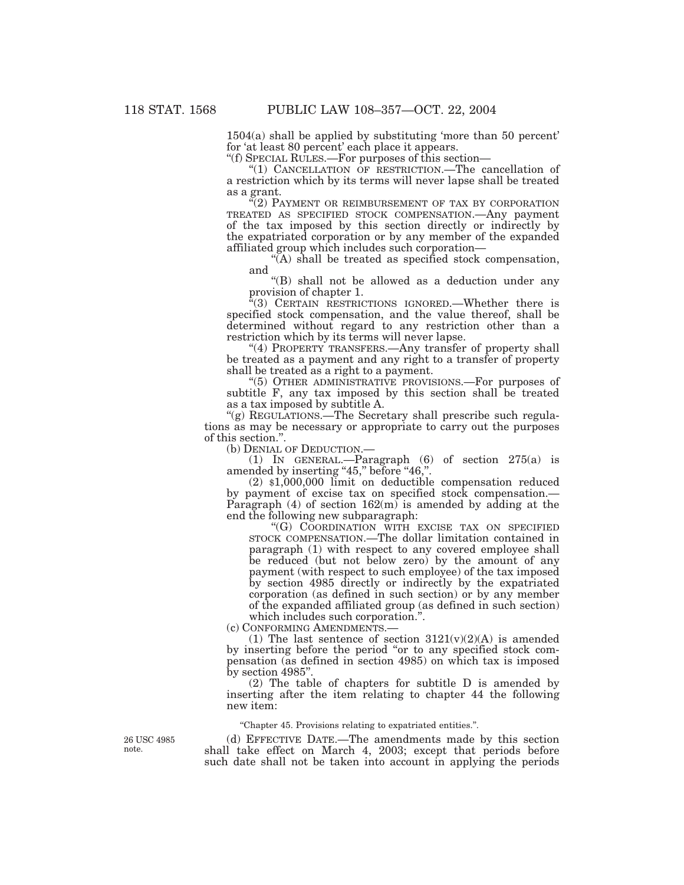1504(a) shall be applied by substituting 'more than 50 percent' for 'at least 80 percent' each place it appears.

''(f) SPECIAL RULES.—For purposes of this section—

"(1) CANCELLATION OF RESTRICTION.—The cancellation of a restriction which by its terms will never lapse shall be treated as a grant.

 $(2)$  PAYMENT OR REIMBURSEMENT OF TAX BY CORPORATION TREATED AS SPECIFIED STOCK COMPENSATION.—Any payment of the tax imposed by this section directly or indirectly by the expatriated corporation or by any member of the expanded affiliated group which includes such corporation—

''(A) shall be treated as specified stock compensation, and

''(B) shall not be allowed as a deduction under any provision of chapter 1.

''(3) CERTAIN RESTRICTIONS IGNORED.—Whether there is specified stock compensation, and the value thereof, shall be determined without regard to any restriction other than a restriction which by its terms will never lapse.

"(4) PROPERTY TRANSFERS.—Any transfer of property shall be treated as a payment and any right to a transfer of property shall be treated as a right to a payment.

''(5) OTHER ADMINISTRATIVE PROVISIONS.—For purposes of subtitle F, any tax imposed by this section shall be treated as a tax imposed by subtitle A.

 $\degree$ (g) REGULATIONS.—The Secretary shall prescribe such regulations as may be necessary or appropriate to carry out the purposes of this section.''.

(b) DENIAL OF DEDUCTION.—

(1) IN GENERAL.—Paragraph (6) of section 275(a) is amended by inserting "45," before "46,".

(2) \$1,000,000 limit on deductible compensation reduced by payment of excise tax on specified stock compensation.— Paragraph (4) of section  $162(m)$  is amended by adding at the end the following new subparagraph:

''(G) COORDINATION WITH EXCISE TAX ON SPECIFIED STOCK COMPENSATION.—The dollar limitation contained in paragraph (1) with respect to any covered employee shall be reduced (but not below zero) by the amount of any payment (with respect to such employee) of the tax imposed by section 4985 directly or indirectly by the expatriated corporation (as defined in such section) or by any member of the expanded affiliated group (as defined in such section) which includes such corporation.''.

(c) CONFORMING AMENDMENTS.—

(1) The last sentence of section  $3121(v)(2)(A)$  is amended by inserting before the period ''or to any specified stock compensation (as defined in section 4985) on which tax is imposed by section 4985''.

(2) The table of chapters for subtitle D is amended by inserting after the item relating to chapter 44 the following new item:

''Chapter 45. Provisions relating to expatriated entities.''.

26 USC 4985 note.

(d) EFFECTIVE DATE.—The amendments made by this section shall take effect on March 4, 2003; except that periods before such date shall not be taken into account in applying the periods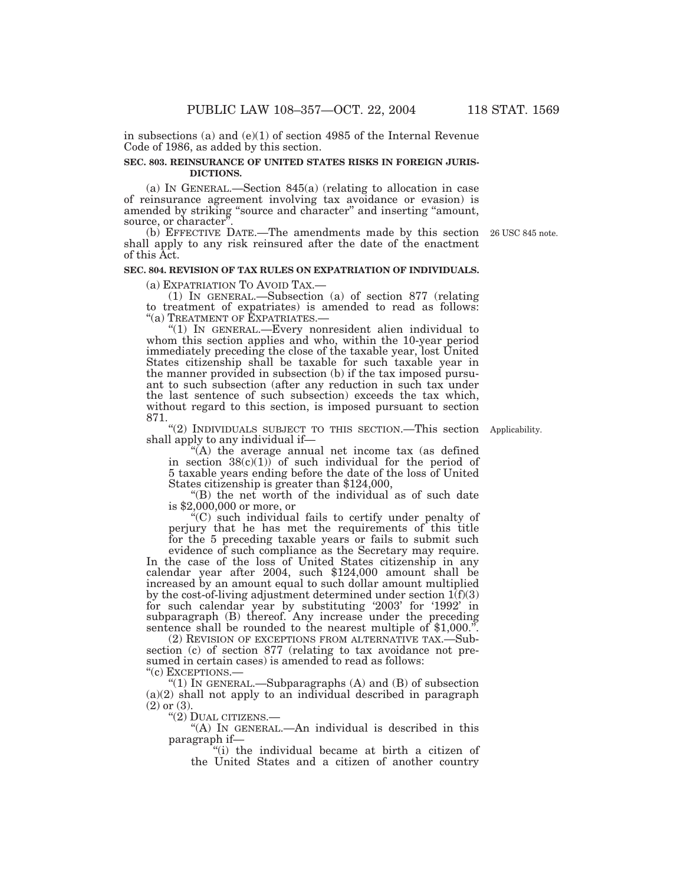in subsections (a) and (e)(1) of section 4985 of the Internal Revenue Code of 1986, as added by this section.

## **SEC. 803. REINSURANCE OF UNITED STATES RISKS IN FOREIGN JURIS-DICTIONS.**

(a) IN GENERAL.—Section 845(a) (relating to allocation in case of reinsurance agreement involving tax avoidance or evasion) is amended by striking "source and character" and inserting "amount, source, or character"

(b) EFFECTIVE DATE.—The amendments made by this section 26 USC 845 note. shall apply to any risk reinsured after the date of the enactment of this Act.

## **SEC. 804. REVISION OF TAX RULES ON EXPATRIATION OF INDIVIDUALS.**

(a) EXPATRIATION TO AVOID TAX.—<br>(1) IN GENERAL.—Subsection (a) of section 877 (relating to treatment of expatriates) is amended to read as follows: "(a) TREATMENT OF EXPATRIATES.—

"(1) IN GENERAL.—Every nonresident alien individual to whom this section applies and who, within the 10-year period immediately preceding the close of the taxable year, lost United States citizenship shall be taxable for such taxable year in the manner provided in subsection (b) if the tax imposed pursuant to such subsection (after any reduction in such tax under the last sentence of such subsection) exceeds the tax which, without regard to this section, is imposed pursuant to section 871.

''(2) INDIVIDUALS SUBJECT TO THIS SECTION.—This section Applicability. shall apply to any individual if—

''(A) the average annual net income tax (as defined in section  $38(c)(1)$  of such individual for the period of 5 taxable years ending before the date of the loss of United States citizenship is greater than \$124,000,

''(B) the net worth of the individual as of such date is \$2,000,000 or more, or

 $C'$ (C) such individual fails to certify under penalty of perjury that he has met the requirements of this title for the 5 preceding taxable years or fails to submit such evidence of such compliance as the Secretary may require.

In the case of the loss of United States citizenship in any calendar year after 2004, such \$124,000 amount shall be increased by an amount equal to such dollar amount multiplied by the cost-of-living adjustment determined under section  $1(f)(3)$ for such calendar year by substituting '2003' for '1992' in subparagraph (B) thereof. Any increase under the preceding sentence shall be rounded to the nearest multiple of \$1,000.''.

(2) REVISION OF EXCEPTIONS FROM ALTERNATIVE TAX.—Subsection (c) of section 877 (relating to tax avoidance not presumed in certain cases) is amended to read as follows:

''(c) EXCEPTIONS.—

"(1) IN GENERAL.—Subparagraphs  $(A)$  and  $(B)$  of subsection  $(a)(2)$  shall not apply to an individual described in paragraph (2) or (3).

''(2) DUAL CITIZENS.—

''(A) IN GENERAL.—An individual is described in this paragraph if—

''(i) the individual became at birth a citizen of the United States and a citizen of another country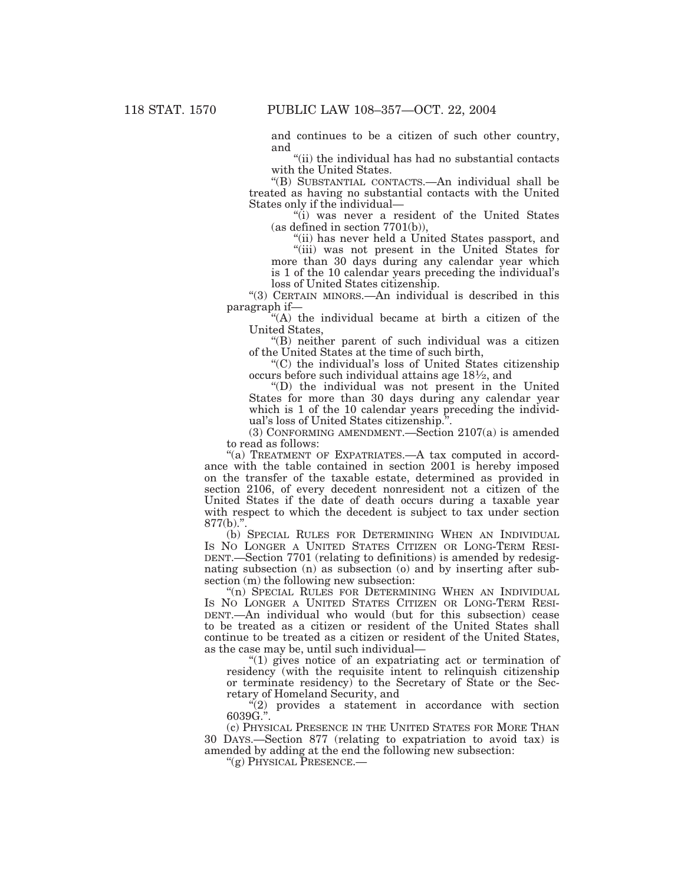and continues to be a citizen of such other country, and

''(ii) the individual has had no substantial contacts with the United States.

''(B) SUBSTANTIAL CONTACTS.—An individual shall be treated as having no substantial contacts with the United States only if the individual—

''(i) was never a resident of the United States (as defined in section 7701(b)),

''(ii) has never held a United States passport, and ''(iii) was not present in the United States for

more than 30 days during any calendar year which is 1 of the 10 calendar years preceding the individual's loss of United States citizenship.

''(3) CERTAIN MINORS.—An individual is described in this paragraph if—

''(A) the individual became at birth a citizen of the United States,

''(B) neither parent of such individual was a citizen of the United States at the time of such birth,

''(C) the individual's loss of United States citizenship occurs before such individual attains age 181⁄2, and

''(D) the individual was not present in the United States for more than 30 days during any calendar year which is 1 of the 10 calendar years preceding the individual's loss of United States citizenship.''.

(3) CONFORMING AMENDMENT.—Section 2107(a) is amended to read as follows:

"(a) TREATMENT OF EXPATRIATES. A tax computed in accordance with the table contained in section 2001 is hereby imposed on the transfer of the taxable estate, determined as provided in section 2106, of every decedent nonresident not a citizen of the United States if the date of death occurs during a taxable year with respect to which the decedent is subject to tax under section 877(b).''.

(b) SPECIAL RULES FOR DETERMINING WHEN AN INDIVIDUAL IS NO LONGER A UNITED STATES CITIZEN OR LONG-TERM RESI-DENT.—Section 7701 (relating to definitions) is amended by redesignating subsection (n) as subsection (o) and by inserting after subsection (m) the following new subsection:

"(n) SPECIAL RULES FOR DETERMINING WHEN AN INDIVIDUAL IS NO LONGER A UNITED STATES CITIZEN OR LONG-TERM RESI-DENT.—An individual who would (but for this subsection) cease to be treated as a citizen or resident of the United States shall continue to be treated as a citizen or resident of the United States, as the case may be, until such individual—

"(1) gives notice of an expatriating act or termination of residency (with the requisite intent to relinquish citizenship or terminate residency) to the Secretary of State or the Secretary of Homeland Security, and

 $(2)$  provides a statement in accordance with section 6039G.''.

(c) PHYSICAL PRESENCE IN THE UNITED STATES FOR MORE THAN 30 DAYS.—Section 877 (relating to expatriation to avoid tax) is amended by adding at the end the following new subsection:

''(g) PHYSICAL PRESENCE.—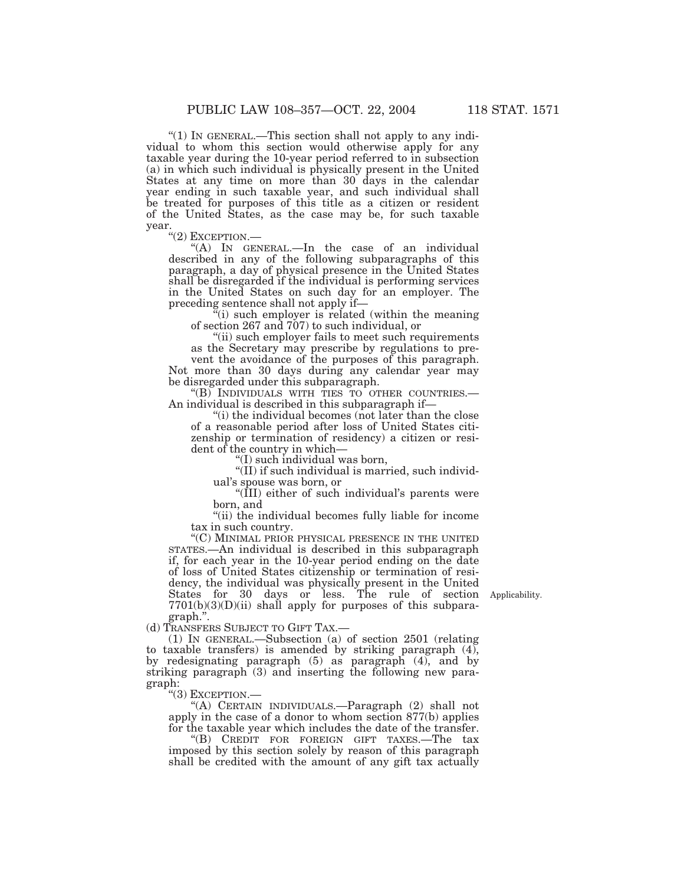''(1) IN GENERAL.—This section shall not apply to any individual to whom this section would otherwise apply for any taxable year during the 10-year period referred to in subsection (a) in which such individual is physically present in the United States at any time on more than 30 days in the calendar year ending in such taxable year, and such individual shall be treated for purposes of this title as a citizen or resident of the United States, as the case may be, for such taxable year.

" $(2)$  EXCEPTION.—

"(A) In GENERAL.—In the case of an individual described in any of the following subparagraphs of this paragraph, a day of physical presence in the United States shall be disregarded if the individual is performing services in the United States on such day for an employer. The preceding sentence shall not apply if—

 $(i)$  such employer is related (within the meaning of section 267 and 707) to such individual, or

"(ii) such employer fails to meet such requirements as the Secretary may prescribe by regulations to pre-

vent the avoidance of the purposes of this paragraph. Not more than 30 days during any calendar year may be disregarded under this subparagraph.

''(B) INDIVIDUALS WITH TIES TO OTHER COUNTRIES.— An individual is described in this subparagraph if—

''(i) the individual becomes (not later than the close of a reasonable period after loss of United States citizenship or termination of residency) a citizen or resident of the country in which—

''(I) such individual was born,

''(II) if such individual is married, such individual's spouse was born, or

" $(\overline{III})$  either of such individual's parents were born, and

''(ii) the individual becomes fully liable for income tax in such country.

''(C) MINIMAL PRIOR PHYSICAL PRESENCE IN THE UNITED STATES.—An individual is described in this subparagraph if, for each year in the 10-year period ending on the date of loss of United States citizenship or termination of residency, the individual was physically present in the United States for 30 days or less. The rule of section Applicability. 7701(b)(3)(D)(ii) shall apply for purposes of this subparagraph.''.

(d) TRANSFERS SUBJECT TO GIFT TAX.—

(1) IN GENERAL.—Subsection (a) of section 2501 (relating to taxable transfers) is amended by striking paragraph (4), by redesignating paragraph (5) as paragraph (4), and by striking paragraph (3) and inserting the following new paragraph:

''(3) EXCEPTION.—

''(A) CERTAIN INDIVIDUALS.—Paragraph (2) shall not apply in the case of a donor to whom section 877(b) applies for the taxable year which includes the date of the transfer.

''(B) CREDIT FOR FOREIGN GIFT TAXES.—The tax imposed by this section solely by reason of this paragraph shall be credited with the amount of any gift tax actually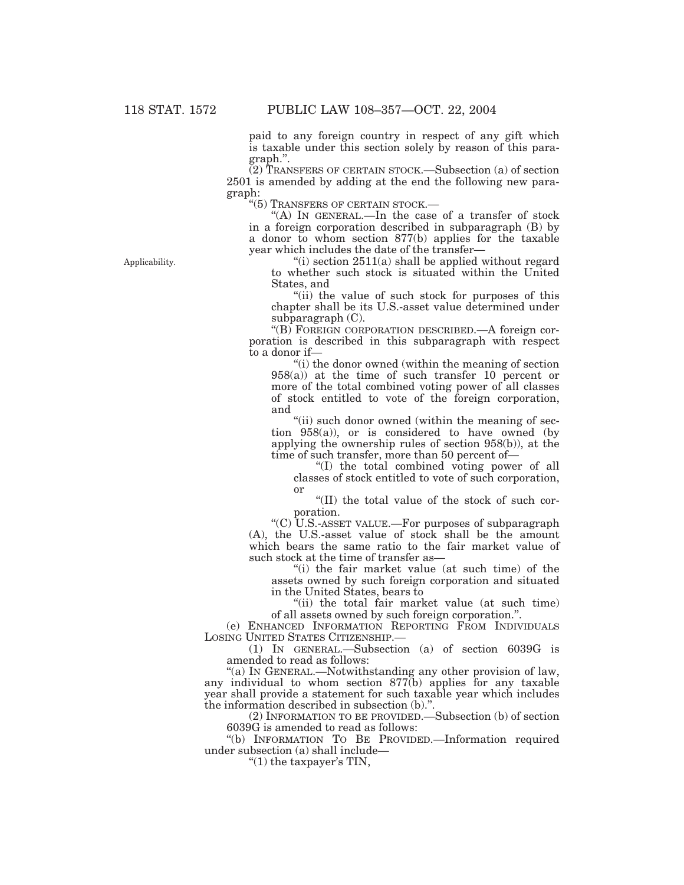paid to any foreign country in respect of any gift which is taxable under this section solely by reason of this paragraph.''.

 $(2)$  TRANSFERS OF CERTAIN STOCK.—Subsection (a) of section 2501 is amended by adding at the end the following new paragraph:

''(5) TRANSFERS OF CERTAIN STOCK.—

''(A) IN GENERAL.—In the case of a transfer of stock in a foreign corporation described in subparagraph (B) by a donor to whom section 877(b) applies for the taxable year which includes the date of the transfer—

" $(i)$  section  $2511(a)$  shall be applied without regard to whether such stock is situated within the United States, and

"(ii) the value of such stock for purposes of this chapter shall be its U.S.-asset value determined under subparagraph  $(C)$ .

''(B) FOREIGN CORPORATION DESCRIBED.—A foreign corporation is described in this subparagraph with respect to a donor if—

''(i) the donor owned (within the meaning of section  $958(a)$  at the time of such transfer 10 percent or more of the total combined voting power of all classes of stock entitled to vote of the foreign corporation, and

"(ii) such donor owned (within the meaning of section 958(a)), or is considered to have owned (by applying the ownership rules of section 958(b)), at the time of such transfer, more than 50 percent of—

''(I) the total combined voting power of all classes of stock entitled to vote of such corporation, or

''(II) the total value of the stock of such corporation.

''(C) U.S.-ASSET VALUE.—For purposes of subparagraph (A), the U.S.-asset value of stock shall be the amount which bears the same ratio to the fair market value of such stock at the time of transfer as—

''(i) the fair market value (at such time) of the assets owned by such foreign corporation and situated in the United States, bears to

"(ii) the total fair market value (at such time) of all assets owned by such foreign corporation.''.

(e) ENHANCED INFORMATION REPORTING FROM INDIVIDUALS LOSING UNITED STATES CITIZENSHIP.—

(1) IN GENERAL.—Subsection (a) of section 6039G is amended to read as follows:

''(a) IN GENERAL.—Notwithstanding any other provision of law, any individual to whom section  $877(b)$  applies for any taxable year shall provide a statement for such taxable year which includes the information described in subsection (b).''.

(2) INFORMATION TO BE PROVIDED.—Subsection (b) of section 6039G is amended to read as follows:

''(b) INFORMATION TO BE PROVIDED.—Information required under subsection (a) shall include—

" $(1)$  the taxpayer's TIN,

Applicability.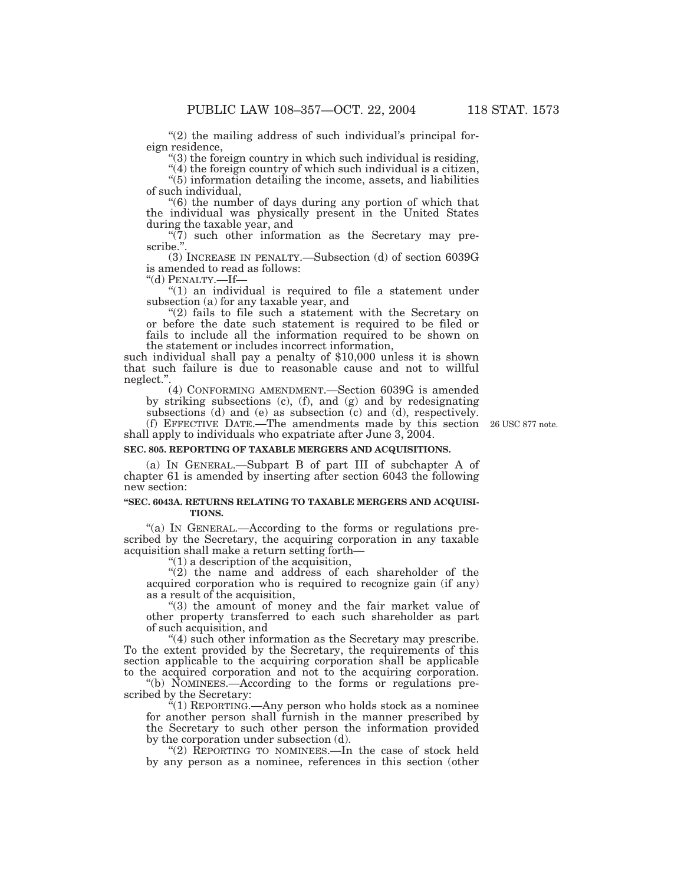$(2)$  the mailing address of such individual's principal foreign residence,

''(3) the foreign country in which such individual is residing,

 $''(4)$  the foreign country of which such individual is a citizen,  $\sqrt[4]{(5)}$  information detailing the income, assets, and liabilities

of such individual,

''(6) the number of days during any portion of which that the individual was physically present in the United States during the taxable year, and

"(7) such other information as the Secretary may prescribe.".

(3) INCREASE IN PENALTY.—Subsection (d) of section 6039G is amended to read as follows:

''(d) PENALTY.—If—

 $''(1)$  an individual is required to file a statement under subsection (a) for any taxable year, and

 $''(2)$  fails to file such a statement with the Secretary on or before the date such statement is required to be filed or fails to include all the information required to be shown on the statement or includes incorrect information,

such individual shall pay a penalty of \$10,000 unless it is shown that such failure is due to reasonable cause and not to willful neglect.''.

(4) CONFORMING AMENDMENT.—Section 6039G is amended by striking subsections (c), (f), and (g) and by redesignating subsections (d) and (e) as subsection (c) and (d), respectively. (f) EFFECTIVE DATE.—The amendments made by this section 26 USC 877 note.

#### **SEC. 805. REPORTING OF TAXABLE MERGERS AND ACQUISITIONS.**

shall apply to individuals who expatriate after June 3, 2004.

(a) IN GENERAL.—Subpart B of part III of subchapter A of chapter 61 is amended by inserting after section 6043 the following new section:

#### **''SEC. 6043A. RETURNS RELATING TO TAXABLE MERGERS AND ACQUISI-TIONS.**

"(a) IN GENERAL.—According to the forms or regulations prescribed by the Secretary, the acquiring corporation in any taxable acquisition shall make a return setting forth—

''(1) a description of the acquisition,

 $(2)$  the name and address of each shareholder of the acquired corporation who is required to recognize gain (if any) as a result of the acquisition,

"(3) the amount of money and the fair market value of other property transferred to each such shareholder as part of such acquisition, and

"(4) such other information as the Secretary may prescribe. To the extent provided by the Secretary, the requirements of this section applicable to the acquiring corporation shall be applicable to the acquired corporation and not to the acquiring corporation.

''(b) NOMINEES.—According to the forms or regulations prescribed by the Secretary:

 $^{a}(1)$  REPORTING.—Any person who holds stock as a nominee for another person shall furnish in the manner prescribed by the Secretary to such other person the information provided by the corporation under subsection (d).

"(2) REPORTING TO NOMINEES.—In the case of stock held by any person as a nominee, references in this section (other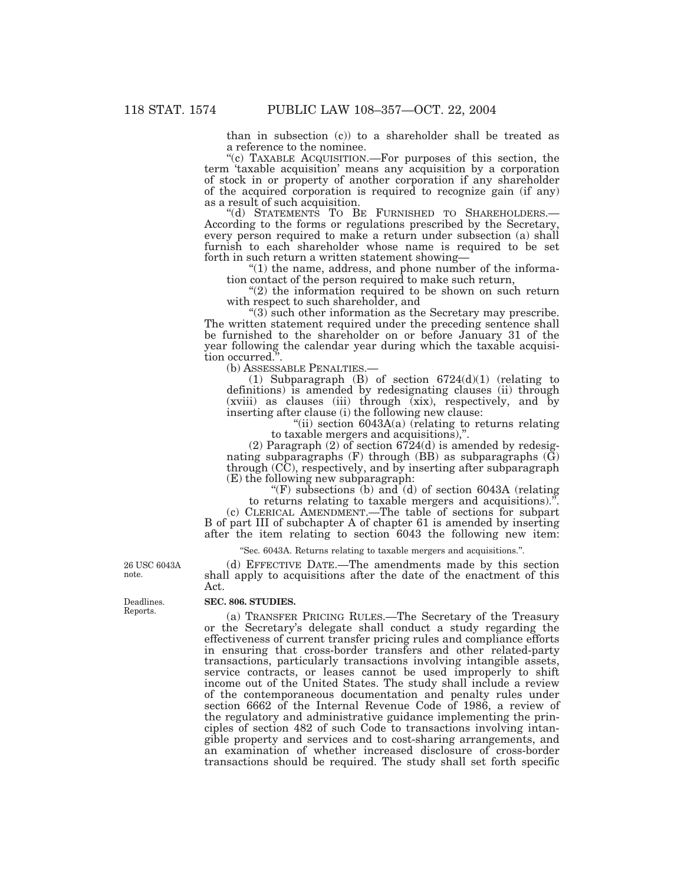than in subsection (c)) to a shareholder shall be treated as a reference to the nominee.

''(c) TAXABLE ACQUISITION.—For purposes of this section, the term 'taxable acquisition' means any acquisition by a corporation of stock in or property of another corporation if any shareholder of the acquired corporation is required to recognize gain (if any)

as a result of such acquisition.<br>
"(d) STATEMENTS TO BE FURNISHED TO SHAREHOLDERS.— According to the forms or regulations prescribed by the Secretary, every person required to make a return under subsection (a) shall furnish to each shareholder whose name is required to be set forth in such return a written statement showing—

" $(1)$  the name, address, and phone number of the information contact of the person required to make such return,

" $(2)$  the information required to be shown on such return with respect to such shareholder, and

 $"(3)$  such other information as the Secretary may prescribe. The written statement required under the preceding sentence shall be furnished to the shareholder on or before January 31 of the year following the calendar year during which the taxable acquisition occurred.".<br>(b) ASSESSABLE PENALTIES.-

(1) Subparagraph (B) of section  $6724\text{d}(1)$  (relating to definitions) is amended by redesignating clauses (ii) through  $(xviii)$  as clauses (iii) through  $(xix)$ , respectively, and by inserting after clause (i) the following new clause:

"(ii) section 6043A(a) (relating to returns relating to taxable mergers and acquisitions),''.

(2) Paragraph (2) of section  $6724(d)$  is amended by redesignating subparagraphs  $(F)$  through  $(BB)$  as subparagraphs  $(G)$ through (CC), respectively, and by inserting after subparagraph (E) the following new subparagraph:

"(F) subsections (b) and (d) of section 6043A (relating to returns relating to taxable mergers and acquisitions). (c) CLERICAL AMENDMENT.—The table of sections for subpart

B of part III of subchapter A of chapter 61 is amended by inserting after the item relating to section 6043 the following new item:

''Sec. 6043A. Returns relating to taxable mergers and acquisitions.''.

(d) EFFECTIVE DATE.—The amendments made by this section shall apply to acquisitions after the date of the enactment of this Act.

## **SEC. 806. STUDIES.**

(a) TRANSFER PRICING RULES.—The Secretary of the Treasury or the Secretary's delegate shall conduct a study regarding the effectiveness of current transfer pricing rules and compliance efforts in ensuring that cross-border transfers and other related-party transactions, particularly transactions involving intangible assets, service contracts, or leases cannot be used improperly to shift income out of the United States. The study shall include a review of the contemporaneous documentation and penalty rules under section 6662 of the Internal Revenue Code of 1986, a review of the regulatory and administrative guidance implementing the principles of section 482 of such Code to transactions involving intangible property and services and to cost-sharing arrangements, and an examination of whether increased disclosure of cross-border transactions should be required. The study shall set forth specific

26 USC 6043A note.

Deadlines. Reports.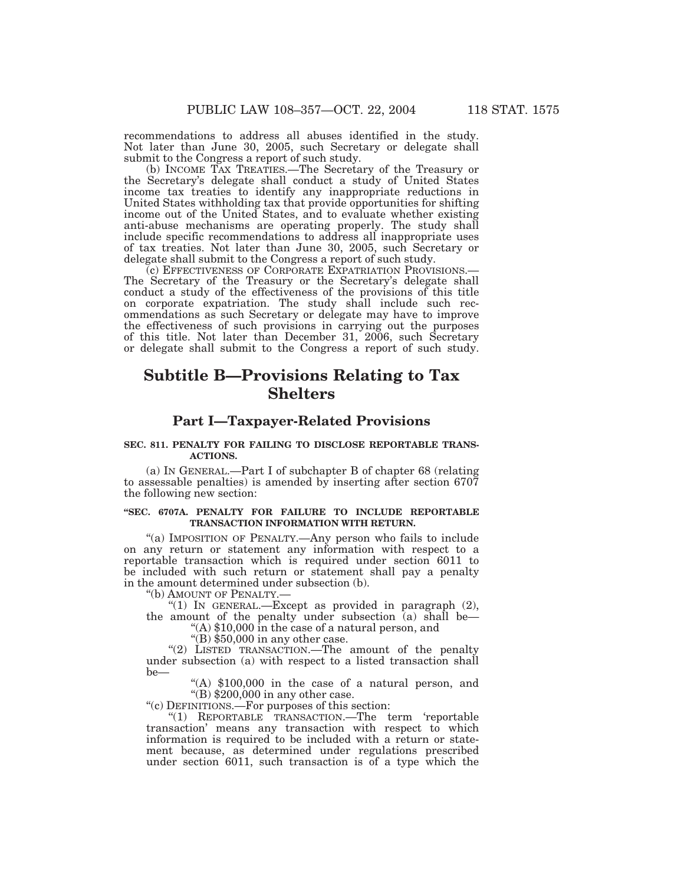recommendations to address all abuses identified in the study. Not later than June 30, 2005, such Secretary or delegate shall submit to the Congress a report of such study.

(b) INCOME TAX TREATIES.—The Secretary of the Treasury or the Secretary's delegate shall conduct a study of United States income tax treaties to identify any inappropriate reductions in United States withholding tax that provide opportunities for shifting income out of the United States, and to evaluate whether existing anti-abuse mechanisms are operating properly. The study shall include specific recommendations to address all inappropriate uses of tax treaties. Not later than June 30, 2005, such Secretary or delegate shall submit to the Congress a report of such study.

(c) EFFECTIVENESS OF CORPORATE EXPATRIATION PROVISIONS.— The Secretary of the Treasury or the Secretary's delegate shall conduct a study of the effectiveness of the provisions of this title on corporate expatriation. The study shall include such recommendations as such Secretary or delegate may have to improve the effectiveness of such provisions in carrying out the purposes of this title. Not later than December 31, 2006, such Secretary or delegate shall submit to the Congress a report of such study.

# **Subtitle B—Provisions Relating to Tax Shelters**

## **Part I—Taxpayer-Related Provisions**

## **SEC. 811. PENALTY FOR FAILING TO DISCLOSE REPORTABLE TRANS-ACTIONS.**

(a) IN GENERAL.—Part I of subchapter B of chapter 68 (relating to assessable penalties) is amended by inserting after section 6707 the following new section:

## **''SEC. 6707A. PENALTY FOR FAILURE TO INCLUDE REPORTABLE TRANSACTION INFORMATION WITH RETURN.**

"(a) IMPOSITION OF PENALTY.—Any person who fails to include on any return or statement any information with respect to a reportable transaction which is required under section 6011 to be included with such return or statement shall pay a penalty in the amount determined under subsection (b).

''(b) AMOUNT OF PENALTY.—

"(1) In GENERAL.—Except as provided in paragraph (2), the amount of the penalty under subsection (a) shall be—

"(A)  $$10,000$  in the case of a natural person, and

" $(B)$  \$50,000 in any other case.

"(2) LISTED TRANSACTION.—The amount of the penalty under subsection (a) with respect to a listed transaction shall be—

"(A)  $$100,000$  in the case of a natural person, and "(B)  $$200,000$  in any other case.

''(c) DEFINITIONS.—For purposes of this section:

"(1) REPORTABLE TRANSACTION.—The term 'reportable transaction' means any transaction with respect to which information is required to be included with a return or statement because, as determined under regulations prescribed under section 6011, such transaction is of a type which the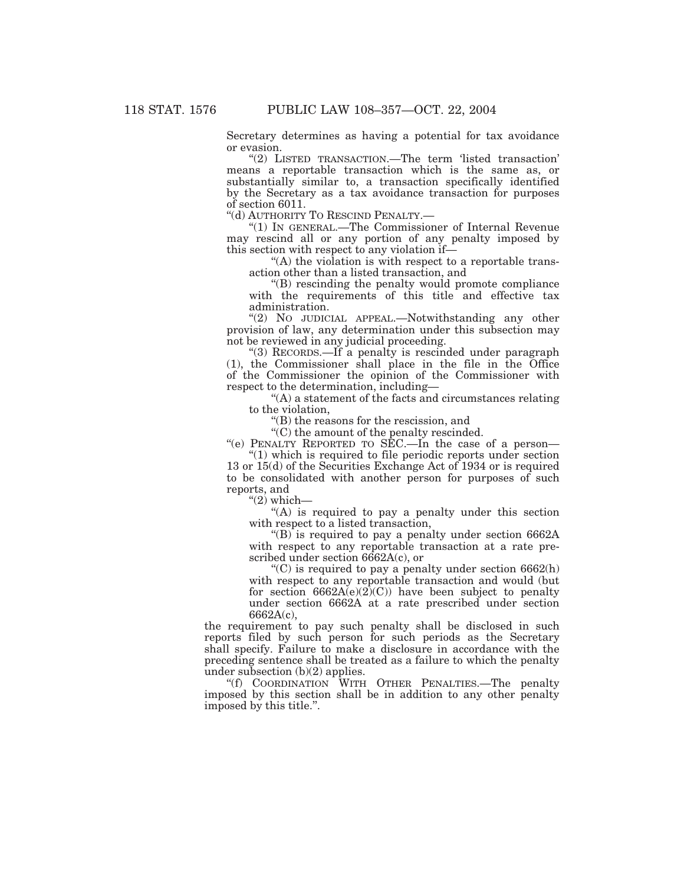Secretary determines as having a potential for tax avoidance or evasion.

''(2) LISTED TRANSACTION.—The term 'listed transaction' means a reportable transaction which is the same as, or substantially similar to, a transaction specifically identified by the Secretary as a tax avoidance transaction for purposes of section 6011.

''(d) AUTHORITY TO RESCIND PENALTY.—

''(1) IN GENERAL.—The Commissioner of Internal Revenue may rescind all or any portion of any penalty imposed by this section with respect to any violation if—

"(A) the violation is with respect to a reportable transaction other than a listed transaction, and

''(B) rescinding the penalty would promote compliance with the requirements of this title and effective tax administration.

"(2) NO JUDICIAL APPEAL.—Notwithstanding any other provision of law, any determination under this subsection may not be reviewed in any judicial proceeding.

"(3) RECORDS.—If a penalty is rescinded under paragraph (1), the Commissioner shall place in the file in the Office of the Commissioner the opinion of the Commissioner with respect to the determination, including—

''(A) a statement of the facts and circumstances relating to the violation,

''(B) the reasons for the rescission, and

''(C) the amount of the penalty rescinded.

"(e) PENALTY REPORTED TO SEC.—In the case of a person—

 $''(1)$  which is required to file periodic reports under section 13 or 15(d) of the Securities Exchange Act of 1934 or is required to be consolidated with another person for purposes of such reports, and

" $(2)$  which-

''(A) is required to pay a penalty under this section with respect to a listed transaction,

"(B) is required to pay a penalty under section  $6662A$ with respect to any reportable transaction at a rate prescribed under section 6662A(c), or

 $C$ ) is required to pay a penalty under section 6662(h) with respect to any reportable transaction and would (but for section  $6662A(e)(2)(C)$  have been subject to penalty under section 6662A at a rate prescribed under section 6662A(c),

the requirement to pay such penalty shall be disclosed in such reports filed by such person for such periods as the Secretary shall specify. Failure to make a disclosure in accordance with the preceding sentence shall be treated as a failure to which the penalty under subsection (b)(2) applies.

''(f) COORDINATION WITH OTHER PENALTIES.—The penalty imposed by this section shall be in addition to any other penalty imposed by this title.''.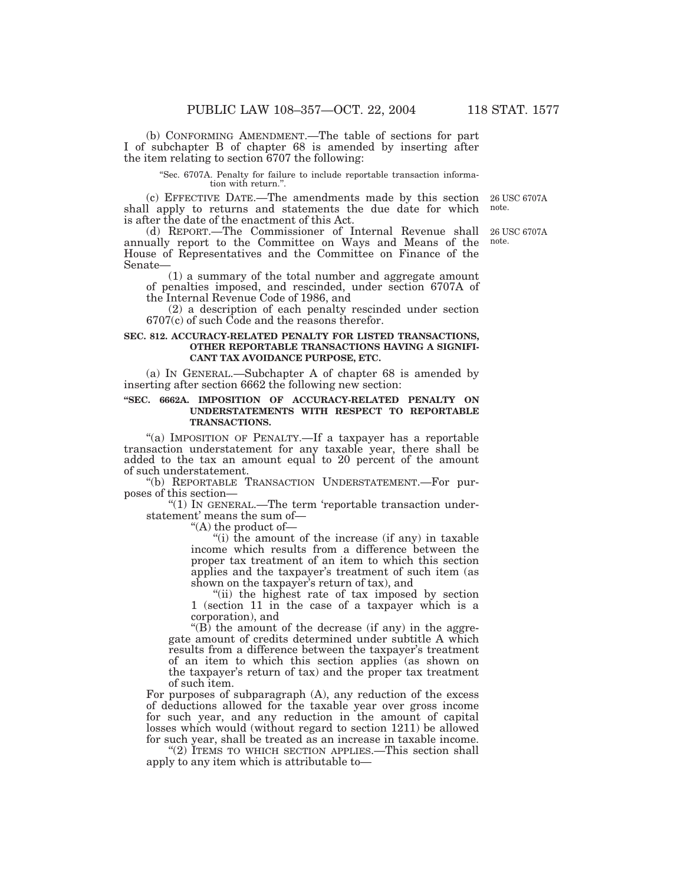(b) CONFORMING AMENDMENT.—The table of sections for part I of subchapter B of chapter 68 is amended by inserting after the item relating to section 6707 the following:

''Sec. 6707A. Penalty for failure to include reportable transaction information with return.''.

(c) EFFECTIVE DATE.—The amendments made by this section shall apply to returns and statements the due date for which is after the date of the enactment of this Act.

(d) REPORT.—The Commissioner of Internal Revenue shall annually report to the Committee on Ways and Means of the House of Representatives and the Committee on Finance of the Senate note.

(1) a summary of the total number and aggregate amount of penalties imposed, and rescinded, under section 6707A of the Internal Revenue Code of 1986, and

(2) a description of each penalty rescinded under section 6707(c) of such Code and the reasons therefor.

#### **SEC. 812. ACCURACY-RELATED PENALTY FOR LISTED TRANSACTIONS, OTHER REPORTABLE TRANSACTIONS HAVING A SIGNIFI-CANT TAX AVOIDANCE PURPOSE, ETC.**

(a) IN GENERAL.—Subchapter A of chapter 68 is amended by inserting after section 6662 the following new section:

## **''SEC. 6662A. IMPOSITION OF ACCURACY-RELATED PENALTY ON UNDERSTATEMENTS WITH RESPECT TO REPORTABLE TRANSACTIONS.**

"(a) IMPOSITION OF PENALTY.—If a taxpayer has a reportable transaction understatement for any taxable year, there shall be added to the tax an amount equal to 20 percent of the amount of such understatement.

''(b) REPORTABLE TRANSACTION UNDERSTATEMENT.—For purposes of this section—

''(1) IN GENERAL.—The term 'reportable transaction understatement' means the sum of—

''(A) the product of—

"(i) the amount of the increase (if any) in taxable income which results from a difference between the proper tax treatment of an item to which this section applies and the taxpayer's treatment of such item (as shown on the taxpayer's return of tax), and

"(ii) the highest rate of tax imposed by section 1 (section 11 in the case of a taxpayer which is a corporation), and

 $\mathrm{``(B)}$  the amount of the decrease (if any) in the aggregate amount of credits determined under subtitle A which results from a difference between the taxpayer's treatment of an item to which this section applies (as shown on the taxpayer's return of tax) and the proper tax treatment of such item.

For purposes of subparagraph (A), any reduction of the excess of deductions allowed for the taxable year over gross income for such year, and any reduction in the amount of capital losses which would (without regard to section 1211) be allowed for such year, shall be treated as an increase in taxable income.

"(2) ITEMS TO WHICH SECTION APPLIES.—This section shall apply to any item which is attributable to—

26 USC 6707A note.

26 USC 6707A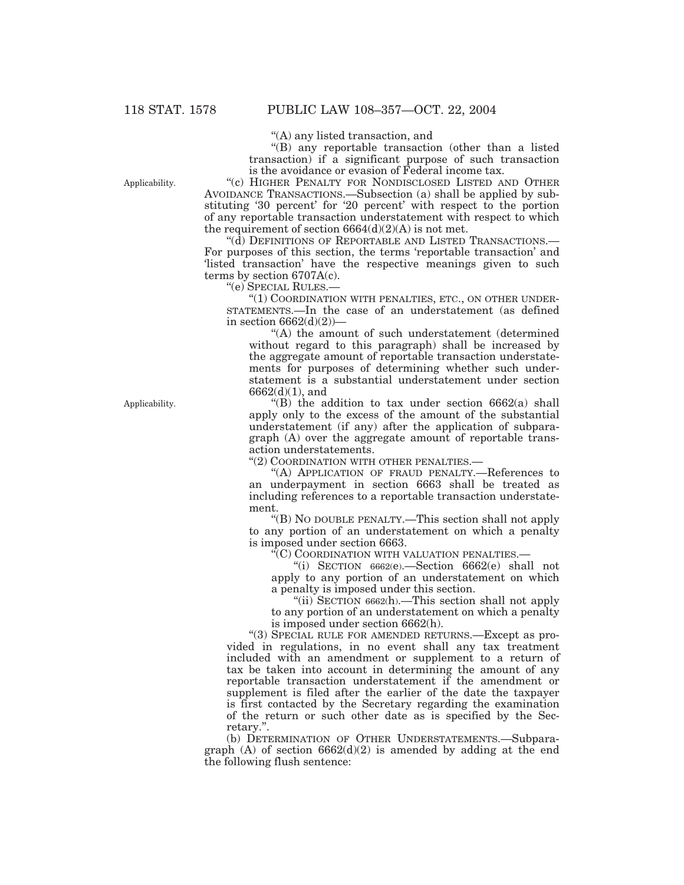''(A) any listed transaction, and

''(B) any reportable transaction (other than a listed transaction) if a significant purpose of such transaction is the avoidance or evasion of Federal income tax.

''(c) HIGHER PENALTY FOR NONDISCLOSED LISTED AND OTHER AVOIDANCE TRANSACTIONS.—Subsection (a) shall be applied by substituting '30 percent' for '20 percent' with respect to the portion of any reportable transaction understatement with respect to which the requirement of section  $6664(d)(2)(A)$  is not met.

" $(d)$  DEFINITIONS OF REPORTABLE AND LISTED TRANSACTIONS.— For purposes of this section, the terms 'reportable transaction' and 'listed transaction' have the respective meanings given to such terms by section 6707A(c).

''(e) SPECIAL RULES.—

"(1) COORDINATION WITH PENALTIES, ETC., ON OTHER UNDER-STATEMENTS.—In the case of an understatement (as defined in section  $6662(d)(2)$ 

''(A) the amount of such understatement (determined without regard to this paragraph) shall be increased by the aggregate amount of reportable transaction understatements for purposes of determining whether such understatement is a substantial understatement under section 6662(d)(1), and

"(B) the addition to tax under section  $6662(a)$  shall apply only to the excess of the amount of the substantial understatement (if any) after the application of subparagraph (A) over the aggregate amount of reportable transaction understatements.

''(2) COORDINATION WITH OTHER PENALTIES.—

"(A) APPLICATION OF FRAUD PENALTY.-References to an underpayment in section 6663 shall be treated as including references to a reportable transaction understatement.

''(B) NO DOUBLE PENALTY.—This section shall not apply to any portion of an understatement on which a penalty is imposed under section 6663.

''(C) COORDINATION WITH VALUATION PENALTIES.—

"(i) SECTION  $6662(e)$ .—Section  $6662(e)$  shall not apply to any portion of an understatement on which a penalty is imposed under this section.

''(ii) SECTION 6662(h).—This section shall not apply to any portion of an understatement on which a penalty is imposed under section 6662(h).

''(3) SPECIAL RULE FOR AMENDED RETURNS.—Except as provided in regulations, in no event shall any tax treatment included with an amendment or supplement to a return of tax be taken into account in determining the amount of any reportable transaction understatement if the amendment or supplement is filed after the earlier of the date the taxpayer is first contacted by the Secretary regarding the examination of the return or such other date as is specified by the Secretary.''.

(b) DETERMINATION OF OTHER UNDERSTATEMENTS.—Subparagraph  $(A)$  of section  $6662(d)(2)$  is amended by adding at the end the following flush sentence:

Applicability.

Applicability.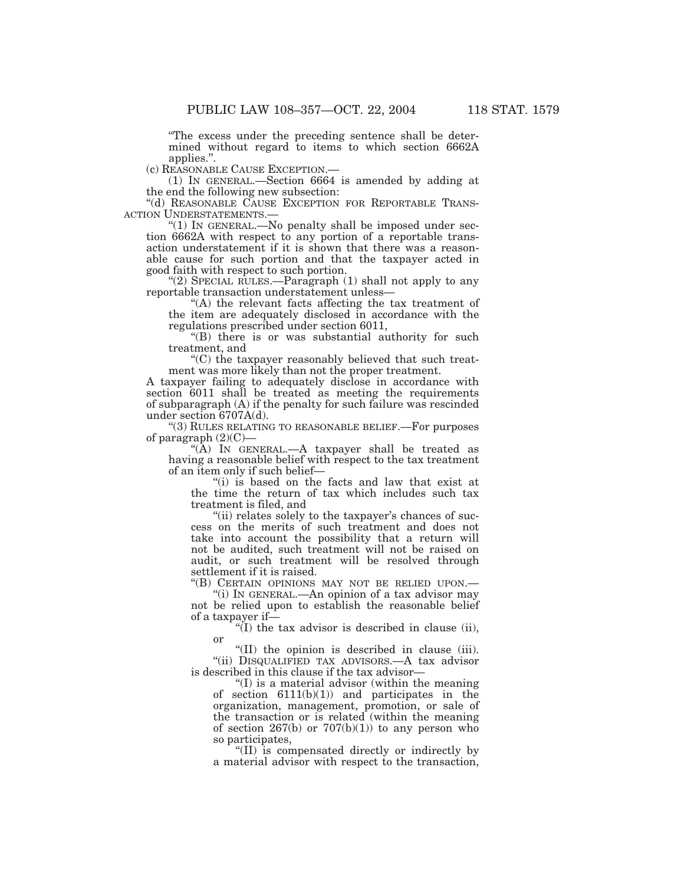''The excess under the preceding sentence shall be determined without regard to items to which section 6662A applies."

(c) REASONABLE CAUSE EXCEPTION.—

(1) IN GENERAL.—Section 6664 is amended by adding at the end the following new subsection:

''(d) REASONABLE CAUSE EXCEPTION FOR REPORTABLE TRANS-ACTION UNDERSTATEMENTS.—

" $(1)$  In GENERAL.—No penalty shall be imposed under section 6662A with respect to any portion of a reportable transaction understatement if it is shown that there was a reasonable cause for such portion and that the taxpayer acted in good faith with respect to such portion.

"(2) SPECIAL RULES.—Paragraph (1) shall not apply to any reportable transaction understatement unless—

''(A) the relevant facts affecting the tax treatment of the item are adequately disclosed in accordance with the regulations prescribed under section 6011,

"(B) there is or was substantial authority for such treatment, and

 $C$ ) the taxpayer reasonably believed that such treatment was more likely than not the proper treatment.

A taxpayer failing to adequately disclose in accordance with section 6011 shall be treated as meeting the requirements of subparagraph (A) if the penalty for such failure was rescinded under section 6707A(d).

''(3) RULES RELATING TO REASONABLE BELIEF.—For purposes of paragraph  $(2)(C)$ —

"( $\overline{A}$ ) In GENERAL.— $\overline{A}$  taxpayer shall be treated as having a reasonable belief with respect to the tax treatment of an item only if such belief—

''(i) is based on the facts and law that exist at the time the return of tax which includes such tax treatment is filed, and

"(ii) relates solely to the taxpayer's chances of success on the merits of such treatment and does not take into account the possibility that a return will not be audited, such treatment will not be raised on audit, or such treatment will be resolved through settlement if it is raised.

''(B) CERTAIN OPINIONS MAY NOT BE RELIED UPON.—

''(i) IN GENERAL.—An opinion of a tax advisor may not be relied upon to establish the reasonable belief of a taxpayer if—

 $\sqrt{\text{I}}$ ) the tax advisor is described in clause (ii), or

''(II) the opinion is described in clause (iii). ''(ii) DISQUALIFIED TAX ADVISORS.—A tax advisor is described in this clause if the tax advisor—

''(I) is a material advisor (within the meaning of section 6111(b)(1)) and participates in the organization, management, promotion, or sale of the transaction or is related (within the meaning of section  $267(b)$  or  $707(b)(1)$  to any person who so participates,

''(II) is compensated directly or indirectly by a material advisor with respect to the transaction,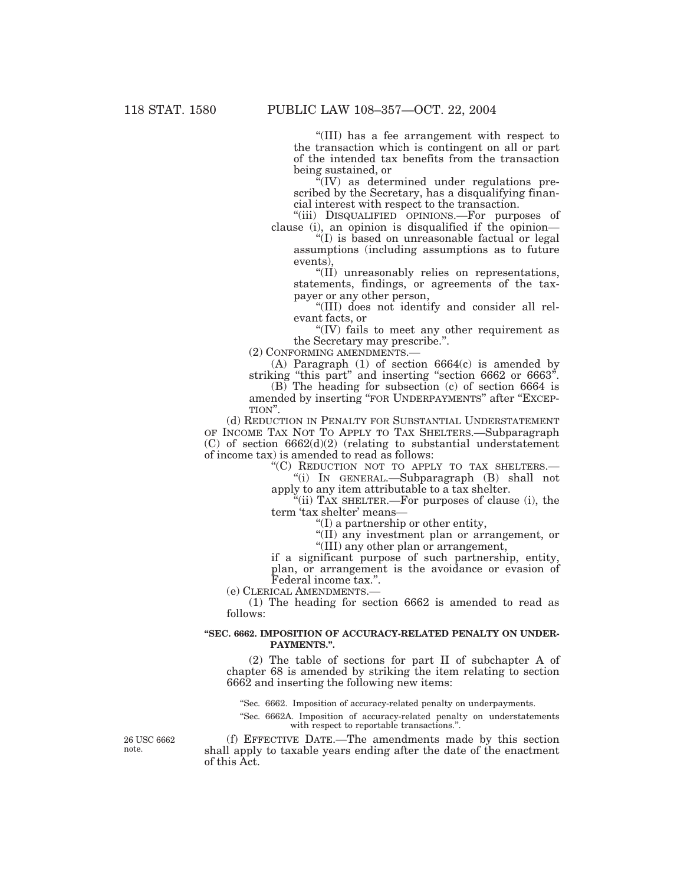''(III) has a fee arrangement with respect to the transaction which is contingent on all or part of the intended tax benefits from the transaction being sustained, or

 $\sqrt{N}$  as determined under regulations prescribed by the Secretary, has a disqualifying financial interest with respect to the transaction.

''(iii) DISQUALIFIED OPINIONS.—For purposes of clause (i), an opinion is disqualified if the opinion—

''(I) is based on unreasonable factual or legal assumptions (including assumptions as to future events),

''(II) unreasonably relies on representations, statements, findings, or agreements of the taxpayer or any other person,

''(III) does not identify and consider all relevant facts, or

''(IV) fails to meet any other requirement as the Secretary may prescribe.''.

(2) CONFORMING AMENDMENTS.—

(A) Paragraph  $(1)$  of section 6664 $(c)$  is amended by striking "this part" and inserting "section 6662 or 6663".

(B) The heading for subsection (c) of section 6664 is amended by inserting ''FOR UNDERPAYMENTS'' after ''EXCEP-TION''.

(d) REDUCTION IN PENALTY FOR SUBSTANTIAL UNDERSTATEMENT OF INCOME TAX NOT TO APPLY TO TAX SHELTERS.—Subparagraph  $(C)$  of section 6662 $(d)(2)$  (relating to substantial understatement of income tax) is amended to read as follows:

''(C) REDUCTION NOT TO APPLY TO TAX SHELTERS.— ''(i) IN GENERAL.—Subparagraph (B) shall not

apply to any item attributable to a tax shelter.

''(ii) TAX SHELTER.—For purposes of clause (i), the term 'tax shelter' means—

''(I) a partnership or other entity,

''(II) any investment plan or arrangement, or

''(III) any other plan or arrangement,

if a significant purpose of such partnership, entity, plan, or arrangement is the avoidance or evasion of Federal income tax.''.

(e) CLERICAL AMENDMENTS.—

(1) The heading for section 6662 is amended to read as follows:

## **''SEC. 6662. IMPOSITION OF ACCURACY-RELATED PENALTY ON UNDER-PAYMENTS.''.**

(2) The table of sections for part II of subchapter A of chapter 68 is amended by striking the item relating to section 6662 and inserting the following new items:

''Sec. 6662. Imposition of accuracy-related penalty on underpayments.

''Sec. 6662A. Imposition of accuracy-related penalty on understatements with respect to reportable transactions.".

(f) EFFECTIVE DATE.—The amendments made by this section shall apply to taxable years ending after the date of the enactment of this Act.

26 USC 6662 note.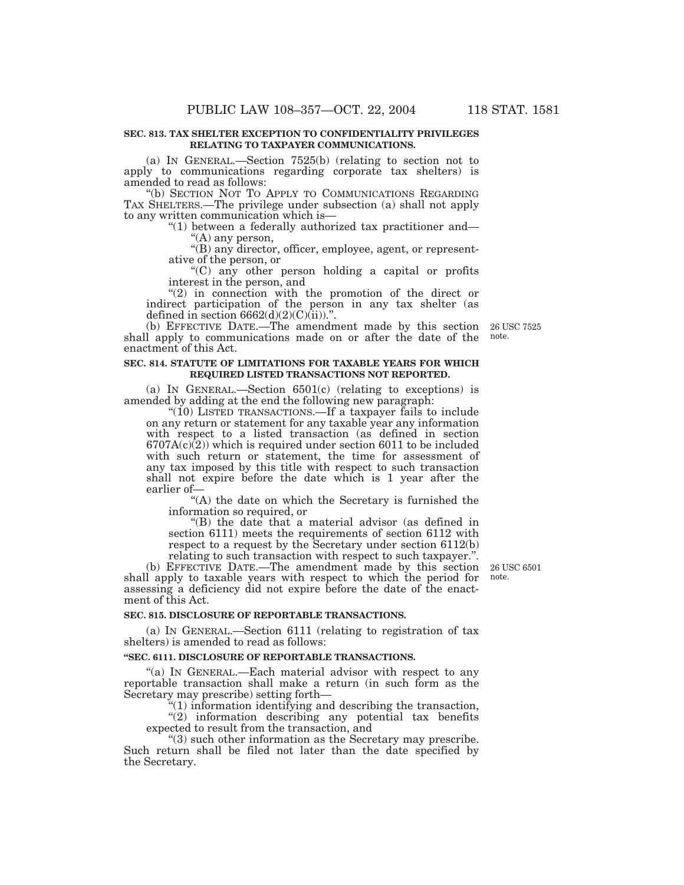#### **SEC. 813. TAX SHELTER EXCEPTION TO CONFIDENTIALITY PRIVILEGES RELATING TO TAXPAYER COMMUNICATIONS.**

(a) IN GENERAL.—Section 7525(b) (relating to section not to apply to communications regarding corporate tax shelters) is amended to read as follows:

''(b) SECTION NOT TO APPLY TO COMMUNICATIONS REGARDING TAX SHELTERS.—The privilege under subsection (a) shall not apply to any written communication which is—

''(1) between a federally authorized tax practitioner and— ''(A) any person,

''(B) any director, officer, employee, agent, or representative of the person, or

''(C) any other person holding a capital or profits interest in the person, and

" $(2)$  in connection with the promotion of the direct or indirect participation of the person in any tax shelter (as defined in section  $6662(d)(2)(C(ii))$ .".

(b) EFFECTIVE DATE.—The amendment made by this section 26 USC 7525 shall apply to communications made on or after the date of the enactment of this Act.

## **SEC. 814. STATUTE OF LIMITATIONS FOR TAXABLE YEARS FOR WHICH REQUIRED LISTED TRANSACTIONS NOT REPORTED.**

(a) IN GENERAL.—Section  $6501(c)$  (relating to exceptions) is amended by adding at the end the following new paragraph:

" $(10)$  LISTED TRANSACTIONS.—If a taxpayer fails to include on any return or statement for any taxable year any information with respect to a listed transaction (as defined in section  $6707A(c)(2)$ ) which is required under section 6011 to be included with such return or statement, the time for assessment of any tax imposed by this title with respect to such transaction shall not expire before the date which is 1 year after the earlier of-

"(A) the date on which the Secretary is furnished the information so required, or

''(B) the date that a material advisor (as defined in section 6111) meets the requirements of section 6112 with respect to a request by the Secretary under section 6112(b) relating to such transaction with respect to such taxpayer.''.

(b) EFFECTIVE DATE.—The amendment made by this section shall apply to taxable years with respect to which the period for assessing a deficiency did not expire before the date of the enactment of this Act.

## **SEC. 815. DISCLOSURE OF REPORTABLE TRANSACTIONS.**

(a) IN GENERAL.—Section 6111 (relating to registration of tax shelters) is amended to read as follows:

## **''SEC. 6111. DISCLOSURE OF REPORTABLE TRANSACTIONS.**

"(a) IN GENERAL.—Each material advisor with respect to any reportable transaction shall make a return (in such form as the Secretary may prescribe) setting forth—

''(1) information identifying and describing the transaction,

"(2) information describing any potential tax benefits expected to result from the transaction, and

''(3) such other information as the Secretary may prescribe. Such return shall be filed not later than the date specified by the Secretary.

26 USC 6501 note.

note.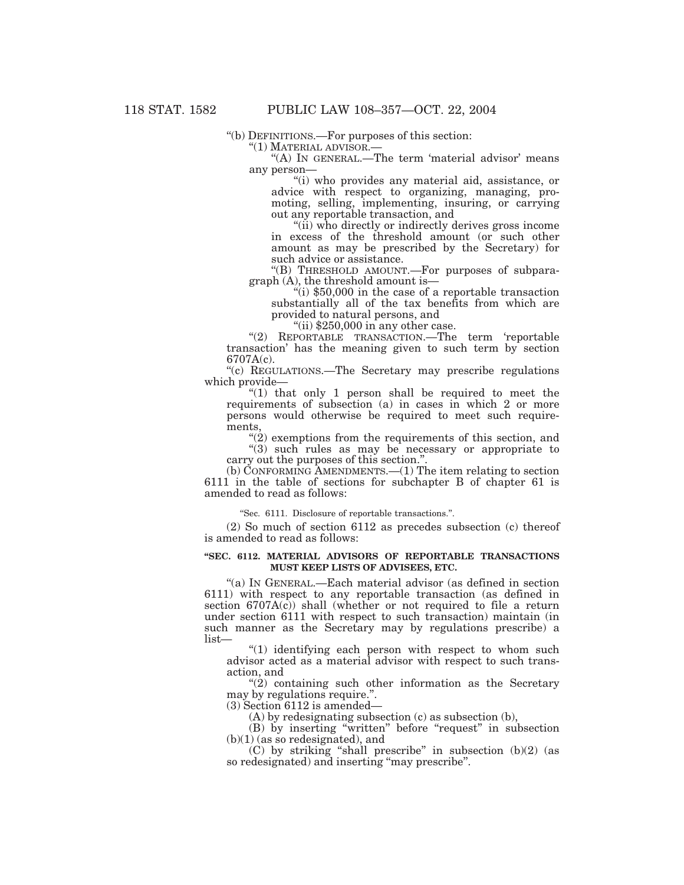''(b) DEFINITIONS.—For purposes of this section:

''(1) MATERIAL ADVISOR.—

"(A) In GENERAL.—The term 'material advisor' means any person—

''(i) who provides any material aid, assistance, or advice with respect to organizing, managing, promoting, selling, implementing, insuring, or carrying out any reportable transaction, and

''(ii) who directly or indirectly derives gross income in excess of the threshold amount (or such other amount as may be prescribed by the Secretary) for such advice or assistance.

''(B) THRESHOLD AMOUNT.—For purposes of subparagraph (A), the threshold amount is—

"(i)  $$50,000$  in the case of a reportable transaction substantially all of the tax benefits from which are provided to natural persons, and

"(ii)  $$250,000$  in any other case.

"(2) REPORTABLE TRANSACTION.—The term 'reportable transaction' has the meaning given to such term by section 6707A(c).

''(c) REGULATIONS.—The Secretary may prescribe regulations which provide—

"(1) that only 1 person shall be required to meet the requirements of subsection (a) in cases in which 2 or more persons would otherwise be required to meet such requirements,

 $(2)$  exemptions from the requirements of this section, and

"(3) such rules as may be necessary or appropriate to carry out the purposes of this section.''.

(b) CONFORMING AMENDMENTS.—(1) The item relating to section 6111 in the table of sections for subchapter B of chapter 61 is amended to read as follows:

''Sec. 6111. Disclosure of reportable transactions.''.

(2) So much of section 6112 as precedes subsection (c) thereof is amended to read as follows:

#### **''SEC. 6112. MATERIAL ADVISORS OF REPORTABLE TRANSACTIONS MUST KEEP LISTS OF ADVISEES, ETC.**

''(a) IN GENERAL.—Each material advisor (as defined in section 6111) with respect to any reportable transaction (as defined in section  $6707A(c)$  shall (whether or not required to file a return under section 6111 with respect to such transaction) maintain (in such manner as the Secretary may by regulations prescribe) a list—

"(1) identifying each person with respect to whom such advisor acted as a material advisor with respect to such transaction, and

 $(2)$  containing such other information as the Secretary may by regulations require.''.

(3) Section 6112 is amended—

(A) by redesignating subsection (c) as subsection (b),

(B) by inserting ''written'' before ''request'' in subsection (b)(1) (as so redesignated), and

 $(C)$  by striking "shall prescribe" in subsection  $(b)(2)$  (as so redesignated) and inserting ''may prescribe''.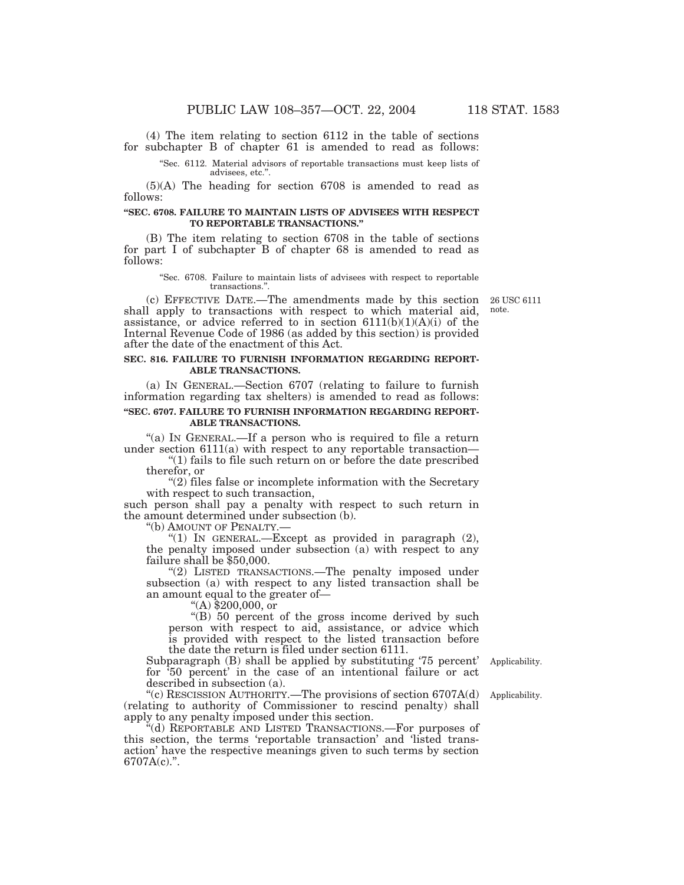(4) The item relating to section 6112 in the table of sections for subchapter B of chapter 61 is amended to read as follows:

> ''Sec. 6112. Material advisors of reportable transactions must keep lists of advisees, etc.''.

(5)(A) The heading for section 6708 is amended to read as follows:

#### **''SEC. 6708. FAILURE TO MAINTAIN LISTS OF ADVISEES WITH RESPECT TO REPORTABLE TRANSACTIONS.''**

(B) The item relating to section 6708 in the table of sections for part I of subchapter B of chapter 68 is amended to read as follows:

> ''Sec. 6708. Failure to maintain lists of advisees with respect to reportable transactions."

(c) EFFECTIVE DATE.—The amendments made by this section shall apply to transactions with respect to which material aid, assistance, or advice referred to in section  $6111(b)(1)(A)(i)$  of the Internal Revenue Code of 1986 (as added by this section) is provided after the date of the enactment of this Act.

#### **SEC. 816. FAILURE TO FURNISH INFORMATION REGARDING REPORT-ABLE TRANSACTIONS.**

(a) IN GENERAL.—Section 6707 (relating to failure to furnish information regarding tax shelters) is amended to read as follows: **''SEC. 6707. FAILURE TO FURNISH INFORMATION REGARDING REPORT-ABLE TRANSACTIONS.**

"(a) IN GENERAL.—If a person who is required to file a return under section 6111(a) with respect to any reportable transaction—

" $(1)$  fails to file such return on or before the date prescribed therefor, or

''(2) files false or incomplete information with the Secretary with respect to such transaction,

such person shall pay a penalty with respect to such return in the amount determined under subsection (b).<br>"(b) AMOUNT OF PENALTY.—

"(1) IN GENERAL.—Except as provided in paragraph  $(2)$ , the penalty imposed under subsection (a) with respect to any failure shall be \$50,000.

"(2) LISTED TRANSACTIONS.—The penalty imposed under subsection (a) with respect to any listed transaction shall be an amount equal to the greater of—

 $(4)$  \$200,000, or

 $!(B)$  50 percent of the gross income derived by such person with respect to aid, assistance, or advice which is provided with respect to the listed transaction before the date the return is filed under section 6111.

Subparagraph (B) shall be applied by substituting '75 percent' for '50 percent' in the case of an intentional failure or act described in subsection (a).

"(c) RESCISSION AUTHORITY.—The provisions of section 6707A(d) (relating to authority of Commissioner to rescind penalty) shall apply to any penalty imposed under this section.

''(d) REPORTABLE AND LISTED TRANSACTIONS.—For purposes of this section, the terms 'reportable transaction' and 'listed transaction' have the respective meanings given to such terms by section 6707A(c).''.

Applicability.

Applicability.

26 USC 6111 note.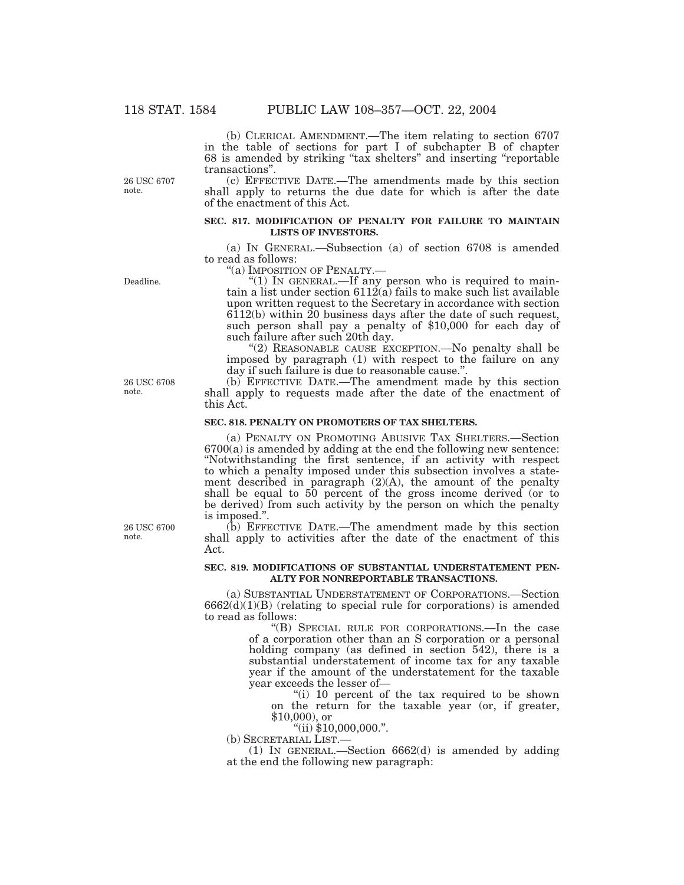(b) CLERICAL AMENDMENT.—The item relating to section 6707 in the table of sections for part I of subchapter B of chapter 68 is amended by striking ''tax shelters'' and inserting ''reportable transactions''.

26 USC 6707 note.

(c) EFFECTIVE DATE.—The amendments made by this section shall apply to returns the due date for which is after the date of the enactment of this Act.

## **SEC. 817. MODIFICATION OF PENALTY FOR FAILURE TO MAINTAIN LISTS OF INVESTORS.**

(a) IN GENERAL.—Subsection (a) of section 6708 is amended to read as follows:

''(a) IMPOSITION OF PENALTY.—

" $(1)$  In GENERAL.—If any person who is required to maintain a list under section  $6112(a)$  fails to make such list available upon written request to the Secretary in accordance with section  $6112(b)$  within  $20$  business days after the date of such request, such person shall pay a penalty of \$10,000 for each day of such failure after such 20th day.

"(2) REASONABLE CAUSE EXCEPTION.—No penalty shall be imposed by paragraph (1) with respect to the failure on any day if such failure is due to reasonable cause.'

(b) EFFECTIVE DATE.—The amendment made by this section shall apply to requests made after the date of the enactment of this Act.

## **SEC. 818. PENALTY ON PROMOTERS OF TAX SHELTERS.**

(a) PENALTY ON PROMOTING ABUSIVE TAX SHELTERS.—Section 6700(a) is amended by adding at the end the following new sentence: ''Notwithstanding the first sentence, if an activity with respect to which a penalty imposed under this subsection involves a statement described in paragraph  $(2)(A)$ , the amount of the penalty shall be equal to 50 percent of the gross income derived (or to be derived) from such activity by the person on which the penalty is imposed.''.

(b) EFFECTIVE DATE.—The amendment made by this section shall apply to activities after the date of the enactment of this Act.

## **SEC. 819. MODIFICATIONS OF SUBSTANTIAL UNDERSTATEMENT PEN-ALTY FOR NONREPORTABLE TRANSACTIONS.**

(a) SUBSTANTIAL UNDERSTATEMENT OF CORPORATIONS.—Section  $6662(d)(1)(B)$  (relating to special rule for corporations) is amended to read as follows:

> ''(B) SPECIAL RULE FOR CORPORATIONS.—In the case of a corporation other than an S corporation or a personal holding company (as defined in section 542), there is a substantial understatement of income tax for any taxable year if the amount of the understatement for the taxable year exceeds the lesser of—

"(i) 10 percent of the tax required to be shown on the return for the taxable year (or, if greater, \$10,000), or

''(ii) \$10,000,000.''.

(b) SECRETARIAL LIST.—

(1) IN GENERAL.—Section 6662(d) is amended by adding at the end the following new paragraph:

26 USC 6708 note.

26 USC 6700 note.

Deadline.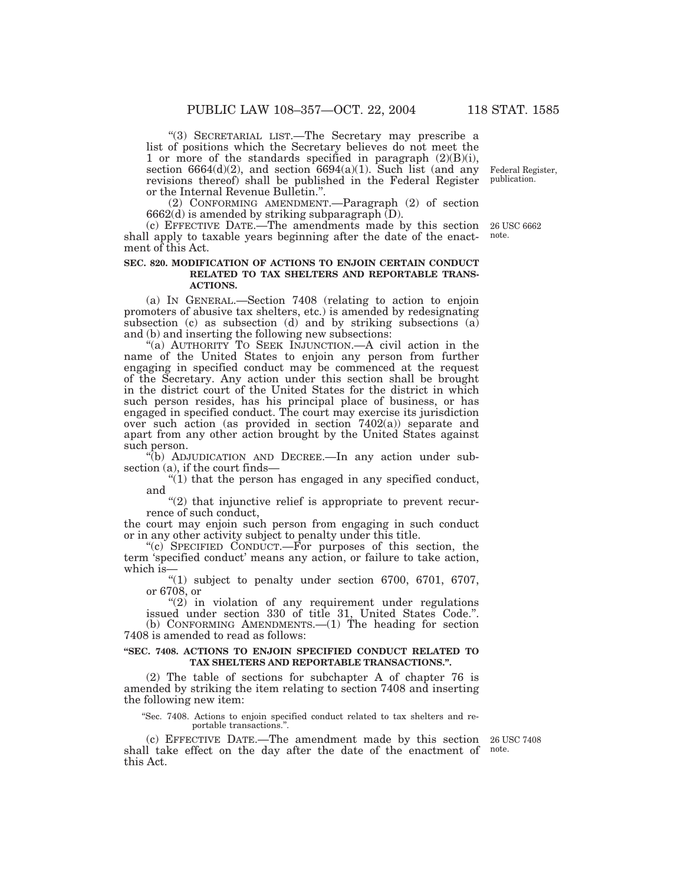''(3) SECRETARIAL LIST.—The Secretary may prescribe a list of positions which the Secretary believes do not meet the 1 or more of the standards specified in paragraph  $(2)(B)(i)$ , section 6664 $(d)(2)$ , and section 6694 $(a)(1)$ . Such list (and any revisions thereof) shall be published in the Federal Register or the Internal Revenue Bulletin.''. Federal Register, publication.

(2) CONFORMING AMENDMENT.—Paragraph (2) of section  $6662(d)$  is amended by striking subparagraph  $(D)$ .

(c) EFFECTIVE DATE.—The amendments made by this section 26 USC 6662 shall apply to taxable years beginning after the date of the enactment of this Act.

## **SEC. 820. MODIFICATION OF ACTIONS TO ENJOIN CERTAIN CONDUCT RELATED TO TAX SHELTERS AND REPORTABLE TRANS-ACTIONS.**

(a) IN GENERAL.—Section 7408 (relating to action to enjoin promoters of abusive tax shelters, etc.) is amended by redesignating subsection (c) as subsection (d) and by striking subsections (a) and (b) and inserting the following new subsections:

"(a) AUTHORITY TO SEEK INJUNCTION.—A civil action in the name of the United States to enjoin any person from further engaging in specified conduct may be commenced at the request of the Secretary. Any action under this section shall be brought in the district court of the United States for the district in which such person resides, has his principal place of business, or has engaged in specified conduct. The court may exercise its jurisdiction over such action (as provided in section 7402(a)) separate and apart from any other action brought by the United States against such person.

''(b) ADJUDICATION AND DECREE.—In any action under subsection (a), if the court finds—

 $\mathcal{L}(1)$  that the person has engaged in any specified conduct, and

 $(2)$  that injunctive relief is appropriate to prevent recurrence of such conduct,

the court may enjoin such person from engaging in such conduct or in any other activity subject to penalty under this title.

''(c) SPECIFIED CONDUCT.—For purposes of this section, the term 'specified conduct' means any action, or failure to take action, which is-

" $(1)$  subject to penalty under section 6700, 6701, 6707, or 6708, or

"(2) in violation of any requirement under regulations issued under section 330 of title 31, United States Code.''.

(b) CONFORMING AMENDMENTS.—(1) The heading for section 7408 is amended to read as follows:

## **''SEC. 7408. ACTIONS TO ENJOIN SPECIFIED CONDUCT RELATED TO TAX SHELTERS AND REPORTABLE TRANSACTIONS.''.**

(2) The table of sections for subchapter A of chapter 76 is amended by striking the item relating to section 7408 and inserting the following new item:

''Sec. 7408. Actions to enjoin specified conduct related to tax shelters and reportable transactions.''.

(c) EFFECTIVE DATE.—The amendment made by this section shall take effect on the day after the date of the enactment of this Act.

26 USC 7408 note.

note.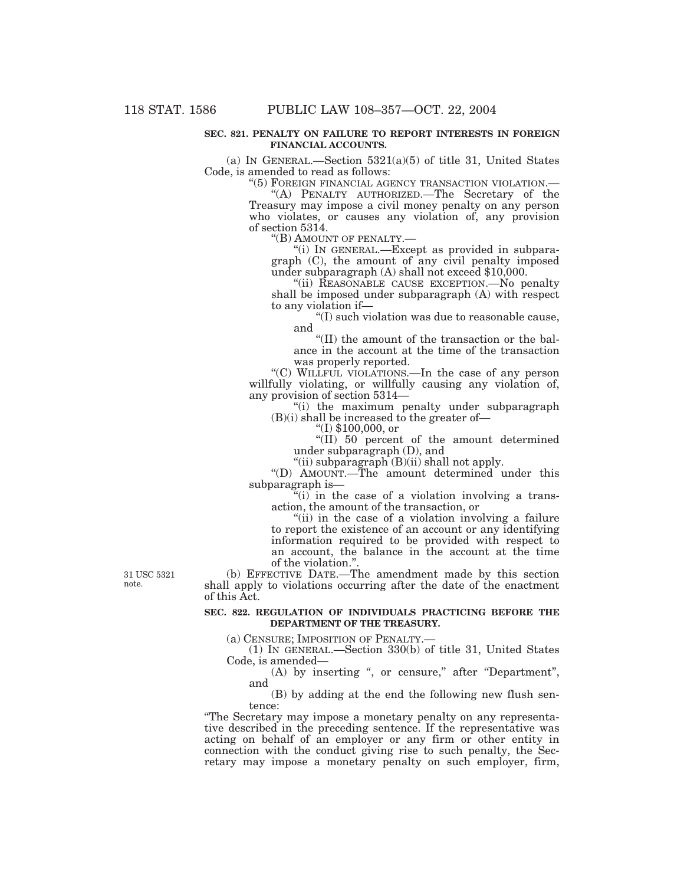#### **SEC. 821. PENALTY ON FAILURE TO REPORT INTERESTS IN FOREIGN FINANCIAL ACCOUNTS.**

(a) IN GENERAL.—Section 5321(a)(5) of title 31, United States Code, is amended to read as follows:

"(5) FOREIGN FINANCIAL AGENCY TRANSACTION VIOLATION.—

''(A) PENALTY AUTHORIZED.—The Secretary of the Treasury may impose a civil money penalty on any person who violates, or causes any violation of, any provision of section 5314.<br>
"(B) AMOUNT OF PENALTY.

"(i) IN GENERAL.—Except as provided in subparagraph (C), the amount of any civil penalty imposed under subparagraph (A) shall not exceed \$10,000.

''(ii) REASONABLE CAUSE EXCEPTION.—No penalty shall be imposed under subparagraph (A) with respect to any violation if—

''(I) such violation was due to reasonable cause, and

''(II) the amount of the transaction or the balance in the account at the time of the transaction was properly reported.

''(C) WILLFUL VIOLATIONS.—In the case of any person willfully violating, or willfully causing any violation of, any provision of section 5314—

''(i) the maximum penalty under subparagraph (B)(i) shall be increased to the greater of—

''(I) \$100,000, or

''(II) 50 percent of the amount determined under subparagraph (D), and

"(ii) subparagraph  $(B)(ii)$  shall not apply.

''(D) AMOUNT.—The amount determined under this subparagraph is—

 $(i)$  in the case of a violation involving a transaction, the amount of the transaction, or

"(ii) in the case of a violation involving a failure to report the existence of an account or any identifying information required to be provided with respect to an account, the balance in the account at the time of the violation.'

31 USC 5321 note.

(b) EFFECTIVE DATE.—The amendment made by this section shall apply to violations occurring after the date of the enactment of this Act.

#### **SEC. 822. REGULATION OF INDIVIDUALS PRACTICING BEFORE THE DEPARTMENT OF THE TREASURY.**

(a) CENSURE; IMPOSITION OF PENALTY.—

(1) IN GENERAL.—Section 330(b) of title 31, United States Code, is amended—

(A) by inserting ", or censure," after "Department", and

(B) by adding at the end the following new flush sentence:

''The Secretary may impose a monetary penalty on any representative described in the preceding sentence. If the representative was acting on behalf of an employer or any firm or other entity in connection with the conduct giving rise to such penalty, the Secretary may impose a monetary penalty on such employer, firm,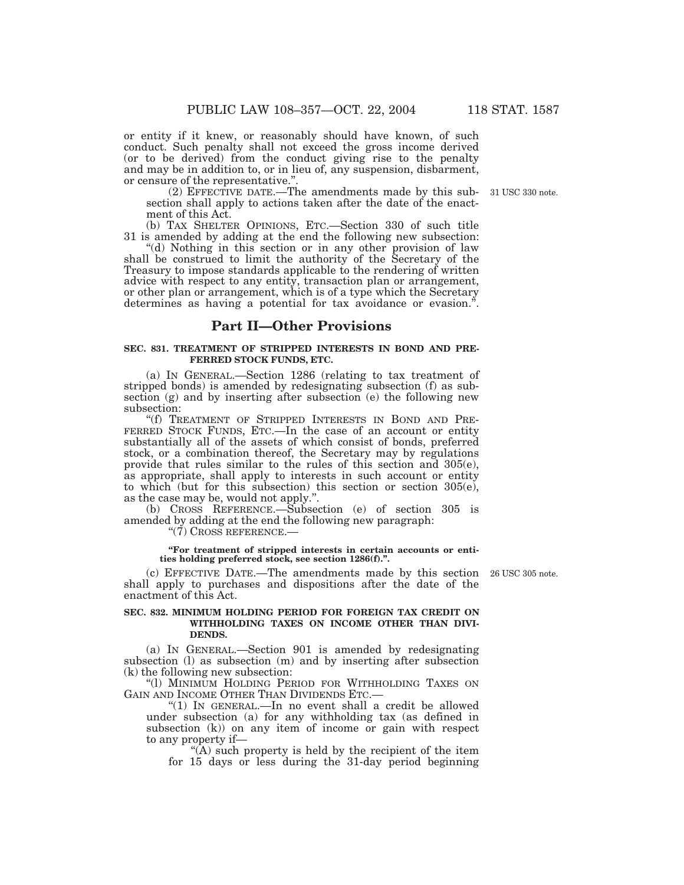or entity if it knew, or reasonably should have known, of such conduct. Such penalty shall not exceed the gross income derived (or to be derived) from the conduct giving rise to the penalty and may be in addition to, or in lieu of, any suspension, disbarment, or censure of the representative.''.

(2) EFFECTIVE DATE.—The amendments made by this sub-31 USC 330 note. section shall apply to actions taken after the date of the enactment of this Act.

(b) TAX SHELTER OPINIONS, ETC.—Section 330 of such title 31 is amended by adding at the end the following new subsection:

"(d) Nothing in this section or in any other provision of law shall be construed to limit the authority of the Secretary of the Treasury to impose standards applicable to the rendering of written advice with respect to any entity, transaction plan or arrangement, or other plan or arrangement, which is of a type which the Secretary determines as having a potential for tax avoidance or evasion.".

## **Part II—Other Provisions**

#### **SEC. 831. TREATMENT OF STRIPPED INTERESTS IN BOND AND PRE-FERRED STOCK FUNDS, ETC.**

(a) IN GENERAL.—Section 1286 (relating to tax treatment of stripped bonds) is amended by redesignating subsection (f) as subsection (g) and by inserting after subsection (e) the following new subsection:

''(f) TREATMENT OF STRIPPED INTERESTS IN BOND AND PRE-FERRED STOCK FUNDS, ETC.—In the case of an account or entity substantially all of the assets of which consist of bonds, preferred stock, or a combination thereof, the Secretary may by regulations provide that rules similar to the rules of this section and 305(e), as appropriate, shall apply to interests in such account or entity to which (but for this subsection) this section or section 305(e), as the case may be, would not apply.''.

(b) CROSS REFERENCE.—Subsection (e) of section 305 is amended by adding at the end the following new paragraph:

''(7) CROSS REFERENCE.—

#### **''For treatment of stripped interests in certain accounts or entities holding preferred stock, see section 1286(f).''.**

(c) EFFECTIVE DATE.—The amendments made by this section 26 USC 305 note. shall apply to purchases and dispositions after the date of the enactment of this Act.

#### **SEC. 832. MINIMUM HOLDING PERIOD FOR FOREIGN TAX CREDIT ON WITHHOLDING TAXES ON INCOME OTHER THAN DIVI-DENDS.**

(a) IN GENERAL.—Section 901 is amended by redesignating subsection (I) as subsection (m) and by inserting after subsection (k) the following new subsection:

''(l) MINIMUM HOLDING PERIOD FOR WITHHOLDING TAXES ON GAIN AND INCOME OTHER THAN DIVIDENDS ETC.—

"(1) IN GENERAL.—In no event shall a credit be allowed under subsection (a) for any withholding tax (as defined in subsection (k)) on any item of income or gain with respect to any property if—

 $\mathcal{A}(\mathbf{A})$  such property is held by the recipient of the item for 15 days or less during the 31-day period beginning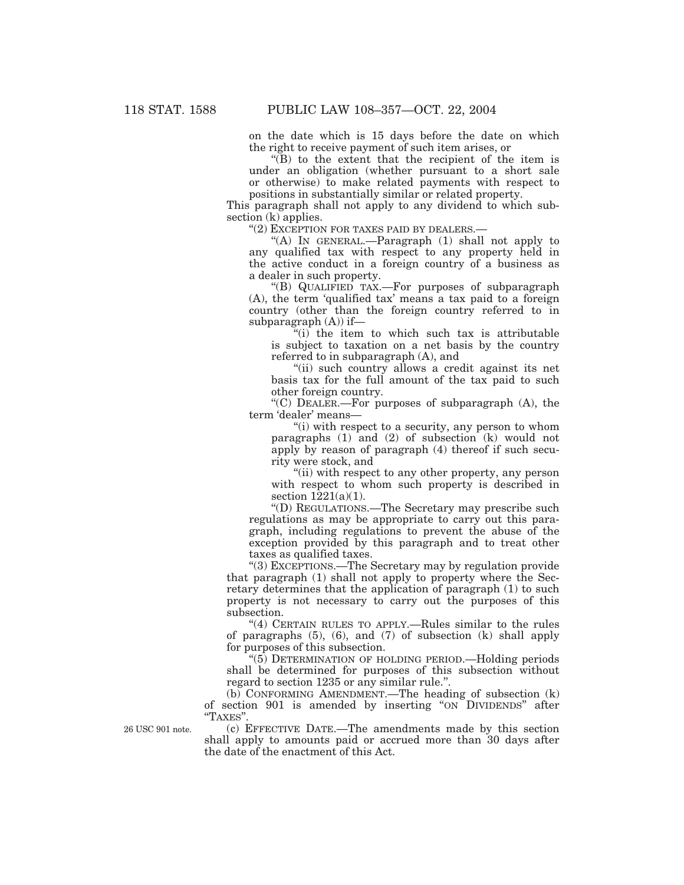on the date which is 15 days before the date on which the right to receive payment of such item arises, or

 $\sqrt{\text{B}}$  to the extent that the recipient of the item is under an obligation (whether pursuant to a short sale or otherwise) to make related payments with respect to positions in substantially similar or related property.

This paragraph shall not apply to any dividend to which subsection (k) applies.

"(2) EXCEPTION FOR TAXES PAID BY DEALERS.-

"(A) IN GENERAL.—Paragraph  $(1)$  shall not apply to any qualified tax with respect to any property held in the active conduct in a foreign country of a business as a dealer in such property.

''(B) QUALIFIED TAX.—For purposes of subparagraph (A), the term 'qualified tax' means a tax paid to a foreign country (other than the foreign country referred to in subparagraph (A)) if—

 $\tilde{f}(i)$  the item to which such tax is attributable is subject to taxation on a net basis by the country referred to in subparagraph (A), and

''(ii) such country allows a credit against its net basis tax for the full amount of the tax paid to such other foreign country.

"(C) DEALER.—For purposes of subparagraph  $(A)$ , the term 'dealer' means—

"(i) with respect to a security, any person to whom paragraphs  $(1)$  and  $(2)$  of subsection  $(k)$  would not apply by reason of paragraph (4) thereof if such security were stock, and

"(ii) with respect to any other property, any person with respect to whom such property is described in section  $1221(a)(1)$ .

''(D) REGULATIONS.—The Secretary may prescribe such regulations as may be appropriate to carry out this paragraph, including regulations to prevent the abuse of the exception provided by this paragraph and to treat other taxes as qualified taxes.

''(3) EXCEPTIONS.—The Secretary may by regulation provide that paragraph (1) shall not apply to property where the Secretary determines that the application of paragraph (1) to such property is not necessary to carry out the purposes of this subsection.

"(4) CERTAIN RULES TO APPLY.—Rules similar to the rules of paragraphs (5), (6), and (7) of subsection (k) shall apply for purposes of this subsection.

''(5) DETERMINATION OF HOLDING PERIOD.—Holding periods shall be determined for purposes of this subsection without regard to section 1235 or any similar rule.''.

(b) CONFORMING AMENDMENT.—The heading of subsection (k) of section 901 is amended by inserting ''ON DIVIDENDS'' after ''TAXES''.

26 USC 901 note.

(c) EFFECTIVE DATE.—The amendments made by this section shall apply to amounts paid or accrued more than 30 days after the date of the enactment of this Act.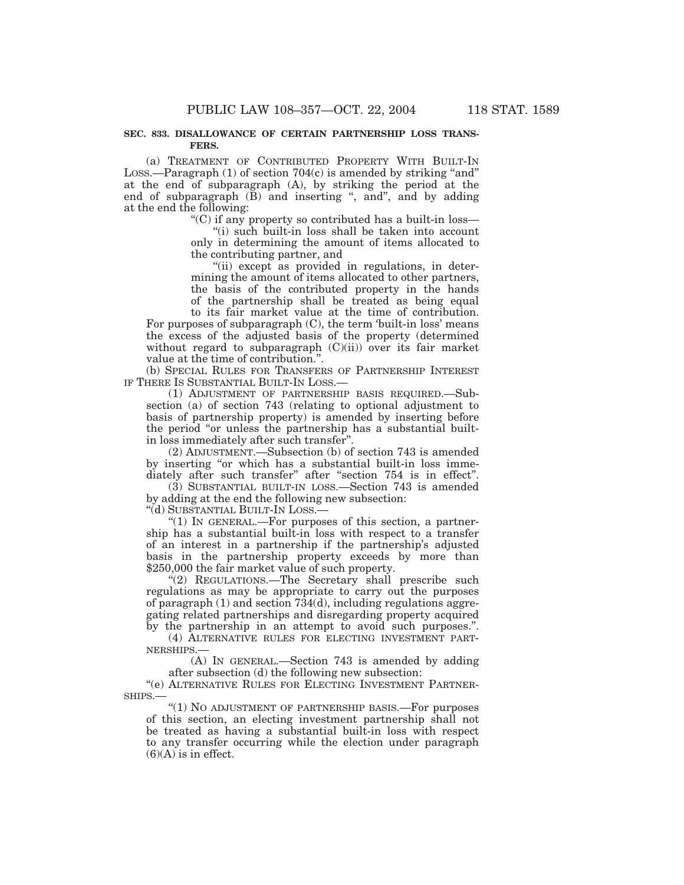#### **SEC. 833. DISALLOWANCE OF CERTAIN PARTNERSHIP LOSS TRANS-FERS.**

(a) TREATMENT OF CONTRIBUTED PROPERTY WITH BUILT-IN Loss.—Paragraph  $(1)$  of section  $704(c)$  is amended by striking "and" at the end of subparagraph (A), by striking the period at the end of subparagraph  $(\bar{B})$  and inserting ", and", and by adding at the end the following:

 $C$ ) if any property so contributed has a built-in loss—

''(i) such built-in loss shall be taken into account only in determining the amount of items allocated to the contributing partner, and

"(ii) except as provided in regulations, in determining the amount of items allocated to other partners, the basis of the contributed property in the hands of the partnership shall be treated as being equal to its fair market value at the time of contribution.

For purposes of subparagraph (C), the term 'built-in loss' means the excess of the adjusted basis of the property (determined without regard to subparagraph  $(C)(ii)$  over its fair market value at the time of contribution."

(b) SPECIAL RULES FOR TRANSFERS OF PARTNERSHIP INTEREST IF THERE IS SUBSTANTIAL BUILT-IN LOSS.—

(1) ADJUSTMENT OF PARTNERSHIP BASIS REQUIRED.—Subsection (a) of section 743 (relating to optional adjustment to basis of partnership property) is amended by inserting before the period ''or unless the partnership has a substantial builtin loss immediately after such transfer''.

(2) ADJUSTMENT.—Subsection (b) of section 743 is amended by inserting ''or which has a substantial built-in loss immediately after such transfer" after "section 754 is in effect".

(3) SUBSTANTIAL BUILT-IN LOSS.—Section 743 is amended by adding at the end the following new subsection:

''(d) SUBSTANTIAL BUILT-IN LOSS.—

" $(1)$  In GENERAL.—For purposes of this section, a partnership has a substantial built-in loss with respect to a transfer of an interest in a partnership if the partnership's adjusted basis in the partnership property exceeds by more than \$250,000 the fair market value of such property.

"(2) REGULATIONS.—The Secretary shall prescribe such regulations as may be appropriate to carry out the purposes of paragraph (1) and section 734(d), including regulations aggregating related partnerships and disregarding property acquired by the partnership in an attempt to avoid such purposes.''.

(4) ALTERNATIVE RULES FOR ELECTING INVESTMENT PART-NERSHIPS.—

(A) IN GENERAL.—Section 743 is amended by adding after subsection (d) the following new subsection:

"(e) ALTERNATIVE RULES FOR ELECTING INVESTMENT PARTNER-SHIPS.—

''(1) NO ADJUSTMENT OF PARTNERSHIP BASIS.—For purposes of this section, an electing investment partnership shall not be treated as having a substantial built-in loss with respect to any transfer occurring while the election under paragraph  $(6)(A)$  is in effect.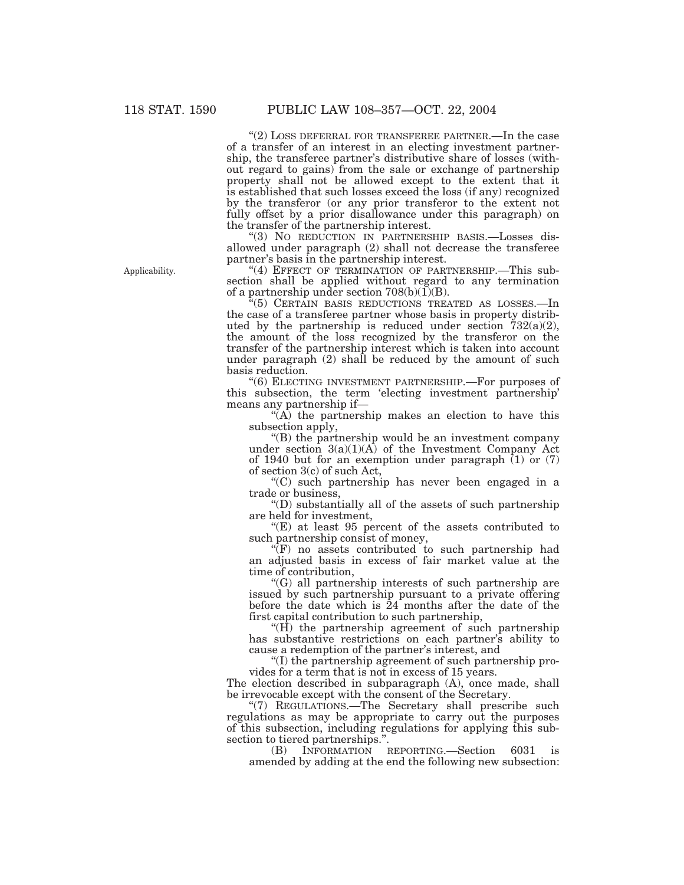"(2) LOSS DEFERRAL FOR TRANSFEREE PARTNER.—In the case of a transfer of an interest in an electing investment partnership, the transferee partner's distributive share of losses (without regard to gains) from the sale or exchange of partnership property shall not be allowed except to the extent that it is established that such losses exceed the loss (if any) recognized by the transferor (or any prior transferor to the extent not fully offset by a prior disallowance under this paragraph) on the transfer of the partnership interest.

''(3) NO REDUCTION IN PARTNERSHIP BASIS.—Losses disallowed under paragraph (2) shall not decrease the transferee partner's basis in the partnership interest.

"(4) EFFECT OF TERMINATION OF PARTNERSHIP. This subsection shall be applied without regard to any termination of a partnership under section  $708(b)(1)(B)$ .

''(5) CERTAIN BASIS REDUCTIONS TREATED AS LOSSES.—In the case of a transferee partner whose basis in property distributed by the partnership is reduced under section  $732(a)(2)$ , the amount of the loss recognized by the transferor on the transfer of the partnership interest which is taken into account under paragraph (2) shall be reduced by the amount of such basis reduction.

''(6) ELECTING INVESTMENT PARTNERSHIP.—For purposes of this subsection, the term 'electing investment partnership' means any partnership if—

''(A) the partnership makes an election to have this subsection apply,

''(B) the partnership would be an investment company under section  $3(a)(1)(\overrightarrow{A})$  of the Investment Company Act of 1940 but for an exemption under paragraph  $(1)$  or  $(7)$ of section 3(c) of such Act,

''(C) such partnership has never been engaged in a trade or business,

''(D) substantially all of the assets of such partnership are held for investment,

 $E$ ) at least 95 percent of the assets contributed to such partnership consist of money,

''(F) no assets contributed to such partnership had an adjusted basis in excess of fair market value at the time of contribution,

''(G) all partnership interests of such partnership are issued by such partnership pursuant to a private offering before the date which is 24 months after the date of the first capital contribution to such partnership,

 $H$ ) the partnership agreement of such partnership has substantive restrictions on each partner's ability to cause a redemption of the partner's interest, and

''(I) the partnership agreement of such partnership provides for a term that is not in excess of 15 years.

The election described in subparagraph (A), once made, shall be irrevocable except with the consent of the Secretary.

"(7) REGULATIONS.—The Secretary shall prescribe such regulations as may be appropriate to carry out the purposes of this subsection, including regulations for applying this subsection to tiered partnerships.''.

(B) INFORMATION REPORTING.—Section 6031 is amended by adding at the end the following new subsection:

Applicability.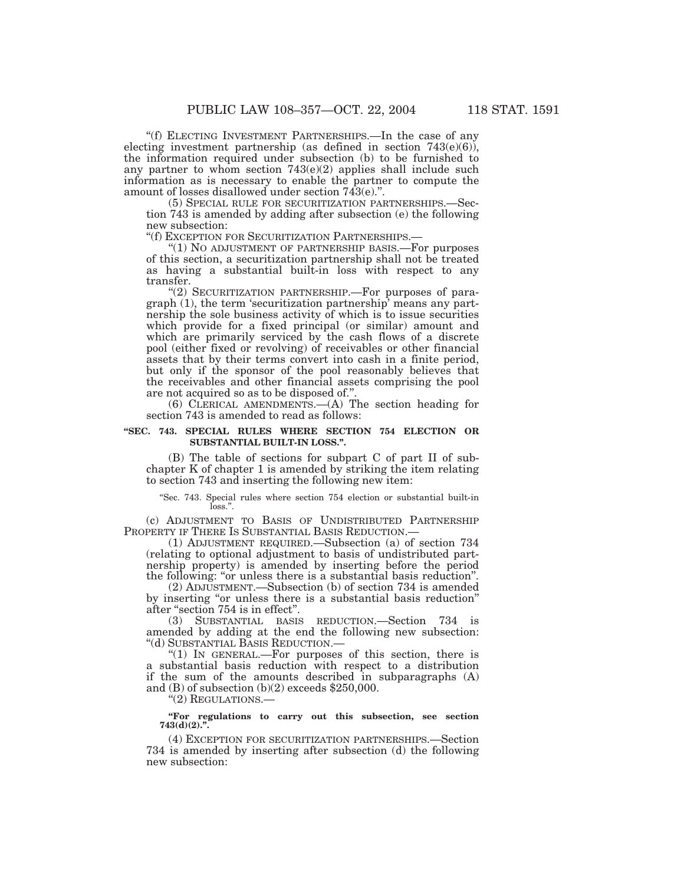''(f) ELECTING INVESTMENT PARTNERSHIPS.—In the case of any electing investment partnership (as defined in section  $743(e)(6)$ ), the information required under subsection (b) to be furnished to any partner to whom section  $743(e)(2)$  applies shall include such information as is necessary to enable the partner to compute the amount of losses disallowed under section 743(e).''.

(5) SPECIAL RULE FOR SECURITIZATION PARTNERSHIPS.—Section 743 is amended by adding after subsection (e) the following new subsection:

''(f) EXCEPTION FOR SECURITIZATION PARTNERSHIPS.—

" $(1)$  No adjustment of partnership basis.—For purposes of this section, a securitization partnership shall not be treated as having a substantial built-in loss with respect to any transfer.

" $(2)$  SECURITIZATION PARTNERSHIP.—For purposes of paragraph (1), the term 'securitization partnership' means any partnership the sole business activity of which is to issue securities which provide for a fixed principal (or similar) amount and which are primarily serviced by the cash flows of a discrete pool (either fixed or revolving) of receivables or other financial assets that by their terms convert into cash in a finite period, but only if the sponsor of the pool reasonably believes that the receivables and other financial assets comprising the pool are not acquired so as to be disposed of.''.

(6) CLERICAL AMENDMENTS.—(A) The section heading for section 743 is amended to read as follows:

#### **''SEC. 743. SPECIAL RULES WHERE SECTION 754 ELECTION OR SUBSTANTIAL BUILT-IN LOSS.''.**

(B) The table of sections for subpart C of part II of subchapter K of chapter 1 is amended by striking the item relating to section 743 and inserting the following new item:

''Sec. 743. Special rules where section 754 election or substantial built-in loss."

(c) ADJUSTMENT TO BASIS OF UNDISTRIBUTED PARTNERSHIP PROPERTY IF THERE IS SUBSTANTIAL BASIS REDUCTION.—

(1) ADJUSTMENT REQUIRED.—Subsection (a) of section  $734$ (relating to optional adjustment to basis of undistributed partnership property) is amended by inserting before the period the following: ''or unless there is a substantial basis reduction''.

(2) ADJUSTMENT.—Subsection (b) of section 734 is amended by inserting ''or unless there is a substantial basis reduction'' after ''section 754 is in effect''.

(3) SUBSTANTIAL BASIS REDUCTION.—Section 734 is amended by adding at the end the following new subsection: ''(d) SUBSTANTIAL BASIS REDUCTION.—

"(1) IN GENERAL.—For purposes of this section, there is a substantial basis reduction with respect to a distribution if the sum of the amounts described in subparagraphs (A) and (B) of subsection (b)(2) exceeds \$250,000.

''(2) REGULATIONS.—

#### **''For regulations to carry out this subsection, see section 743(d)(2).''.**

(4) EXCEPTION FOR SECURITIZATION PARTNERSHIPS.—Section 734 is amended by inserting after subsection (d) the following new subsection: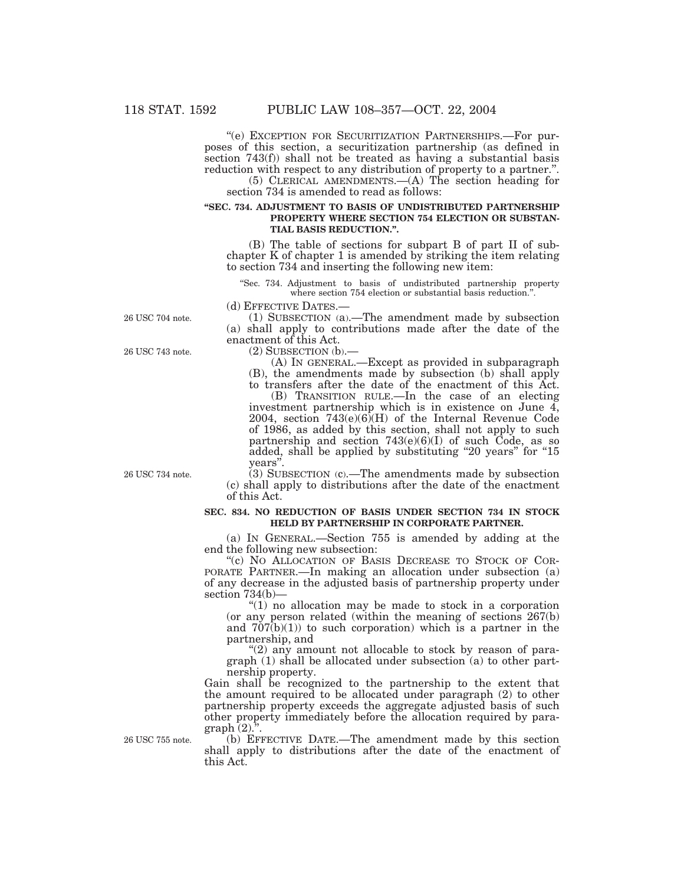''(e) EXCEPTION FOR SECURITIZATION PARTNERSHIPS.—For purposes of this section, a securitization partnership (as defined in section 743(f)) shall not be treated as having a substantial basis reduction with respect to any distribution of property to a partner.''.

(5) CLERICAL AMENDMENTS.—(A) The section heading for section 734 is amended to read as follows:

#### **''SEC. 734. ADJUSTMENT TO BASIS OF UNDISTRIBUTED PARTNERSHIP PROPERTY WHERE SECTION 754 ELECTION OR SUBSTAN-TIAL BASIS REDUCTION.''.**

(B) The table of sections for subpart B of part II of subchapter K of chapter 1 is amended by striking the item relating to section 734 and inserting the following new item:

''Sec. 734. Adjustment to basis of undistributed partnership property where section 754 election or substantial basis reduction.''.

(d) EFFECTIVE DATES.—<br>(1) SUBSECTION (a).—The amendment made by subsection (a) shall apply to contributions made after the date of the enactment of this Act.

(2) SUBSECTION (b).—

(A) IN GENERAL.—Except as provided in subparagraph (B), the amendments made by subsection (b) shall apply to transfers after the date of the enactment of this Act.

(B) TRANSITION RULE.—In the case of an electing investment partnership which is in existence on June 4, 2004, section 743(e)(6)(H) of the Internal Revenue Code of 1986, as added by this section, shall not apply to such partnership and section 743(e)(6)(I) of such Code, as so added, shall be applied by substituting "20 years" for "15" years''.

(3) SUBSECTION (c).—The amendments made by subsection (c) shall apply to distributions after the date of the enactment of this Act.

## **SEC. 834. NO REDUCTION OF BASIS UNDER SECTION 734 IN STOCK HELD BY PARTNERSHIP IN CORPORATE PARTNER.**

(a) IN GENERAL.—Section 755 is amended by adding at the end the following new subsection:

''(c) NO ALLOCATION OF BASIS DECREASE TO STOCK OF COR-PORATE PARTNER.—In making an allocation under subsection (a) of any decrease in the adjusted basis of partnership property under section 734(b)—

" $(1)$  no allocation may be made to stock in a corporation (or any person related (within the meaning of sections 267(b) and  $707(b)(1)$  to such corporation) which is a partner in the partnership, and

"(2) any amount not allocable to stock by reason of paragraph (1) shall be allocated under subsection (a) to other partnership property.

Gain shall be recognized to the partnership to the extent that the amount required to be allocated under paragraph (2) to other partnership property exceeds the aggregate adjusted basis of such other property immediately before the allocation required by para $graph (2)$ .".

(b) EFFECTIVE DATE.—The amendment made by this section shall apply to distributions after the date of the enactment of this Act.

26 USC 704 note.

26 USC 743 note.

26 USC 734 note.

26 USC 755 note.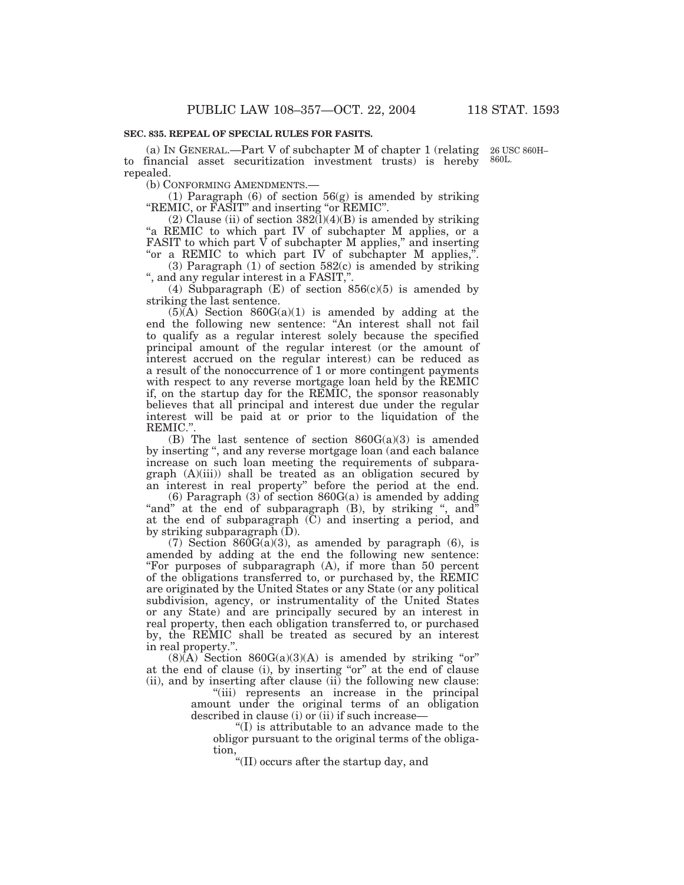#### **SEC. 835. REPEAL OF SPECIAL RULES FOR FASITS.**

(a) IN GENERAL.—Part V of subchapter M of chapter 1 (relating to financial asset securitization investment trusts) is hereby repealed.

(b) CONFORMING AMENDMENTS.—

(1) Paragraph  $(6)$  of section  $56(g)$  is amended by striking ''REMIC, or FASIT'' and inserting ''or REMIC''.

(2) Clause (ii) of section  $382(1)(4)(B)$  is amended by striking "a REMIC to which part IV of subchapter M applies, or a FASIT to which part  $\vec{V}$  of subchapter M applies," and inserting "or a REMIC to which part  $\overline{IV}$  of subchapter M applies,".

(3) Paragraph (1) of section 582(c) is amended by striking ", and any regular interest in a FASIT,"

(4) Subparagraph  $(E)$  of section 856(c)(5) is amended by striking the last sentence.

 $(5)$  $(A)$  Section  $860G(a)(1)$  is amended by adding at the end the following new sentence: ''An interest shall not fail to qualify as a regular interest solely because the specified principal amount of the regular interest (or the amount of interest accrued on the regular interest) can be reduced as a result of the nonoccurrence of 1 or more contingent payments with respect to any reverse mortgage loan held by the REMIC if, on the startup day for the REMIC, the sponsor reasonably believes that all principal and interest due under the regular interest will be paid at or prior to the liquidation of the REMIC.''.

(B) The last sentence of section  $860G(a)(3)$  is amended by inserting '', and any reverse mortgage loan (and each balance increase on such loan meeting the requirements of subparagraph  $(A)(iii)$  shall be treated as an obligation secured by an interest in real property'' before the period at the end.

(6) Paragraph  $(3)$  of section 860G(a) is amended by adding "and" at the end of subparagraph (B), by striking ", and" at the end of subparagraph (C) and inserting a period, and by striking subparagraph (D).

(7) Section  $860G(a)(3)$ , as amended by paragraph (6), is amended by adding at the end the following new sentence: ''For purposes of subparagraph (A), if more than 50 percent of the obligations transferred to, or purchased by, the REMIC are originated by the United States or any State (or any political subdivision, agency, or instrumentality of the United States or any State) and are principally secured by an interest in real property, then each obligation transferred to, or purchased by, the REMIC shall be treated as secured by an interest in real property.''.

 $(8)(\text{\AA})$  Section  $860G(a)(3)(\text{\AA})$  is amended by striking "or" at the end of clause (i), by inserting "or" at the end of clause (ii), and by inserting after clause (ii) the following new clause:

''(iii) represents an increase in the principal amount under the original terms of an obligation described in clause (i) or (ii) if such increase—

''(I) is attributable to an advance made to the obligor pursuant to the original terms of the obligation,

''(II) occurs after the startup day, and

26 USC 860H– 860L.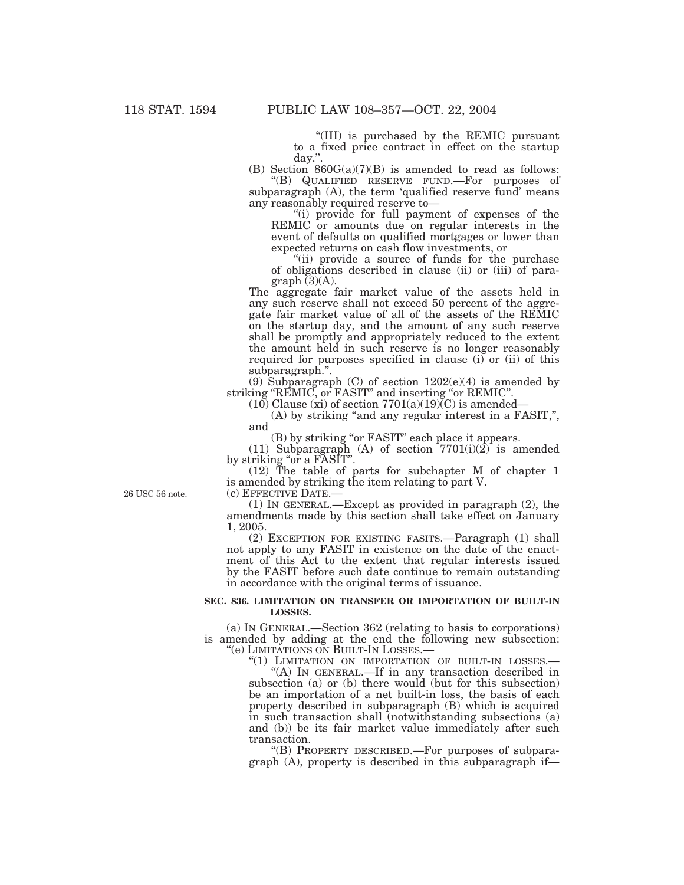''(III) is purchased by the REMIC pursuant to a fixed price contract in effect on the startup day.''.

(B) Section  $860G(a)(7)(B)$  is amended to read as follows:

''(B) QUALIFIED RESERVE FUND.—For purposes of subparagraph (A), the term 'qualified reserve fund' means any reasonably required reserve to—

"(i) provide for full payment of expenses of the REMIC or amounts due on regular interests in the event of defaults on qualified mortgages or lower than expected returns on cash flow investments, or

"(ii) provide a source of funds for the purchase of obligations described in clause (ii) or (iii) of para $graph(3)(A)$ .

The aggregate fair market value of the assets held in any such reserve shall not exceed 50 percent of the aggregate fair market value of all of the assets of the REMIC on the startup day, and the amount of any such reserve shall be promptly and appropriately reduced to the extent the amount held in such reserve is no longer reasonably required for purposes specified in clause (i) or (ii) of this subparagraph.''.

(9) Subparagraph (C) of section 1202(e)(4) is amended by striking "REMIC, or FASIT" and inserting "or REMIC".

 $(10)$  Clause (xi) of section 7701(a)(19)(C) is amended–

(A) by striking ''and any regular interest in a FASIT,'', and

(B) by striking "or FASIT" each place it appears.

(11) Subparagraph (A) of section 7701(i)(2) is amended by striking "or a FASIT".

(12) The table of parts for subchapter M of chapter 1 is amended by striking the item relating to part V.

(c) EFFECTIVE DATE.— $(1)$  In GENERAL.—Except as provided in paragraph  $(2)$ , the amendments made by this section shall take effect on January 1, 2005.

(2) EXCEPTION FOR EXISTING FASITS.—Paragraph (1) shall not apply to any FASIT in existence on the date of the enactment of this Act to the extent that regular interests issued by the FASIT before such date continue to remain outstanding in accordance with the original terms of issuance.

#### **SEC. 836. LIMITATION ON TRANSFER OR IMPORTATION OF BUILT-IN LOSSES.**

(a) IN GENERAL.—Section 362 (relating to basis to corporations) is amended by adding at the end the following new subsection: ''(e) LIMITATIONS ON BUILT-IN LOSSES.—

"(1) LIMITATION ON IMPORTATION OF BUILT-IN LOSSES.-

''(A) IN GENERAL.—If in any transaction described in subsection (a) or (b) there would (but for this subsection) be an importation of a net built-in loss, the basis of each property described in subparagraph (B) which is acquired in such transaction shall (notwithstanding subsections (a) and (b)) be its fair market value immediately after such transaction.

''(B) PROPERTY DESCRIBED.—For purposes of subparagraph (A), property is described in this subparagraph if—

26 USC 56 note.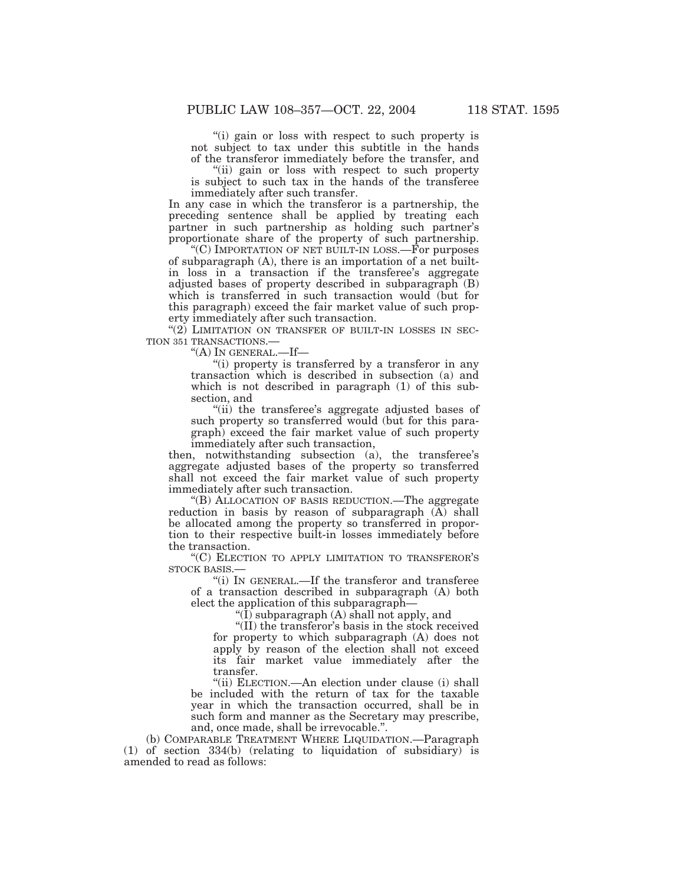''(i) gain or loss with respect to such property is not subject to tax under this subtitle in the hands of the transferor immediately before the transfer, and

''(ii) gain or loss with respect to such property is subject to such tax in the hands of the transferee immediately after such transfer.

In any case in which the transferor is a partnership, the preceding sentence shall be applied by treating each partner in such partnership as holding such partner's proportionate share of the property of such partnership.

''(C) IMPORTATION OF NET BUILT-IN LOSS.—For purposes of subparagraph (A), there is an importation of a net builtin loss in a transaction if the transferee's aggregate adjusted bases of property described in subparagraph (B) which is transferred in such transaction would (but for this paragraph) exceed the fair market value of such property immediately after such transaction.

"(2) LIMITATION ON TRANSFER OF BUILT-IN LOSSES IN SEC-TION 351 TRANSACTIONS.—

''(A) IN GENERAL.—If—

''(i) property is transferred by a transferor in any transaction which is described in subsection (a) and which is not described in paragraph (1) of this subsection, and

''(ii) the transferee's aggregate adjusted bases of such property so transferred would (but for this paragraph) exceed the fair market value of such property immediately after such transaction,

then, notwithstanding subsection (a), the transferee's aggregate adjusted bases of the property so transferred shall not exceed the fair market value of such property immediately after such transaction.

''(B) ALLOCATION OF BASIS REDUCTION.—The aggregate reduction in basis by reason of subparagraph  $(\overline{A})$  shall be allocated among the property so transferred in proportion to their respective built-in losses immediately before the transaction.

''(C) ELECTION TO APPLY LIMITATION TO TRANSFEROR'S STOCK BASIS.—

''(i) IN GENERAL.—If the transferor and transferee of a transaction described in subparagraph (A) both elect the application of this subparagraph—

" $(\overline{I})$  subparagraph  $(A)$  shall not apply, and

''(II) the transferor's basis in the stock received for property to which subparagraph (A) does not apply by reason of the election shall not exceed its fair market value immediately after the transfer.

"(ii) ELECTION.—An election under clause (i) shall be included with the return of tax for the taxable year in which the transaction occurred, shall be in such form and manner as the Secretary may prescribe, and, once made, shall be irrevocable.''.

(b) COMPARABLE TREATMENT WHERE LIQUIDATION.—Paragraph (1) of section 334(b) (relating to liquidation of subsidiary) is amended to read as follows: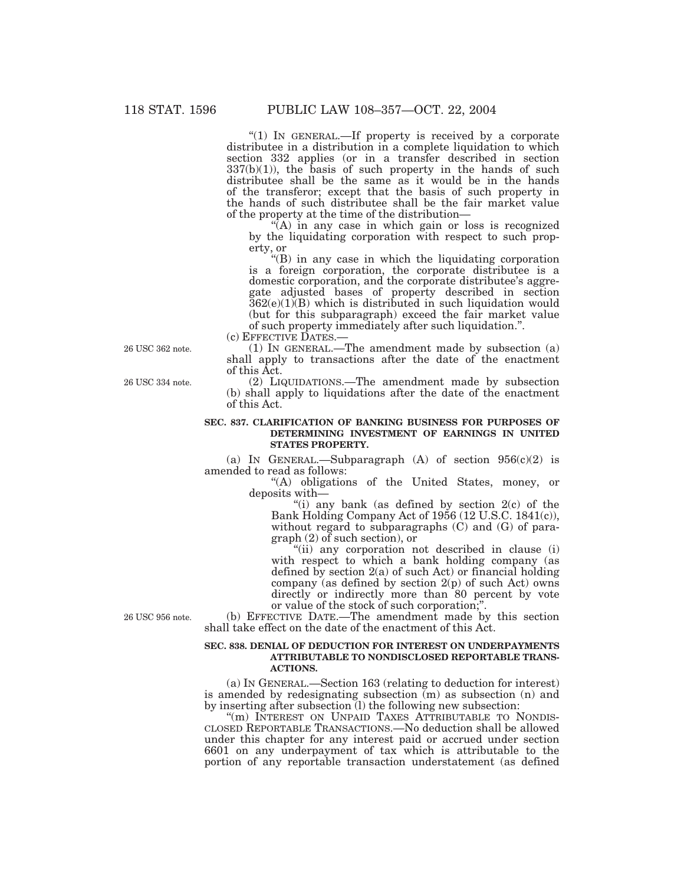" $(1)$  In GENERAL.—If property is received by a corporate distributee in a distribution in a complete liquidation to which section 332 applies (or in a transfer described in section  $337(b)(1)$ , the basis of such property in the hands of such distributee shall be the same as it would be in the hands of the transferor; except that the basis of such property in the hands of such distributee shall be the fair market value of the property at the time of the distribution—

 $\mathcal{A}(\mathbf{A})$  in any case in which gain or loss is recognized by the liquidating corporation with respect to such property, or

''(B) in any case in which the liquidating corporation is a foreign corporation, the corporate distributee is a domestic corporation, and the corporate distributee's aggregate adjusted bases of property described in section  $362(e)(1)(B)$  which is distributed in such liquidation would (but for this subparagraph) exceed the fair market value of such property immediately after such liquidation.''.

(c) EFFECTIVE DATES.—

(1) IN GENERAL.—The amendment made by subsection (a) shall apply to transactions after the date of the enactment of this Act.

(2) LIQUIDATIONS.—The amendment made by subsection (b) shall apply to liquidations after the date of the enactment of this Act.

## **SEC. 837. CLARIFICATION OF BANKING BUSINESS FOR PURPOSES OF DETERMINING INVESTMENT OF EARNINGS IN UNITED STATES PROPERTY.**

(a) IN GENERAL.—Subparagraph  $(A)$  of section  $956(c)(2)$  is amended to read as follows:

> ''(A) obligations of the United States, money, or deposits with—

"(i) any bank (as defined by section  $2(c)$  of the Bank Holding Company Act of 1956 (12 U.S.C. 1841(c)), without regard to subparagraphs (C) and (G) of paragraph (2) of such section), or

"(ii) any corporation not described in clause (i) with respect to which a bank holding company (as defined by section 2(a) of such Act) or financial holding company (as defined by section  $2(p)$  of such Act) owns directly or indirectly more than 80 percent by vote or value of the stock of such corporation;''. (b) EFFECTIVE DATE.—The amendment made by this section

26 USC 956 note.

# shall take effect on the date of the enactment of this Act. **SEC. 838. DENIAL OF DEDUCTION FOR INTEREST ON UNDERPAYMENTS**

## **ATTRIBUTABLE TO NONDISCLOSED REPORTABLE TRANS-ACTIONS.**

(a) IN GENERAL.—Section 163 (relating to deduction for interest) is amended by redesignating subsection  $\bar{m}$  as subsection (n) and by inserting after subsection (l) the following new subsection:

"(m) INTEREST ON UNPAID TAXES ATTRIBUTABLE TO NONDIS-CLOSED REPORTABLE TRANSACTIONS.—No deduction shall be allowed under this chapter for any interest paid or accrued under section 6601 on any underpayment of tax which is attributable to the portion of any reportable transaction understatement (as defined

26 USC 362 note.

26 USC 334 note.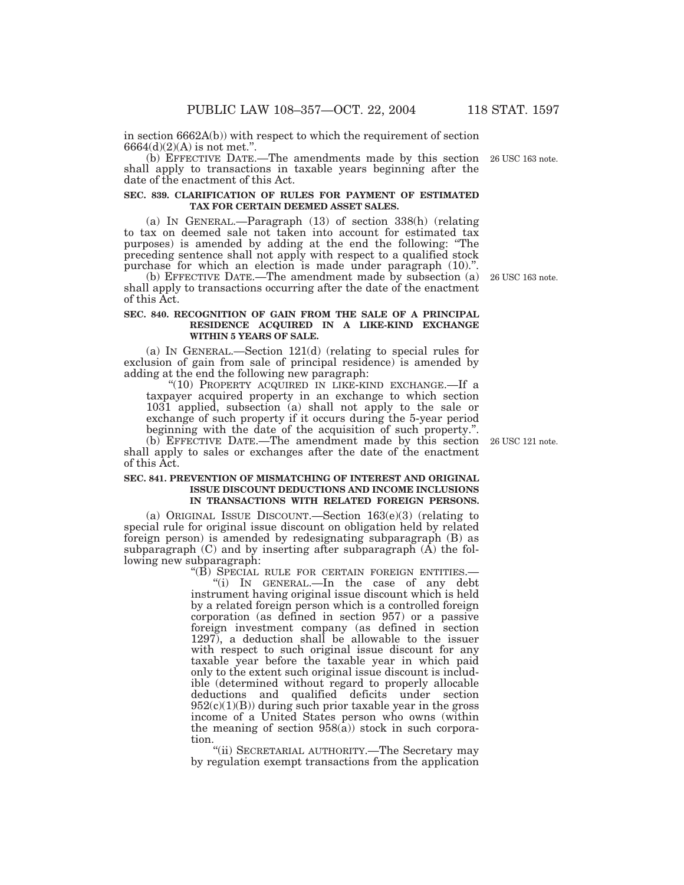in section 6662A(b)) with respect to which the requirement of section  $6664(d)(2)(A)$  is not met.".

(b) EFFECTIVE DATE.—The amendments made by this section shall apply to transactions in taxable years beginning after the date of the enactment of this Act.

## **SEC. 839. CLARIFICATION OF RULES FOR PAYMENT OF ESTIMATED TAX FOR CERTAIN DEEMED ASSET SALES.**

(a) IN GENERAL.—Paragraph (13) of section 338(h) (relating to tax on deemed sale not taken into account for estimated tax purposes) is amended by adding at the end the following: ''The preceding sentence shall not apply with respect to a qualified stock purchase for which an election is made under paragraph (10).''. 26 USC 163 note.

(b) EFFECTIVE DATE.—The amendment made by subsection (a) shall apply to transactions occurring after the date of the enactment of this Act.

## **SEC. 840. RECOGNITION OF GAIN FROM THE SALE OF A PRINCIPAL RESIDENCE ACQUIRED IN A LIKE-KIND EXCHANGE WITHIN 5 YEARS OF SALE.**

(a) IN GENERAL.—Section 121(d) (relating to special rules for exclusion of gain from sale of principal residence) is amended by adding at the end the following new paragraph:

"(10) PROPERTY ACQUIRED IN LIKE-KIND EXCHANGE.—If a taxpayer acquired property in an exchange to which section 1031 applied, subsection (a) shall not apply to the sale or exchange of such property if it occurs during the 5-year period beginning with the date of the acquisition of such property.''.

(b) EFFECTIVE DATE.—The amendment made by this section 26 USC 121 note. shall apply to sales or exchanges after the date of the enactment of this Act.

### **SEC. 841. PREVENTION OF MISMATCHING OF INTEREST AND ORIGINAL ISSUE DISCOUNT DEDUCTIONS AND INCOME INCLUSIONS IN TRANSACTIONS WITH RELATED FOREIGN PERSONS.**

(a) ORIGINAL ISSUE DISCOUNT.—Section 163(e)(3) (relating to special rule for original issue discount on obligation held by related foreign person) is amended by redesignating subparagraph (B) as subparagraph  $(C)$  and by inserting after subparagraph  $(A)$  the following new subparagraph:

"(B) SPECIAL RULE FOR CERTAIN FOREIGN ENTITIES.-

''(i) IN GENERAL.—In the case of any debt instrument having original issue discount which is held by a related foreign person which is a controlled foreign corporation (as defined in section 957) or a passive foreign investment company (as defined in section 1297), a deduction shall be allowable to the issuer with respect to such original issue discount for any taxable year before the taxable year in which paid only to the extent such original issue discount is includible (determined without regard to properly allocable deductions and qualified deficits under section  $952(c)(1)(B)$  during such prior taxable year in the gross income of a United States person who owns (within the meaning of section  $958(a)$ ) stock in such corporation.

''(ii) SECRETARIAL AUTHORITY.—The Secretary may by regulation exempt transactions from the application

26 USC 163 note.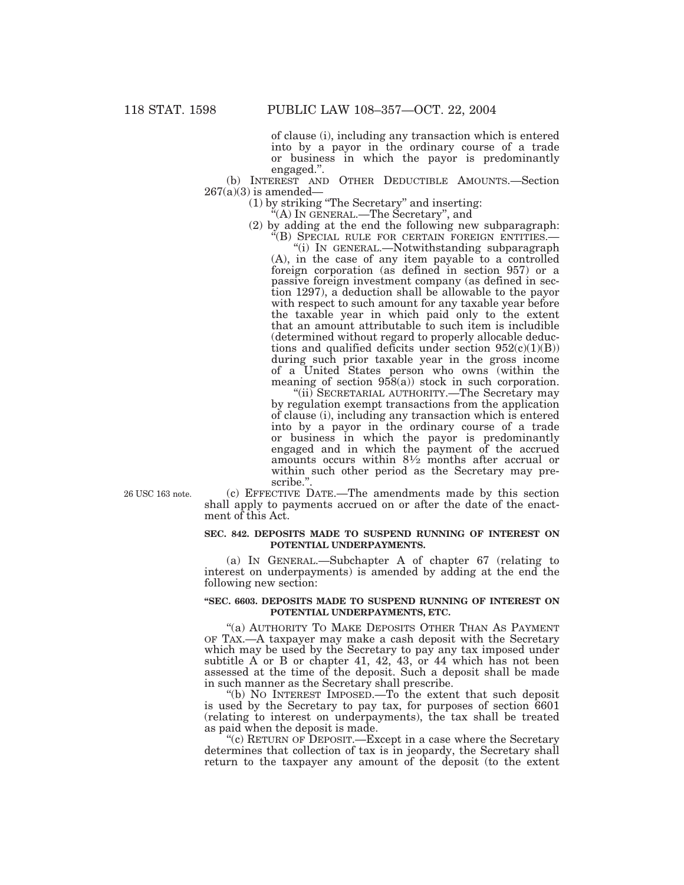of clause (i), including any transaction which is entered into by a payor in the ordinary course of a trade or business in which the payor is predominantly engaged.''.

(b) INTEREST AND OTHER DEDUCTIBLE AMOUNTS.—Section  $267(a)(3)$  is amended-

 $(1)$  by striking "The Secretary" and inserting:

 $\check{H}$ (A) In GENERAL.—The Secretary", and

(2) by adding at the end the following new subparagraph: ''(B) SPECIAL RULE FOR CERTAIN FOREIGN ENTITIES.—

''(i) IN GENERAL.—Notwithstanding subparagraph (A), in the case of any item payable to a controlled foreign corporation (as defined in section 957) or a passive foreign investment company (as defined in section 1297), a deduction shall be allowable to the payor with respect to such amount for any taxable year before the taxable year in which paid only to the extent that an amount attributable to such item is includible (determined without regard to properly allocable deductions and qualified deficits under section  $952(c)(1)(B)$ ) during such prior taxable year in the gross income of a United States person who owns (within the meaning of section 958(a)) stock in such corporation.

"(ii) SECRETARIAL AUTHORITY.—The Secretary may by regulation exempt transactions from the application of clause (i), including any transaction which is entered into by a payor in the ordinary course of a trade or business in which the payor is predominantly engaged and in which the payment of the accrued amounts occurs within 81⁄2 months after accrual or within such other period as the Secretary may prescribe."

26 USC 163 note.

(c) EFFECTIVE DATE.—The amendments made by this section shall apply to payments accrued on or after the date of the enactment of this Act.

## **SEC. 842. DEPOSITS MADE TO SUSPEND RUNNING OF INTEREST ON POTENTIAL UNDERPAYMENTS.**

(a) IN GENERAL.—Subchapter A of chapter 67 (relating to interest on underpayments) is amended by adding at the end the following new section:

## **''SEC. 6603. DEPOSITS MADE TO SUSPEND RUNNING OF INTEREST ON POTENTIAL UNDERPAYMENTS, ETC.**

"(a) AUTHORITY TO MAKE DEPOSITS OTHER THAN AS PAYMENT OF TAX.—A taxpayer may make a cash deposit with the Secretary which may be used by the Secretary to pay any tax imposed under subtitle  $\Lambda$  or B or chapter 41, 42, 43, or 44 which has not been assessed at the time of the deposit. Such a deposit shall be made in such manner as the Secretary shall prescribe.

''(b) NO INTEREST IMPOSED.—To the extent that such deposit is used by the Secretary to pay tax, for purposes of section 6601 (relating to interest on underpayments), the tax shall be treated as paid when the deposit is made.

''(c) RETURN OF DEPOSIT.—Except in a case where the Secretary determines that collection of tax is in jeopardy, the Secretary shall return to the taxpayer any amount of the deposit (to the extent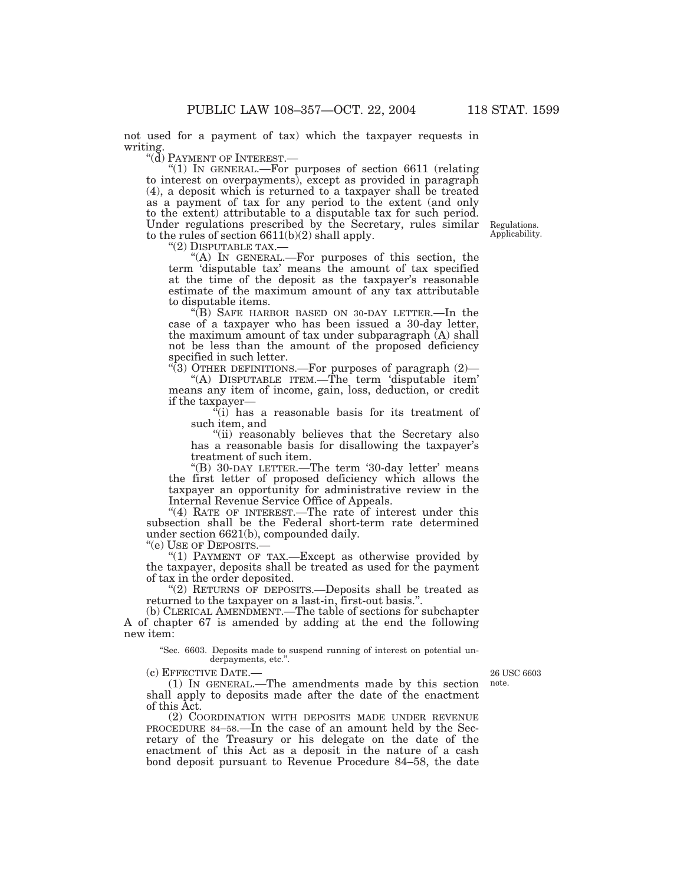not used for a payment of tax) which the taxpayer requests in writing.<br>
"(d) PAYMENT OF INTEREST.

" $(1)$  IN GENERAL.—For purposes of section 6611 (relating to interest on overpayments), except as provided in paragraph (4), a deposit which is returned to a taxpayer shall be treated as a payment of tax for any period to the extent (and only to the extent) attributable to a disputable tax for such period. Under regulations prescribed by the Secretary, rules similar to the rules of section  $6611(b)(2)$  shall apply.<br>"(2) DISPUTABLE TAX.—

"(A) IN GENERAL.—For purposes of this section, the term 'disputable tax' means the amount of tax specified at the time of the deposit as the taxpayer's reasonable estimate of the maximum amount of any tax attributable to disputable items.

''(B) SAFE HARBOR BASED ON 30-DAY LETTER.—In the case of a taxpayer who has been issued a 30-day letter, the maximum amount of tax under subparagraph (A) shall not be less than the amount of the proposed deficiency specified in such letter.

"(3) OTHER DEFINITIONS.—For purposes of paragraph  $(2)$ — ''(A) DISPUTABLE ITEM.—The term 'disputable item'

means any item of income, gain, loss, deduction, or credit if the taxpayer—

 $\cdot$ <sup>"(i)</sup> has a reasonable basis for its treatment of such item, and

"(ii) reasonably believes that the Secretary also has a reasonable basis for disallowing the taxpayer's treatment of such item.

''(B) 30-DAY LETTER.—The term '30-day letter' means the first letter of proposed deficiency which allows the taxpayer an opportunity for administrative review in the Internal Revenue Service Office of Appeals.

"(4) RATE OF INTEREST.—The rate of interest under this subsection shall be the Federal short-term rate determined under section 6621(b), compounded daily.<br>"(e) USE OF DEPOSITS.—

"(1) PAYMENT OF TAX.—Except as otherwise provided by the taxpayer, deposits shall be treated as used for the payment of tax in the order deposited.

"(2) RETURNS OF DEPOSITS.—Deposits shall be treated as returned to the taxpayer on a last-in, first-out basis.''.

(b) CLERICAL AMENDMENT.—The table of sections for subchapter A of chapter 67 is amended by adding at the end the following new item:

''Sec. 6603. Deposits made to suspend running of interest on potential underpayments, etc."

26 USC 6603 note.

(c) EFFECTIVE DATE.— (1) IN GENERAL.—The amendments made by this section shall apply to deposits made after the date of the enactment of this Act.

(2) COORDINATION WITH DEPOSITS MADE UNDER REVENUE PROCEDURE 84–58.—In the case of an amount held by the Secretary of the Treasury or his delegate on the date of the enactment of this Act as a deposit in the nature of a cash bond deposit pursuant to Revenue Procedure 84–58, the date

Regulations. Applicability.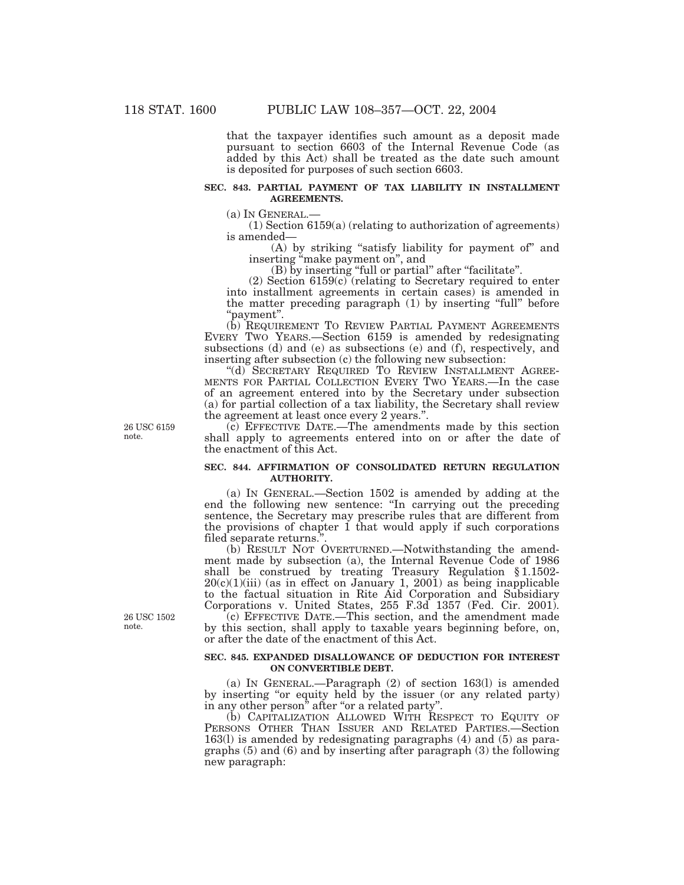that the taxpayer identifies such amount as a deposit made pursuant to section 6603 of the Internal Revenue Code (as added by this Act) shall be treated as the date such amount is deposited for purposes of such section 6603.

#### **SEC. 843. PARTIAL PAYMENT OF TAX LIABILITY IN INSTALLMENT AGREEMENTS.**

(a) IN GENERAL.—

(1) Section 6159(a) (relating to authorization of agreements) is amended—

(A) by striking ''satisfy liability for payment of'' and inserting ''make payment on'', and

(B) by inserting ''full or partial'' after ''facilitate''.

(2) Section 6159(c) (relating to Secretary required to enter into installment agreements in certain cases) is amended in the matter preceding paragraph (1) by inserting ''full'' before ''payment''.

(b) REQUIREMENT TO REVIEW PARTIAL PAYMENT AGREEMENTS EVERY TWO YEARS.—Section 6159 is amended by redesignating subsections (d) and (e) as subsections (e) and (f), respectively, and inserting after subsection (c) the following new subsection:

''(d) SECRETARY REQUIRED TO REVIEW INSTALLMENT AGREE-MENTS FOR PARTIAL COLLECTION EVERY TWO YEARS.—In the case of an agreement entered into by the Secretary under subsection (a) for partial collection of a tax liability, the Secretary shall review the agreement at least once every 2 years.''.

(c) EFFECTIVE DATE.—The amendments made by this section shall apply to agreements entered into on or after the date of the enactment of this Act.

### **SEC. 844. AFFIRMATION OF CONSOLIDATED RETURN REGULATION AUTHORITY.**

(a) IN GENERAL.—Section 1502 is amended by adding at the end the following new sentence: ''In carrying out the preceding sentence, the Secretary may prescribe rules that are different from the provisions of chapter 1 that would apply if such corporations filed separate returns."

(b) RESULT NOT OVERTURNED.—Notwithstanding the amendment made by subsection (a), the Internal Revenue Code of 1986 shall be construed by treating Treasury Regulation § 1.1502-  $20(c)(1)(iii)$  (as in effect on January 1, 2001) as being inapplicable to the factual situation in Rite Aid Corporation and Subsidiary Corporations v. United States, 255 F.3d 1357 (Fed. Cir. 2001).

(c) EFFECTIVE DATE.—This section, and the amendment made by this section, shall apply to taxable years beginning before, on, or after the date of the enactment of this Act.

## **SEC. 845. EXPANDED DISALLOWANCE OF DEDUCTION FOR INTEREST ON CONVERTIBLE DEBT.**

(a) IN GENERAL.—Paragraph (2) of section 163(l) is amended by inserting ''or equity held by the issuer (or any related party) in any other person<sup>3</sup> after "or a related party".

(b) CAPITALIZATION ALLOWED WITH RESPECT TO EQUITY OF PERSONS OTHER THAN ISSUER AND RELATED PARTIES.—Section 163(l) is amended by redesignating paragraphs (4) and (5) as paragraphs (5) and (6) and by inserting after paragraph (3) the following new paragraph:

26 USC 6159 note.

26 USC 1502 note.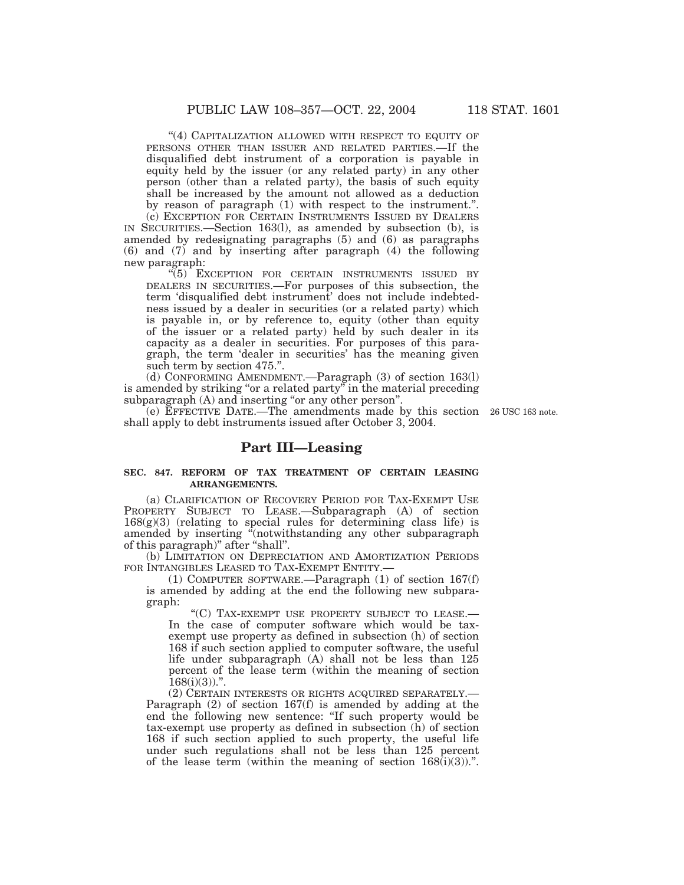"(4) CAPITALIZATION ALLOWED WITH RESPECT TO EQUITY OF PERSONS OTHER THAN ISSUER AND RELATED PARTIES.—If the disqualified debt instrument of a corporation is payable in equity held by the issuer (or any related party) in any other person (other than a related party), the basis of such equity shall be increased by the amount not allowed as a deduction by reason of paragraph (1) with respect to the instrument.''. (c) EXCEPTION FOR CERTAIN INSTRUMENTS ISSUED BY DEALERS IN SECURITIES.—Section 163(l), as amended by subsection (b), is amended by redesignating paragraphs (5) and (6) as paragraphs (6) and (7) and by inserting after paragraph (4) the following new paragraph:

''(5) EXCEPTION FOR CERTAIN INSTRUMENTS ISSUED BY DEALERS IN SECURITIES.—For purposes of this subsection, the term 'disqualified debt instrument' does not include indebtedness issued by a dealer in securities (or a related party) which is payable in, or by reference to, equity (other than equity of the issuer or a related party) held by such dealer in its capacity as a dealer in securities. For purposes of this paragraph, the term 'dealer in securities' has the meaning given such term by section 475.".

(d) CONFORMING AMENDMENT.—Paragraph (3) of section 163(l) is amended by striking "or a related party" in the material preceding subparagraph (A) and inserting "or any other person".

(e) EFFECTIVE DATE.—The amendments made by this section 26 USC 163 note. shall apply to debt instruments issued after October 3, 2004.

## **Part III—Leasing**

## **SEC. 847. REFORM OF TAX TREATMENT OF CERTAIN LEASING ARRANGEMENTS.**

(a) CLARIFICATION OF RECOVERY PERIOD FOR TAX-EXEMPT USE PROPERTY SUBJECT TO LEASE.—Subparagraph (A) of section  $168(g)(3)$  (relating to special rules for determining class life) is amended by inserting "(notwithstanding any other subparagraph of this paragraph)'' after ''shall''.

(b) LIMITATION ON DEPRECIATION AND AMORTIZATION PERIODS FOR INTANGIBLES LEASED TO TAX-EXEMPT ENTITY.—

(1) COMPUTER SOFTWARE.—Paragraph (1) of section 167(f) is amended by adding at the end the following new subparagraph:

"(C) TAX-EXEMPT USE PROPERTY SUBJECT TO LEASE.— In the case of computer software which would be taxexempt use property as defined in subsection (h) of section 168 if such section applied to computer software, the useful life under subparagraph (A) shall not be less than 125 percent of the lease term (within the meaning of section  $168(i)(3)$ .".

(2) CERTAIN INTERESTS OR RIGHTS ACQUIRED SEPARATELY.— Paragraph (2) of section 167(f) is amended by adding at the end the following new sentence: ''If such property would be tax-exempt use property as defined in subsection (h) of section 168 if such section applied to such property, the useful life under such regulations shall not be less than 125 percent of the lease term (within the meaning of section  $168(i)(3)$ ).".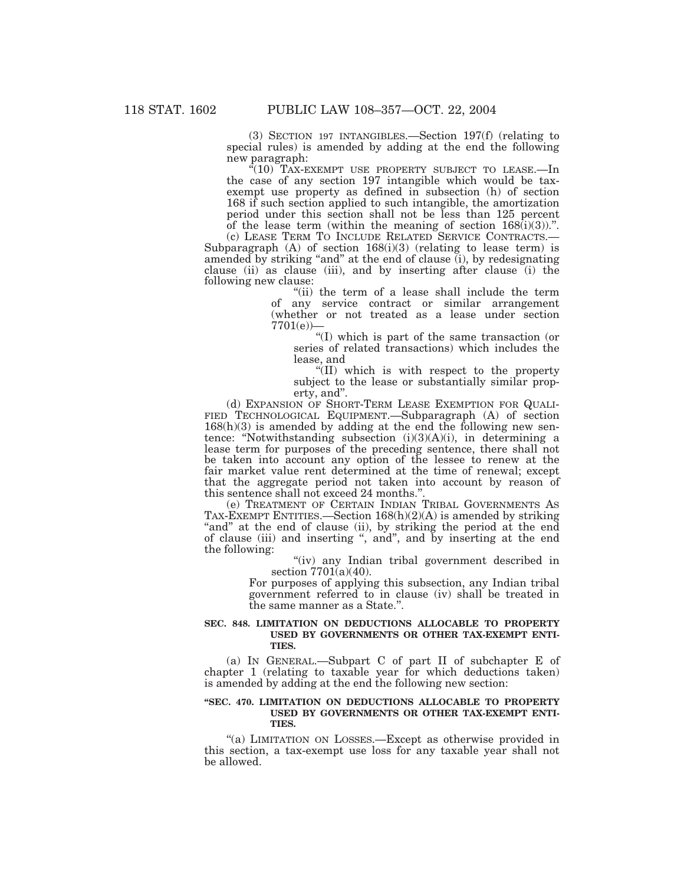(3) SECTION 197 INTANGIBLES.—Section 197(f) (relating to special rules) is amended by adding at the end the following new paragraph:

 $(10)$  TAX-EXEMPT USE PROPERTY SUBJECT TO LEASE.—In the case of any section 197 intangible which would be taxexempt use property as defined in subsection (h) of section 168 if such section applied to such intangible, the amortization period under this section shall not be less than 125 percent of the lease term (within the meaning of section  $168(i)(3)$ ).".

(c) LEASE TERM TO INCLUDE RELATED SERVICE CONTRACTS.— Subparagraph (A) of section 168(i)(3) (relating to lease term) is amended by striking "and" at the end of clause (i), by redesignating clause (ii) as clause (iii), and by inserting after clause (i) the following new clause:

> ''(ii) the term of a lease shall include the term of any service contract or similar arrangement (whether or not treated as a lease under section 7701(e))—

''(I) which is part of the same transaction (or series of related transactions) which includes the lease, and

''(II) which is with respect to the property subject to the lease or substantially similar property, and''.

(d) EXPANSION OF SHORT-TERM LEASE EXEMPTION FOR QUALI-FIED TECHNOLOGICAL EQUIPMENT.—Subparagraph (A) of section  $168(h)(3)$  is amended by adding at the end the following new sentence: ''Notwithstanding subsection (i)(3)(A)(i), in determining a lease term for purposes of the preceding sentence, there shall not be taken into account any option of the lessee to renew at the fair market value rent determined at the time of renewal; except that the aggregate period not taken into account by reason of this sentence shall not exceed 24 months."

(e) TREATMENT OF CERTAIN INDIAN TRIBAL GOVERNMENTS AS TAX-EXEMPT ENTITIES.—Section 168(h)(2)(A) is amended by striking "and" at the end of clause (ii), by striking the period at the end of clause (iii) and inserting '', and'', and by inserting at the end the following:

''(iv) any Indian tribal government described in section 7701(a)(40).

For purposes of applying this subsection, any Indian tribal government referred to in clause (iv) shall be treated in the same manner as a State.''.

### **SEC. 848. LIMITATION ON DEDUCTIONS ALLOCABLE TO PROPERTY USED BY GOVERNMENTS OR OTHER TAX-EXEMPT ENTI-TIES.**

(a) IN GENERAL.—Subpart C of part II of subchapter E of chapter 1 (relating to taxable year for which deductions taken) is amended by adding at the end the following new section:

#### **''SEC. 470. LIMITATION ON DEDUCTIONS ALLOCABLE TO PROPERTY USED BY GOVERNMENTS OR OTHER TAX-EXEMPT ENTI-TIES.**

"(a) LIMITATION ON LOSSES.—Except as otherwise provided in this section, a tax-exempt use loss for any taxable year shall not be allowed.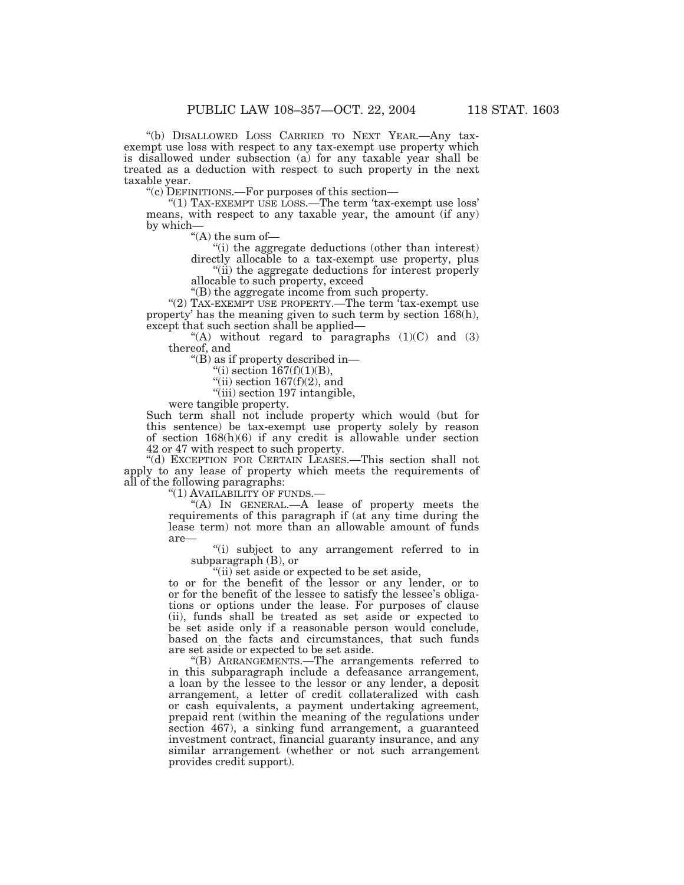''(b) DISALLOWED LOSS CARRIED TO NEXT YEAR.—Any taxexempt use loss with respect to any tax-exempt use property which is disallowed under subsection (a) for any taxable year shall be treated as a deduction with respect to such property in the next taxable year.

''(c) DEFINITIONS.—For purposes of this section—

"(1) TAX-EXEMPT USE LOSS.—The term 'tax-exempt use loss' means, with respect to any taxable year, the amount (if any) by which—

"(A) the sum of-

(i) the aggregate deductions (other than interest)

directly allocable to a tax-exempt use property, plus "(ii) the aggregate deductions for interest properly allocable to such property, exceed

''(B) the aggregate income from such property.

"(2) TAX-EXEMPT USE PROPERTY.—The term 'tax-exempt use property' has the meaning given to such term by section 168(h), except that such section shall be applied—

"(A) without regard to paragraphs  $(1)(C)$  and  $(3)$ thereof, and

''(B) as if property described in—

"(i) section  $167(f)(1)(B)$ ,

"(ii) section  $167(f)(2)$ , and

''(iii) section 197 intangible,

were tangible property.

Such term shall not include property which would (but for this sentence) be tax-exempt use property solely by reason of section 168(h)(6) if any credit is allowable under section 42 or 47 with respect to such property.

''(d) EXCEPTION FOR CERTAIN LEASES.—This section shall not apply to any lease of property which meets the requirements of all of the following paragraphs:<br> $"(1)$  AVAILABILITY OF FUNDS.—

"(A) IN GENERAL.—A lease of property meets the requirements of this paragraph if (at any time during the lease term) not more than an allowable amount of funds are—

''(i) subject to any arrangement referred to in subparagraph (B), or

''(ii) set aside or expected to be set aside,

to or for the benefit of the lessor or any lender, or to or for the benefit of the lessee to satisfy the lessee's obligations or options under the lease. For purposes of clause (ii), funds shall be treated as set aside or expected to be set aside only if a reasonable person would conclude, based on the facts and circumstances, that such funds are set aside or expected to be set aside.

''(B) ARRANGEMENTS.—The arrangements referred to in this subparagraph include a defeasance arrangement, a loan by the lessee to the lessor or any lender, a deposit arrangement, a letter of credit collateralized with cash or cash equivalents, a payment undertaking agreement, prepaid rent (within the meaning of the regulations under section 467), a sinking fund arrangement, a guaranteed investment contract, financial guaranty insurance, and any similar arrangement (whether or not such arrangement provides credit support).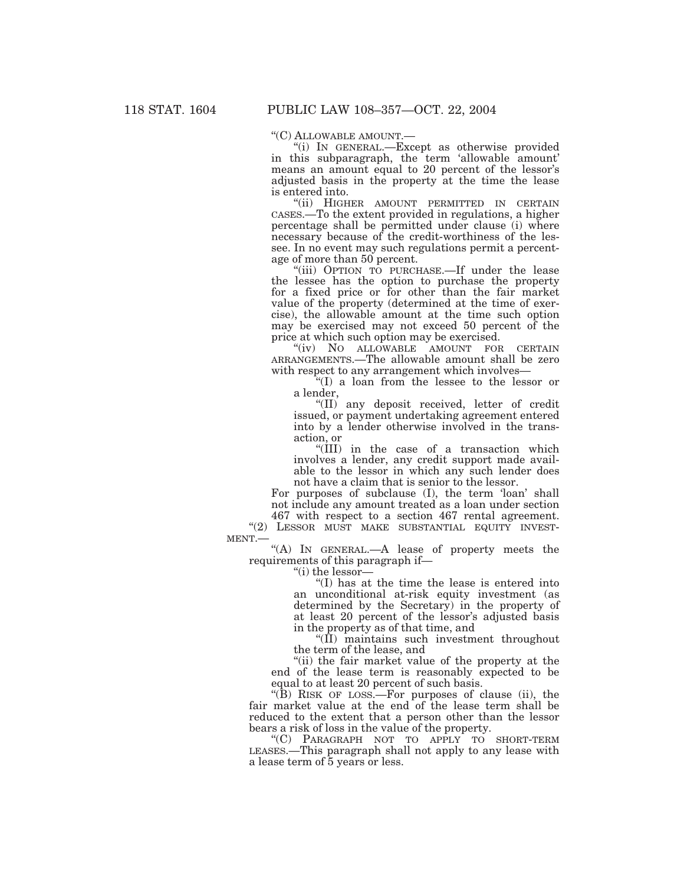''(C) ALLOWABLE AMOUNT.—

''(i) IN GENERAL.—Except as otherwise provided in this subparagraph, the term 'allowable amount' means an amount equal to 20 percent of the lessor's adjusted basis in the property at the time the lease is entered into.

"(ii) HIGHER AMOUNT PERMITTED IN CERTAIN CASES.—To the extent provided in regulations, a higher percentage shall be permitted under clause (i) where necessary because of the credit-worthiness of the lessee. In no event may such regulations permit a percentage of more than 50 percent.

''(iii) OPTION TO PURCHASE.—If under the lease the lessee has the option to purchase the property for a fixed price or for other than the fair market value of the property (determined at the time of exercise), the allowable amount at the time such option may be exercised may not exceed 50 percent of the price at which such option may be exercised.

"(iv) NO ALLOWABLE AMOUNT FOR CERTAIN ARRANGEMENTS.—The allowable amount shall be zero with respect to any arrangement which involves—

''(I) a loan from the lessee to the lessor or a lender,

''(II) any deposit received, letter of credit issued, or payment undertaking agreement entered into by a lender otherwise involved in the transaction, or

''(III) in the case of a transaction which involves a lender, any credit support made available to the lessor in which any such lender does not have a claim that is senior to the lessor.

For purposes of subclause (I), the term 'loan' shall not include any amount treated as a loan under section 467 with respect to a section 467 rental agreement.

"(2) LESSOR MUST MAKE SUBSTANTIAL EQUITY INVEST-<br>MENT.— "(A) IN GENERAL.—A lease of property meets the

requirements of this paragraph if—

''(i) the lessor—

''(I) has at the time the lease is entered into an unconditional at-risk equity investment (as determined by the Secretary) in the property of at least 20 percent of the lessor's adjusted basis in the property as of that time, and

''(II) maintains such investment throughout the term of the lease, and

"(ii) the fair market value of the property at the end of the lease term is reasonably expected to be equal to at least 20 percent of such basis.

''(B) RISK OF LOSS.—For purposes of clause (ii), the fair market value at the end of the lease term shall be reduced to the extent that a person other than the lessor bears a risk of loss in the value of the property.

''(C) PARAGRAPH NOT TO APPLY TO SHORT-TERM LEASES.—This paragraph shall not apply to any lease with a lease term of 5 years or less.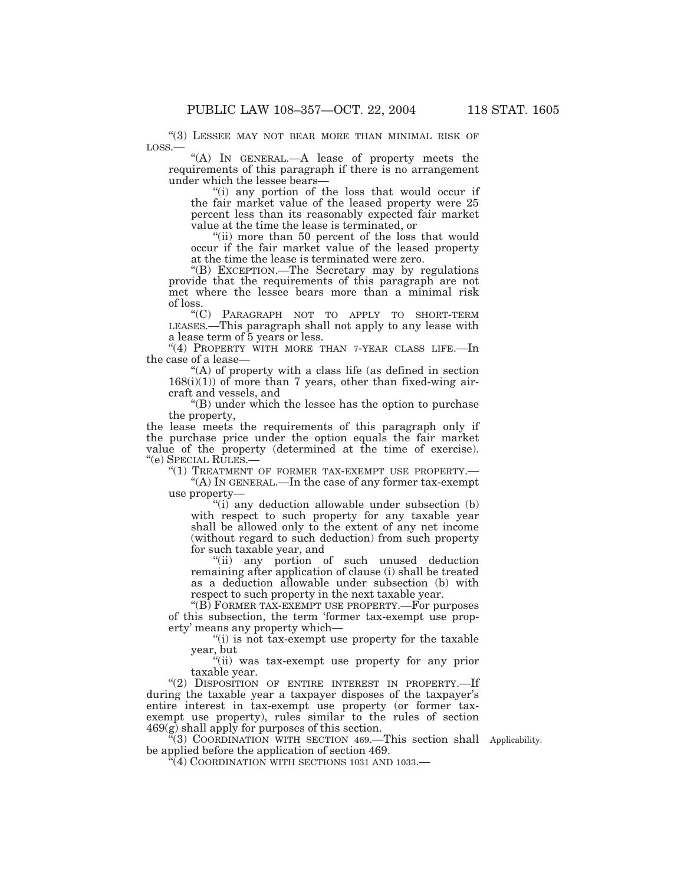"(3) LESSEE MAY NOT BEAR MORE THAN MINIMAL RISK OF LOSS.—

"(A) In GENERAL.—A lease of property meets the requirements of this paragraph if there is no arrangement under which the lessee bears—

''(i) any portion of the loss that would occur if the fair market value of the leased property were 25 percent less than its reasonably expected fair market value at the time the lease is terminated, or

"(ii) more than 50 percent of the loss that would occur if the fair market value of the leased property at the time the lease is terminated were zero.

''(B) EXCEPTION.—The Secretary may by regulations provide that the requirements of this paragraph are not met where the lessee bears more than a minimal risk of loss.

''(C) PARAGRAPH NOT TO APPLY TO SHORT-TERM LEASES.—This paragraph shall not apply to any lease with a lease term of 5 years or less.

"(4) PROPERTY WITH MORE THAN 7-YEAR CLASS LIFE.-In the case of a lease—

''(A) of property with a class life (as defined in section  $168(i)(1)$ ) of more than 7 years, other than fixed-wing aircraft and vessels, and

''(B) under which the lessee has the option to purchase the property,

the lease meets the requirements of this paragraph only if the purchase price under the option equals the fair market value of the property (determined at the time of exercise). ''(e) SPECIAL RULES.—

"(1) TREATMENT OF FORMER TAX-EXEMPT USE PROPERTY.-

''(A) IN GENERAL.—In the case of any former tax-exempt use property—

"(i) any deduction allowable under subsection (b) with respect to such property for any taxable year shall be allowed only to the extent of any net income (without regard to such deduction) from such property for such taxable year, and

''(ii) any portion of such unused deduction remaining after application of clause (i) shall be treated as a deduction allowable under subsection (b) with respect to such property in the next taxable year.

''(B) FORMER TAX-EXEMPT USE PROPERTY.—For purposes of this subsection, the term 'former tax-exempt use property' means any property which—

''(i) is not tax-exempt use property for the taxable year, but

''(ii) was tax-exempt use property for any prior taxable year.

"(2) DISPOSITION OF ENTIRE INTEREST IN PROPERTY.-If during the taxable year a taxpayer disposes of the taxpayer's entire interest in tax-exempt use property (or former taxexempt use property), rules similar to the rules of section 469(g) shall apply for purposes of this section.

''(3) COORDINATION WITH SECTION 469.—This section shall Applicability. be applied before the application of section 469.

 $\mathcal{F}(4)$  COORDINATION WITH SECTIONS 1031 AND 1033.—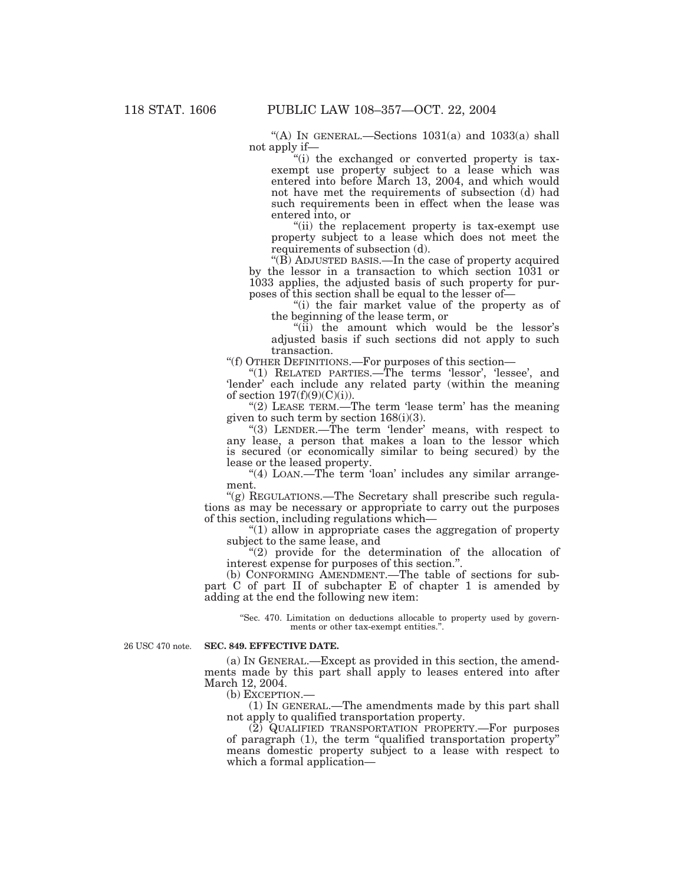"(A) IN GENERAL.—Sections  $1031(a)$  and  $1033(a)$  shall not apply if—

''(i) the exchanged or converted property is taxexempt use property subject to a lease which was entered into before March 13, 2004, and which would not have met the requirements of subsection (d) had such requirements been in effect when the lease was entered into, or

''(ii) the replacement property is tax-exempt use property subject to a lease which does not meet the requirements of subsection (d).

" $(B)$  ADJUSTED BASIS.—In the case of property acquired by the lessor in a transaction to which section 1031 or 1033 applies, the adjusted basis of such property for purposes of this section shall be equal to the lesser of—

"(i) the fair market value of the property as of the beginning of the lease term, or

"(ii) the amount which would be the lessor's adjusted basis if such sections did not apply to such transaction.

''(f) OTHER DEFINITIONS.—For purposes of this section—

''(1) RELATED PARTIES.—The terms 'lessor', 'lessee', and 'lender' each include any related party (within the meaning of section  $197(f)(9)(C)(i)$ ).

" $(2)$  LEASE TERM.—The term 'lease term' has the meaning given to such term by section 168(i)(3).

"(3) LENDER.—The term 'lender' means, with respect to any lease, a person that makes a loan to the lessor which is secured (or economically similar to being secured) by the lease or the leased property.

''(4) LOAN.—The term 'loan' includes any similar arrangement.

"(g) REGULATIONS.—The Secretary shall prescribe such regulations as may be necessary or appropriate to carry out the purposes of this section, including regulations which—

''(1) allow in appropriate cases the aggregation of property subject to the same lease, and

"(2) provide for the determination of the allocation of interest expense for purposes of this section.''.

(b) CONFORMING AMENDMENT.—The table of sections for subpart C of part II of subchapter E of chapter 1 is amended by adding at the end the following new item:

> ''Sec. 470. Limitation on deductions allocable to property used by governments or other tax-exempt entities.''.

26 USC 470 note.

#### **SEC. 849. EFFECTIVE DATE.**

(a) IN GENERAL.—Except as provided in this section, the amendments made by this part shall apply to leases entered into after March 12, 2004.

(b) EXCEPTION.—

(1) IN GENERAL.—The amendments made by this part shall not apply to qualified transportation property.

(2) QUALIFIED TRANSPORTATION PROPERTY.—For purposes of paragraph (1), the term ''qualified transportation property'' means domestic property subject to a lease with respect to which a formal application—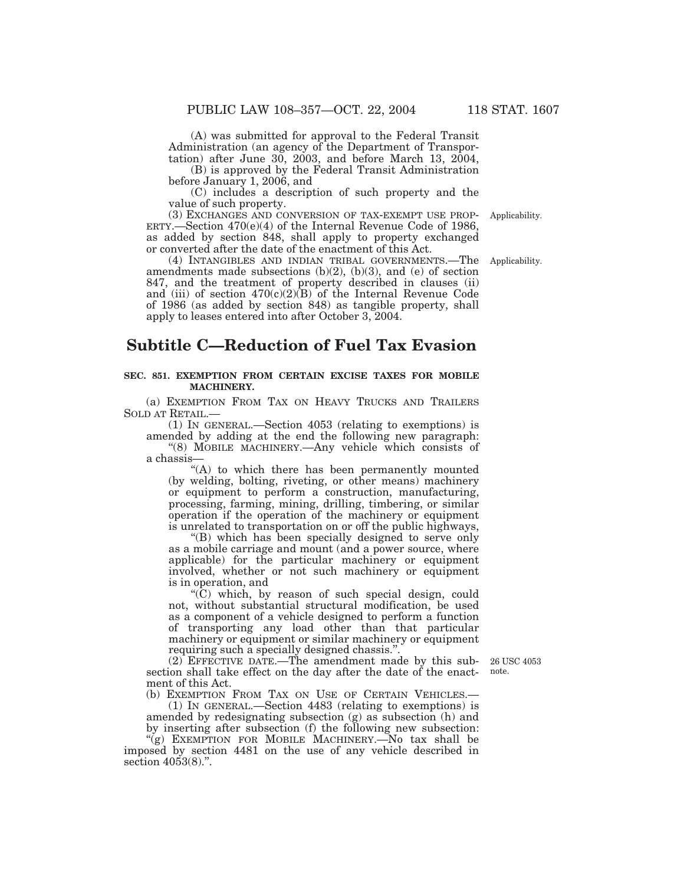(A) was submitted for approval to the Federal Transit Administration (an agency of the Department of Transportation) after June  $30, 2003$ , and before March 13,  $2004$ ,

(B) is approved by the Federal Transit Administration before January 1, 2006, and

(C) includes a description of such property and the value of such property.

(3) EXCHANGES AND CONVERSION OF TAX-EXEMPT USE PROP-Applicability. ERTY.—Section  $470(e)(4)$  of the Internal Revenue Code of 1986, as added by section 848, shall apply to property exchanged or converted after the date of the enactment of this Act.

(4) INTANGIBLES AND INDIAN TRIBAL GOVERNMENTS.—The amendments made subsections  $(b)(2)$ ,  $(b)(3)$ , and  $(e)$  of section 847, and the treatment of property described in clauses (ii) and (iii) of section 470(c)(2)(B) of the Internal Revenue Code of 1986 (as added by section 848) as tangible property, shall apply to leases entered into after October 3, 2004.

# **Subtitle C—Reduction of Fuel Tax Evasion**

## **SEC. 851. EXEMPTION FROM CERTAIN EXCISE TAXES FOR MOBILE MACHINERY.**

(a) EXEMPTION FROM TAX ON HEAVY TRUCKS AND TRAILERS SOLD AT RETAIL.—

(1) IN GENERAL.—Section 4053 (relating to exemptions) is amended by adding at the end the following new paragraph:

''(8) MOBILE MACHINERY.—Any vehicle which consists of a chassis—

"(A) to which there has been permanently mounted (by welding, bolting, riveting, or other means) machinery or equipment to perform a construction, manufacturing, processing, farming, mining, drilling, timbering, or similar operation if the operation of the machinery or equipment is unrelated to transportation on or off the public highways,

''(B) which has been specially designed to serve only as a mobile carriage and mount (and a power source, where applicable) for the particular machinery or equipment involved, whether or not such machinery or equipment is in operation, and

" $(C)$  which, by reason of such special design, could not, without substantial structural modification, be used as a component of a vehicle designed to perform a function of transporting any load other than that particular machinery or equipment or similar machinery or equipment requiring such a specially designed chassis."

(2) EFFECTIVE DATE.—The amendment made by this subsection shall take effect on the day after the date of the enactment of this Act.

(b) EXEMPTION FROM TAX ON USE OF CERTAIN VEHICLES.— (1) IN GENERAL.—Section 4483 (relating to exemptions) is

amended by redesignating subsection (g) as subsection (h) and by inserting after subsection (f) the following new subsection: "(g) EXEMPTION FOR MOBILE MACHINERY.—No tax shall be

imposed by section 4481 on the use of any vehicle described in section  $4053(8)$ .".

26 USC 4053 note.

Applicability.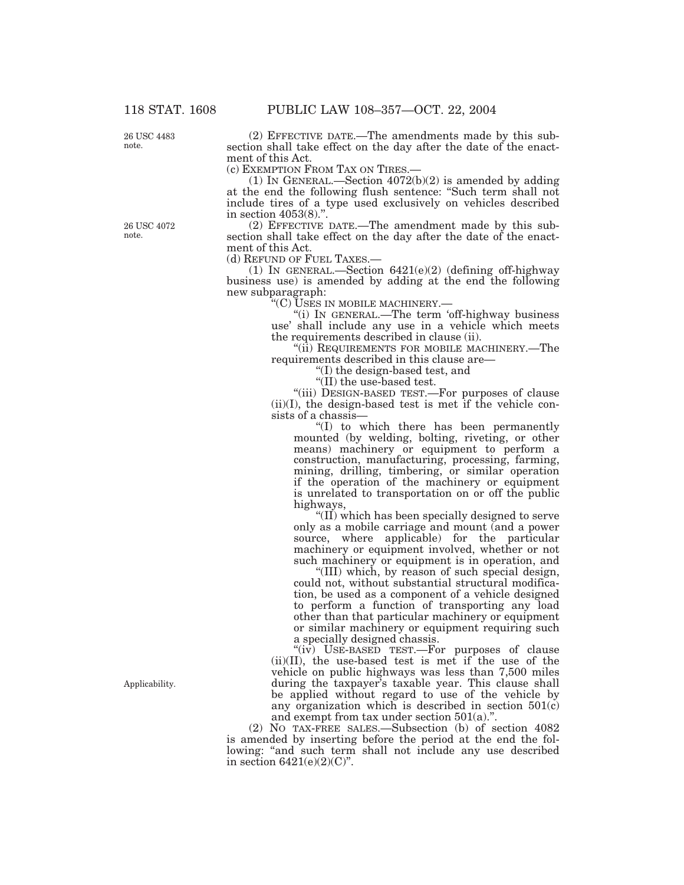26 USC 4483 note.

26 USC 4072 note.

(2) EFFECTIVE DATE.—The amendments made by this subsection shall take effect on the day after the date of the enactment of this Act.

(c) EXEMPTION FROM TAX ON TIRES.—

(1) In GENERAL.—Section  $4072(b)(2)$  is amended by adding at the end the following flush sentence: ''Such term shall not include tires of a type used exclusively on vehicles described in section  $4053(8)$ ."

(2) EFFECTIVE DATE.—The amendment made by this subsection shall take effect on the day after the date of the enactment of this Act.

(d) REFUND OF FUEL TAXES.—

(1) IN GENERAL.—Section 6421(e)(2) (defining off-highway business use) is amended by adding at the end the following new subparagraph:

''(C) USES IN MOBILE MACHINERY.—

''(i) IN GENERAL.—The term 'off-highway business use' shall include any use in a vehicle which meets the requirements described in clause (ii).

"(ii) REQUIREMENTS FOR MOBILE MACHINERY.—The requirements described in this clause are—

''(I) the design-based test, and

"(II) the use-based test.

''(iii) DESIGN-BASED TEST.—For purposes of clause  $(ii)(I)$ , the design-based test is met if the vehicle consists of a chassis—

''(I) to which there has been permanently mounted (by welding, bolting, riveting, or other means) machinery or equipment to perform a construction, manufacturing, processing, farming, mining, drilling, timbering, or similar operation if the operation of the machinery or equipment is unrelated to transportation on or off the public highways,

 $\rm^{\prime\prime}(II)$  which has been specially designed to serve only as a mobile carriage and mount (and a power source, where applicable) for the particular machinery or equipment involved, whether or not such machinery or equipment is in operation, and

''(III) which, by reason of such special design, could not, without substantial structural modification, be used as a component of a vehicle designed to perform a function of transporting any load other than that particular machinery or equipment or similar machinery or equipment requiring such a specially designed chassis.

"(iv) USE-BASED TEST.—For purposes of clause  $(ii)(II)$ , the use-based test is met if the use of the vehicle on public highways was less than 7,500 miles during the taxpayer's taxable year. This clause shall be applied without regard to use of the vehicle by any organization which is described in section  $501(c)$ and exempt from tax under section 501(a).''.

(2) NO TAX-FREE SALES.—Subsection (b) of section 4082 is amended by inserting before the period at the end the following: "and such term shall not include any use described in section  $6421(e)(2)(C)$ ".

Applicability.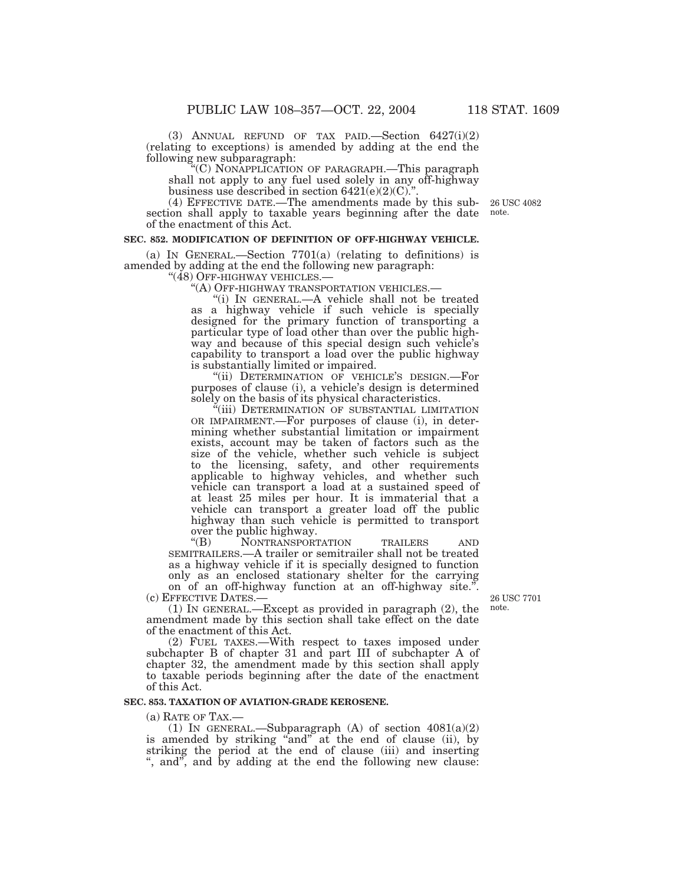(3) ANNUAL REFUND OF TAX PAID.—Section 6427(i)(2) (relating to exceptions) is amended by adding at the end the following new subparagraph:

''(C) NONAPPLICATION OF PARAGRAPH.—This paragraph shall not apply to any fuel used solely in any off-highway business use described in section  $6421(e)(2)(C)$ .

(4) EFFECTIVE DATE.—The amendments made by this subsection shall apply to taxable years beginning after the date of the enactment of this Act.

## **SEC. 852. MODIFICATION OF DEFINITION OF OFF-HIGHWAY VEHICLE.**

(a) IN GENERAL.—Section 7701(a) (relating to definitions) is amended by adding at the end the following new paragraph:

"(A) OFF-HIGHWAY TRANSPORTATION VEHICLES.—<br>"(i) IN GENERAL.—A vehicle shall not be treated as a highway vehicle if such vehicle is specially designed for the primary function of transporting a particular type of load other than over the public highway and because of this special design such vehicle's capability to transport a load over the public highway is substantially limited or impaired.

"(ii) DETERMINATION OF VEHICLE'S DESIGN.—For purposes of clause (i), a vehicle's design is determined solely on the basis of its physical characteristics.

 $\alpha$ <sup>"</sup>(iii) DETERMINATION OF SUBSTANTIAL LIMITATION OR IMPAIRMENT.—For purposes of clause (i), in determining whether substantial limitation or impairment exists, account may be taken of factors such as the size of the vehicle, whether such vehicle is subject to the licensing, safety, and other requirements applicable to highway vehicles, and whether such vehicle can transport a load at a sustained speed of at least 25 miles per hour. It is immaterial that a vehicle can transport a greater load off the public highway than such vehicle is permitted to transport over the public highway.<br>"(B) NONTRANSPORT

NONTRANSPORTATION TRAILERS AND SEMITRAILERS.—A trailer or semitrailer shall not be treated as a highway vehicle if it is specially designed to function only as an enclosed stationary shelter for the carrying on of an off-highway function at an off-highway site.''.

26 USC 7701 note.

(c) EFFECTIVE DATES.—<br>(1) IN GENERAL.—Except as provided in paragraph  $(2)$ , the amendment made by this section shall take effect on the date of the enactment of this Act.

(2) FUEL TAXES.—With respect to taxes imposed under subchapter B of chapter 31 and part III of subchapter A of chapter 32, the amendment made by this section shall apply to taxable periods beginning after the date of the enactment of this Act.

#### **SEC. 853. TAXATION OF AVIATION-GRADE KEROSENE.**

(a) RATE OF TAX.—

(1) IN GENERAL.—Subparagraph (A) of section  $4081(a)(2)$ is amended by striking "and" at the end of clause (ii), by striking the period at the end of clause (iii) and inserting '', and'', and by adding at the end the following new clause:

26 USC 4082 note.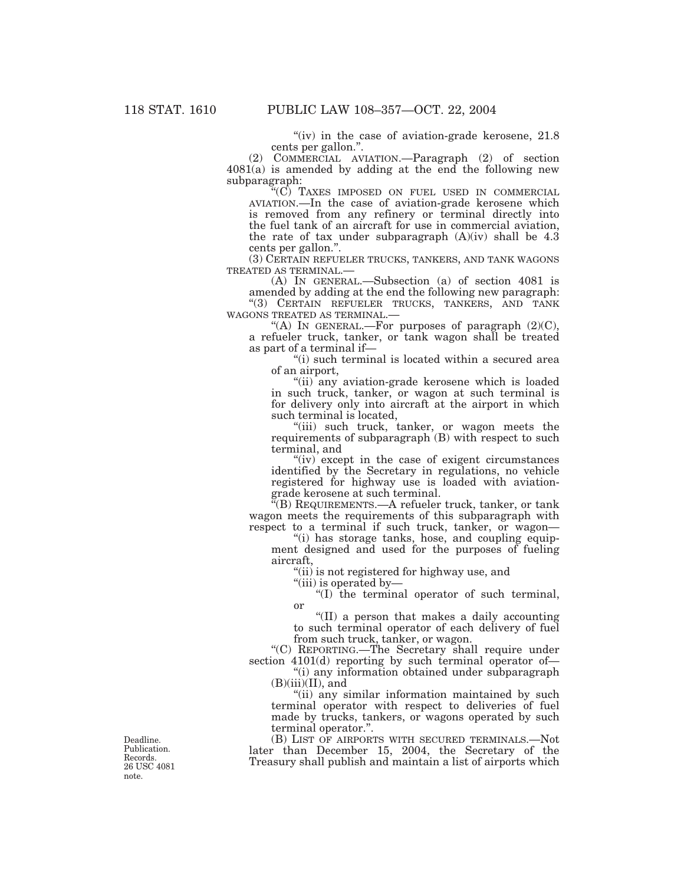" $(iv)$  in the case of aviation-grade kerosene, 21.8 cents per gallon.''.

(2) COMMERCIAL AVIATION.—Paragraph (2) of section  $4081(a)$  is amended by adding at the end the following new subparagraph:

''(C) TAXES IMPOSED ON FUEL USED IN COMMERCIAL AVIATION.—In the case of aviation-grade kerosene which is removed from any refinery or terminal directly into the fuel tank of an aircraft for use in commercial aviation, the rate of tax under subparagraph  $(A)(iv)$  shall be 4.3 cents per gallon.''.

(3) CERTAIN REFUELER TRUCKS, TANKERS, AND TANK WAGONS TREATED AS TERMINAL.

(A) IN GENERAL.—Subsection (a) of section 4081 is amended by adding at the end the following new paragraph:

''(3) CERTAIN REFUELER TRUCKS, TANKERS, AND TANK WAGONS TREATED AS TERMINAL.—

"(A) IN GENERAL.—For purposes of paragraph  $(2)(C)$ , a refueler truck, tanker, or tank wagon shall be treated as part of a terminal if—

''(i) such terminal is located within a secured area of an airport,

"(ii) any aviation-grade kerosene which is loaded in such truck, tanker, or wagon at such terminal is for delivery only into aircraft at the airport in which such terminal is located,

''(iii) such truck, tanker, or wagon meets the requirements of subparagraph (B) with respect to such terminal, and

"(iv) except in the case of exigent circumstances" identified by the Secretary in regulations, no vehicle registered for highway use is loaded with aviationgrade kerosene at such terminal.

 $E(E)$  REQUIREMENTS.—A refueler truck, tanker, or tank wagon meets the requirements of this subparagraph with respect to a terminal if such truck, tanker, or wagon—

''(i) has storage tanks, hose, and coupling equipment designed and used for the purposes of fueling aircraft,

''(ii) is not registered for highway use, and

"(iii) is operated by-

''(I) the terminal operator of such terminal, or

''(II) a person that makes a daily accounting to such terminal operator of each delivery of fuel from such truck, tanker, or wagon.

''(C) REPORTING.—The Secretary shall require under section 4101(d) reporting by such terminal operator of-

''(i) any information obtained under subparagraph  $(B)(iii)(II)$ , and

''(ii) any similar information maintained by such terminal operator with respect to deliveries of fuel made by trucks, tankers, or wagons operated by such terminal operator.''.

(B) LIST OF AIRPORTS WITH SECURED TERMINALS.—Not later than December 15, 2004, the Secretary of the Treasury shall publish and maintain a list of airports which

Deadline. Publication. Records. 26 USC 4081 note.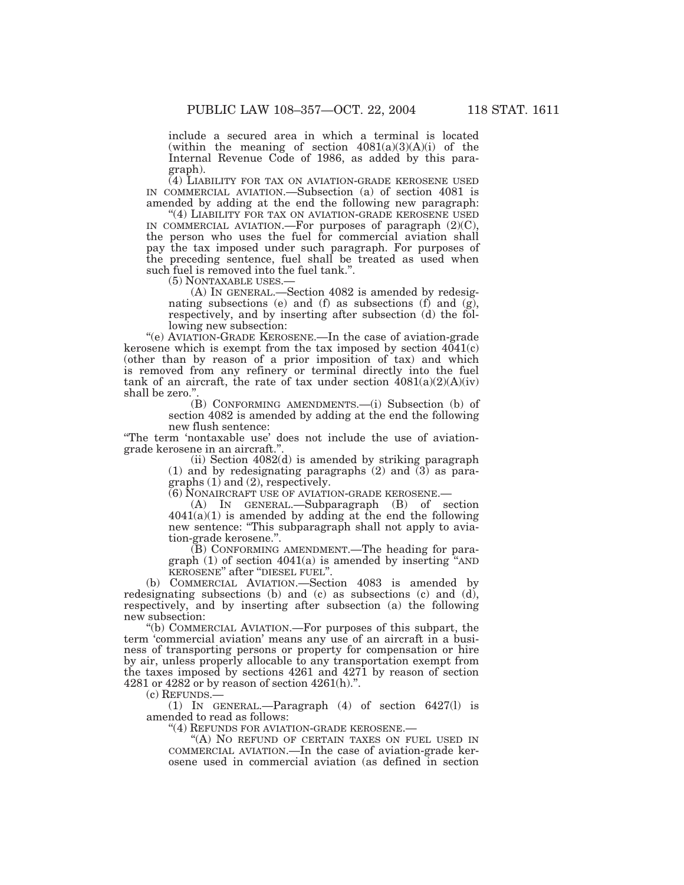include a secured area in which a terminal is located (within the meaning of section  $4081(a)(3)(A)(i)$  of the Internal Revenue Code of 1986, as added by this paragraph).

(4) LIABILITY FOR TAX ON AVIATION-GRADE KEROSENE USED IN COMMERCIAL AVIATION.—Subsection (a) of section 4081 is amended by adding at the end the following new paragraph:

"(4) LIABILITY FOR TAX ON AVIATION-GRADE KEROSENE USED IN COMMERCIAL AVIATION.—For purposes of paragraph (2)(C), the person who uses the fuel for commercial aviation shall pay the tax imposed under such paragraph. For purposes of the preceding sentence, fuel shall be treated as used when such fuel is removed into the fuel tank.''.

(5) NONTAXABLE USES.—

(A) IN GENERAL.—Section 4082 is amended by redesignating subsections (e) and (f) as subsections (f) and (g), respectively, and by inserting after subsection (d) the following new subsection:

''(e) AVIATION-GRADE KEROSENE.—In the case of aviation-grade kerosene which is exempt from the tax imposed by section 4041(c) (other than by reason of a prior imposition of tax) and which is removed from any refinery or terminal directly into the fuel tank of an aircraft, the rate of tax under section  $4081(a)(2)(A)(iv)$ shall be zero.''.

> (B) CONFORMING AMENDMENTS.—(i) Subsection (b) of section 4082 is amended by adding at the end the following new flush sentence:

''The term 'nontaxable use' does not include the use of aviationgrade kerosene in an aircraft.''.

(ii) Section 4082(d) is amended by striking paragraph (1) and by redesignating paragraphs  $(2)$  and  $(3)$  as paragraphs (1) and (2), respectively.

(A) IN GENERAL.—Subparagraph  $(B)$  of section  $4041(a)(1)$  is amended by adding at the end the following new sentence: "This subparagraph shall not apply to aviation-grade kerosene.''.

(B) CONFORMING AMENDMENT.—The heading for paragraph  $(1)$  of section  $4041(a)$  is amended by inserting "AND KEROSENE'' after ''DIESEL FUEL''.

(b) COMMERCIAL AVIATION.—Section 4083 is amended by redesignating subsections (b) and (c) as subsections (c) and (d), respectively, and by inserting after subsection (a) the following new subsection:

''(b) COMMERCIAL AVIATION.—For purposes of this subpart, the term 'commercial aviation' means any use of an aircraft in a business of transporting persons or property for compensation or hire by air, unless properly allocable to any transportation exempt from the taxes imposed by sections 4261 and 4271 by reason of section 4281 or  $4282$  or by reason of section  $4261(h)$ .".

(c) REFUNDS.—

(1) IN GENERAL.—Paragraph (4) of section 6427(l) is amended to read as follows:

''(4) REFUNDS FOR AVIATION-GRADE KEROSENE.— ''(A) NO REFUND OF CERTAIN TAXES ON FUEL USED IN COMMERCIAL AVIATION.—In the case of aviation-grade kerosene used in commercial aviation (as defined in section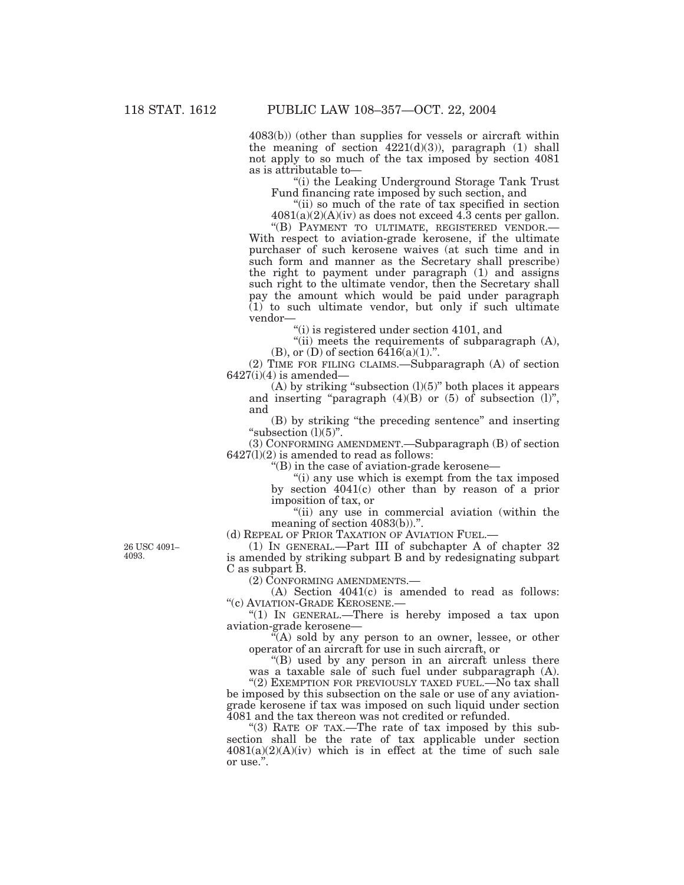4083(b)) (other than supplies for vessels or aircraft within the meaning of section  $4221(d)(3)$ , paragraph (1) shall not apply to so much of the tax imposed by section 4081 as is attributable to—

''(i) the Leaking Underground Storage Tank Trust Fund financing rate imposed by such section, and

"(ii) so much of the rate of tax specified in section  $4081(a)(2)(A)(iv)$  as does not exceed 4.3 cents per gallon.

''(B) PAYMENT TO ULTIMATE, REGISTERED VENDOR.— With respect to aviation-grade kerosene, if the ultimate purchaser of such kerosene waives (at such time and in such form and manner as the Secretary shall prescribe) the right to payment under paragraph (1) and assigns such right to the ultimate vendor, then the Secretary shall pay the amount which would be paid under paragraph  $(1)$  to such ultimate vendor, but only if such ultimate vendor—

"(i) is registered under section 4101, and

"(ii) meets the requirements of subparagraph (A), (B), or (D) of section  $6416(a)(1)$ .".

(2) TIME FOR FILING CLAIMS.—Subparagraph (A) of section  $6427(i)(4)$  is amended-

 $(A)$  by striking "subsection  $(l)(5)$ " both places it appears and inserting "paragraph  $(4)(B)$  or  $(5)$  of subsection  $(l)$ ", and

(B) by striking ''the preceding sentence'' and inserting "subsection  $(l)(5)$ ".

(3) CONFORMING AMENDMENT.—Subparagraph (B) of section  $6427(1)(2)$  is amended to read as follows:

''(B) in the case of aviation-grade kerosene—

''(i) any use which is exempt from the tax imposed by section 4041(c) other than by reason of a prior imposition of tax, or

''(ii) any use in commercial aviation (within the meaning of section  $4083(b)$ .".

(d) REPEAL OF PRIOR TAXATION OF AVIATION FUEL.—

(1) IN GENERAL.—Part III of subchapter A of chapter 32 is amended by striking subpart B and by redesignating subpart C as subpart B.

(2) CONFORMING AMENDMENTS.—

(A) Section 4041(c) is amended to read as follows: ''(c) AVIATION-GRADE KEROSENE.—

''(1) IN GENERAL.—There is hereby imposed a tax upon aviation-grade kerosene—

 $f(A)$  sold by any person to an owner, lessee, or other operator of an aircraft for use in such aircraft, or

''(B) used by any person in an aircraft unless there

was a taxable sale of such fuel under subparagraph (A). "(2) EXEMPTION FOR PREVIOUSLY TAXED FUEL.—No tax shall be imposed by this subsection on the sale or use of any aviationgrade kerosene if tax was imposed on such liquid under section 4081 and the tax thereon was not credited or refunded.

"(3) RATE OF TAX.—The rate of tax imposed by this subsection shall be the rate of tax applicable under section  $4081(a)(2)(A)(iv)$  which is in effect at the time of such sale or use.''.

26 USC 4091– 4093.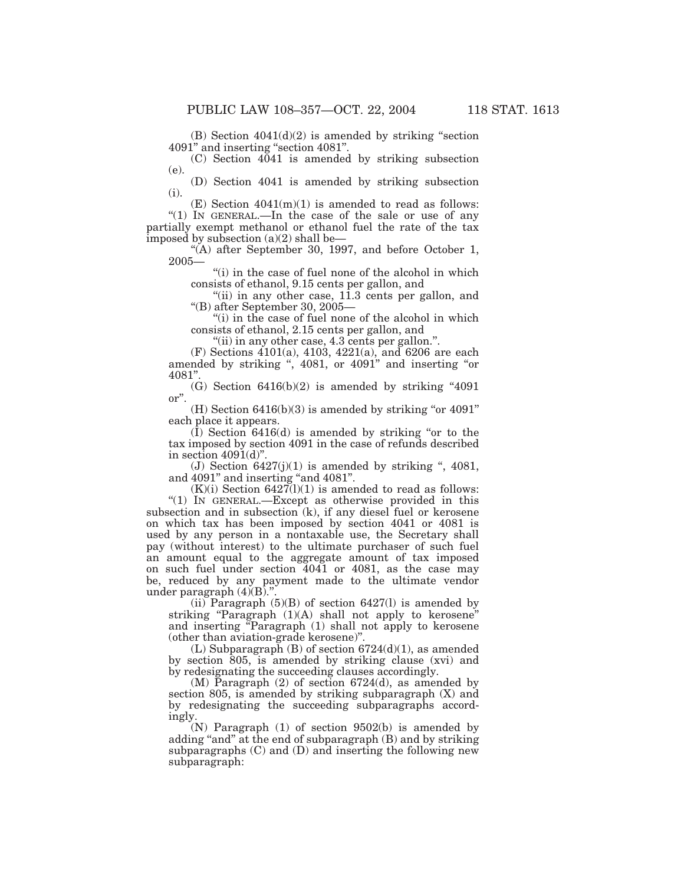(B) Section  $4041(d)(2)$  is amended by striking "section 4091'' and inserting ''section 4081''.

(C) Section 4041 is amended by striking subsection (e).

(D) Section 4041 is amended by striking subsection (i).

 $(E)$  Section  $4041(m)(1)$  is amended to read as follows: " $(1)$  IN GENERAL.—In the case of the sale or use of any partially exempt methanol or ethanol fuel the rate of the tax imposed by subsection  $(a)(2)$  shall be—

''(A) after September 30, 1997, and before October 1, 2005—

"(i) in the case of fuel none of the alcohol in which consists of ethanol, 9.15 cents per gallon, and

"(ii) in any other case,  $1\overline{1} \cdot 3$  cents per gallon, and ''(B) after September 30, 2005—

"(i) in the case of fuel none of the alcohol in which consists of ethanol, 2.15 cents per gallon, and

"(ii) in any other case, 4.3 cents per gallon.".

(F) Sections 4101(a), 4103, 4221(a), and 6206 are each amended by striking ", 4081, or 4091" and inserting "or 4081''.

 $(G)$  Section 6416(b)(2) is amended by striking "4091 or''.

 $(H)$  Section 6416(b)(3) is amended by striking "or 4091" each place it appears.

 $(I)$  Section 6416(d) is amended by striking "or to the tax imposed by section 4091 in the case of refunds described in section  $4091(d)$ ".

(J) Section  $6427(j)(1)$  is amended by striking ",  $4081$ , and 4091'' and inserting ''and 4081''.

 $(K)(i)$  Section  $6427(1)(1)$  is amended to read as follows: ''(1) IN GENERAL.—Except as otherwise provided in this subsection and in subsection  $(k)$ , if any diesel fuel or kerosene on which tax has been imposed by section 4041 or 4081 is used by any person in a nontaxable use, the Secretary shall pay (without interest) to the ultimate purchaser of such fuel an amount equal to the aggregate amount of tax imposed on such fuel under section 4041 or 4081, as the case may be, reduced by any payment made to the ultimate vendor under paragraph  $(4)(B)$ ."

(ii) Paragraph  $(5)(B)$  of section  $6427(1)$  is amended by striking "Paragraph (1)(A) shall not apply to kerosene" and inserting ''Paragraph (1) shall not apply to kerosene (other than aviation-grade kerosene)''.

(L) Subparagraph  $(B)$  of section  $6724(d)(1)$ , as amended by section 805, is amended by striking clause (xvi) and by redesignating the succeeding clauses accordingly.

(M) Paragraph (2) of section 6724(d), as amended by section 805, is amended by striking subparagraph (X) and by redesignating the succeeding subparagraphs accordingly.

(N) Paragraph (1) of section 9502(b) is amended by adding "and" at the end of subparagraph (B) and by striking subparagraphs  $(C)$  and  $(D)$  and inserting the following new subparagraph: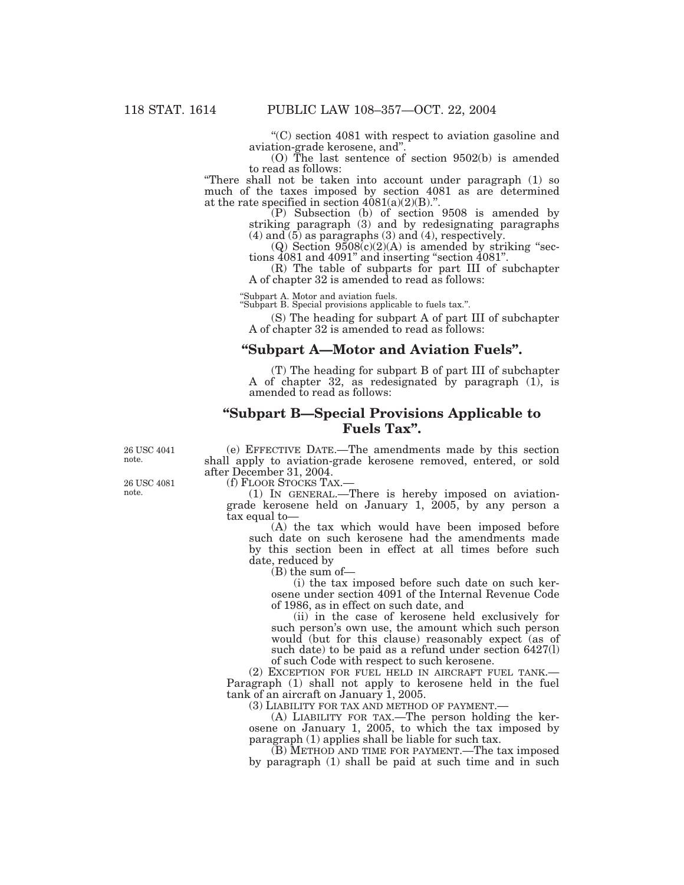''(C) section 4081 with respect to aviation gasoline and aviation-grade kerosene, and''.

(O) The last sentence of section 9502(b) is amended to read as follows:

''There shall not be taken into account under paragraph (1) so much of the taxes imposed by section 4081 as are determined at the rate specified in section  $4081(a)(2)(B)$ .".

(P) Subsection (b) of section 9508 is amended by striking paragraph (3) and by redesignating paragraphs  $(4)$  and  $(5)$  as paragraphs  $(3)$  and  $(4)$ , respectively.

(Q) Section  $9508(c)(2)(A)$  is amended by striking "sections 4081 and 4091" and inserting "section 4081".

(R) The table of subparts for part III of subchapter A of chapter 32 is amended to read as follows:

''Subpart A. Motor and aviation fuels. ''Subpart B. Special provisions applicable to fuels tax.''.

(S) The heading for subpart A of part III of subchapter A of chapter 32 is amended to read as follows:

## **''Subpart A—Motor and Aviation Fuels''.**

(T) The heading for subpart B of part III of subchapter A of chapter 32, as redesignated by paragraph (1), is amended to read as follows:

# **''Subpart B—Special Provisions Applicable to Fuels Tax''.**

26 USC 4041 note.

26 USC 4081 note.

(e) EFFECTIVE DATE.—The amendments made by this section shall apply to aviation-grade kerosene removed, entered, or sold after December 31, 2004.

(f) FLOOR STOCKS TAX.— (1) IN GENERAL.—There is hereby imposed on aviationgrade kerosene held on January 1, 2005, by any person a tax equal to—

(A) the tax which would have been imposed before such date on such kerosene had the amendments made by this section been in effect at all times before such date, reduced by

(B) the sum of—

(i) the tax imposed before such date on such kerosene under section 4091 of the Internal Revenue Code of 1986, as in effect on such date, and

(ii) in the case of kerosene held exclusively for such person's own use, the amount which such person would (but for this clause) reasonably expect (as of such date) to be paid as a refund under section 6427(l) of such Code with respect to such kerosene.

(2) EXCEPTION FOR FUEL HELD IN AIRCRAFT FUEL TANK.— Paragraph (1) shall not apply to kerosene held in the fuel tank of an aircraft on January 1, 2005.

(3) LIABILITY FOR TAX AND METHOD OF PAYMENT.—

(A) LIABILITY FOR TAX.—The person holding the kerosene on January 1, 2005, to which the tax imposed by paragraph (1) applies shall be liable for such tax.

(B) METHOD AND TIME FOR PAYMENT.—The tax imposed by paragraph (1) shall be paid at such time and in such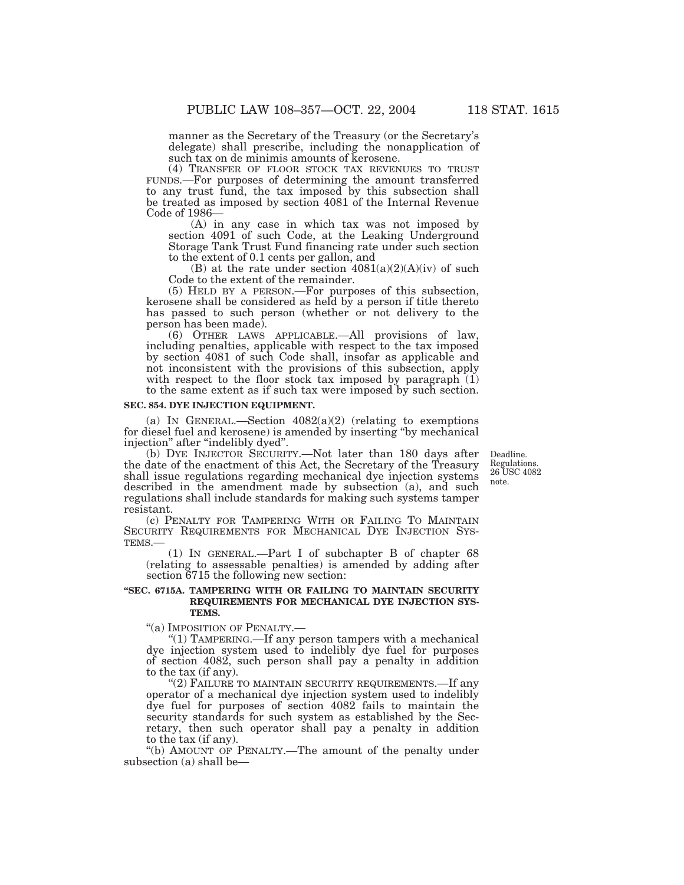manner as the Secretary of the Treasury (or the Secretary's delegate) shall prescribe, including the nonapplication of such tax on de minimis amounts of kerosene.

(4) TRANSFER OF FLOOR STOCK TAX REVENUES TO TRUST FUNDS.—For purposes of determining the amount transferred to any trust fund, the tax imposed by this subsection shall be treated as imposed by section 4081 of the Internal Revenue Code of 1986—

(A) in any case in which tax was not imposed by section 4091 of such Code, at the Leaking Underground Storage Tank Trust Fund financing rate under such section to the extent of 0.1 cents per gallon, and

(B) at the rate under section  $4081(a)(2)(A)(iv)$  of such Code to the extent of the remainder.

(5) HELD BY A PERSON.—For purposes of this subsection, kerosene shall be considered as held by a person if title thereto has passed to such person (whether or not delivery to the person has been made).

(6) OTHER LAWS APPLICABLE.—All provisions of law, including penalties, applicable with respect to the tax imposed by section 4081 of such Code shall, insofar as applicable and not inconsistent with the provisions of this subsection, apply with respect to the floor stock tax imposed by paragraph  $(1)$ to the same extent as if such tax were imposed by such section.

#### **SEC. 854. DYE INJECTION EQUIPMENT.**

(a) IN GENERAL.—Section  $4082(a)(2)$  (relating to exemptions for diesel fuel and kerosene) is amended by inserting ''by mechanical injection'' after ''indelibly dyed''.

> Deadline. **Regulations** 26 USC 4082 note.

(b) DYE INJECTOR SECURITY.—Not later than 180 days after the date of the enactment of this Act, the Secretary of the Treasury shall issue regulations regarding mechanical dye injection systems described in the amendment made by subsection (a), and such regulations shall include standards for making such systems tamper resistant.

(c) PENALTY FOR TAMPERING WITH OR FAILING TO MAINTAIN SECURITY REQUIREMENTS FOR MECHANICAL DYE INJECTION SYS-

TEMS.—<br>(1) IN GENERAL.—Part I of subchapter B of chapter 68 (relating to assessable penalties) is amended by adding after section 6715 the following new section:

## **''SEC. 6715A. TAMPERING WITH OR FAILING TO MAINTAIN SECURITY REQUIREMENTS FOR MECHANICAL DYE INJECTION SYS-TEMS.**

''(a) IMPOSITION OF PENALTY.— ''(1) TAMPERING.—If any person tampers with a mechanical dye injection system used to indelibly dye fuel for purposes of section 4082, such person shall pay a penalty in addition to the tax (if any).

"(2) FAILURE TO MAINTAIN SECURITY REQUIREMENTS.—If any operator of a mechanical dye injection system used to indelibly dye fuel for purposes of section 4082 fails to maintain the security standards for such system as established by the Secretary, then such operator shall pay a penalty in addition to the tax (if any).

"(b) AMOUNT OF PENALTY.—The amount of the penalty under subsection (a) shall be—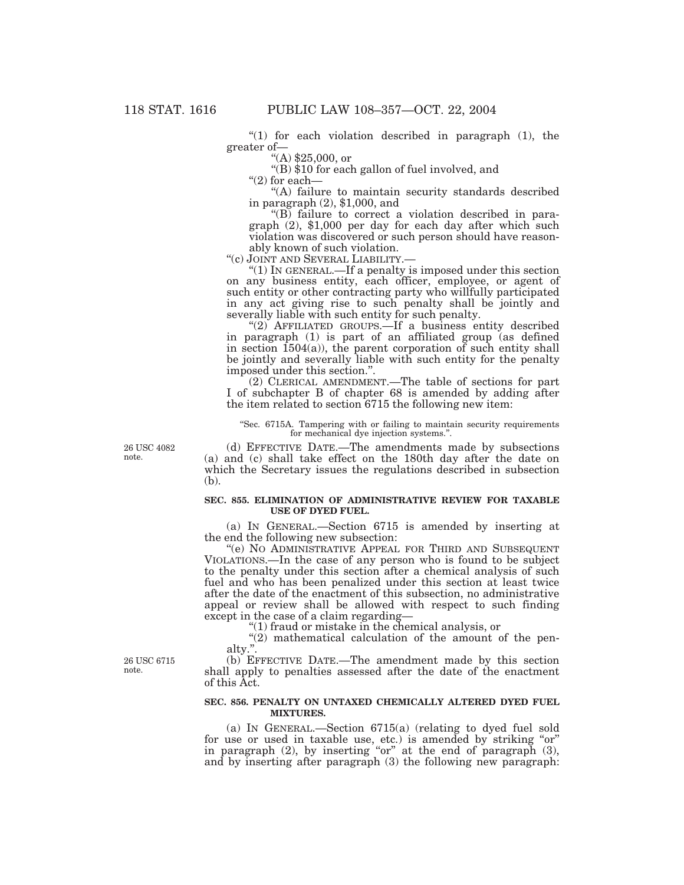" $(1)$  for each violation described in paragraph  $(1)$ , the greater of—

 $(A)$  \$25,000, or

''(B) \$10 for each gallon of fuel involved, and

" $(2)$  for each-

''(A) failure to maintain security standards described in paragraph (2), \$1,000, and

''(B) failure to correct a violation described in paragraph  $(2)$ , \$1,000 per day for each day after which such violation was discovered or such person should have reasonably known of such violation.

''(c) JOINT AND SEVERAL LIABILITY.—

"(1) IN GENERAL.—If a penalty is imposed under this section on any business entity, each officer, employee, or agent of such entity or other contracting party who willfully participated in any act giving rise to such penalty shall be jointly and severally liable with such entity for such penalty.

"(2) AFFILIATED GROUPS.—If a business entity described in paragraph (1) is part of an affiliated group (as defined in section 1504(a)), the parent corporation of such entity shall be jointly and severally liable with such entity for the penalty imposed under this section.''.

(2) CLERICAL AMENDMENT.—The table of sections for part I of subchapter B of chapter 68 is amended by adding after the item related to section 6715 the following new item:

''Sec. 6715A. Tampering with or failing to maintain security requirements for mechanical dye injection systems.''.

26 USC 4082 note.

(d) EFFECTIVE DATE.—The amendments made by subsections (a) and (c) shall take effect on the 180th day after the date on which the Secretary issues the regulations described in subsection (b).

#### **SEC. 855. ELIMINATION OF ADMINISTRATIVE REVIEW FOR TAXABLE USE OF DYED FUEL.**

(a) IN GENERAL.—Section 6715 is amended by inserting at the end the following new subsection:

''(e) NO ADMINISTRATIVE APPEAL FOR THIRD AND SUBSEQUENT VIOLATIONS.—In the case of any person who is found to be subject to the penalty under this section after a chemical analysis of such fuel and who has been penalized under this section at least twice after the date of the enactment of this subsection, no administrative appeal or review shall be allowed with respect to such finding except in the case of a claim regarding—

''(1) fraud or mistake in the chemical analysis, or

"(2) mathematical calculation of the amount of the penalty.''.

(b) EFFECTIVE DATE.—The amendment made by this section shall apply to penalties assessed after the date of the enactment of this Act.

### **SEC. 856. PENALTY ON UNTAXED CHEMICALLY ALTERED DYED FUEL MIXTURES.**

(a) IN GENERAL.—Section 6715(a) (relating to dyed fuel sold for use or used in taxable use, etc.) is amended by striking "or" in paragraph (2), by inserting "or" at the end of paragraph (3), and by inserting after paragraph (3) the following new paragraph:

26 USC 6715 note.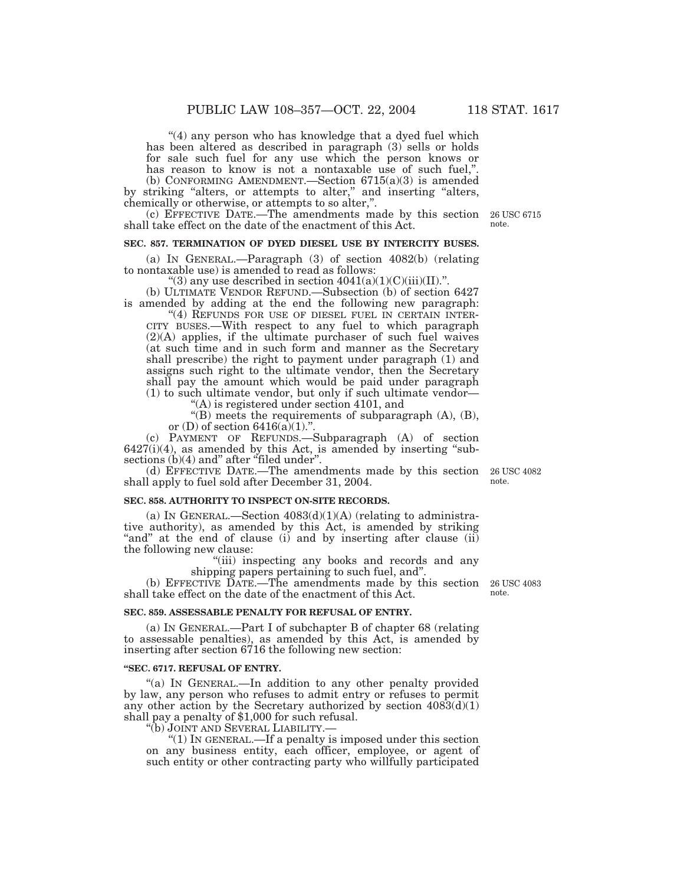"(4) any person who has knowledge that a dyed fuel which has been altered as described in paragraph (3) sells or holds for sale such fuel for any use which the person knows or has reason to know is not a nontaxable use of such fuel,". (b) CONFORMING AMENDMENT.—Section 6715(a)(3) is amended by striking "alters, or attempts to alter," and inserting "alters, chemically or otherwise, or attempts to so alter,''.

(c) EFFECTIVE DATE.—The amendments made by this section 26 USC 6715 shall take effect on the date of the enactment of this Act.

## **SEC. 857. TERMINATION OF DYED DIESEL USE BY INTERCITY BUSES.**

(a) IN GENERAL.—Paragraph (3) of section 4082(b) (relating to nontaxable use) is amended to read as follows:

"(3) any use described in section  $4041(a)(1)(C)(iii)(II)$ .".

(b) ULTIMATE VENDOR REFUND.—Subsection (b) of section 6427 is amended by adding at the end the following new paragraph:

"(4) REFUNDS FOR USE OF DIESEL FUEL IN CERTAIN INTER-CITY BUSES.—With respect to any fuel to which paragraph (2)(A) applies, if the ultimate purchaser of such fuel waives (at such time and in such form and manner as the Secretary shall prescribe) the right to payment under paragraph (1) and assigns such right to the ultimate vendor, then the Secretary shall pay the amount which would be paid under paragraph (1) to such ultimate vendor, but only if such ultimate vendor—

''(A) is registered under section 4101, and

"(B) meets the requirements of subparagraph  $(A)$ ,  $(B)$ , or (D) of section  $6416(a)(1)$ .".

(c) PAYMENT OF REFUNDS.—Subparagraph (A) of section  $6427(i)(4)$ , as amended by this Act, is amended by inserting "subsections  $(b)(4)$  and" after "filed under".

(d) EFFECTIVE DATE.—The amendments made by this section shall apply to fuel sold after December 31, 2004.

#### **SEC. 858. AUTHORITY TO INSPECT ON-SITE RECORDS.**

(a) IN GENERAL.—Section  $4083(d)(1)(A)$  (relating to administrative authority), as amended by this Act, is amended by striking "and" at the end of clause (i) and by inserting after clause (ii) the following new clause:

''(iii) inspecting any books and records and any shipping papers pertaining to such fuel, and''.

(b) EFFECTIVE DATE.—The amendments made by this section shall take effect on the date of the enactment of this Act.

#### **SEC. 859. ASSESSABLE PENALTY FOR REFUSAL OF ENTRY.**

(a) IN GENERAL.—Part I of subchapter B of chapter 68 (relating to assessable penalties), as amended by this Act, is amended by inserting after section 6716 the following new section:

#### **''SEC. 6717. REFUSAL OF ENTRY.**

''(a) IN GENERAL.—In addition to any other penalty provided by law, any person who refuses to admit entry or refuses to permit any other action by the Secretary authorized by section  $4083(d)(1)$ shall pay a penalty of \$1,000 for such refusal.

''(b) JOINT AND SEVERAL LIABILITY.— ''(1) IN GENERAL.—If a penalty is imposed under this section on any business entity, each officer, employee, or agent of such entity or other contracting party who willfully participated

26 USC 4082 note.

26 USC 4083 note.

note.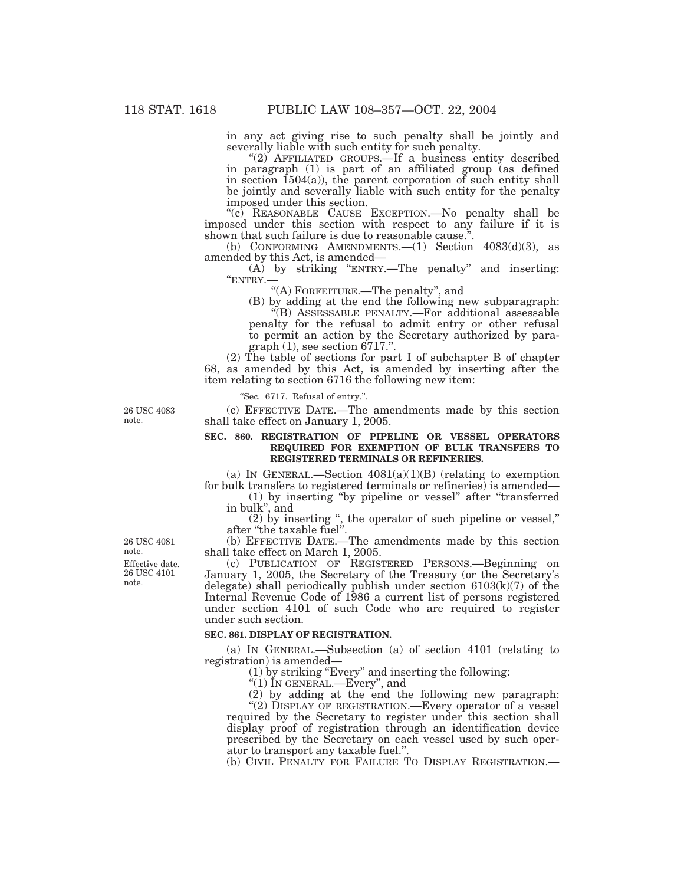in any act giving rise to such penalty shall be jointly and severally liable with such entity for such penalty.

"(2) AFFILIATED GROUPS.—If a business entity described in paragraph (1) is part of an affiliated group (as defined in section  $1504(a)$ , the parent corporation of such entity shall be jointly and severally liable with such entity for the penalty imposed under this section.

"(c) REASONABLE CAUSE EXCEPTION.—No penalty shall be imposed under this section with respect to any failure if it is shown that such failure is due to reasonable cause."

(b) CONFORMING AMENDMENTS.  $-(1)$  Section 4083(d)(3), as amended by this Act, is amended—

(A) by striking "ENTRY.—The penalty" and inserting: "ENTRY.—

''(A) FORFEITURE.—The penalty'', and

(B) by adding at the end the following new subparagraph:

''(B) ASSESSABLE PENALTY.—For additional assessable penalty for the refusal to admit entry or other refusal to permit an action by the Secretary authorized by para $graph(1)$ , see section  $6717."$ 

(2) The table of sections for part I of subchapter B of chapter 68, as amended by this Act, is amended by inserting after the item relating to section 6716 the following new item:

''Sec. 6717. Refusal of entry.''.

26 USC 4083 note.

## shall take effect on January 1, 2005. **SEC. 860. REGISTRATION OF PIPELINE OR VESSEL OPERATORS**

(c) EFFECTIVE DATE.—The amendments made by this section

# **REQUIRED FOR EXEMPTION OF BULK TRANSFERS TO REGISTERED TERMINALS OR REFINERIES.**

(a) IN GENERAL.—Section  $4081(a)(1)(B)$  (relating to exemption for bulk transfers to registered terminals or refineries) is amended—

(1) by inserting ''by pipeline or vessel'' after ''transferred in bulk'', and

(2) by inserting '', the operator of such pipeline or vessel,'' after ''the taxable fuel''.

(b) EFFECTIVE DATE.—The amendments made by this section shall take effect on March 1, 2005.

(c) PUBLICATION OF REGISTERED PERSONS.—Beginning on January 1, 2005, the Secretary of the Treasury (or the Secretary's delegate) shall periodically publish under section  $6103(k)(7)$  of the Internal Revenue Code of 1986 a current list of persons registered under section 4101 of such Code who are required to register under such section.

## **SEC. 861. DISPLAY OF REGISTRATION.**

(a) IN GENERAL.—Subsection (a) of section 4101 (relating to registration) is amended—

(1) by striking ''Every'' and inserting the following:

 $(1)$  IN GENERAL.—Every", and

(2) by adding at the end the following new paragraph:

 $\cdot$ (2) DISPLAY OF REGISTRATION.—Every operator of a vessel required by the Secretary to register under this section shall display proof of registration through an identification device prescribed by the Secretary on each vessel used by such operator to transport any taxable fuel.''.

(b) CIVIL PENALTY FOR FAILURE TO DISPLAY REGISTRATION.—

Effective date. 26 USC 4101 note. 26 USC 4081 note.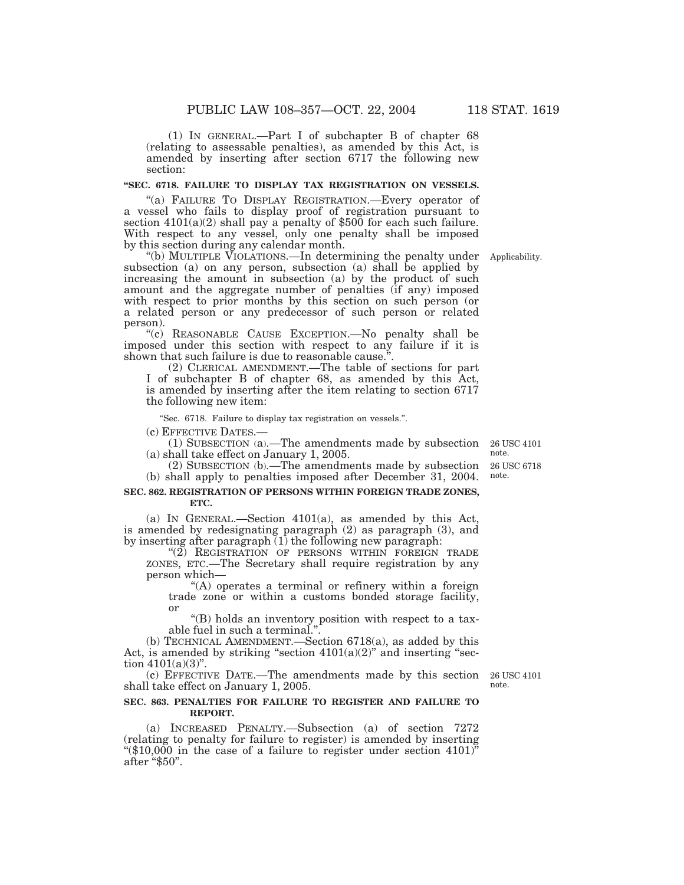(1) IN GENERAL.—Part I of subchapter B of chapter 68 (relating to assessable penalties), as amended by this Act, is amended by inserting after section 6717 the following new section:

### **''SEC. 6718. FAILURE TO DISPLAY TAX REGISTRATION ON VESSELS.**

"(a) FAILURE TO DISPLAY REGISTRATION.—Every operator of a vessel who fails to display proof of registration pursuant to section 4101(a)(2) shall pay a penalty of \$500 for each such failure. With respect to any vessel, only one penalty shall be imposed by this section during any calendar month.

''(b) MULTIPLE VIOLATIONS.—In determining the penalty under Applicability. subsection (a) on any person, subsection (a) shall be applied by increasing the amount in subsection (a) by the product of such amount and the aggregate number of penalties (if any) imposed with respect to prior months by this section on such person (or a related person or any predecessor of such person or related person).

''(c) REASONABLE CAUSE EXCEPTION.—No penalty shall be imposed under this section with respect to any failure if it is shown that such failure is due to reasonable cause.'

(2) CLERICAL AMENDMENT.—The table of sections for part I of subchapter B of chapter 68, as amended by this Act, is amended by inserting after the item relating to section 6717 the following new item:

''Sec. 6718. Failure to display tax registration on vessels.''.

(c) EFFECTIVE DATES.— (1) SUBSECTION (a).—The amendments made by subsection (a) shall take effect on January 1, 2005.

(2) SUBSECTION (b).—The amendments made by subsection (b) shall apply to penalties imposed after December 31, 2004.

### **SEC. 862. REGISTRATION OF PERSONS WITHIN FOREIGN TRADE ZONES, ETC.**

(a) IN GENERAL.—Section  $4101(a)$ , as amended by this Act, is amended by redesignating paragraph (2) as paragraph (3), and by inserting after paragraph (1) the following new paragraph:

"(2) REGISTRATION OF PERSONS WITHIN FOREIGN TRADE ZONES, ETC.—The Secretary shall require registration by any person which—

''(A) operates a terminal or refinery within a foreign trade zone or within a customs bonded storage facility, or

''(B) holds an inventory position with respect to a taxable fuel in such a terminal.

(b) TECHNICAL AMENDMENT.—Section 6718(a), as added by this Act, is amended by striking "section  $4101(a)(2)$ " and inserting "section  $4101(a)(3)$ ".

(c) EFFECTIVE DATE.—The amendments made by this section shall take effect on January 1, 2005.

## **SEC. 863. PENALTIES FOR FAILURE TO REGISTER AND FAILURE TO REPORT.**

(a) INCREASED PENALTY.—Subsection (a) of section 7272 (relating to penalty for failure to register) is amended by inserting " $(\$10,000$  in the case of a failure to register under section  $4101$ " after ''\$50''.

26 USC 6718 note.

26 USC 4101 note.

26 USC 4101 note.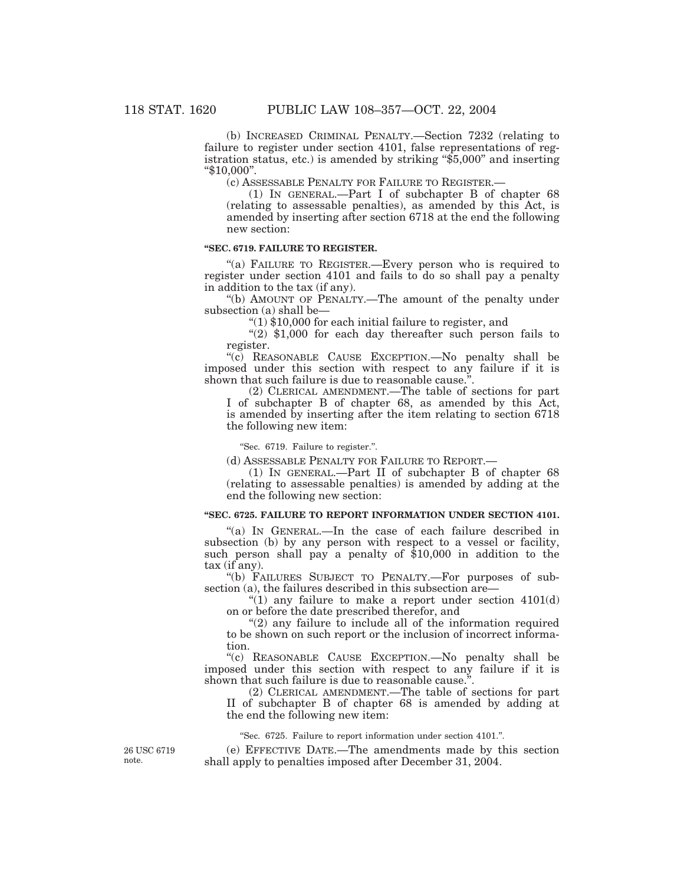(b) INCREASED CRIMINAL PENALTY.—Section 7232 (relating to failure to register under section 4101, false representations of registration status, etc.) is amended by striking ''\$5,000'' and inserting ''\$10,000''.

(c) ASSESSABLE PENALTY FOR FAILURE TO REGISTER.—

(1) IN GENERAL.—Part I of subchapter B of chapter 68 (relating to assessable penalties), as amended by this Act, is amended by inserting after section 6718 at the end the following new section:

## **''SEC. 6719. FAILURE TO REGISTER.**

"(a) FAILURE TO REGISTER.—Every person who is required to register under section 4101 and fails to do so shall pay a penalty in addition to the tax (if any).

"(b) AMOUNT OF PENALTY.—The amount of the penalty under subsection (a) shall be—

" $(1)$  \$10,000 for each initial failure to register, and

" $(2)$  \$1,000 for each day thereafter such person fails to register.

''(c) REASONABLE CAUSE EXCEPTION.—No penalty shall be imposed under this section with respect to any failure if it is shown that such failure is due to reasonable cause.''.

(2) CLERICAL AMENDMENT.—The table of sections for part I of subchapter B of chapter 68, as amended by this Act, is amended by inserting after the item relating to section 6718 the following new item:

''Sec. 6719. Failure to register.''.

(d) ASSESSABLE PENALTY FOR FAILURE TO REPORT.—

(1) IN GENERAL.—Part II of subchapter B of chapter 68 (relating to assessable penalties) is amended by adding at the end the following new section:

## **''SEC. 6725. FAILURE TO REPORT INFORMATION UNDER SECTION 4101.**

''(a) IN GENERAL.—In the case of each failure described in subsection (b) by any person with respect to a vessel or facility, such person shall pay a penalty of  $$10,000$  in addition to the tax (if any).

"(b) FAILURES SUBJECT TO PENALTY.—For purposes of subsection (a), the failures described in this subsection are-

"(1) any failure to make a report under section  $4101(d)$ on or before the date prescribed therefor, and

" $(2)$  any failure to include all of the information required to be shown on such report or the inclusion of incorrect information.

''(c) REASONABLE CAUSE EXCEPTION.—No penalty shall be imposed under this section with respect to any failure if it is shown that such failure is due to reasonable cause.''.

(2) CLERICAL AMENDMENT.—The table of sections for part II of subchapter B of chapter 68 is amended by adding at the end the following new item:

#### ''Sec. 6725. Failure to report information under section 4101.''.

(e) EFFECTIVE DATE.—The amendments made by this section shall apply to penalties imposed after December 31, 2004.

26 USC 6719 note.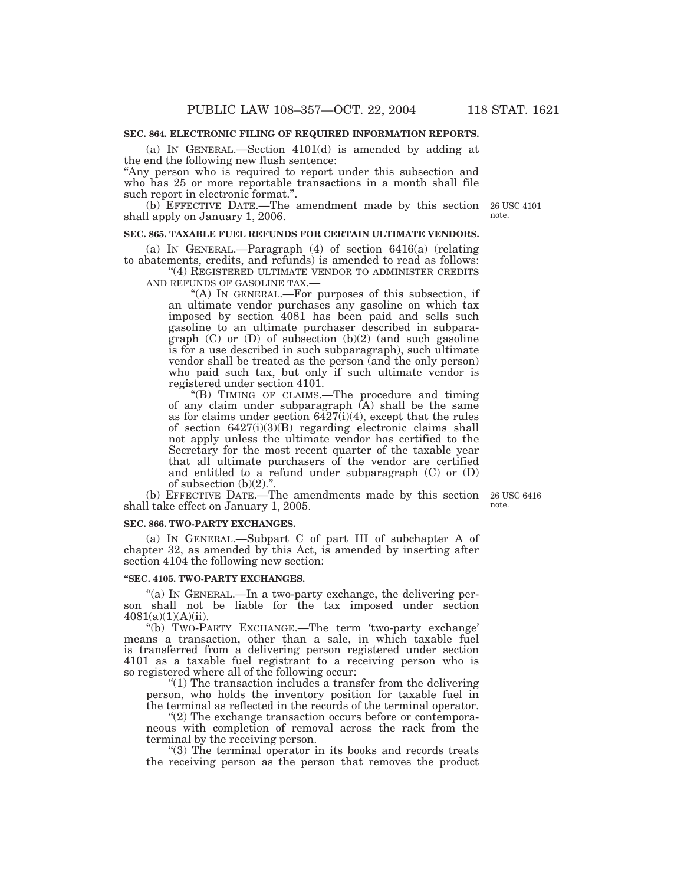## **SEC. 864. ELECTRONIC FILING OF REQUIRED INFORMATION REPORTS.**

(a) IN GENERAL.—Section 4101(d) is amended by adding at the end the following new flush sentence:

"Any person who is required to report under this subsection and who has 25 or more reportable transactions in a month shall file such report in electronic format.''.

(b) EFFECTIVE DATE.—The amendment made by this section shall apply on January 1, 2006.

## **SEC. 865. TAXABLE FUEL REFUNDS FOR CERTAIN ULTIMATE VENDORS.**

(a) IN GENERAL.—Paragraph (4) of section 6416(a) (relating to abatements, credits, and refunds) is amended to read as follows:

"(4) REGISTERED ULTIMATE VENDOR TO ADMINISTER CREDITS AND REFUNDS OF GASOLINE TAX.—

''(A) IN GENERAL.—For purposes of this subsection, if an ultimate vendor purchases any gasoline on which tax imposed by section 4081 has been paid and sells such gasoline to an ultimate purchaser described in subparagraph (C) or (D) of subsection (b)(2) (and such gasoline is for a use described in such subparagraph), such ultimate vendor shall be treated as the person (and the only person) who paid such tax, but only if such ultimate vendor is registered under section 4101.

''(B) TIMING OF CLAIMS.—The procedure and timing of any claim under subparagraph (A) shall be the same as for claims under section  $6427(i)(4)$ , except that the rules of section 6427(i)(3)(B) regarding electronic claims shall not apply unless the ultimate vendor has certified to the Secretary for the most recent quarter of the taxable year that all ultimate purchasers of the vendor are certified and entitled to a refund under subparagraph (C) or (D) of subsection  $(b)(2)$ .

(b) EFFECTIVE DATE.—The amendments made by this section shall take effect on January 1, 2005.

#### **SEC. 866. TWO-PARTY EXCHANGES.**

(a) IN GENERAL.—Subpart C of part III of subchapter A of chapter 32, as amended by this Act, is amended by inserting after section 4104 the following new section:

#### **''SEC. 4105. TWO-PARTY EXCHANGES.**

"(a) In GENERAL.—In a two-party exchange, the delivering person shall not be liable for the tax imposed under section  $4081(a)(1)(A)(ii)$ .

''(b) TWO-PARTY EXCHANGE.—The term 'two-party exchange' means a transaction, other than a sale, in which taxable fuel is transferred from a delivering person registered under section 4101 as a taxable fuel registrant to a receiving person who is so registered where all of the following occur:

 $(1)$  The transaction includes a transfer from the delivering person, who holds the inventory position for taxable fuel in the terminal as reflected in the records of the terminal operator.

''(2) The exchange transaction occurs before or contemporaneous with completion of removal across the rack from the terminal by the receiving person.

''(3) The terminal operator in its books and records treats the receiving person as the person that removes the product

26 USC 6416 note.

26 USC 4101 note.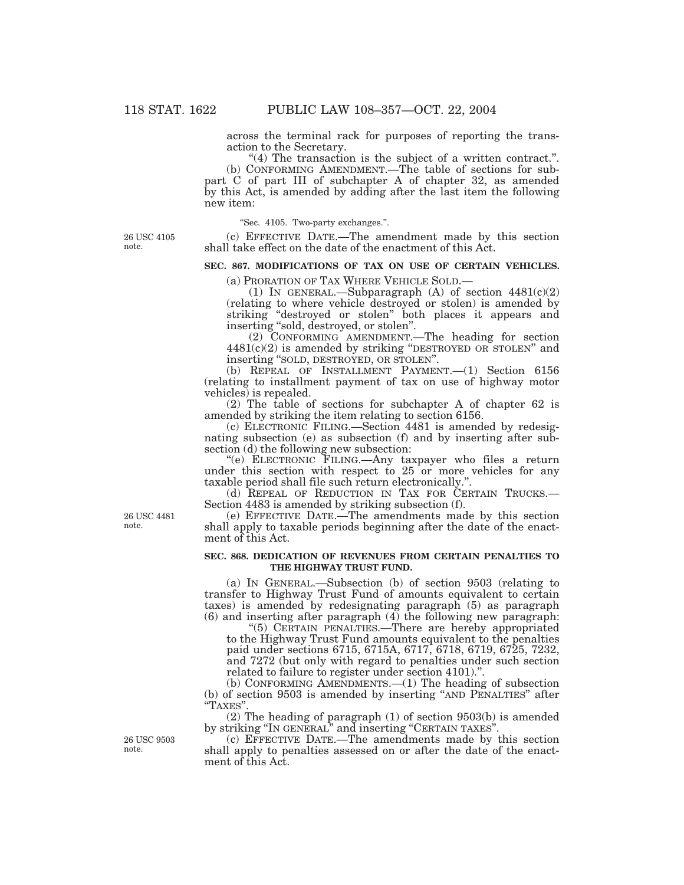across the terminal rack for purposes of reporting the transaction to the Secretary.

 $(4)$  The transaction is the subject of a written contract.".

(b) CONFORMING AMENDMENT.—The table of sections for subpart C of part III of subchapter A of chapter 32, as amended by this Act, is amended by adding after the last item the following new item:

''Sec. 4105. Two-party exchanges.''.

26 USC 4105 note.

(c) EFFECTIVE DATE.—The amendment made by this section shall take effect on the date of the enactment of this Act.

## **SEC. 867. MODIFICATIONS OF TAX ON USE OF CERTAIN VEHICLES.**

(a) PRORATION OF TAX WHERE VEHICLE SOLD.—

(1) IN GENERAL.—Subparagraph  $(A)$  of section  $4481(c)(2)$ (relating to where vehicle destroyed or stolen) is amended by striking ''destroyed or stolen'' both places it appears and inserting ''sold, destroyed, or stolen''.

(2) CONFORMING AMENDMENT.—The heading for section 4481(c)(2) is amended by striking ''DESTROYED OR STOLEN'' and inserting ''SOLD, DESTROYED, OR STOLEN''.

(b) REPEAL OF INSTALLMENT PAYMENT.—(1) Section 6156 (relating to installment payment of tax on use of highway motor vehicles) is repealed.

(2) The table of sections for subchapter A of chapter 62 is amended by striking the item relating to section 6156.

(c) ELECTRONIC FILING.—Section 4481 is amended by redesignating subsection (e) as subsection (f) and by inserting after subsection (d) the following new subsection:

''(e) ELECTRONIC FILING.—Any taxpayer who files a return under this section with respect to 25 or more vehicles for any taxable period shall file such return electronically.''.

(d) REPEAL OF REDUCTION IN TAX FOR CERTAIN TRUCKS.— Section 4483 is amended by striking subsection (f).

(e) EFFECTIVE DATE.—The amendments made by this section shall apply to taxable periods beginning after the date of the enactment of this Act.

#### **SEC. 868. DEDICATION OF REVENUES FROM CERTAIN PENALTIES TO THE HIGHWAY TRUST FUND.**

(a) IN GENERAL.—Subsection (b) of section 9503 (relating to transfer to Highway Trust Fund of amounts equivalent to certain taxes) is amended by redesignating paragraph (5) as paragraph  $(6)$  and inserting after paragraph  $(4)$  the following new paragraph:

''(5) CERTAIN PENALTIES.—There are hereby appropriated to the Highway Trust Fund amounts equivalent to the penalties paid under sections 6715, 6715A, 6717, 6718, 6719, 6725, 7232, and 7272 (but only with regard to penalties under such section related to failure to register under section 4101).''.

(b) CONFORMING AMENDMENTS.—(1) The heading of subsection (b) of section 9503 is amended by inserting ''AND PENALTIES'' after ''TAXES''.

(2) The heading of paragraph (1) of section 9503(b) is amended by striking ''IN GENERAL'' and inserting ''CERTAIN TAXES''.

(c) EFFECTIVE DATE.—The amendments made by this section shall apply to penalties assessed on or after the date of the enactment of this Act.

26 USC 4481 note.

26 USC 9503 note.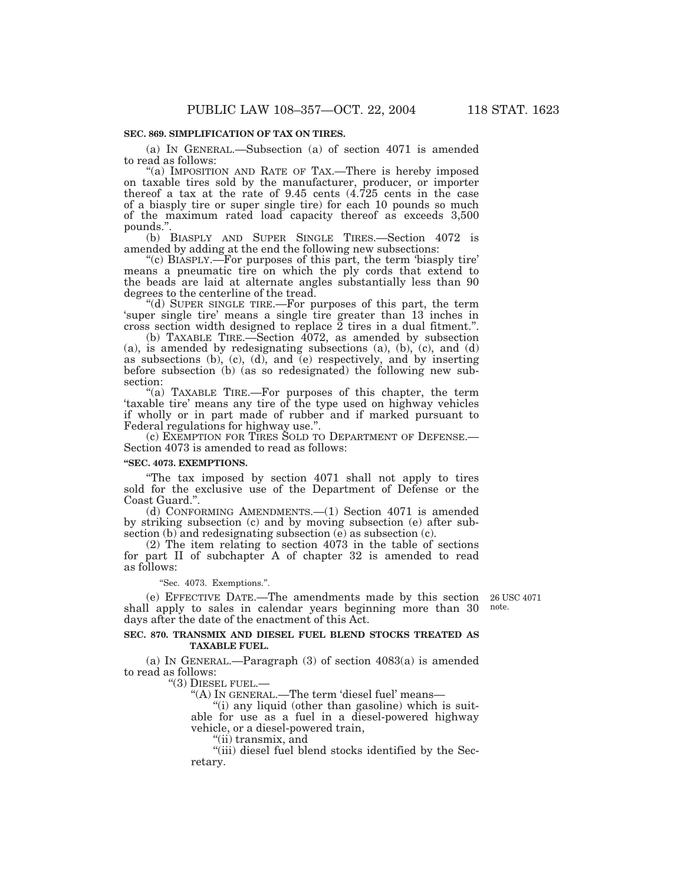(a) IN GENERAL.—Subsection (a) of section 4071 is amended to read as follows:

"(a) IMPOSITION AND RATE OF TAX.—There is hereby imposed on taxable tires sold by the manufacturer, producer, or importer thereof a tax at the rate of 9.45 cents (4.725 cents in the case of a biasply tire or super single tire) for each 10 pounds so much of the maximum rated load capacity thereof as exceeds 3,500 pounds.''.

(b) BIASPLY AND SUPER SINGLE TIRES.—Section 4072 is amended by adding at the end the following new subsections:

''(c) BIASPLY.—For purposes of this part, the term 'biasply tire' means a pneumatic tire on which the ply cords that extend to the beads are laid at alternate angles substantially less than 90 degrees to the centerline of the tread.

''(d) SUPER SINGLE TIRE.—For purposes of this part, the term 'super single tire' means a single tire greater than 13 inches in cross section width designed to replace 2 tires in a dual fitment.''.

(b) TAXABLE TIRE.—Section 4072, as amended by subsection (a), is amended by redesignating subsections (a), (b), (c), and (d) as subsections (b), (c), (d), and (e) respectively, and by inserting before subsection (b) (as so redesignated) the following new subsection:

"(a) TAXABLE TIRE.—For purposes of this chapter, the term 'taxable tire' means any tire of the type used on highway vehicles if wholly or in part made of rubber and if marked pursuant to Federal regulations for highway use.".

(c) EXEMPTION FOR TIRES SOLD TO DEPARTMENT OF DEFENSE.— Section 4073 is amended to read as follows:

#### **''SEC. 4073. EXEMPTIONS.**

''The tax imposed by section 4071 shall not apply to tires sold for the exclusive use of the Department of Defense or the Coast Guard.''.

(d) CONFORMING AMENDMENTS.—(1) Section 4071 is amended by striking subsection (c) and by moving subsection (e) after subsection (b) and redesignating subsection (e) as subsection (c).

(2) The item relating to section 4073 in the table of sections for part II of subchapter A of chapter 32 is amended to read as follows:

''Sec. 4073. Exemptions.''.

(e) EFFECTIVE DATE.—The amendments made by this section shall apply to sales in calendar years beginning more than 30 days after the date of the enactment of this Act.

26 USC 4071 note.

## **SEC. 870. TRANSMIX AND DIESEL FUEL BLEND STOCKS TREATED AS TAXABLE FUEL.**

(a) IN GENERAL.—Paragraph (3) of section 4083(a) is amended to read as follows:

"(3) DIESEL FUEL.-

''(A) IN GENERAL.—The term 'diesel fuel' means—

"(i) any liquid (other than gasoline) which is suitable for use as a fuel in a diesel-powered highway vehicle, or a diesel-powered train,

''(ii) transmix, and

"(iii) diesel fuel blend stocks identified by the Secretary.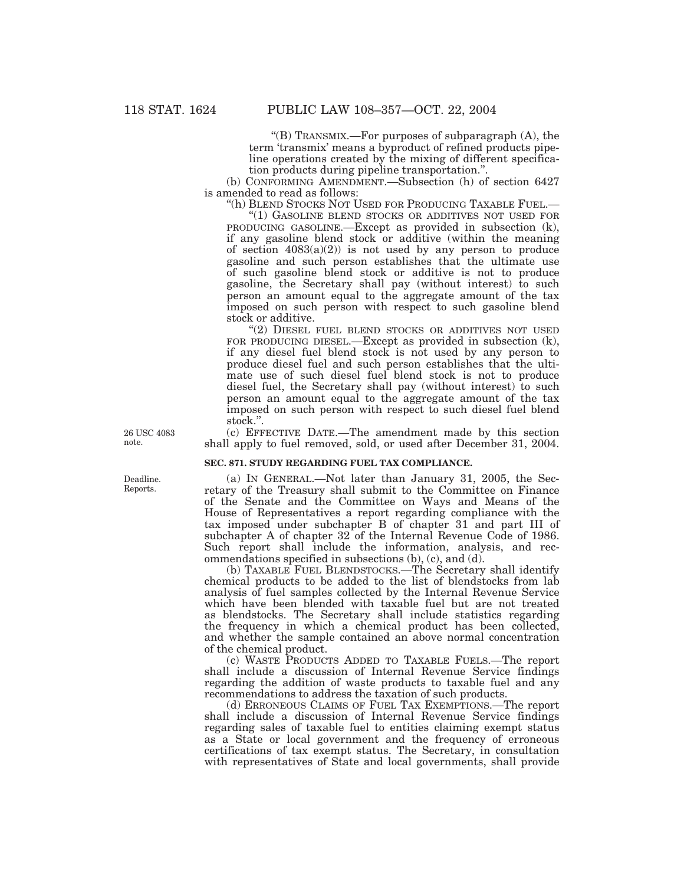''(B) TRANSMIX.—For purposes of subparagraph (A), the term 'transmix' means a byproduct of refined products pipeline operations created by the mixing of different specification products during pipeline transportation.''.

(b) CONFORMING AMENDMENT.—Subsection (h) of section 6427 is amended to read as follows:

''(h) BLEND STOCKS NOT USED FOR PRODUCING TAXABLE FUEL.—

"(1) GASOLINE BLEND STOCKS OR ADDITIVES NOT USED FOR PRODUCING GASOLINE.—Except as provided in subsection (k), if any gasoline blend stock or additive (within the meaning of section  $4083(a)(2)$  is not used by any person to produce gasoline and such person establishes that the ultimate use of such gasoline blend stock or additive is not to produce gasoline, the Secretary shall pay (without interest) to such person an amount equal to the aggregate amount of the tax imposed on such person with respect to such gasoline blend stock or additive.

"(2) DIESEL FUEL BLEND STOCKS OR ADDITIVES NOT USED FOR PRODUCING DIESEL.—Except as provided in subsection  $(k)$ , if any diesel fuel blend stock is not used by any person to produce diesel fuel and such person establishes that the ultimate use of such diesel fuel blend stock is not to produce diesel fuel, the Secretary shall pay (without interest) to such person an amount equal to the aggregate amount of the tax imposed on such person with respect to such diesel fuel blend stock.''.

(c) EFFECTIVE DATE.—The amendment made by this section shall apply to fuel removed, sold, or used after December 31, 2004.

### **SEC. 871. STUDY REGARDING FUEL TAX COMPLIANCE.**

(a) IN GENERAL.—Not later than January 31, 2005, the Secretary of the Treasury shall submit to the Committee on Finance of the Senate and the Committee on Ways and Means of the House of Representatives a report regarding compliance with the tax imposed under subchapter B of chapter 31 and part III of subchapter A of chapter 32 of the Internal Revenue Code of 1986. Such report shall include the information, analysis, and recommendations specified in subsections (b), (c), and (d).

(b) TAXABLE FUEL BLENDSTOCKS.—The Secretary shall identify chemical products to be added to the list of blendstocks from lab analysis of fuel samples collected by the Internal Revenue Service which have been blended with taxable fuel but are not treated as blendstocks. The Secretary shall include statistics regarding the frequency in which a chemical product has been collected, and whether the sample contained an above normal concentration of the chemical product.

(c) WASTE PRODUCTS ADDED TO TAXABLE FUELS.—The report shall include a discussion of Internal Revenue Service findings regarding the addition of waste products to taxable fuel and any recommendations to address the taxation of such products.

(d) ERRONEOUS CLAIMS OF FUEL TAX EXEMPTIONS.—The report shall include a discussion of Internal Revenue Service findings regarding sales of taxable fuel to entities claiming exempt status as a State or local government and the frequency of erroneous certifications of tax exempt status. The Secretary, in consultation with representatives of State and local governments, shall provide

26 USC 4083 note.

Deadline. Reports.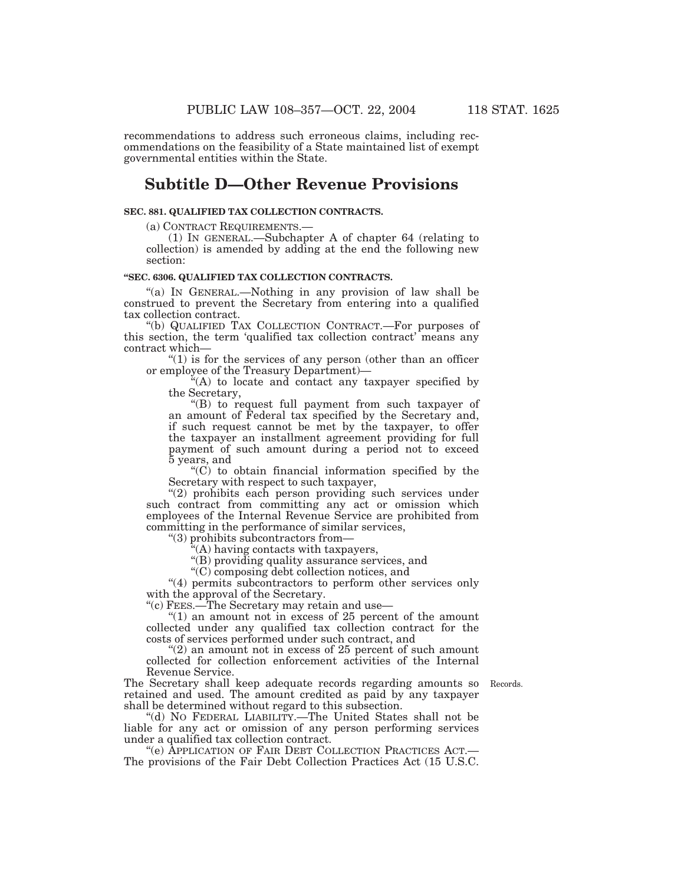recommendations to address such erroneous claims, including recommendations on the feasibility of a State maintained list of exempt governmental entities within the State.

# **Subtitle D—Other Revenue Provisions**

## **SEC. 881. QUALIFIED TAX COLLECTION CONTRACTS.**

(a) CONTRACT REQUIREMENTS.— (1) IN GENERAL.—Subchapter A of chapter 64 (relating to collection) is amended by adding at the end the following new section:

### **''SEC. 6306. QUALIFIED TAX COLLECTION CONTRACTS.**

''(a) IN GENERAL.—Nothing in any provision of law shall be construed to prevent the Secretary from entering into a qualified tax collection contract.

''(b) QUALIFIED TAX COLLECTION CONTRACT.—For purposes of this section, the term 'qualified tax collection contract' means any contract which—

 $''(1)$  is for the services of any person (other than an officer or employee of the Treasury Department)—

 $*(A)$  to locate and contact any taxpayer specified by the Secretary,

''(B) to request full payment from such taxpayer of an amount of Federal tax specified by the Secretary and, if such request cannot be met by the taxpayer, to offer the taxpayer an installment agreement providing for full payment of such amount during a period not to exceed 5 years, and

''(C) to obtain financial information specified by the Secretary with respect to such taxpayer,

''(2) prohibits each person providing such services under such contract from committing any act or omission which employees of the Internal Revenue Service are prohibited from committing in the performance of similar services,

''(3) prohibits subcontractors from—

''(A) having contacts with taxpayers,

''(B) providing quality assurance services, and

''(C) composing debt collection notices, and

"(4) permits subcontractors to perform other services only with the approval of the Secretary.

''(c) FEES.—The Secretary may retain and use—

" $(1)$  an amount not in excess of 25 percent of the amount collected under any qualified tax collection contract for the costs of services performed under such contract, and

"(2) an amount not in excess of 25 percent of such amount collected for collection enforcement activities of the Internal Revenue Service.

The Secretary shall keep adequate records regarding amounts so retained and used. The amount credited as paid by any taxpayer shall be determined without regard to this subsection.

Records.

''(d) NO FEDERAL LIABILITY.—The United States shall not be liable for any act or omission of any person performing services under a qualified tax collection contract.

''(e) APPLICATION OF FAIR DEBT COLLECTION PRACTICES ACT.— The provisions of the Fair Debt Collection Practices Act (15 U.S.C.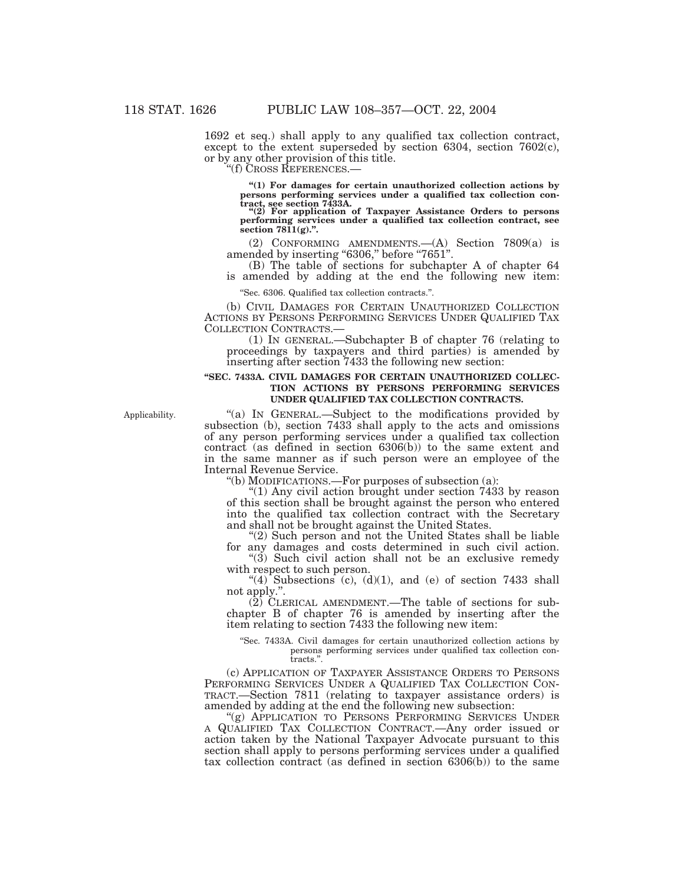1692 et seq.) shall apply to any qualified tax collection contract, except to the extent superseded by section 6304, section 7602(c), or by any other provision of this title.

''(f) CROSS REFERENCES.—

**''(1) For damages for certain unauthorized collection actions by persons performing services under a qualified tax collection contract, see section 7433A. ''(2) For application of Taxpayer Assistance Orders to persons**

**performing services under a qualified tax collection contract, see**  $\text{section } 78\check{1}1(\mathbf{g})$ .".

(2) CONFORMING AMENDMENTS.—(A) Section 7809(a) is amended by inserting "6306," before "7651".

(B) The table of sections for subchapter A of chapter 64 is amended by adding at the end the following new item:

''Sec. 6306. Qualified tax collection contracts.''.

(b) CIVIL DAMAGES FOR CERTAIN UNAUTHORIZED COLLECTION ACTIONS BY PERSONS PERFORMING SERVICES UNDER QUALIFIED TAX COLLECTION CONTRACTS.— (1) IN GENERAL.—Subchapter B of chapter 76 (relating to

proceedings by taxpayers and third parties) is amended by inserting after section 7433 the following new section:

#### **''SEC. 7433A. CIVIL DAMAGES FOR CERTAIN UNAUTHORIZED COLLEC-TION ACTIONS BY PERSONS PERFORMING SERVICES UNDER QUALIFIED TAX COLLECTION CONTRACTS.**

Applicability.

''(a) IN GENERAL.—Subject to the modifications provided by subsection (b), section 7433 shall apply to the acts and omissions of any person performing services under a qualified tax collection contract (as defined in section 6306(b)) to the same extent and in the same manner as if such person were an employee of the Internal Revenue Service.

''(b) MODIFICATIONS.—For purposes of subsection (a):

''(1) Any civil action brought under section 7433 by reason of this section shall be brought against the person who entered into the qualified tax collection contract with the Secretary and shall not be brought against the United States.

"(2) Such person and not the United States shall be liable for any damages and costs determined in such civil action.

" $(3)$  Such civil action shall not be an exclusive remedy with respect to such person.

"(4) Subsections (c),  $(d)(1)$ , and (e) of section 7433 shall not apply.''.

 $(2)$  CLERICAL AMENDMENT.—The table of sections for subchapter B of chapter 76 is amended by inserting after the item relating to section 7433 the following new item:

''Sec. 7433A. Civil damages for certain unauthorized collection actions by persons performing services under qualified tax collection contracts.''.

(c) APPLICATION OF TAXPAYER ASSISTANCE ORDERS TO PERSONS TRACT.—Section 7811 (relating to taxpayer assistance orders) is amended by adding at the end the following new subsection:

"(g) APPLICATION TO PERSONS PERFORMING SERVICES UNDER A QUALIFIED TAX COLLECTION CONTRACT.—Any order issued or action taken by the National Taxpayer Advocate pursuant to this section shall apply to persons performing services under a qualified tax collection contract (as defined in section 6306(b)) to the same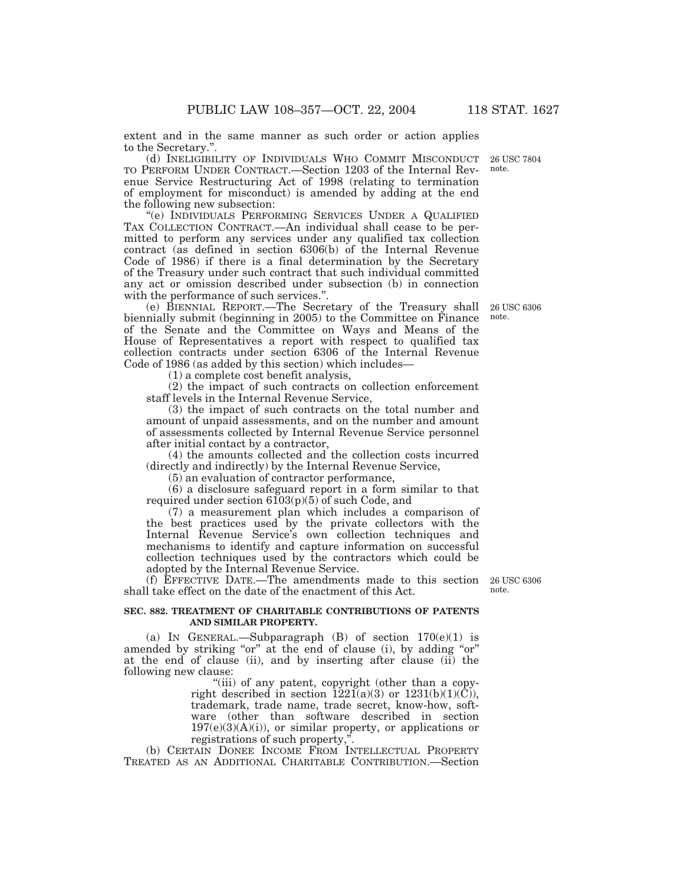extent and in the same manner as such order or action applies to the Secretary.''.

(d) INELIGIBILITY OF INDIVIDUALS WHO COMMIT MISCONDUCT TO PERFORM UNDER CONTRACT.—Section 1203 of the Internal Revenue Service Restructuring Act of 1998 (relating to termination of employment for misconduct) is amended by adding at the end the following new subsection:

''(e) INDIVIDUALS PERFORMING SERVICES UNDER A QUALIFIED TAX COLLECTION CONTRACT.—An individual shall cease to be permitted to perform any services under any qualified tax collection contract (as defined in section 6306(b) of the Internal Revenue Code of 1986) if there is a final determination by the Secretary of the Treasury under such contract that such individual committed any act or omission described under subsection (b) in connection with the performance of such services.".

(e) BIENNIAL REPORT.—The Secretary of the Treasury shall biennially submit (beginning in 2005) to the Committee on Finance of the Senate and the Committee on Ways and Means of the House of Representatives a report with respect to qualified tax collection contracts under section 6306 of the Internal Revenue Code of 1986 (as added by this section) which includes—

(1) a complete cost benefit analysis,

(2) the impact of such contracts on collection enforcement staff levels in the Internal Revenue Service,

(3) the impact of such contracts on the total number and amount of unpaid assessments, and on the number and amount of assessments collected by Internal Revenue Service personnel after initial contact by a contractor,

(4) the amounts collected and the collection costs incurred (directly and indirectly) by the Internal Revenue Service,

(5) an evaluation of contractor performance,

(6) a disclosure safeguard report in a form similar to that required under section 6103(p)(5) of such Code, and

(7) a measurement plan which includes a comparison of the best practices used by the private collectors with the Internal Revenue Service's own collection techniques and mechanisms to identify and capture information on successful collection techniques used by the contractors which could be adopted by the Internal Revenue Service.

(f) EFFECTIVE DATE.—The amendments made to this section 26 USC 6306 shall take effect on the date of the enactment of this Act.

## **SEC. 882. TREATMENT OF CHARITABLE CONTRIBUTIONS OF PATENTS AND SIMILAR PROPERTY.**

(a) IN GENERAL.—Subparagraph  $(B)$  of section  $170(e)(1)$  is amended by striking "or" at the end of clause (i), by adding "or" at the end of clause (ii), and by inserting after clause (ii) the following new clause:

> "(iii) of any patent, copyright (other than a copyright described in section  $\overline{1221(a)(3)}$  or  $1231(b)(1)(C)$ ), trademark, trade name, trade secret, know-how, software (other than software described in section  $197(e)(3)(A)(i)$ , or similar property, or applications or registrations of such property,''.

(b) CERTAIN DONEE INCOME FROM INTELLECTUAL PROPERTY TREATED AS AN ADDITIONAL CHARITABLE CONTRIBUTION.—Section

note.

26 USC 6306 note.

26 USC 7804 note.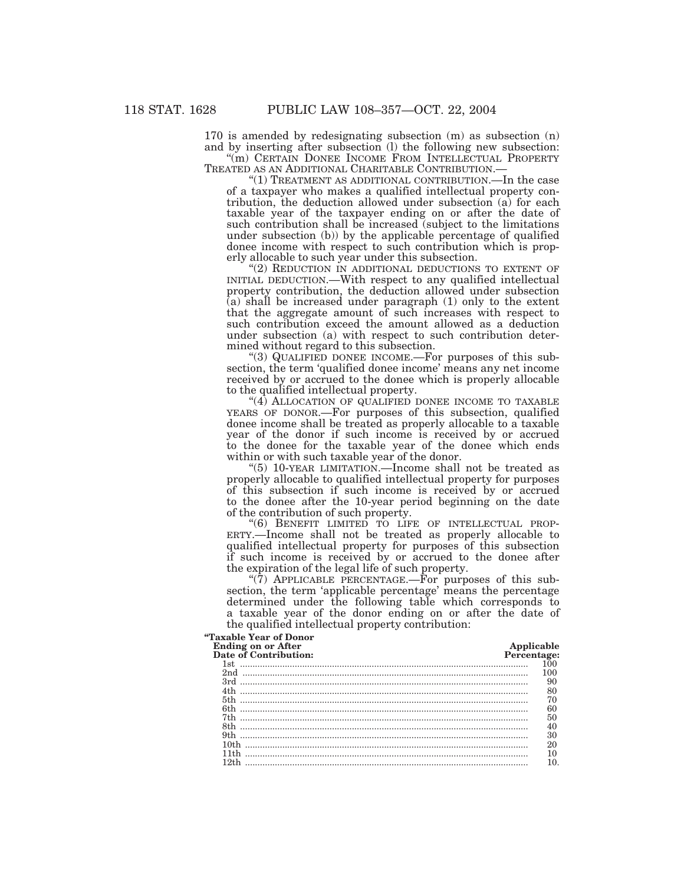170 is amended by redesignating subsection (m) as subsection (n) and by inserting after subsection (l) the following new subsection:

''(m) CERTAIN DONEE INCOME FROM INTELLECTUAL PROPERTY

" $(1)$  TREATMENT AS ADDITIONAL CONTRIBUTION.—In the case of a taxpayer who makes a qualified intellectual property contribution, the deduction allowed under subsection (a) for each taxable year of the taxpayer ending on or after the date of such contribution shall be increased (subject to the limitations under subsection (b)) by the applicable percentage of qualified donee income with respect to such contribution which is properly allocable to such year under this subsection.

"(2) REDUCTION IN ADDITIONAL DEDUCTIONS TO EXTENT OF INITIAL DEDUCTION.—With respect to any qualified intellectual property contribution, the deduction allowed under subsection (a) shall be increased under paragraph (1) only to the extent that the aggregate amount of such increases with respect to such contribution exceed the amount allowed as a deduction under subsection (a) with respect to such contribution determined without regard to this subsection.

''(3) QUALIFIED DONEE INCOME.—For purposes of this subsection, the term 'qualified donee income' means any net income received by or accrued to the donee which is properly allocable to the qualified intellectual property.

"(4) ALLOCATION OF QUALIFIED DONEE INCOME TO TAXABLE YEARS OF DONOR.—For purposes of this subsection, qualified donee income shall be treated as properly allocable to a taxable year of the donor if such income is received by or accrued to the donee for the taxable year of the donee which ends within or with such taxable year of the donor.

''(5) 10-YEAR LIMITATION.—Income shall not be treated as properly allocable to qualified intellectual property for purposes of this subsection if such income is received by or accrued to the donee after the 10-year period beginning on the date of the contribution of such property.<br>
"(6) BENEFIT LIMITED TO LIFE OF INTELLECTUAL PROP-

ERTY.—Income shall not be treated as properly allocable to qualified intellectual property for purposes of this subsection if such income is received by or accrued to the donee after the expiration of the legal life of such property.

"(7) APPLICABLE PERCENTAGE.—For purposes of this subsection, the term 'applicable percentage' means the percentage determined under the following table which corresponds to a taxable year of the donor ending on or after the date of the qualified intellectual property contribution:

| "Taxable Year of Donor    |             |
|---------------------------|-------------|
| <b>Ending on or After</b> | Applicable  |
| Date of Contribution:     | Percentage: |
| 1st.                      |             |
| 2nd                       | 100         |
| 3rd                       | 90          |
| 4th                       | 80          |
| 5th                       | 70          |
| 6th                       | 60          |
| 7th                       | 50          |
| 8th                       | 40          |
| 9 <sub>th</sub>           | 30          |
| 10 <sub>th</sub>          | 20          |
| 11th                      | 10          |
| 12th                      | 10.         |
|                           |             |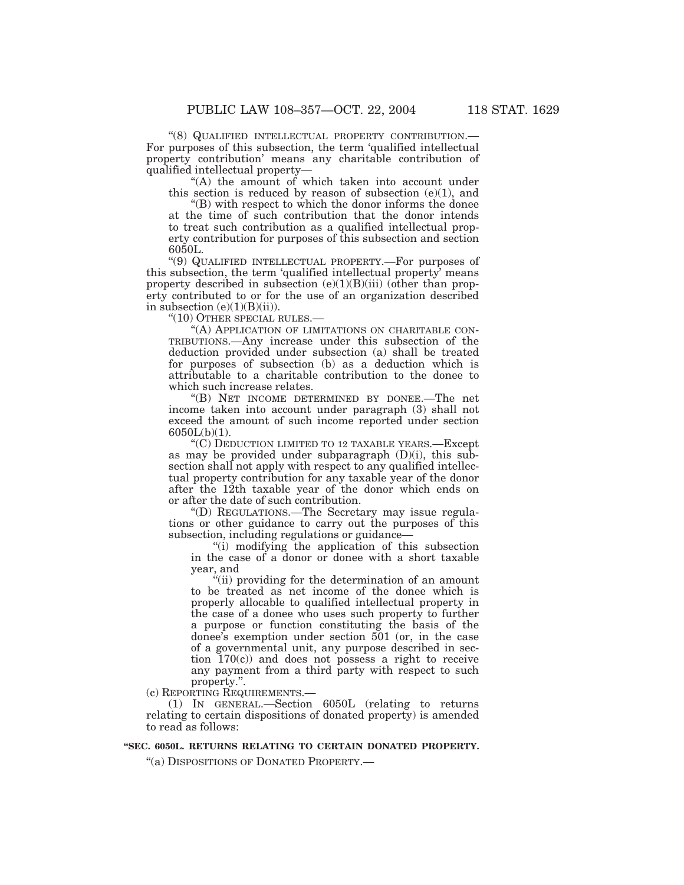''(8) QUALIFIED INTELLECTUAL PROPERTY CONTRIBUTION.— For purposes of this subsection, the term 'qualified intellectual property contribution' means any charitable contribution of qualified intellectual property—

"(A) the amount of which taken into account under this section is reduced by reason of subsection  $(e)(1)$ , and

''(B) with respect to which the donor informs the donee at the time of such contribution that the donor intends to treat such contribution as a qualified intellectual property contribution for purposes of this subsection and section 6050L.

''(9) QUALIFIED INTELLECTUAL PROPERTY.—For purposes of this subsection, the term 'qualified intellectual property' means property described in subsection  $(e)(1)(B)(iii)$  (other than property contributed to or for the use of an organization described in subsection  $(e)(1)(B)(ii)$ .

''(10) OTHER SPECIAL RULES.—

"(A) APPLICATION OF LIMITATIONS ON CHARITABLE CON-TRIBUTIONS.—Any increase under this subsection of the deduction provided under subsection (a) shall be treated for purposes of subsection (b) as a deduction which is attributable to a charitable contribution to the donee to which such increase relates.

''(B) NET INCOME DETERMINED BY DONEE.—The net income taken into account under paragraph (3) shall not exceed the amount of such income reported under section 6050L(b)(1).

''(C) DEDUCTION LIMITED TO 12 TAXABLE YEARS.—Except as may be provided under subparagraph  $(D)(i)$ , this subsection shall not apply with respect to any qualified intellectual property contribution for any taxable year of the donor after the 12th taxable year of the donor which ends on or after the date of such contribution.

''(D) REGULATIONS.—The Secretary may issue regulations or other guidance to carry out the purposes of this subsection, including regulations or guidance—

''(i) modifying the application of this subsection in the case of a donor or donee with a short taxable year, and

''(ii) providing for the determination of an amount to be treated as net income of the donee which is properly allocable to qualified intellectual property in the case of a donee who uses such property to further a purpose or function constituting the basis of the donee's exemption under section 501 (or, in the case of a governmental unit, any purpose described in section  $170(c)$  and does not possess a right to receive any payment from a third party with respect to such property.''.

(c) REPORTING REQUIREMENTS.—

(1) IN GENERAL.—Section 6050L (relating to returns relating to certain dispositions of donated property) is amended to read as follows:

## **''SEC. 6050L. RETURNS RELATING TO CERTAIN DONATED PROPERTY.**

''(a) DISPOSITIONS OF DONATED PROPERTY.—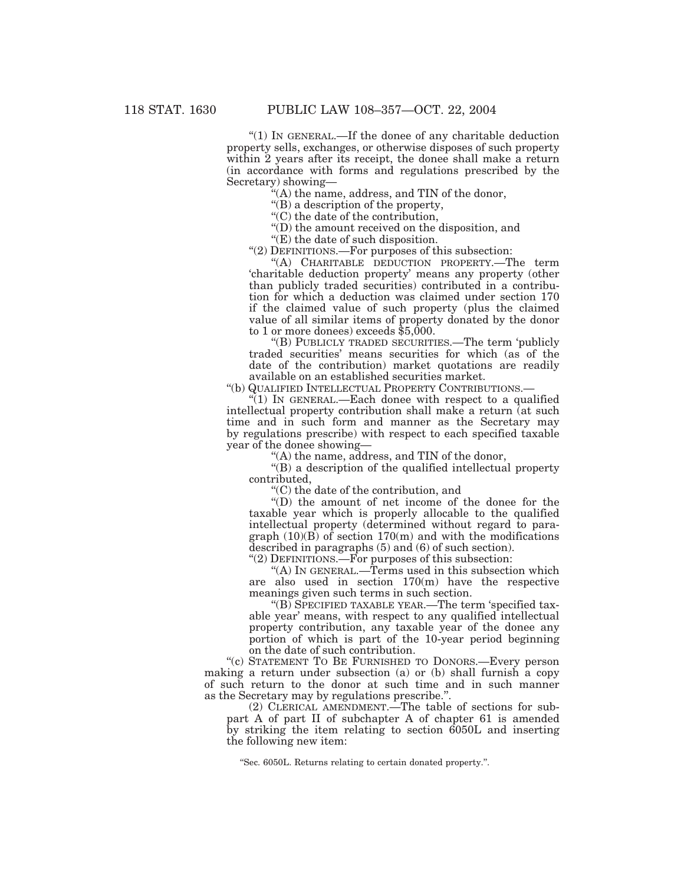''(1) IN GENERAL.—If the donee of any charitable deduction property sells, exchanges, or otherwise disposes of such property within 2 years after its receipt, the donee shall make a return (in accordance with forms and regulations prescribed by the Secretary) showing—

 $\widetilde{H}(A)$  the name, address, and TIN of the donor,

''(B) a description of the property,

''(C) the date of the contribution,

''(D) the amount received on the disposition, and

''(E) the date of such disposition.

''(2) DEFINITIONS.—For purposes of this subsection:

''(A) CHARITABLE DEDUCTION PROPERTY.—The term 'charitable deduction property' means any property (other than publicly traded securities) contributed in a contribution for which a deduction was claimed under section 170 if the claimed value of such property (plus the claimed value of all similar items of property donated by the donor to 1 or more donees) exceeds \$5,000.

''(B) PUBLICLY TRADED SECURITIES.—The term 'publicly traded securities' means securities for which (as of the date of the contribution) market quotations are readily available on an established securities market.

''(b) QUALIFIED INTELLECTUAL PROPERTY CONTRIBUTIONS.—

 $\sqrt[n]{(1)}$  In GENERAL.—Each donee with respect to a qualified intellectual property contribution shall make a return (at such time and in such form and manner as the Secretary may by regulations prescribe) with respect to each specified taxable year of the donee showing—

''(A) the name, address, and TIN of the donor,

''(B) a description of the qualified intellectual property contributed,

''(C) the date of the contribution, and

''(D) the amount of net income of the donee for the taxable year which is properly allocable to the qualified intellectual property (determined without regard to paragraph  $(10)(\overline{B})$  of section 170(m) and with the modifications described in paragraphs (5) and (6) of such section).

"(2) DEFINITIONS.—For purposes of this subsection:

''(A) IN GENERAL.—Terms used in this subsection which are also used in section 170(m) have the respective meanings given such terms in such section.

''(B) SPECIFIED TAXABLE YEAR.—The term 'specified taxable year' means, with respect to any qualified intellectual property contribution, any taxable year of the donee any portion of which is part of the 10-year period beginning on the date of such contribution.

"(c) STATEMENT TO BE FURNISHED TO DONORS.—Every person making a return under subsection (a) or (b) shall furnish a copy of such return to the donor at such time and in such manner as the Secretary may by regulations prescribe.''.

(2) CLERICAL AMENDMENT.—The table of sections for subpart A of part II of subchapter A of chapter 61 is amended by striking the item relating to section 6050L and inserting the following new item:

<sup>&#</sup>x27;'Sec. 6050L. Returns relating to certain donated property.''.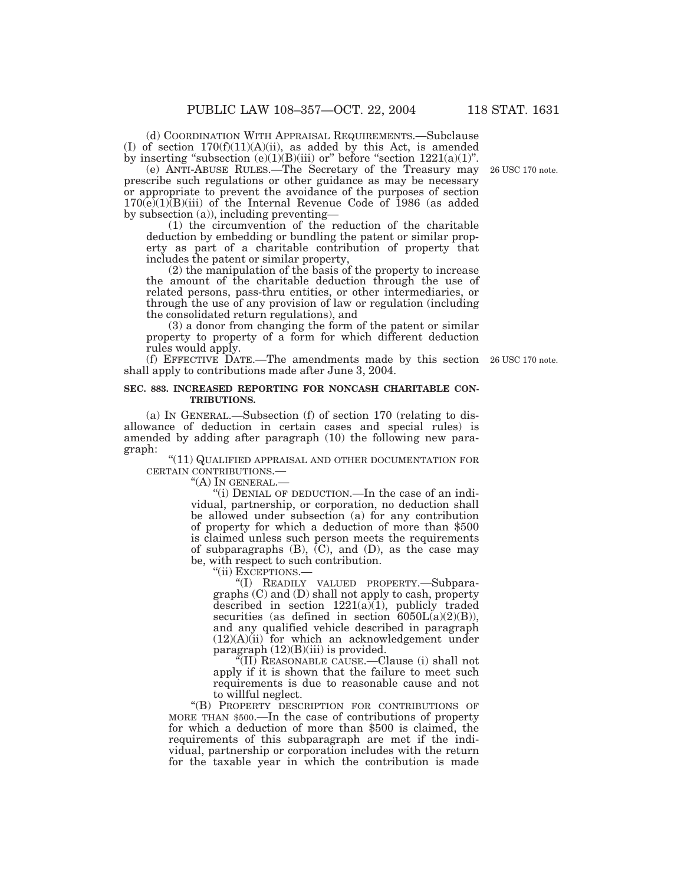(d) COORDINATION WITH APPRAISAL REQUIREMENTS.—Subclause (I) of section 170(f)(11)(A)(ii), as added by this Act, is amended by inserting "subsection  $(e)(1)(B)(iii)$  or" before "section  $1221(a)(1)$ ".

(e) ANTI-ABUSE RULES.—The Secretary of the Treasury may prescribe such regulations or other guidance as may be necessary or appropriate to prevent the avoidance of the purposes of section  $170(e)(1)(B)(iii)$  of the Internal Revenue Code of 1986 (as added by subsection (a)), including preventing—

(1) the circumvention of the reduction of the charitable deduction by embedding or bundling the patent or similar property as part of a charitable contribution of property that includes the patent or similar property,

(2) the manipulation of the basis of the property to increase the amount of the charitable deduction through the use of related persons, pass-thru entities, or other intermediaries, or through the use of any provision of law or regulation (including the consolidated return regulations), and

(3) a donor from changing the form of the patent or similar property to property of a form for which different deduction rules would apply.

(f) EFFECTIVE DATE.—The amendments made by this section 26 USC 170 note. shall apply to contributions made after June 3, 2004.

#### **SEC. 883. INCREASED REPORTING FOR NONCASH CHARITABLE CON-TRIBUTIONS.**

(a) IN GENERAL.—Subsection (f) of section 170 (relating to disallowance of deduction in certain cases and special rules) is amended by adding after paragraph (10) the following new paragraph:

''(11) QUALIFIED APPRAISAL AND OTHER DOCUMENTATION FOR CERTAIN CONTRIBUTIONS.—

 $\mbox{``(A) In GENERAL.} \textcolor{red}{\boldsymbol{-}}$ 

''(i) DENIAL OF DEDUCTION.—In the case of an individual, partnership, or corporation, no deduction shall be allowed under subsection (a) for any contribution of property for which a deduction of more than \$500 is claimed unless such person meets the requirements of subparagraphs  $(B)$ ,  $(C)$ , and  $(D)$ , as the case may be, with respect to such contribution.

''(ii) EXCEPTIONS.—

''(I) READILY VALUED PROPERTY.—Subparagraphs (C) and (D) shall not apply to cash, property described in section  $1221(a)(1)$ , publicly traded securities (as defined in section  $6050L(a)(2)(B)$ ), and any qualified vehicle described in paragraph (12)(A)(ii) for which an acknowledgement under paragraph  $(12)(B)(iii)$  is provided.

''(II) REASONABLE CAUSE.—Clause (i) shall not apply if it is shown that the failure to meet such requirements is due to reasonable cause and not to willful neglect.

''(B) PROPERTY DESCRIPTION FOR CONTRIBUTIONS OF MORE THAN \$500.—In the case of contributions of property for which a deduction of more than \$500 is claimed, the requirements of this subparagraph are met if the individual, partnership or corporation includes with the return for the taxable year in which the contribution is made

26 USC 170 note.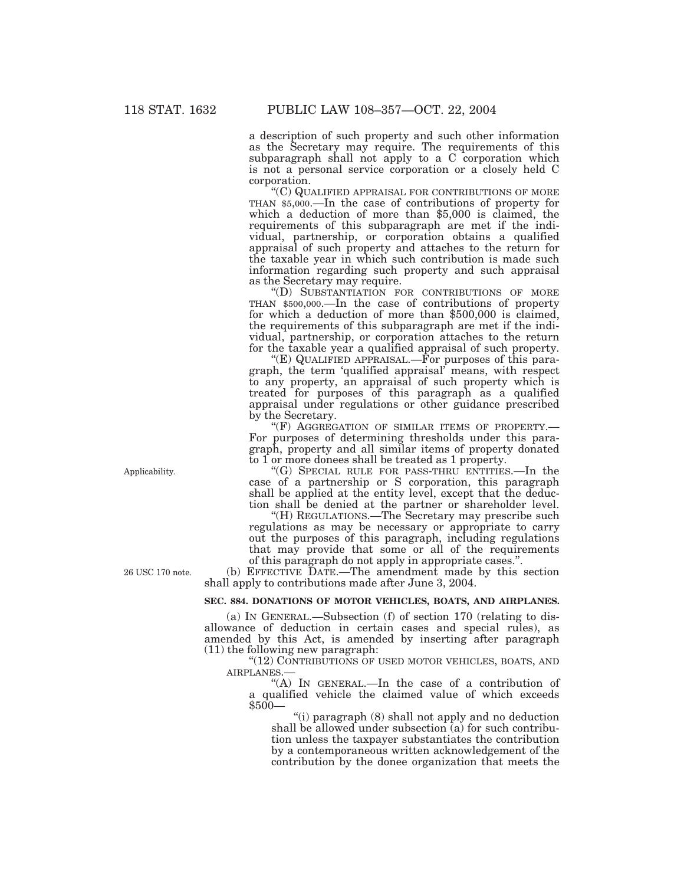a description of such property and such other information as the Secretary may require. The requirements of this subparagraph shall not apply to a C corporation which is not a personal service corporation or a closely held C corporation.

''(C) QUALIFIED APPRAISAL FOR CONTRIBUTIONS OF MORE THAN \$5,000.—In the case of contributions of property for which a deduction of more than \$5,000 is claimed, the requirements of this subparagraph are met if the individual, partnership, or corporation obtains a qualified appraisal of such property and attaches to the return for the taxable year in which such contribution is made such information regarding such property and such appraisal as the Secretary may require.

''(D) SUBSTANTIATION FOR CONTRIBUTIONS OF MORE THAN \$500,000.—In the case of contributions of property for which a deduction of more than \$500,000 is claimed, the requirements of this subparagraph are met if the individual, partnership, or corporation attaches to the return for the taxable year a qualified appraisal of such property.

"(E) QUALIFIED APPRAISAL.—For purposes of this paragraph, the term 'qualified appraisal' means, with respect to any property, an appraisal of such property which is treated for purposes of this paragraph as a qualified appraisal under regulations or other guidance prescribed by the Secretary.

''(F) AGGREGATION OF SIMILAR ITEMS OF PROPERTY.— For purposes of determining thresholds under this paragraph, property and all similar items of property donated to 1 or more donees shall be treated as 1 property.

"(G) SPECIAL RULE FOR PASS-THRU ENTITIES.—In the case of a partnership or S corporation, this paragraph shall be applied at the entity level, except that the deduction shall be denied at the partner or shareholder level.

''(H) REGULATIONS.—The Secretary may prescribe such regulations as may be necessary or appropriate to carry out the purposes of this paragraph, including regulations that may provide that some or all of the requirements of this paragraph do not apply in appropriate cases.''.

(b) EFFECTIVE DATE.—The amendment made by this section shall apply to contributions made after June 3, 2004.

## **SEC. 884. DONATIONS OF MOTOR VEHICLES, BOATS, AND AIRPLANES.**

(a) IN GENERAL.—Subsection (f) of section 170 (relating to disallowance of deduction in certain cases and special rules), as amended by this Act, is amended by inserting after paragraph (11) the following new paragraph:

"(12) CONTRIBUTIONS OF USED MOTOR VEHICLES, BOATS, AND AIRPLANES.—

''(A) IN GENERAL.—In the case of a contribution of a qualified vehicle the claimed value of which exceeds \$500—

''(i) paragraph (8) shall not apply and no deduction shall be allowed under subsection (a) for such contribution unless the taxpayer substantiates the contribution by a contemporaneous written acknowledgement of the contribution by the donee organization that meets the

Applicability.

26 USC 170 note.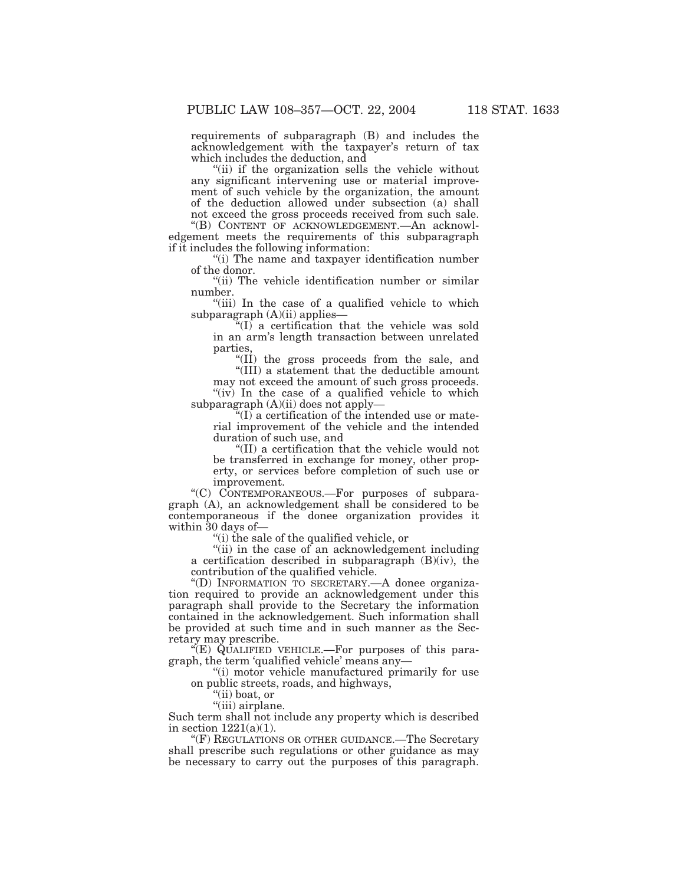requirements of subparagraph (B) and includes the acknowledgement with the taxpayer's return of tax which includes the deduction, and

''(ii) if the organization sells the vehicle without any significant intervening use or material improvement of such vehicle by the organization, the amount of the deduction allowed under subsection (a) shall not exceed the gross proceeds received from such sale.

''(B) CONTENT OF ACKNOWLEDGEMENT.—An acknowledgement meets the requirements of this subparagraph if it includes the following information:

''(i) The name and taxpayer identification number of the donor.

"(ii) The vehicle identification number or similar number.

"(iii) In the case of a qualified vehicle to which subparagraph (A)(ii) applies—

''(I) a certification that the vehicle was sold in an arm's length transaction between unrelated parties,

(II) the gross proceeds from the sale, and ''(III) a statement that the deductible amount

may not exceed the amount of such gross proceeds.

" $(iv)$  In the case of a qualified vehicle to which subparagraph (A)(ii) does not apply—

 $\sqrt[4]{(I)}$  a certification of the intended use or material improvement of the vehicle and the intended duration of such use, and

''(II) a certification that the vehicle would not be transferred in exchange for money, other property, or services before completion of such use or improvement.

''(C) CONTEMPORANEOUS.—For purposes of subparagraph (A), an acknowledgement shall be considered to be contemporaneous if the donee organization provides it within 30 days of—

''(i) the sale of the qualified vehicle, or

"(ii) in the case of an acknowledgement including a certification described in subparagraph (B)(iv), the contribution of the qualified vehicle.

''(D) INFORMATION TO SECRETARY.—A donee organization required to provide an acknowledgement under this paragraph shall provide to the Secretary the information contained in the acknowledgement. Such information shall be provided at such time and in such manner as the Secretary may prescribe.

''(E) QUALIFIED VEHICLE.—For purposes of this paragraph, the term 'qualified vehicle' means any—

''(i) motor vehicle manufactured primarily for use on public streets, roads, and highways,

''(ii) boat, or

"(iii) airplane.

Such term shall not include any property which is described in section  $1221(a)(1)$ .

''(F) REGULATIONS OR OTHER GUIDANCE.—The Secretary shall prescribe such regulations or other guidance as may be necessary to carry out the purposes of this paragraph.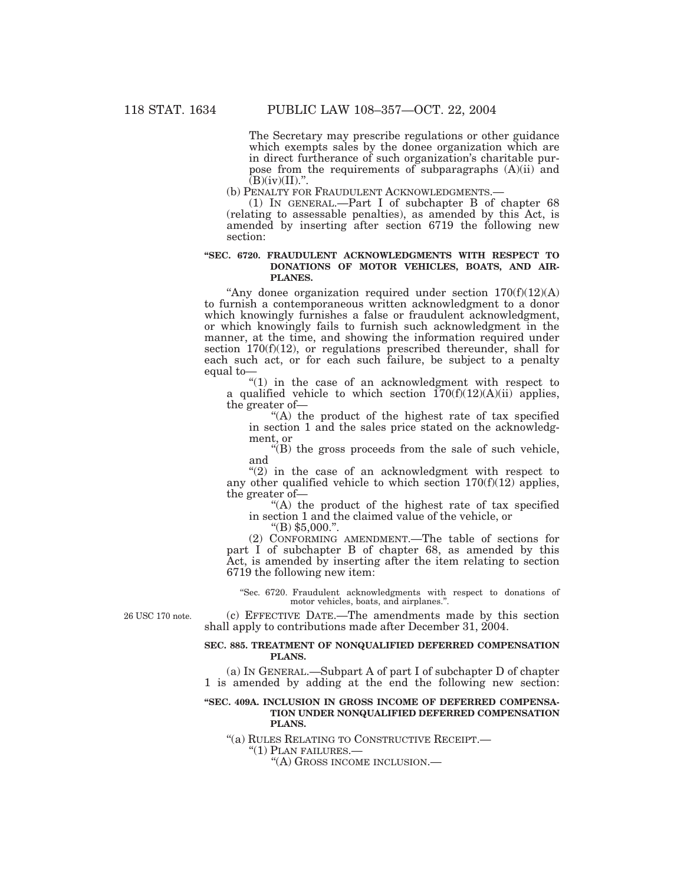The Secretary may prescribe regulations or other guidance which exempts sales by the donee organization which are in direct furtherance of such organization's charitable purpose from the requirements of subparagraphs (A)(ii) and  $(B)(iv)(II).$ "

(b) PENALTY FOR FRAUDULENT ACKNOWLEDGMENTS.—

(1) IN GENERAL.—Part I of subchapter B of chapter 68 (relating to assessable penalties), as amended by this Act, is amended by inserting after section 6719 the following new section:

### **''SEC. 6720. FRAUDULENT ACKNOWLEDGMENTS WITH RESPECT TO DONATIONS OF MOTOR VEHICLES, BOATS, AND AIR-PLANES.**

"Any donee organization required under section  $170(f)(12)(A)$ to furnish a contemporaneous written acknowledgment to a donor which knowingly furnishes a false or fraudulent acknowledgment, or which knowingly fails to furnish such acknowledgment in the manner, at the time, and showing the information required under section 170(f)(12), or regulations prescribed thereunder, shall for each such act, or for each such failure, be subject to a penalty equal to—

" $(1)$  in the case of an acknowledgment with respect to a qualified vehicle to which section  $170(f)(12)(A)(ii)$  applies, the greater of—

"(A) the product of the highest rate of tax specified in section 1 and the sales price stated on the acknowledgment, or

 $\mathcal{L}(B)$  the gross proceeds from the sale of such vehicle, and

"(2) in the case of an acknowledgment with respect to any other qualified vehicle to which section  $170(f)(12)$  applies, the greater of—

''(A) the product of the highest rate of tax specified in section 1 and the claimed value of the vehicle, or

 $\text{``(B) $5,000."}.$ 

(2) CONFORMING AMENDMENT.—The table of sections for part I of subchapter B of chapter 68, as amended by this Act, is amended by inserting after the item relating to section 6719 the following new item:

''Sec. 6720. Fraudulent acknowledgments with respect to donations of motor vehicles, boats, and airplanes."

26 USC 170 note.

(c) EFFECTIVE DATE.—The amendments made by this section shall apply to contributions made after December 31, 2004.

### **SEC. 885. TREATMENT OF NONQUALIFIED DEFERRED COMPENSATION PLANS.**

(a) IN GENERAL.—Subpart A of part I of subchapter D of chapter 1 is amended by adding at the end the following new section:

### **''SEC. 409A. INCLUSION IN GROSS INCOME OF DEFERRED COMPENSA-TION UNDER NONQUALIFIED DEFERRED COMPENSATION PLANS.**

''(a) RULES RELATING TO CONSTRUCTIVE RECEIPT.—

''(1) PLAN FAILURES.—

''(A) GROSS INCOME INCLUSION.—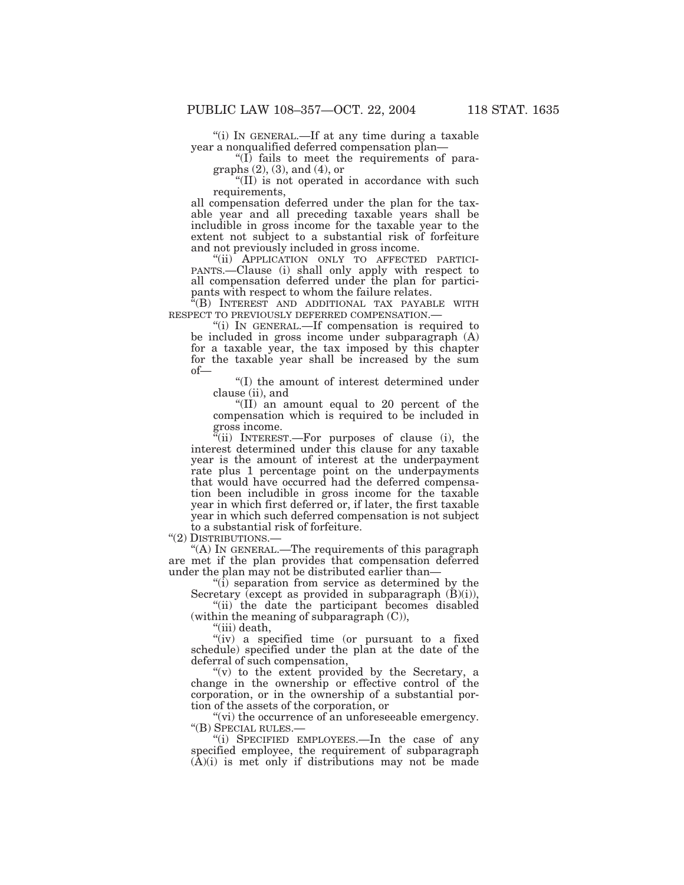''(i) IN GENERAL.—If at any time during a taxable year a nonqualified deferred compensation plan—

 $\mathrm{``(I)}$  fails to meet the requirements of paragraphs (2), (3), and (4), or

''(II) is not operated in accordance with such requirements,

all compensation deferred under the plan for the taxable year and all preceding taxable years shall be includible in gross income for the taxable year to the extent not subject to a substantial risk of forfeiture and not previously included in gross income.

"(ii) APPLICATION ONLY TO AFFECTED PARTICI-PANTS.—Clause (i) shall only apply with respect to all compensation deferred under the plan for participants with respect to whom the failure relates.

''(B) INTEREST AND ADDITIONAL TAX PAYABLE WITH RESPECT TO PREVIOUSLY DEFERRED COMPENSATION.—

''(i) IN GENERAL.—If compensation is required to be included in gross income under subparagraph (A) for a taxable year, the tax imposed by this chapter for the taxable year shall be increased by the sum of—

''(I) the amount of interest determined under clause (ii), and

''(II) an amount equal to 20 percent of the compensation which is required to be included in gross income.

 $f(i)$  INTEREST.—For purposes of clause (i), the interest determined under this clause for any taxable year is the amount of interest at the underpayment rate plus 1 percentage point on the underpayments that would have occurred had the deferred compensation been includible in gross income for the taxable year in which first deferred or, if later, the first taxable year in which such deferred compensation is not subject to a substantial risk of forfeiture.<br>"(2) DISTRIBUTIONS.—

"(A) In GENERAL.—The requirements of this paragraph are met if the plan provides that compensation deferred under the plan may not be distributed earlier than—

"(i) separation from service as determined by the Secretary (except as provided in subparagraph  $(\dot{B})(i)$ ),

''(ii) the date the participant becomes disabled (within the meaning of subparagraph (C)),

''(iii) death,

"(iv) a specified time (or pursuant to a fixed schedule) specified under the plan at the date of the deferral of such compensation,

"(v) to the extent provided by the Secretary, a change in the ownership or effective control of the corporation, or in the ownership of a substantial portion of the assets of the corporation, or

"(vi) the occurrence of an unforeseeable emergency. "(B) SPECIAL RULES.—

"(i) SPECIFIED EMPLOYEES.—In the case of any specified employee, the requirement of subparagraph  $(\overline{A})(i)$  is met only if distributions may not be made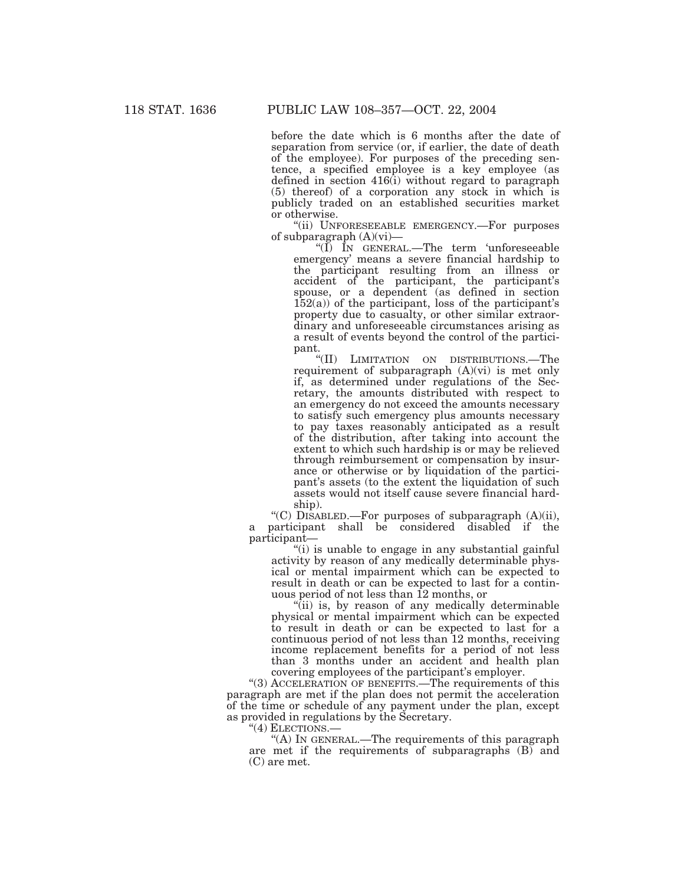before the date which is 6 months after the date of separation from service (or, if earlier, the date of death of the employee). For purposes of the preceding sentence, a specified employee is a key employee (as defined in section 416(i) without regard to paragraph (5) thereof) of a corporation any stock in which is publicly traded on an established securities market or otherwise.

''(ii) UNFORESEEABLE EMERGENCY.—For purposes of subparagraph  $(A)(vi)$ —

''(I) IN GENERAL.—The term 'unforeseeable emergency' means a severe financial hardship to the participant resulting from an illness or accident of the participant, the participant's spouse, or a dependent (as defined in section  $152(a)$  of the participant, loss of the participant's property due to casualty, or other similar extraordinary and unforeseeable circumstances arising as a result of events beyond the control of the participant.

''(II) LIMITATION ON DISTRIBUTIONS.—The requirement of subparagraph  $(A)(vi)$  is met only if, as determined under regulations of the Secretary, the amounts distributed with respect to an emergency do not exceed the amounts necessary to satisfy such emergency plus amounts necessary to pay taxes reasonably anticipated as a result of the distribution, after taking into account the extent to which such hardship is or may be relieved through reimbursement or compensation by insurance or otherwise or by liquidation of the participant's assets (to the extent the liquidation of such assets would not itself cause severe financial hardship).

''(C) DISABLED.—For purposes of subparagraph (A)(ii), a participant shall be considered disabled if the participant—

''(i) is unable to engage in any substantial gainful activity by reason of any medically determinable physical or mental impairment which can be expected to result in death or can be expected to last for a continuous period of not less than 12 months, or

''(ii) is, by reason of any medically determinable physical or mental impairment which can be expected to result in death or can be expected to last for a continuous period of not less than 12 months, receiving income replacement benefits for a period of not less than 3 months under an accident and health plan covering employees of the participant's employer.

"(3) ACCELERATION OF BENEFITS.—The requirements of this paragraph are met if the plan does not permit the acceleration of the time or schedule of any payment under the plan, except as provided in regulations by the Secretary.

"(4) ELECTIONS.— $\frac{1}{2}$ "(A) IN GENERAL.—The requirements of this paragraph are met if the requirements of subparagraphs (B) and (C) are met.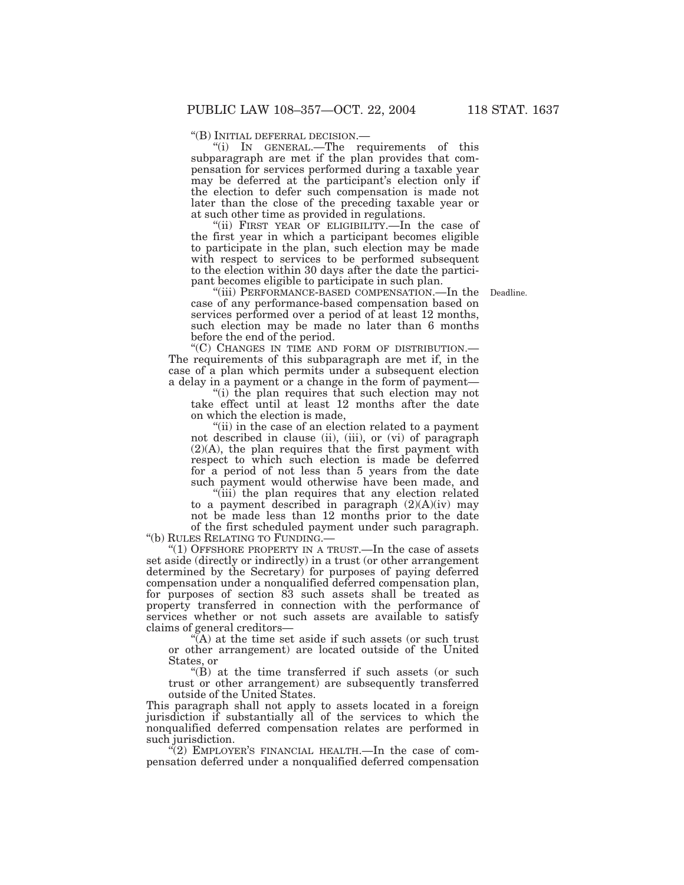''(B) INITIAL DEFERRAL DECISION.—

"(i) In GENERAL.—The requirements of this subparagraph are met if the plan provides that compensation for services performed during a taxable year may be deferred at the participant's election only if the election to defer such compensation is made not later than the close of the preceding taxable year or at such other time as provided in regulations.

''(ii) FIRST YEAR OF ELIGIBILITY.—In the case of the first year in which a participant becomes eligible to participate in the plan, such election may be made with respect to services to be performed subsequent to the election within 30 days after the date the participant becomes eligible to participate in such plan.

"(iii) PERFORMANCE-BASED COMPENSATION.—In the Deadline. case of any performance-based compensation based on services performed over a period of at least 12 months, such election may be made no later than 6 months before the end of the period.

''(C) CHANGES IN TIME AND FORM OF DISTRIBUTION.— The requirements of this subparagraph are met if, in the case of a plan which permits under a subsequent election a delay in a payment or a change in the form of payment—

"(i) the plan requires that such election may not take effect until at least 12 months after the date on which the election is made,

''(ii) in the case of an election related to a payment not described in clause (ii), (iii), or (vi) of paragraph (2)(A), the plan requires that the first payment with respect to which such election is made be deferred for a period of not less than 5 years from the date such payment would otherwise have been made, and

"(iii) the plan requires that any election related to a payment described in paragraph  $(2)(A)(iv)$  may not be made less than 12 months prior to the date of the first scheduled payment under such paragraph.<br>"(b) RULES RELATING TO FUNDING.—

"(1) OFFSHORE PROPERTY IN A TRUST.—In the case of assets set aside (directly or indirectly) in a trust (or other arrangement determined by the Secretary) for purposes of paying deferred compensation under a nonqualified deferred compensation plan, for purposes of section 83 such assets shall be treated as property transferred in connection with the performance of services whether or not such assets are available to satisfy claims of general creditors—

''(A) at the time set aside if such assets (or such trust or other arrangement) are located outside of the United States, or

''(B) at the time transferred if such assets (or such trust or other arrangement) are subsequently transferred outside of the United States.

This paragraph shall not apply to assets located in a foreign jurisdiction if substantially all of the services to which the nonqualified deferred compensation relates are performed in such jurisdiction.

"(2) EMPLOYER'S FINANCIAL HEALTH.—In the case of compensation deferred under a nonqualified deferred compensation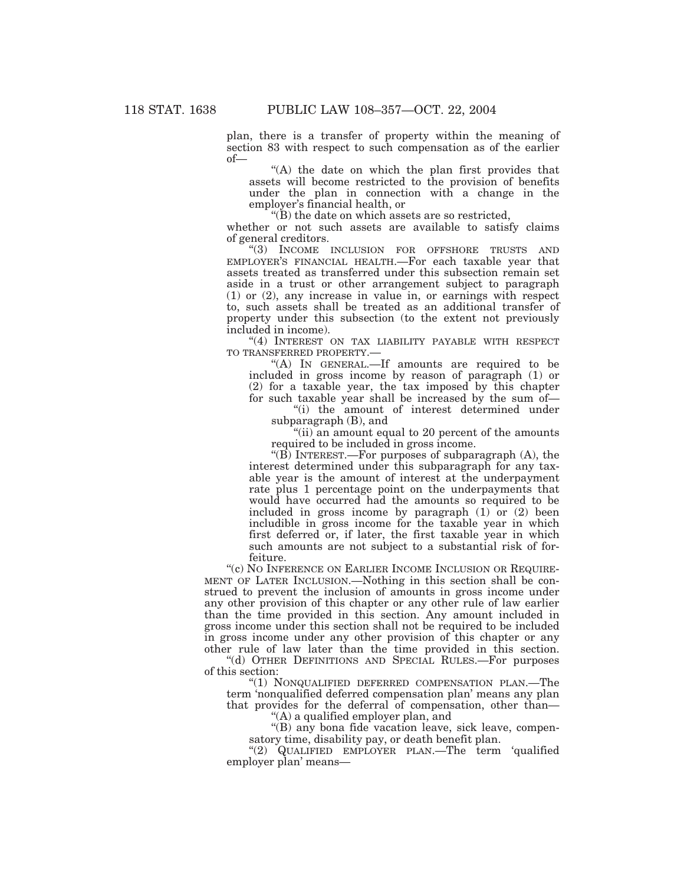''(A) the date on which the plan first provides that assets will become restricted to the provision of benefits under the plan in connection with a change in the employer's financial health, or

" $(B)$  the date on which assets are so restricted,

whether or not such assets are available to satisfy claims of general creditors.

''(3) INCOME INCLUSION FOR OFFSHORE TRUSTS AND EMPLOYER'S FINANCIAL HEALTH.—For each taxable year that assets treated as transferred under this subsection remain set aside in a trust or other arrangement subject to paragraph (1) or (2), any increase in value in, or earnings with respect to, such assets shall be treated as an additional transfer of property under this subsection (to the extent not previously included in income).

"(4) INTEREST ON TAX LIABILITY PAYABLE WITH RESPECT TO TRANSFERRED PROPERTY.—

''(A) IN GENERAL.—If amounts are required to be included in gross income by reason of paragraph (1) or (2) for a taxable year, the tax imposed by this chapter for such taxable year shall be increased by the sum of—

''(i) the amount of interest determined under subparagraph (B), and

"(ii) an amount equal to 20 percent of the amounts" required to be included in gross income.

" $(B)$  INTEREST.—For purposes of subparagraph  $(A)$ , the interest determined under this subparagraph for any taxable year is the amount of interest at the underpayment rate plus 1 percentage point on the underpayments that would have occurred had the amounts so required to be included in gross income by paragraph (1) or (2) been includible in gross income for the taxable year in which first deferred or, if later, the first taxable year in which such amounts are not subject to a substantial risk of forfeiture.

''(c) NO INFERENCE ON EARLIER INCOME INCLUSION OR REQUIRE-MENT OF LATER INCLUSION.—Nothing in this section shall be construed to prevent the inclusion of amounts in gross income under any other provision of this chapter or any other rule of law earlier than the time provided in this section. Any amount included in gross income under this section shall not be required to be included in gross income under any other provision of this chapter or any other rule of law later than the time provided in this section.

''(d) OTHER DEFINITIONS AND SPECIAL RULES.—For purposes of this section:

''(1) NONQUALIFIED DEFERRED COMPENSATION PLAN.—The term 'nonqualified deferred compensation plan' means any plan that provides for the deferral of compensation, other than—

''(A) a qualified employer plan, and

''(B) any bona fide vacation leave, sick leave, compensatory time, disability pay, or death benefit plan.

''(2) QUALIFIED EMPLOYER PLAN.—The term 'qualified employer plan' means—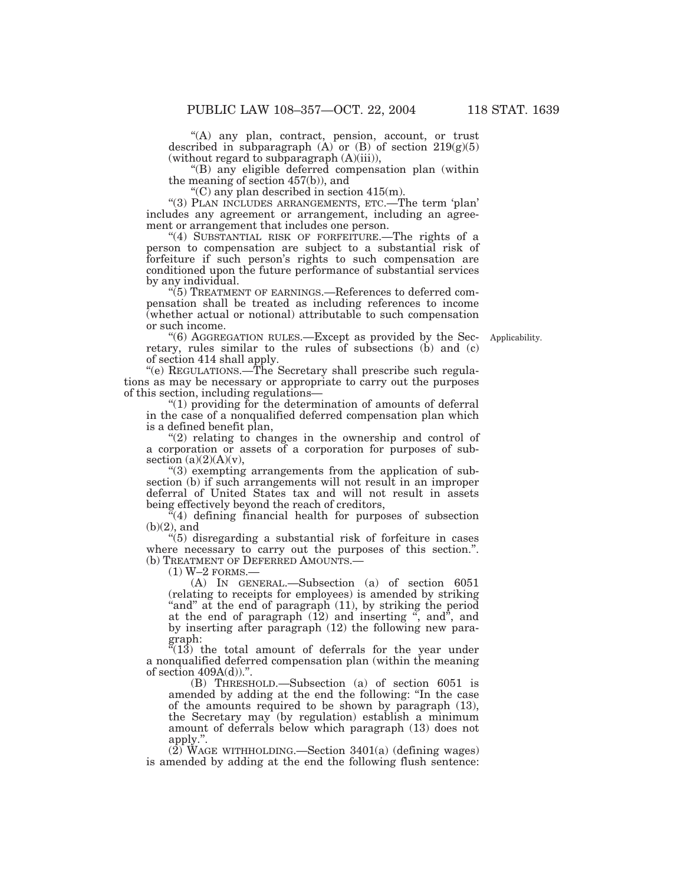''(A) any plan, contract, pension, account, or trust described in subparagraph (A) or (B) of section  $219(g)(5)$ (without regard to subparagraph  $(A)(iii)$ ),

''(B) any eligible deferred compensation plan (within the meaning of section 457(b)), and

 $(C)$  any plan described in section 415(m).

''(3) PLAN INCLUDES ARRANGEMENTS, ETC.—The term 'plan' includes any agreement or arrangement, including an agreement or arrangement that includes one person.

"(4) SUBSTANTIAL RISK OF FORFEITURE.—The rights of a person to compensation are subject to a substantial risk of forfeiture if such person's rights to such compensation are conditioned upon the future performance of substantial services by any individual.

''(5) TREATMENT OF EARNINGS.—References to deferred compensation shall be treated as including references to income (whether actual or notional) attributable to such compensation or such income.

Applicability.

''(6) AGGREGATION RULES.—Except as provided by the Secretary, rules similar to the rules of subsections (b) and (c) of section 414 shall apply.

''(e) REGULATIONS.—The Secretary shall prescribe such regulations as may be necessary or appropriate to carry out the purposes of this section, including regulations—

''(1) providing for the determination of amounts of deferral in the case of a nonqualified deferred compensation plan which is a defined benefit plan,

"(2) relating to changes in the ownership and control of a corporation or assets of a corporation for purposes of subsection  $(a)(2)(A)(v)$ ,

''(3) exempting arrangements from the application of subsection (b) if such arrangements will not result in an improper deferral of United States tax and will not result in assets being effectively beyond the reach of creditors,

 $f(4)$  defining financial health for purposes of subsection (b)(2), and

''(5) disregarding a substantial risk of forfeiture in cases where necessary to carry out the purposes of this section.''. (b) TREATMENT OF DEFERRED AMOUNTS.—

(1) W–2 FORMS.—

(A) IN GENERAL.—Subsection (a) of section 6051 (relating to receipts for employees) is amended by striking "and" at the end of paragraph (11), by striking the period at the end of paragraph  $(12)$  and inserting ", and", and by inserting after paragraph (12) the following new paragraph:

"(13) the total amount of deferrals for the year under a nonqualified deferred compensation plan (within the meaning of section  $409A(d)$ .".

(B) THRESHOLD.—Subsection (a) of section 6051 is amended by adding at the end the following: ''In the case of the amounts required to be shown by paragraph (13), the Secretary may (by regulation) establish a minimum amount of deferrals below which paragraph (13) does not apply.''.

 $(2)$  WAGE WITHHOLDING.—Section 3401(a) (defining wages) is amended by adding at the end the following flush sentence: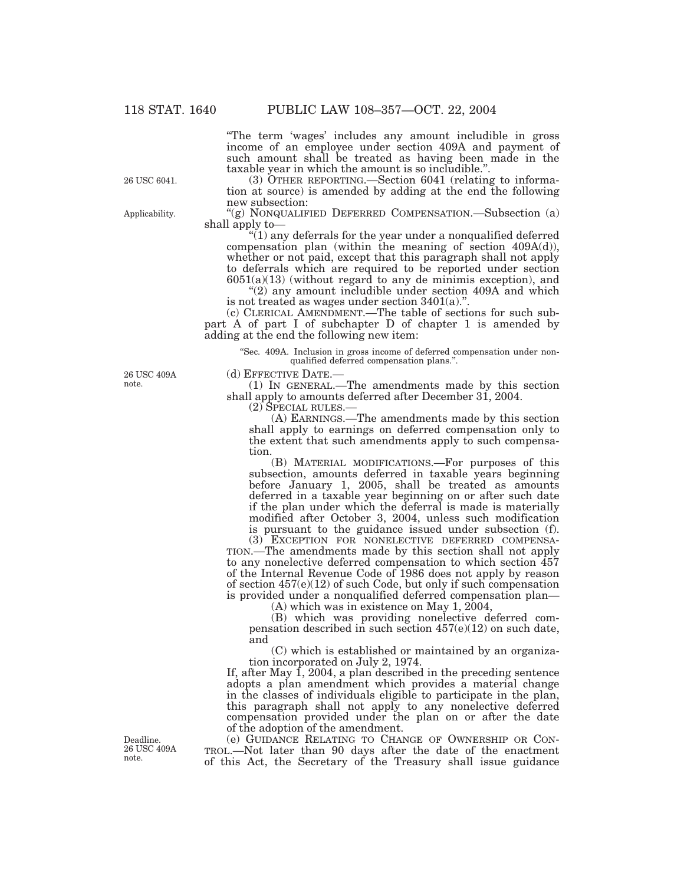''The term 'wages' includes any amount includible in gross income of an employee under section 409A and payment of such amount shall be treated as having been made in the taxable year in which the amount is so includible.''.

(3) OTHER REPORTING.—Section 6041 (relating to information at source) is amended by adding at the end the following new subsection:

''(g) NONQUALIFIED DEFERRED COMPENSATION.—Subsection (a) shall apply to—

 $i(1)$  any deferrals for the year under a nonqualified deferred compensation plan (within the meaning of section  $409A(d)$ ), whether or not paid, except that this paragraph shall not apply to deferrals which are required to be reported under section  $6051(a)(13)$  (without regard to any de minimis exception), and

" $(2)$  any amount includible under section 409A and which is not treated as wages under section 3401(a).''.

(c) CLERICAL AMENDMENT.—The table of sections for such subpart A of part I of subchapter D of chapter 1 is amended by adding at the end the following new item:

> ''Sec. 409A. Inclusion in gross income of deferred compensation under nonqualified deferred compensation plans.''.

26 USC 409A note.

(d) EFFECTIVE DATE.—<br>(1) IN GENERAL.—The amendments made by this section shall apply to amounts deferred after December 31, 2004.<br>(2) SPECIAL RULES.—

(A) EARNINGS.—The amendments made by this section shall apply to earnings on deferred compensation only to the extent that such amendments apply to such compensation.

(B) MATERIAL MODIFICATIONS.—For purposes of this subsection, amounts deferred in taxable years beginning before January 1, 2005, shall be treated as amounts deferred in a taxable year beginning on or after such date if the plan under which the deferral is made is materially modified after October 3, 2004, unless such modification is pursuant to the guidance issued under subsection (f).<br>(3) EXCEPTION FOR NONELECTIVE DEFERRED COMPENSA-

TION.—The amendments made by this section shall not apply to any nonelective deferred compensation to which section 457 of the Internal Revenue Code of 1986 does not apply by reason of section 457(e)(12) of such Code, but only if such compensation is provided under a nonqualified deferred compensation plan—

(A) which was in existence on May 1, 2004,

(B) which was providing nonelective deferred compensation described in such section  $457(e)(12)$  on such date, and

(C) which is established or maintained by an organization incorporated on July 2, 1974.

If, after May 1, 2004, a plan described in the preceding sentence adopts a plan amendment which provides a material change in the classes of individuals eligible to participate in the plan, this paragraph shall not apply to any nonelective deferred compensation provided under the plan on or after the date of the adoption of the amendment.

(e) GUIDANCE RELATING TO CHANGE OF OWNERSHIP OR CON-TROL.—Not later than 90 days after the date of the enactment of this Act, the Secretary of the Treasury shall issue guidance

Deadline. 26 USC 409A note.

Applicability.

26 USC 6041.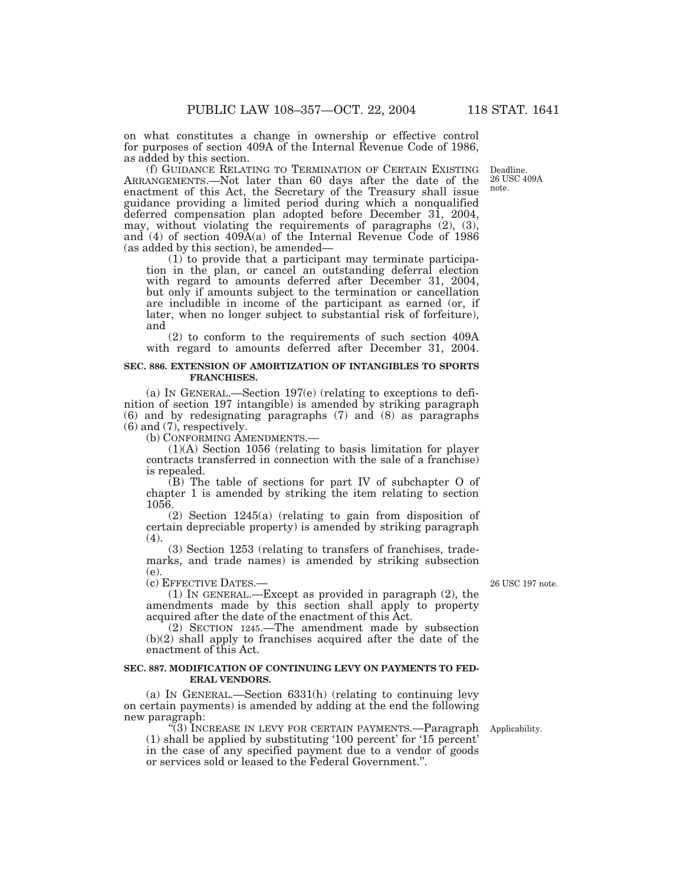on what constitutes a change in ownership or effective control for purposes of section 409A of the Internal Revenue Code of 1986, as added by this section.

(f) GUIDANCE RELATING TO TERMINATION OF CERTAIN EXISTING ARRANGEMENTS.—Not later than 60 days after the date of the enactment of this Act, the Secretary of the Treasury shall issue guidance providing a limited period during which a nonqualified deferred compensation plan adopted before December 31, 2004, may, without violating the requirements of paragraphs  $(2)$ ,  $(3)$ , and (4) of section 409A(a) of the Internal Revenue Code of 1986 (as added by this section), be amended—

(1) to provide that a participant may terminate participation in the plan, or cancel an outstanding deferral election with regard to amounts deferred after December 31, 2004, but only if amounts subject to the termination or cancellation are includible in income of the participant as earned (or, if later, when no longer subject to substantial risk of forfeiture), and

(2) to conform to the requirements of such section 409A with regard to amounts deferred after December 31, 2004.

### **SEC. 886. EXTENSION OF AMORTIZATION OF INTANGIBLES TO SPORTS FRANCHISES.**

(a) IN GENERAL.—Section 197(e) (relating to exceptions to definition of section 197 intangible) is amended by striking paragraph (6) and by redesignating paragraphs (7) and (8) as paragraphs (6) and (7), respectively.<br>(b) CONFORMING AMENDMENTS.—

 $(1)(A)$  Section 1056 (relating to basis limitation for player contracts transferred in connection with the sale of a franchise) is repealed.

(B) The table of sections for part IV of subchapter O of chapter 1 is amended by striking the item relating to section 1056.

(2) Section 1245(a) (relating to gain from disposition of certain depreciable property) is amended by striking paragraph (4).

(3) Section 1253 (relating to transfers of franchises, trademarks, and trade names) is amended by striking subsection (e).

(c) EFFECTIVE DATES.—

(1) IN GENERAL.—Except as provided in paragraph (2), the amendments made by this section shall apply to property acquired after the date of the enactment of this Act.

(2) SECTION 1245.—The amendment made by subsection (b)(2) shall apply to franchises acquired after the date of the enactment of this Act.

### **SEC. 887. MODIFICATION OF CONTINUING LEVY ON PAYMENTS TO FED-ERAL VENDORS.**

(a) IN GENERAL.—Section 6331(h) (relating to continuing levy on certain payments) is amended by adding at the end the following new paragraph:

''(3) INCREASE IN LEVY FOR CERTAIN PAYMENTS.—Paragraph Applicability. (1) shall be applied by substituting '100 percent' for '15 percent' in the case of any specified payment due to a vendor of goods or services sold or leased to the Federal Government.''.

26 USC 197 note.

Deadline. 26 USC 409A note.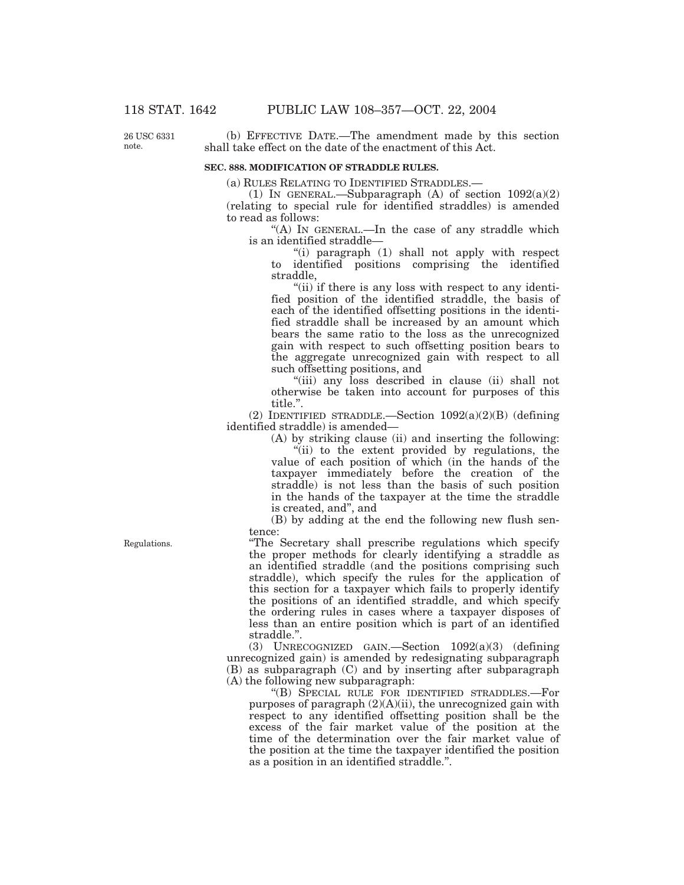26 USC 6331 note.

(b) EFFECTIVE DATE.—The amendment made by this section shall take effect on the date of the enactment of this Act.

## **SEC. 888. MODIFICATION OF STRADDLE RULES.**

(a) RULES RELATING TO IDENTIFIED STRADDLES.—

(1) IN GENERAL.—Subparagraph (A) of section 1092(a)(2) (relating to special rule for identified straddles) is amended to read as follows:

"(A) In GENERAL.—In the case of any straddle which is an identified straddle—

''(i) paragraph (1) shall not apply with respect to identified positions comprising the identified straddle,

"(ii) if there is any loss with respect to any identified position of the identified straddle, the basis of each of the identified offsetting positions in the identified straddle shall be increased by an amount which bears the same ratio to the loss as the unrecognized gain with respect to such offsetting position bears to the aggregate unrecognized gain with respect to all such offsetting positions, and

"(iii) any loss described in clause (ii) shall not otherwise be taken into account for purposes of this title.''.

(2) IDENTIFIED STRADDLE.—Section  $1092(a)(2)(B)$  (defining identified straddle) is amended—

(A) by striking clause (ii) and inserting the following:

''(ii) to the extent provided by regulations, the value of each position of which (in the hands of the taxpayer immediately before the creation of the straddle) is not less than the basis of such position in the hands of the taxpayer at the time the straddle is created, and'', and

(B) by adding at the end the following new flush sentence:

''The Secretary shall prescribe regulations which specify the proper methods for clearly identifying a straddle as an identified straddle (and the positions comprising such straddle), which specify the rules for the application of this section for a taxpayer which fails to properly identify the positions of an identified straddle, and which specify the ordering rules in cases where a taxpayer disposes of less than an entire position which is part of an identified straddle.''.

(3) UNRECOGNIZED GAIN.—Section 1092(a)(3) (defining unrecognized gain) is amended by redesignating subparagraph (B) as subparagraph (C) and by inserting after subparagraph (A) the following new subparagraph:

''(B) SPECIAL RULE FOR IDENTIFIED STRADDLES.—For purposes of paragraph  $(2)(A)(ii)$ , the unrecognized gain with respect to any identified offsetting position shall be the excess of the fair market value of the position at the time of the determination over the fair market value of the position at the time the taxpayer identified the position as a position in an identified straddle.''.

Regulations.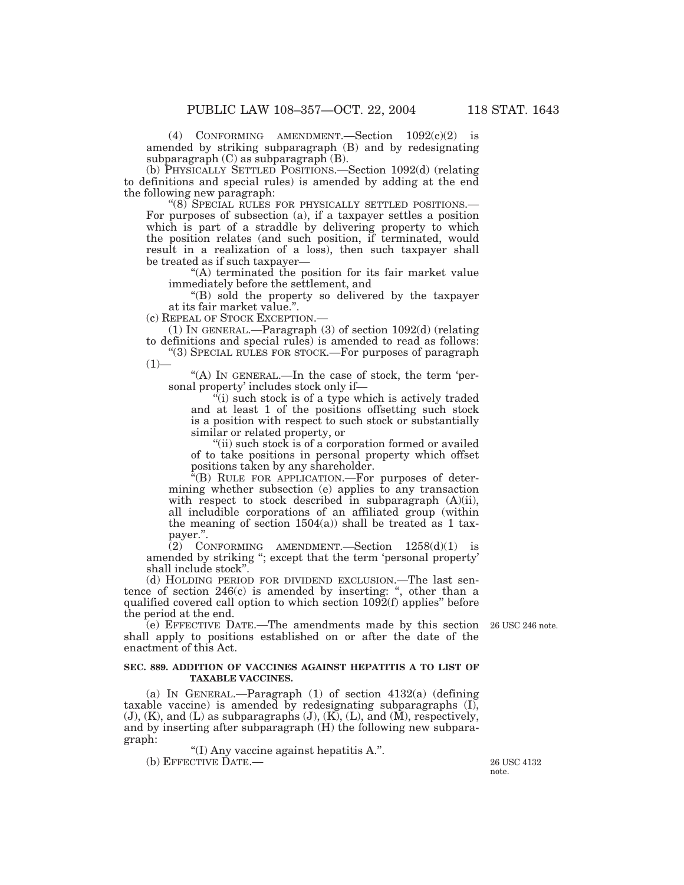(4) CONFORMING AMENDMENT.—Section 1092(c)(2) is amended by striking subparagraph (B) and by redesignating subparagraph (C) as subparagraph (B).

(b) PHYSICALLY SETTLED POSITIONS.—Section 1092(d) (relating to definitions and special rules) is amended by adding at the end the following new paragraph:

"(8) SPECIAL RULES FOR PHYSICALLY SETTLED POSITIONS.-For purposes of subsection (a), if a taxpayer settles a position which is part of a straddle by delivering property to which the position relates (and such position, if terminated, would result in a realization of a loss), then such taxpayer shall be treated as if such taxpayer—

''(A) terminated the position for its fair market value immediately before the settlement, and

''(B) sold the property so delivered by the taxpayer at its fair market value.''.

(c) REPEAL OF STOCK EXCEPTION.—

(1) IN GENERAL.—Paragraph (3) of section 1092(d) (relating to definitions and special rules) is amended to read as follows:

"(3) SPECIAL RULES FOR STOCK.—For purposes of paragraph  $(1)$ —

''(A) IN GENERAL.—In the case of stock, the term 'personal property' includes stock only if—

 $\sqrt[n]{i}$  such stock is of a type which is actively traded and at least 1 of the positions offsetting such stock is a position with respect to such stock or substantially similar or related property, or

"(ii) such stock is of a corporation formed or availed of to take positions in personal property which offset positions taken by any shareholder.

''(B) RULE FOR APPLICATION.—For purposes of determining whether subsection (e) applies to any transaction with respect to stock described in subparagraph  $(A)(ii)$ , all includible corporations of an affiliated group (within the meaning of section  $1504(a)$  shall be treated as 1 taxpayer.''.

 $(2)$  CONFORMING AMENDMENT. Section  $1258(d)(1)$  is amended by striking "; except that the term 'personal property' shall include stock''.

(d) HOLDING PERIOD FOR DIVIDEND EXCLUSION.—The last sentence of section 246(c) is amended by inserting: ", other than a qualified covered call option to which section  $1092(f)$  applies" before the period at the end.

(e) EFFECTIVE DATE.—The amendments made by this section shall apply to positions established on or after the date of the enactment of this Act.

26 USC 246 note.

#### **SEC. 889. ADDITION OF VACCINES AGAINST HEPATITIS A TO LIST OF TAXABLE VACCINES.**

(a) IN GENERAL.—Paragraph (1) of section 4132(a) (defining taxable vaccine) is amended by redesignating subparagraphs (I),  $(J)$ ,  $(K)$ , and  $(L)$  as subparagraphs  $(J)$ ,  $(K)$ ,  $(L)$ , and  $(M)$ , respectively, and by inserting after subparagraph (H) the following new subparagraph:

''(I) Any vaccine against hepatitis A.''. (b) EFFECTIVE DATE.— 26 USC 4132

note.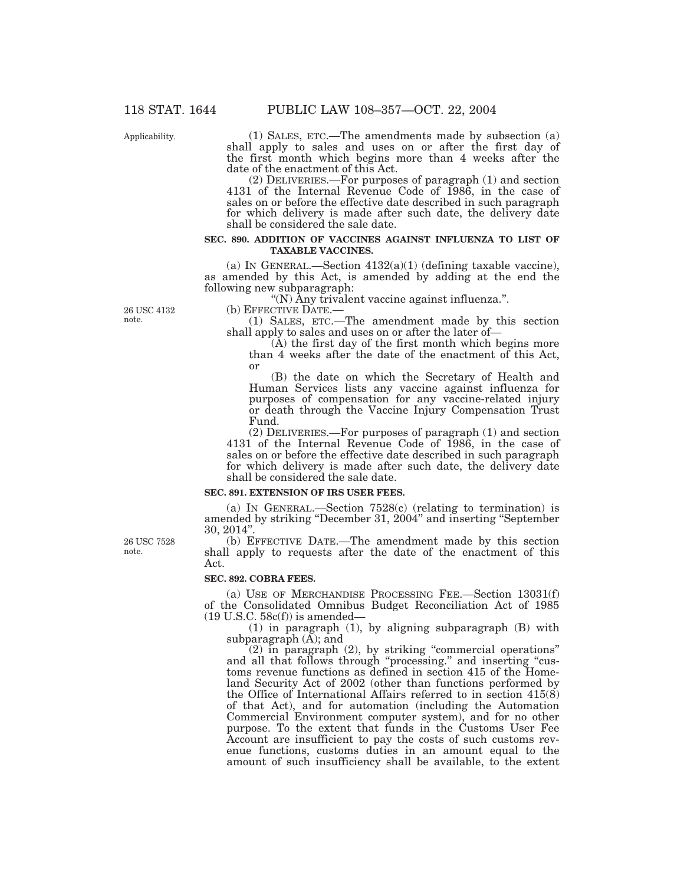Applicability.

26 USC 4132 note.

(1) SALES, ETC.—The amendments made by subsection (a) shall apply to sales and uses on or after the first day of the first month which begins more than 4 weeks after the date of the enactment of this Act.

(2) DELIVERIES.—For purposes of paragraph (1) and section 4131 of the Internal Revenue Code of 1986, in the case of sales on or before the effective date described in such paragraph for which delivery is made after such date, the delivery date shall be considered the sale date.

### **SEC. 890. ADDITION OF VACCINES AGAINST INFLUENZA TO LIST OF TAXABLE VACCINES.**

(a) IN GENERAL.—Section  $4132(a)(1)$  (defining taxable vaccine), as amended by this Act, is amended by adding at the end the following new subparagraph:

 $(W)$  Any trivalent vaccine against influenza.".<br>(b) EFFECTIVE DATE.—

 $(1)$  SALES, ETC.—The amendment made by this section shall apply to sales and uses on or after the later of—

 $(A)$  the first day of the first month which begins more than 4 weeks after the date of the enactment of this Act, or

(B) the date on which the Secretary of Health and Human Services lists any vaccine against influenza for purposes of compensation for any vaccine-related injury or death through the Vaccine Injury Compensation Trust Fund.

(2) DELIVERIES.—For purposes of paragraph (1) and section 4131 of the Internal Revenue Code of 1986, in the case of sales on or before the effective date described in such paragraph for which delivery is made after such date, the delivery date shall be considered the sale date.

#### **SEC. 891. EXTENSION OF IRS USER FEES.**

(a) IN GENERAL.—Section 7528(c) (relating to termination) is amended by striking ''December 31, 2004'' and inserting ''September  $30,\,2014"$ 

(b) EFFECTIVE DATE.—The amendment made by this section shall apply to requests after the date of the enactment of this Act.

### **SEC. 892. COBRA FEES.**

(a) USE OF MERCHANDISE PROCESSING FEE.—Section 13031(f) of the Consolidated Omnibus Budget Reconciliation Act of 1985  $(19$  U.S.C.  $58c(f)$ ) is amended-

(1) in paragraph (1), by aligning subparagraph (B) with subparagraph (A); and

(2) in paragraph (2), by striking ''commercial operations'' and all that follows through "processing." and inserting "customs revenue functions as defined in section 415 of the Homeland Security Act of 2002 (other than functions performed by the Office of International Affairs referred to in section  $415(\dot{8})$ of that Act), and for automation (including the Automation Commercial Environment computer system), and for no other purpose. To the extent that funds in the Customs User Fee Account are insufficient to pay the costs of such customs revenue functions, customs duties in an amount equal to the amount of such insufficiency shall be available, to the extent

26 USC 7528 note.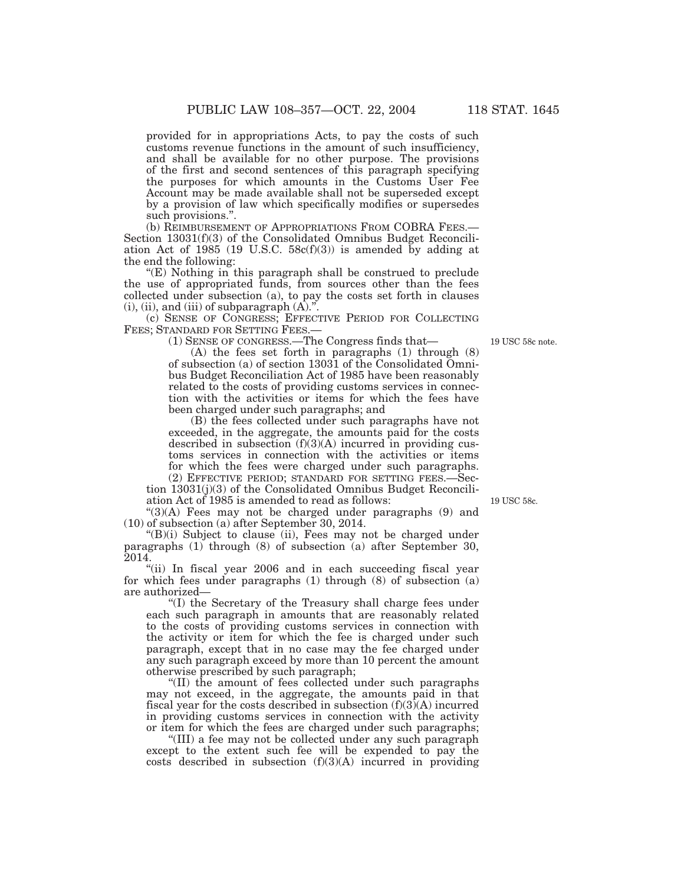provided for in appropriations Acts, to pay the costs of such customs revenue functions in the amount of such insufficiency, and shall be available for no other purpose. The provisions of the first and second sentences of this paragraph specifying the purposes for which amounts in the Customs User Fee Account may be made available shall not be superseded except by a provision of law which specifically modifies or supersedes such provisions.''.

(b) REIMBURSEMENT OF APPROPRIATIONS FROM COBRA FEES.— Section 13031(f)(3) of the Consolidated Omnibus Budget Reconciliation Act of 1985 (19 U.S.C.  $58c(f)(3)$ ) is amended by adding at the end the following:

"(E) Nothing in this paragraph shall be construed to preclude the use of appropriated funds, from sources other than the fees collected under subsection (a), to pay the costs set forth in clauses (i), (ii), and (iii) of subparagraph (A).''.

(c) SENSE OF CONGRESS; EFFECTIVE PERIOD FOR COLLECTING FEES; STANDARD FOR SETTING FEES.

(1) SENSE OF CONGRESS.—The Congress finds that—

(A) the fees set forth in paragraphs (1) through (8) of subsection (a) of section 13031 of the Consolidated Omnibus Budget Reconciliation Act of 1985 have been reasonably related to the costs of providing customs services in connection with the activities or items for which the fees have been charged under such paragraphs; and

(B) the fees collected under such paragraphs have not exceeded, in the aggregate, the amounts paid for the costs described in subsection (f)(3)(A) incurred in providing customs services in connection with the activities or items for which the fees were charged under such paragraphs. (2) EFFECTIVE PERIOD; STANDARD FOR SETTING FEES.—Sec-

tion 13031(j)(3) of the Consolidated Omnibus Budget Reconciliation Act of 1985 is amended to read as follows:

''(3)(A) Fees may not be charged under paragraphs (9) and (10) of subsection (a) after September 30, 2014.

''(B)(i) Subject to clause (ii), Fees may not be charged under paragraphs (1) through (8) of subsection (a) after September 30, 2014.

''(ii) In fiscal year 2006 and in each succeeding fiscal year for which fees under paragraphs  $(1)$  through  $(8)$  of subsection  $(a)$ are authorized—

''(I) the Secretary of the Treasury shall charge fees under each such paragraph in amounts that are reasonably related to the costs of providing customs services in connection with the activity or item for which the fee is charged under such paragraph, except that in no case may the fee charged under any such paragraph exceed by more than 10 percent the amount otherwise prescribed by such paragraph;

''(II) the amount of fees collected under such paragraphs may not exceed, in the aggregate, the amounts paid in that fiscal year for the costs described in subsection  $(f)(3)(A)$  incurred in providing customs services in connection with the activity or item for which the fees are charged under such paragraphs;

''(III) a fee may not be collected under any such paragraph except to the extent such fee will be expended to pay the costs described in subsection  $(f)(3)(A)$  incurred in providing

19 USC 58c.

19 USC 58c note.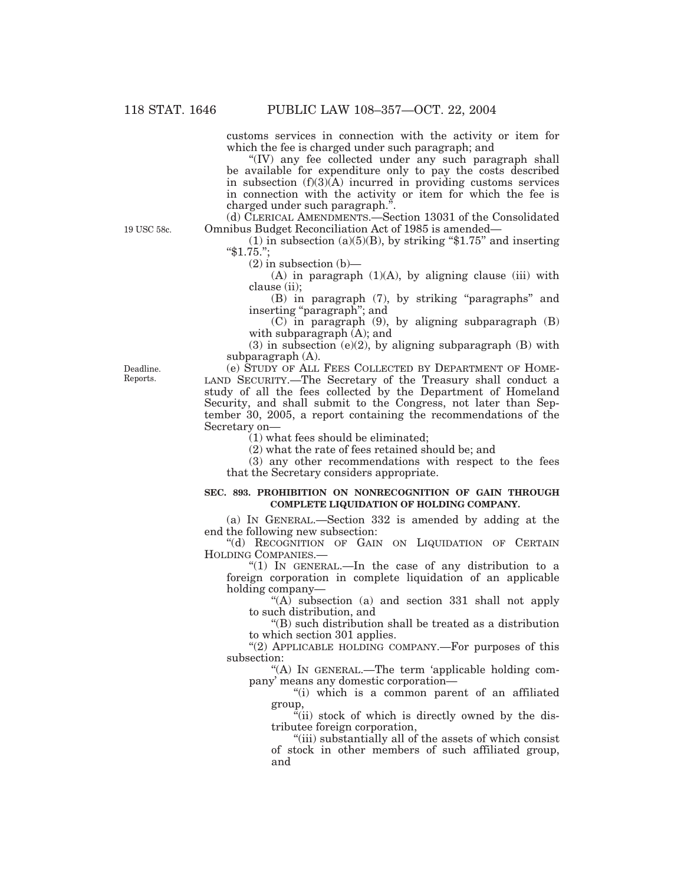customs services in connection with the activity or item for which the fee is charged under such paragraph; and

"(IV) any fee collected under any such paragraph shall be available for expenditure only to pay the costs described in subsection  $(f)(3)(A)$  incurred in providing customs services in connection with the activity or item for which the fee is charged under such paragraph.'

19 USC 58c.

(d) CLERICAL AMENDMENTS.—Section 13031 of the Consolidated Omnibus Budget Reconciliation Act of 1985 is amended—

 $(1)$  in subsection  $(a)(5)(B)$ , by striking "\$1.75" and inserting ''\$1.75.'';

 $(2)$  in subsection  $(b)$ —

 $(A)$  in paragraph  $(1)(A)$ , by aligning clause (iii) with clause (ii);

(B) in paragraph (7), by striking ''paragraphs'' and inserting "paragraph"; and

(C) in paragraph (9), by aligning subparagraph (B) with subparagraph  $(A)$ ; and

(3) in subsection  $(e)(2)$ , by aligning subparagraph (B) with subparagraph (A).

Deadline. Reports.

(e) STUDY OF ALL FEES COLLECTED BY DEPARTMENT OF HOME-LAND SECURITY.—The Secretary of the Treasury shall conduct a study of all the fees collected by the Department of Homeland Security, and shall submit to the Congress, not later than September 30, 2005, a report containing the recommendations of the Secretary on—

(1) what fees should be eliminated;

(2) what the rate of fees retained should be; and

(3) any other recommendations with respect to the fees that the Secretary considers appropriate.

## **SEC. 893. PROHIBITION ON NONRECOGNITION OF GAIN THROUGH COMPLETE LIQUIDATION OF HOLDING COMPANY.**

(a) IN GENERAL.—Section 332 is amended by adding at the end the following new subsection:

''(d) RECOGNITION OF GAIN ON LIQUIDATION OF CERTAIN HOLDING COMPANIES.—

" $(1)$  In GENERAL.—In the case of any distribution to a foreign corporation in complete liquidation of an applicable holding company—

"(A) subsection (a) and section 331 shall not apply to such distribution, and

''(B) such distribution shall be treated as a distribution to which section 301 applies.

"(2) APPLICABLE HOLDING COMPANY.—For purposes of this subsection:

''(A) IN GENERAL.—The term 'applicable holding company' means any domestic corporation—

''(i) which is a common parent of an affiliated group,

"(ii) stock of which is directly owned by the distributee foreign corporation,

''(iii) substantially all of the assets of which consist of stock in other members of such affiliated group, and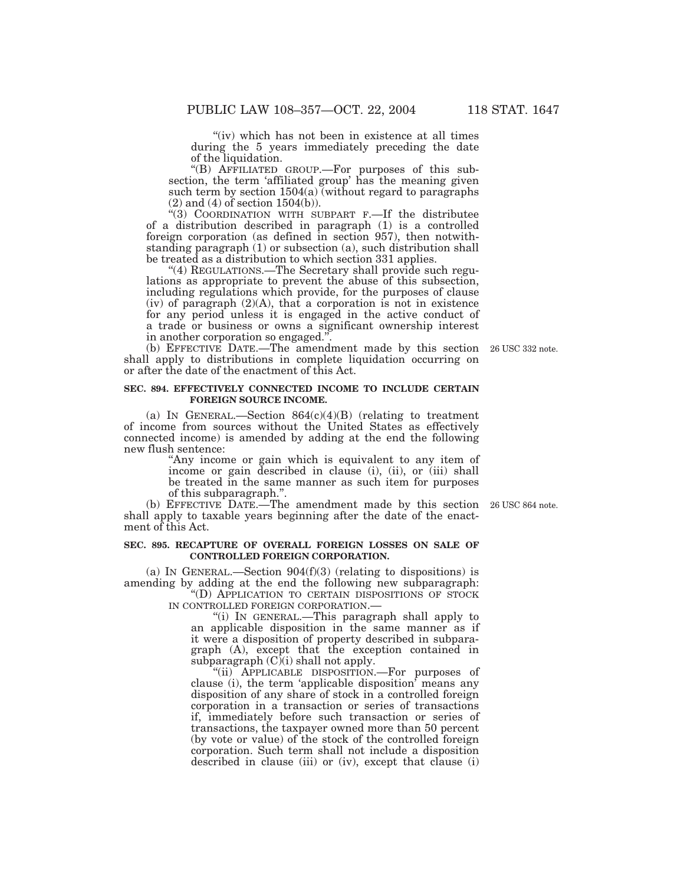"(iv) which has not been in existence at all times" during the 5 years immediately preceding the date of the liquidation.

''(B) AFFILIATED GROUP.—For purposes of this subsection, the term 'affiliated group' has the meaning given such term by section  $1504(a)$  (without regard to paragraphs (2) and (4) of section 1504(b)).

''(3) COORDINATION WITH SUBPART F.—If the distributee of a distribution described in paragraph (1) is a controlled foreign corporation (as defined in section 957), then notwithstanding paragraph (1) or subsection (a), such distribution shall be treated as a distribution to which section 331 applies.

"(4) REGULATIONS.—The Secretary shall provide such regulations as appropriate to prevent the abuse of this subsection, including regulations which provide, for the purposes of clause (iv) of paragraph  $(2)(A)$ , that a corporation is not in existence for any period unless it is engaged in the active conduct of a trade or business or owns a significant ownership interest in another corporation so engaged.''.

(b) EFFECTIVE DATE.—The amendment made by this section 26 USC 332 note. shall apply to distributions in complete liquidation occurring on or after the date of the enactment of this Act.

### **SEC. 894. EFFECTIVELY CONNECTED INCOME TO INCLUDE CERTAIN FOREIGN SOURCE INCOME.**

(a) IN GENERAL.—Section  $864(c)(4)(B)$  (relating to treatment of income from sources without the United States as effectively connected income) is amended by adding at the end the following new flush sentence:

''Any income or gain which is equivalent to any item of income or gain described in clause (i), (ii), or (iii) shall be treated in the same manner as such item for purposes of this subparagraph.''.

(b) EFFECTIVE DATE.—The amendment made by this section 26 USC 864 note. shall apply to taxable years beginning after the date of the enactment of this Act.

### **SEC. 895. RECAPTURE OF OVERALL FOREIGN LOSSES ON SALE OF CONTROLLED FOREIGN CORPORATION.**

(a) IN GENERAL.—Section 904(f)(3) (relating to dispositions) is amending by adding at the end the following new subparagraph:

''(D) APPLICATION TO CERTAIN DISPOSITIONS OF STOCK IN CONTROLLED FOREIGN CORPORATION.—

''(i) IN GENERAL.—This paragraph shall apply to an applicable disposition in the same manner as if it were a disposition of property described in subparagraph (A), except that the exception contained in subparagraph  $(C)(i)$  shall not apply.

''(ii) APPLICABLE DISPOSITION.—For purposes of clause (i), the term 'applicable disposition' means any disposition of any share of stock in a controlled foreign corporation in a transaction or series of transactions if, immediately before such transaction or series of transactions, the taxpayer owned more than 50 percent (by vote or value) of the stock of the controlled foreign corporation. Such term shall not include a disposition described in clause (iii) or (iv), except that clause (i)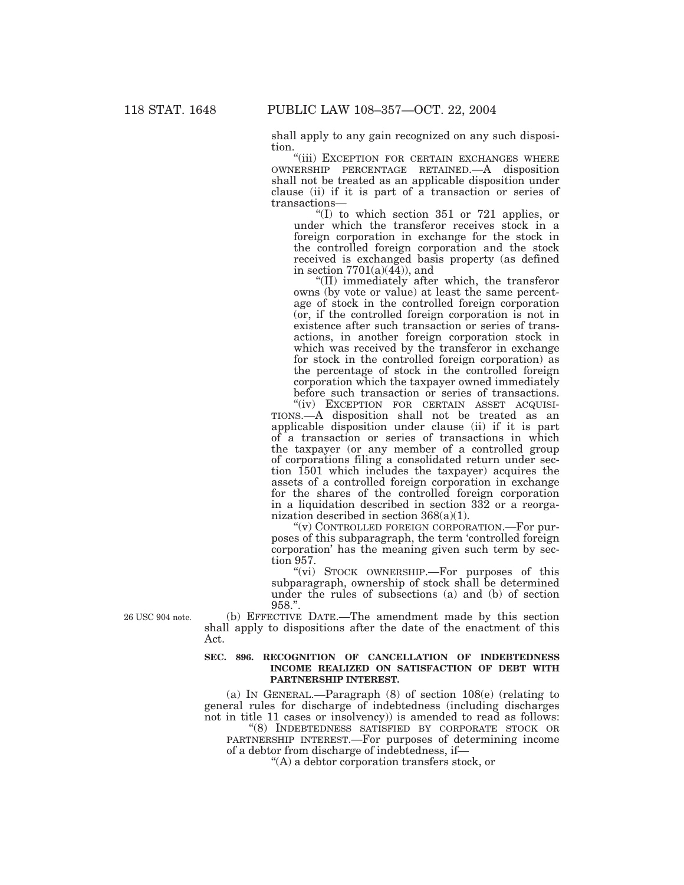shall apply to any gain recognized on any such disposition.

''(iii) EXCEPTION FOR CERTAIN EXCHANGES WHERE OWNERSHIP PERCENTAGE RETAINED.—A disposition shall not be treated as an applicable disposition under clause (ii) if it is part of a transaction or series of transactions—

''(I) to which section 351 or 721 applies, or under which the transferor receives stock in a foreign corporation in exchange for the stock in the controlled foreign corporation and the stock received is exchanged basis property (as defined in section  $7701(a)(44)$ , and

''(II) immediately after which, the transferor owns (by vote or value) at least the same percentage of stock in the controlled foreign corporation (or, if the controlled foreign corporation is not in existence after such transaction or series of transactions, in another foreign corporation stock in which was received by the transferor in exchange for stock in the controlled foreign corporation) as the percentage of stock in the controlled foreign corporation which the taxpayer owned immediately before such transaction or series of transactions. "(iv) EXCEPTION FOR CERTAIN ASSET ACQUISI-

TIONS.—A disposition shall not be treated as an applicable disposition under clause (ii) if it is part of a transaction or series of transactions in which the taxpayer (or any member of a controlled group of corporations filing a consolidated return under section 1501 which includes the taxpayer) acquires the assets of a controlled foreign corporation in exchange for the shares of the controlled foreign corporation in a liquidation described in section 332 or a reorganization described in section 368(a)(1).

''(v) CONTROLLED FOREIGN CORPORATION.—For purposes of this subparagraph, the term 'controlled foreign corporation' has the meaning given such term by section 957.

"(vi) STOCK OWNERSHIP.—For purposes of this subparagraph, ownership of stock shall be determined under the rules of subsections (a) and (b) of section 958.''.

26 USC 904 note.

(b) EFFECTIVE DATE.—The amendment made by this section shall apply to dispositions after the date of the enactment of this Act.

### **SEC. 896. RECOGNITION OF CANCELLATION OF INDEBTEDNESS INCOME REALIZED ON SATISFACTION OF DEBT WITH PARTNERSHIP INTEREST.**

(a) IN GENERAL.—Paragraph (8) of section 108(e) (relating to general rules for discharge of indebtedness (including discharges not in title 11 cases or insolvency)) is amended to read as follows:

''(8) INDEBTEDNESS SATISFIED BY CORPORATE STOCK OR PARTNERSHIP INTEREST.—For purposes of determining income of a debtor from discharge of indebtedness, if—

''(A) a debtor corporation transfers stock, or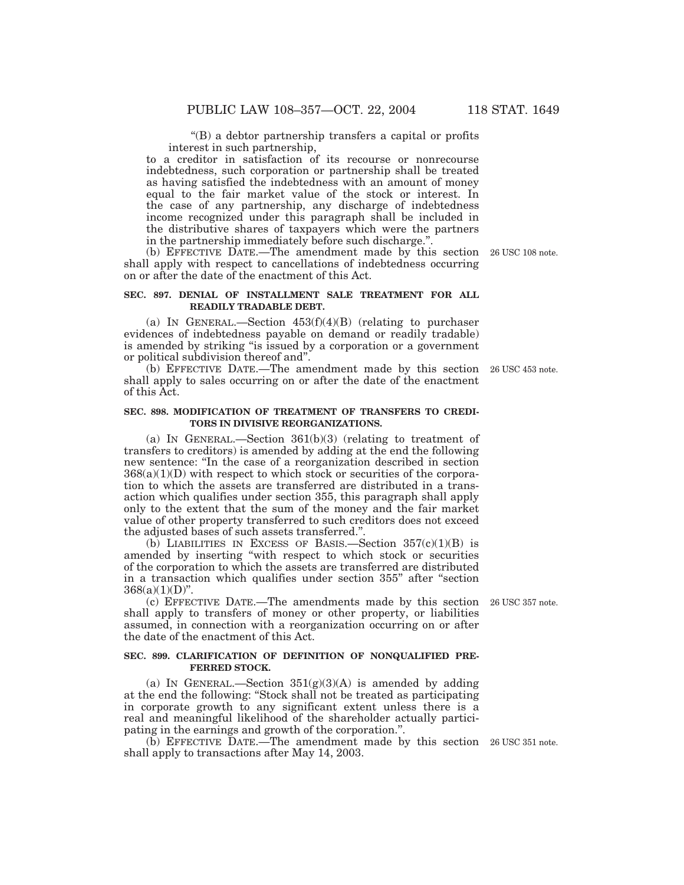''(B) a debtor partnership transfers a capital or profits interest in such partnership,

to a creditor in satisfaction of its recourse or nonrecourse indebtedness, such corporation or partnership shall be treated as having satisfied the indebtedness with an amount of money equal to the fair market value of the stock or interest. In the case of any partnership, any discharge of indebtedness income recognized under this paragraph shall be included in the distributive shares of taxpayers which were the partners in the partnership immediately before such discharge."

(b) EFFECTIVE DATE.—The amendment made by this section 26 USC 108 note. shall apply with respect to cancellations of indebtedness occurring on or after the date of the enactment of this Act.

### **SEC. 897. DENIAL OF INSTALLMENT SALE TREATMENT FOR ALL READILY TRADABLE DEBT.**

(a) IN GENERAL.—Section  $453(f)(4)(B)$  (relating to purchaser evidences of indebtedness payable on demand or readily tradable) is amended by striking ''is issued by a corporation or a government or political subdivision thereof and''.

(b) EFFECTIVE DATE.—The amendment made by this section 26 USC 453 note. shall apply to sales occurring on or after the date of the enactment of this Act.

## **SEC. 898. MODIFICATION OF TREATMENT OF TRANSFERS TO CREDI-TORS IN DIVISIVE REORGANIZATIONS.**

(a) IN GENERAL.—Section 361(b)(3) (relating to treatment of transfers to creditors) is amended by adding at the end the following new sentence: ''In the case of a reorganization described in section  $368(a)(1)(D)$  with respect to which stock or securities of the corporation to which the assets are transferred are distributed in a transaction which qualifies under section 355, this paragraph shall apply only to the extent that the sum of the money and the fair market value of other property transferred to such creditors does not exceed the adjusted bases of such assets transferred.''.

(b) LIABILITIES IN EXCESS OF BASIS.—Section  $357(c)(1)(B)$  is amended by inserting ''with respect to which stock or securities of the corporation to which the assets are transferred are distributed in a transaction which qualifies under section 355'' after ''section  $368(a)(1)(D)$ ".

(c) EFFECTIVE DATE.—The amendments made by this section 26 USC 357 note. shall apply to transfers of money or other property, or liabilities assumed, in connection with a reorganization occurring on or after the date of the enactment of this Act.

## **SEC. 899. CLARIFICATION OF DEFINITION OF NONQUALIFIED PRE-FERRED STOCK.**

(a) In GENERAL.—Section  $351(g)(3)(A)$  is amended by adding at the end the following: ''Stock shall not be treated as participating in corporate growth to any significant extent unless there is a real and meaningful likelihood of the shareholder actually participating in the earnings and growth of the corporation.''.

(b) EFFECTIVE DATE.—The amendment made by this section 26 USC 351 note. shall apply to transactions after May 14, 2003.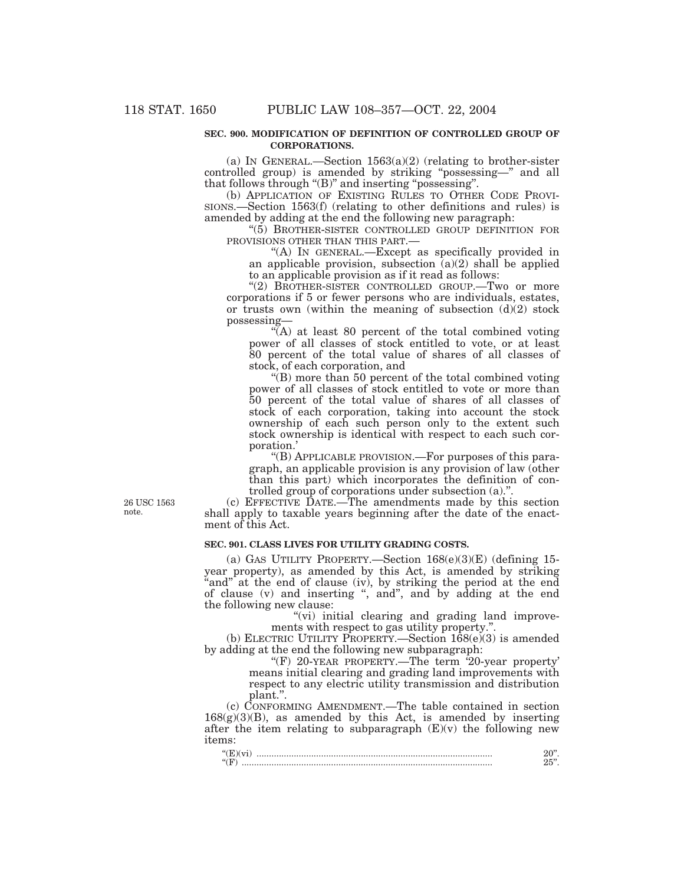#### **SEC. 900. MODIFICATION OF DEFINITION OF CONTROLLED GROUP OF CORPORATIONS.**

(a) IN GENERAL.—Section  $1563(a)(2)$  (relating to brother-sister controlled group) is amended by striking "possessing—" and all that follows through "(B)" and inserting "possessing".

(b) APPLICATION OF EXISTING RULES TO OTHER CODE PROVI-SIONS.—Section 1563(f) (relating to other definitions and rules) is amended by adding at the end the following new paragraph:

''(5) BROTHER-SISTER CONTROLLED GROUP DEFINITION FOR PROVISIONS OTHER THAN THIS PART.—

''(A) IN GENERAL.—Except as specifically provided in an applicable provision, subsection  $(a)(2)$  shall be applied to an applicable provision as if it read as follows:

''(2) BROTHER-SISTER CONTROLLED GROUP.—Two or more corporations if 5 or fewer persons who are individuals, estates, or trusts own (within the meaning of subsection  $(d)(2)$  stock possessing—

''(A) at least 80 percent of the total combined voting power of all classes of stock entitled to vote, or at least 80 percent of the total value of shares of all classes of stock, of each corporation, and

''(B) more than 50 percent of the total combined voting power of all classes of stock entitled to vote or more than 50 percent of the total value of shares of all classes of stock of each corporation, taking into account the stock ownership of each such person only to the extent such stock ownership is identical with respect to each such corporation.'

''(B) APPLICABLE PROVISION.—For purposes of this paragraph, an applicable provision is any provision of law (other than this part) which incorporates the definition of controlled group of corporations under subsection (a).''.

26 USC 1563 note.

(c) EFFECTIVE DATE.—The amendments made by this section shall apply to taxable years beginning after the date of the enactment of this Act.

## **SEC. 901. CLASS LIVES FOR UTILITY GRADING COSTS.**

(a) GAS UTILITY PROPERTY.—Section 168(e)(3)(E) (defining 15 year property), as amended by this Act, is amended by striking "and" at the end of clause (iv), by striking the period at the end of clause (v) and inserting '', and'', and by adding at the end the following new clause:

> "(vi) initial clearing and grading land improvements with respect to gas utility property.''.

(b) ELECTRIC UTILITY PROPERTY.—Section 168(e)(3) is amended by adding at the end the following new subparagraph:

''(F) 20-YEAR PROPERTY.—The term '20-year property' means initial clearing and grading land improvements with respect to any electric utility transmission and distribution plant.''.

(c) CONFORMING AMENDMENT.—The table contained in section  $168(g)(3)(B)$ , as amended by this Act, is amended by inserting after the item relating to subparagraph  $(E)(v)$  the following new items:

| $\mathrm{``(E)(v)}$<br>T. |  |
|---------------------------|--|
| $\frac{1}{2}$             |  |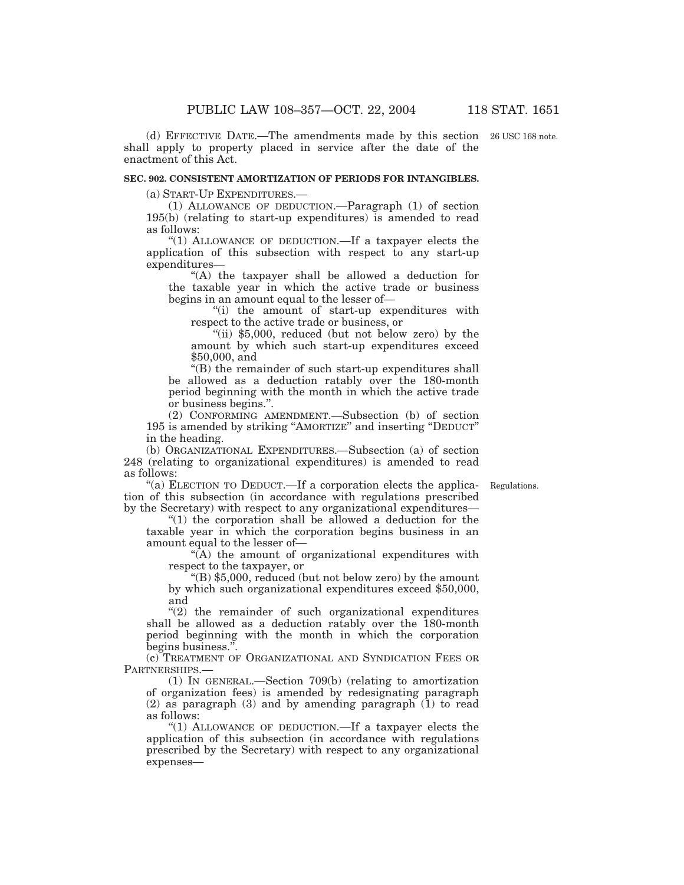(d) EFFECTIVE DATE.—The amendments made by this section 26 USC 168 note. shall apply to property placed in service after the date of the enactment of this Act.

# **SEC. 902. CONSISTENT AMORTIZATION OF PERIODS FOR INTANGIBLES.**

(a) START-UP EXPENDITURES.—

(1) ALLOWANCE OF DEDUCTION.—Paragraph (1) of section 195(b) (relating to start-up expenditures) is amended to read as follows:

"(1) ALLOWANCE OF DEDUCTION.—If a taxpayer elects the application of this subsection with respect to any start-up expenditures—

"(A) the taxpayer shall be allowed a deduction for the taxable year in which the active trade or business begins in an amount equal to the lesser of—

''(i) the amount of start-up expenditures with respect to the active trade or business, or

"(ii) \$5,000, reduced (but not below zero) by the amount by which such start-up expenditures exceed \$50,000, and

''(B) the remainder of such start-up expenditures shall be allowed as a deduction ratably over the 180-month period beginning with the month in which the active trade or business begins.''.

(2) CONFORMING AMENDMENT.—Subsection (b) of section 195 is amended by striking ''AMORTIZE'' and inserting ''DEDUCT'' in the heading.

(b) ORGANIZATIONAL EXPENDITURES.—Subsection (a) of section 248 (relating to organizational expenditures) is amended to read as follows:

Regulations.

"(a) ELECTION TO DEDUCT.—If a corporation elects the application of this subsection (in accordance with regulations prescribed by the Secretary) with respect to any organizational expenditures—

" $(1)$  the corporation shall be allowed a deduction for the taxable year in which the corporation begins business in an amount equal to the lesser of—

 $\hat{A}$ ) the amount of organizational expenditures with respect to the taxpayer, or

''(B) \$5,000, reduced (but not below zero) by the amount by which such organizational expenditures exceed \$50,000, and

 $''(2)$  the remainder of such organizational expenditures shall be allowed as a deduction ratably over the 180-month period beginning with the month in which the corporation begins business.''.

(c) TREATMENT OF ORGANIZATIONAL AND SYNDICATION FEES OR PARTNERSHIPS.—

(1) IN GENERAL.—Section 709(b) (relating to amortization of organization fees) is amended by redesignating paragraph (2) as paragraph (3) and by amending paragraph (1) to read as follows:

"(1) ALLOWANCE OF DEDUCTION.—If a taxpayer elects the application of this subsection (in accordance with regulations prescribed by the Secretary) with respect to any organizational expenses—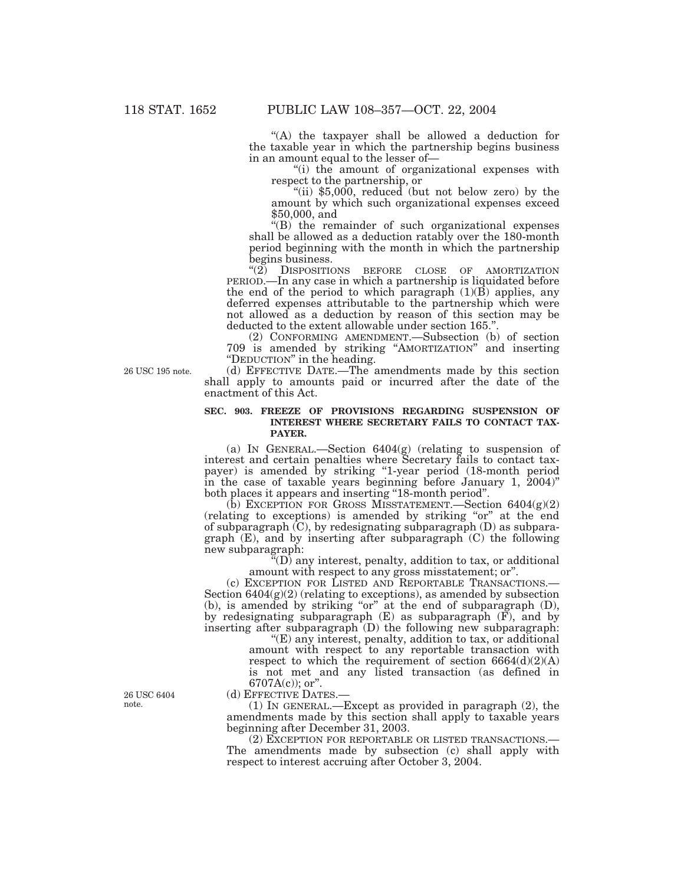''(A) the taxpayer shall be allowed a deduction for the taxable year in which the partnership begins business in an amount equal to the lesser of—

''(i) the amount of organizational expenses with respect to the partnership, or

"(ii)  $$5,000$ , reduced (but not below zero) by the amount by which such organizational expenses exceed \$50,000, and

''(B) the remainder of such organizational expenses shall be allowed as a deduction ratably over the 180-month period beginning with the month in which the partnership begins business.

"(2) DISPOSITIONS BEFORE CLOSE OF AMORTIZATION PERIOD.—In any case in which a partnership is liquidated before the end of the period to which paragraph (1)(B) applies, any deferred expenses attributable to the partnership which were not allowed as a deduction by reason of this section may be deducted to the extent allowable under section 165.''.

(2) CONFORMING AMENDMENT.—Subsection (b) of section 709 is amended by striking ''AMORTIZATION'' and inserting ''DEDUCTION'' in the heading.

(d) EFFECTIVE DATE.—The amendments made by this section shall apply to amounts paid or incurred after the date of the enactment of this Act.

## **SEC. 903. FREEZE OF PROVISIONS REGARDING SUSPENSION OF INTEREST WHERE SECRETARY FAILS TO CONTACT TAX-PAYER.**

(a) IN GENERAL.—Section 6404(g) (relating to suspension of interest and certain penalties where Secretary fails to contact taxpayer) is amended by striking "1-year period (18-month period in the case of taxable years beginning before January 1, 2004)'' both places it appears and inserting "18-month period".

(b) EXCEPTION FOR GROSS MISSTATEMENT.—Section  $6404(g)(2)$ (relating to exceptions) is amended by striking ''or'' at the end of subparagraph  $(C)$ , by redesignating subparagraph  $(D)$  as subparagraph (E), and by inserting after subparagraph (C) the following new subparagraph:

 $\mathcal{H}(D)$  any interest, penalty, addition to tax, or additional amount with respect to any gross misstatement; or''.

(c) EXCEPTION FOR LISTED AND REPORTABLE TRANSACTIONS.— Section  $6404(g)(2)$  (relating to exceptions), as amended by subsection (b), is amended by striking "or" at the end of subparagraph (D), by redesignating subparagraph (E) as subparagraph (F), and by inserting after subparagraph (D) the following new subparagraph:

''(E) any interest, penalty, addition to tax, or additional amount with respect to any reportable transaction with respect to which the requirement of section 6664(d)(2)(A) is not met and any listed transaction (as defined in 6707A(c)); or''.

(d) EFFECTIVE DATES.—

(1) IN GENERAL.—Except as provided in paragraph (2), the amendments made by this section shall apply to taxable years beginning after December 31, 2003.

(2) EXCEPTION FOR REPORTABLE OR LISTED TRANSACTIONS.— The amendments made by subsection (c) shall apply with respect to interest accruing after October 3, 2004.

26 USC 195 note.

26 USC 6404 note.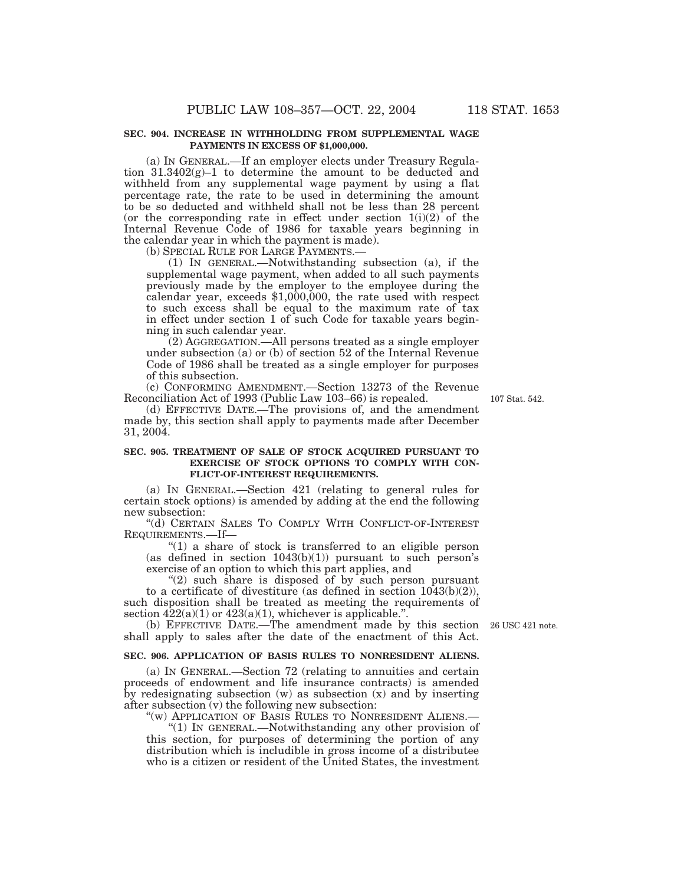### **SEC. 904. INCREASE IN WITHHOLDING FROM SUPPLEMENTAL WAGE PAYMENTS IN EXCESS OF \$1,000,000.**

(a) IN GENERAL.—If an employer elects under Treasury Regulation 31.3402(g)–1 to determine the amount to be deducted and withheld from any supplemental wage payment by using a flat percentage rate, the rate to be used in determining the amount to be so deducted and withheld shall not be less than 28 percent (or the corresponding rate in effect under section  $1(i)(2)$  of the Internal Revenue Code of 1986 for taxable years beginning in the calendar year in which the payment is made).

(b) SPECIAL RULE FOR LARGE PAYMENTS.—

(1) IN GENERAL.—Notwithstanding subsection (a), if the supplemental wage payment, when added to all such payments previously made by the employer to the employee during the calendar year, exceeds \$1,000,000, the rate used with respect to such excess shall be equal to the maximum rate of tax in effect under section 1 of such Code for taxable years beginning in such calendar year.

(2) AGGREGATION.—All persons treated as a single employer under subsection (a) or (b) of section 52 of the Internal Revenue Code of 1986 shall be treated as a single employer for purposes of this subsection.

(c) CONFORMING AMENDMENT.—Section 13273 of the Revenue Reconciliation Act of 1993 (Public Law 103–66) is repealed.

107 Stat. 542.

(d) EFFECTIVE DATE.—The provisions of, and the amendment made by, this section shall apply to payments made after December 31, 2004.

## **SEC. 905. TREATMENT OF SALE OF STOCK ACQUIRED PURSUANT TO EXERCISE OF STOCK OPTIONS TO COMPLY WITH CON-FLICT-OF-INTEREST REQUIREMENTS.**

(a) IN GENERAL.—Section 421 (relating to general rules for certain stock options) is amended by adding at the end the following new subsection:

''(d) CERTAIN SALES TO COMPLY WITH CONFLICT-OF-INTEREST REQUIREMENTS.—If—

" $(1)$  a share of stock is transferred to an eligible person (as defined in section  $1043(b)(1)$ ) pursuant to such person's exercise of an option to which this part applies, and

"(2) such share is disposed of by such person pursuant to a certificate of divestiture (as defined in section  $1043(b)(2)$ ), such disposition shall be treated as meeting the requirements of section  $422(a)(1)$  or  $423(a)(1)$ , whichever is applicable.".

(b) EFFECTIVE DATE.—The amendment made by this section 26 USC 421 note. shall apply to sales after the date of the enactment of this Act.

## **SEC. 906. APPLICATION OF BASIS RULES TO NONRESIDENT ALIENS.**

(a) IN GENERAL.—Section 72 (relating to annuities and certain proceeds of endowment and life insurance contracts) is amended by redesignating subsection (w) as subsection (x) and by inserting after subsection (v) the following new subsection:

''(w) APPLICATION OF BASIS RULES TO NONRESIDENT ALIENS.—

''(1) IN GENERAL.—Notwithstanding any other provision of this section, for purposes of determining the portion of any distribution which is includible in gross income of a distributee who is a citizen or resident of the United States, the investment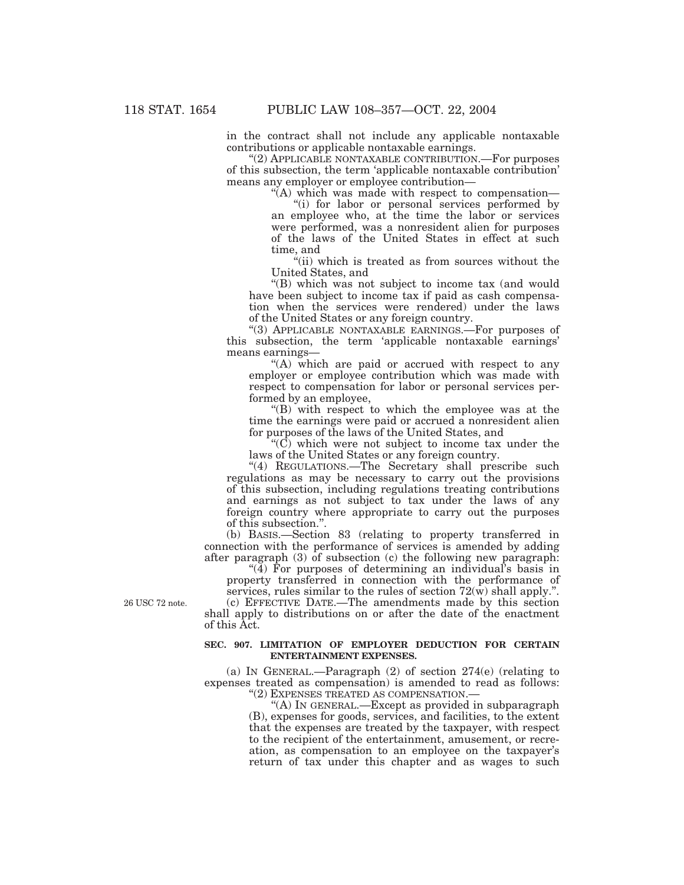in the contract shall not include any applicable nontaxable contributions or applicable nontaxable earnings.

''(2) APPLICABLE NONTAXABLE CONTRIBUTION.—For purposes of this subsection, the term 'applicable nontaxable contribution' means any employer or employee contribution—

"(A) which was made with respect to compensation—

"(i) for labor or personal services performed by an employee who, at the time the labor or services were performed, was a nonresident alien for purposes of the laws of the United States in effect at such time, and

''(ii) which is treated as from sources without the United States, and

''(B) which was not subject to income tax (and would have been subject to income tax if paid as cash compensation when the services were rendered) under the laws of the United States or any foreign country.

''(3) APPLICABLE NONTAXABLE EARNINGS.—For purposes of this subsection, the term 'applicable nontaxable earnings' means earnings—

"(A) which are paid or accrued with respect to any employer or employee contribution which was made with respect to compensation for labor or personal services performed by an employee,

''(B) with respect to which the employee was at the time the earnings were paid or accrued a nonresident alien for purposes of the laws of the United States, and

" $(\overline{C})$  which were not subject to income tax under the laws of the United States or any foreign country.

"(4) REGULATIONS.—The Secretary shall prescribe such regulations as may be necessary to carry out the provisions of this subsection, including regulations treating contributions and earnings as not subject to tax under the laws of any foreign country where appropriate to carry out the purposes of this subsection.''.

(b) BASIS.—Section 83 (relating to property transferred in connection with the performance of services is amended by adding after paragraph (3) of subsection (c) the following new paragraph:

''(4) For purposes of determining an individual's basis in property transferred in connection with the performance of services, rules similar to the rules of section  $72(w)$  shall apply.". (c) EFFECTIVE DATE.—The amendments made by this section shall apply to distributions on or after the date of the enactment

26 USC 72 note.

of this Act.

### **SEC. 907. LIMITATION OF EMPLOYER DEDUCTION FOR CERTAIN ENTERTAINMENT EXPENSES.**

(a) IN GENERAL.—Paragraph (2) of section 274(e) (relating to expenses treated as compensation) is amended to read as follows: "(2) EXPENSES TREATED AS COMPENSATION.-

''(A) IN GENERAL.—Except as provided in subparagraph (B), expenses for goods, services, and facilities, to the extent that the expenses are treated by the taxpayer, with respect to the recipient of the entertainment, amusement, or recreation, as compensation to an employee on the taxpayer's return of tax under this chapter and as wages to such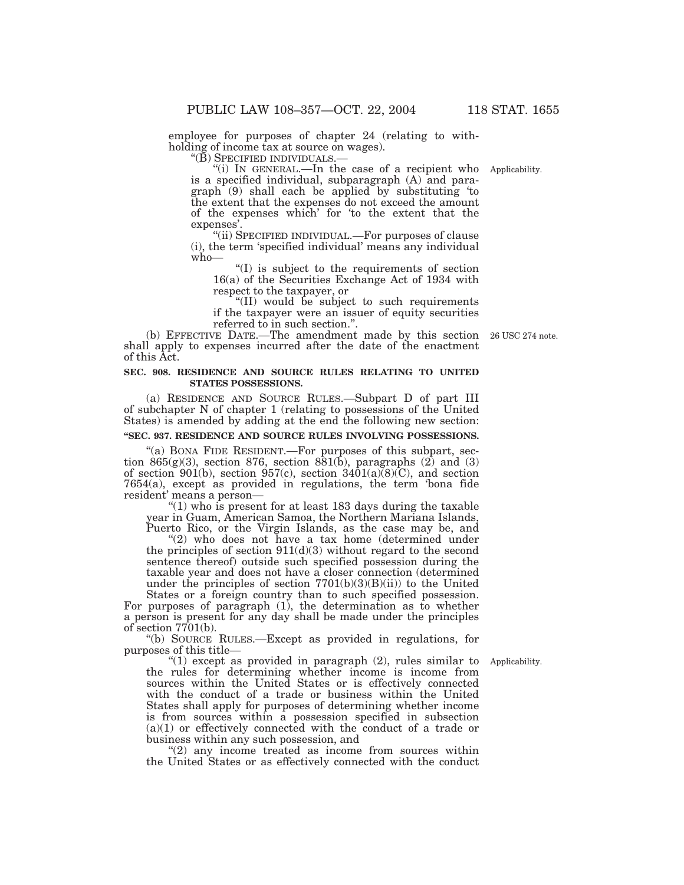employee for purposes of chapter 24 (relating to withholding of income tax at source on wages).<br>"(B) SPECIFIED INDIVIDUALS.—

''(B) SPECIFIED INDIVIDUALS.— ''(i) IN GENERAL.—In the case of a recipient who Applicability. is a specified individual, subparagraph  $(A)$  and paragraph (9) shall each be applied by substituting 'to the extent that the expenses do not exceed the amount of the expenses which' for 'to the extent that the expenses'.

''(ii) SPECIFIED INDIVIDUAL.—For purposes of clause (i), the term 'specified individual' means any individual who—

''(I) is subject to the requirements of section 16(a) of the Securities Exchange Act of 1934 with respect to the taxpayer, or

''(II) would be subject to such requirements if the taxpayer were an issuer of equity securities referred to in such section.''.

(b) EFFECTIVE DATE.—The amendment made by this section 26 USC 274 note. shall apply to expenses incurred after the date of the enactment of this Act.

#### **SEC. 908. RESIDENCE AND SOURCE RULES RELATING TO UNITED STATES POSSESSIONS.**

(a) RESIDENCE AND SOURCE RULES.—Subpart D of part III of subchapter N of chapter 1 (relating to possessions of the United States) is amended by adding at the end the following new section:

### **''SEC. 937. RESIDENCE AND SOURCE RULES INVOLVING POSSESSIONS.**

''(a) BONA FIDE RESIDENT.—For purposes of this subpart, section 865(g)(3), section 876, section 881(b), paragraphs (2) and (3) of section 901(b), section 957(c), section  $3401(a)(8)(C)$ , and section 7654(a), except as provided in regulations, the term 'bona fide resident' means a person—

" $(1)$  who is present for at least 183 days during the taxable year in Guam, American Samoa, the Northern Mariana Islands, Puerto Rico, or the Virgin Islands, as the case may be, and

"(2) who does not have a tax home (determined under the principles of section  $911(d)(3)$  without regard to the second sentence thereof) outside such specified possession during the taxable year and does not have a closer connection (determined under the principles of section  $7701(b)(3)(B)(ii)$  to the United

States or a foreign country than to such specified possession. For purposes of paragraph  $(1)$ , the determination as to whether a person is present for any day shall be made under the principles of section 7701(b).

''(b) SOURCE RULES.—Except as provided in regulations, for purposes of this title—

"(1) except as provided in paragraph (2), rules similar to Applicability. the rules for determining whether income is income from sources within the United States or is effectively connected with the conduct of a trade or business within the United States shall apply for purposes of determining whether income is from sources within a possession specified in subsection (a)(1) or effectively connected with the conduct of a trade or business within any such possession, and

 $''(2)$  any income treated as income from sources within the United States or as effectively connected with the conduct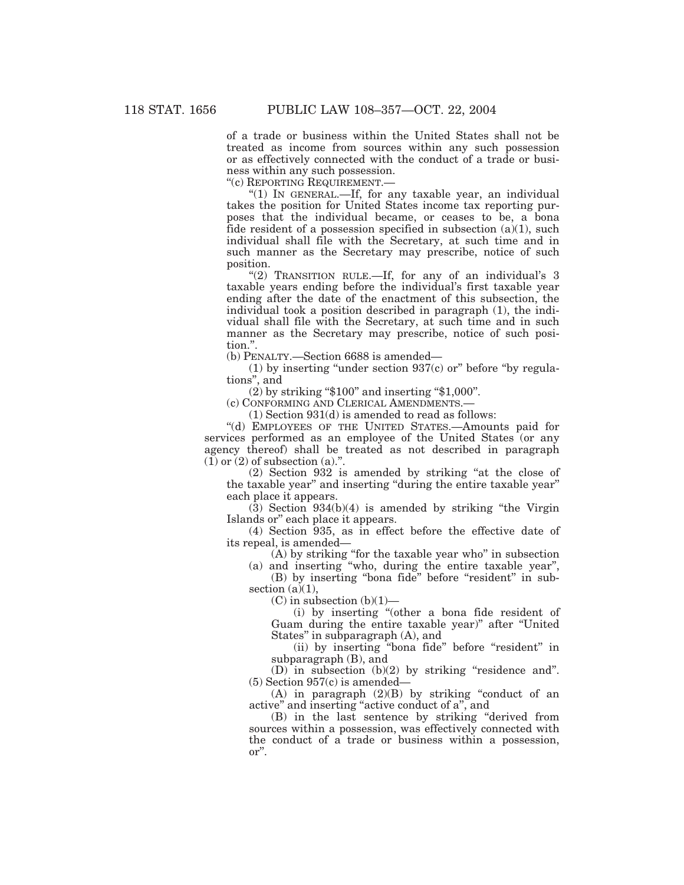of a trade or business within the United States shall not be treated as income from sources within any such possession or as effectively connected with the conduct of a trade or business within any such possession.

''(c) REPORTING REQUIREMENT.—

"(1) IN GENERAL.—If, for any taxable year, an individual takes the position for United States income tax reporting purposes that the individual became, or ceases to be, a bona fide resident of a possession specified in subsection  $(a)(1)$ , such individual shall file with the Secretary, at such time and in such manner as the Secretary may prescribe, notice of such position.

"(2) TRANSITION RULE.—If, for any of an individual's 3 taxable years ending before the individual's first taxable year ending after the date of the enactment of this subsection, the individual took a position described in paragraph (1), the individual shall file with the Secretary, at such time and in such manner as the Secretary may prescribe, notice of such position.''.

(b) PENALTY.—Section 6688 is amended—

(1) by inserting "under section  $937(c)$  or" before "by regulations'', and

 $(2)$  by striking "\$100" and inserting "\$1,000".

(c) CONFORMING AND CLERICAL AMENDMENTS.—

(1) Section 931(d) is amended to read as follows:

''(d) EMPLOYEES OF THE UNITED STATES.—Amounts paid for services performed as an employee of the United States (or any agency thereof) shall be treated as not described in paragraph  $(1)$  or  $(2)$  of subsection  $(a)$ .".

(2) Section 932 is amended by striking ''at the close of the taxable year'' and inserting ''during the entire taxable year'' each place it appears.

(3) Section 934(b)(4) is amended by striking ''the Virgin Islands or'' each place it appears.

(4) Section 935, as in effect before the effective date of its repeal, is amended—

(A) by striking ''for the taxable year who'' in subsection (a) and inserting ''who, during the entire taxable year'',

(B) by inserting ''bona fide'' before ''resident'' in subsection  $(a)(1)$ ,

 $(C)$  in subsection  $(b)(1)$ —

(i) by inserting ''(other a bona fide resident of Guam during the entire taxable year)'' after ''United States'' in subparagraph (A), and

(ii) by inserting "bona fide" before "resident" in subparagraph (B), and

(D) in subsection  $(b)(2)$  by striking "residence and". (5) Section 957(c) is amended—

(A) in paragraph  $(2)(B)$  by striking "conduct of an active'' and inserting ''active conduct of a'', and

(B) in the last sentence by striking ''derived from sources within a possession, was effectively connected with the conduct of a trade or business within a possession, or''.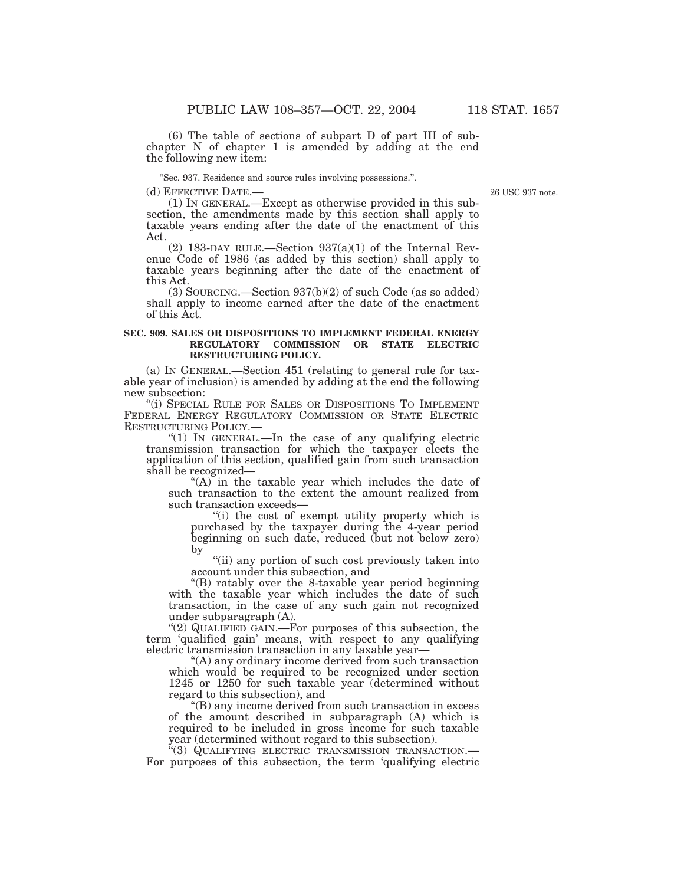(6) The table of sections of subpart D of part III of subchapter N of chapter 1 is amended by adding at the end the following new item:

''Sec. 937. Residence and source rules involving possessions.''.

(d) EFFECTIVE DATE.—

26 USC 937 note.

(1) IN GENERAL.—Except as otherwise provided in this subsection, the amendments made by this section shall apply to taxable years ending after the date of the enactment of this Act.

(2) 183-DAY RULE.—Section  $937(a)(1)$  of the Internal Revenue Code of 1986 (as added by this section) shall apply to taxable years beginning after the date of the enactment of this Act.

(3) SOURCING.—Section 937(b)(2) of such Code (as so added) shall apply to income earned after the date of the enactment of this Act.

## **SEC. 909. SALES OR DISPOSITIONS TO IMPLEMENT FEDERAL ENERGY REGULATORY COMMISSION OR STATE ELECTRIC RESTRUCTURING POLICY.**

(a) IN GENERAL.—Section 451 (relating to general rule for taxable year of inclusion) is amended by adding at the end the following new subsection:

''(i) SPECIAL RULE FOR SALES OR DISPOSITIONS TO IMPLEMENT FEDERAL ENERGY REGULATORY COMMISSION OR STATE ELECTRIC RESTRUCTURING POLICY.—<br>"(1) IN GENERAL.—In the case of any qualifying electric

transmission transaction for which the taxpayer elects the application of this section, qualified gain from such transaction shall be recognized—

" $(A)$  in the taxable year which includes the date of such transaction to the extent the amount realized from such transaction exceeds—

"(i) the cost of exempt utility property which is purchased by the taxpayer during the 4-year period beginning on such date, reduced (but not below zero) by

''(ii) any portion of such cost previously taken into account under this subsection, and

''(B) ratably over the 8-taxable year period beginning with the taxable year which includes the date of such transaction, in the case of any such gain not recognized under subparagraph (A).

''(2) QUALIFIED GAIN.—For purposes of this subsection, the term 'qualified gain' means, with respect to any qualifying electric transmission transaction in any taxable year—

''(A) any ordinary income derived from such transaction which would be required to be recognized under section 1245 or 1250 for such taxable year (determined without regard to this subsection), and

''(B) any income derived from such transaction in excess of the amount described in subparagraph (A) which is required to be included in gross income for such taxable year (determined without regard to this subsection).

''(3) QUALIFYING ELECTRIC TRANSMISSION TRANSACTION.— For purposes of this subsection, the term 'qualifying electric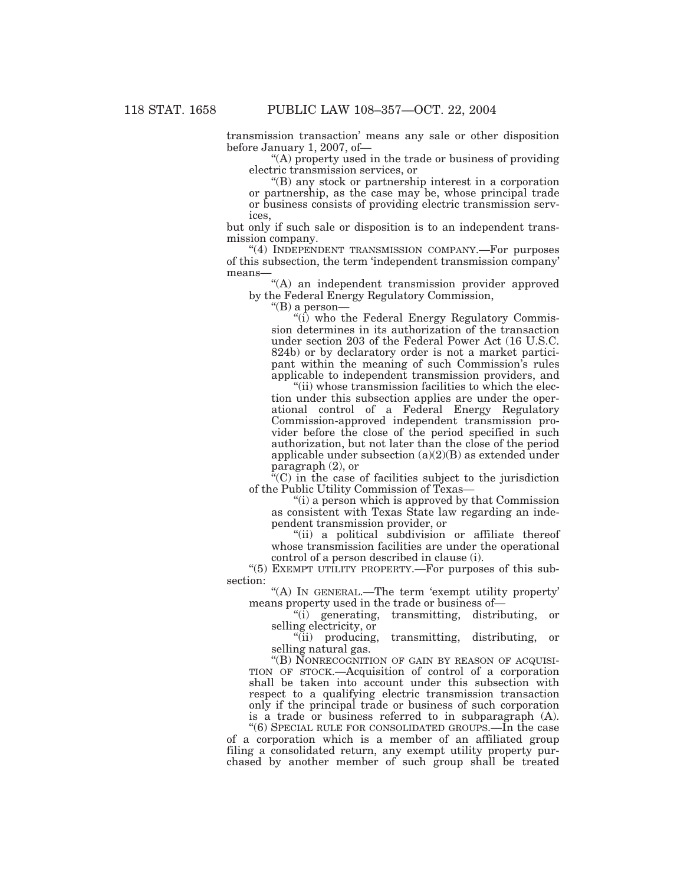transmission transaction' means any sale or other disposition before January 1, 2007, of—

''(A) property used in the trade or business of providing electric transmission services, or

''(B) any stock or partnership interest in a corporation or partnership, as the case may be, whose principal trade or business consists of providing electric transmission services,

but only if such sale or disposition is to an independent transmission company.

"(4) INDEPENDENT TRANSMISSION COMPANY.—For purposes of this subsection, the term 'independent transmission company' means—

''(A) an independent transmission provider approved by the Federal Energy Regulatory Commission,

''(B) a person—

" $(i)$  who the Federal Energy Regulatory Commission determines in its authorization of the transaction under section 203 of the Federal Power Act (16 U.S.C. 824b) or by declaratory order is not a market participant within the meaning of such Commission's rules applicable to independent transmission providers, and

"(ii) whose transmission facilities to which the election under this subsection applies are under the operational control of a Federal Energy Regulatory Commission-approved independent transmission provider before the close of the period specified in such authorization, but not later than the close of the period applicable under subsection  $(a)(2)(B)$  as extended under paragraph (2), or

''(C) in the case of facilities subject to the jurisdiction of the Public Utility Commission of Texas—

''(i) a person which is approved by that Commission as consistent with Texas State law regarding an independent transmission provider, or

"(ii) a political subdivision or affiliate thereof whose transmission facilities are under the operational control of a person described in clause (i).

"(5) EXEMPT UTILITY PROPERTY.—For purposes of this subsection:

"(A) In GENERAL.—The term 'exempt utility property' means property used in the trade or business of—

''(i) generating, transmitting, distributing, or selling electricity, or

''(ii) producing, transmitting, distributing, or selling natural gas.

"(B) NONRECOGNITION OF GAIN BY REASON OF ACQUISI-TION OF STOCK.—Acquisition of control of a corporation shall be taken into account under this subsection with respect to a qualifying electric transmission transaction only if the principal trade or business of such corporation is a trade or business referred to in subparagraph (A).

''(6) SPECIAL RULE FOR CONSOLIDATED GROUPS.—In the case of a corporation which is a member of an affiliated group filing a consolidated return, any exempt utility property purchased by another member of such group shall be treated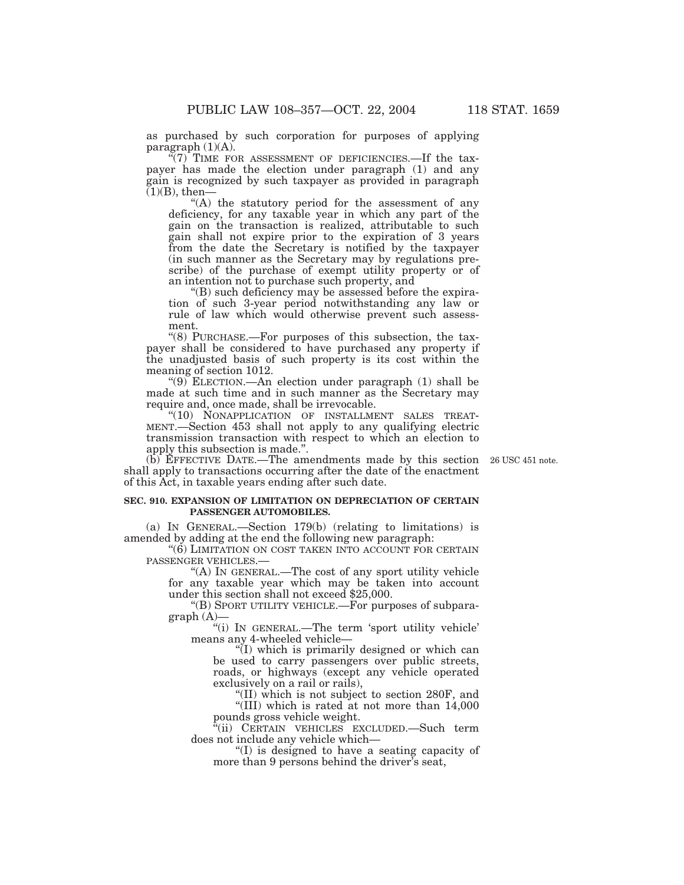as purchased by such corporation for purposes of applying paragraph (1)(A).

" $(7)$  TIME FOR ASSESSMENT OF DEFICIENCIES.—If the taxpayer has made the election under paragraph (1) and any gain is recognized by such taxpayer as provided in paragraph  $(1)(B)$ , then-

"(A) the statutory period for the assessment of any deficiency, for any taxable year in which any part of the gain on the transaction is realized, attributable to such gain shall not expire prior to the expiration of 3 years from the date the Secretary is notified by the taxpayer (in such manner as the Secretary may by regulations prescribe) of the purchase of exempt utility property or of an intention not to purchase such property, and

''(B) such deficiency may be assessed before the expiration of such 3-year period notwithstanding any law or rule of law which would otherwise prevent such assessment.

''(8) PURCHASE.—For purposes of this subsection, the taxpayer shall be considered to have purchased any property if the unadjusted basis of such property is its cost within the meaning of section 1012.

''(9) ELECTION.—An election under paragraph (1) shall be made at such time and in such manner as the Secretary may require and, once made, shall be irrevocable.

"(10) NONAPPLICATION OF INSTALLMENT SALES TREAT-MENT.—Section 453 shall not apply to any qualifying electric transmission transaction with respect to which an election to apply this subsection is made.''.

(b) EFFECTIVE DATE.—The amendments made by this section shall apply to transactions occurring after the date of the enactment of this Act, in taxable years ending after such date.

### **SEC. 910. EXPANSION OF LIMITATION ON DEPRECIATION OF CERTAIN PASSENGER AUTOMOBILES.**

(a) IN GENERAL.—Section 179(b) (relating to limitations) is amended by adding at the end the following new paragraph:

"(6) LIMITATION ON COST TAKEN INTO ACCOUNT FOR CERTAIN PASSENGER VEHICLES.—

''(A) IN GENERAL.—The cost of any sport utility vehicle for any taxable year which may be taken into account under this section shall not exceed \$25,000.

''(B) SPORT UTILITY VEHICLE.—For purposes of subpara $graph (A)$ —

''(i) IN GENERAL.—The term 'sport utility vehicle' means any 4-wheeled vehicle—

''(I) which is primarily designed or which can be used to carry passengers over public streets, roads, or highways (except any vehicle operated exclusively on a rail or rails),

''(II) which is not subject to section 280F, and ''(III) which is rated at not more than 14,000 pounds gross vehicle weight.

"(ii) CERTAIN VEHICLES EXCLUDED.—Such term does not include any vehicle which—

''(I) is designed to have a seating capacity of more than 9 persons behind the driver's seat,

26 USC 451 note.